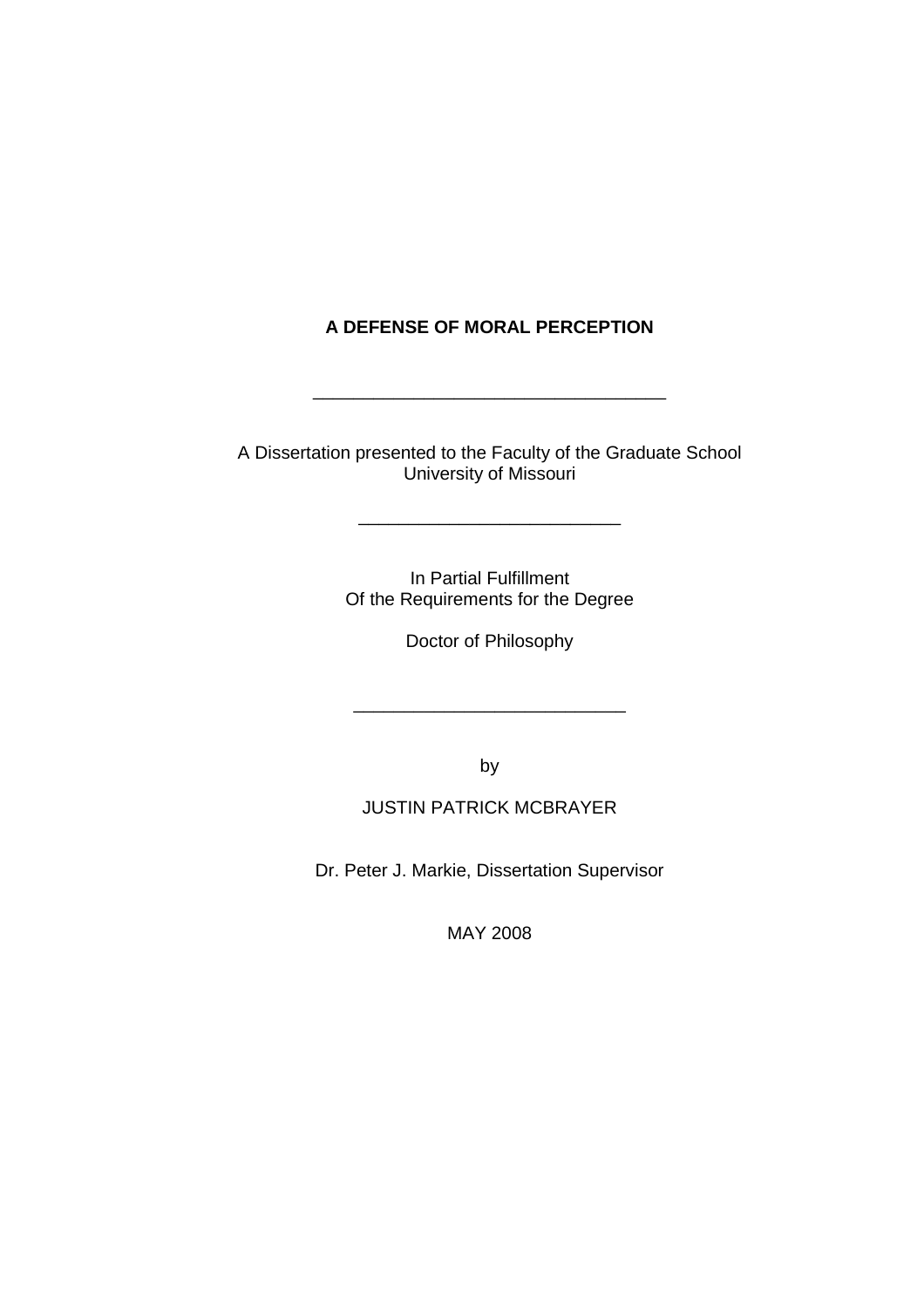# **A DEFENSE OF MORAL PERCEPTION**

\_\_\_\_\_\_\_\_\_\_\_\_\_\_\_\_\_\_\_\_\_\_\_\_\_\_\_\_\_\_\_\_\_\_\_

A Dissertation presented to the Faculty of the Graduate School University of Missouri

\_\_\_\_\_\_\_\_\_\_\_\_\_\_\_\_\_\_\_\_\_\_\_\_\_\_

In Partial Fulfillment Of the Requirements for the Degree

Doctor of Philosophy

\_\_\_\_\_\_\_\_\_\_\_\_\_\_\_\_\_\_\_\_\_\_\_\_\_\_\_

by

# JUSTIN PATRICK MCBRAYER

Dr. Peter J. Markie, Dissertation Supervisor

MAY 2008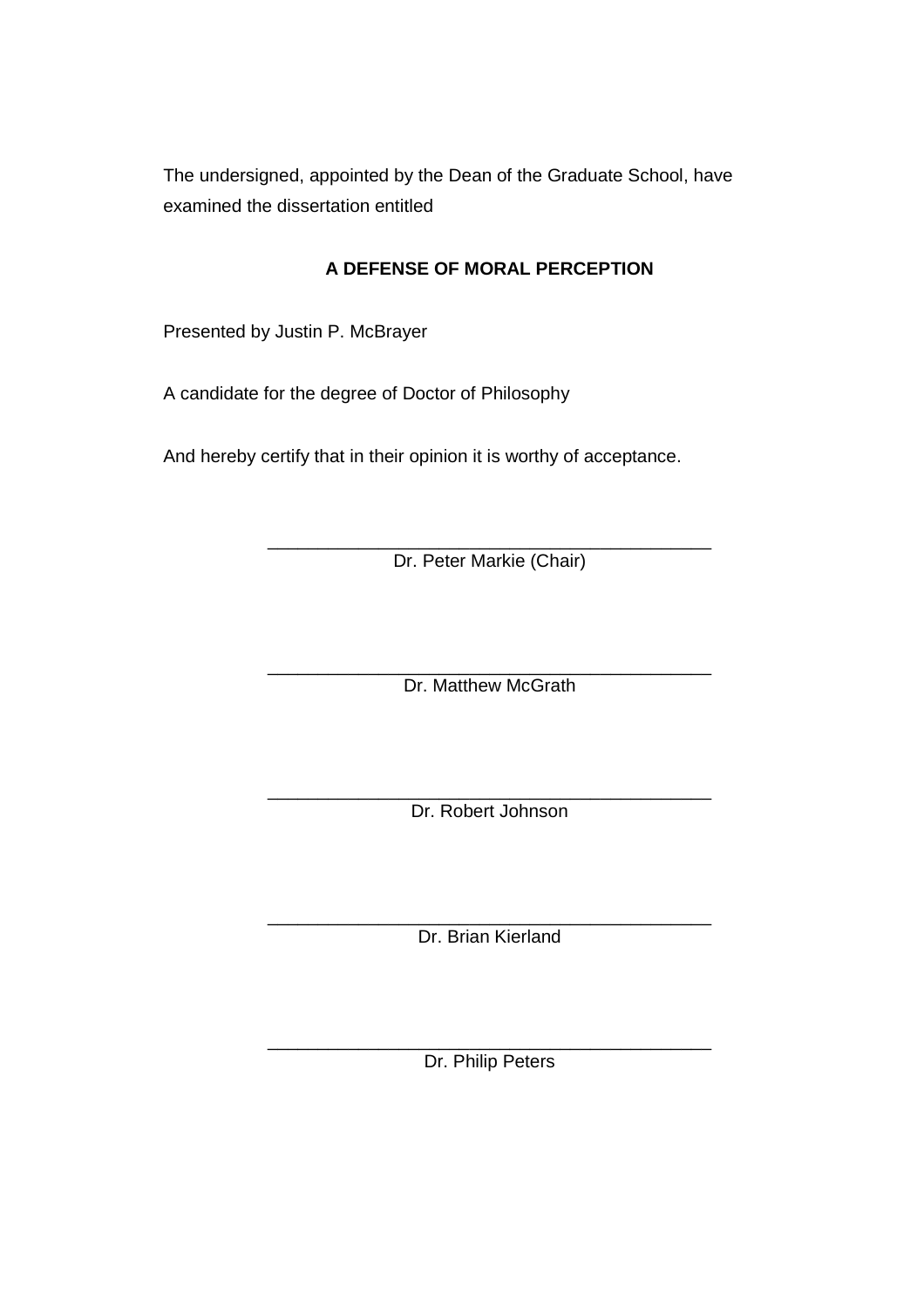The undersigned, appointed by the Dean of the Graduate School, have examined the dissertation entitled

# **A DEFENSE OF MORAL PERCEPTION**

Presented by Justin P. McBrayer

A candidate for the degree of Doctor of Philosophy

And hereby certify that in their opinion it is worthy of acceptance.

\_\_\_\_\_\_\_\_\_\_\_\_\_\_\_\_\_\_\_\_\_\_\_\_\_\_\_\_\_\_\_\_\_\_\_\_\_\_\_\_\_\_\_\_ Dr. Peter Markie (Chair)

\_\_\_\_\_\_\_\_\_\_\_\_\_\_\_\_\_\_\_\_\_\_\_\_\_\_\_\_\_\_\_\_\_\_\_\_\_\_\_\_\_\_\_\_ Dr. Matthew McGrath

\_\_\_\_\_\_\_\_\_\_\_\_\_\_\_\_\_\_\_\_\_\_\_\_\_\_\_\_\_\_\_\_\_\_\_\_\_\_\_\_\_\_\_\_ Dr. Robert Johnson

\_\_\_\_\_\_\_\_\_\_\_\_\_\_\_\_\_\_\_\_\_\_\_\_\_\_\_\_\_\_\_\_\_\_\_\_\_\_\_\_\_\_\_\_ Dr. Brian Kierland

\_\_\_\_\_\_\_\_\_\_\_\_\_\_\_\_\_\_\_\_\_\_\_\_\_\_\_\_\_\_\_\_\_\_\_\_\_\_\_\_\_\_\_\_ Dr. Philip Peters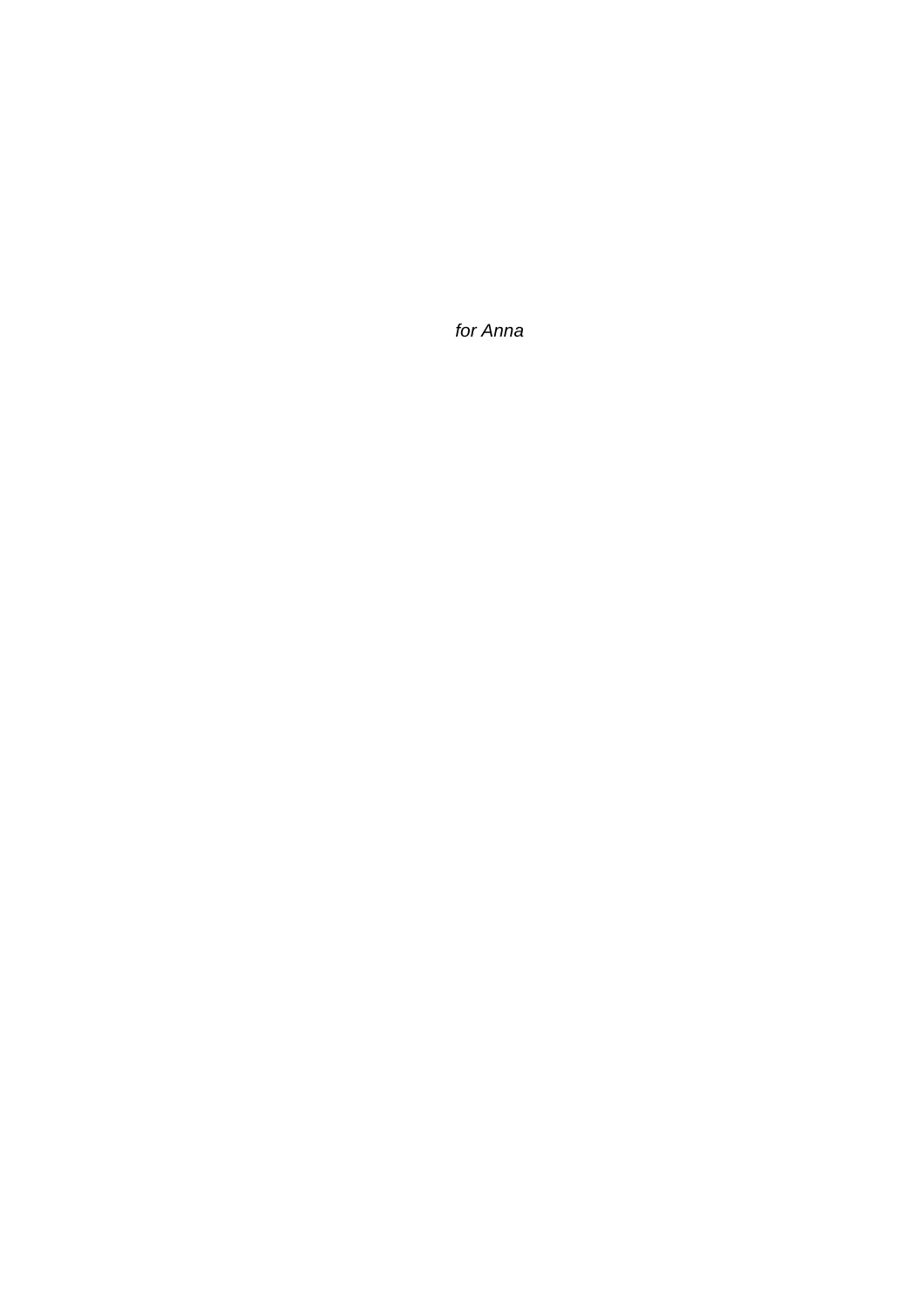for Anna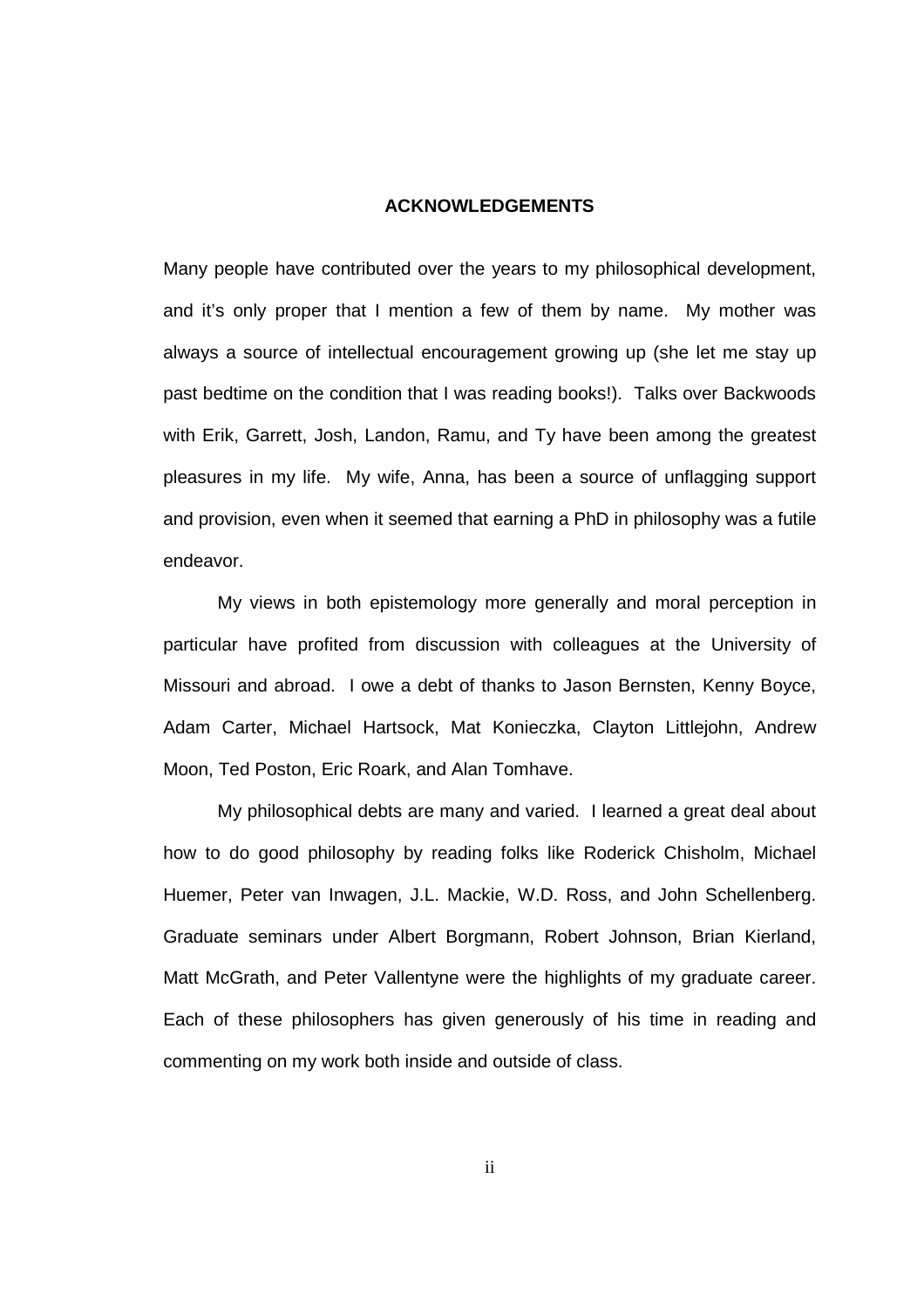#### **ACKNOWLEDGEMENTS**

Many people have contributed over the years to my philosophical development, and it's only proper that I mention a few of them by name. My mother was always a source of intellectual encouragement growing up (she let me stay up past bedtime on the condition that I was reading books!). Talks over Backwoods with Erik, Garrett, Josh, Landon, Ramu, and Ty have been among the greatest pleasures in my life. My wife, Anna, has been a source of unflagging support and provision, even when it seemed that earning a PhD in philosophy was a futile endeavor.

 My views in both epistemology more generally and moral perception in particular have profited from discussion with colleagues at the University of Missouri and abroad. I owe a debt of thanks to Jason Bernsten, Kenny Boyce, Adam Carter, Michael Hartsock, Mat Konieczka, Clayton Littlejohn, Andrew Moon, Ted Poston, Eric Roark, and Alan Tomhave.

 My philosophical debts are many and varied. I learned a great deal about how to do good philosophy by reading folks like Roderick Chisholm, Michael Huemer, Peter van Inwagen, J.L. Mackie, W.D. Ross, and John Schellenberg. Graduate seminars under Albert Borgmann, Robert Johnson, Brian Kierland, Matt McGrath, and Peter Vallentyne were the highlights of my graduate career. Each of these philosophers has given generously of his time in reading and commenting on my work both inside and outside of class.

ii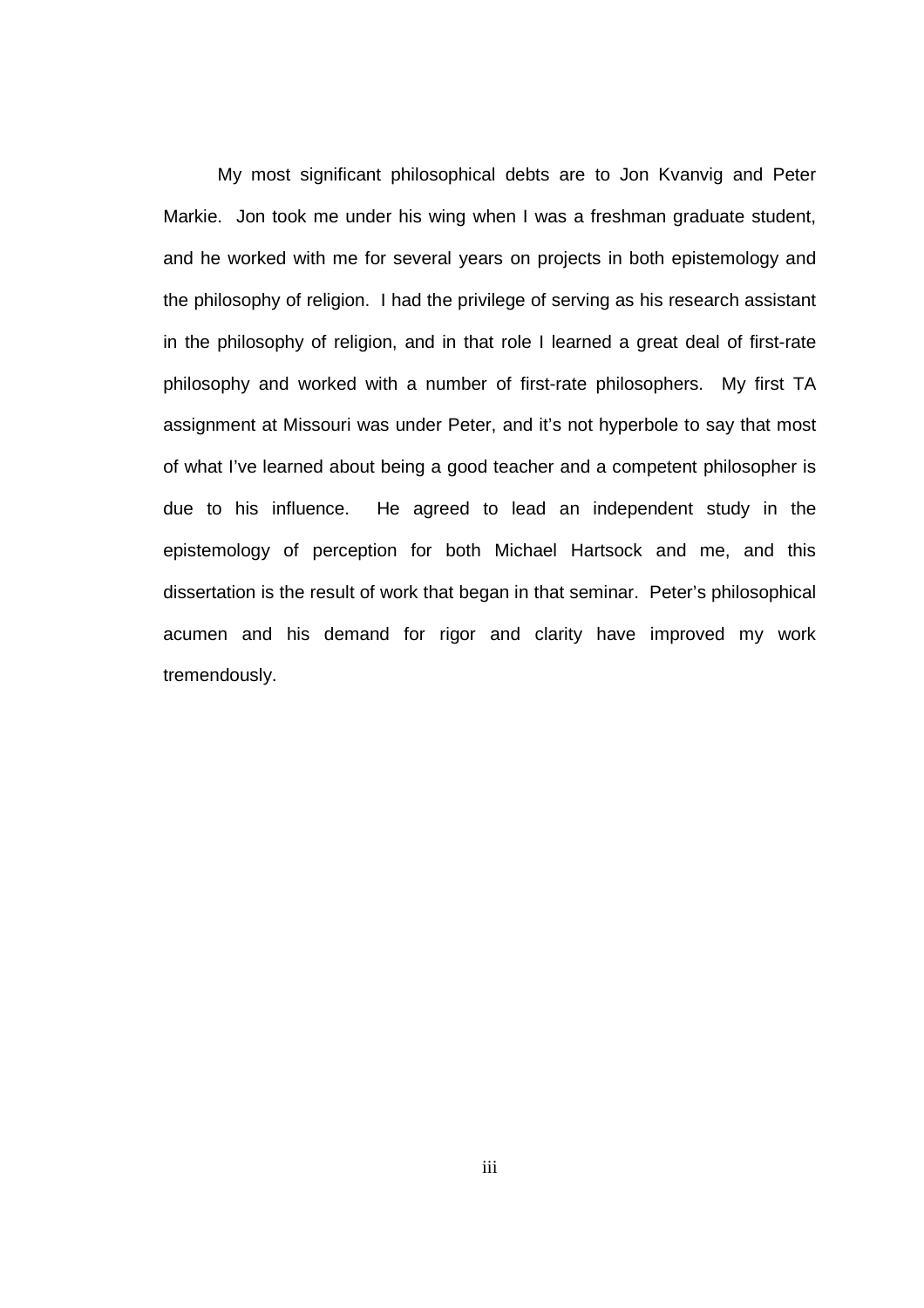My most significant philosophical debts are to Jon Kvanvig and Peter Markie. Jon took me under his wing when I was a freshman graduate student, and he worked with me for several years on projects in both epistemology and the philosophy of religion. I had the privilege of serving as his research assistant in the philosophy of religion, and in that role I learned a great deal of first-rate philosophy and worked with a number of first-rate philosophers. My first TA assignment at Missouri was under Peter, and it's not hyperbole to say that most of what I've learned about being a good teacher and a competent philosopher is due to his influence. He agreed to lead an independent study in the epistemology of perception for both Michael Hartsock and me, and this dissertation is the result of work that began in that seminar. Peter's philosophical acumen and his demand for rigor and clarity have improved my work tremendously.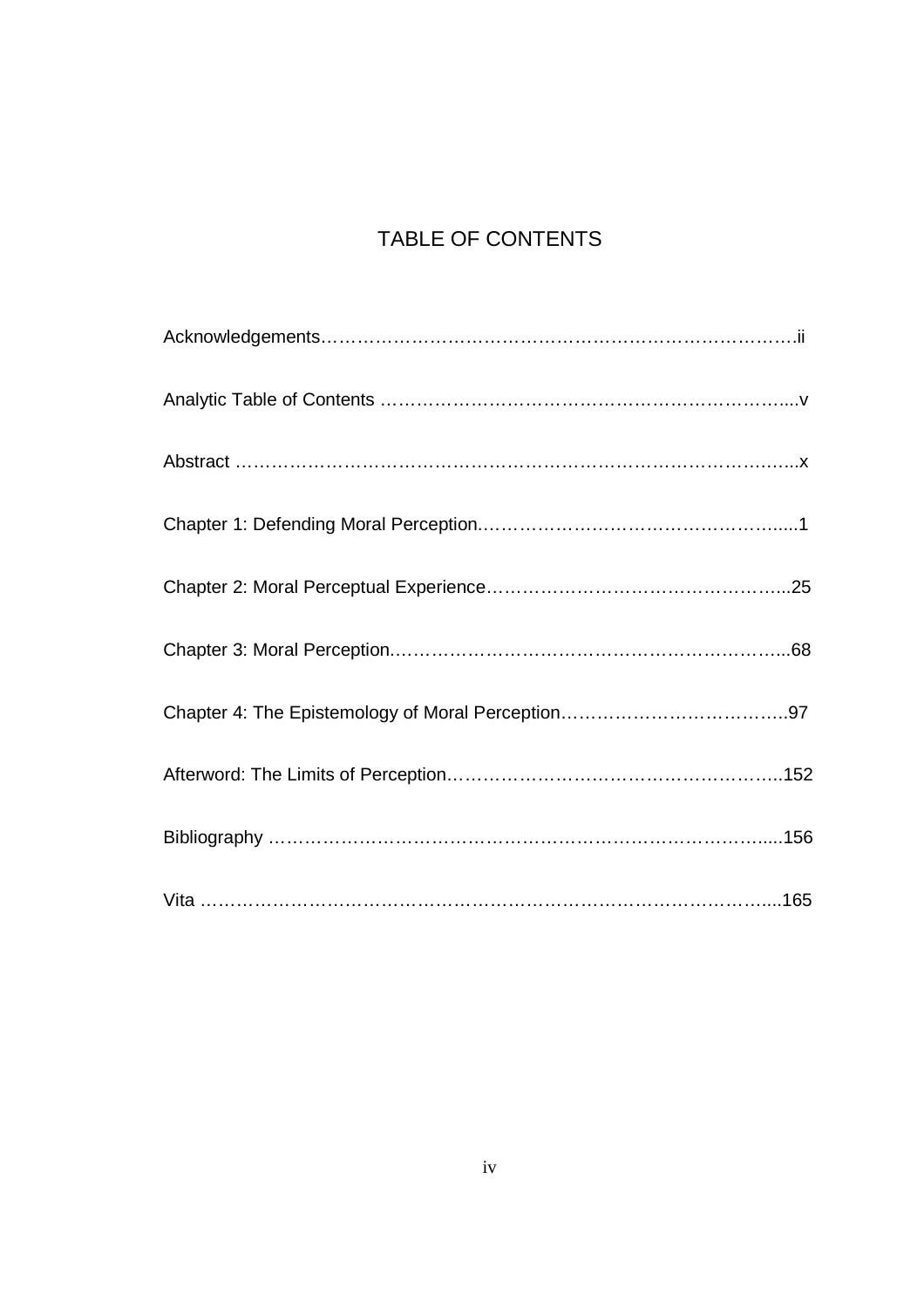# TABLE OF CONTENTS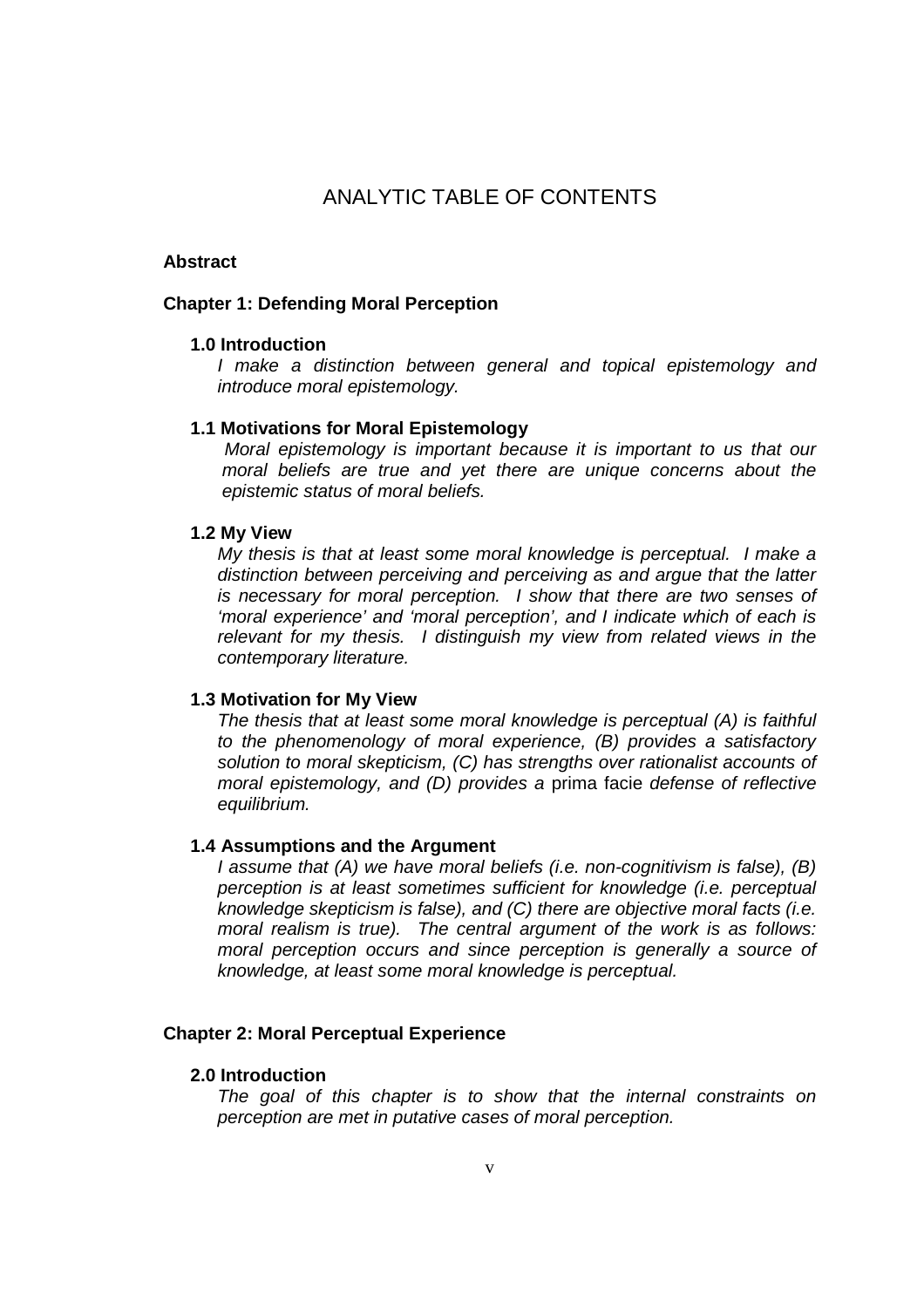# ANALYTIC TABLE OF CONTENTS

#### **Abstract**

#### **Chapter 1: Defending Moral Perception**

#### **1.0 Introduction**

I make a distinction between general and topical epistemology and introduce moral epistemology.

#### **1.1 Motivations for Moral Epistemology**

Moral epistemology is important because it is important to us that our moral beliefs are true and yet there are unique concerns about the epistemic status of moral beliefs.

#### **1.2 My View**

My thesis is that at least some moral knowledge is perceptual. I make a distinction between perceiving and perceiving as and argue that the latter is necessary for moral perception. I show that there are two senses of 'moral experience' and 'moral perception', and I indicate which of each is relevant for my thesis. I distinguish my view from related views in the contemporary literature.

#### **1.3 Motivation for My View**

The thesis that at least some moral knowledge is perceptual (A) is faithful to the phenomenology of moral experience, (B) provides a satisfactory solution to moral skepticism, (C) has strengths over rationalist accounts of moral epistemology, and (D) provides a prima facie defense of reflective equilibrium.

#### **1.4 Assumptions and the Argument**

I assume that (A) we have moral beliefs (i.e. non-cognitivism is false), (B) perception is at least sometimes sufficient for knowledge (i.e. perceptual knowledge skepticism is false), and (C) there are objective moral facts (i.e. moral realism is true). The central argument of the work is as follows: moral perception occurs and since perception is generally a source of knowledge, at least some moral knowledge is perceptual.

#### **Chapter 2: Moral Perceptual Experience**

#### **2.0 Introduction**

The goal of this chapter is to show that the internal constraints on perception are met in putative cases of moral perception.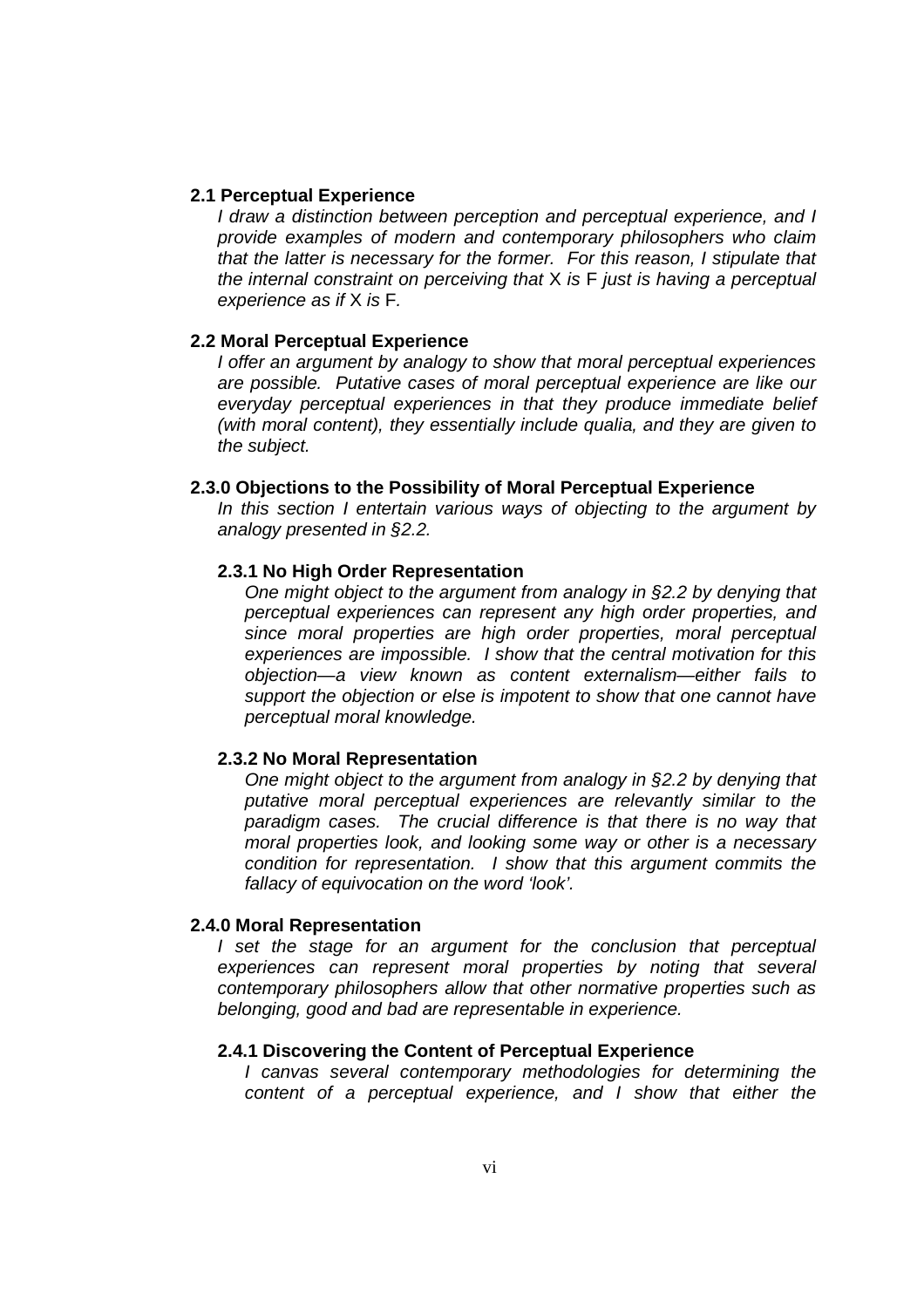#### **2.1 Perceptual Experience**

I draw a distinction between perception and perceptual experience, and I provide examples of modern and contemporary philosophers who claim that the latter is necessary for the former. For this reason, I stipulate that the internal constraint on perceiving that X is F just is having a perceptual experience as if X is F.

#### **2.2 Moral Perceptual Experience**

I offer an argument by analogy to show that moral perceptual experiences are possible. Putative cases of moral perceptual experience are like our everyday perceptual experiences in that they produce immediate belief (with moral content), they essentially include qualia, and they are given to the subject.

#### **2.3.0 Objections to the Possibility of Moral Perceptual Experience**

In this section I entertain various ways of objecting to the argument by analogy presented in §2.2.

#### **2.3.1 No High Order Representation**

One might object to the argument from analogy in §2.2 by denying that perceptual experiences can represent any high order properties, and since moral properties are high order properties, moral perceptual experiences are impossible. I show that the central motivation for this objection—a view known as content externalism—either fails to support the objection or else is impotent to show that one cannot have perceptual moral knowledge.

#### **2.3.2 No Moral Representation**

One might object to the argument from analogy in §2.2 by denying that putative moral perceptual experiences are relevantly similar to the paradigm cases. The crucial difference is that there is no way that moral properties look, and looking some way or other is a necessary condition for representation. I show that this argument commits the fallacy of equivocation on the word 'look'.

#### **2.4.0 Moral Representation**

I set the stage for an argument for the conclusion that perceptual experiences can represent moral properties by noting that several contemporary philosophers allow that other normative properties such as belonging, good and bad are representable in experience.

#### **2.4.1 Discovering the Content of Perceptual Experience**

I canvas several contemporary methodologies for determining the content of a perceptual experience, and I show that either the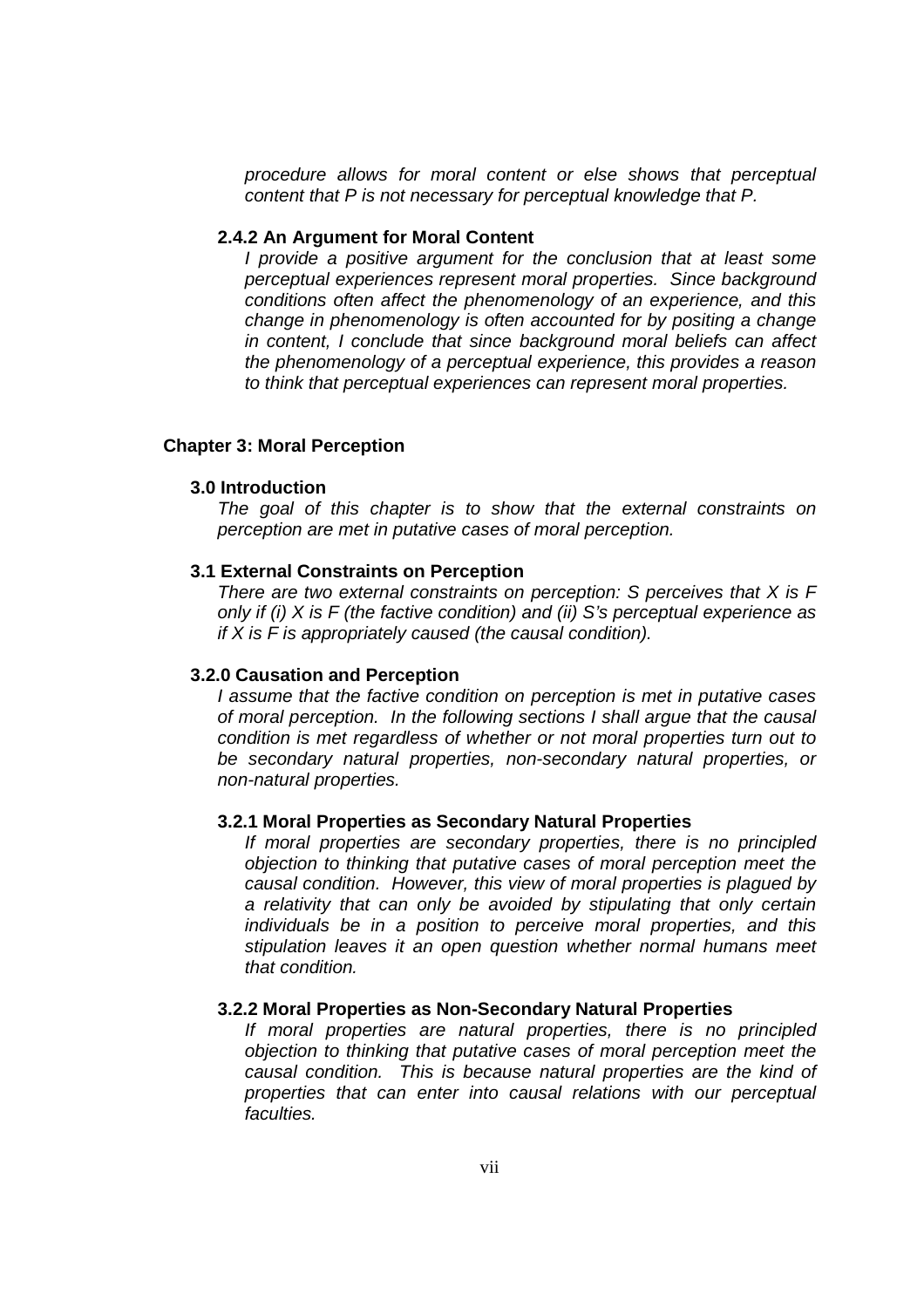procedure allows for moral content or else shows that perceptual content that P is not necessary for perceptual knowledge that P.

#### **2.4.2 An Argument for Moral Content**

I provide a positive argument for the conclusion that at least some perceptual experiences represent moral properties. Since background conditions often affect the phenomenology of an experience, and this change in phenomenology is often accounted for by positing a change in content, I conclude that since background moral beliefs can affect the phenomenology of a perceptual experience, this provides a reason to think that perceptual experiences can represent moral properties.

#### **Chapter 3: Moral Perception**

#### **3.0 Introduction**

The goal of this chapter is to show that the external constraints on perception are met in putative cases of moral perception.

#### **3.1 External Constraints on Perception**

There are two external constraints on perception:  $S$  perceives that  $X$  is  $F$ only if (i) X is F (the factive condition) and (ii) S's perceptual experience as if  $X$  is  $F$  is appropriately caused (the causal condition).

#### **3.2.0 Causation and Perception**

I assume that the factive condition on perception is met in putative cases of moral perception. In the following sections I shall argue that the causal condition is met regardless of whether or not moral properties turn out to be secondary natural properties, non-secondary natural properties, or non-natural properties.

#### **3.2.1 Moral Properties as Secondary Natural Properties**

If moral properties are secondary properties, there is no principled objection to thinking that putative cases of moral perception meet the causal condition. However, this view of moral properties is plagued by a relativity that can only be avoided by stipulating that only certain individuals be in a position to perceive moral properties, and this stipulation leaves it an open question whether normal humans meet that condition.

#### **3.2.2 Moral Properties as Non-Secondary Natural Properties**

If moral properties are natural properties, there is no principled objection to thinking that putative cases of moral perception meet the causal condition. This is because natural properties are the kind of properties that can enter into causal relations with our perceptual faculties.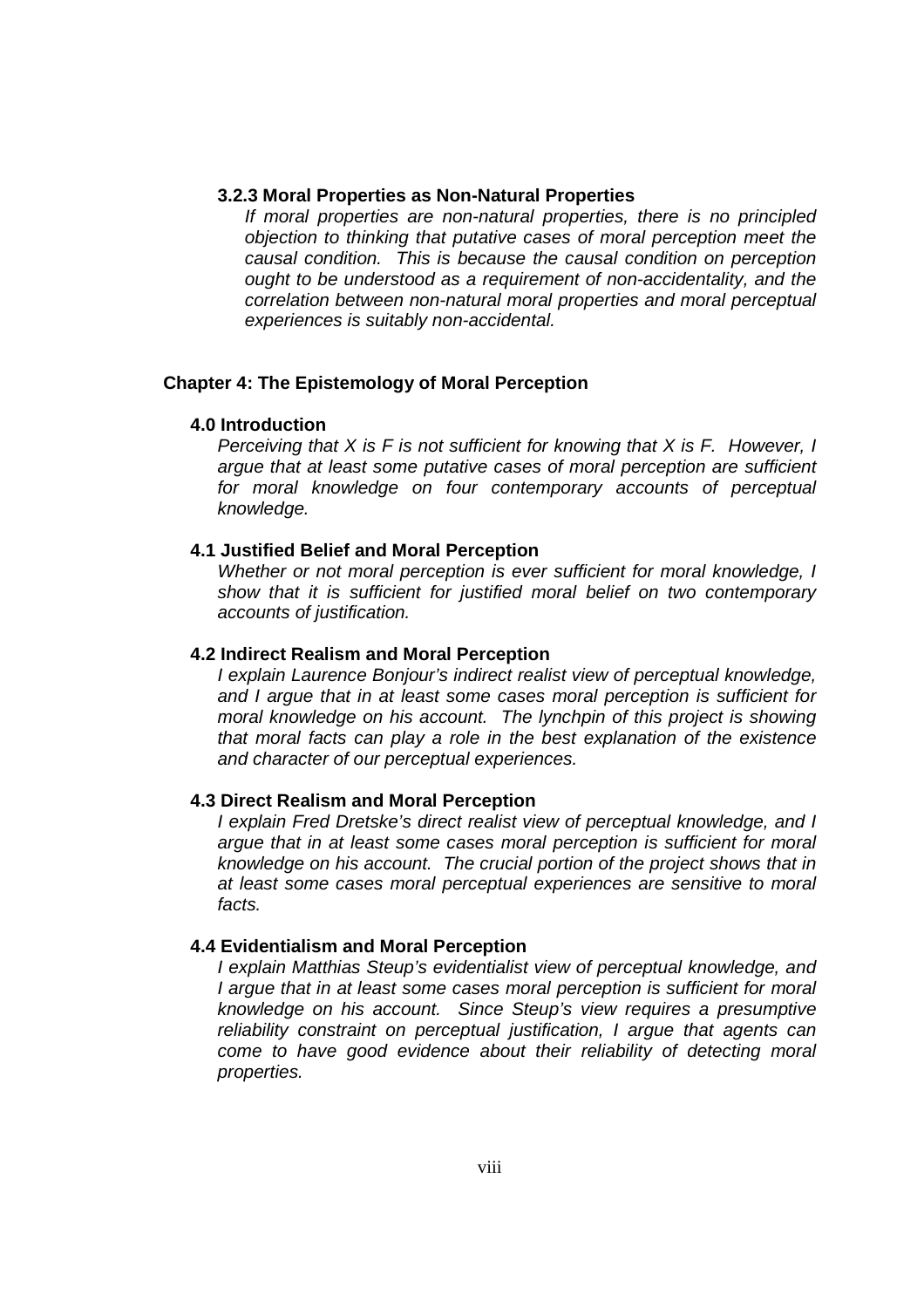#### **3.2.3 Moral Properties as Non-Natural Properties**

If moral properties are non-natural properties, there is no principled objection to thinking that putative cases of moral perception meet the causal condition. This is because the causal condition on perception ought to be understood as a requirement of non-accidentality, and the correlation between non-natural moral properties and moral perceptual experiences is suitably non-accidental.

## **Chapter 4: The Epistemology of Moral Perception**

#### **4.0 Introduction**

Perceiving that  $X$  is  $F$  is not sufficient for knowing that  $X$  is  $F$ . However, I argue that at least some putative cases of moral perception are sufficient for moral knowledge on four contemporary accounts of perceptual knowledge.

## **4.1 Justified Belief and Moral Perception**

Whether or not moral perception is ever sufficient for moral knowledge, I show that it is sufficient for justified moral belief on two contemporary accounts of justification.

## **4.2 Indirect Realism and Moral Perception**

I explain Laurence Bonjour's indirect realist view of perceptual knowledge, and I argue that in at least some cases moral perception is sufficient for moral knowledge on his account. The lynchpin of this project is showing that moral facts can play a role in the best explanation of the existence and character of our perceptual experiences.

## **4.3 Direct Realism and Moral Perception**

I explain Fred Dretske's direct realist view of perceptual knowledge, and I argue that in at least some cases moral perception is sufficient for moral knowledge on his account. The crucial portion of the project shows that in at least some cases moral perceptual experiences are sensitive to moral facts.

#### **4.4 Evidentialism and Moral Perception**

I explain Matthias Steup's evidentialist view of perceptual knowledge, and I argue that in at least some cases moral perception is sufficient for moral knowledge on his account. Since Steup's view requires a presumptive reliability constraint on perceptual justification, I argue that agents can come to have good evidence about their reliability of detecting moral properties.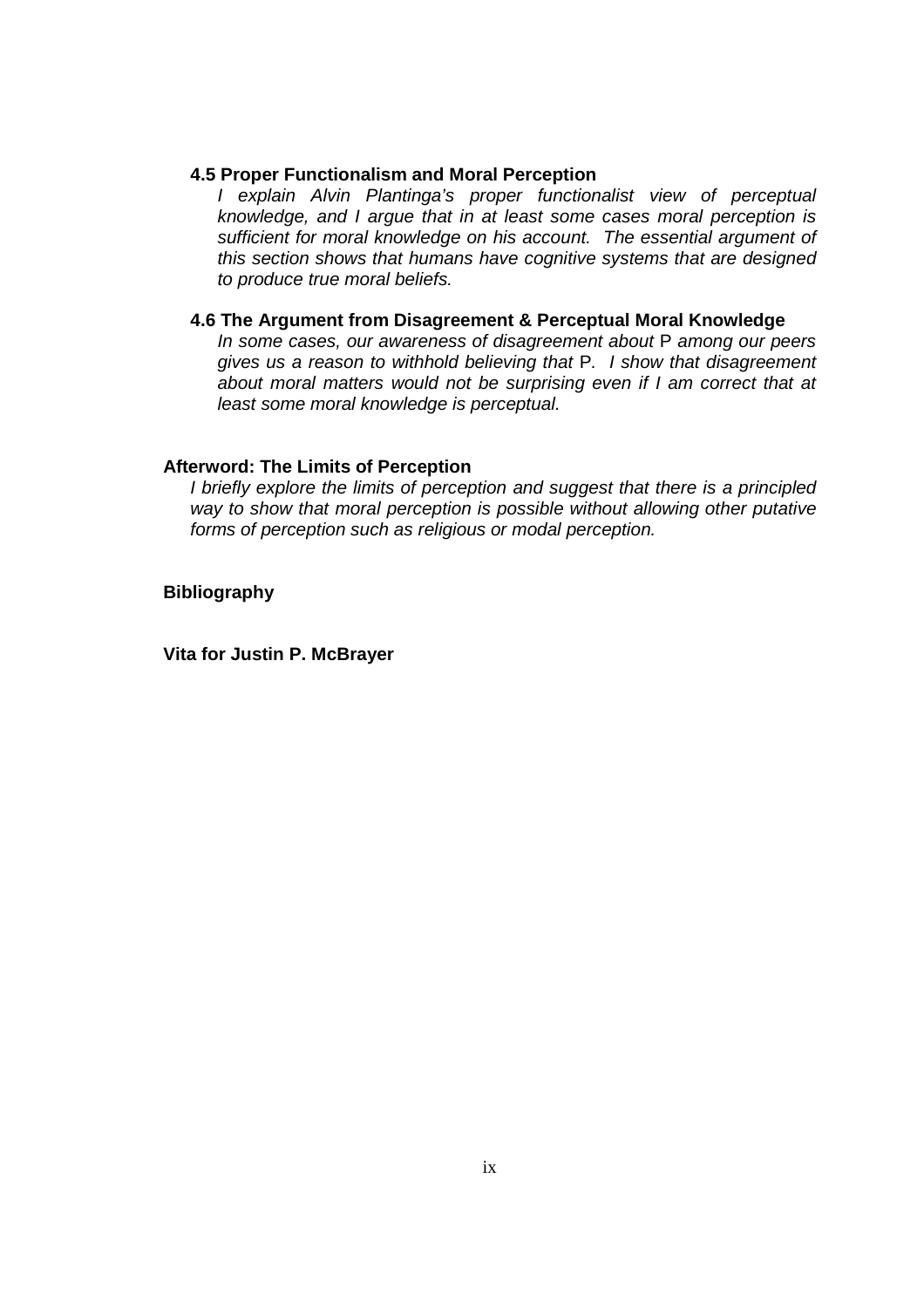#### **4.5 Proper Functionalism and Moral Perception**

I explain Alvin Plantinga's proper functionalist view of perceptual knowledge, and I argue that in at least some cases moral perception is sufficient for moral knowledge on his account. The essential argument of this section shows that humans have cognitive systems that are designed to produce true moral beliefs.

## **4.6 The Argument from Disagreement & Perceptual Moral Knowledge**

In some cases, our awareness of disagreement about P among our peers gives us a reason to withhold believing that P. I show that disagreement about moral matters would not be surprising even if I am correct that at least some moral knowledge is perceptual.

## **Afterword: The Limits of Perception**

I briefly explore the limits of perception and suggest that there is a principled way to show that moral perception is possible without allowing other putative forms of perception such as religious or modal perception.

**Bibliography** 

**Vita for Justin P. McBrayer**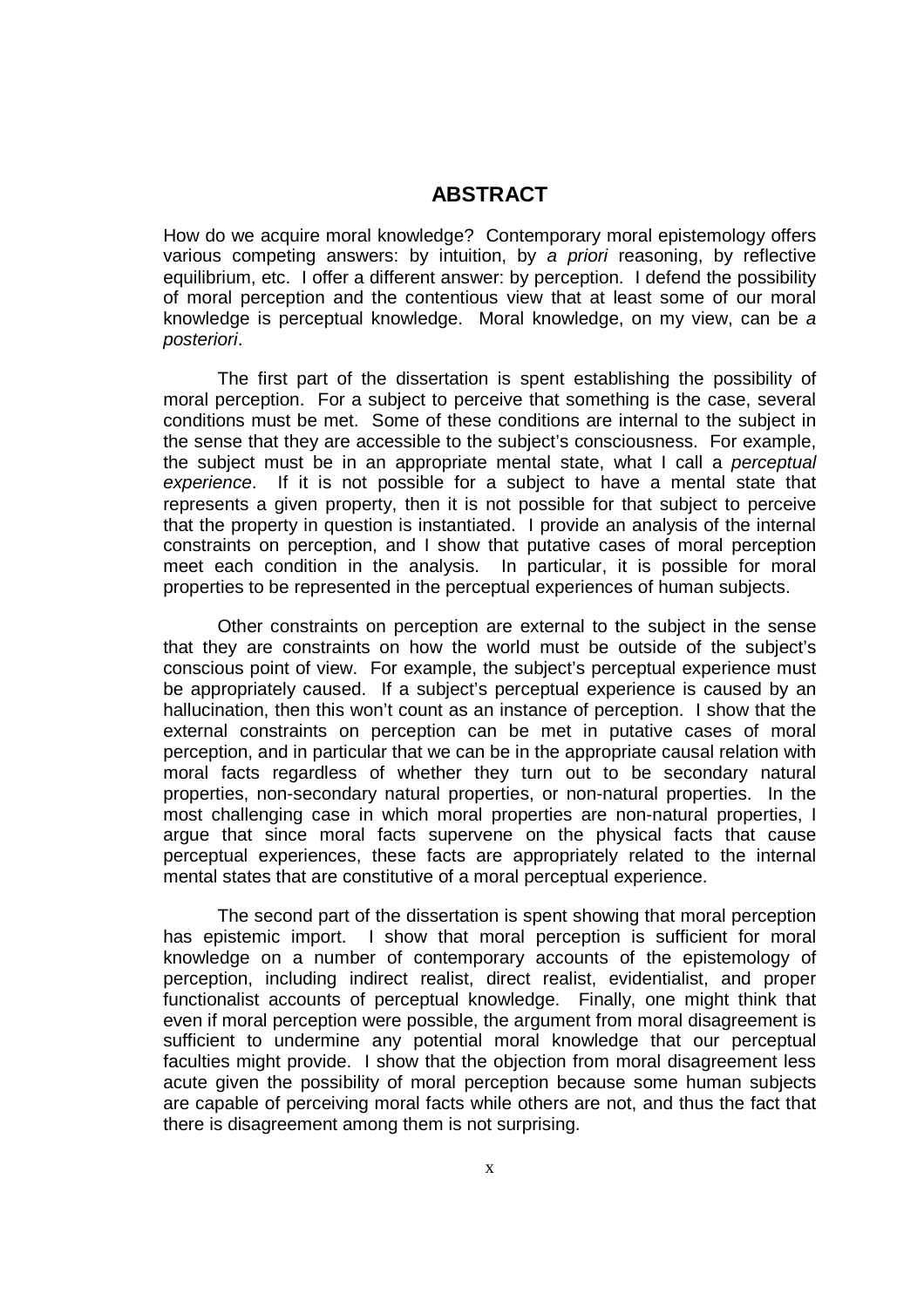# **ABSTRACT**

How do we acquire moral knowledge? Contemporary moral epistemology offers various competing answers: by intuition, by a priori reasoning, by reflective equilibrium, etc. I offer a different answer: by perception. I defend the possibility of moral perception and the contentious view that at least some of our moral knowledge is perceptual knowledge. Moral knowledge, on my view, can be a posteriori.

 The first part of the dissertation is spent establishing the possibility of moral perception. For a subject to perceive that something is the case, several conditions must be met. Some of these conditions are internal to the subject in the sense that they are accessible to the subject's consciousness. For example, the subject must be in an appropriate mental state, what I call a perceptual experience. If it is not possible for a subject to have a mental state that represents a given property, then it is not possible for that subject to perceive that the property in question is instantiated. I provide an analysis of the internal constraints on perception, and I show that putative cases of moral perception meet each condition in the analysis. In particular, it is possible for moral properties to be represented in the perceptual experiences of human subjects.

 Other constraints on perception are external to the subject in the sense that they are constraints on how the world must be outside of the subject's conscious point of view. For example, the subject's perceptual experience must be appropriately caused. If a subject's perceptual experience is caused by an hallucination, then this won't count as an instance of perception. I show that the external constraints on perception can be met in putative cases of moral perception, and in particular that we can be in the appropriate causal relation with moral facts regardless of whether they turn out to be secondary natural properties, non-secondary natural properties, or non-natural properties. In the most challenging case in which moral properties are non-natural properties, I argue that since moral facts supervene on the physical facts that cause perceptual experiences, these facts are appropriately related to the internal mental states that are constitutive of a moral perceptual experience.

 The second part of the dissertation is spent showing that moral perception has epistemic import. I show that moral perception is sufficient for moral knowledge on a number of contemporary accounts of the epistemology of perception, including indirect realist, direct realist, evidentialist, and proper functionalist accounts of perceptual knowledge. Finally, one might think that even if moral perception were possible, the argument from moral disagreement is sufficient to undermine any potential moral knowledge that our perceptual faculties might provide. I show that the objection from moral disagreement less acute given the possibility of moral perception because some human subjects are capable of perceiving moral facts while others are not, and thus the fact that there is disagreement among them is not surprising.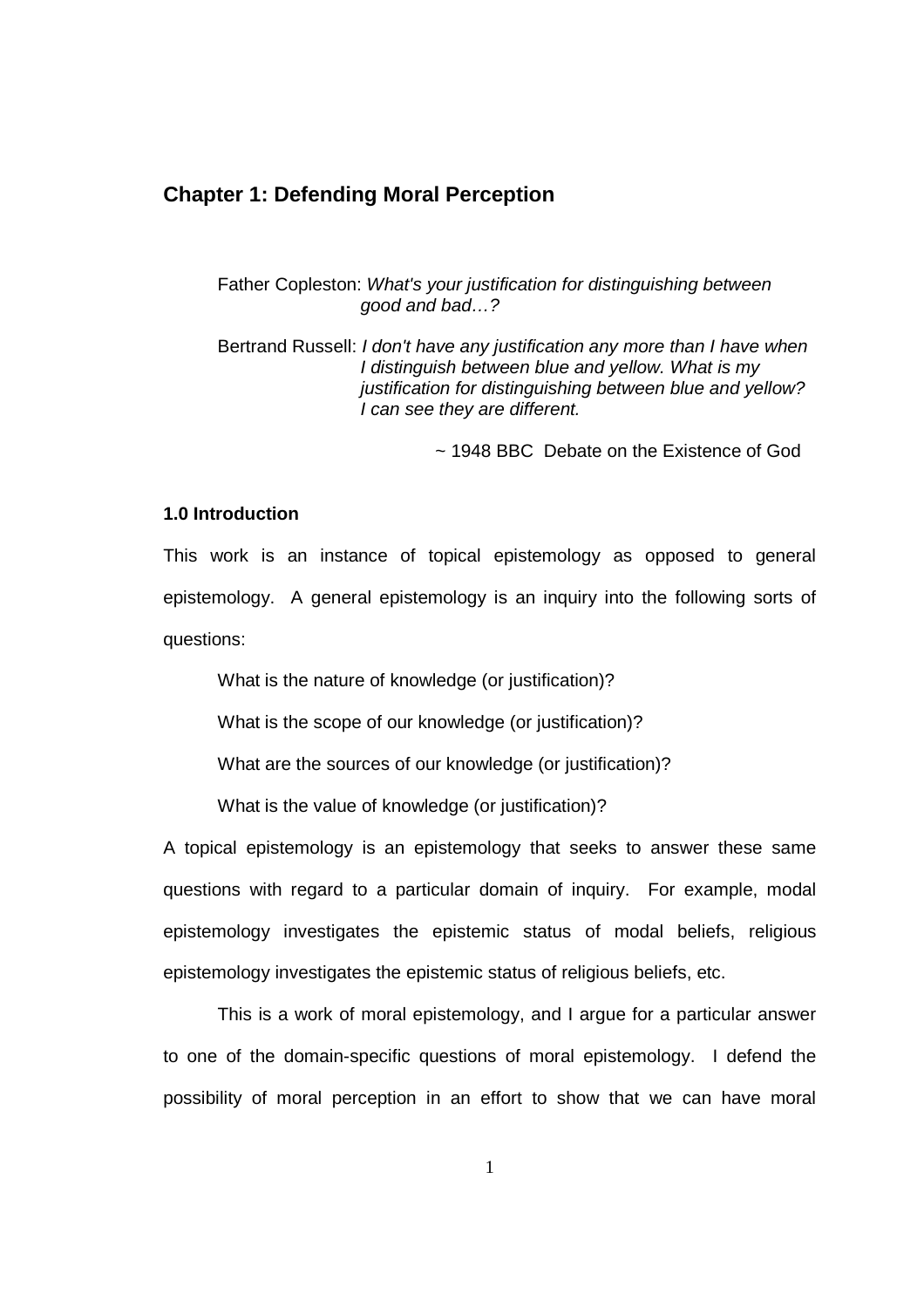# **Chapter 1: Defending Moral Perception**

Father Copleston: What's your justification for distinguishing between good and bad…?

Bertrand Russell: I don't have any justification any more than I have when I distinguish between blue and yellow. What is my justification for distinguishing between blue and yellow? I can see they are different.

~ 1948 BBC Debate on the Existence of God

#### **1.0 Introduction**

This work is an instance of topical epistemology as opposed to general epistemology. A general epistemology is an inquiry into the following sorts of questions:

What is the nature of knowledge (or justification)?

What is the scope of our knowledge (or justification)?

What are the sources of our knowledge (or justification)?

What is the value of knowledge (or justification)?

A topical epistemology is an epistemology that seeks to answer these same questions with regard to a particular domain of inquiry. For example, modal epistemology investigates the epistemic status of modal beliefs, religious epistemology investigates the epistemic status of religious beliefs, etc.

This is a work of moral epistemology, and I argue for a particular answer to one of the domain-specific questions of moral epistemology. I defend the possibility of moral perception in an effort to show that we can have moral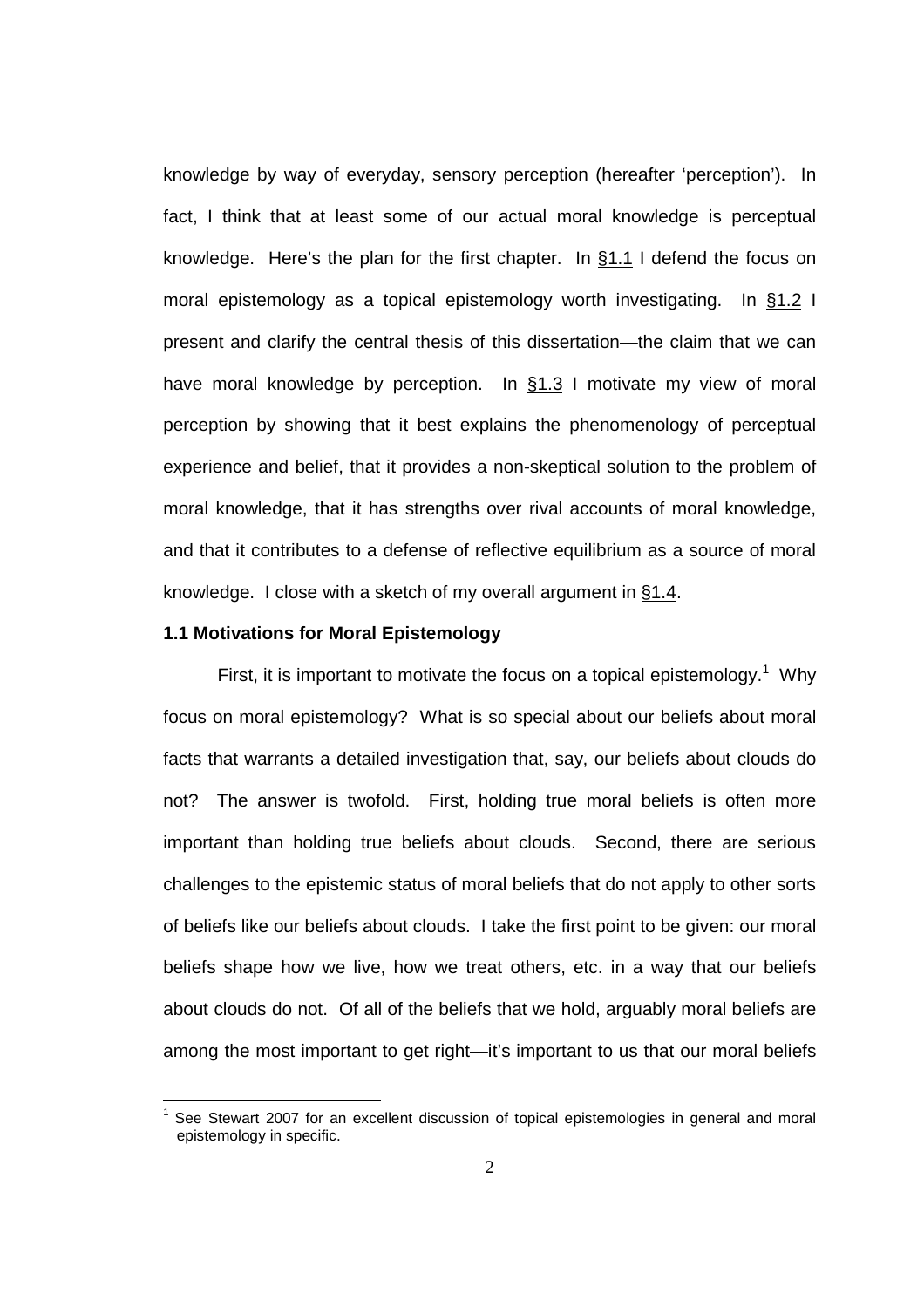knowledge by way of everyday, sensory perception (hereafter 'perception'). In fact, I think that at least some of our actual moral knowledge is perceptual knowledge. Here's the plan for the first chapter. In §1.1 I defend the focus on moral epistemology as a topical epistemology worth investigating. In §1.2 I present and clarify the central thesis of this dissertation—the claim that we can have moral knowledge by perception. In §1.3 I motivate my view of moral perception by showing that it best explains the phenomenology of perceptual experience and belief, that it provides a non-skeptical solution to the problem of moral knowledge, that it has strengths over rival accounts of moral knowledge, and that it contributes to a defense of reflective equilibrium as a source of moral knowledge. I close with a sketch of my overall argument in §1.4.

#### **1.1 Motivations for Moral Epistemology**

First, it is important to motivate the focus on a topical epistemology.<sup>1</sup> Why focus on moral epistemology? What is so special about our beliefs about moral facts that warrants a detailed investigation that, say, our beliefs about clouds do not? The answer is twofold. First, holding true moral beliefs is often more important than holding true beliefs about clouds. Second, there are serious challenges to the epistemic status of moral beliefs that do not apply to other sorts of beliefs like our beliefs about clouds. I take the first point to be given: our moral beliefs shape how we live, how we treat others, etc. in a way that our beliefs about clouds do not. Of all of the beliefs that we hold, arguably moral beliefs are among the most important to get right—it's important to us that our moral beliefs

<sup>&</sup>lt;u>nessen to the monditieers in the second of the second of the secondars section</u><br>In See Stewart 2007 for an excellent discussion of topical epistemologies in general and moral epistemology in specific.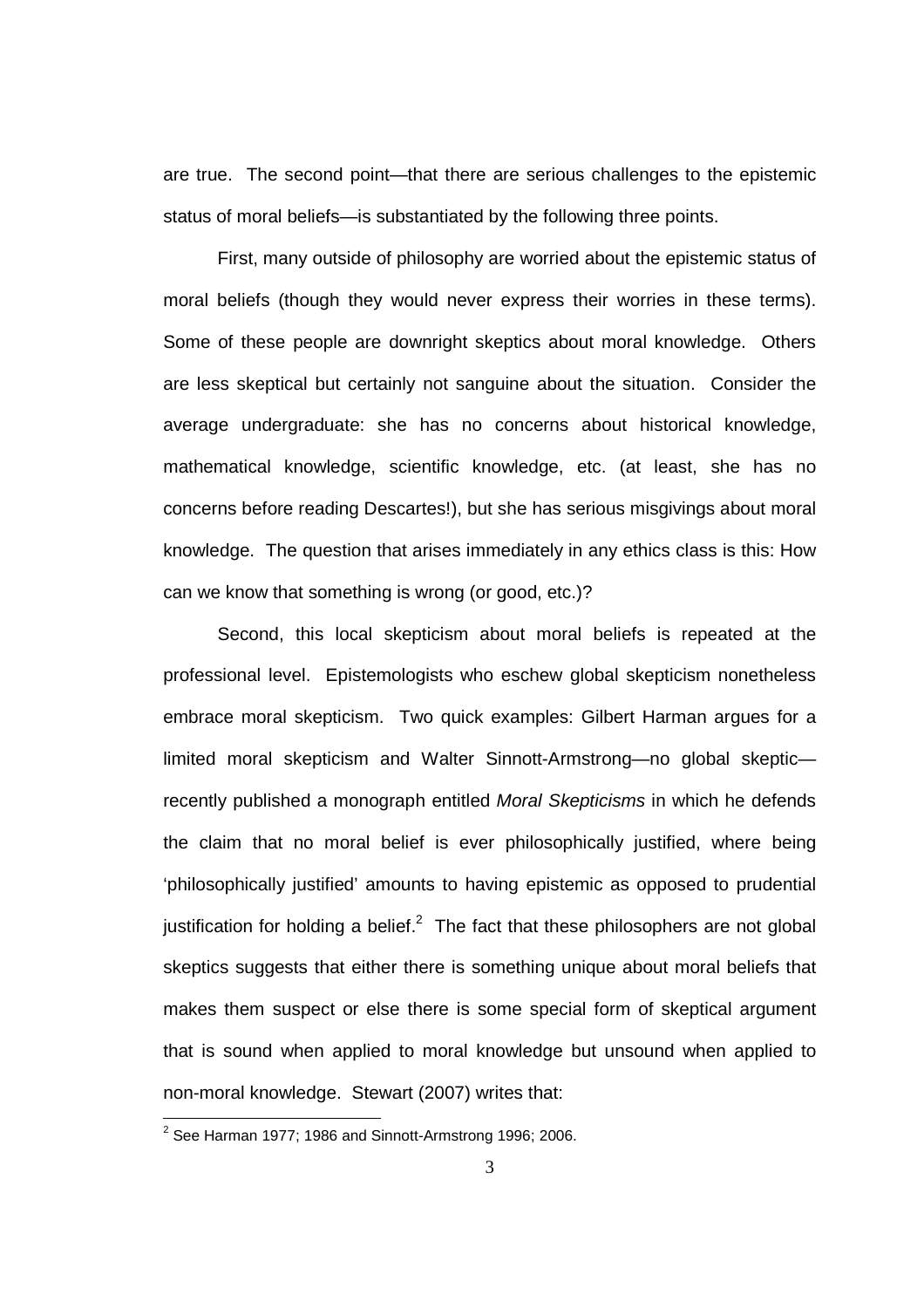are true. The second point—that there are serious challenges to the epistemic status of moral beliefs—is substantiated by the following three points.

First, many outside of philosophy are worried about the epistemic status of moral beliefs (though they would never express their worries in these terms). Some of these people are downright skeptics about moral knowledge. Others are less skeptical but certainly not sanguine about the situation. Consider the average undergraduate: she has no concerns about historical knowledge, mathematical knowledge, scientific knowledge, etc. (at least, she has no concerns before reading Descartes!), but she has serious misgivings about moral knowledge. The question that arises immediately in any ethics class is this: How can we know that something is wrong (or good, etc.)?

Second, this local skepticism about moral beliefs is repeated at the professional level. Epistemologists who eschew global skepticism nonetheless embrace moral skepticism. Two quick examples: Gilbert Harman argues for a limited moral skepticism and Walter Sinnott-Armstrong—no global skeptic recently published a monograph entitled Moral Skepticisms in which he defends the claim that no moral belief is ever philosophically justified, where being 'philosophically justified' amounts to having epistemic as opposed to prudential justification for holding a belief. $^2$  The fact that these philosophers are not global skeptics suggests that either there is something unique about moral beliefs that makes them suspect or else there is some special form of skeptical argument that is sound when applied to moral knowledge but unsound when applied to non-moral knowledge. Stewart (2007) writes that:

 2 See Harman 1977; 1986 and Sinnott-Armstrong 1996; 2006.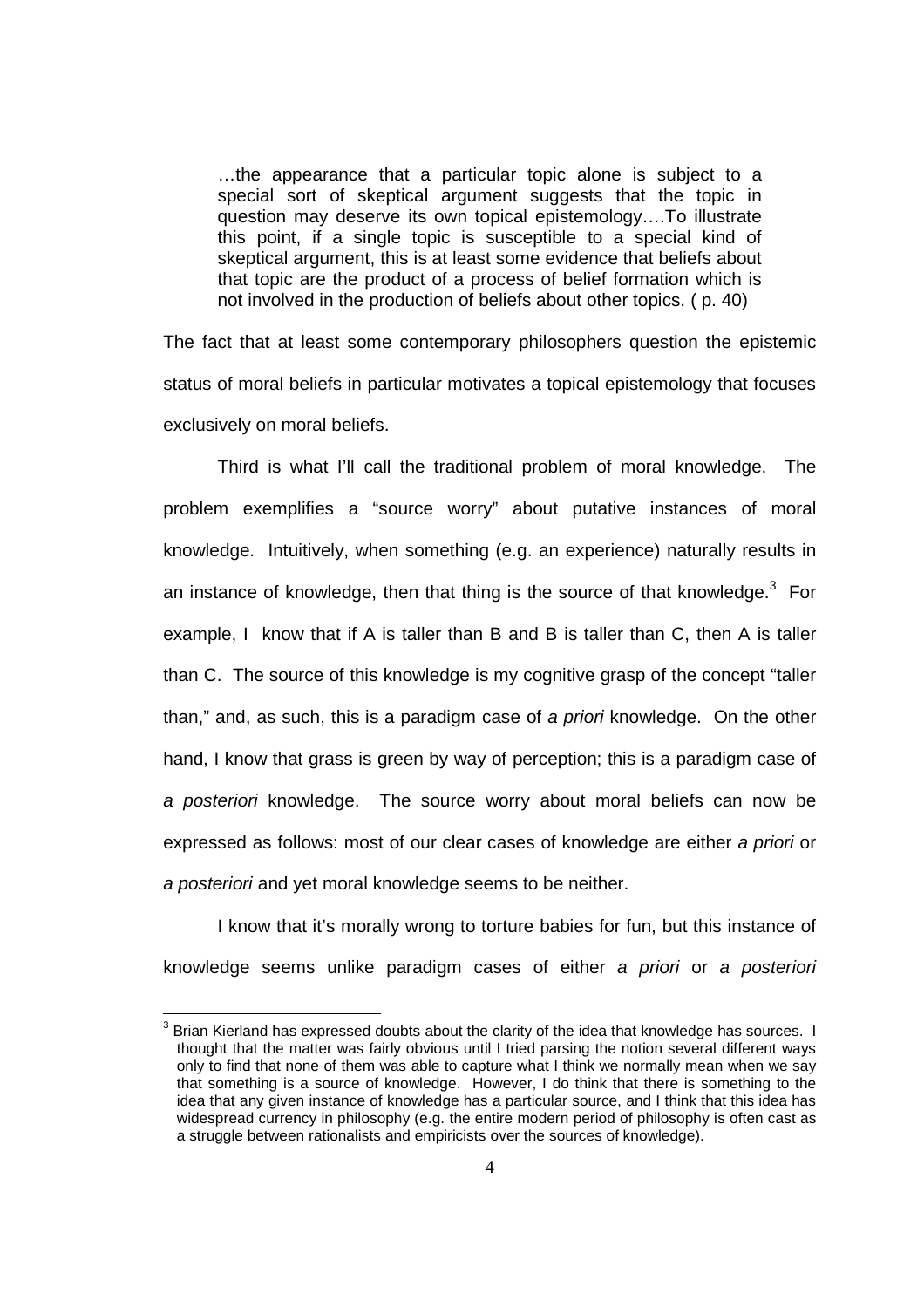…the appearance that a particular topic alone is subject to a special sort of skeptical argument suggests that the topic in question may deserve its own topical epistemology….To illustrate this point, if a single topic is susceptible to a special kind of skeptical argument, this is at least some evidence that beliefs about that topic are the product of a process of belief formation which is not involved in the production of beliefs about other topics. ( p. 40)

The fact that at least some contemporary philosophers question the epistemic status of moral beliefs in particular motivates a topical epistemology that focuses exclusively on moral beliefs.

Third is what I'll call the traditional problem of moral knowledge. The problem exemplifies a "source worry" about putative instances of moral knowledge. Intuitively, when something (e.g. an experience) naturally results in an instance of knowledge, then that thing is the source of that knowledge. $3$  For example, I know that if A is taller than B and B is taller than C, then A is taller than C. The source of this knowledge is my cognitive grasp of the concept "taller than," and, as such, this is a paradigm case of a priori knowledge. On the other hand, I know that grass is green by way of perception; this is a paradigm case of a posteriori knowledge. The source worry about moral beliefs can now be expressed as follows: most of our clear cases of knowledge are either a priori or a posteriori and yet moral knowledge seems to be neither.

I know that it's morally wrong to torture babies for fun, but this instance of knowledge seems unlike paradigm cases of either a priori or a posteriori

 3 Brian Kierland has expressed doubts about the clarity of the idea that knowledge has sources. I thought that the matter was fairly obvious until I tried parsing the notion several different ways only to find that none of them was able to capture what I think we normally mean when we say that something is a source of knowledge. However, I do think that there is something to the idea that any given instance of knowledge has a particular source, and I think that this idea has widespread currency in philosophy (e.g. the entire modern period of philosophy is often cast as a struggle between rationalists and empiricists over the sources of knowledge).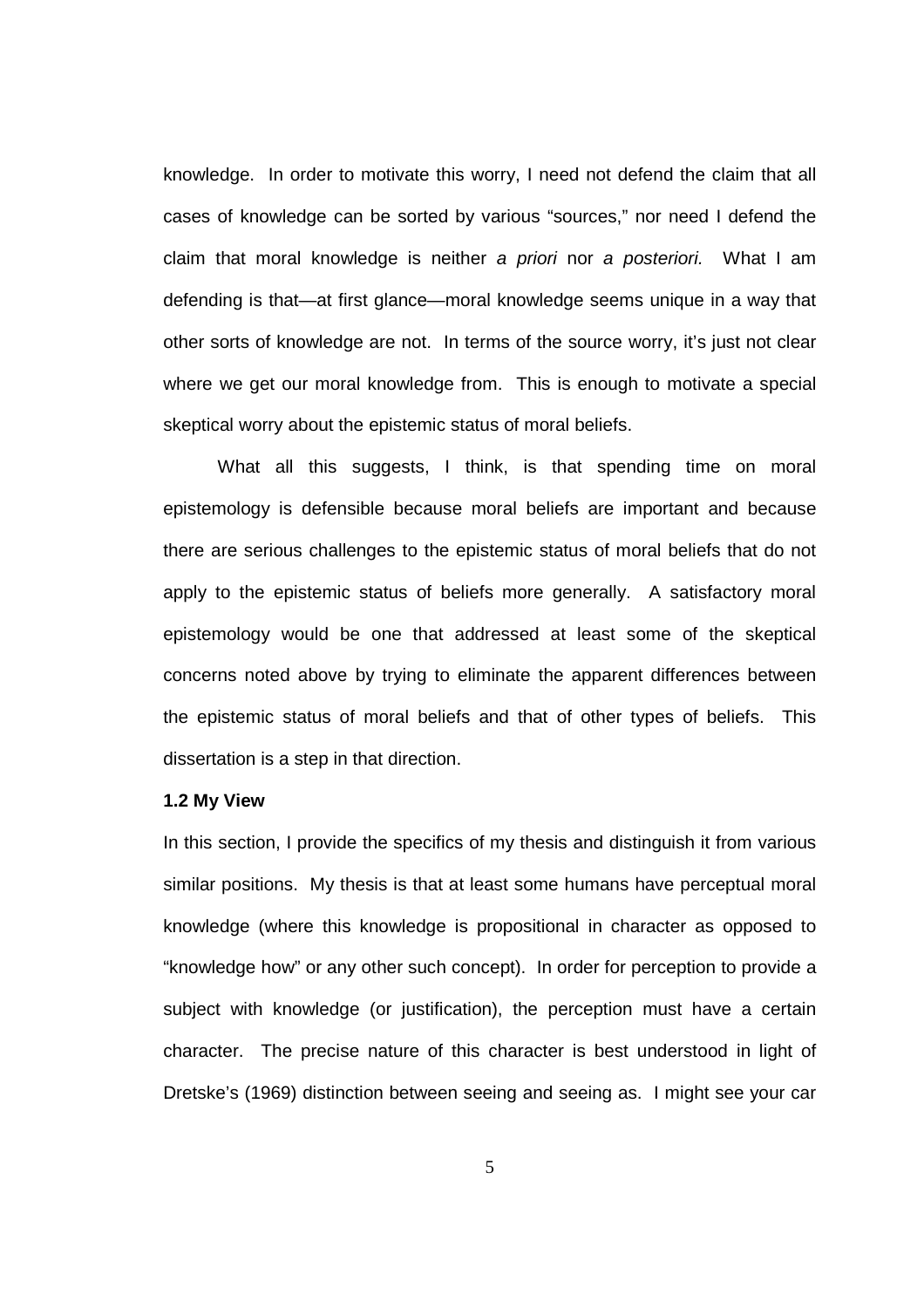knowledge. In order to motivate this worry, I need not defend the claim that all cases of knowledge can be sorted by various "sources," nor need I defend the claim that moral knowledge is neither a priori nor a posteriori. What I am defending is that—at first glance—moral knowledge seems unique in a way that other sorts of knowledge are not. In terms of the source worry, it's just not clear where we get our moral knowledge from. This is enough to motivate a special skeptical worry about the epistemic status of moral beliefs.

What all this suggests, I think, is that spending time on moral epistemology is defensible because moral beliefs are important and because there are serious challenges to the epistemic status of moral beliefs that do not apply to the epistemic status of beliefs more generally. A satisfactory moral epistemology would be one that addressed at least some of the skeptical concerns noted above by trying to eliminate the apparent differences between the epistemic status of moral beliefs and that of other types of beliefs. This dissertation is a step in that direction.

#### **1.2 My View**

In this section, I provide the specifics of my thesis and distinguish it from various similar positions. My thesis is that at least some humans have perceptual moral knowledge (where this knowledge is propositional in character as opposed to "knowledge how" or any other such concept). In order for perception to provide a subject with knowledge (or justification), the perception must have a certain character. The precise nature of this character is best understood in light of Dretske's (1969) distinction between seeing and seeing as. I might see your car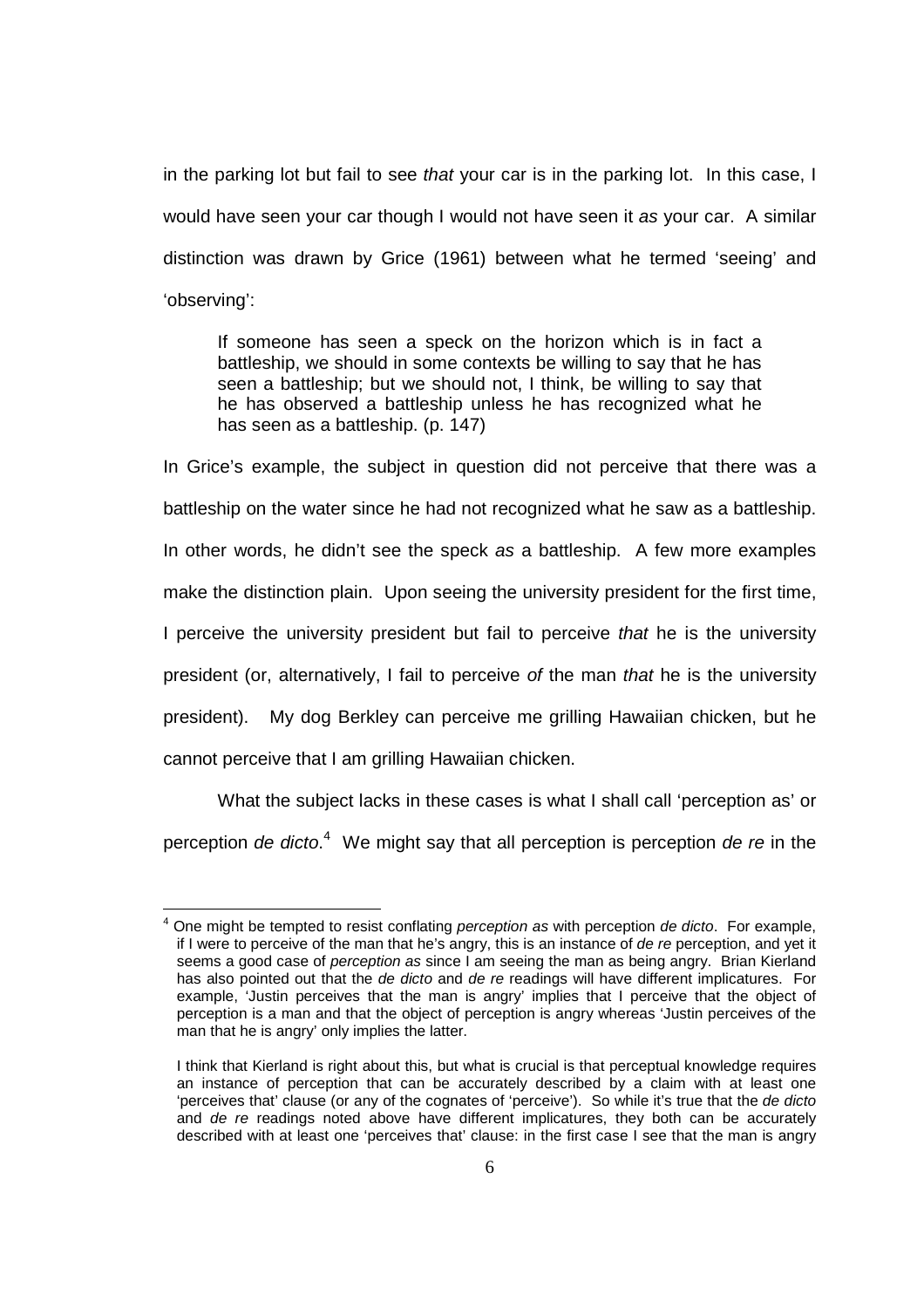in the parking lot but fail to see that your car is in the parking lot. In this case, I would have seen your car though I would not have seen it as your car. A similar distinction was drawn by Grice (1961) between what he termed 'seeing' and 'observing':

If someone has seen a speck on the horizon which is in fact a battleship, we should in some contexts be willing to say that he has seen a battleship; but we should not, I think, be willing to say that he has observed a battleship unless he has recognized what he has seen as a battleship. (p. 147)

In Grice's example, the subject in question did not perceive that there was a battleship on the water since he had not recognized what he saw as a battleship. In other words, he didn't see the speck as a battleship. A few more examples make the distinction plain. Upon seeing the university president for the first time, I perceive the university president but fail to perceive that he is the university president (or, alternatively, I fail to perceive of the man that he is the university president). My dog Berkley can perceive me grilling Hawaiian chicken, but he cannot perceive that I am grilling Hawaiian chicken.

What the subject lacks in these cases is what I shall call 'perception as' or perception *de dicto*.<sup>4</sup> We might say that all perception is perception *de re* in the

l

 $4$  One might be tempted to resist conflating *perception as* with perception de dicto. For example, if I were to perceive of the man that he's angry, this is an instance of de re perception, and yet it seems a good case of *perception as* since I am seeing the man as being angry. Brian Kierland has also pointed out that the de dicto and de re readings will have different implicatures. For example, 'Justin perceives that the man is angry' implies that I perceive that the object of perception is a man and that the object of perception is angry whereas 'Justin perceives of the man that he is angry' only implies the latter.

I think that Kierland is right about this, but what is crucial is that perceptual knowledge requires an instance of perception that can be accurately described by a claim with at least one 'perceives that' clause (or any of the cognates of 'perceive'). So while it's true that the de dicto and de re readings noted above have different implicatures, they both can be accurately described with at least one 'perceives that' clause: in the first case I see that the man is angry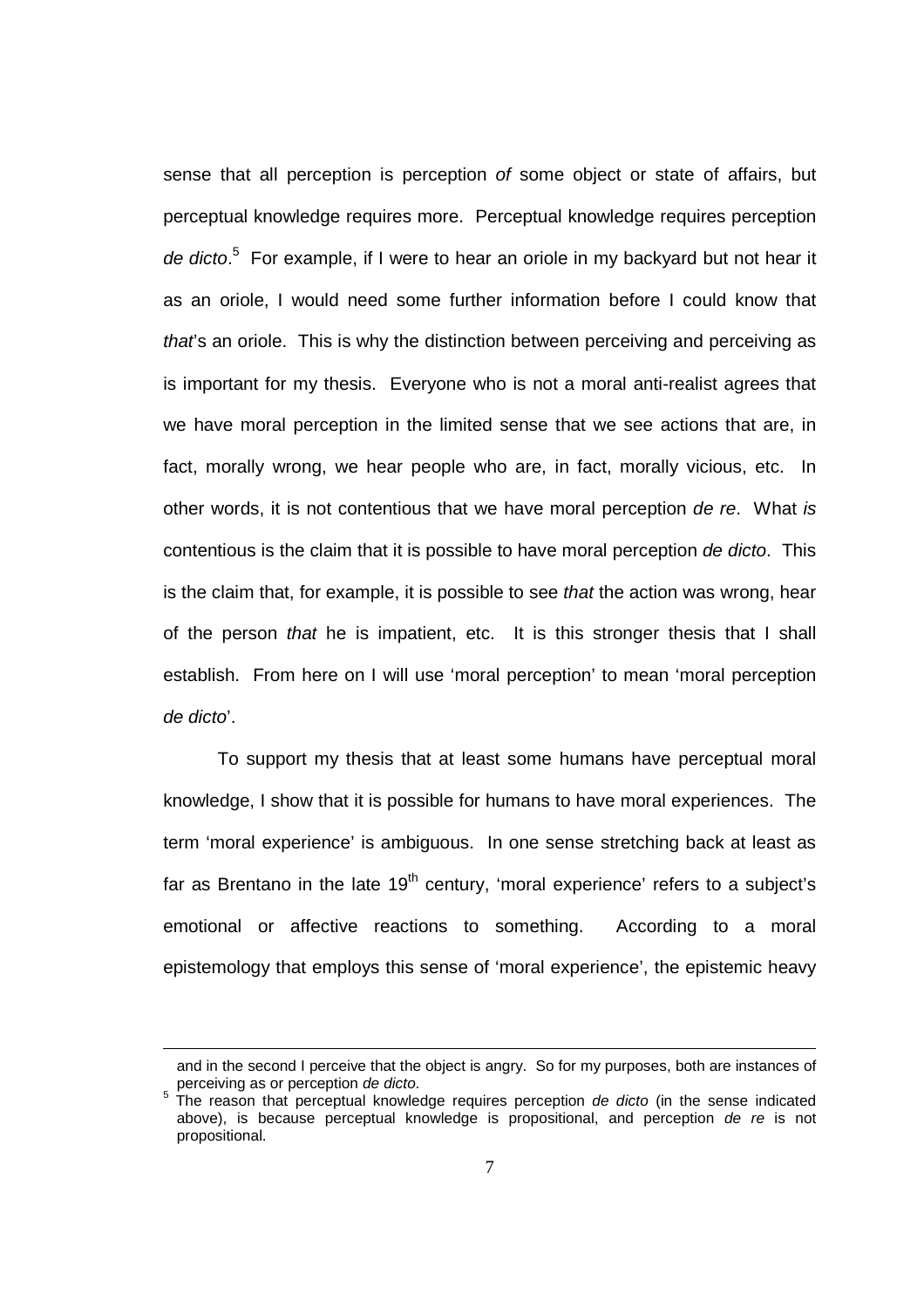sense that all perception is perception of some object or state of affairs, but perceptual knowledge requires more. Perceptual knowledge requires perception de dicto.<sup>5</sup> For example, if I were to hear an oriole in my backyard but not hear it as an oriole, I would need some further information before I could know that that's an oriole. This is why the distinction between perceiving and perceiving as is important for my thesis. Everyone who is not a moral anti-realist agrees that we have moral perception in the limited sense that we see actions that are, in fact, morally wrong, we hear people who are, in fact, morally vicious, etc. In other words, it is not contentious that we have moral perception de re. What is contentious is the claim that it is possible to have moral perception de dicto. This is the claim that, for example, it is possible to see *that* the action was wrong, hear of the person that he is impatient, etc. It is this stronger thesis that I shall establish. From here on I will use 'moral perception' to mean 'moral perception de dicto'.

To support my thesis that at least some humans have perceptual moral knowledge, I show that it is possible for humans to have moral experiences. The term 'moral experience' is ambiguous. In one sense stretching back at least as far as Brentano in the late  $19<sup>th</sup>$  century, 'moral experience' refers to a subject's emotional or affective reactions to something. According to a moral epistemology that employs this sense of 'moral experience', the epistemic heavy

l

and in the second I perceive that the object is angry. So for my purposes, both are instances of perceiving as or perception de dicto.

<sup>5</sup> The reason that perceptual knowledge requires perception de dicto (in the sense indicated above), is because perceptual knowledge is propositional, and perception de re is not propositional.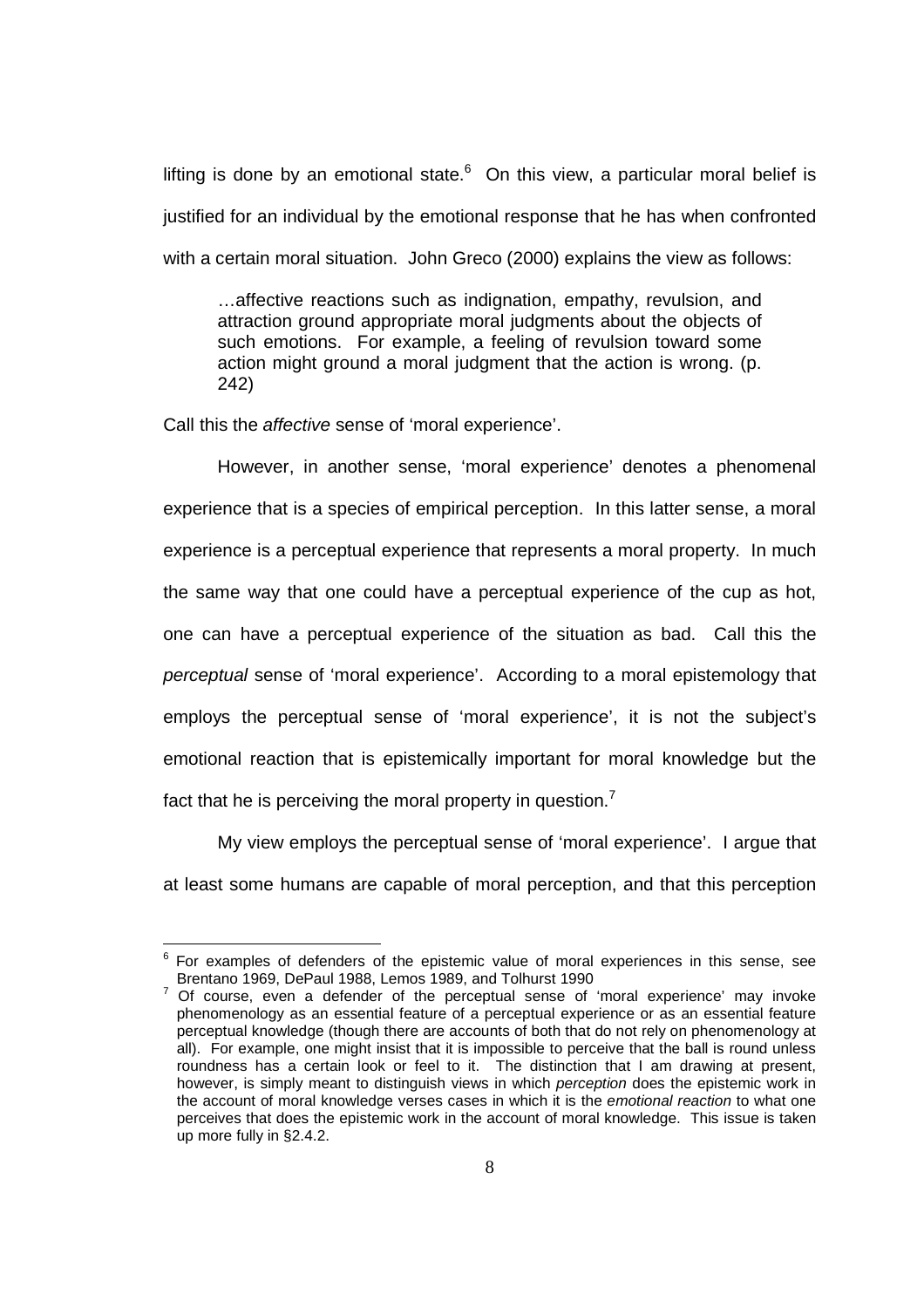lifting is done by an emotional state. $6$  On this view, a particular moral belief is justified for an individual by the emotional response that he has when confronted with a certain moral situation. John Greco (2000) explains the view as follows:

…affective reactions such as indignation, empathy, revulsion, and attraction ground appropriate moral judgments about the objects of such emotions. For example, a feeling of revulsion toward some action might ground a moral judgment that the action is wrong. (p. 242)

Call this the affective sense of 'moral experience'.

l

 However, in another sense, 'moral experience' denotes a phenomenal experience that is a species of empirical perception. In this latter sense, a moral experience is a perceptual experience that represents a moral property. In much the same way that one could have a perceptual experience of the cup as hot, one can have a perceptual experience of the situation as bad. Call this the perceptual sense of 'moral experience'. According to a moral epistemology that employs the perceptual sense of 'moral experience', it is not the subject's emotional reaction that is epistemically important for moral knowledge but the fact that he is perceiving the moral property in question.<sup>7</sup>

 My view employs the perceptual sense of 'moral experience'. I argue that at least some humans are capable of moral perception, and that this perception

 $6$  For examples of defenders of the epistemic value of moral experiences in this sense, see Brentano 1969, DePaul 1988, Lemos 1989, and Tolhurst 1990

<sup>7</sup> Of course, even a defender of the perceptual sense of 'moral experience' may invoke phenomenology as an essential feature of a perceptual experience or as an essential feature perceptual knowledge (though there are accounts of both that do not rely on phenomenology at all). For example, one might insist that it is impossible to perceive that the ball is round unless roundness has a certain look or feel to it. The distinction that I am drawing at present, however, is simply meant to distinguish views in which perception does the epistemic work in the account of moral knowledge verses cases in which it is the emotional reaction to what one perceives that does the epistemic work in the account of moral knowledge. This issue is taken up more fully in §2.4.2.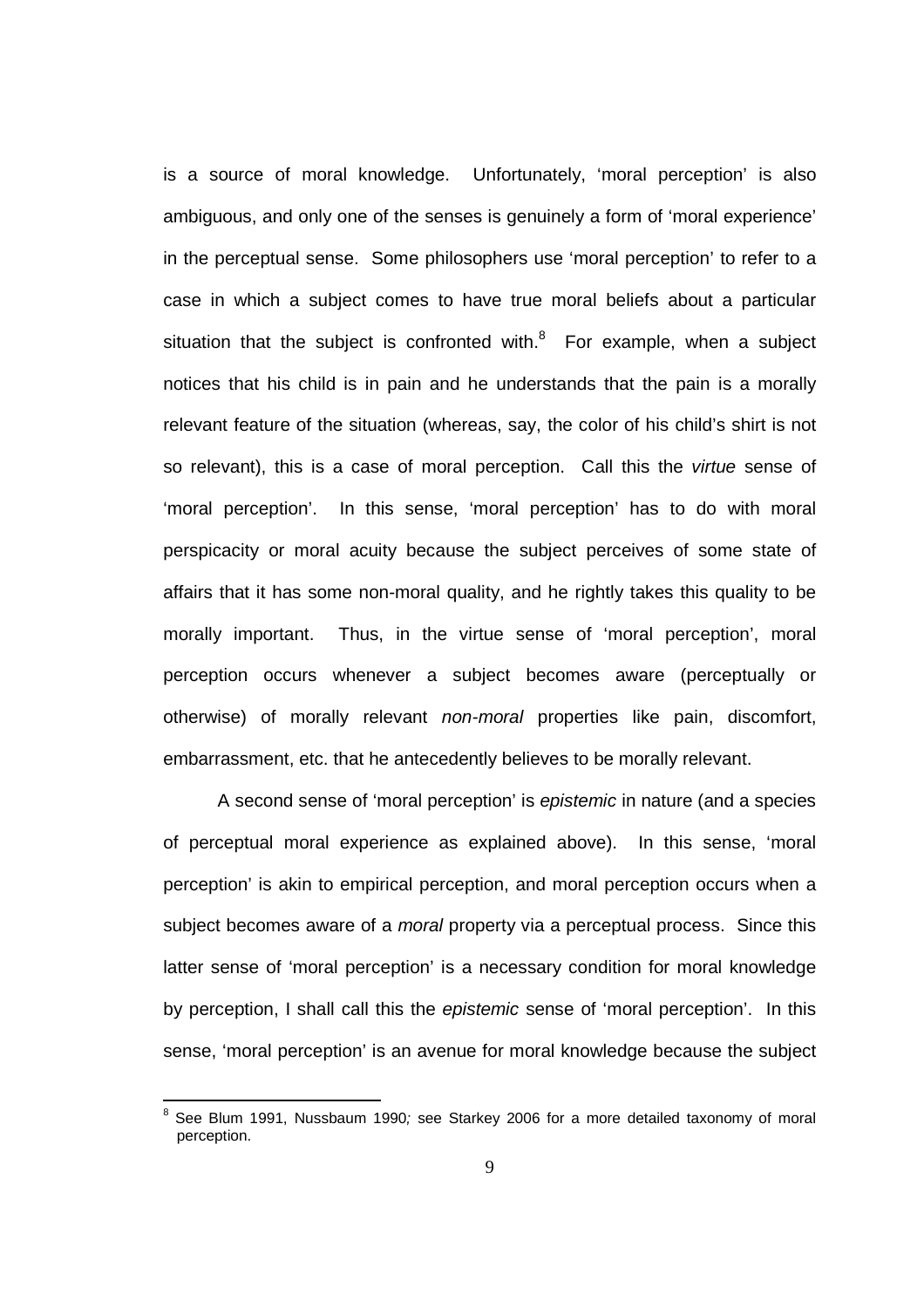is a source of moral knowledge. Unfortunately, 'moral perception' is also ambiguous, and only one of the senses is genuinely a form of 'moral experience' in the perceptual sense. Some philosophers use 'moral perception' to refer to a case in which a subject comes to have true moral beliefs about a particular situation that the subject is confronted with. $8$  For example, when a subject notices that his child is in pain and he understands that the pain is a morally relevant feature of the situation (whereas, say, the color of his child's shirt is not so relevant), this is a case of moral perception. Call this the virtue sense of 'moral perception'. In this sense, 'moral perception' has to do with moral perspicacity or moral acuity because the subject perceives of some state of affairs that it has some non-moral quality, and he rightly takes this quality to be morally important. Thus, in the virtue sense of 'moral perception', moral perception occurs whenever a subject becomes aware (perceptually or otherwise) of morally relevant non-moral properties like pain, discomfort, embarrassment, etc. that he antecedently believes to be morally relevant.

A second sense of 'moral perception' is epistemic in nature (and a species of perceptual moral experience as explained above). In this sense, 'moral perception' is akin to empirical perception, and moral perception occurs when a subject becomes aware of a *moral* property via a perceptual process. Since this latter sense of 'moral perception' is a necessary condition for moral knowledge by perception, I shall call this the epistemic sense of 'moral perception'. In this sense, 'moral perception' is an avenue for moral knowledge because the subject

 8 See Blum 1991, Nussbaum 1990; see Starkey 2006 for a more detailed taxonomy of moral perception.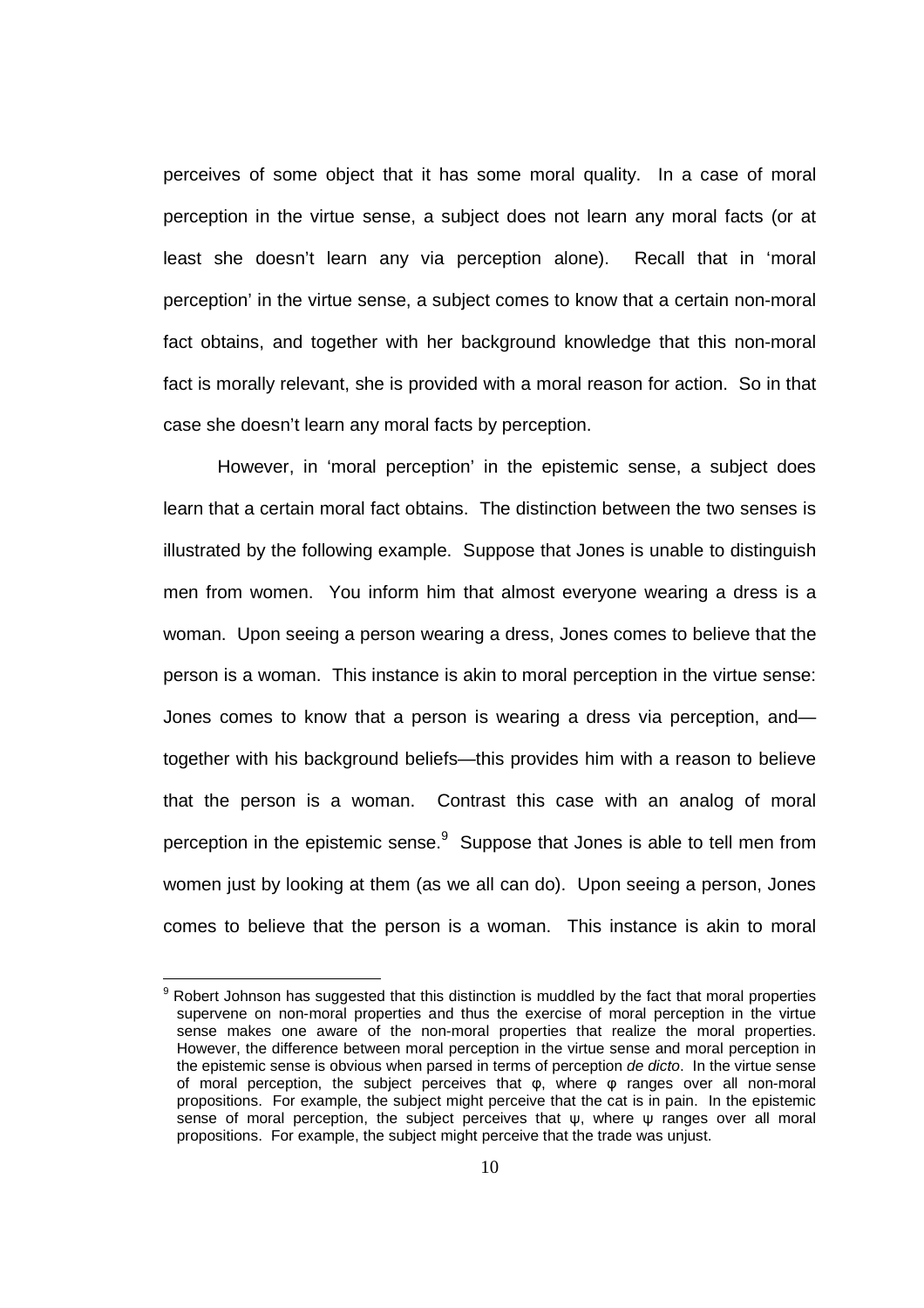perceives of some object that it has some moral quality. In a case of moral perception in the virtue sense, a subject does not learn any moral facts (or at least she doesn't learn any via perception alone). Recall that in 'moral perception' in the virtue sense, a subject comes to know that a certain non-moral fact obtains, and together with her background knowledge that this non-moral fact is morally relevant, she is provided with a moral reason for action. So in that case she doesn't learn any moral facts by perception.

However, in 'moral perception' in the epistemic sense, a subject does learn that a certain moral fact obtains. The distinction between the two senses is illustrated by the following example. Suppose that Jones is unable to distinguish men from women. You inform him that almost everyone wearing a dress is a woman. Upon seeing a person wearing a dress, Jones comes to believe that the person is a woman. This instance is akin to moral perception in the virtue sense: Jones comes to know that a person is wearing a dress via perception, and together with his background beliefs—this provides him with a reason to believe that the person is a woman. Contrast this case with an analog of moral perception in the epistemic sense.<sup>9</sup> Suppose that Jones is able to tell men from women just by looking at them (as we all can do). Upon seeing a person, Jones comes to believe that the person is a woman. This instance is akin to moral

l

 $9$  Robert Johnson has suggested that this distinction is muddled by the fact that moral properties supervene on non-moral properties and thus the exercise of moral perception in the virtue sense makes one aware of the non-moral properties that realize the moral properties. However, the difference between moral perception in the virtue sense and moral perception in the epistemic sense is obvious when parsed in terms of perception de dicto. In the virtue sense of moral perception, the subject perceives that φ, where φ ranges over all non-moral propositions. For example, the subject might perceive that the cat is in pain. In the epistemic sense of moral perception, the subject perceives that  $\psi$ , where  $\psi$  ranges over all moral propositions. For example, the subject might perceive that the trade was unjust.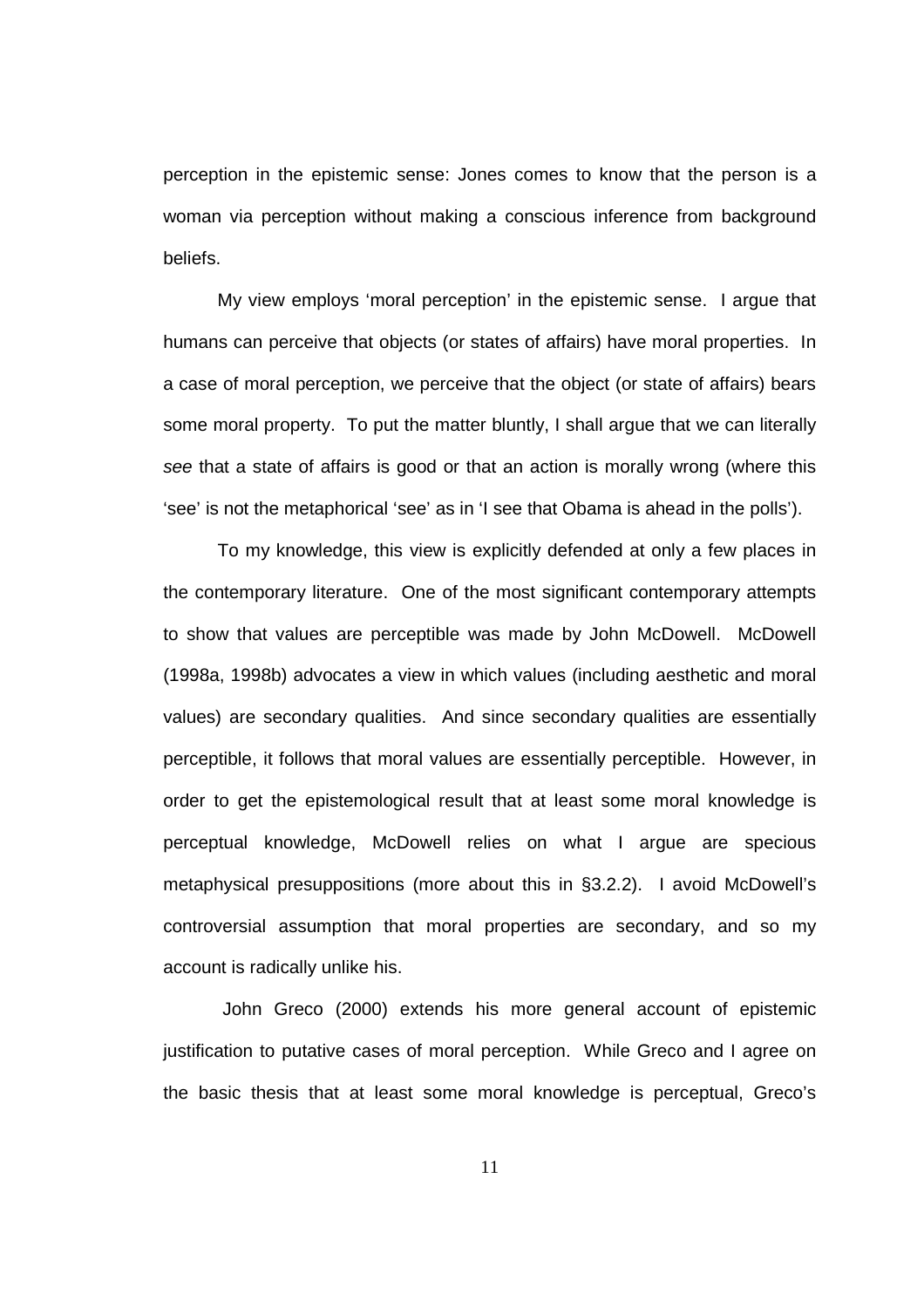perception in the epistemic sense: Jones comes to know that the person is a woman via perception without making a conscious inference from background beliefs.

My view employs 'moral perception' in the epistemic sense. I argue that humans can perceive that objects (or states of affairs) have moral properties. In a case of moral perception, we perceive that the object (or state of affairs) bears some moral property. To put the matter bluntly, I shall argue that we can literally see that a state of affairs is good or that an action is morally wrong (where this 'see' is not the metaphorical 'see' as in 'I see that Obama is ahead in the polls').

To my knowledge, this view is explicitly defended at only a few places in the contemporary literature. One of the most significant contemporary attempts to show that values are perceptible was made by John McDowell. McDowell (1998a, 1998b) advocates a view in which values (including aesthetic and moral values) are secondary qualities. And since secondary qualities are essentially perceptible, it follows that moral values are essentially perceptible. However, in order to get the epistemological result that at least some moral knowledge is perceptual knowledge, McDowell relies on what I argue are specious metaphysical presuppositions (more about this in §3.2.2). I avoid McDowell's controversial assumption that moral properties are secondary, and so my account is radically unlike his.

 John Greco (2000) extends his more general account of epistemic justification to putative cases of moral perception. While Greco and I agree on the basic thesis that at least some moral knowledge is perceptual, Greco's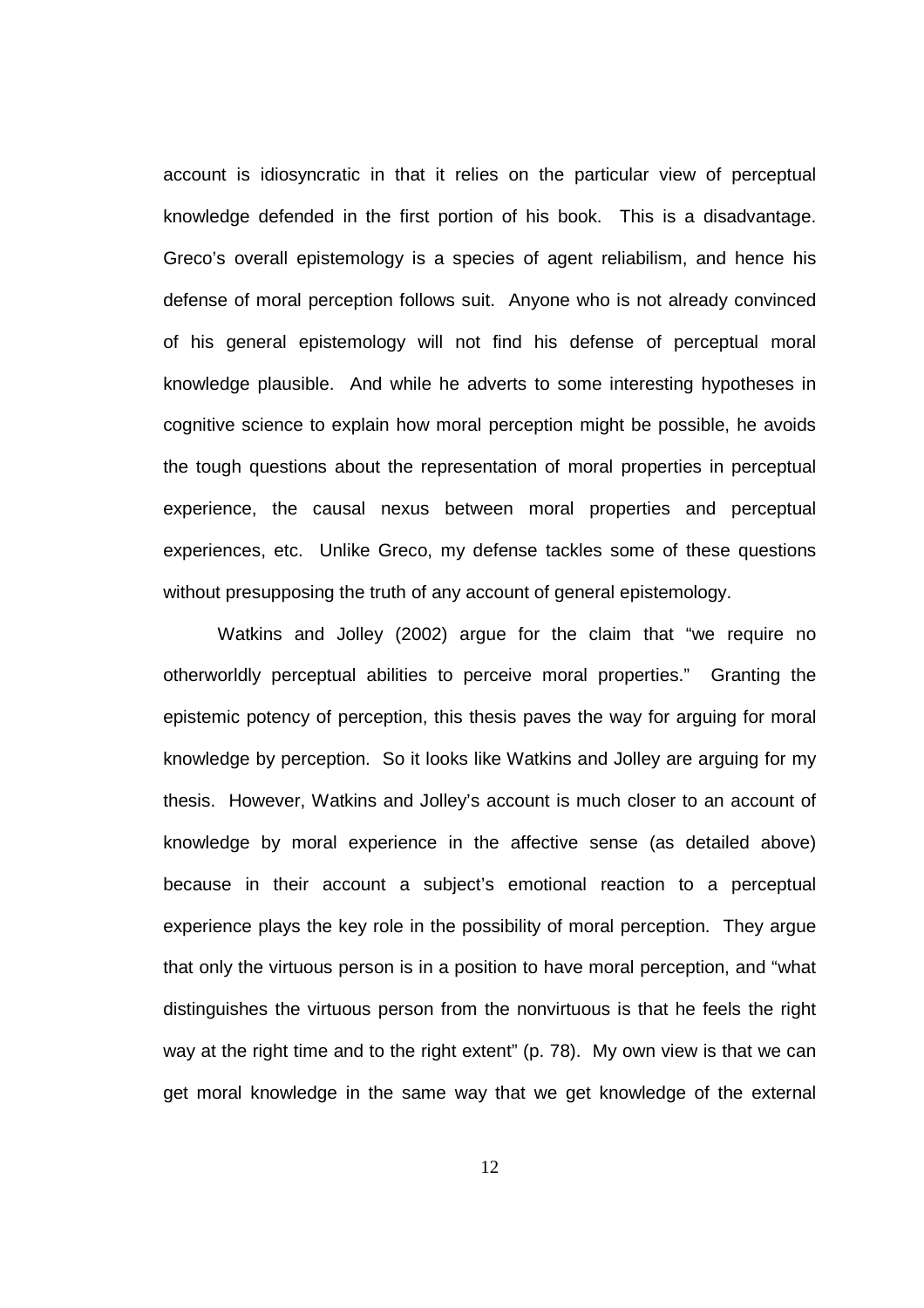account is idiosyncratic in that it relies on the particular view of perceptual knowledge defended in the first portion of his book. This is a disadvantage. Greco's overall epistemology is a species of agent reliabilism, and hence his defense of moral perception follows suit. Anyone who is not already convinced of his general epistemology will not find his defense of perceptual moral knowledge plausible. And while he adverts to some interesting hypotheses in cognitive science to explain how moral perception might be possible, he avoids the tough questions about the representation of moral properties in perceptual experience, the causal nexus between moral properties and perceptual experiences, etc. Unlike Greco, my defense tackles some of these questions without presupposing the truth of any account of general epistemology.

Watkins and Jolley (2002) argue for the claim that "we require no otherworldly perceptual abilities to perceive moral properties." Granting the epistemic potency of perception, this thesis paves the way for arguing for moral knowledge by perception. So it looks like Watkins and Jolley are arguing for my thesis. However, Watkins and Jolley's account is much closer to an account of knowledge by moral experience in the affective sense (as detailed above) because in their account a subject's emotional reaction to a perceptual experience plays the key role in the possibility of moral perception. They argue that only the virtuous person is in a position to have moral perception, and "what distinguishes the virtuous person from the nonvirtuous is that he feels the right way at the right time and to the right extent" (p. 78). My own view is that we can get moral knowledge in the same way that we get knowledge of the external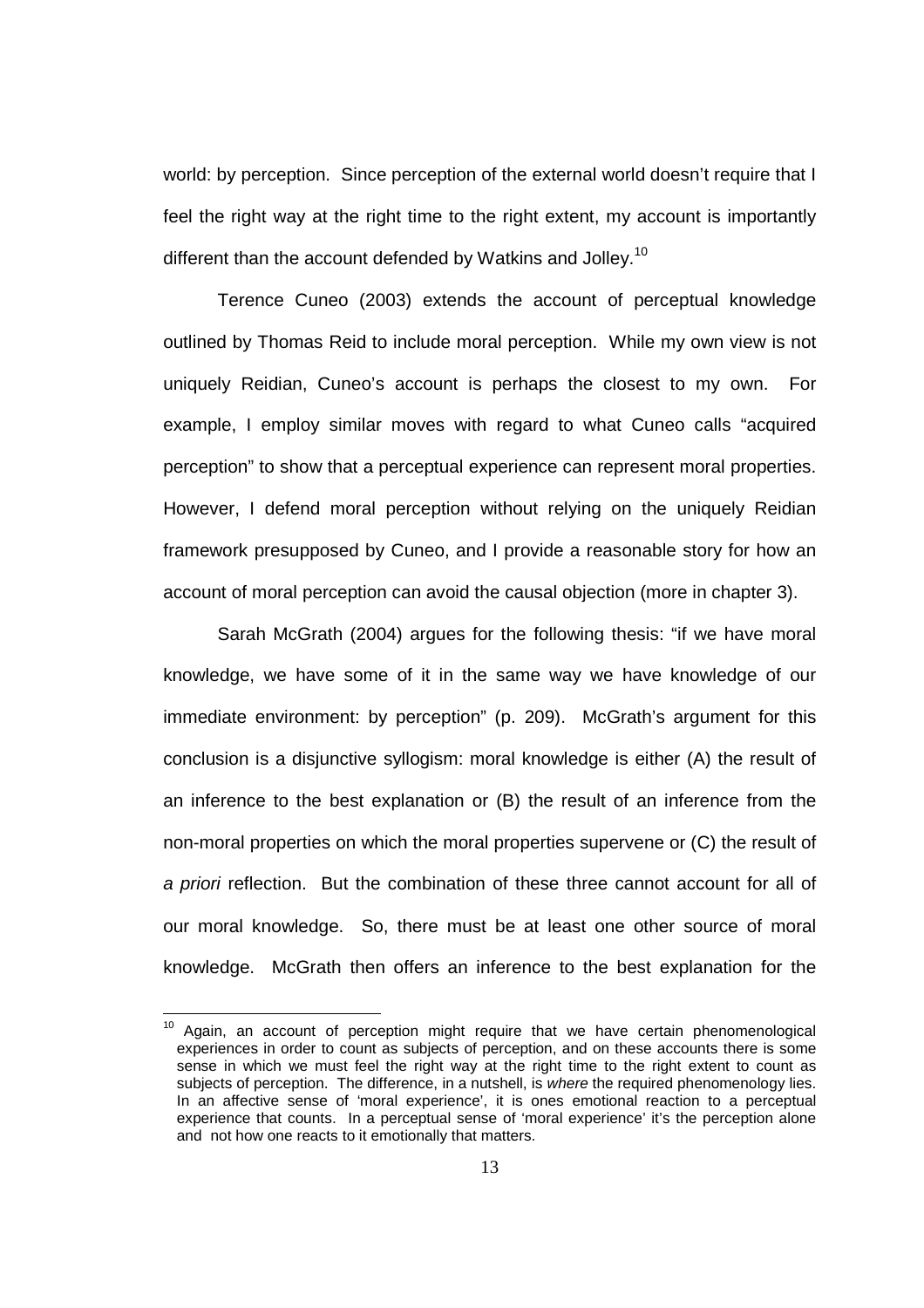world: by perception. Since perception of the external world doesn't require that I feel the right way at the right time to the right extent, my account is importantly different than the account defended by Watkins and Jolley.<sup>10</sup>

 Terence Cuneo (2003) extends the account of perceptual knowledge outlined by Thomas Reid to include moral perception. While my own view is not uniquely Reidian, Cuneo's account is perhaps the closest to my own. For example, I employ similar moves with regard to what Cuneo calls "acquired perception" to show that a perceptual experience can represent moral properties. However, I defend moral perception without relying on the uniquely Reidian framework presupposed by Cuneo, and I provide a reasonable story for how an account of moral perception can avoid the causal objection (more in chapter 3).

Sarah McGrath (2004) argues for the following thesis: "if we have moral knowledge, we have some of it in the same way we have knowledge of our immediate environment: by perception" (p. 209). McGrath's argument for this conclusion is a disjunctive syllogism: moral knowledge is either (A) the result of an inference to the best explanation or (B) the result of an inference from the non-moral properties on which the moral properties supervene or (C) the result of a priori reflection. But the combination of these three cannot account for all of our moral knowledge. So, there must be at least one other source of moral knowledge. McGrath then offers an inference to the best explanation for the

 $10$  Again, an account of perception might require that we have certain phenomenological experiences in order to count as subjects of perception, and on these accounts there is some sense in which we must feel the right way at the right time to the right extent to count as subjects of perception. The difference, in a nutshell, is where the required phenomenology lies. In an affective sense of 'moral experience', it is ones emotional reaction to a perceptual experience that counts. In a perceptual sense of 'moral experience' it's the perception alone and not how one reacts to it emotionally that matters.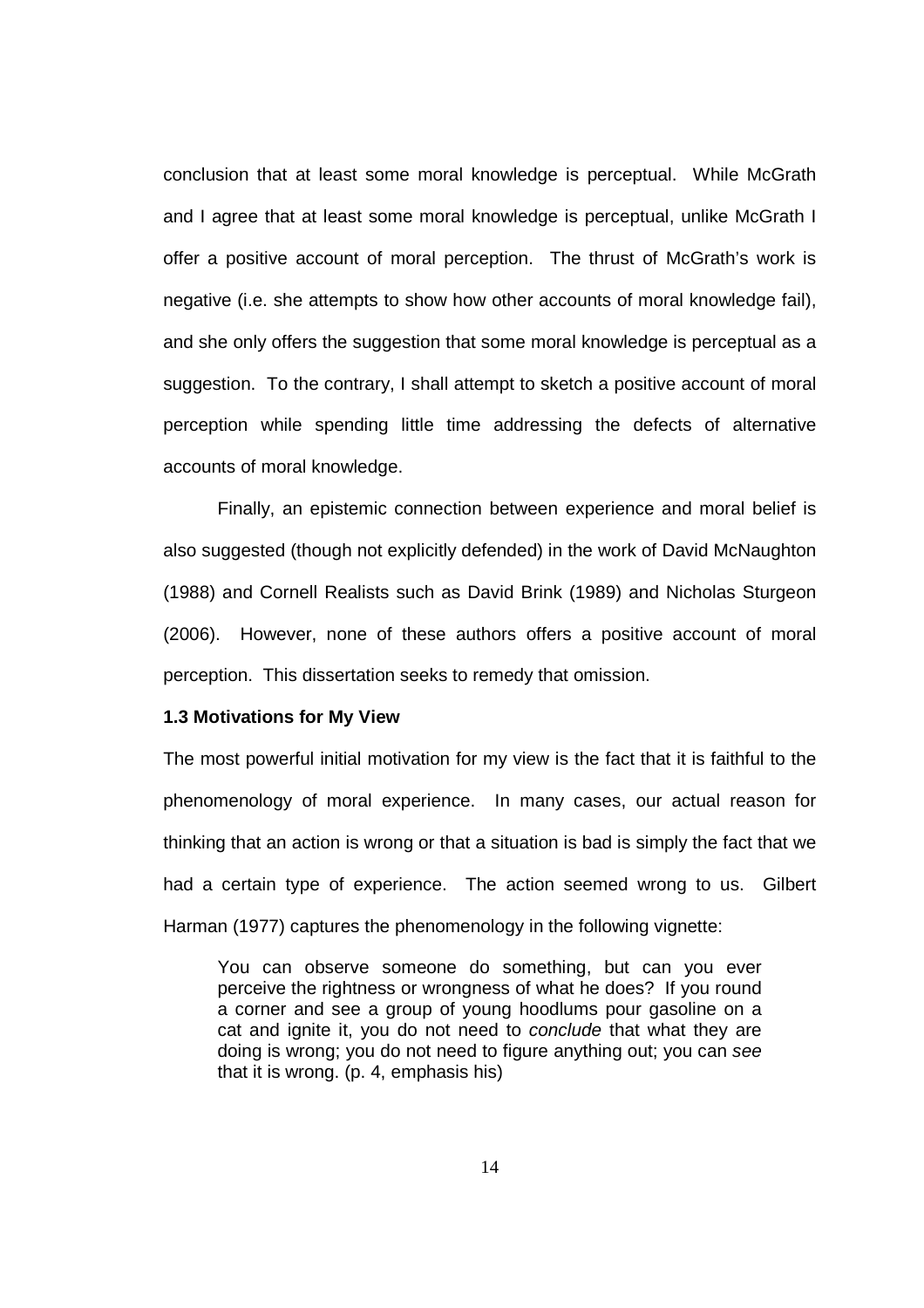conclusion that at least some moral knowledge is perceptual. While McGrath and I agree that at least some moral knowledge is perceptual, unlike McGrath I offer a positive account of moral perception. The thrust of McGrath's work is negative (i.e. she attempts to show how other accounts of moral knowledge fail), and she only offers the suggestion that some moral knowledge is perceptual as a suggestion. To the contrary, I shall attempt to sketch a positive account of moral perception while spending little time addressing the defects of alternative accounts of moral knowledge.

Finally, an epistemic connection between experience and moral belief is also suggested (though not explicitly defended) in the work of David McNaughton (1988) and Cornell Realists such as David Brink (1989) and Nicholas Sturgeon (2006). However, none of these authors offers a positive account of moral perception. This dissertation seeks to remedy that omission.

#### **1.3 Motivations for My View**

The most powerful initial motivation for my view is the fact that it is faithful to the phenomenology of moral experience. In many cases, our actual reason for thinking that an action is wrong or that a situation is bad is simply the fact that we had a certain type of experience. The action seemed wrong to us. Gilbert Harman (1977) captures the phenomenology in the following vignette:

You can observe someone do something, but can you ever perceive the rightness or wrongness of what he does? If you round a corner and see a group of young hoodlums pour gasoline on a cat and ignite it, you do not need to conclude that what they are doing is wrong; you do not need to figure anything out; you can see that it is wrong. (p. 4, emphasis his)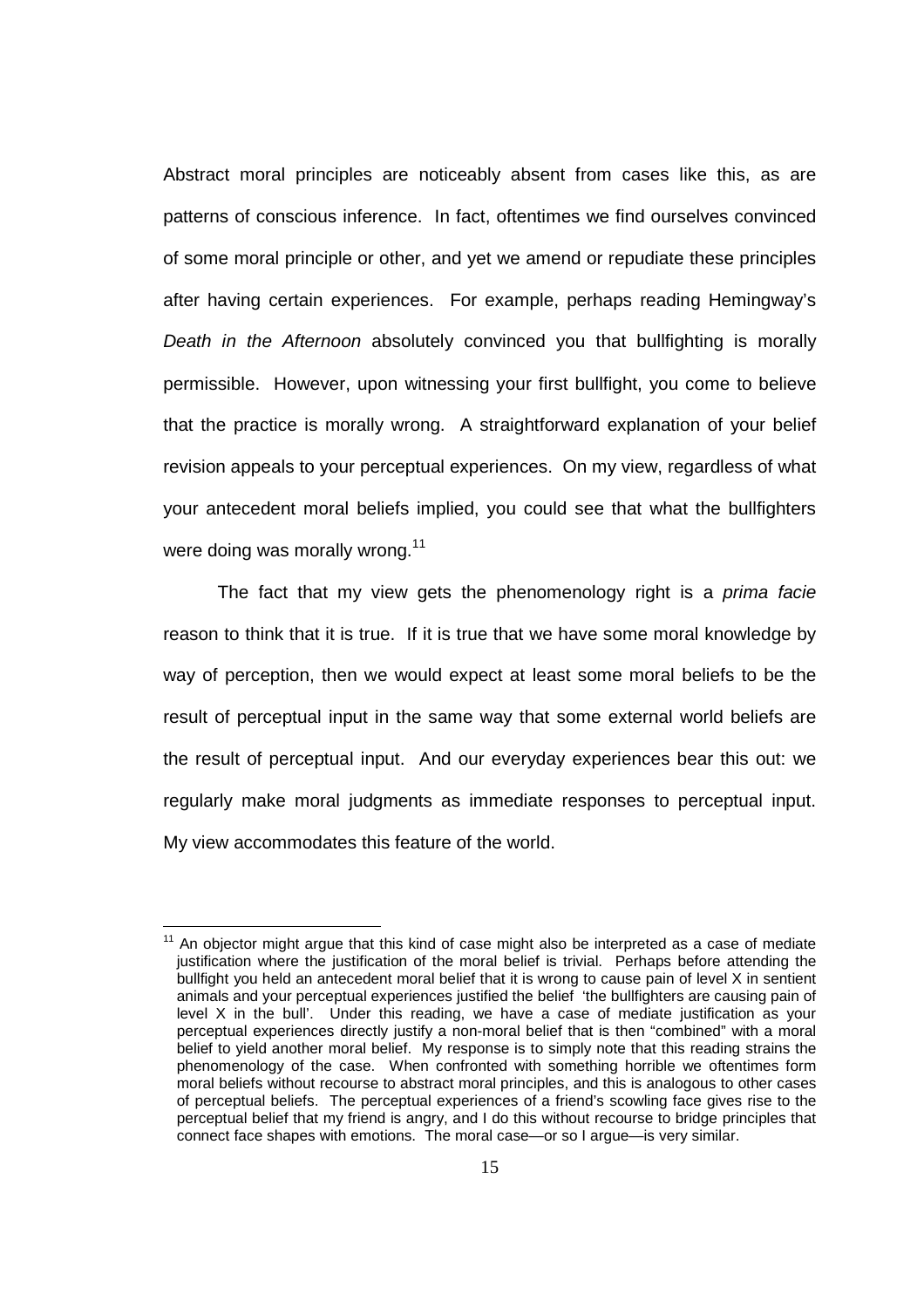Abstract moral principles are noticeably absent from cases like this, as are patterns of conscious inference. In fact, oftentimes we find ourselves convinced of some moral principle or other, and yet we amend or repudiate these principles after having certain experiences. For example, perhaps reading Hemingway's Death in the Afternoon absolutely convinced you that bullfighting is morally permissible. However, upon witnessing your first bullfight, you come to believe that the practice is morally wrong. A straightforward explanation of your belief revision appeals to your perceptual experiences. On my view, regardless of what your antecedent moral beliefs implied, you could see that what the bullfighters were doing was morally wrong. $11$ 

The fact that my view gets the phenomenology right is a *prima facie* reason to think that it is true. If it is true that we have some moral knowledge by way of perception, then we would expect at least some moral beliefs to be the result of perceptual input in the same way that some external world beliefs are the result of perceptual input. And our everyday experiences bear this out: we regularly make moral judgments as immediate responses to perceptual input. My view accommodates this feature of the world.

l

 $11$  An objector might argue that this kind of case might also be interpreted as a case of mediate justification where the justification of the moral belief is trivial. Perhaps before attending the bullfight you held an antecedent moral belief that it is wrong to cause pain of level X in sentient animals and your perceptual experiences justified the belief 'the bullfighters are causing pain of level X in the bull'. Under this reading, we have a case of mediate justification as your perceptual experiences directly justify a non-moral belief that is then "combined" with a moral belief to yield another moral belief. My response is to simply note that this reading strains the phenomenology of the case. When confronted with something horrible we oftentimes form moral beliefs without recourse to abstract moral principles, and this is analogous to other cases of perceptual beliefs. The perceptual experiences of a friend's scowling face gives rise to the perceptual belief that my friend is angry, and I do this without recourse to bridge principles that connect face shapes with emotions. The moral case—or so I argue—is very similar.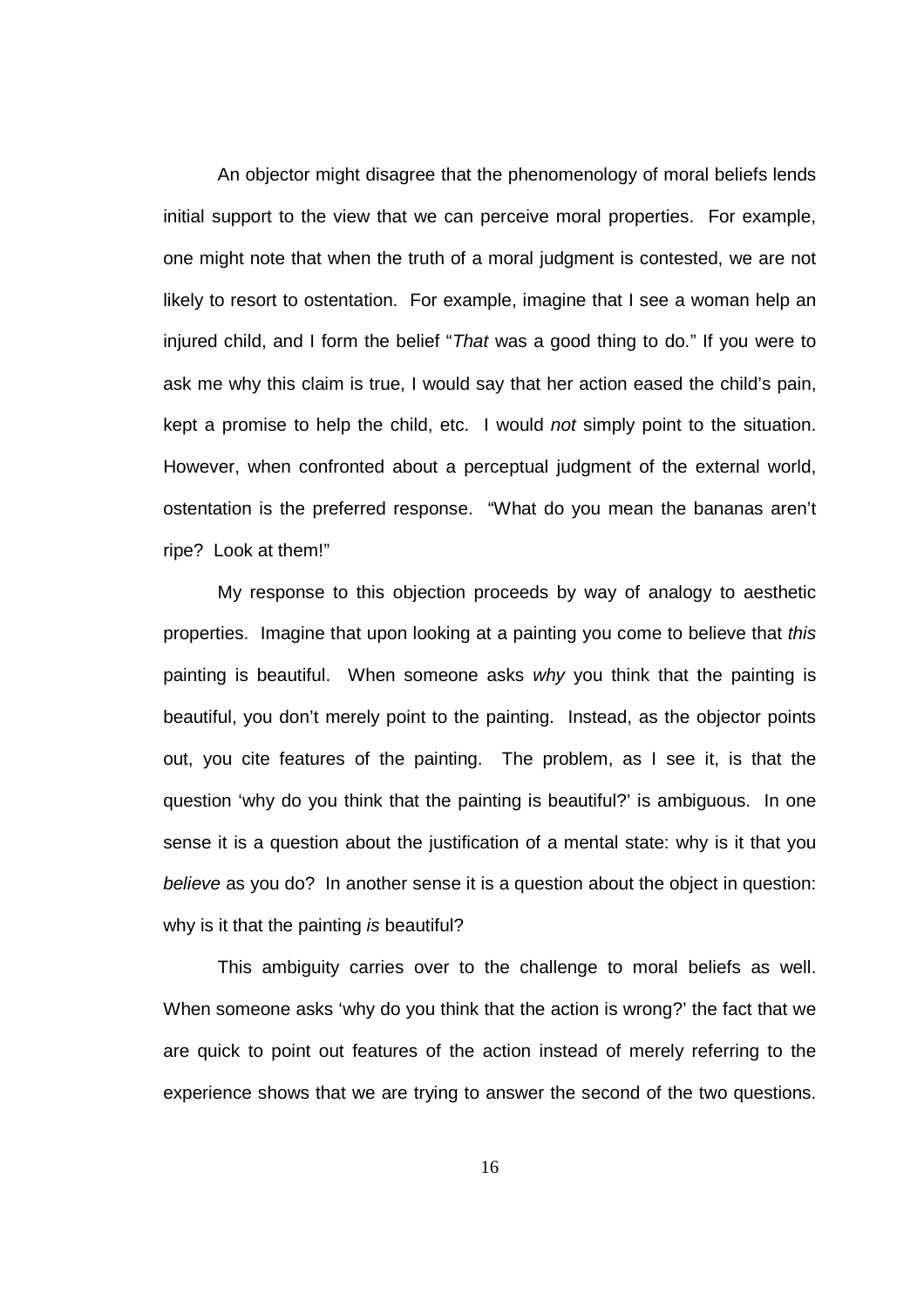An objector might disagree that the phenomenology of moral beliefs lends initial support to the view that we can perceive moral properties. For example, one might note that when the truth of a moral judgment is contested, we are not likely to resort to ostentation. For example, imagine that I see a woman help an injured child, and I form the belief "That was a good thing to do." If you were to ask me why this claim is true, I would say that her action eased the child's pain, kept a promise to help the child, etc. I would not simply point to the situation. However, when confronted about a perceptual judgment of the external world, ostentation is the preferred response. "What do you mean the bananas aren't ripe? Look at them!"

My response to this objection proceeds by way of analogy to aesthetic properties. Imagine that upon looking at a painting you come to believe that this painting is beautiful. When someone asks why you think that the painting is beautiful, you don't merely point to the painting. Instead, as the objector points out, you cite features of the painting. The problem, as I see it, is that the question 'why do you think that the painting is beautiful?' is ambiguous. In one sense it is a question about the justification of a mental state: why is it that you believe as you do? In another sense it is a question about the object in question: why is it that the painting is beautiful?

This ambiguity carries over to the challenge to moral beliefs as well. When someone asks 'why do you think that the action is wrong?' the fact that we are quick to point out features of the action instead of merely referring to the experience shows that we are trying to answer the second of the two questions.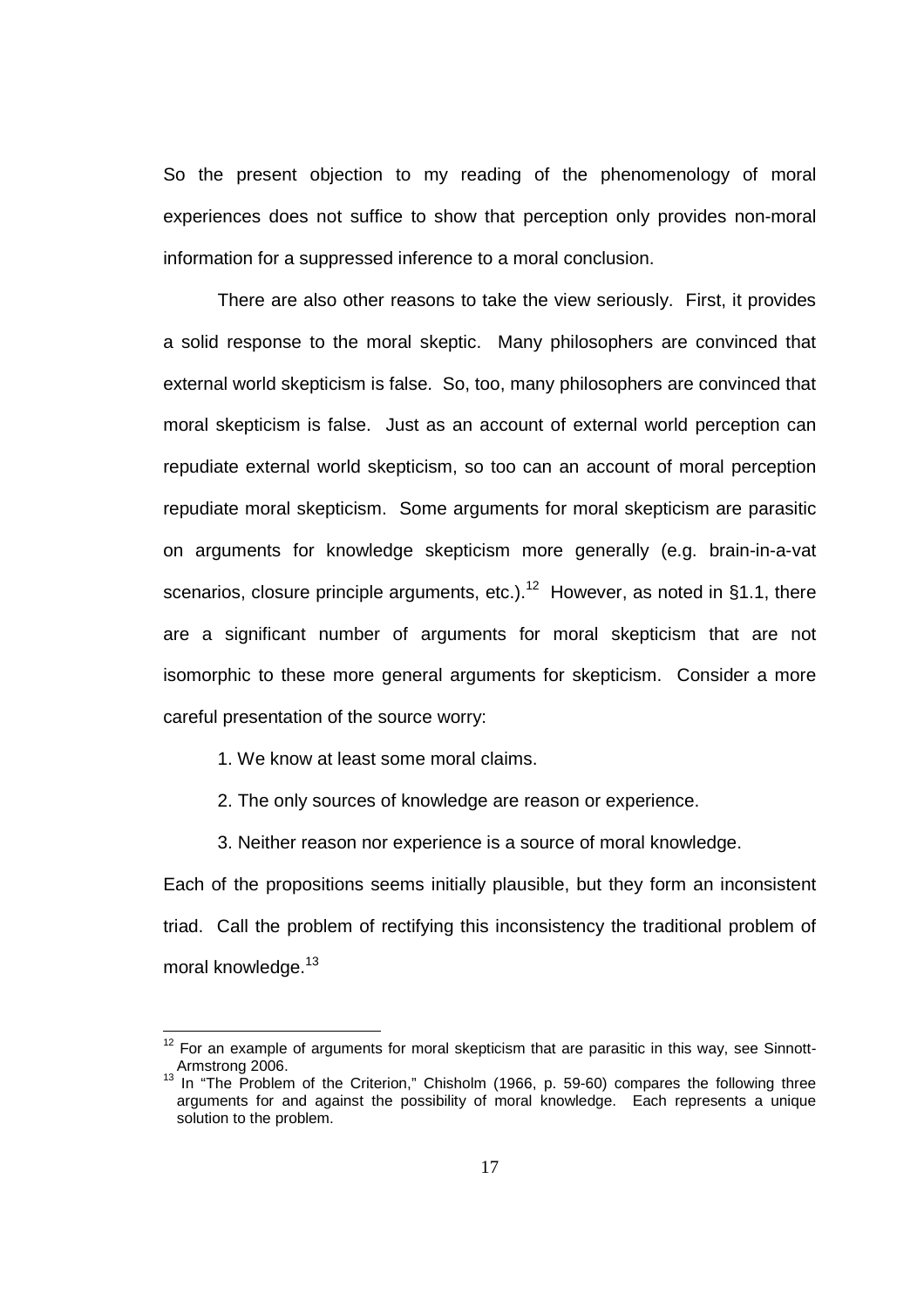So the present objection to my reading of the phenomenology of moral experiences does not suffice to show that perception only provides non-moral information for a suppressed inference to a moral conclusion.

 There are also other reasons to take the view seriously. First, it provides a solid response to the moral skeptic. Many philosophers are convinced that external world skepticism is false. So, too, many philosophers are convinced that moral skepticism is false. Just as an account of external world perception can repudiate external world skepticism, so too can an account of moral perception repudiate moral skepticism. Some arguments for moral skepticism are parasitic on arguments for knowledge skepticism more generally (e.g. brain-in-a-vat scenarios, closure principle arguments, etc.).<sup>12</sup> However, as noted in §1.1, there are a significant number of arguments for moral skepticism that are not isomorphic to these more general arguments for skepticism. Consider a more careful presentation of the source worry:

1. We know at least some moral claims.

2. The only sources of knowledge are reason or experience.

3. Neither reason nor experience is a source of moral knowledge.

Each of the propositions seems initially plausible, but they form an inconsistent triad. Call the problem of rectifying this inconsistency the traditional problem of moral knowledge.<sup>13</sup>

 $12$  For an example of arguments for moral skepticism that are parasitic in this way, see Sinnott-Armstrong 2006.

Armstrong 2006.<br><sup>13</sup> In "The Problem of the Criterion," Chisholm (1966, p. 59-60) compares the following three arguments for and against the possibility of moral knowledge. Each represents a unique solution to the problem.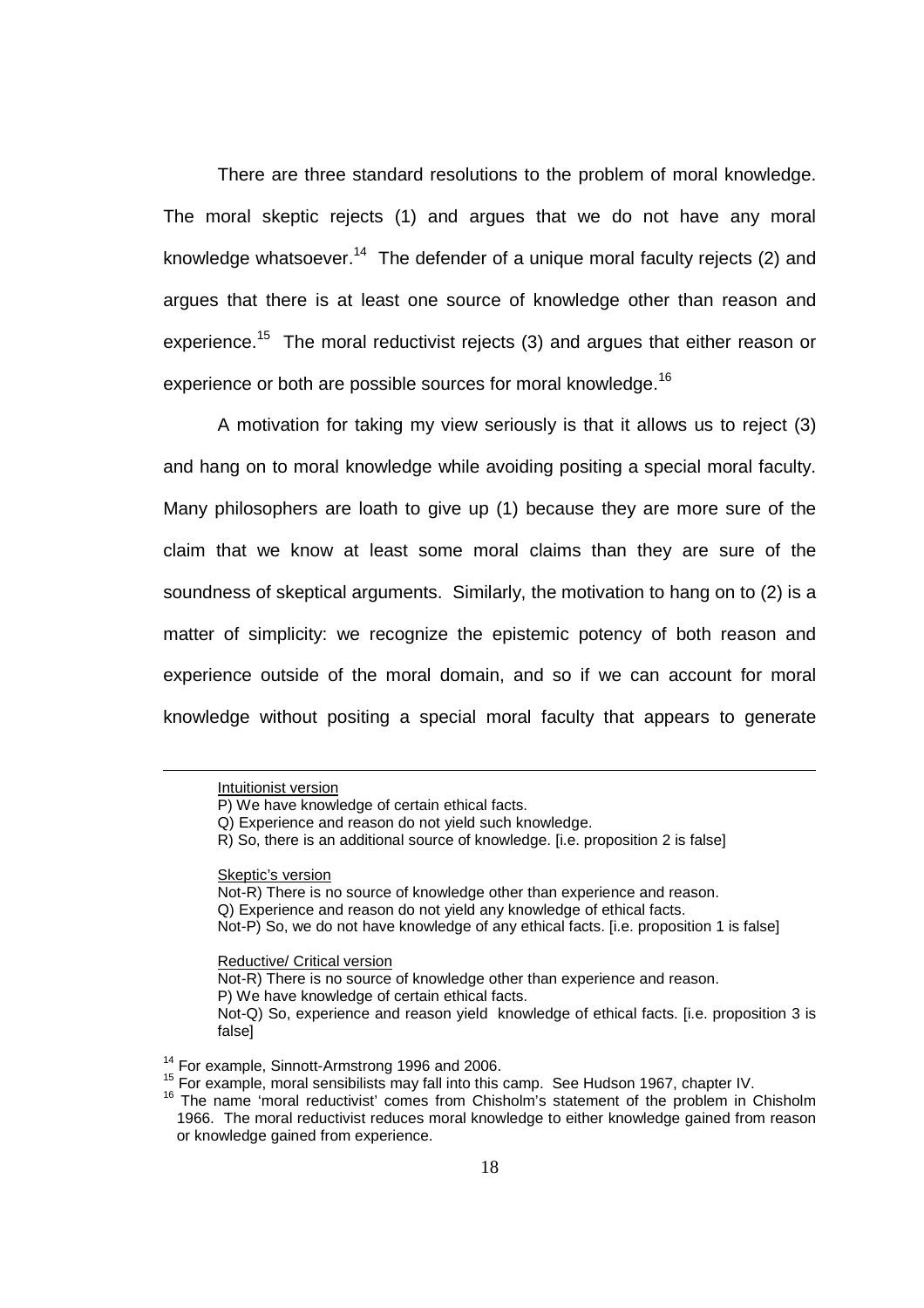There are three standard resolutions to the problem of moral knowledge. The moral skeptic rejects (1) and argues that we do not have any moral knowledge whatsoever.<sup>14</sup> The defender of a unique moral faculty rejects (2) and argues that there is at least one source of knowledge other than reason and experience.<sup>15</sup> The moral reductivist rejects (3) and argues that either reason or experience or both are possible sources for moral knowledge.<sup>16</sup>

 A motivation for taking my view seriously is that it allows us to reject (3) and hang on to moral knowledge while avoiding positing a special moral faculty. Many philosophers are loath to give up (1) because they are more sure of the claim that we know at least some moral claims than they are sure of the soundness of skeptical arguments. Similarly, the motivation to hang on to (2) is a matter of simplicity: we recognize the epistemic potency of both reason and experience outside of the moral domain, and so if we can account for moral knowledge without positing a special moral faculty that appears to generate

Skeptic's version

Not-R) There is no source of knowledge other than experience and reason. Q) Experience and reason do not yield any knowledge of ethical facts. Not-P) So, we do not have knowledge of any ethical facts. [i.e. proposition 1 is false]

Reductive/ Critical version

Not-R) There is no source of knowledge other than experience and reason.

P) We have knowledge of certain ethical facts.

Intuitionist version

P) We have knowledge of certain ethical facts.

Q) Experience and reason do not yield such knowledge.

R) So, there is an additional source of knowledge. [i.e. proposition 2 is false]

Not-Q) So, experience and reason yield knowledge of ethical facts. [i.e. proposition 3 is false]

<sup>&</sup>lt;sup>14</sup> For example, Sinnott-Armstrong 1996 and 2006.

<sup>15</sup> For example, moral sensibilists may fall into this camp. See Hudson 1967, chapter IV.

<sup>16</sup> The name 'moral reductivist' comes from Chisholm's statement of the problem in Chisholm 1966. The moral reductivist reduces moral knowledge to either knowledge gained from reason or knowledge gained from experience.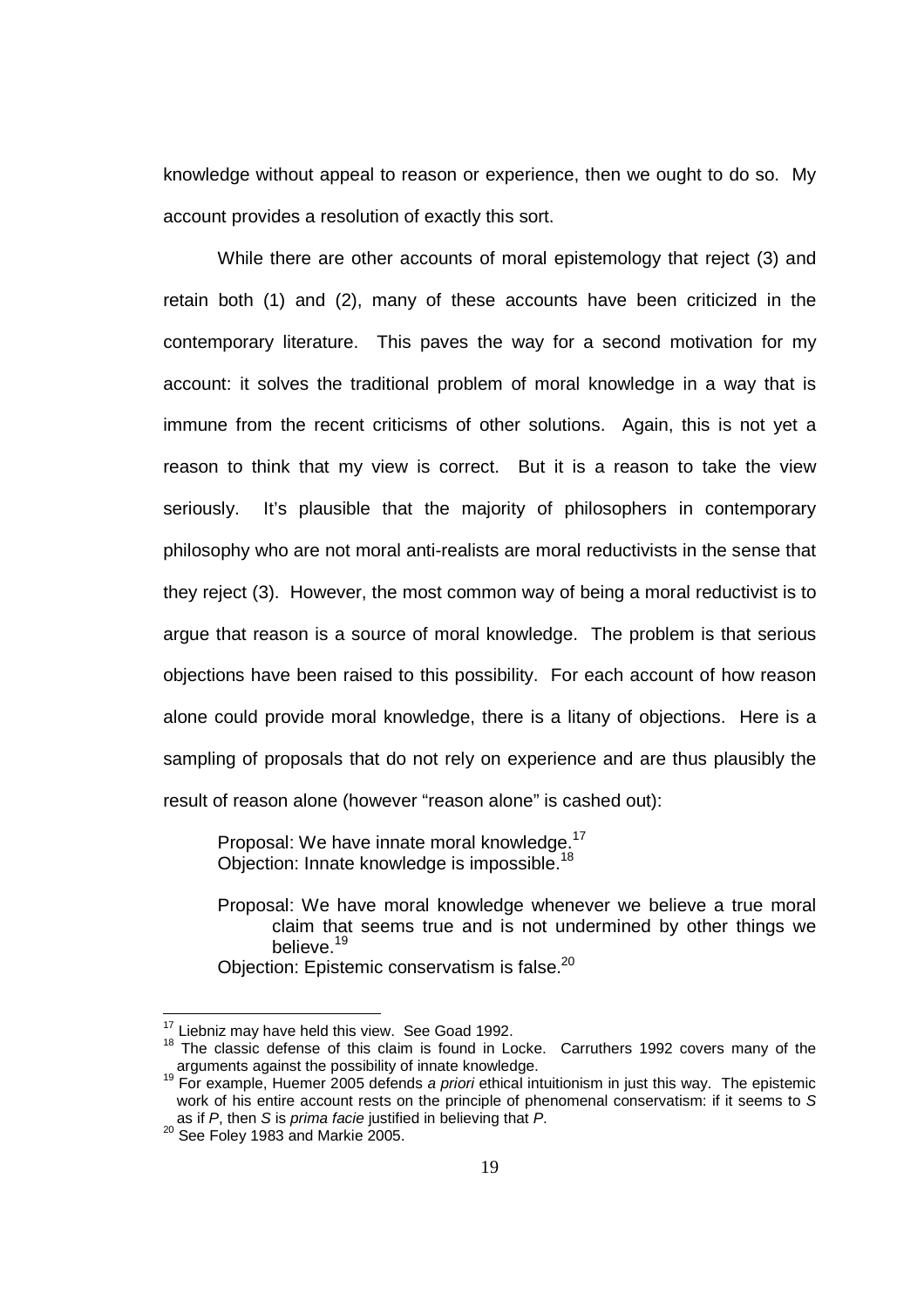knowledge without appeal to reason or experience, then we ought to do so. My account provides a resolution of exactly this sort.

While there are other accounts of moral epistemology that reject (3) and retain both (1) and (2), many of these accounts have been criticized in the contemporary literature. This paves the way for a second motivation for my account: it solves the traditional problem of moral knowledge in a way that is immune from the recent criticisms of other solutions. Again, this is not yet a reason to think that my view is correct. But it is a reason to take the view seriously. It's plausible that the majority of philosophers in contemporary philosophy who are not moral anti-realists are moral reductivists in the sense that they reject (3). However, the most common way of being a moral reductivist is to argue that reason is a source of moral knowledge. The problem is that serious objections have been raised to this possibility. For each account of how reason alone could provide moral knowledge, there is a litany of objections. Here is a sampling of proposals that do not rely on experience and are thus plausibly the result of reason alone (however "reason alone" is cashed out):

Proposal: We have innate moral knowledge.<sup>17</sup> Objection: Innate knowledge is impossible.<sup>18</sup>

Proposal: We have moral knowledge whenever we believe a true moral claim that seems true and is not undermined by other things we believe.<sup>19</sup> Objection: Epistemic conservatism is false.<sup>20</sup>

 $17$  Liebniz may have held this view. See Goad 1992.

<sup>18</sup> The classic defense of this claim is found in Locke. Carruthers 1992 covers many of the arguments against the possibility of innate knowledge.

<sup>&</sup>lt;sup>19</sup> For example, Huemer 2005 defends a priori ethical intuitionism in just this way. The epistemic work of his entire account rests on the principle of phenomenal conservatism: if it seems to S as if P, then S is prima facie justified in believing that P.

<sup>&</sup>lt;sup>20</sup> See Foley 1983 and Markie 2005.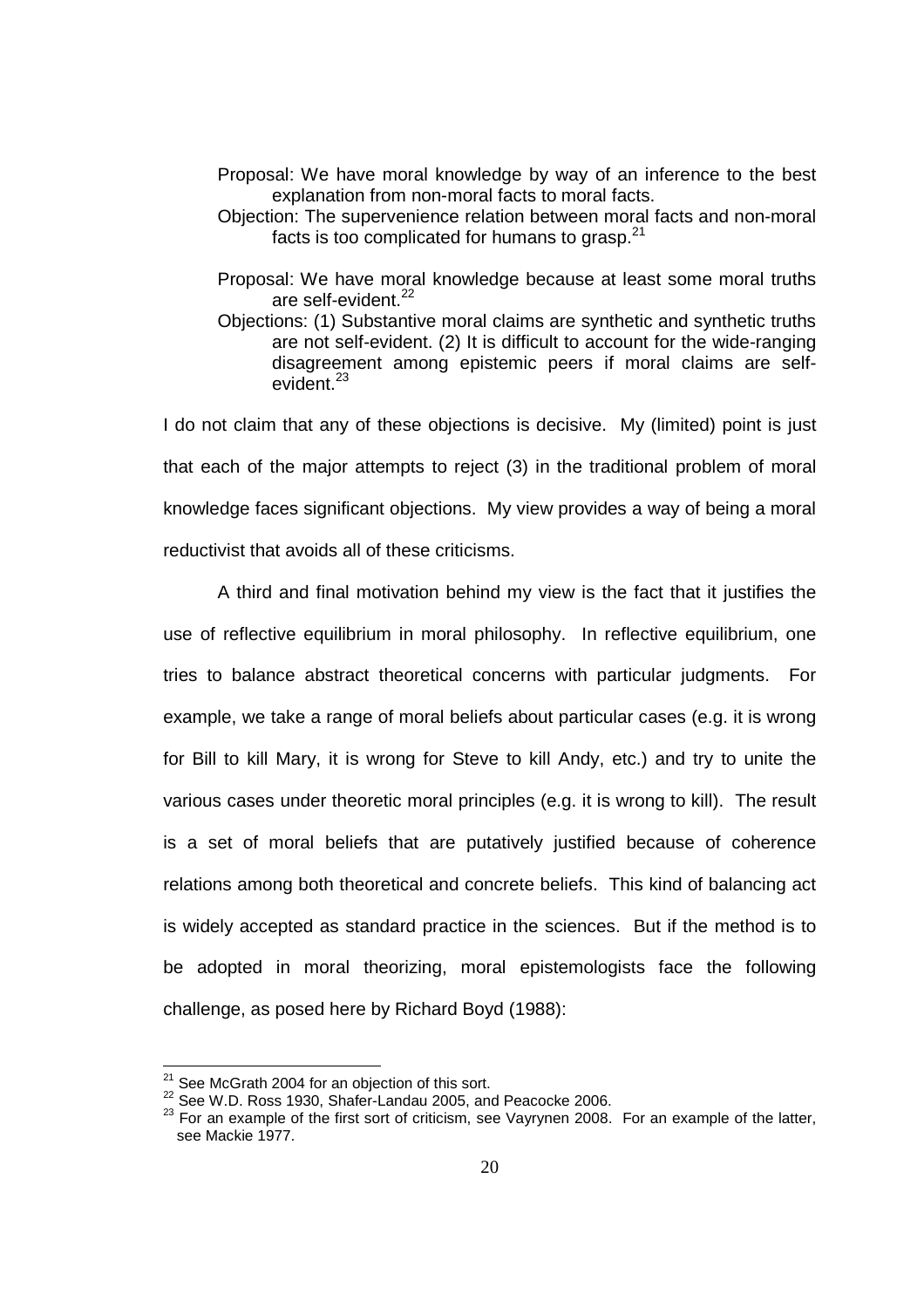- Proposal: We have moral knowledge by way of an inference to the best explanation from non-moral facts to moral facts.
- Objection: The supervenience relation between moral facts and non-moral facts is too complicated for humans to grasp. $21$
- Proposal: We have moral knowledge because at least some moral truths are self-evident.<sup>22</sup>
- Objections: (1) Substantive moral claims are synthetic and synthetic truths are not self-evident. (2) It is difficult to account for the wide-ranging disagreement among epistemic peers if moral claims are selfevident.<sup>23</sup>

I do not claim that any of these objections is decisive. My (limited) point is just that each of the major attempts to reject (3) in the traditional problem of moral knowledge faces significant objections. My view provides a way of being a moral reductivist that avoids all of these criticisms.

A third and final motivation behind my view is the fact that it justifies the use of reflective equilibrium in moral philosophy. In reflective equilibrium, one tries to balance abstract theoretical concerns with particular judgments. For example, we take a range of moral beliefs about particular cases (e.g. it is wrong for Bill to kill Mary, it is wrong for Steve to kill Andy, etc.) and try to unite the various cases under theoretic moral principles (e.g. it is wrong to kill). The result is a set of moral beliefs that are putatively justified because of coherence relations among both theoretical and concrete beliefs. This kind of balancing act is widely accepted as standard practice in the sciences. But if the method is to be adopted in moral theorizing, moral epistemologists face the following challenge, as posed here by Richard Boyd (1988):

l

 $21$  See McGrath 2004 for an objection of this sort.

<sup>22</sup> See W.D. Ross 1930, Shafer-Landau 2005, and Peacocke 2006.

<sup>&</sup>lt;sup>23</sup> For an example of the first sort of criticism, see Vayrynen 2008. For an example of the latter, see Mackie 1977.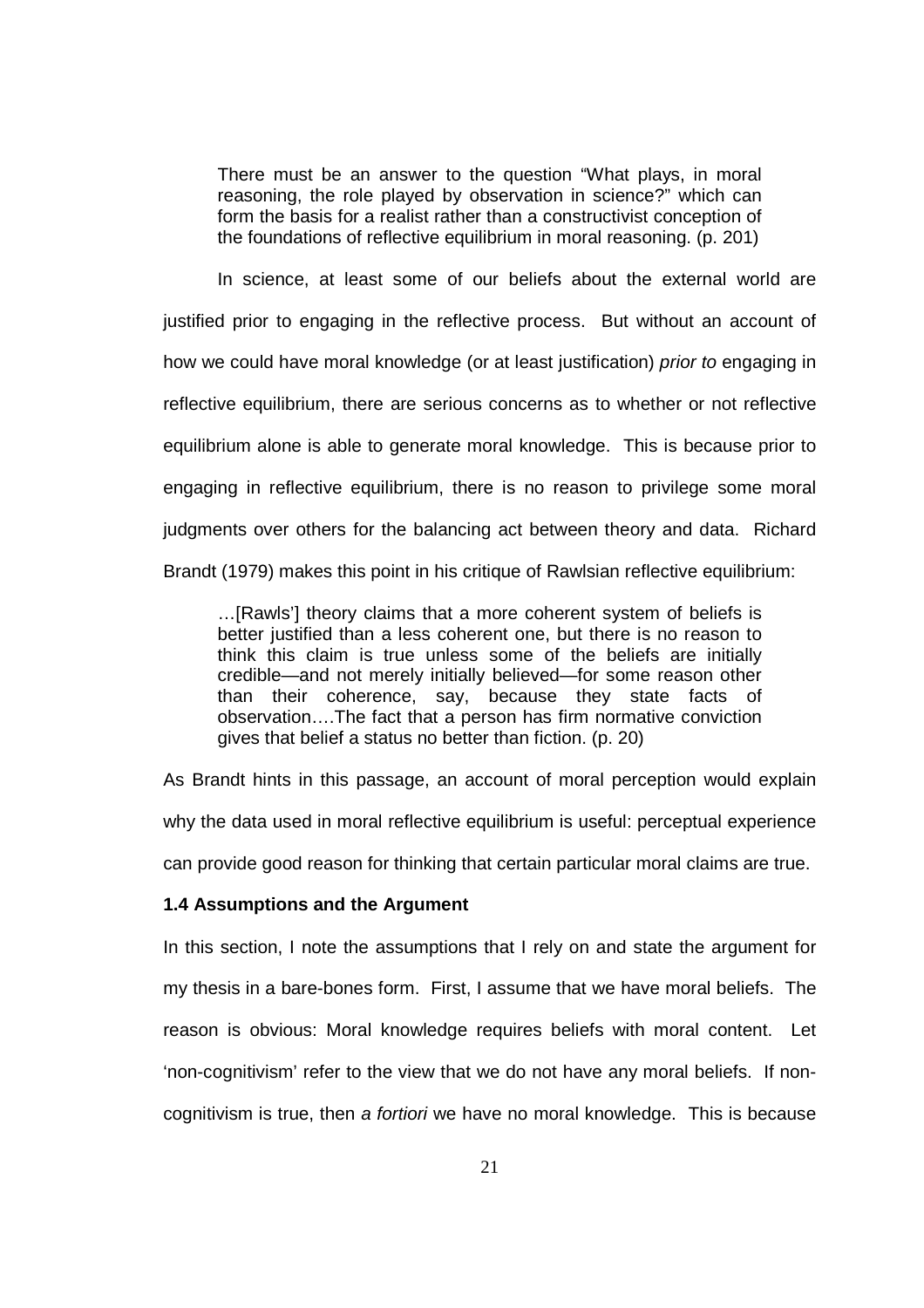There must be an answer to the question "What plays, in moral reasoning, the role played by observation in science?" which can form the basis for a realist rather than a constructivist conception of the foundations of reflective equilibrium in moral reasoning. (p. 201)

In science, at least some of our beliefs about the external world are justified prior to engaging in the reflective process. But without an account of how we could have moral knowledge (or at least justification) *prior to* engaging in reflective equilibrium, there are serious concerns as to whether or not reflective equilibrium alone is able to generate moral knowledge. This is because prior to engaging in reflective equilibrium, there is no reason to privilege some moral judgments over others for the balancing act between theory and data. Richard Brandt (1979) makes this point in his critique of Rawlsian reflective equilibrium:

…[Rawls'] theory claims that a more coherent system of beliefs is better justified than a less coherent one, but there is no reason to think this claim is true unless some of the beliefs are initially credible—and not merely initially believed—for some reason other than their coherence, say, because they state facts of observation….The fact that a person has firm normative conviction gives that belief a status no better than fiction. (p. 20)

As Brandt hints in this passage, an account of moral perception would explain

why the data used in moral reflective equilibrium is useful: perceptual experience

can provide good reason for thinking that certain particular moral claims are true.

#### **1.4 Assumptions and the Argument**

In this section, I note the assumptions that I rely on and state the argument for my thesis in a bare-bones form. First, I assume that we have moral beliefs. The reason is obvious: Moral knowledge requires beliefs with moral content. Let 'non-cognitivism' refer to the view that we do not have any moral beliefs. If noncognitivism is true, then a fortiori we have no moral knowledge. This is because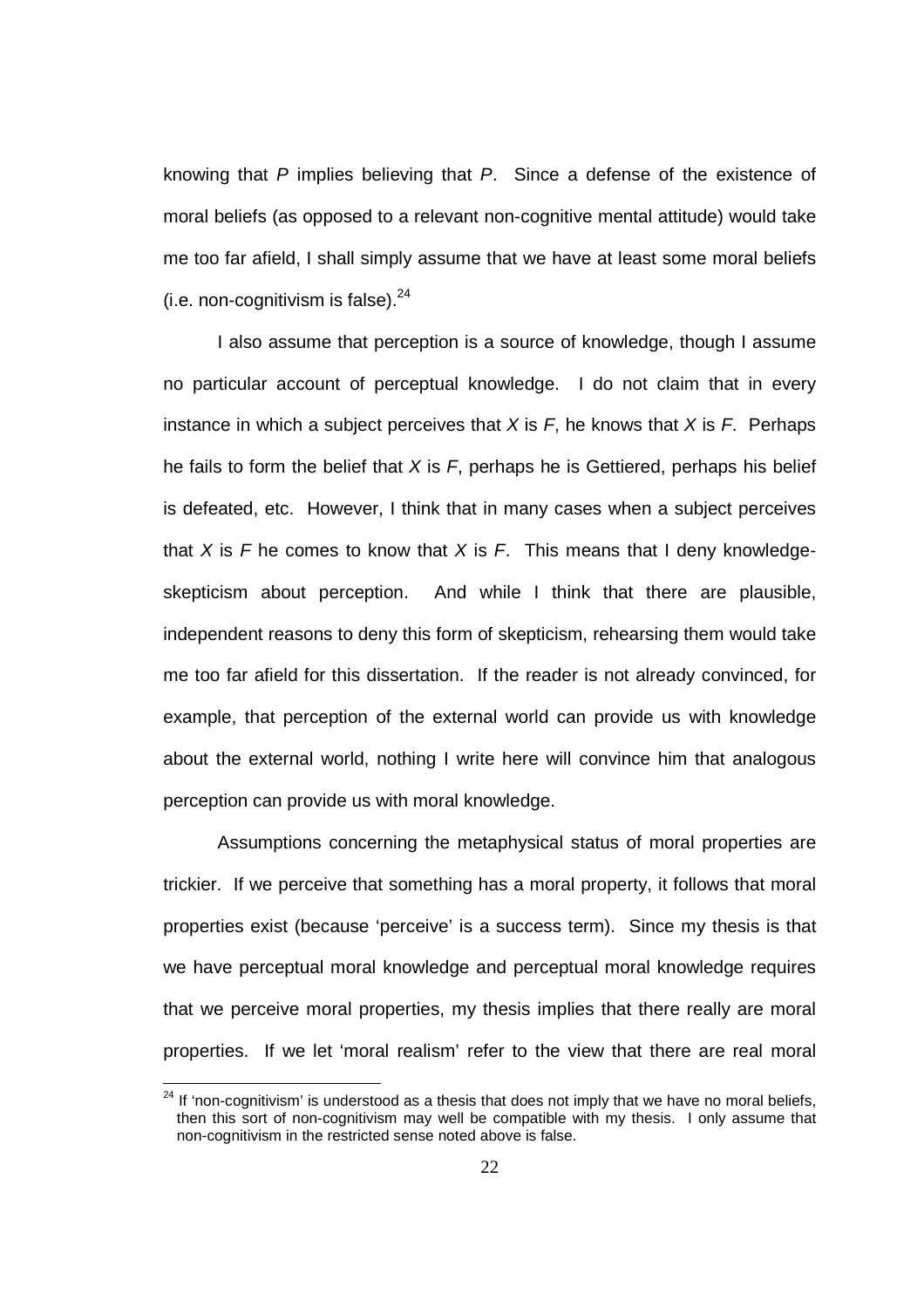knowing that P implies believing that P. Since a defense of the existence of moral beliefs (as opposed to a relevant non-cognitive mental attitude) would take me too far afield, I shall simply assume that we have at least some moral beliefs (i.e. non-cognitivism is false).  $24$ 

 I also assume that perception is a source of knowledge, though I assume no particular account of perceptual knowledge. I do not claim that in every instance in which a subject perceives that  $X$  is  $F$ , he knows that  $X$  is  $F$ . Perhaps he fails to form the belief that  $X$  is  $F$ , perhaps he is Gettiered, perhaps his belief is defeated, etc. However, I think that in many cases when a subject perceives that X is F he comes to know that X is F. This means that I deny knowledgeskepticism about perception. And while I think that there are plausible, independent reasons to deny this form of skepticism, rehearsing them would take me too far afield for this dissertation. If the reader is not already convinced, for example, that perception of the external world can provide us with knowledge about the external world, nothing I write here will convince him that analogous perception can provide us with moral knowledge.

 Assumptions concerning the metaphysical status of moral properties are trickier. If we perceive that something has a moral property, it follows that moral properties exist (because 'perceive' is a success term). Since my thesis is that we have perceptual moral knowledge and perceptual moral knowledge requires that we perceive moral properties, my thesis implies that there really are moral properties. If we let 'moral realism' refer to the view that there are real moral

l

 $24$  If 'non-cognitivism' is understood as a thesis that does not imply that we have no moral beliefs, then this sort of non-cognitivism may well be compatible with my thesis. I only assume that non-cognitivism in the restricted sense noted above is false.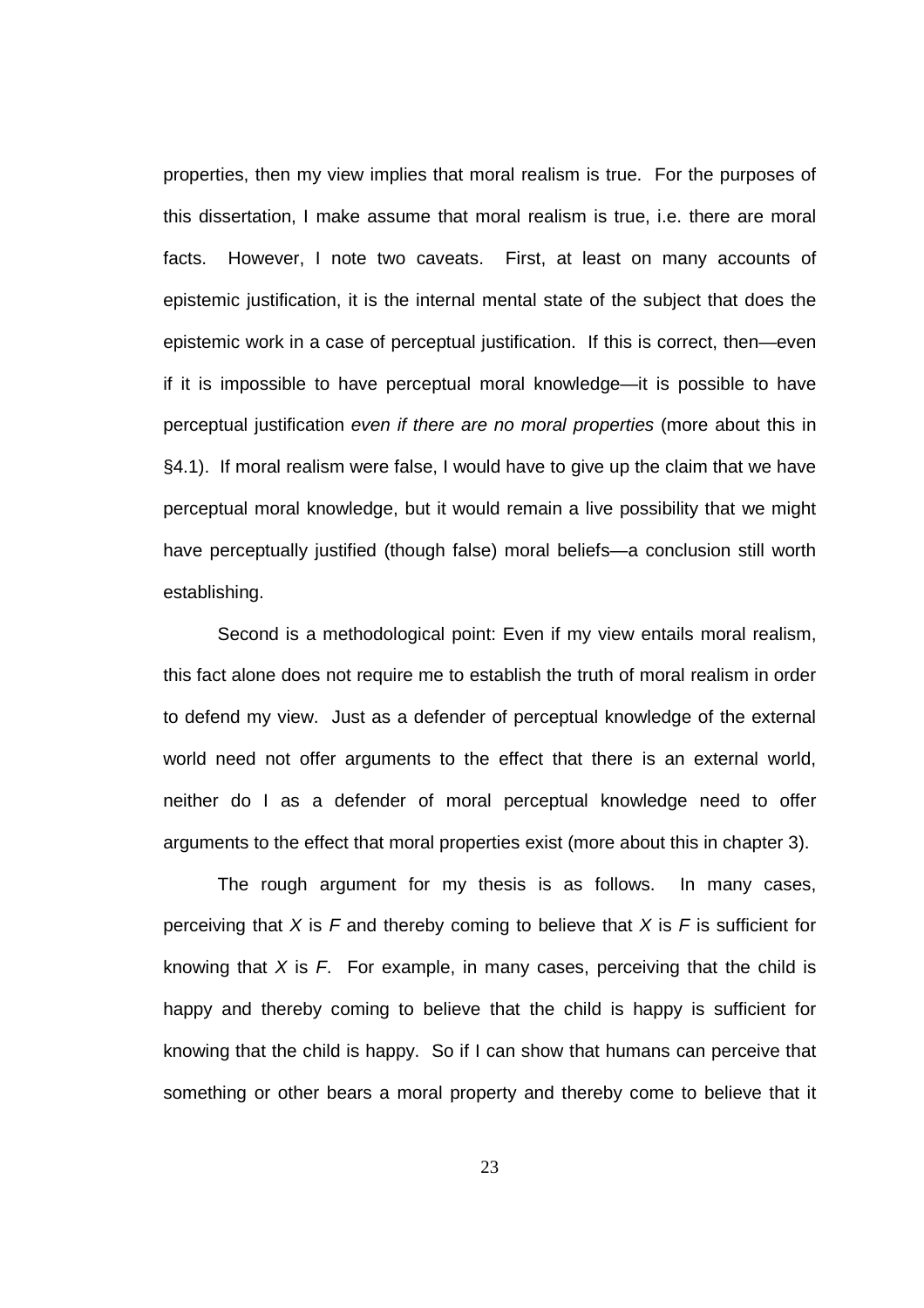properties, then my view implies that moral realism is true. For the purposes of this dissertation, I make assume that moral realism is true, i.e. there are moral facts. However, I note two caveats. First, at least on many accounts of epistemic justification, it is the internal mental state of the subject that does the epistemic work in a case of perceptual justification. If this is correct, then—even if it is impossible to have perceptual moral knowledge—it is possible to have perceptual justification even if there are no moral properties (more about this in §4.1). If moral realism were false, I would have to give up the claim that we have perceptual moral knowledge, but it would remain a live possibility that we might have perceptually justified (though false) moral beliefs—a conclusion still worth establishing.

 Second is a methodological point: Even if my view entails moral realism, this fact alone does not require me to establish the truth of moral realism in order to defend my view. Just as a defender of perceptual knowledge of the external world need not offer arguments to the effect that there is an external world, neither do I as a defender of moral perceptual knowledge need to offer arguments to the effect that moral properties exist (more about this in chapter 3).

The rough argument for my thesis is as follows. In many cases, perceiving that X is F and thereby coming to believe that X is F is sufficient for knowing that  $X$  is  $F$ . For example, in many cases, perceiving that the child is happy and thereby coming to believe that the child is happy is sufficient for knowing that the child is happy. So if I can show that humans can perceive that something or other bears a moral property and thereby come to believe that it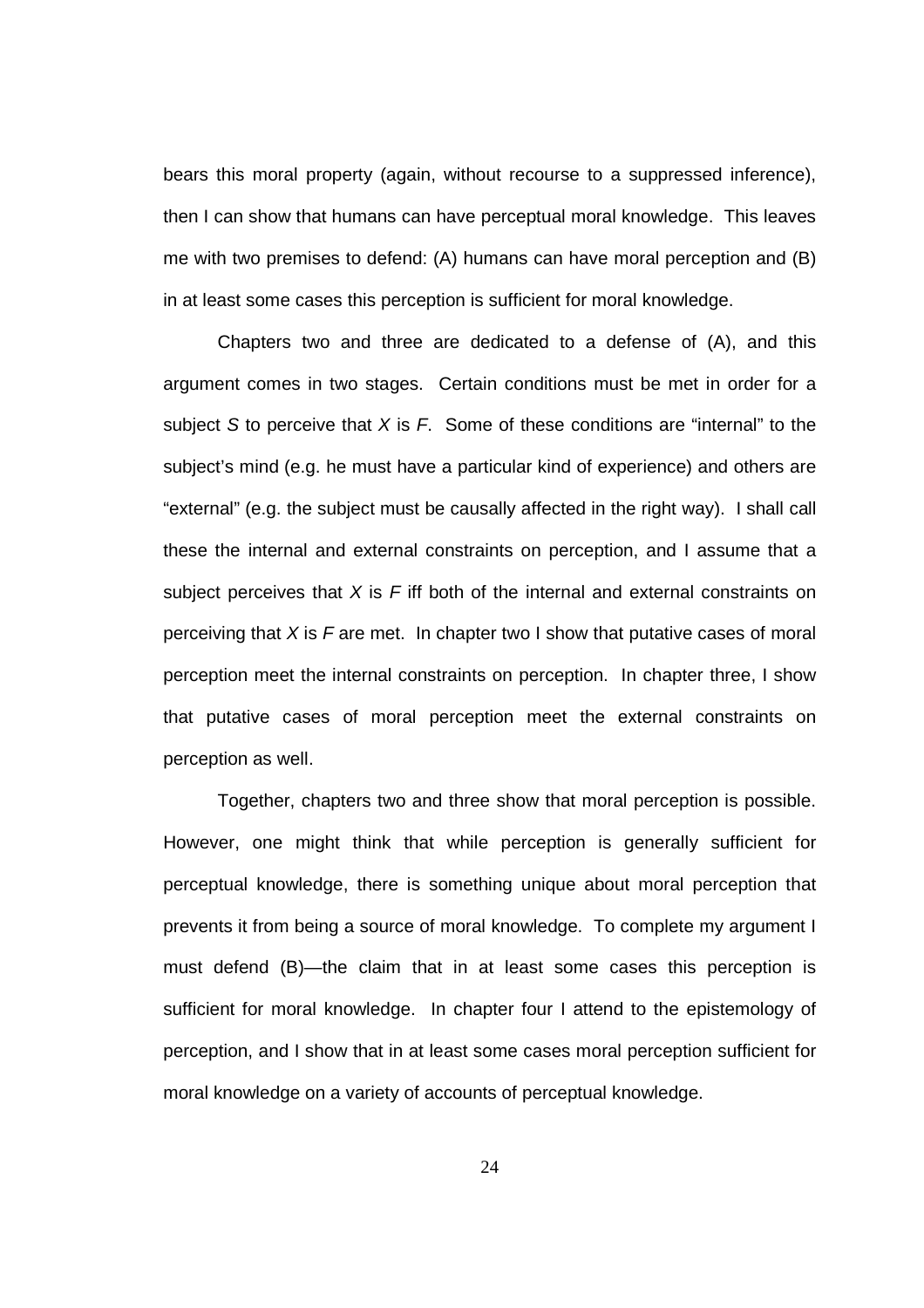bears this moral property (again, without recourse to a suppressed inference), then I can show that humans can have perceptual moral knowledge. This leaves me with two premises to defend: (A) humans can have moral perception and (B) in at least some cases this perception is sufficient for moral knowledge.

Chapters two and three are dedicated to a defense of (A), and this argument comes in two stages. Certain conditions must be met in order for a subject S to perceive that  $X$  is  $F$ . Some of these conditions are "internal" to the subject's mind (e.g. he must have a particular kind of experience) and others are "external" (e.g. the subject must be causally affected in the right way). I shall call these the internal and external constraints on perception, and I assume that a subject perceives that  $X$  is F iff both of the internal and external constraints on perceiving that  $X$  is  $F$  are met. In chapter two I show that putative cases of moral perception meet the internal constraints on perception. In chapter three, I show that putative cases of moral perception meet the external constraints on perception as well.

Together, chapters two and three show that moral perception is possible. However, one might think that while perception is generally sufficient for perceptual knowledge, there is something unique about moral perception that prevents it from being a source of moral knowledge. To complete my argument I must defend (B)—the claim that in at least some cases this perception is sufficient for moral knowledge. In chapter four I attend to the epistemology of perception, and I show that in at least some cases moral perception sufficient for moral knowledge on a variety of accounts of perceptual knowledge.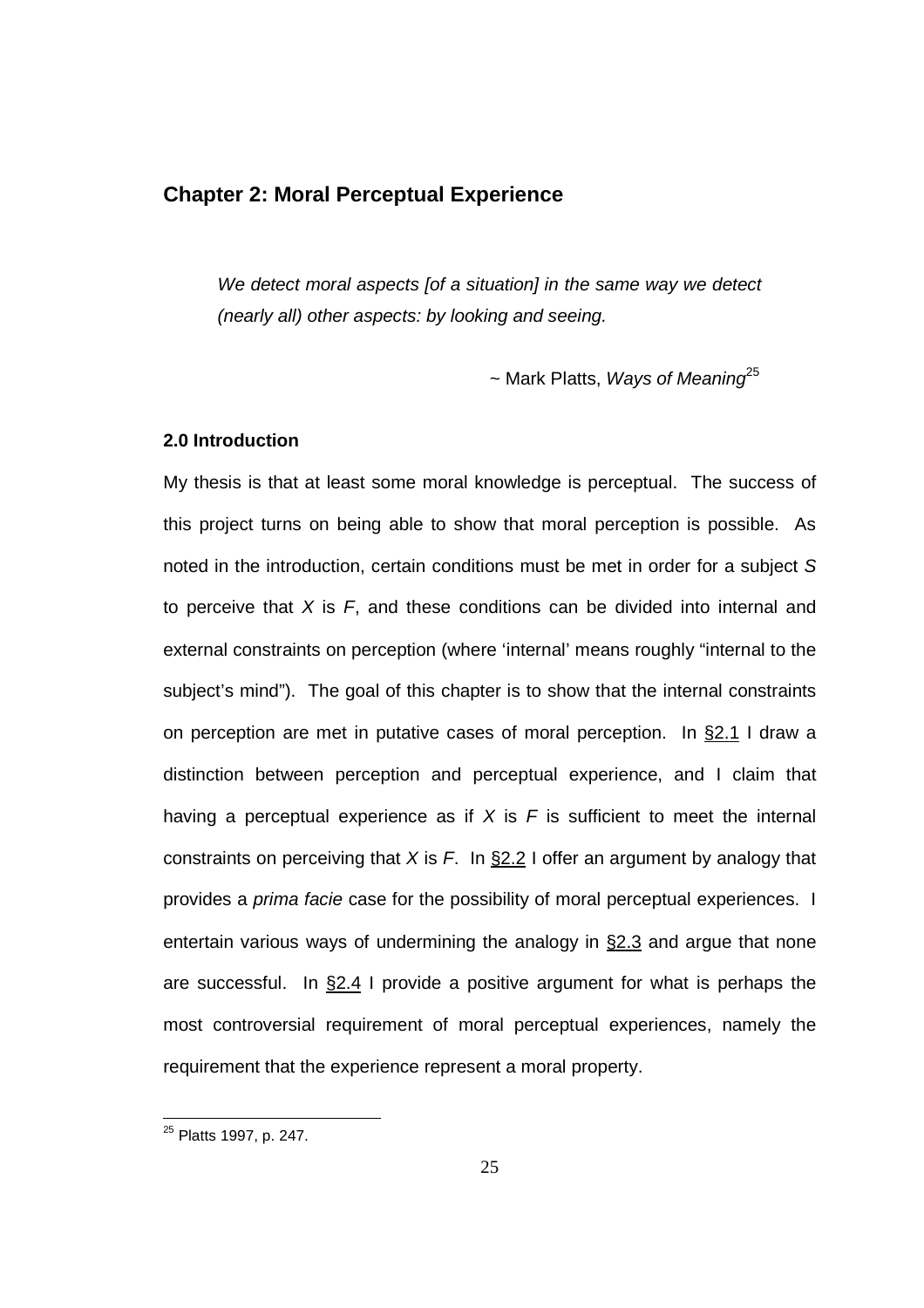# **Chapter 2: Moral Perceptual Experience**

We detect moral aspects [of a situation] in the same way we detect (nearly all) other aspects: by looking and seeing.

 $\sim$  Mark Platts, Ways of Meaning<sup>25</sup>

### **2.0 Introduction**

My thesis is that at least some moral knowledge is perceptual. The success of this project turns on being able to show that moral perception is possible. As noted in the introduction, certain conditions must be met in order for a subject S to perceive that  $X$  is  $F$ , and these conditions can be divided into internal and external constraints on perception (where 'internal' means roughly "internal to the subject's mind"). The goal of this chapter is to show that the internal constraints on perception are met in putative cases of moral perception. In §2.1 I draw a distinction between perception and perceptual experience, and I claim that having a perceptual experience as if  $X$  is  $F$  is sufficient to meet the internal constraints on perceiving that X is  $F$ . In §2.2 I offer an argument by analogy that provides a *prima facie* case for the possibility of moral perceptual experiences. I entertain various ways of undermining the analogy in §2.3 and argue that none are successful. In  $\S2.4$  I provide a positive argument for what is perhaps the most controversial requirement of moral perceptual experiences, namely the requirement that the experience represent a moral property.

<sup>&</sup>lt;sup>25</sup> Platts 1997, p. 247.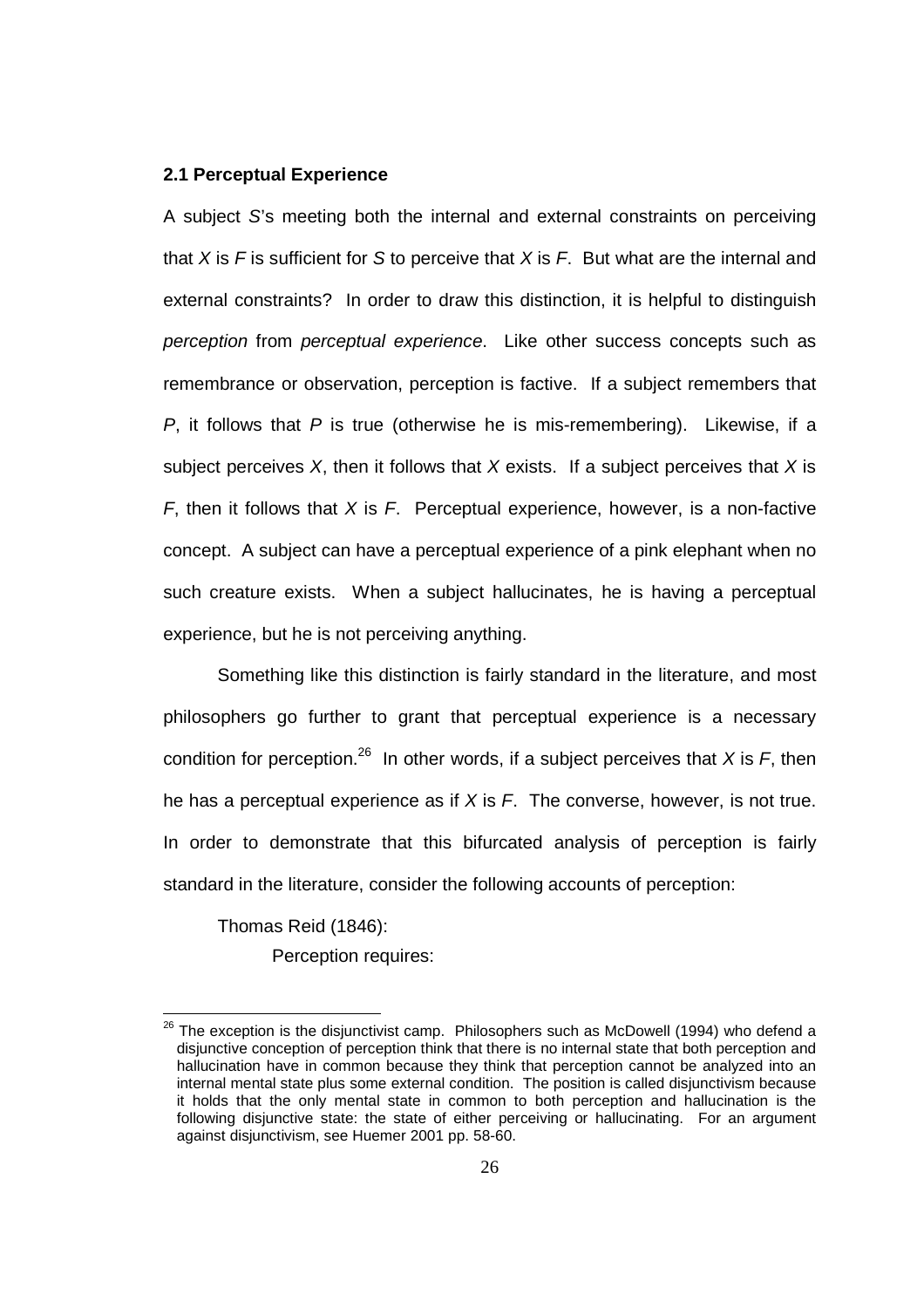#### **2.1 Perceptual Experience**

A subject S's meeting both the internal and external constraints on perceiving that X is  $F$  is sufficient for S to perceive that X is  $F$ . But what are the internal and external constraints? In order to draw this distinction, it is helpful to distinguish perception from perceptual experience. Like other success concepts such as remembrance or observation, perception is factive. If a subject remembers that  $P$ , it follows that  $P$  is true (otherwise he is mis-remembering). Likewise, if a subject perceives  $X$ , then it follows that  $X$  exists. If a subject perceives that  $X$  is F, then it follows that X is F. Perceptual experience, however, is a non-factive concept. A subject can have a perceptual experience of a pink elephant when no such creature exists. When a subject hallucinates, he is having a perceptual experience, but he is not perceiving anything.

 Something like this distinction is fairly standard in the literature, and most philosophers go further to grant that perceptual experience is a necessary condition for perception.<sup>26</sup> In other words, if a subject perceives that X is F, then he has a perceptual experience as if  $X$  is  $F$ . The converse, however, is not true. In order to demonstrate that this bifurcated analysis of perception is fairly standard in the literature, consider the following accounts of perception:

Thomas Reid (1846): Perception requires:

 $^{26}$  The exception is the disjunctivist camp. Philosophers such as McDowell (1994) who defend a disjunctive conception of perception think that there is no internal state that both perception and hallucination have in common because they think that perception cannot be analyzed into an internal mental state plus some external condition. The position is called disjunctivism because it holds that the only mental state in common to both perception and hallucination is the following disjunctive state: the state of either perceiving or hallucinating. For an argument against disjunctivism, see Huemer 2001 pp. 58-60.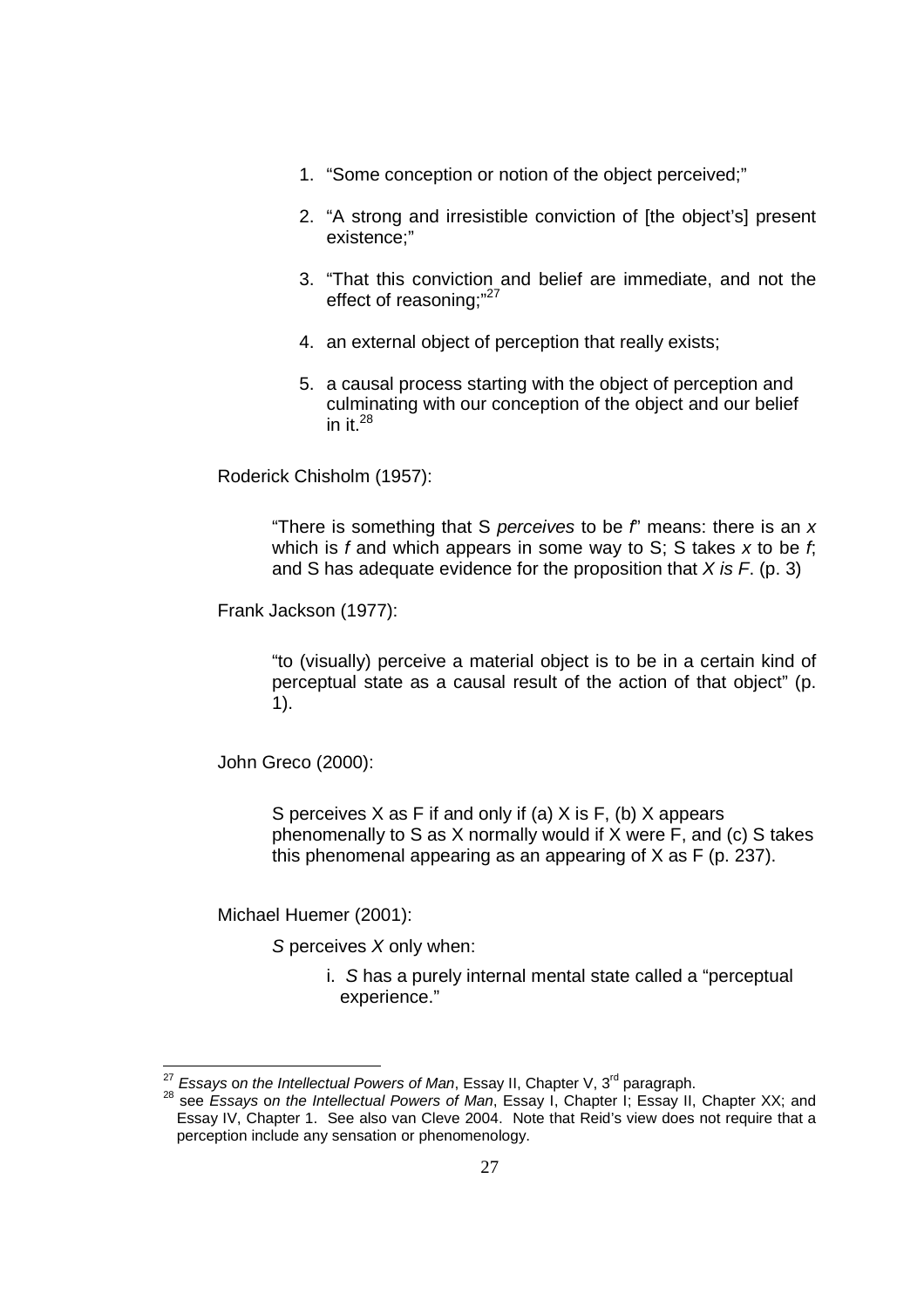- 1. "Some conception or notion of the object perceived;"
- 2. "A strong and irresistible conviction of [the object's] present existence;"
- 3. "That this conviction and belief are immediate, and not the effect of reasoning:"27
- 4. an external object of perception that really exists;
- 5. a causal process starting with the object of perception and culminating with our conception of the object and our belief in it. $^{28}$

Roderick Chisholm (1957):

"There is something that S perceives to be  $f'$  means: there is an  $x$ which is f and which appears in some way to S; S takes x to be f; and S has adequate evidence for the proposition that  $X$  is  $F$ . (p. 3)

Frank Jackson (1977):

"to (visually) perceive a material object is to be in a certain kind of perceptual state as a causal result of the action of that object" (p. 1).

John Greco (2000):

S perceives X as F if and only if (a) X is F, (b) X appears phenomenally to S as X normally would if X were F, and (c) S takes this phenomenal appearing as an appearing of X as F (p. 237).

Michael Huemer (2001):

l

S perceives X only when:

i. S has a purely internal mental state called a "perceptual experience."

 $^{27}$  Essays on the Intellectual Powers of Man, Essay II, Chapter V, 3<sup>rd</sup> paragraph.

<sup>&</sup>lt;sup>28</sup> see *Essays on the Intellectual Powers of Man*, Essay I, Chapter V, 5 Paragraph.<br><sup>28</sup> see *Essays on the Intellectual Powers of Man*, Essay I, Chapter I; Essay II, Chapter XX; and Essay IV, Chapter 1. See also van Cleve 2004. Note that Reid's view does not require that a perception include any sensation or phenomenology.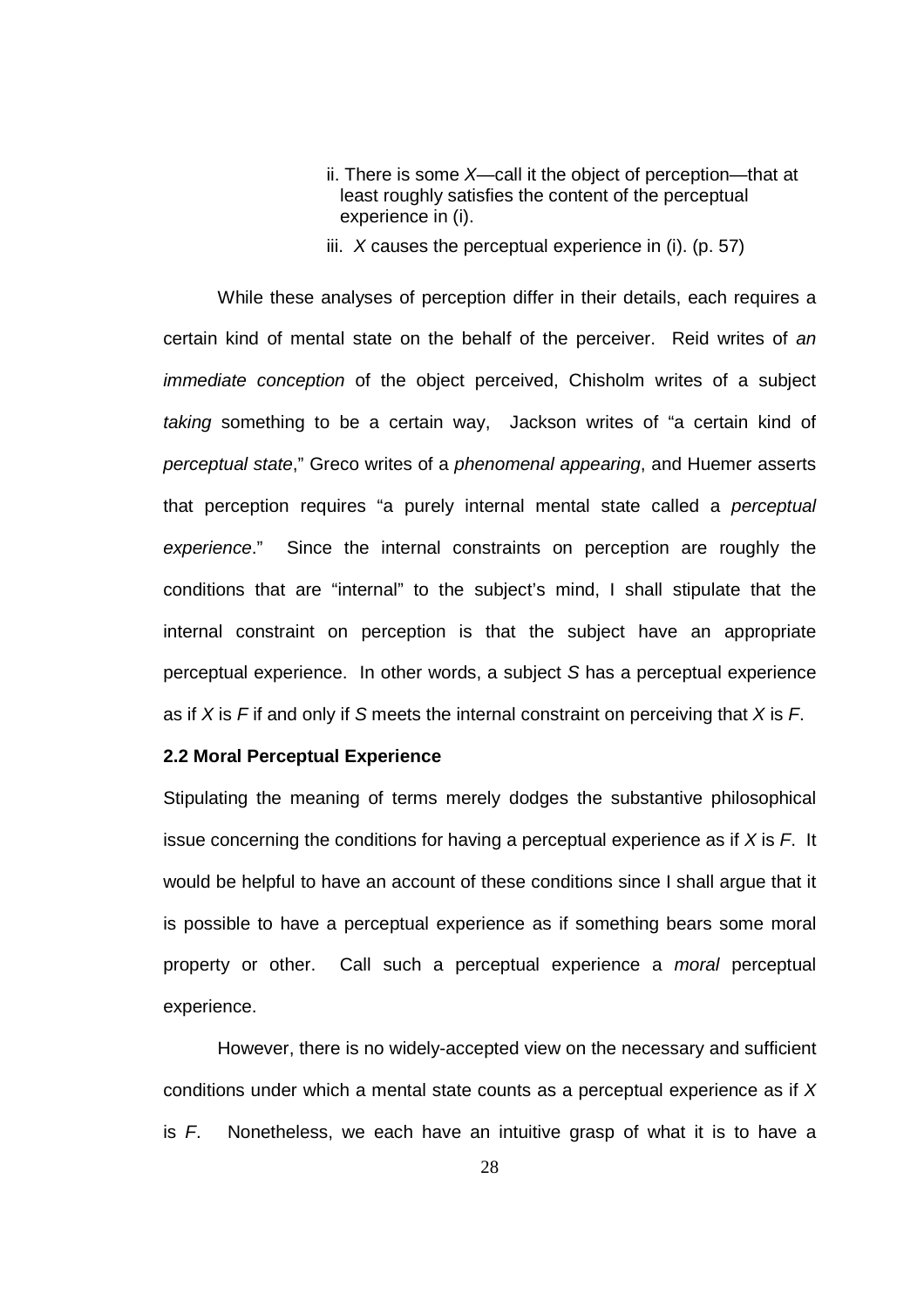- ii. There is some  $X$ —call it the object of perception—that at least roughly satisfies the content of the perceptual experience in (i).
- iii.  $X$  causes the perceptual experience in (i). (p. 57)

While these analyses of perception differ in their details, each requires a certain kind of mental state on the behalf of the perceiver. Reid writes of an immediate conception of the object perceived, Chisholm writes of a subject taking something to be a certain way, Jackson writes of "a certain kind of perceptual state," Greco writes of a phenomenal appearing, and Huemer asserts that perception requires "a purely internal mental state called a perceptual experience." Since the internal constraints on perception are roughly the conditions that are "internal" to the subject's mind, I shall stipulate that the internal constraint on perception is that the subject have an appropriate perceptual experience. In other words, a subject S has a perceptual experience as if X is F if and only if S meets the internal constraint on perceiving that X is F.

### **2.2 Moral Perceptual Experience**

Stipulating the meaning of terms merely dodges the substantive philosophical issue concerning the conditions for having a perceptual experience as if  $X$  is  $F$ . It would be helpful to have an account of these conditions since I shall argue that it is possible to have a perceptual experience as if something bears some moral property or other. Call such a perceptual experience a moral perceptual experience.

However, there is no widely-accepted view on the necessary and sufficient conditions under which a mental state counts as a perceptual experience as if X is  $F$ . Nonetheless, we each have an intuitive grasp of what it is to have a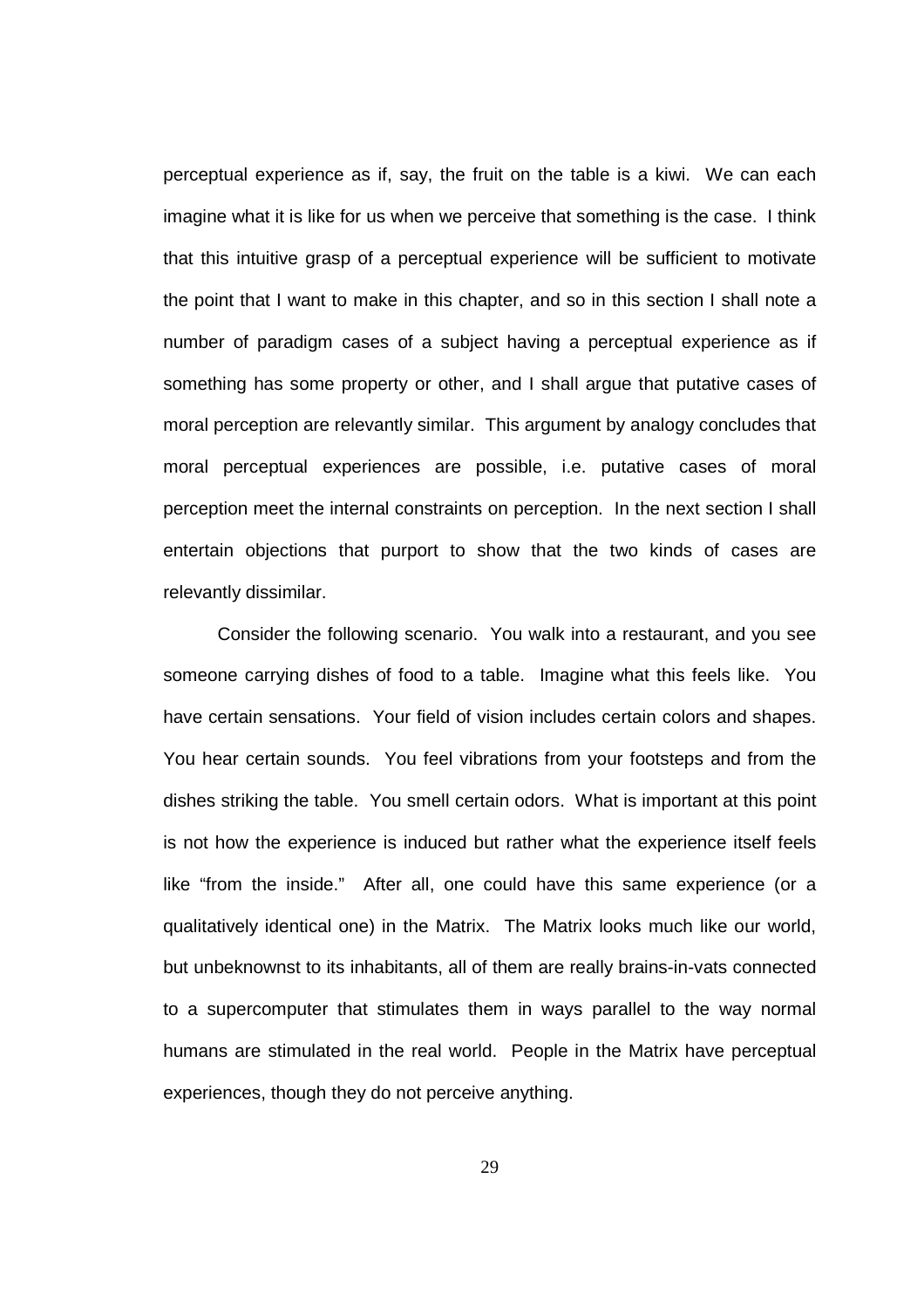perceptual experience as if, say, the fruit on the table is a kiwi. We can each imagine what it is like for us when we perceive that something is the case. I think that this intuitive grasp of a perceptual experience will be sufficient to motivate the point that I want to make in this chapter, and so in this section I shall note a number of paradigm cases of a subject having a perceptual experience as if something has some property or other, and I shall argue that putative cases of moral perception are relevantly similar. This argument by analogy concludes that moral perceptual experiences are possible, i.e. putative cases of moral perception meet the internal constraints on perception. In the next section I shall entertain objections that purport to show that the two kinds of cases are relevantly dissimilar.

 Consider the following scenario. You walk into a restaurant, and you see someone carrying dishes of food to a table. Imagine what this feels like. You have certain sensations. Your field of vision includes certain colors and shapes. You hear certain sounds. You feel vibrations from your footsteps and from the dishes striking the table. You smell certain odors. What is important at this point is not how the experience is induced but rather what the experience itself feels like "from the inside." After all, one could have this same experience (or a qualitatively identical one) in the Matrix. The Matrix looks much like our world, but unbeknownst to its inhabitants, all of them are really brains-in-vats connected to a supercomputer that stimulates them in ways parallel to the way normal humans are stimulated in the real world. People in the Matrix have perceptual experiences, though they do not perceive anything.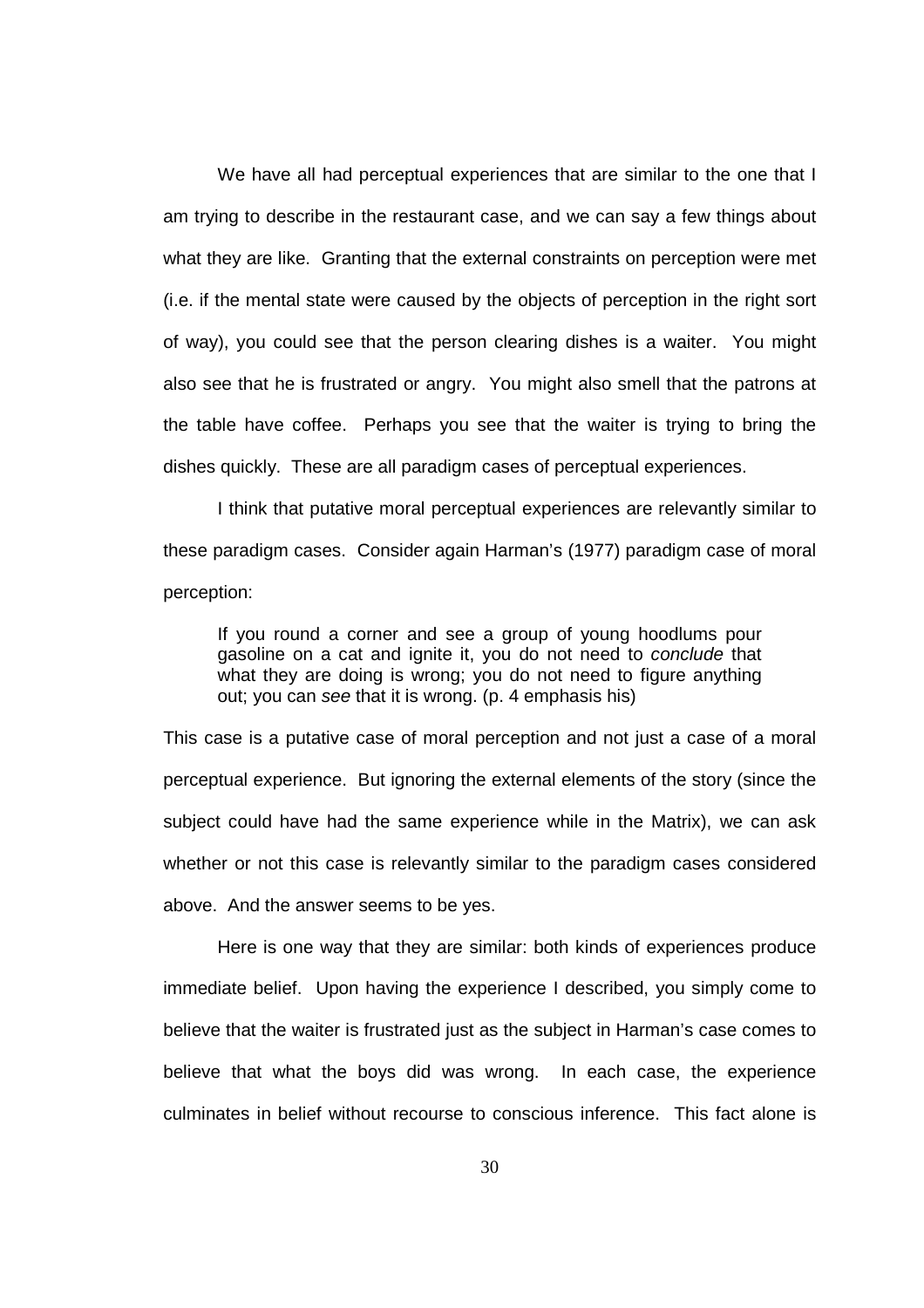We have all had perceptual experiences that are similar to the one that I am trying to describe in the restaurant case, and we can say a few things about what they are like. Granting that the external constraints on perception were met (i.e. if the mental state were caused by the objects of perception in the right sort of way), you could see that the person clearing dishes is a waiter. You might also see that he is frustrated or angry. You might also smell that the patrons at the table have coffee. Perhaps you see that the waiter is trying to bring the dishes quickly. These are all paradigm cases of perceptual experiences.

I think that putative moral perceptual experiences are relevantly similar to these paradigm cases. Consider again Harman's (1977) paradigm case of moral perception:

If you round a corner and see a group of young hoodlums pour gasoline on a cat and ignite it, you do not need to conclude that what they are doing is wrong; you do not need to figure anything out; you can see that it is wrong. (p. 4 emphasis his)

This case is a putative case of moral perception and not just a case of a moral perceptual experience. But ignoring the external elements of the story (since the subject could have had the same experience while in the Matrix), we can ask whether or not this case is relevantly similar to the paradigm cases considered above. And the answer seems to be yes.

Here is one way that they are similar: both kinds of experiences produce immediate belief. Upon having the experience I described, you simply come to believe that the waiter is frustrated just as the subject in Harman's case comes to believe that what the boys did was wrong. In each case, the experience culminates in belief without recourse to conscious inference. This fact alone is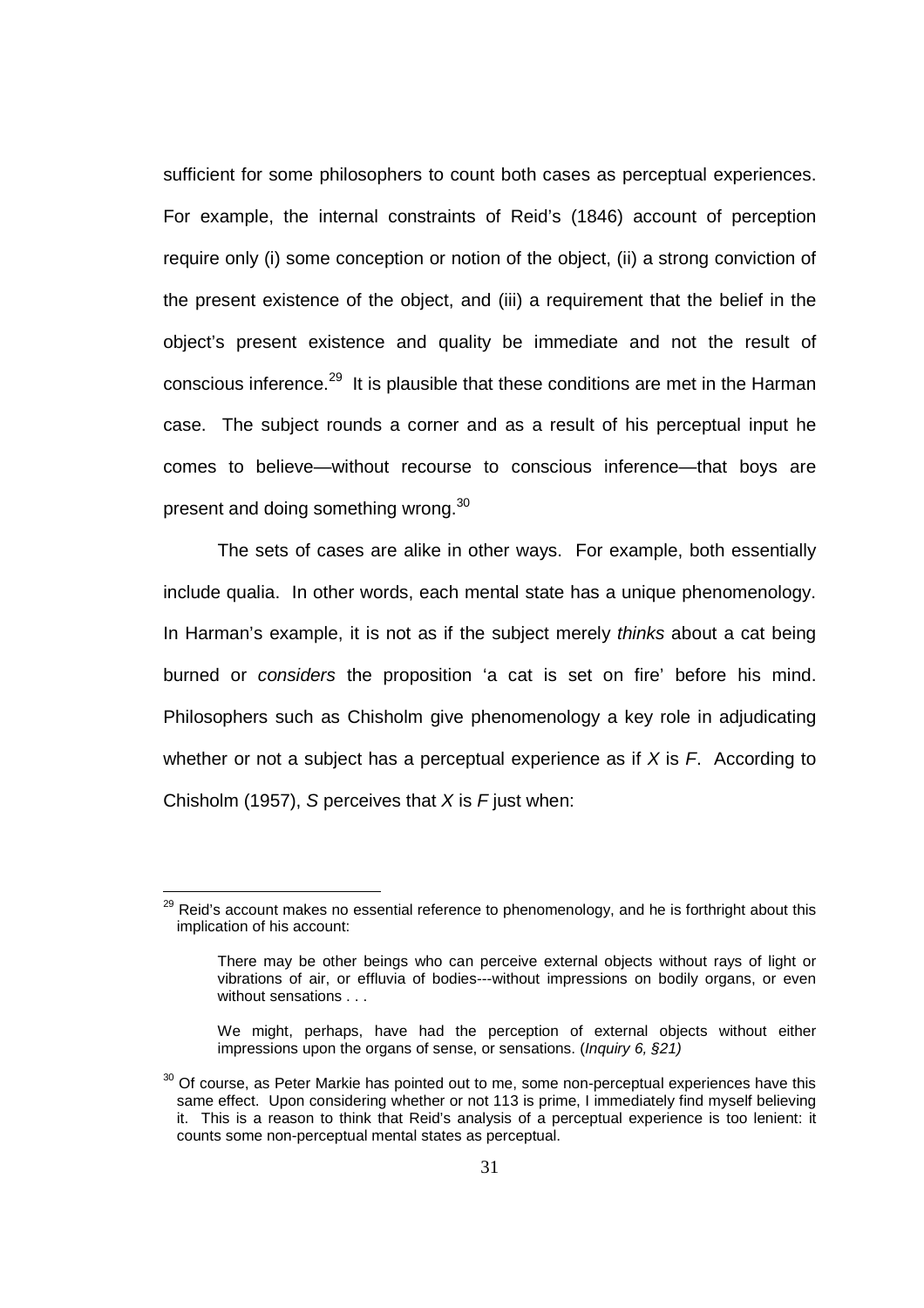sufficient for some philosophers to count both cases as perceptual experiences. For example, the internal constraints of Reid's (1846) account of perception require only (i) some conception or notion of the object, (ii) a strong conviction of the present existence of the object, and (iii) a requirement that the belief in the object's present existence and quality be immediate and not the result of conscious inference.<sup>29</sup> It is plausible that these conditions are met in the Harman case. The subject rounds a corner and as a result of his perceptual input he comes to believe—without recourse to conscious inference—that boys are present and doing something wrong.<sup>30</sup>

The sets of cases are alike in other ways. For example, both essentially include qualia. In other words, each mental state has a unique phenomenology. In Harman's example, it is not as if the subject merely thinks about a cat being burned or considers the proposition 'a cat is set on fire' before his mind. Philosophers such as Chisholm give phenomenology a key role in adjudicating whether or not a subject has a perceptual experience as if  $X$  is  $F$ . According to Chisholm (1957), S perceives that  $X$  is  $F$  just when:

l

 $^{29}$  Reid's account makes no essential reference to phenomenology, and he is forthright about this implication of his account:

There may be other beings who can perceive external objects without rays of light or vibrations of air, or effluvia of bodies---without impressions on bodily organs, or even without sensations . . .

We might, perhaps, have had the perception of external objects without either impressions upon the organs of sense, or sensations. (*Inquiry 6, §21)* 

 $30$  Of course, as Peter Markie has pointed out to me, some non-perceptual experiences have this same effect. Upon considering whether or not 113 is prime, I immediately find myself believing it. This is a reason to think that Reid's analysis of a perceptual experience is too lenient: it counts some non-perceptual mental states as perceptual.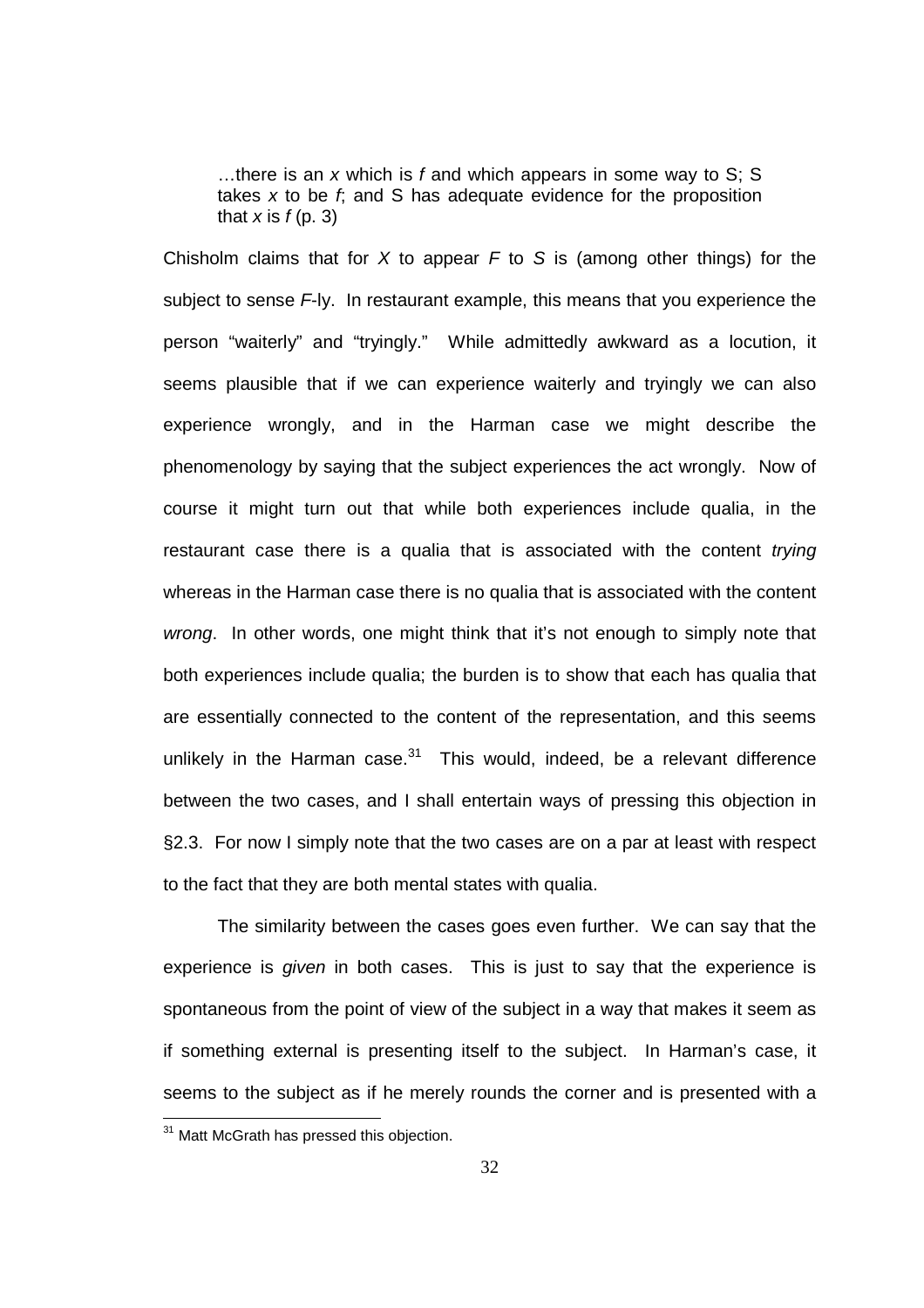...there is an x which is f and which appears in some way to  $S$ : S takes  $x$  to be  $f$ , and  $S$  has adequate evidence for the proposition that  $x$  is  $f(p. 3)$ 

Chisholm claims that for X to appear  $F$  to S is (among other things) for the subject to sense F-ly. In restaurant example, this means that you experience the person "waiterly" and "tryingly." While admittedly awkward as a locution, it seems plausible that if we can experience waiterly and tryingly we can also experience wrongly, and in the Harman case we might describe the phenomenology by saying that the subject experiences the act wrongly. Now of course it might turn out that while both experiences include qualia, in the restaurant case there is a qualia that is associated with the content trying whereas in the Harman case there is no qualia that is associated with the content wrong. In other words, one might think that it's not enough to simply note that both experiences include qualia; the burden is to show that each has qualia that are essentially connected to the content of the representation, and this seems unlikely in the Harman case. $31$  This would, indeed, be a relevant difference between the two cases, and I shall entertain ways of pressing this objection in §2.3. For now I simply note that the two cases are on a par at least with respect to the fact that they are both mental states with qualia.

The similarity between the cases goes even further. We can say that the experience is given in both cases. This is just to say that the experience is spontaneous from the point of view of the subject in a way that makes it seem as if something external is presenting itself to the subject. In Harman's case, it seems to the subject as if he merely rounds the corner and is presented with a

<sup>&</sup>lt;sup>31</sup> Matt McGrath has pressed this objection.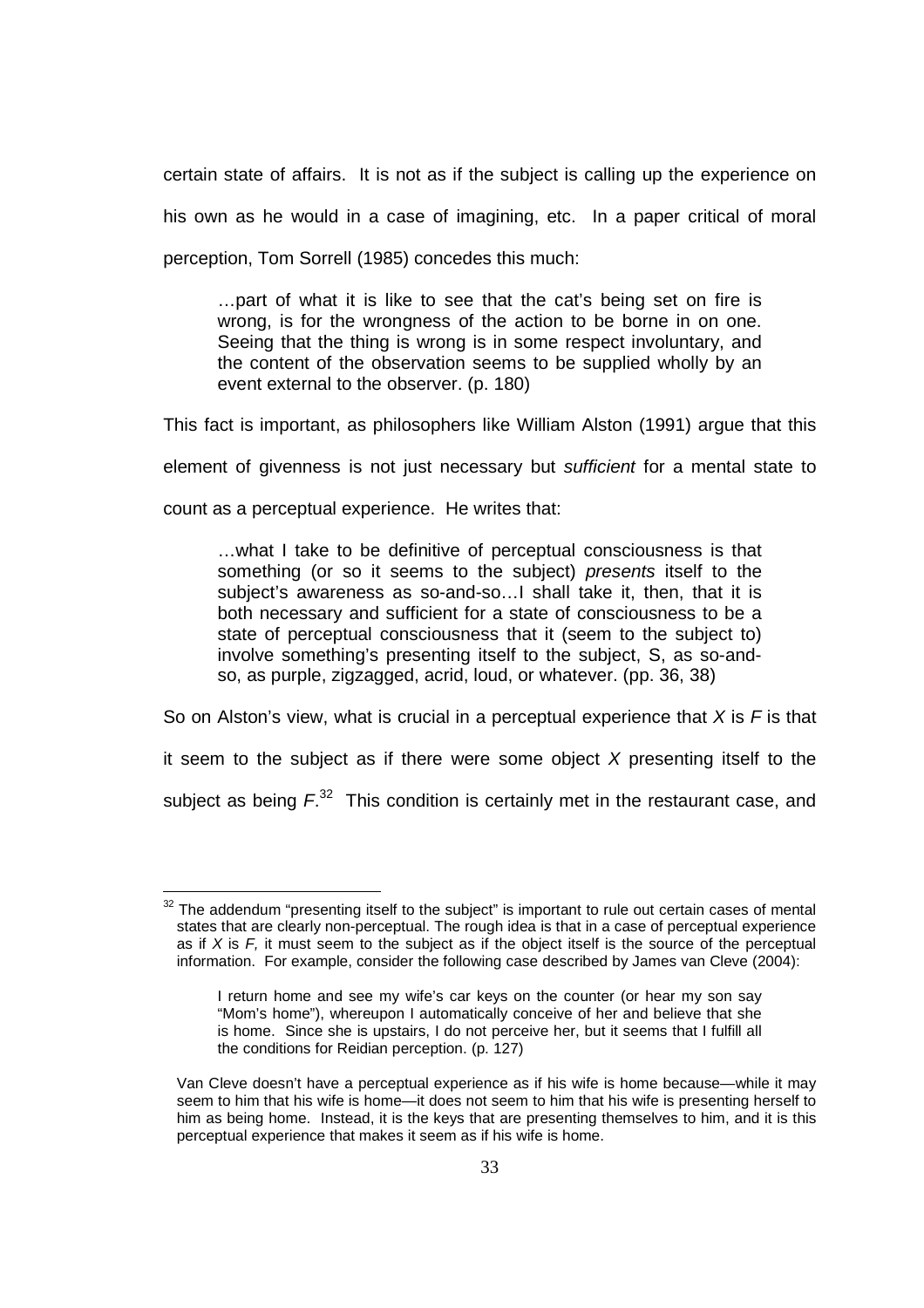certain state of affairs. It is not as if the subject is calling up the experience on his own as he would in a case of imagining, etc. In a paper critical of moral perception, Tom Sorrell (1985) concedes this much:

…part of what it is like to see that the cat's being set on fire is wrong, is for the wrongness of the action to be borne in on one. Seeing that the thing is wrong is in some respect involuntary, and the content of the observation seems to be supplied wholly by an event external to the observer. (p. 180)

This fact is important, as philosophers like William Alston (1991) argue that this

element of givenness is not just necessary but sufficient for a mental state to

count as a perceptual experience. He writes that:

…what I take to be definitive of perceptual consciousness is that something (or so it seems to the subject) *presents* itself to the subject's awareness as so-and-so…I shall take it, then, that it is both necessary and sufficient for a state of consciousness to be a state of perceptual consciousness that it (seem to the subject to) involve something's presenting itself to the subject, S, as so-andso, as purple, zigzagged, acrid, loud, or whatever. (pp. 36, 38)

So on Alston's view, what is crucial in a perceptual experience that  $X$  is  $F$  is that

it seem to the subject as if there were some object  $X$  presenting itself to the

subject as being  $F^{32}$  This condition is certainly met in the restaurant case, and

l  $32$  The addendum "presenting itself to the subject" is important to rule out certain cases of mental states that are clearly non-perceptual. The rough idea is that in a case of perceptual experience as if  $X$  is  $F$ , it must seem to the subject as if the object itself is the source of the perceptual information. For example, consider the following case described by James van Cleve (2004):

I return home and see my wife's car keys on the counter (or hear my son say "Mom's home"), whereupon I automatically conceive of her and believe that she is home. Since she is upstairs, I do not perceive her, but it seems that I fulfill all the conditions for Reidian perception. (p. 127)

Van Cleve doesn't have a perceptual experience as if his wife is home because—while it may seem to him that his wife is home—it does not seem to him that his wife is presenting herself to him as being home. Instead, it is the keys that are presenting themselves to him, and it is this perceptual experience that makes it seem as if his wife is home.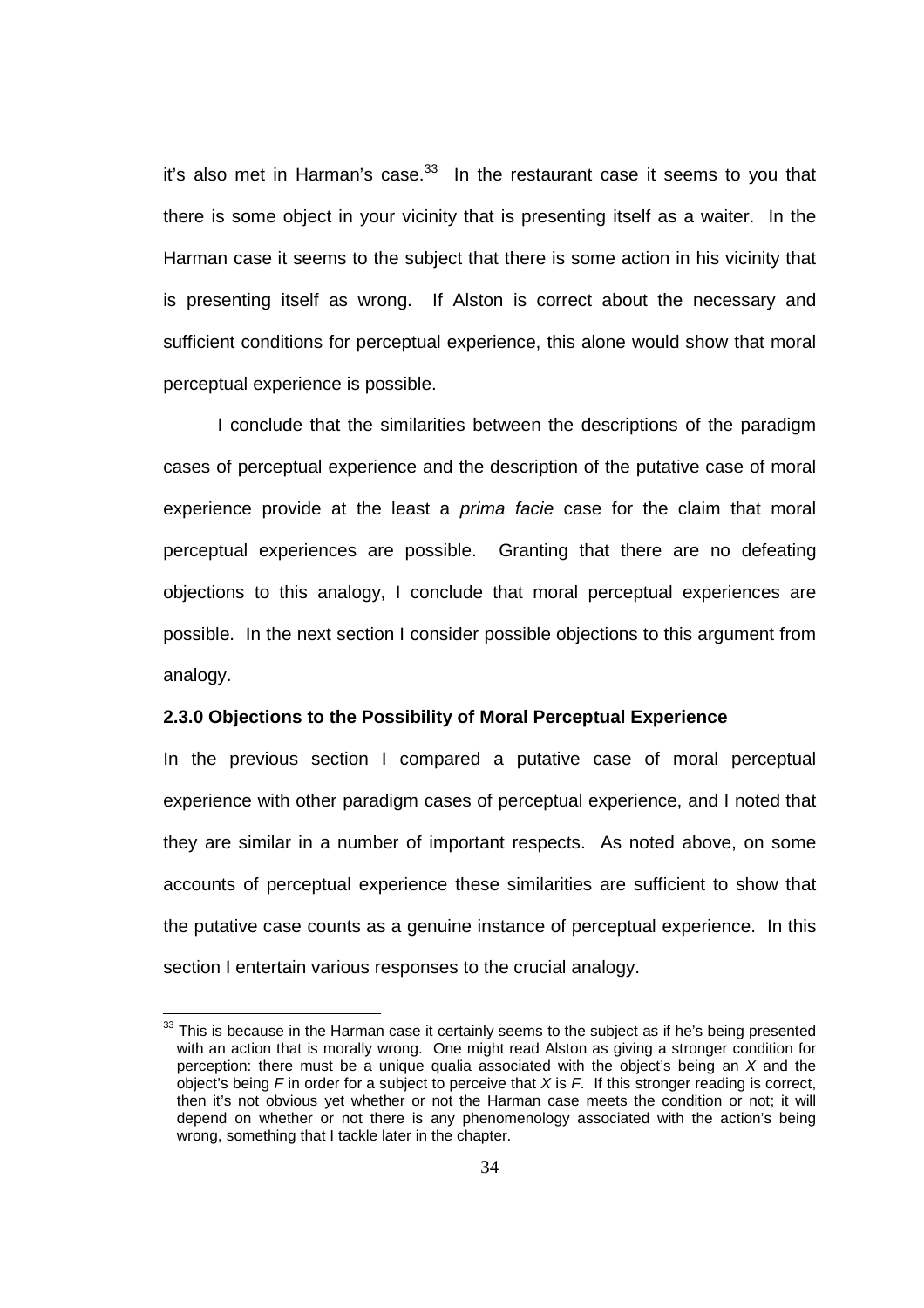it's also met in Harman's case. $33$  In the restaurant case it seems to you that there is some object in your vicinity that is presenting itself as a waiter. In the Harman case it seems to the subject that there is some action in his vicinity that is presenting itself as wrong. If Alston is correct about the necessary and sufficient conditions for perceptual experience, this alone would show that moral perceptual experience is possible.

 I conclude that the similarities between the descriptions of the paradigm cases of perceptual experience and the description of the putative case of moral experience provide at the least a *prima facie* case for the claim that moral perceptual experiences are possible. Granting that there are no defeating objections to this analogy, I conclude that moral perceptual experiences are possible. In the next section I consider possible objections to this argument from analogy.

#### **2.3.0 Objections to the Possibility of Moral Perceptual Experience**

In the previous section I compared a putative case of moral perceptual experience with other paradigm cases of perceptual experience, and I noted that they are similar in a number of important respects. As noted above, on some accounts of perceptual experience these similarities are sufficient to show that the putative case counts as a genuine instance of perceptual experience. In this section I entertain various responses to the crucial analogy.

 $33$  This is because in the Harman case it certainly seems to the subject as if he's being presented with an action that is morally wrong. One might read Alston as giving a stronger condition for perception: there must be a unique qualia associated with the object's being an X and the object's being  $F$  in order for a subject to perceive that  $X$  is  $F$ . If this stronger reading is correct, then it's not obvious yet whether or not the Harman case meets the condition or not; it will depend on whether or not there is any phenomenology associated with the action's being wrong, something that I tackle later in the chapter.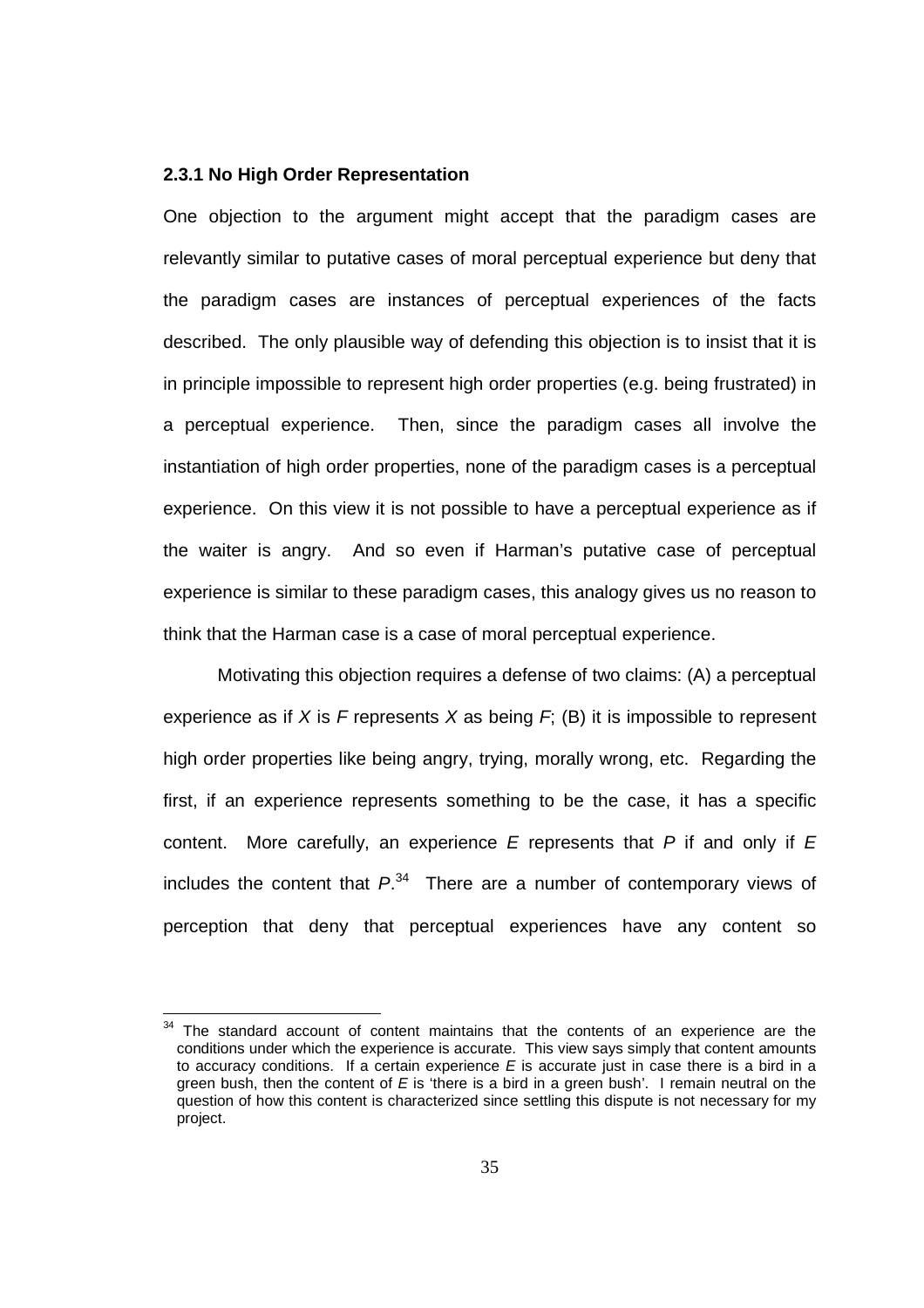### **2.3.1 No High Order Representation**

One objection to the argument might accept that the paradigm cases are relevantly similar to putative cases of moral perceptual experience but deny that the paradigm cases are instances of perceptual experiences of the facts described. The only plausible way of defending this objection is to insist that it is in principle impossible to represent high order properties (e.g. being frustrated) in a perceptual experience. Then, since the paradigm cases all involve the instantiation of high order properties, none of the paradigm cases is a perceptual experience. On this view it is not possible to have a perceptual experience as if the waiter is angry. And so even if Harman's putative case of perceptual experience is similar to these paradigm cases, this analogy gives us no reason to think that the Harman case is a case of moral perceptual experience.

Motivating this objection requires a defense of two claims: (A) a perceptual experience as if X is F represents X as being  $F$ ; (B) it is impossible to represent high order properties like being angry, trying, morally wrong, etc. Regarding the first, if an experience represents something to be the case, it has a specific content. More carefully, an experience  $E$  represents that  $P$  if and only if  $E$ includes the content that  $P^{34}$  There are a number of contemporary views of perception that deny that perceptual experiences have any content so

 $34$  The standard account of content maintains that the contents of an experience are the conditions under which the experience is accurate. This view says simply that content amounts to accuracy conditions. If a certain experience  $E$  is accurate just in case there is a bird in a green bush, then the content of  $E$  is 'there is a bird in a green bush'. I remain neutral on the question of how this content is characterized since settling this dispute is not necessary for my project.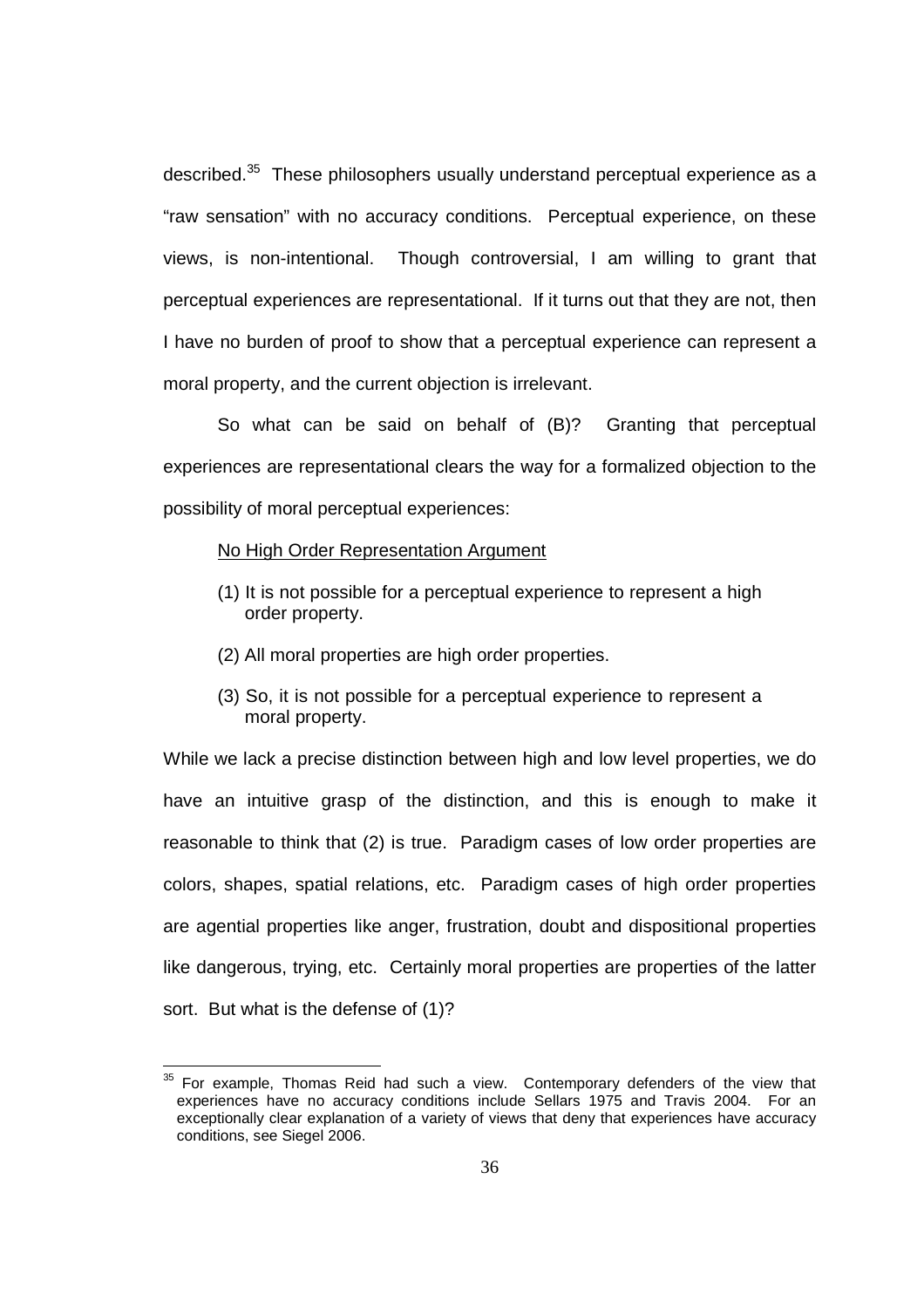described.<sup>35</sup> These philosophers usually understand perceptual experience as a "raw sensation" with no accuracy conditions. Perceptual experience, on these views, is non-intentional. Though controversial, I am willing to grant that perceptual experiences are representational. If it turns out that they are not, then I have no burden of proof to show that a perceptual experience can represent a moral property, and the current objection is irrelevant.

So what can be said on behalf of (B)? Granting that perceptual experiences are representational clears the way for a formalized objection to the possibility of moral perceptual experiences:

### No High Order Representation Argument

l

- (1) It is not possible for a perceptual experience to represent a high order property.
- (2) All moral properties are high order properties.
- (3) So, it is not possible for a perceptual experience to represent a moral property.

While we lack a precise distinction between high and low level properties, we do have an intuitive grasp of the distinction, and this is enough to make it reasonable to think that (2) is true. Paradigm cases of low order properties are colors, shapes, spatial relations, etc. Paradigm cases of high order properties are agential properties like anger, frustration, doubt and dispositional properties like dangerous, trying, etc. Certainly moral properties are properties of the latter sort. But what is the defense of (1)?

 $35$  For example, Thomas Reid had such a view. Contemporary defenders of the view that experiences have no accuracy conditions include Sellars 1975 and Travis 2004. For an exceptionally clear explanation of a variety of views that deny that experiences have accuracy conditions, see Siegel 2006.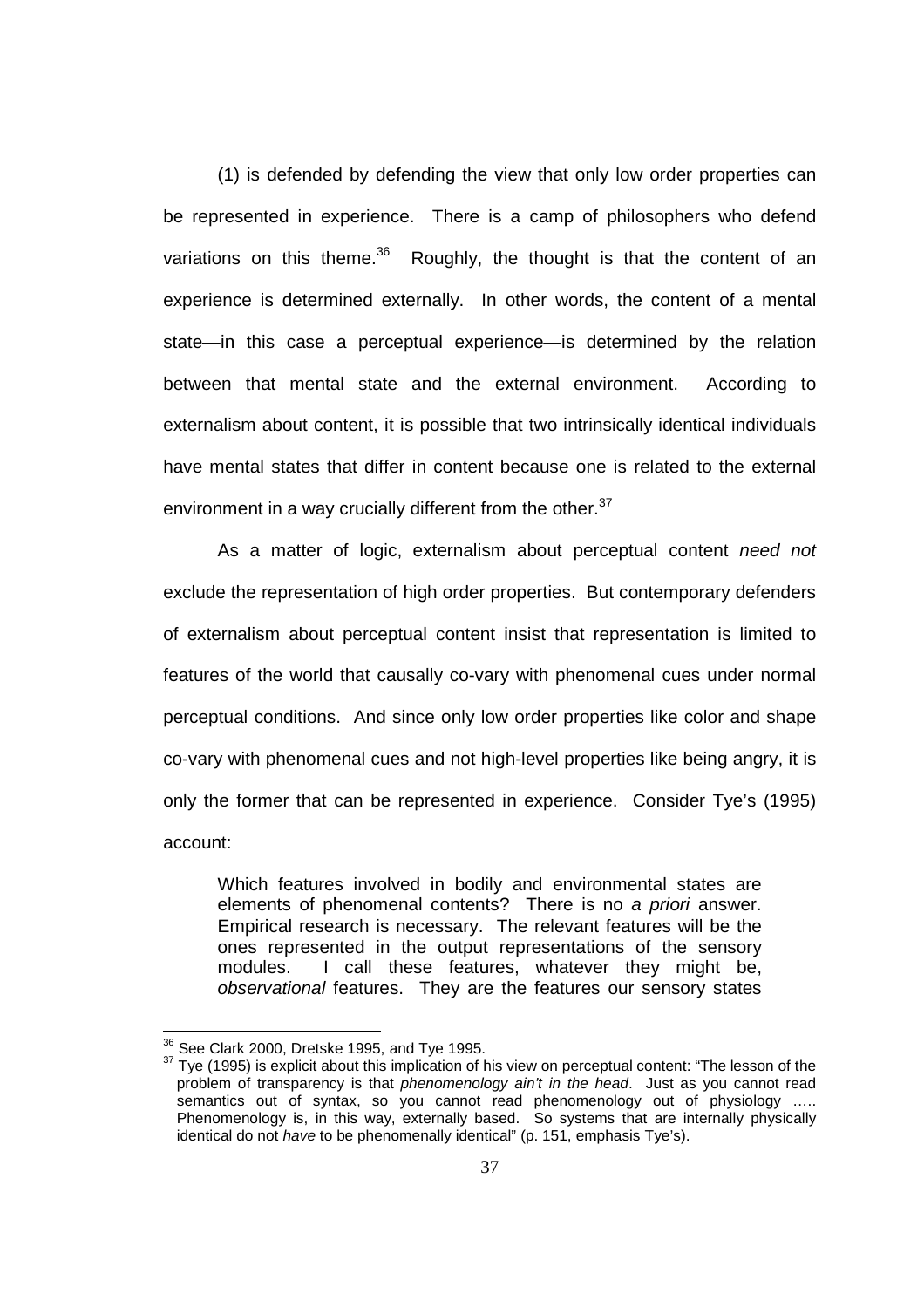(1) is defended by defending the view that only low order properties can be represented in experience. There is a camp of philosophers who defend variations on this theme. $36$  Roughly, the thought is that the content of an experience is determined externally. In other words, the content of a mental state—in this case a perceptual experience—is determined by the relation between that mental state and the external environment. According to externalism about content, it is possible that two intrinsically identical individuals have mental states that differ in content because one is related to the external environment in a way crucially different from the other. $37$ 

As a matter of logic, externalism about perceptual content need not exclude the representation of high order properties. But contemporary defenders of externalism about perceptual content insist that representation is limited to features of the world that causally co-vary with phenomenal cues under normal perceptual conditions. And since only low order properties like color and shape co-vary with phenomenal cues and not high-level properties like being angry, it is only the former that can be represented in experience. Consider Tye's (1995) account:

Which features involved in bodily and environmental states are elements of phenomenal contents? There is no a priori answer. Empirical research is necessary. The relevant features will be the ones represented in the output representations of the sensory modules. I call these features, whatever they might be, observational features. They are the features our sensory states

 $36$  See Clark 2000, Dretske 1995, and Tye 1995.

<sup>&</sup>lt;sup>37</sup> Tye (1995) is explicit about this implication of his view on perceptual content: "The lesson of the problem of transparency is that *phenomenology ain't in the head*. Just as you cannot read semantics out of syntax, so you cannot read phenomenology out of physiology ….. Phenomenology is, in this way, externally based. So systems that are internally physically identical do not have to be phenomenally identical" (p. 151, emphasis Tye's).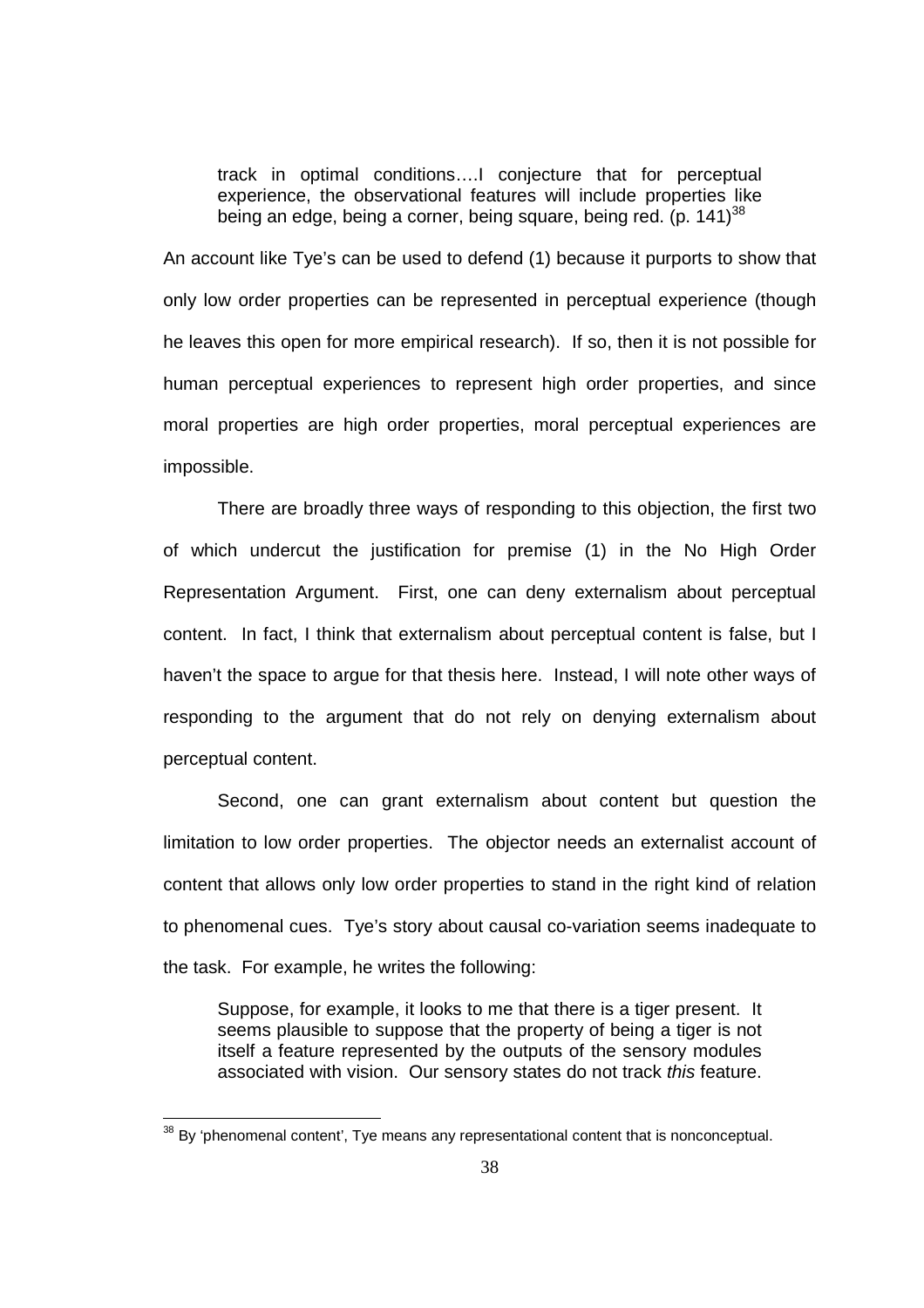track in optimal conditions….I conjecture that for perceptual experience, the observational features will include properties like being an edge, being a corner, being square, being red. (p.  $141$ )<sup>38</sup>

An account like Tye's can be used to defend (1) because it purports to show that only low order properties can be represented in perceptual experience (though he leaves this open for more empirical research). If so, then it is not possible for human perceptual experiences to represent high order properties, and since moral properties are high order properties, moral perceptual experiences are impossible.

There are broadly three ways of responding to this objection, the first two of which undercut the justification for premise (1) in the No High Order Representation Argument. First, one can deny externalism about perceptual content. In fact, I think that externalism about perceptual content is false, but I haven't the space to argue for that thesis here. Instead, I will note other ways of responding to the argument that do not rely on denying externalism about perceptual content.

Second, one can grant externalism about content but question the limitation to low order properties. The objector needs an externalist account of content that allows only low order properties to stand in the right kind of relation to phenomenal cues. Tye's story about causal co-variation seems inadequate to the task. For example, he writes the following:

Suppose, for example, it looks to me that there is a tiger present. It seems plausible to suppose that the property of being a tiger is not itself a feature represented by the outputs of the sensory modules associated with vision. Our sensory states do not track this feature.

 $38$  By 'phenomenal content', Tye means any representational content that is nonconceptual.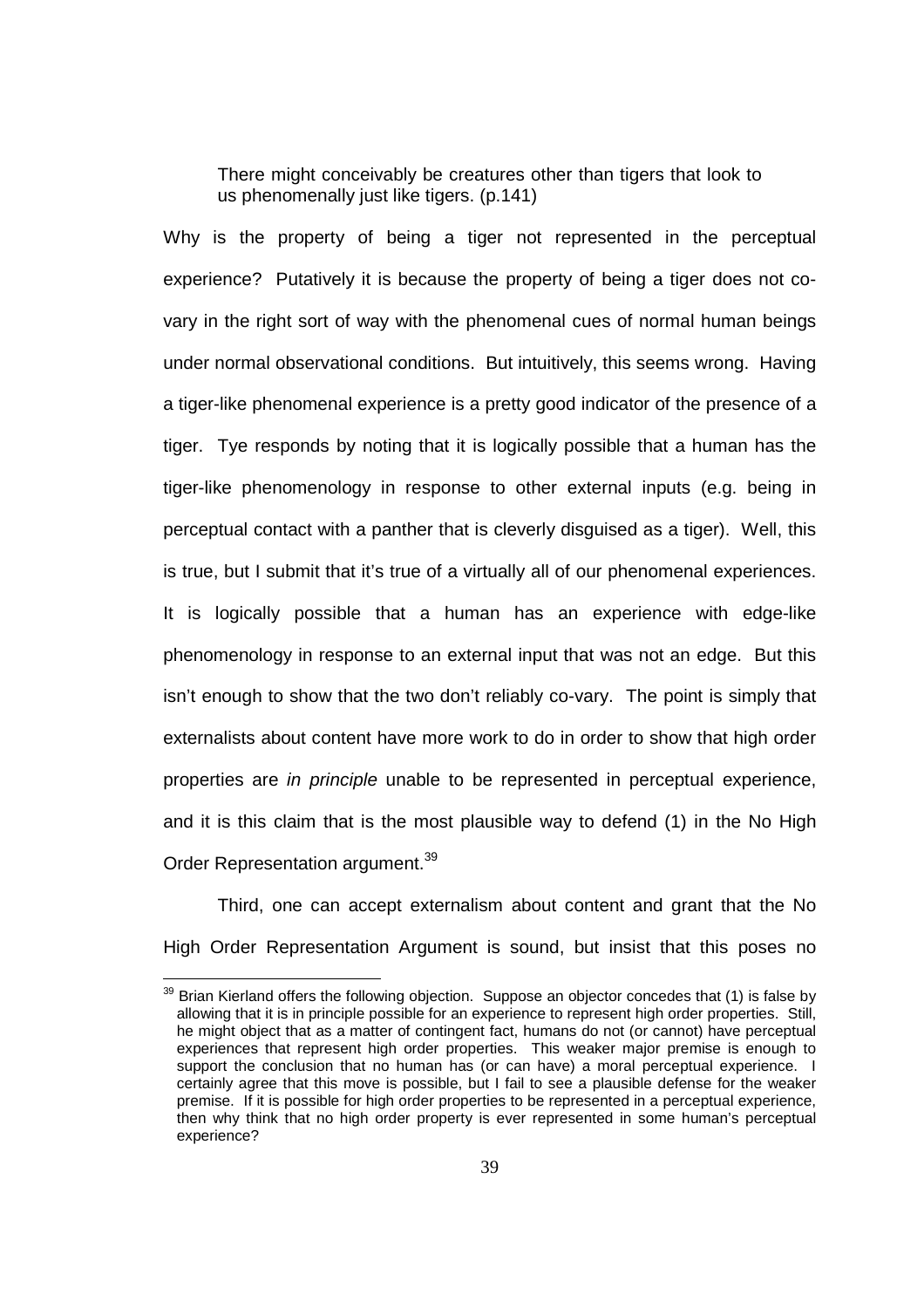There might conceivably be creatures other than tigers that look to us phenomenally just like tigers. (p.141)

Why is the property of being a tiger not represented in the perceptual experience? Putatively it is because the property of being a tiger does not covary in the right sort of way with the phenomenal cues of normal human beings under normal observational conditions. But intuitively, this seems wrong. Having a tiger-like phenomenal experience is a pretty good indicator of the presence of a tiger. Tye responds by noting that it is logically possible that a human has the tiger-like phenomenology in response to other external inputs (e.g. being in perceptual contact with a panther that is cleverly disguised as a tiger). Well, this is true, but I submit that it's true of a virtually all of our phenomenal experiences. It is logically possible that a human has an experience with edge-like phenomenology in response to an external input that was not an edge. But this isn't enough to show that the two don't reliably co-vary. The point is simply that externalists about content have more work to do in order to show that high order properties are in principle unable to be represented in perceptual experience, and it is this claim that is the most plausible way to defend (1) in the No High Order Representation argument.<sup>39</sup>

Third, one can accept externalism about content and grant that the No High Order Representation Argument is sound, but insist that this poses no

l

 $39$  Brian Kierland offers the following objection. Suppose an objector concedes that (1) is false by allowing that it is in principle possible for an experience to represent high order properties. Still, he might object that as a matter of contingent fact, humans do not (or cannot) have perceptual experiences that represent high order properties. This weaker major premise is enough to support the conclusion that no human has (or can have) a moral perceptual experience. I certainly agree that this move is possible, but I fail to see a plausible defense for the weaker premise. If it is possible for high order properties to be represented in a perceptual experience, then why think that no high order property is ever represented in some human's perceptual experience?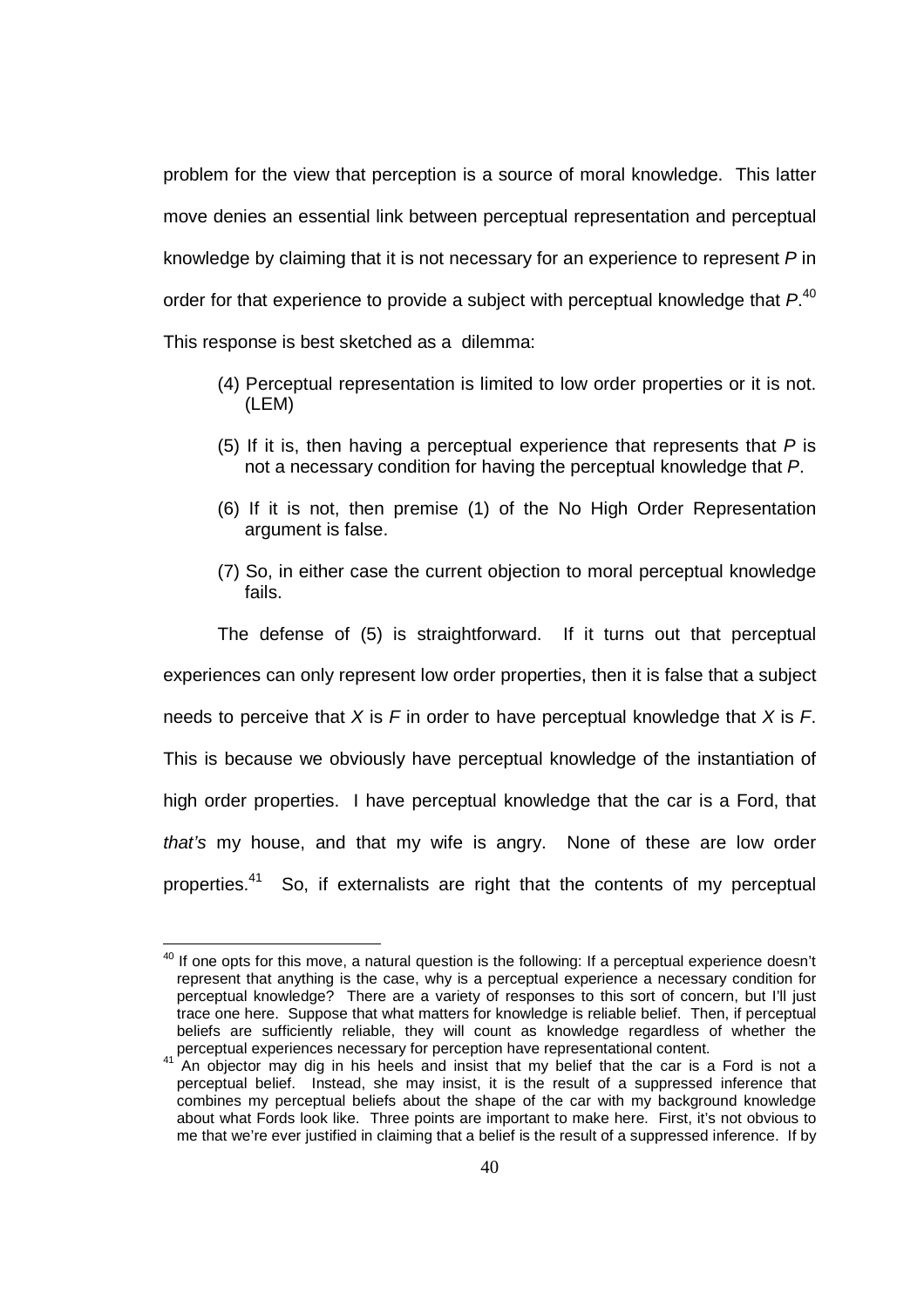problem for the view that perception is a source of moral knowledge. This latter move denies an essential link between perceptual representation and perceptual knowledge by claiming that it is not necessary for an experience to represent P in order for that experience to provide a subject with perceptual knowledge that  $P^{40}$ This response is best sketched as a dilemma:

- (4) Perceptual representation is limited to low order properties or it is not. (LEM)
- (5) If it is, then having a perceptual experience that represents that  $P$  is not a necessary condition for having the perceptual knowledge that P.
- (6) If it is not, then premise (1) of the No High Order Representation argument is false.
- (7) So, in either case the current objection to moral perceptual knowledge fails.

The defense of (5) is straightforward. If it turns out that perceptual experiences can only represent low order properties, then it is false that a subject needs to perceive that  $X$  is  $F$  in order to have perceptual knowledge that  $X$  is  $F$ . This is because we obviously have perceptual knowledge of the instantiation of high order properties. I have perceptual knowledge that the car is a Ford, that that's my house, and that my wife is angry. None of these are low order properties.<sup>41</sup> So, if externalists are right that the contents of my perceptual

l

 $40$  If one opts for this move, a natural question is the following: If a perceptual experience doesn't represent that anything is the case, why is a perceptual experience a necessary condition for perceptual knowledge? There are a variety of responses to this sort of concern, but I'll just trace one here. Suppose that what matters for knowledge is reliable belief. Then, if perceptual beliefs are sufficiently reliable, they will count as knowledge regardless of whether the perceptual experiences necessary for perception have representational content.

An objector may dig in his heels and insist that my belief that the car is a Ford is not a perceptual belief. Instead, she may insist, it is the result of a suppressed inference that combines my perceptual beliefs about the shape of the car with my background knowledge about what Fords look like. Three points are important to make here. First, it's not obvious to me that we're ever justified in claiming that a belief is the result of a suppressed inference. If by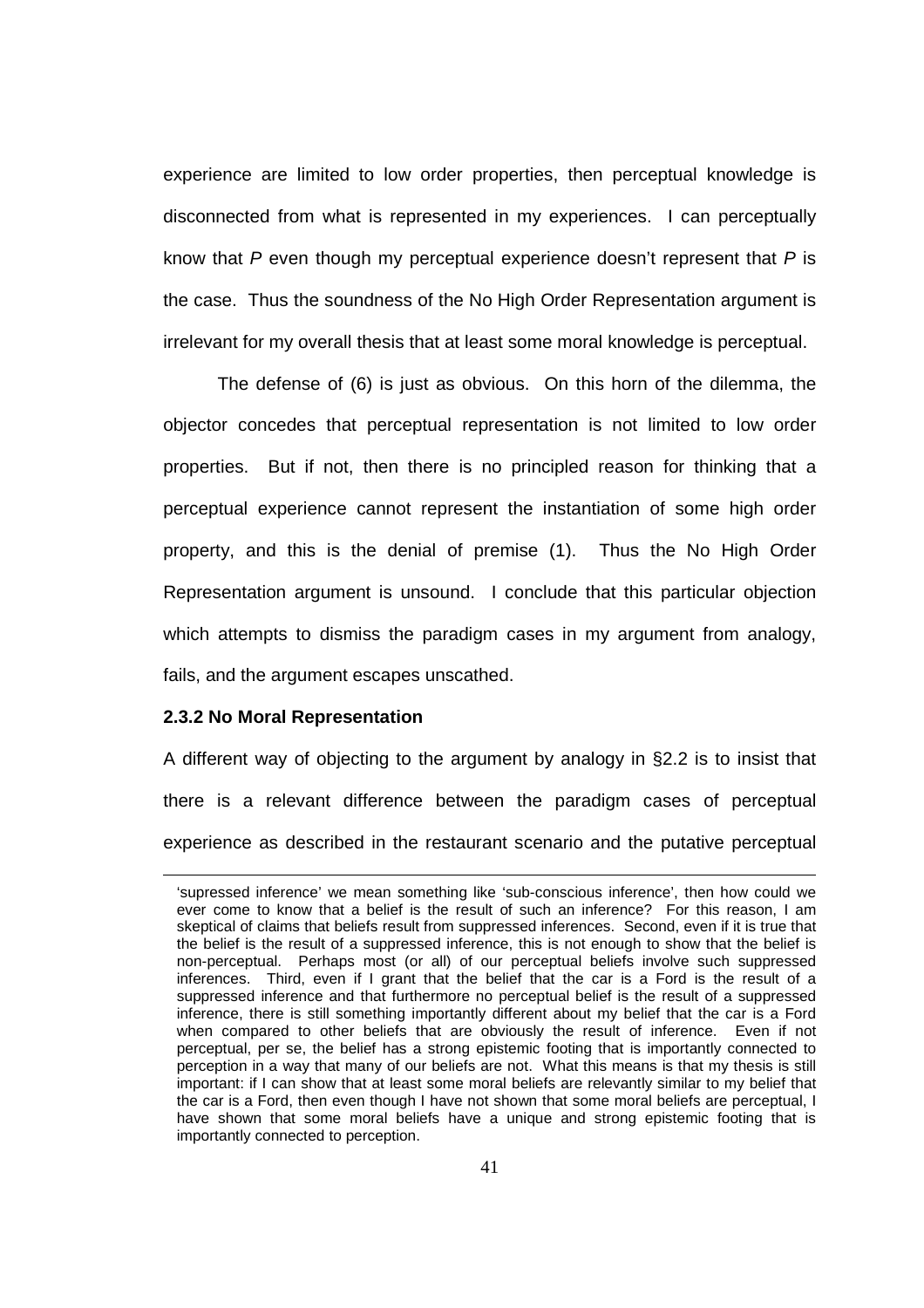experience are limited to low order properties, then perceptual knowledge is disconnected from what is represented in my experiences. I can perceptually know that  $P$  even though my perceptual experience doesn't represent that  $P$  is the case. Thus the soundness of the No High Order Representation argument is irrelevant for my overall thesis that at least some moral knowledge is perceptual.

The defense of (6) is just as obvious. On this horn of the dilemma, the objector concedes that perceptual representation is not limited to low order properties. But if not, then there is no principled reason for thinking that a perceptual experience cannot represent the instantiation of some high order property, and this is the denial of premise (1). Thus the No High Order Representation argument is unsound. I conclude that this particular objection which attempts to dismiss the paradigm cases in my argument from analogy, fails, and the argument escapes unscathed.

### **2.3.2 No Moral Representation**

 $\overline{a}$ 

A different way of objecting to the argument by analogy in §2.2 is to insist that there is a relevant difference between the paradigm cases of perceptual experience as described in the restaurant scenario and the putative perceptual

<sup>&#</sup>x27;supressed inference' we mean something like 'sub-conscious inference', then how could we ever come to know that a belief is the result of such an inference? For this reason, I am skeptical of claims that beliefs result from suppressed inferences. Second, even if it is true that the belief is the result of a suppressed inference, this is not enough to show that the belief is non-perceptual. Perhaps most (or all) of our perceptual beliefs involve such suppressed inferences. Third, even if I grant that the belief that the car is a Ford is the result of a suppressed inference and that furthermore no perceptual belief is the result of a suppressed inference, there is still something importantly different about my belief that the car is a Ford when compared to other beliefs that are obviously the result of inference. Even if not perceptual, per se, the belief has a strong epistemic footing that is importantly connected to perception in a way that many of our beliefs are not. What this means is that my thesis is still important: if I can show that at least some moral beliefs are relevantly similar to my belief that the car is a Ford, then even though I have not shown that some moral beliefs are perceptual, I have shown that some moral beliefs have a unique and strong epistemic footing that is importantly connected to perception.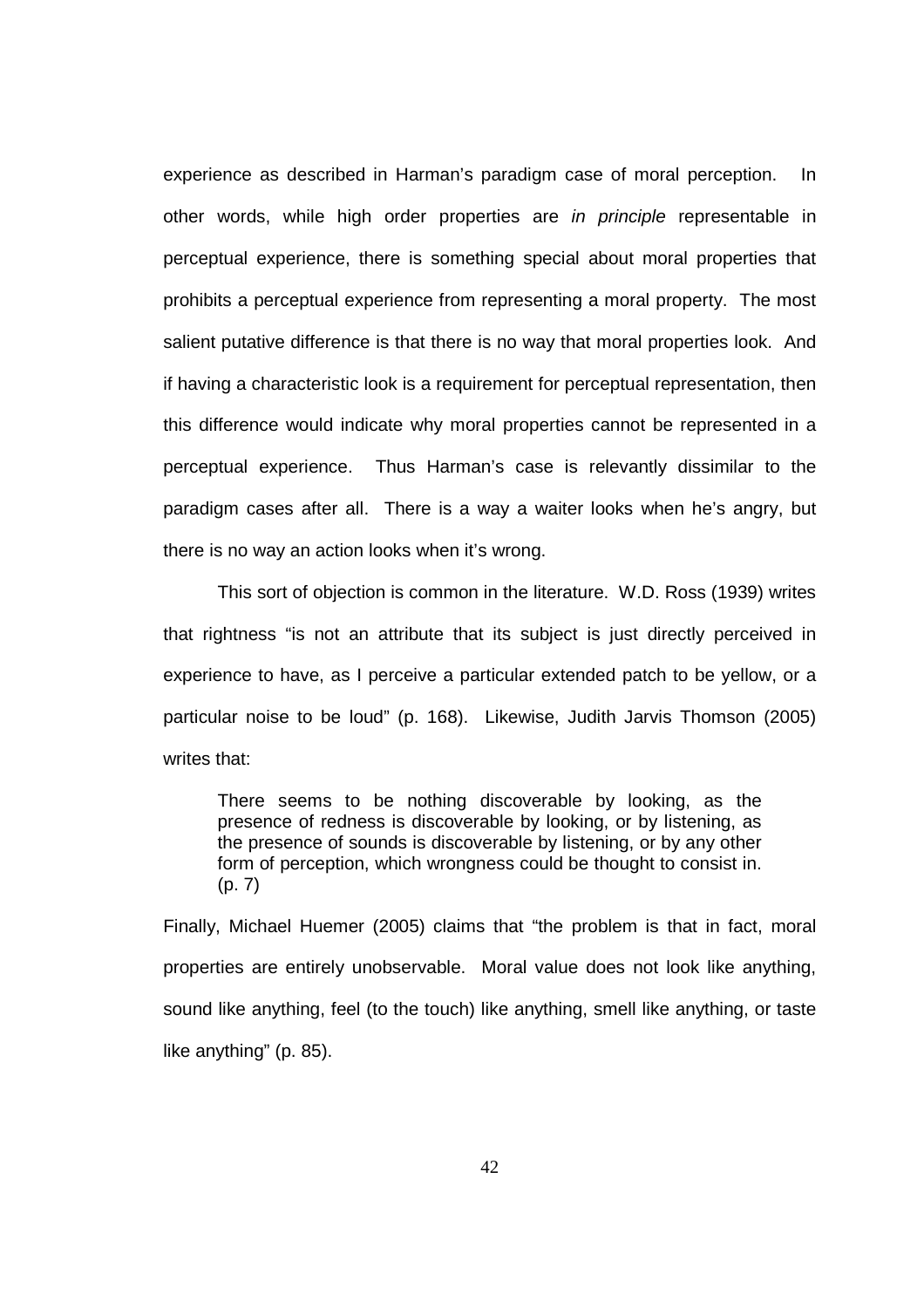experience as described in Harman's paradigm case of moral perception. In other words, while high order properties are in principle representable in perceptual experience, there is something special about moral properties that prohibits a perceptual experience from representing a moral property. The most salient putative difference is that there is no way that moral properties look. And if having a characteristic look is a requirement for perceptual representation, then this difference would indicate why moral properties cannot be represented in a perceptual experience. Thus Harman's case is relevantly dissimilar to the paradigm cases after all. There is a way a waiter looks when he's angry, but there is no way an action looks when it's wrong.

This sort of objection is common in the literature. W.D. Ross (1939) writes that rightness "is not an attribute that its subject is just directly perceived in experience to have, as I perceive a particular extended patch to be yellow, or a particular noise to be loud" (p. 168). Likewise, Judith Jarvis Thomson (2005) writes that:

There seems to be nothing discoverable by looking, as the presence of redness is discoverable by looking, or by listening, as the presence of sounds is discoverable by listening, or by any other form of perception, which wrongness could be thought to consist in. (p. 7)

Finally, Michael Huemer (2005) claims that "the problem is that in fact, moral properties are entirely unobservable. Moral value does not look like anything, sound like anything, feel (to the touch) like anything, smell like anything, or taste like anything" (p. 85).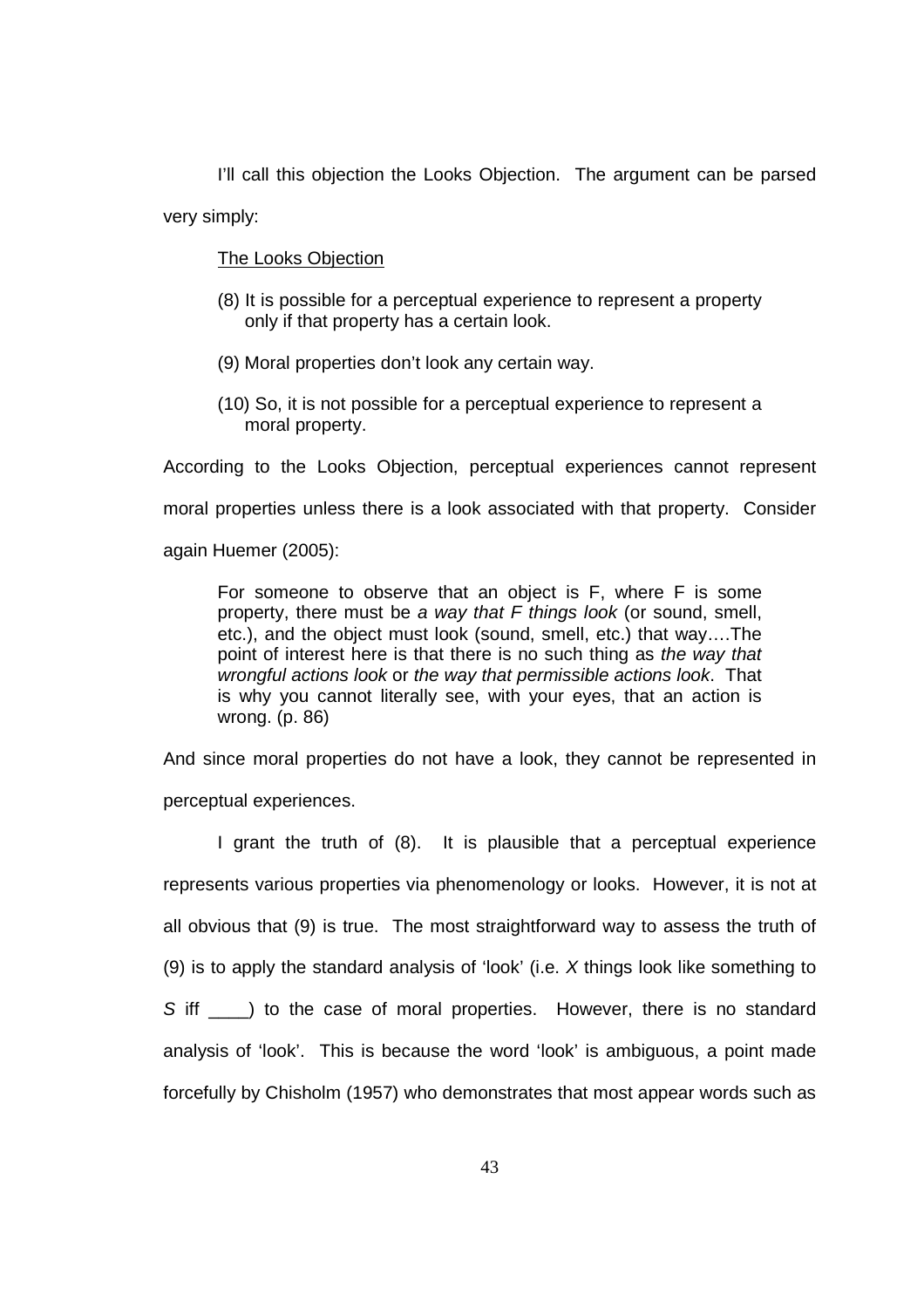I'll call this objection the Looks Objection. The argument can be parsed very simply:

The Looks Objection

- (8) It is possible for a perceptual experience to represent a property only if that property has a certain look.
- (9) Moral properties don't look any certain way.
- (10) So, it is not possible for a perceptual experience to represent a moral property.

According to the Looks Objection, perceptual experiences cannot represent

moral properties unless there is a look associated with that property. Consider

again Huemer (2005):

For someone to observe that an object is F, where F is some property, there must be a way that F things look (or sound, smell, etc.), and the object must look (sound, smell, etc.) that way….The point of interest here is that there is no such thing as the way that wrongful actions look or the way that permissible actions look. That is why you cannot literally see, with your eyes, that an action is wrong. (p. 86)

And since moral properties do not have a look, they cannot be represented in perceptual experiences.

I grant the truth of (8). It is plausible that a perceptual experience represents various properties via phenomenology or looks. However, it is not at all obvious that (9) is true. The most straightforward way to assess the truth of (9) is to apply the standard analysis of 'look' (i.e. X things look like something to S iff  $\Box$ ) to the case of moral properties. However, there is no standard analysis of 'look'. This is because the word 'look' is ambiguous, a point made forcefully by Chisholm (1957) who demonstrates that most appear words such as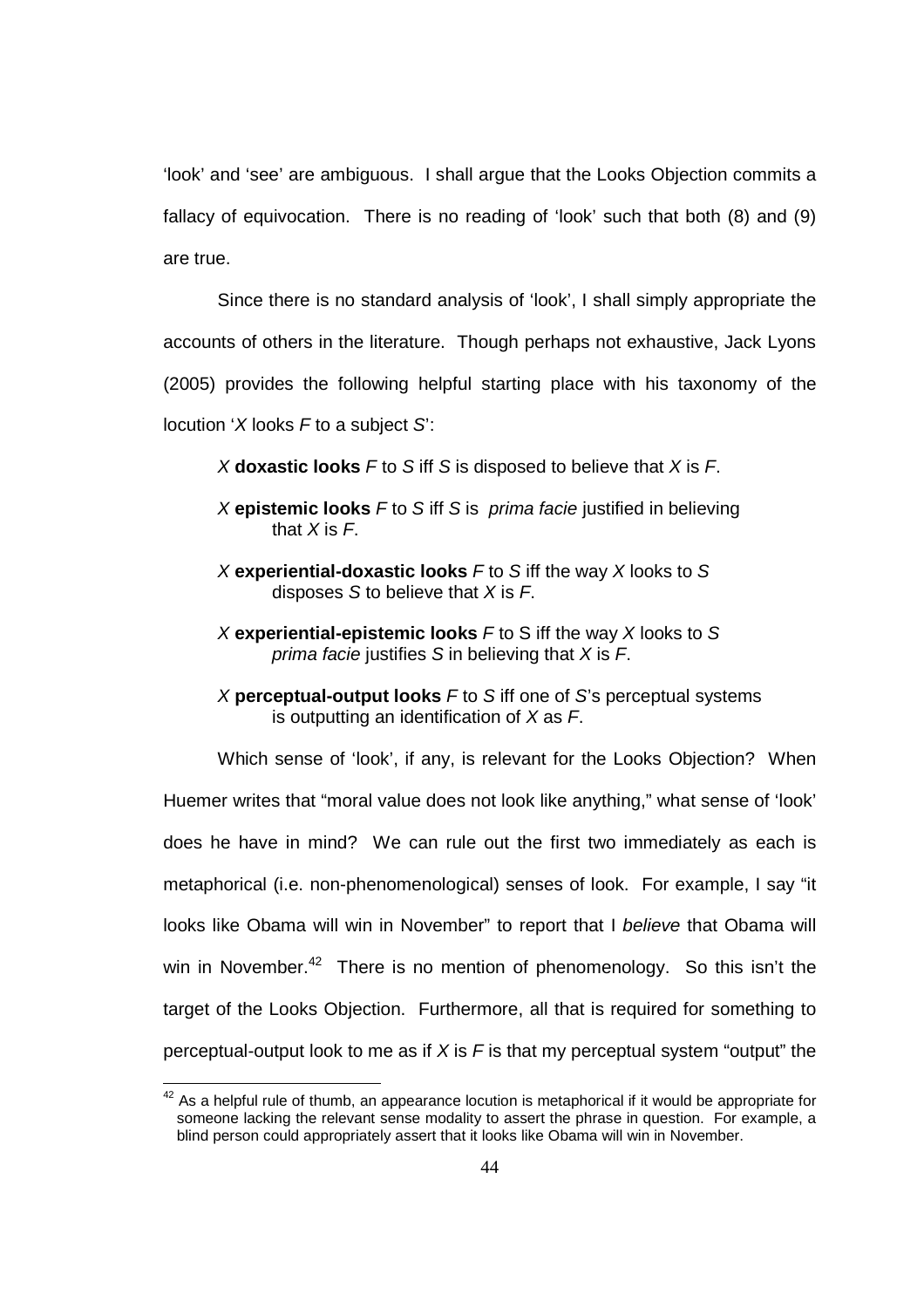'look' and 'see' are ambiguous. I shall argue that the Looks Objection commits a fallacy of equivocation. There is no reading of 'look' such that both (8) and (9) are true.

Since there is no standard analysis of 'look', I shall simply appropriate the accounts of others in the literature. Though perhaps not exhaustive, Jack Lyons (2005) provides the following helpful starting place with his taxonomy of the locution 'X looks  $F$  to a subject  $S$ :

X **doxastic looks** F to S iff S is disposed to believe that X is F.

- X **epistemic looks** F to S iff S is prima facie justified in believing that  $X$  is  $F$ .
- X **experiential-doxastic looks** F to S iff the way X looks to S disposes S to believe that  $X$  is  $F$ .
- X **experiential-epistemic looks** F to S iff the way X looks to S prima facie justifies  $S$  in believing that  $X$  is  $F$ .
- X **perceptual-output looks** F to S iff one of S's perceptual systems is outputting an identification of  $X$  as  $F$ .

 Which sense of 'look', if any, is relevant for the Looks Objection? When Huemer writes that "moral value does not look like anything," what sense of 'look' does he have in mind? We can rule out the first two immediately as each is metaphorical (i.e. non-phenomenological) senses of look. For example, I say "it looks like Obama will win in November" to report that I believe that Obama will win in November.<sup>42</sup> There is no mention of phenomenology. So this isn't the target of the Looks Objection. Furthermore, all that is required for something to perceptual-output look to me as if  $X$  is  $F$  is that my perceptual system "output" the

l

 $42$  As a helpful rule of thumb, an appearance locution is metaphorical if it would be appropriate for someone lacking the relevant sense modality to assert the phrase in question. For example, a blind person could appropriately assert that it looks like Obama will win in November.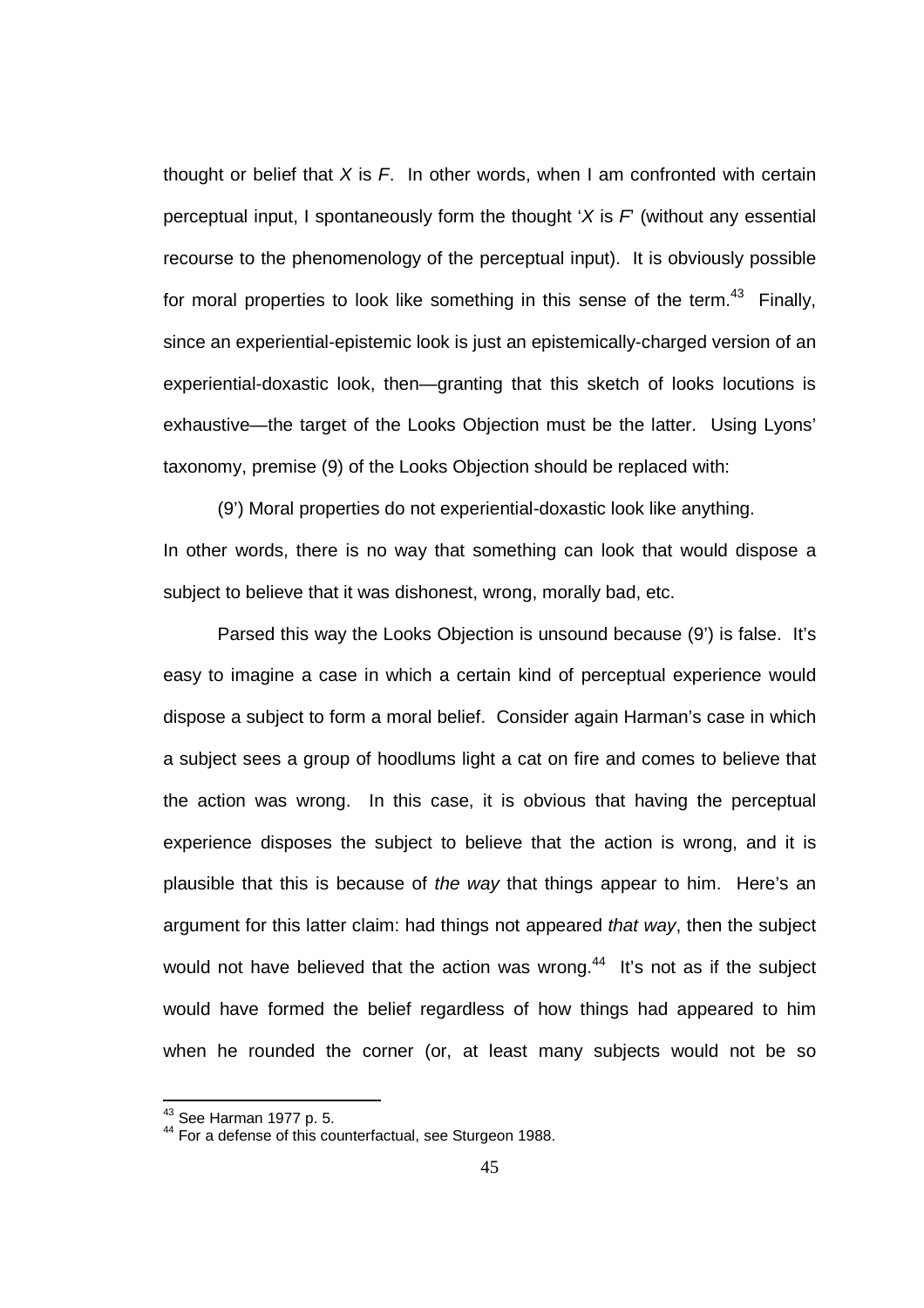thought or belief that  $X$  is  $F$ . In other words, when I am confronted with certain perceptual input, I spontaneously form the thought  $X$  is  $F$  (without any essential recourse to the phenomenology of the perceptual input). It is obviously possible for moral properties to look like something in this sense of the term.<sup>43</sup> Finally, since an experiential-epistemic look is just an epistemically-charged version of an experiential-doxastic look, then—granting that this sketch of looks locutions is exhaustive—the target of the Looks Objection must be the latter. Using Lyons' taxonomy, premise (9) of the Looks Objection should be replaced with:

(9') Moral properties do not experiential-doxastic look like anything. In other words, there is no way that something can look that would dispose a subject to believe that it was dishonest, wrong, morally bad, etc.

 Parsed this way the Looks Objection is unsound because (9') is false. It's easy to imagine a case in which a certain kind of perceptual experience would dispose a subject to form a moral belief. Consider again Harman's case in which a subject sees a group of hoodlums light a cat on fire and comes to believe that the action was wrong. In this case, it is obvious that having the perceptual experience disposes the subject to believe that the action is wrong, and it is plausible that this is because of the way that things appear to him. Here's an argument for this latter claim: had things not appeared that way, then the subject would not have believed that the action was wrong. $44$  It's not as if the subject would have formed the belief regardless of how things had appeared to him when he rounded the corner (or, at least many subjects would not be so

 $\overline{a}$ 

<sup>&</sup>lt;sup>43</sup> See Harman 1977 p. 5.

<sup>&</sup>lt;sup>44</sup> For a defense of this counterfactual, see Sturgeon 1988.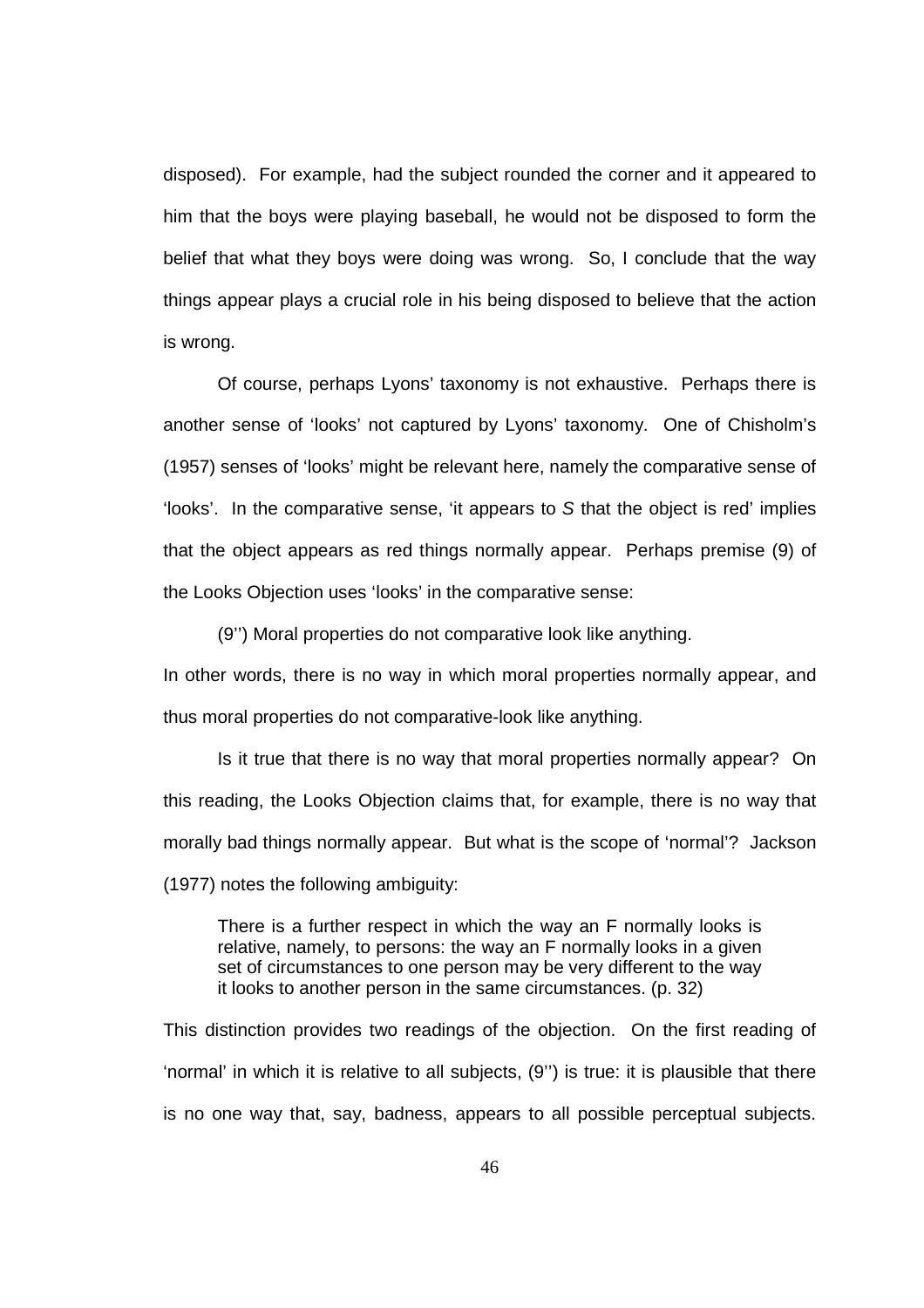disposed). For example, had the subject rounded the corner and it appeared to him that the boys were playing baseball, he would not be disposed to form the belief that what they boys were doing was wrong. So, I conclude that the way things appear plays a crucial role in his being disposed to believe that the action is wrong.

Of course, perhaps Lyons' taxonomy is not exhaustive. Perhaps there is another sense of 'looks' not captured by Lyons' taxonomy. One of Chisholm's (1957) senses of 'looks' might be relevant here, namely the comparative sense of 'looks'. In the comparative sense, 'it appears to S that the object is red' implies that the object appears as red things normally appear. Perhaps premise (9) of the Looks Objection uses 'looks' in the comparative sense:

(9'') Moral properties do not comparative look like anything.

In other words, there is no way in which moral properties normally appear, and thus moral properties do not comparative-look like anything.

Is it true that there is no way that moral properties normally appear? On this reading, the Looks Objection claims that, for example, there is no way that morally bad things normally appear. But what is the scope of 'normal'? Jackson (1977) notes the following ambiguity:

There is a further respect in which the way an F normally looks is relative, namely, to persons: the way an F normally looks in a given set of circumstances to one person may be very different to the way it looks to another person in the same circumstances. (p. 32)

This distinction provides two readings of the objection. On the first reading of 'normal' in which it is relative to all subjects, (9'') is true: it is plausible that there is no one way that, say, badness, appears to all possible perceptual subjects.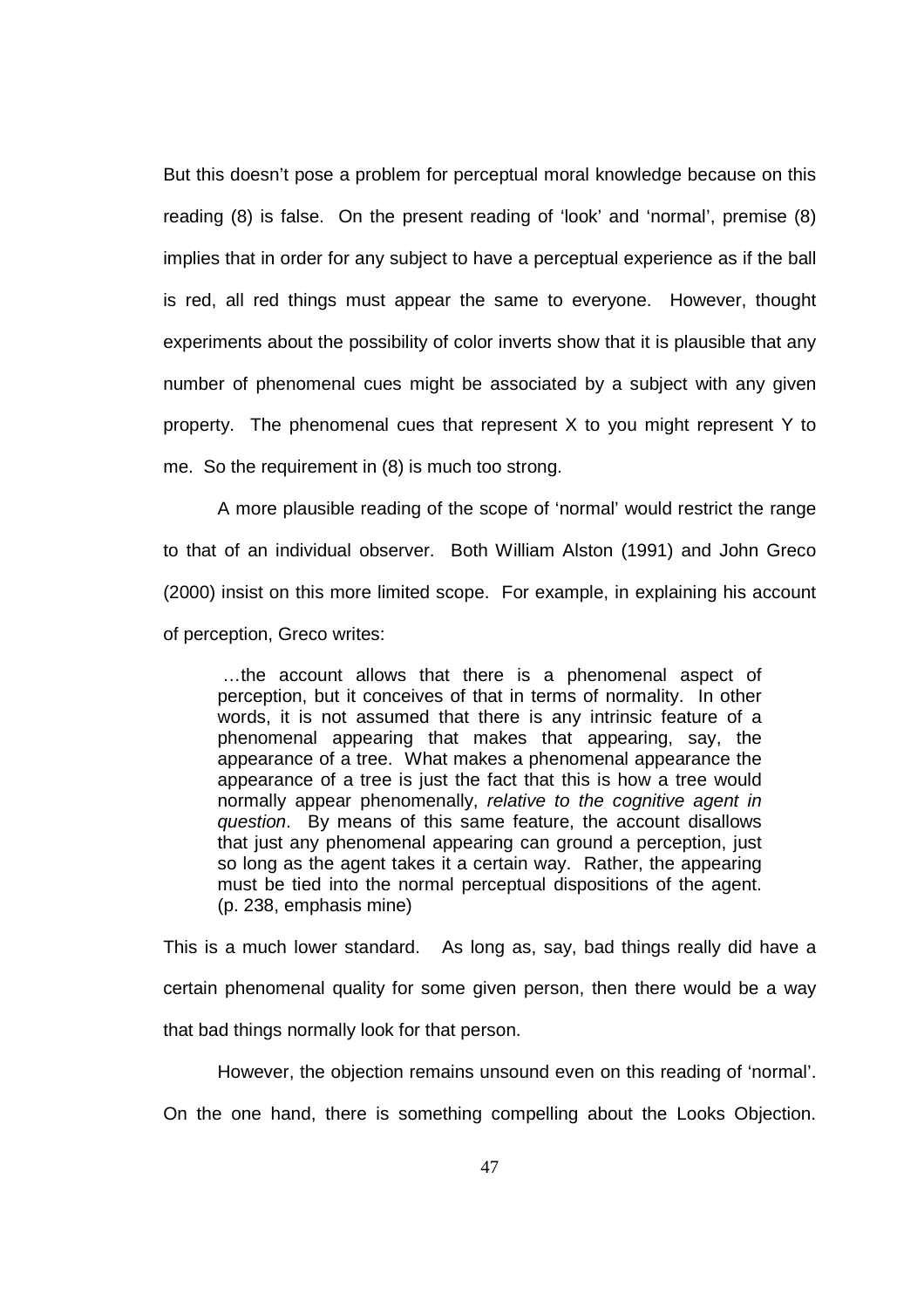But this doesn't pose a problem for perceptual moral knowledge because on this reading (8) is false. On the present reading of 'look' and 'normal', premise (8) implies that in order for any subject to have a perceptual experience as if the ball is red, all red things must appear the same to everyone. However, thought experiments about the possibility of color inverts show that it is plausible that any number of phenomenal cues might be associated by a subject with any given property. The phenomenal cues that represent X to you might represent Y to me. So the requirement in (8) is much too strong.

A more plausible reading of the scope of 'normal' would restrict the range to that of an individual observer. Both William Alston (1991) and John Greco (2000) insist on this more limited scope. For example, in explaining his account of perception, Greco writes:

 …the account allows that there is a phenomenal aspect of perception, but it conceives of that in terms of normality. In other words, it is not assumed that there is any intrinsic feature of a phenomenal appearing that makes that appearing, say, the appearance of a tree. What makes a phenomenal appearance the appearance of a tree is just the fact that this is how a tree would normally appear phenomenally, relative to the cognitive agent in question. By means of this same feature, the account disallows that just any phenomenal appearing can ground a perception, just so long as the agent takes it a certain way. Rather, the appearing must be tied into the normal perceptual dispositions of the agent. (p. 238, emphasis mine)

This is a much lower standard. As long as, say, bad things really did have a certain phenomenal quality for some given person, then there would be a way that bad things normally look for that person.

However, the objection remains unsound even on this reading of 'normal'.

On the one hand, there is something compelling about the Looks Objection.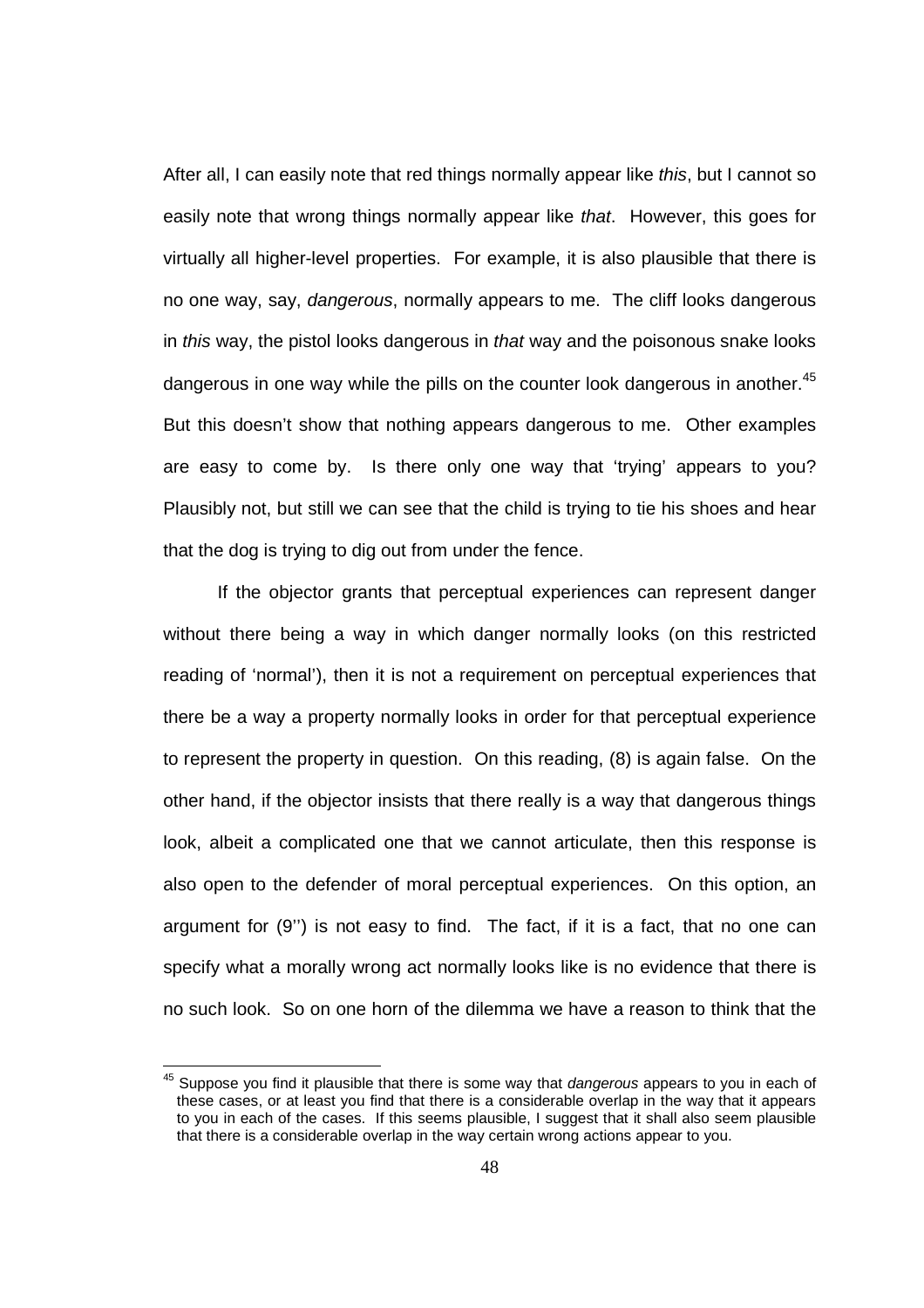After all, I can easily note that red things normally appear like *this*, but I cannot so easily note that wrong things normally appear like that. However, this goes for virtually all higher-level properties. For example, it is also plausible that there is no one way, say, dangerous, normally appears to me. The cliff looks dangerous in this way, the pistol looks dangerous in that way and the poisonous snake looks dangerous in one way while the pills on the counter look dangerous in another. $45$ But this doesn't show that nothing appears dangerous to me. Other examples are easy to come by. Is there only one way that 'trying' appears to you? Plausibly not, but still we can see that the child is trying to tie his shoes and hear that the dog is trying to dig out from under the fence.

If the objector grants that perceptual experiences can represent danger without there being a way in which danger normally looks (on this restricted reading of 'normal'), then it is not a requirement on perceptual experiences that there be a way a property normally looks in order for that perceptual experience to represent the property in question. On this reading, (8) is again false. On the other hand, if the objector insists that there really is a way that dangerous things look, albeit a complicated one that we cannot articulate, then this response is also open to the defender of moral perceptual experiences. On this option, an argument for (9'') is not easy to find. The fact, if it is a fact, that no one can specify what a morally wrong act normally looks like is no evidence that there is no such look. So on one horn of the dilemma we have a reason to think that the

l

 $45$  Suppose you find it plausible that there is some way that dangerous appears to you in each of these cases, or at least you find that there is a considerable overlap in the way that it appears to you in each of the cases. If this seems plausible, I suggest that it shall also seem plausible that there is a considerable overlap in the way certain wrong actions appear to you.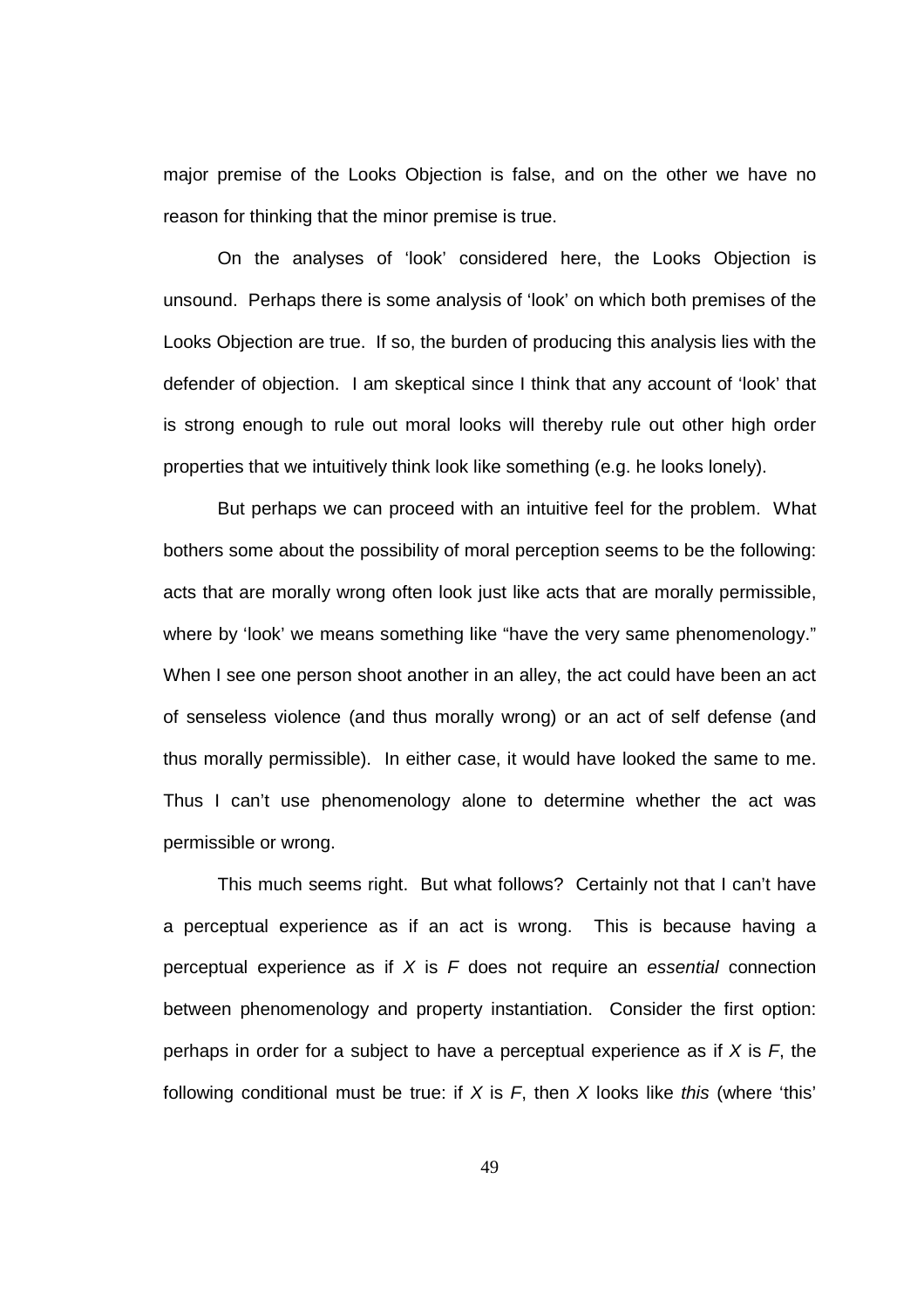major premise of the Looks Objection is false, and on the other we have no reason for thinking that the minor premise is true.

On the analyses of 'look' considered here, the Looks Objection is unsound. Perhaps there is some analysis of 'look' on which both premises of the Looks Objection are true. If so, the burden of producing this analysis lies with the defender of objection. I am skeptical since I think that any account of 'look' that is strong enough to rule out moral looks will thereby rule out other high order properties that we intuitively think look like something (e.g. he looks lonely).

But perhaps we can proceed with an intuitive feel for the problem. What bothers some about the possibility of moral perception seems to be the following: acts that are morally wrong often look just like acts that are morally permissible, where by 'look' we means something like "have the very same phenomenology." When I see one person shoot another in an alley, the act could have been an act of senseless violence (and thus morally wrong) or an act of self defense (and thus morally permissible). In either case, it would have looked the same to me. Thus I can't use phenomenology alone to determine whether the act was permissible or wrong.

This much seems right. But what follows? Certainly not that I can't have a perceptual experience as if an act is wrong. This is because having a perceptual experience as if  $X$  is  $F$  does not require an essential connection between phenomenology and property instantiation. Consider the first option: perhaps in order for a subject to have a perceptual experience as if  $X$  is  $F$ , the following conditional must be true: if  $X$  is  $F$ , then  $X$  looks like this (where 'this'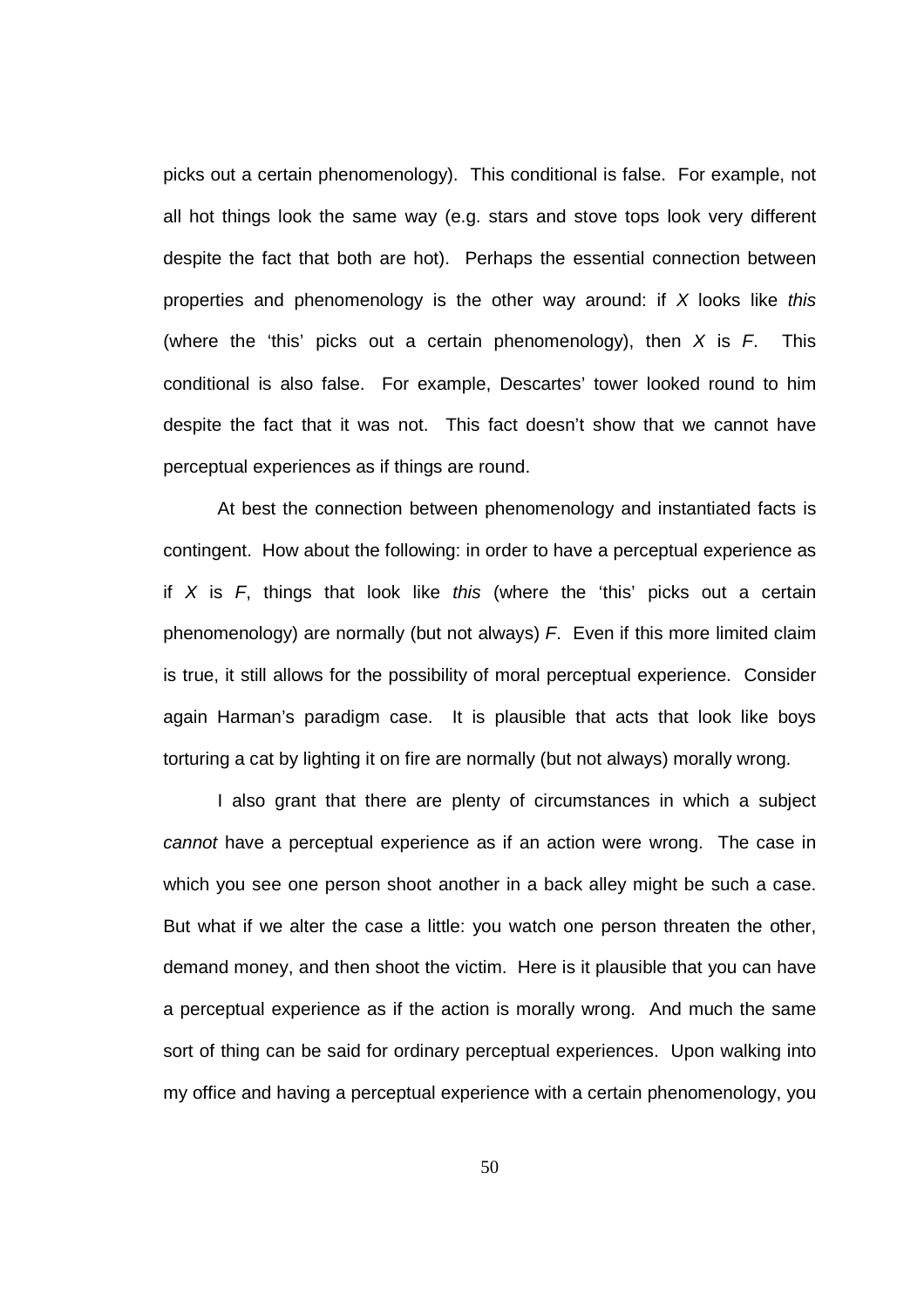picks out a certain phenomenology). This conditional is false. For example, not all hot things look the same way (e.g. stars and stove tops look very different despite the fact that both are hot). Perhaps the essential connection between properties and phenomenology is the other way around: if  $X$  looks like this (where the 'this' picks out a certain phenomenology), then  $X$  is  $F$ . This conditional is also false. For example, Descartes' tower looked round to him despite the fact that it was not. This fact doesn't show that we cannot have perceptual experiences as if things are round.

At best the connection between phenomenology and instantiated facts is contingent. How about the following: in order to have a perceptual experience as if  $X$  is  $F$ , things that look like this (where the 'this' picks out a certain phenomenology) are normally (but not always)  $F$ . Even if this more limited claim is true, it still allows for the possibility of moral perceptual experience. Consider again Harman's paradigm case. It is plausible that acts that look like boys torturing a cat by lighting it on fire are normally (but not always) morally wrong.

I also grant that there are plenty of circumstances in which a subject cannot have a perceptual experience as if an action were wrong. The case in which you see one person shoot another in a back alley might be such a case. But what if we alter the case a little: you watch one person threaten the other, demand money, and then shoot the victim. Here is it plausible that you can have a perceptual experience as if the action is morally wrong. And much the same sort of thing can be said for ordinary perceptual experiences. Upon walking into my office and having a perceptual experience with a certain phenomenology, you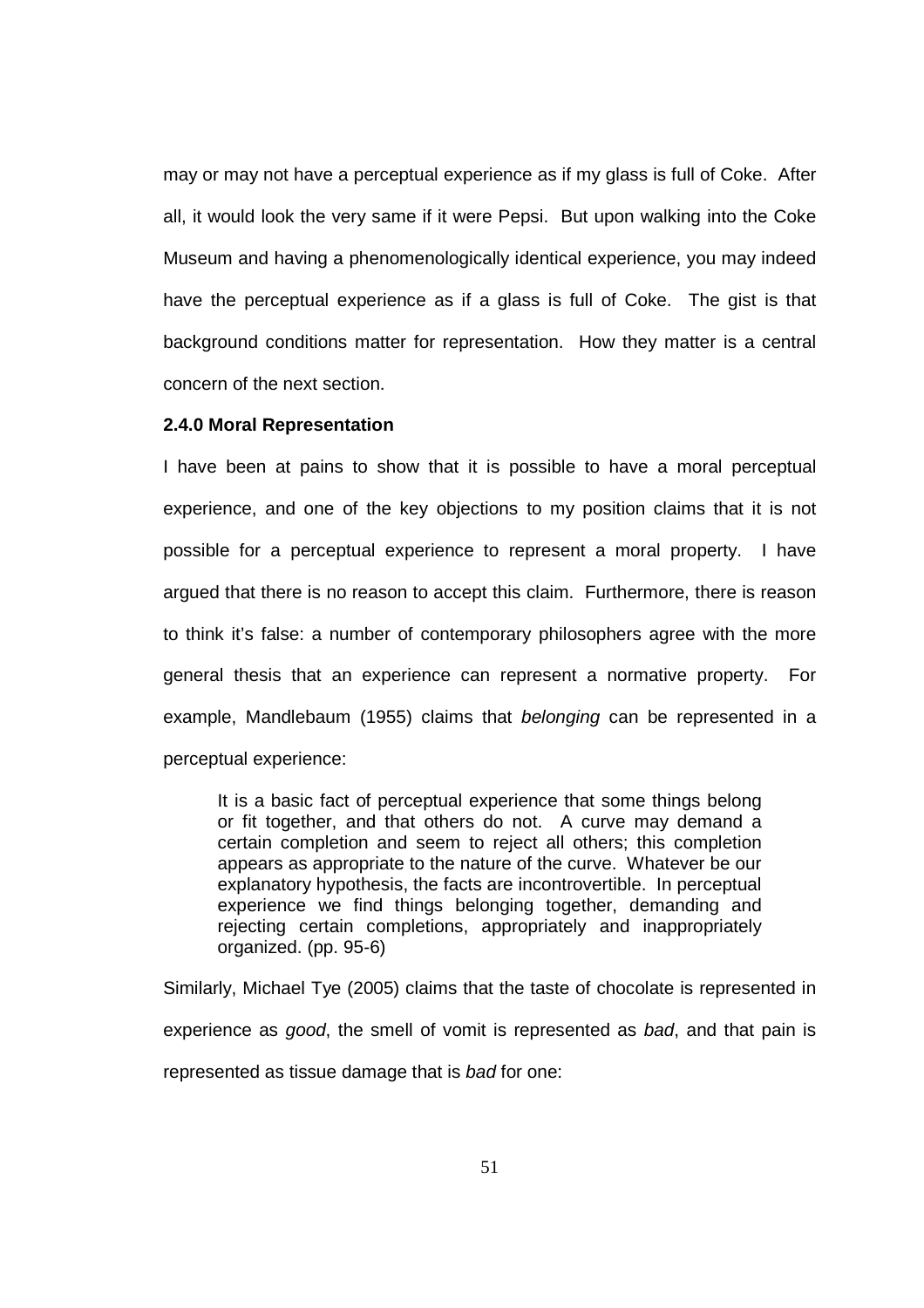may or may not have a perceptual experience as if my glass is full of Coke. After all, it would look the very same if it were Pepsi. But upon walking into the Coke Museum and having a phenomenologically identical experience, you may indeed have the perceptual experience as if a glass is full of Coke. The gist is that background conditions matter for representation. How they matter is a central concern of the next section.

#### **2.4.0 Moral Representation**

I have been at pains to show that it is possible to have a moral perceptual experience, and one of the key objections to my position claims that it is not possible for a perceptual experience to represent a moral property. I have argued that there is no reason to accept this claim. Furthermore, there is reason to think it's false: a number of contemporary philosophers agree with the more general thesis that an experience can represent a normative property. For example, Mandlebaum (1955) claims that belonging can be represented in a perceptual experience:

It is a basic fact of perceptual experience that some things belong or fit together, and that others do not. A curve may demand a certain completion and seem to reject all others; this completion appears as appropriate to the nature of the curve. Whatever be our explanatory hypothesis, the facts are incontrovertible. In perceptual experience we find things belonging together, demanding and rejecting certain completions, appropriately and inappropriately organized. (pp. 95-6)

Similarly, Michael Tye (2005) claims that the taste of chocolate is represented in experience as good, the smell of vomit is represented as bad, and that pain is represented as tissue damage that is bad for one: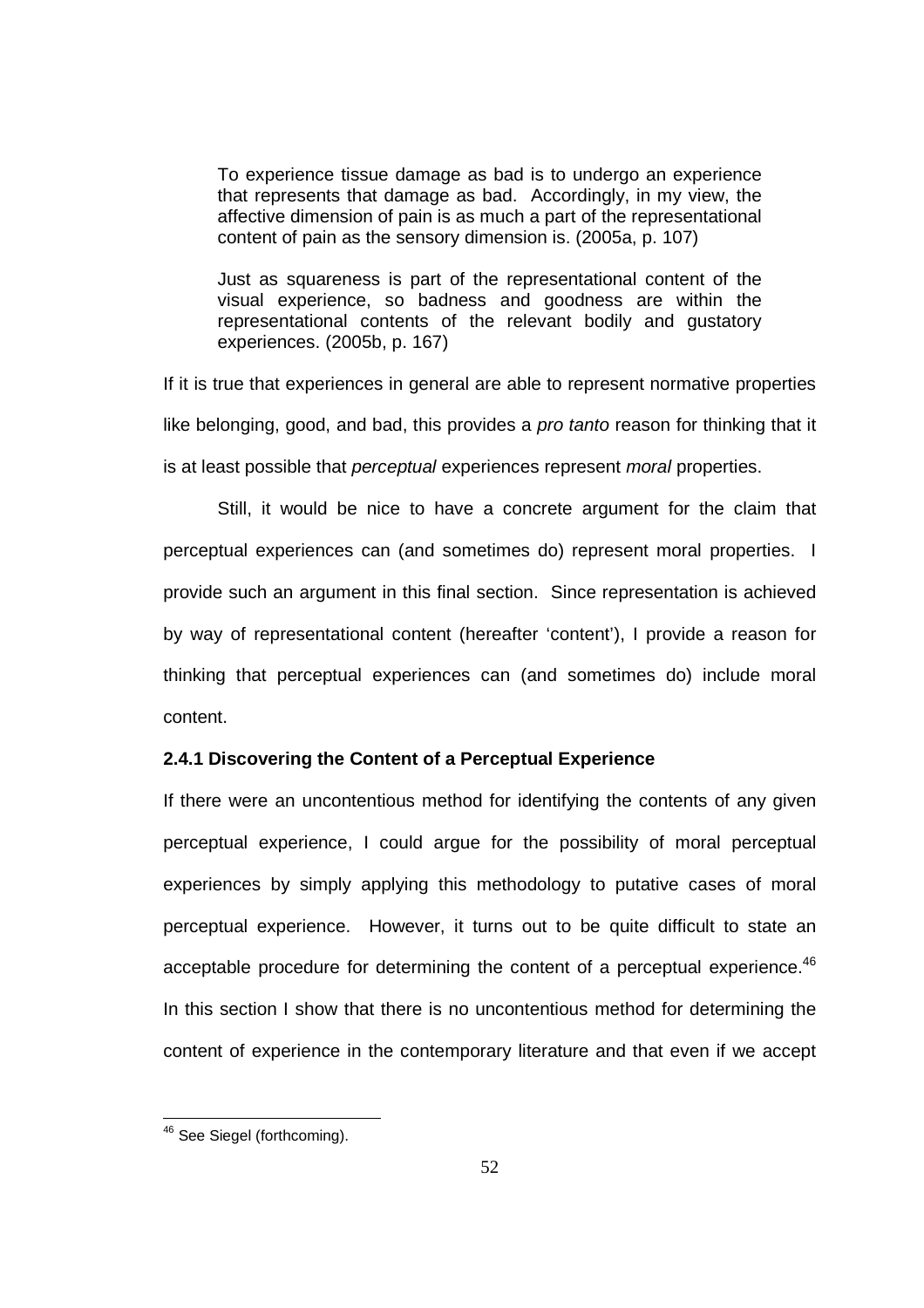To experience tissue damage as bad is to undergo an experience that represents that damage as bad. Accordingly, in my view, the affective dimension of pain is as much a part of the representational content of pain as the sensory dimension is. (2005a, p. 107)

Just as squareness is part of the representational content of the visual experience, so badness and goodness are within the representational contents of the relevant bodily and gustatory experiences. (2005b, p. 167)

If it is true that experiences in general are able to represent normative properties like belonging, good, and bad, this provides a *pro tanto* reason for thinking that it is at least possible that *perceptual* experiences represent *moral* properties.

 Still, it would be nice to have a concrete argument for the claim that perceptual experiences can (and sometimes do) represent moral properties. I provide such an argument in this final section. Since representation is achieved by way of representational content (hereafter 'content'), I provide a reason for thinking that perceptual experiences can (and sometimes do) include moral content.

# **2.4.1 Discovering the Content of a Perceptual Experience**

If there were an uncontentious method for identifying the contents of any given perceptual experience, I could argue for the possibility of moral perceptual experiences by simply applying this methodology to putative cases of moral perceptual experience. However, it turns out to be quite difficult to state an acceptable procedure for determining the content of a perceptual experience. $46$ In this section I show that there is no uncontentious method for determining the content of experience in the contemporary literature and that even if we accept

<sup>&</sup>lt;sup>46</sup> See Siegel (forthcoming).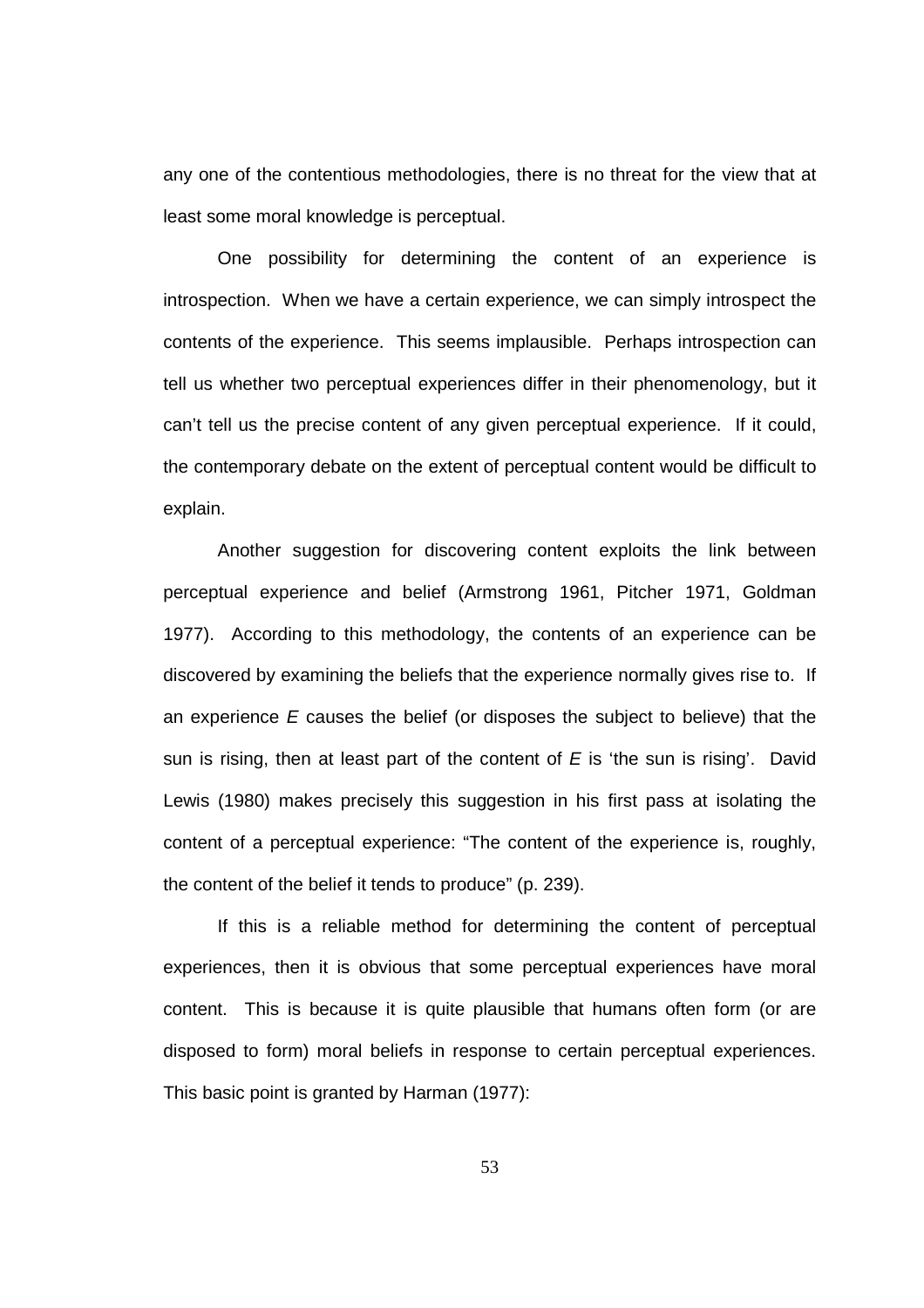any one of the contentious methodologies, there is no threat for the view that at least some moral knowledge is perceptual.

One possibility for determining the content of an experience is introspection. When we have a certain experience, we can simply introspect the contents of the experience. This seems implausible. Perhaps introspection can tell us whether two perceptual experiences differ in their phenomenology, but it can't tell us the precise content of any given perceptual experience. If it could, the contemporary debate on the extent of perceptual content would be difficult to explain.

Another suggestion for discovering content exploits the link between perceptual experience and belief (Armstrong 1961, Pitcher 1971, Goldman 1977). According to this methodology, the contents of an experience can be discovered by examining the beliefs that the experience normally gives rise to. If an experience  $E$  causes the belief (or disposes the subject to believe) that the sun is rising, then at least part of the content of  $E$  is 'the sun is rising'. David Lewis (1980) makes precisely this suggestion in his first pass at isolating the content of a perceptual experience: "The content of the experience is, roughly, the content of the belief it tends to produce" (p. 239).

If this is a reliable method for determining the content of perceptual experiences, then it is obvious that some perceptual experiences have moral content. This is because it is quite plausible that humans often form (or are disposed to form) moral beliefs in response to certain perceptual experiences. This basic point is granted by Harman (1977):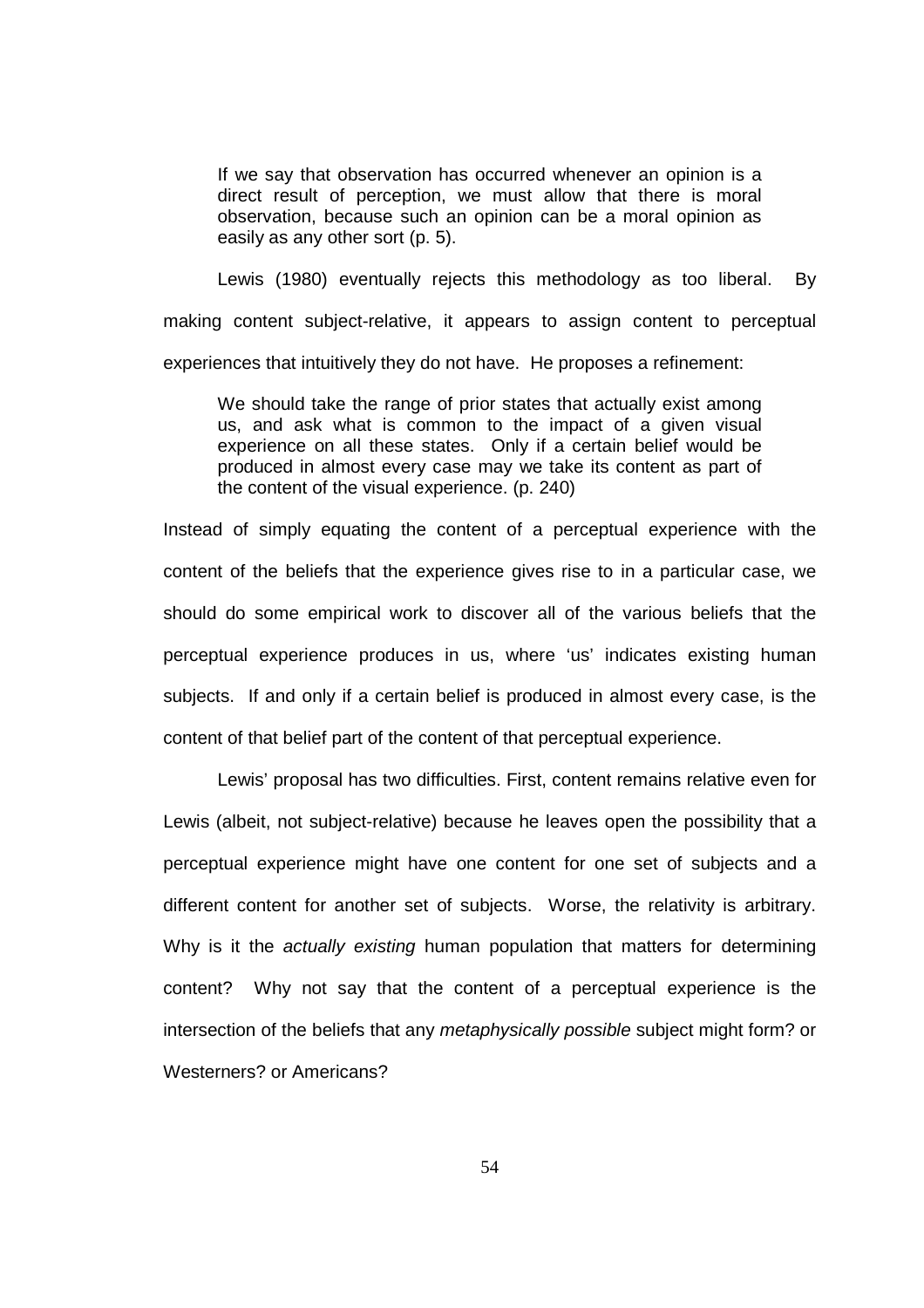If we say that observation has occurred whenever an opinion is a direct result of perception, we must allow that there is moral observation, because such an opinion can be a moral opinion as easily as any other sort (p. 5).

Lewis (1980) eventually rejects this methodology as too liberal. By making content subject-relative, it appears to assign content to perceptual experiences that intuitively they do not have. He proposes a refinement:

We should take the range of prior states that actually exist among us, and ask what is common to the impact of a given visual experience on all these states. Only if a certain belief would be produced in almost every case may we take its content as part of the content of the visual experience. (p. 240)

Instead of simply equating the content of a perceptual experience with the content of the beliefs that the experience gives rise to in a particular case, we should do some empirical work to discover all of the various beliefs that the perceptual experience produces in us, where 'us' indicates existing human subjects. If and only if a certain belief is produced in almost every case, is the content of that belief part of the content of that perceptual experience.

 Lewis' proposal has two difficulties. First, content remains relative even for Lewis (albeit, not subject-relative) because he leaves open the possibility that a perceptual experience might have one content for one set of subjects and a different content for another set of subjects. Worse, the relativity is arbitrary. Why is it the *actually existing* human population that matters for determining content? Why not say that the content of a perceptual experience is the intersection of the beliefs that any metaphysically possible subject might form? or Westerners? or Americans?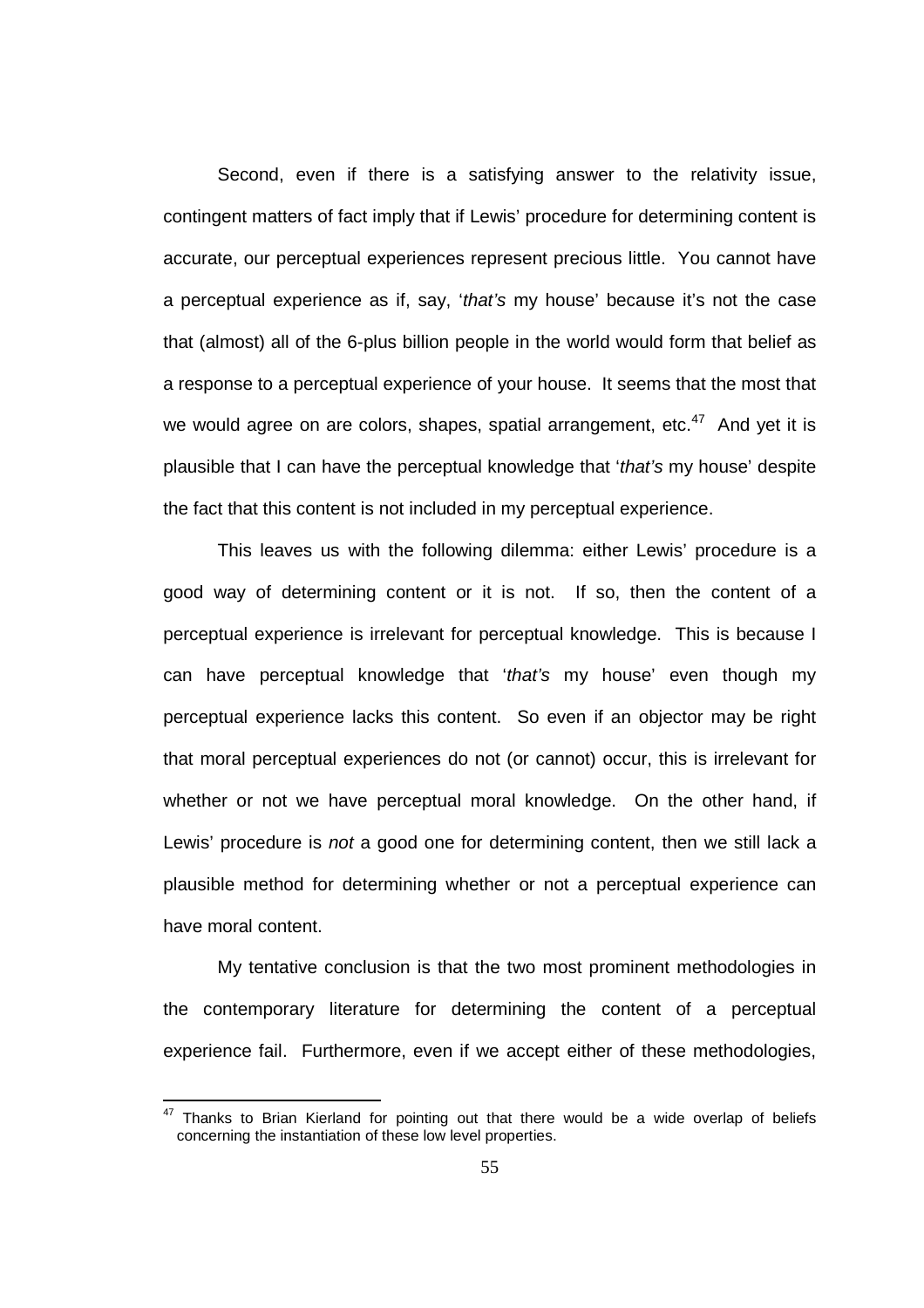Second, even if there is a satisfying answer to the relativity issue, contingent matters of fact imply that if Lewis' procedure for determining content is accurate, our perceptual experiences represent precious little. You cannot have a perceptual experience as if, say, 'that's my house' because it's not the case that (almost) all of the 6-plus billion people in the world would form that belief as a response to a perceptual experience of your house. It seems that the most that we would agree on are colors, shapes, spatial arrangement, etc. $47$  And yet it is plausible that I can have the perceptual knowledge that 'that's my house' despite the fact that this content is not included in my perceptual experience.

This leaves us with the following dilemma: either Lewis' procedure is a good way of determining content or it is not. If so, then the content of a perceptual experience is irrelevant for perceptual knowledge. This is because I can have perceptual knowledge that 'that's my house' even though my perceptual experience lacks this content. So even if an objector may be right that moral perceptual experiences do not (or cannot) occur, this is irrelevant for whether or not we have perceptual moral knowledge. On the other hand, if Lewis' procedure is not a good one for determining content, then we still lack a plausible method for determining whether or not a perceptual experience can have moral content.

My tentative conclusion is that the two most prominent methodologies in the contemporary literature for determining the content of a perceptual experience fail. Furthermore, even if we accept either of these methodologies,

 $\overline{a}$ 

 $47$  Thanks to Brian Kierland for pointing out that there would be a wide overlap of beliefs concerning the instantiation of these low level properties.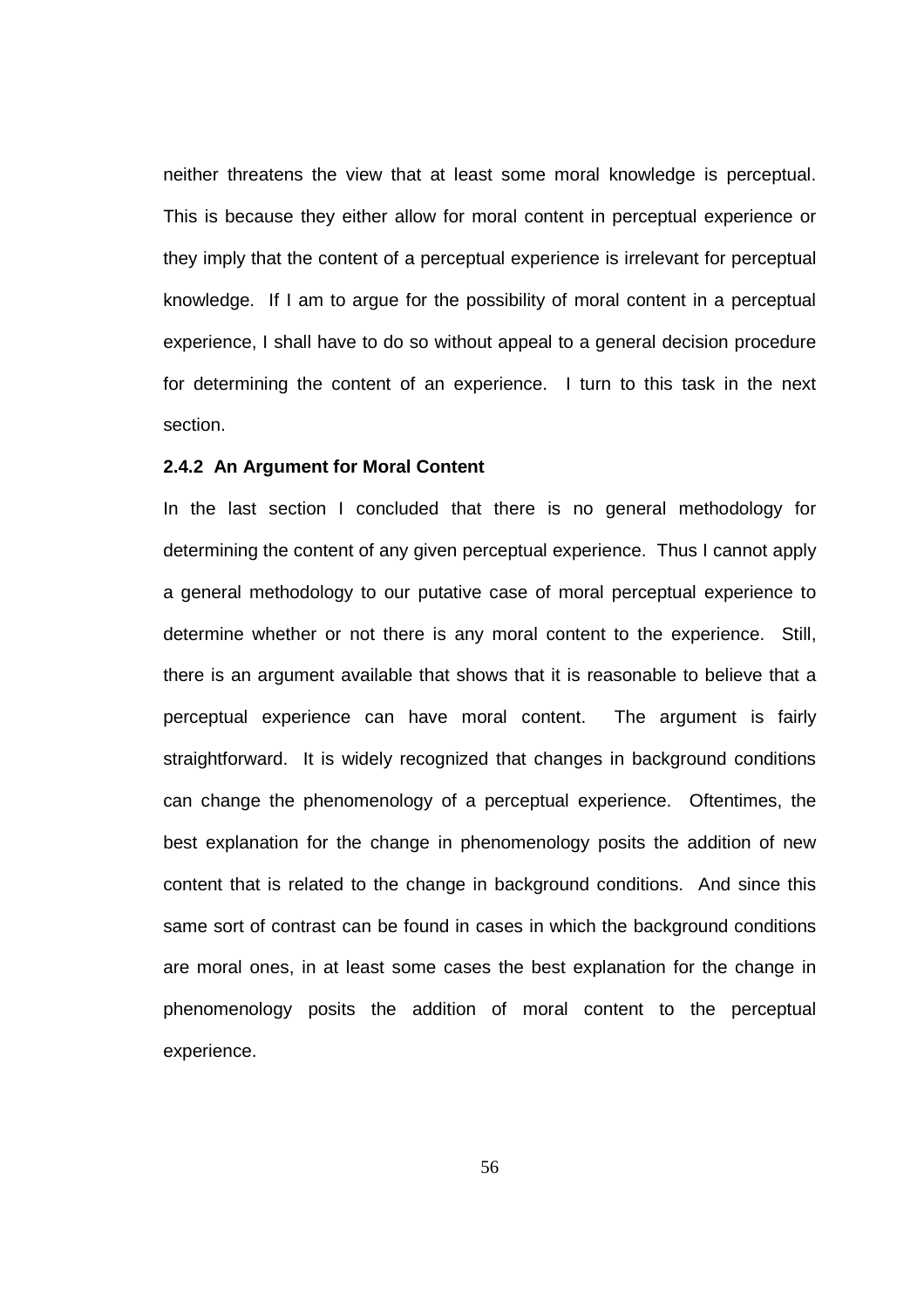neither threatens the view that at least some moral knowledge is perceptual. This is because they either allow for moral content in perceptual experience or they imply that the content of a perceptual experience is irrelevant for perceptual knowledge. If I am to argue for the possibility of moral content in a perceptual experience, I shall have to do so without appeal to a general decision procedure for determining the content of an experience. I turn to this task in the next section.

## **2.4.2 An Argument for Moral Content**

In the last section I concluded that there is no general methodology for determining the content of any given perceptual experience. Thus I cannot apply a general methodology to our putative case of moral perceptual experience to determine whether or not there is any moral content to the experience. Still, there is an argument available that shows that it is reasonable to believe that a perceptual experience can have moral content. The argument is fairly straightforward. It is widely recognized that changes in background conditions can change the phenomenology of a perceptual experience. Oftentimes, the best explanation for the change in phenomenology posits the addition of new content that is related to the change in background conditions. And since this same sort of contrast can be found in cases in which the background conditions are moral ones, in at least some cases the best explanation for the change in phenomenology posits the addition of moral content to the perceptual experience.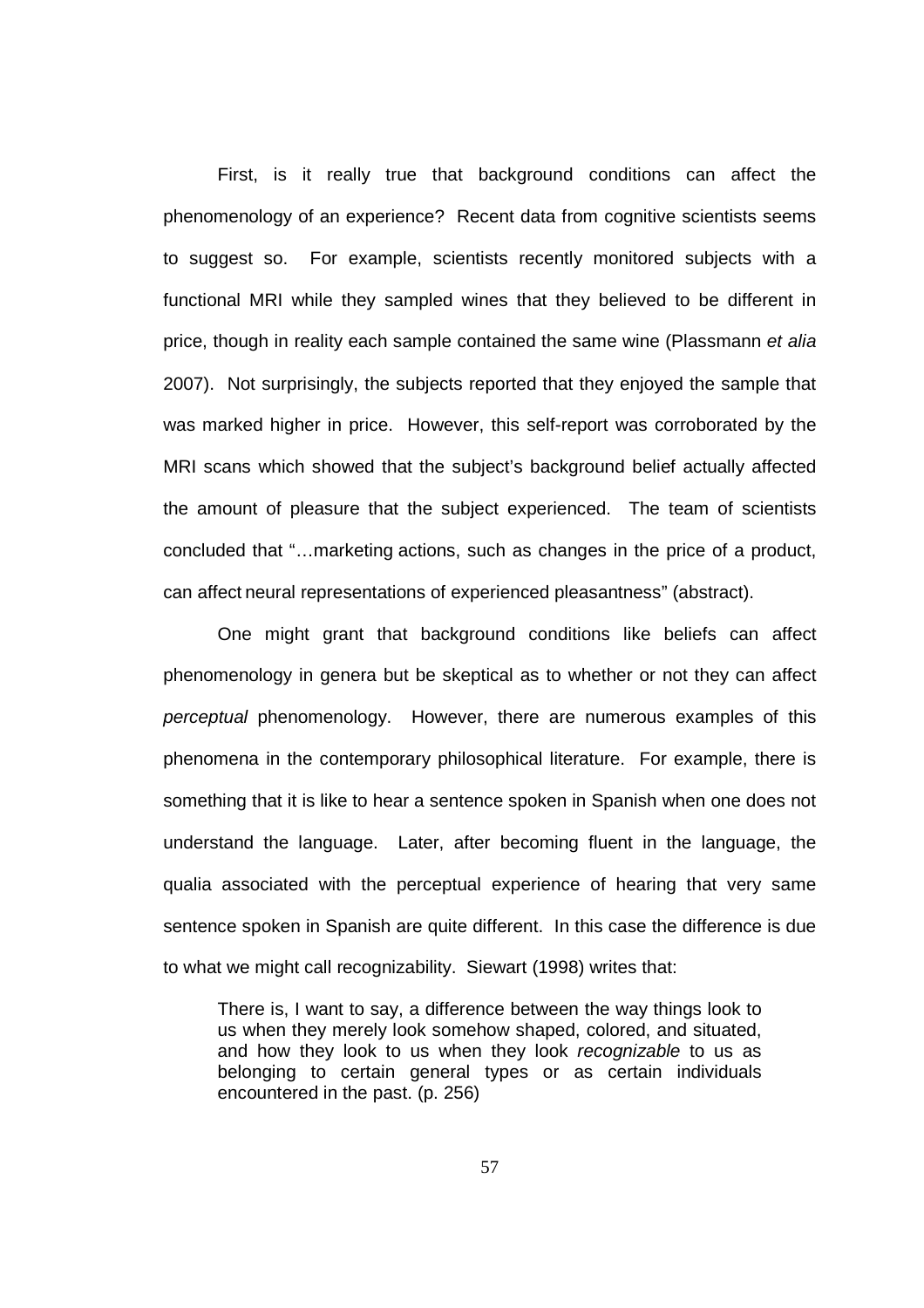First, is it really true that background conditions can affect the phenomenology of an experience? Recent data from cognitive scientists seems to suggest so. For example, scientists recently monitored subjects with a functional MRI while they sampled wines that they believed to be different in price, though in reality each sample contained the same wine (Plassmann et alia 2007). Not surprisingly, the subjects reported that they enjoyed the sample that was marked higher in price. However, this self-report was corroborated by the MRI scans which showed that the subject's background belief actually affected the amount of pleasure that the subject experienced. The team of scientists concluded that "…marketing actions, such as changes in the price of a product, can affect neural representations of experienced pleasantness" (abstract).

One might grant that background conditions like beliefs can affect phenomenology in genera but be skeptical as to whether or not they can affect perceptual phenomenology. However, there are numerous examples of this phenomena in the contemporary philosophical literature. For example, there is something that it is like to hear a sentence spoken in Spanish when one does not understand the language. Later, after becoming fluent in the language, the qualia associated with the perceptual experience of hearing that very same sentence spoken in Spanish are quite different. In this case the difference is due to what we might call recognizability. Siewart (1998) writes that:

There is, I want to say, a difference between the way things look to us when they merely look somehow shaped, colored, and situated, and how they look to us when they look recognizable to us as belonging to certain general types or as certain individuals encountered in the past. (p. 256)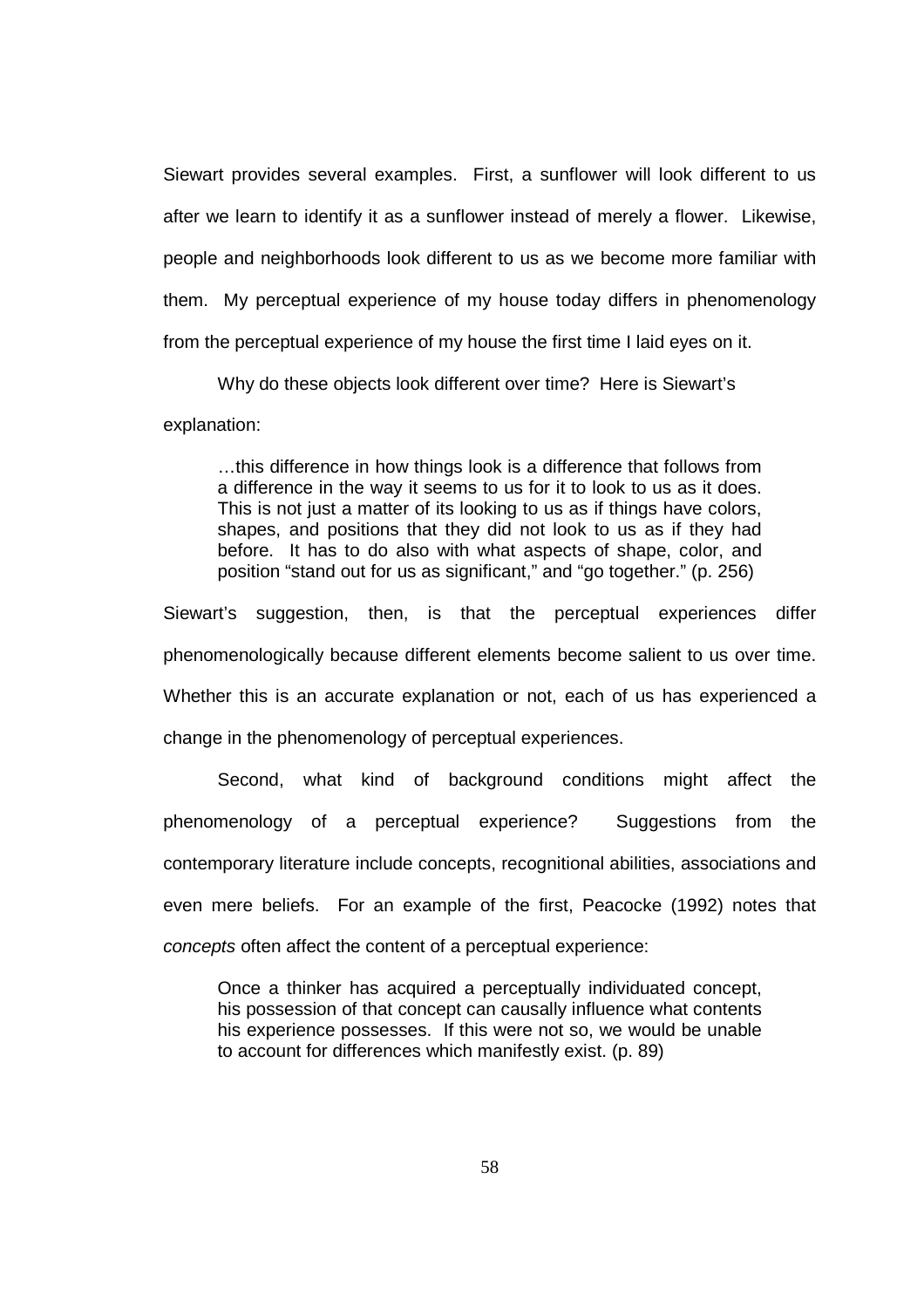Siewart provides several examples. First, a sunflower will look different to us after we learn to identify it as a sunflower instead of merely a flower. Likewise, people and neighborhoods look different to us as we become more familiar with them. My perceptual experience of my house today differs in phenomenology from the perceptual experience of my house the first time I laid eyes on it.

Why do these objects look different over time? Here is Siewart's

explanation:

…this difference in how things look is a difference that follows from a difference in the way it seems to us for it to look to us as it does. This is not just a matter of its looking to us as if things have colors, shapes, and positions that they did not look to us as if they had before. It has to do also with what aspects of shape, color, and position "stand out for us as significant," and "go together." (p. 256)

Siewart's suggestion, then, is that the perceptual experiences differ phenomenologically because different elements become salient to us over time. Whether this is an accurate explanation or not, each of us has experienced a change in the phenomenology of perceptual experiences.

Second, what kind of background conditions might affect the phenomenology of a perceptual experience? Suggestions from the contemporary literature include concepts, recognitional abilities, associations and even mere beliefs. For an example of the first, Peacocke (1992) notes that concepts often affect the content of a perceptual experience:

Once a thinker has acquired a perceptually individuated concept, his possession of that concept can causally influence what contents his experience possesses. If this were not so, we would be unable to account for differences which manifestly exist. (p. 89)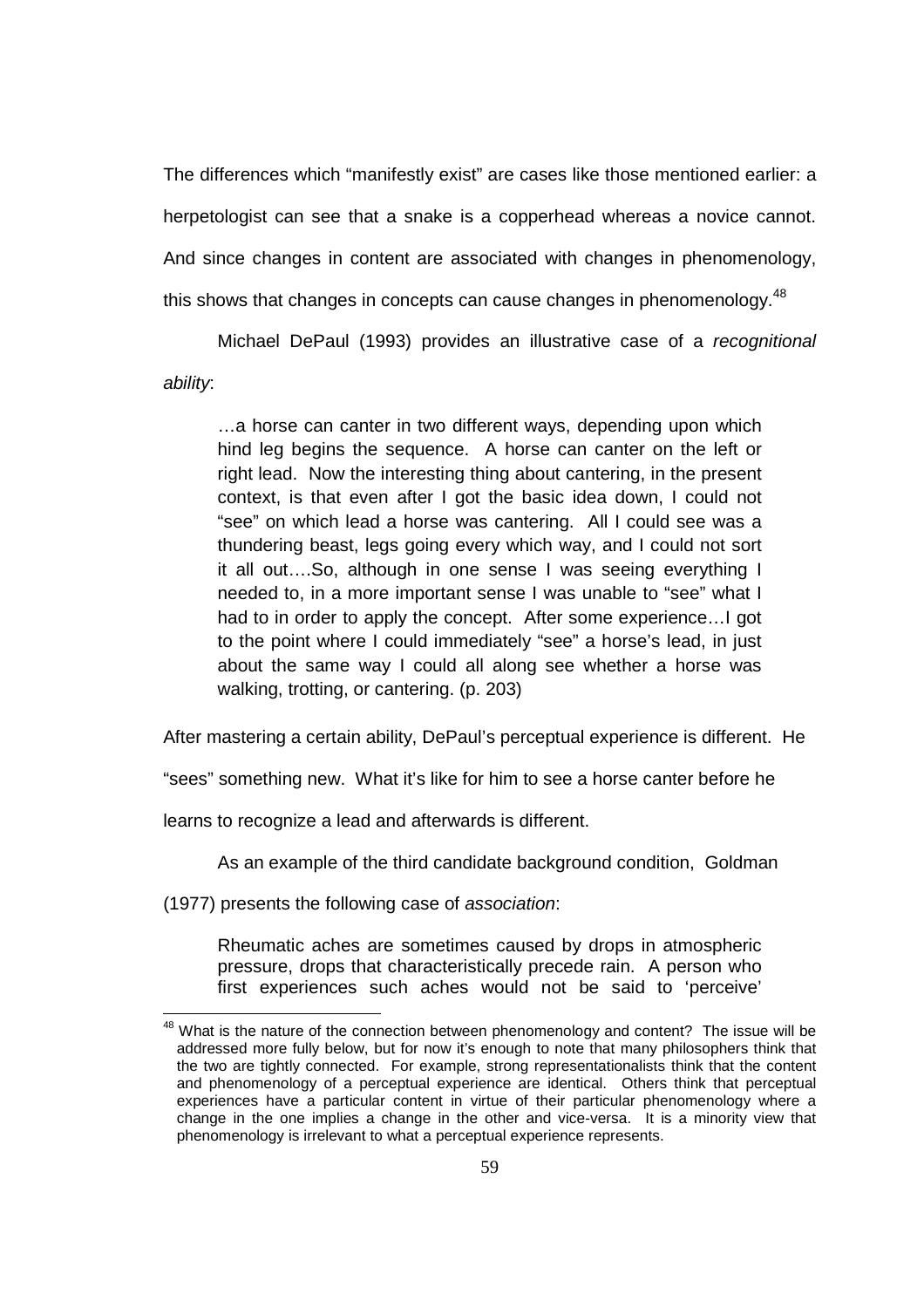The differences which "manifestly exist" are cases like those mentioned earlier: a herpetologist can see that a snake is a copperhead whereas a novice cannot. And since changes in content are associated with changes in phenomenology, this shows that changes in concepts can cause changes in phenomenology.<sup>48</sup>

Michael DePaul (1993) provides an illustrative case of a recognitional ability:

…a horse can canter in two different ways, depending upon which hind leg begins the sequence. A horse can canter on the left or right lead. Now the interesting thing about cantering, in the present context, is that even after I got the basic idea down, I could not "see" on which lead a horse was cantering. All I could see was a thundering beast, legs going every which way, and I could not sort it all out….So, although in one sense I was seeing everything I needed to, in a more important sense I was unable to "see" what I had to in order to apply the concept. After some experience…I got to the point where I could immediately "see" a horse's lead, in just about the same way I could all along see whether a horse was walking, trotting, or cantering. (p. 203)

After mastering a certain ability, DePaul's perceptual experience is different. He

"sees" something new. What it's like for him to see a horse canter before he

learns to recognize a lead and afterwards is different.

As an example of the third candidate background condition, Goldman

(1977) presents the following case of association:

Rheumatic aches are sometimes caused by drops in atmospheric pressure, drops that characteristically precede rain. A person who first experiences such aches would not be said to 'perceive'

 $48$  What is the nature of the connection between phenomenology and content? The issue will be addressed more fully below, but for now it's enough to note that many philosophers think that the two are tightly connected. For example, strong representationalists think that the content and phenomenology of a perceptual experience are identical. Others think that perceptual experiences have a particular content in virtue of their particular phenomenology where a change in the one implies a change in the other and vice-versa. It is a minority view that phenomenology is irrelevant to what a perceptual experience represents.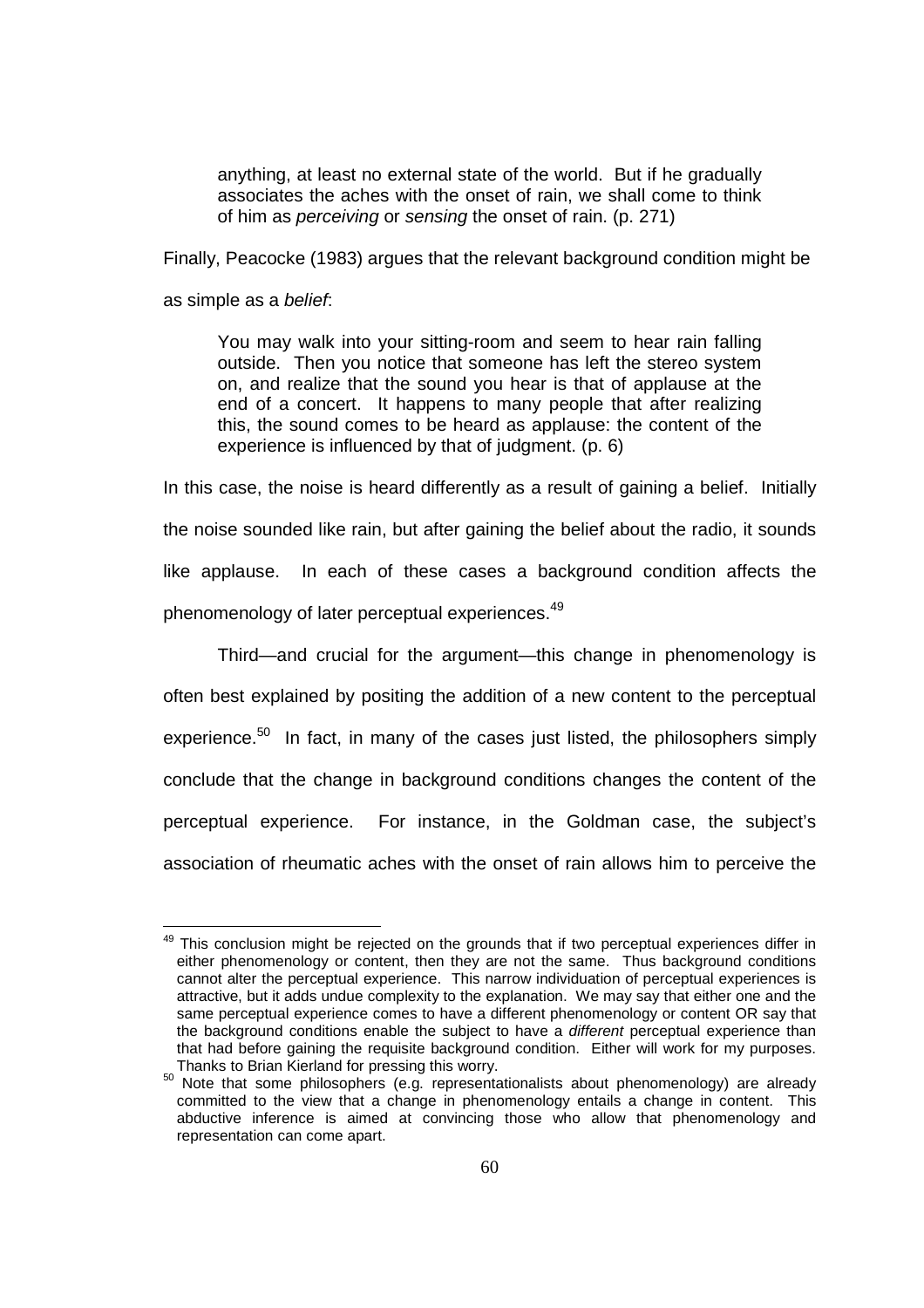anything, at least no external state of the world. But if he gradually associates the aches with the onset of rain, we shall come to think of him as perceiving or sensing the onset of rain. (p. 271)

Finally, Peacocke (1983) argues that the relevant background condition might be

as simple as a belief:

l

You may walk into your sitting-room and seem to hear rain falling outside. Then you notice that someone has left the stereo system on, and realize that the sound you hear is that of applause at the end of a concert. It happens to many people that after realizing this, the sound comes to be heard as applause: the content of the experience is influenced by that of judgment. (p. 6)

In this case, the noise is heard differently as a result of gaining a belief. Initially the noise sounded like rain, but after gaining the belief about the radio, it sounds like applause. In each of these cases a background condition affects the phenomenology of later perceptual experiences.<sup>49</sup>

Third—and crucial for the argument—this change in phenomenology is often best explained by positing the addition of a new content to the perceptual experience.<sup>50</sup> In fact, in many of the cases just listed, the philosophers simply conclude that the change in background conditions changes the content of the perceptual experience. For instance, in the Goldman case, the subject's association of rheumatic aches with the onset of rain allows him to perceive the

<sup>&</sup>lt;sup>49</sup> This conclusion might be rejected on the grounds that if two perceptual experiences differ in either phenomenology or content, then they are not the same. Thus background conditions cannot alter the perceptual experience. This narrow individuation of perceptual experiences is attractive, but it adds undue complexity to the explanation. We may say that either one and the same perceptual experience comes to have a different phenomenology or content OR say that the background conditions enable the subject to have a different perceptual experience than that had before gaining the requisite background condition. Either will work for my purposes. Thanks to Brian Kierland for pressing this worry.

 $50$  Note that some philosophers (e.g. representationalists about phenomenology) are already committed to the view that a change in phenomenology entails a change in content. This abductive inference is aimed at convincing those who allow that phenomenology and representation can come apart.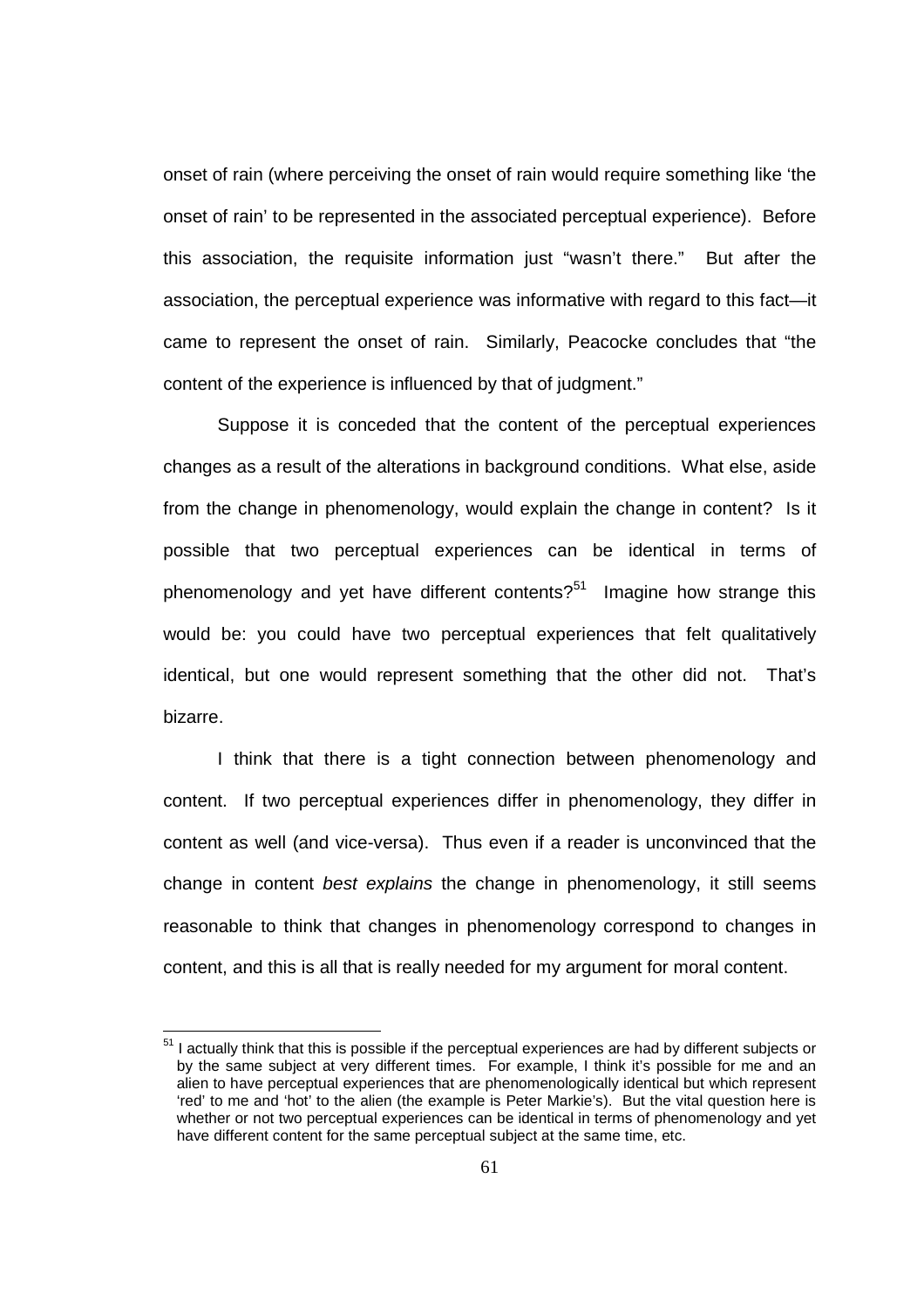onset of rain (where perceiving the onset of rain would require something like 'the onset of rain' to be represented in the associated perceptual experience). Before this association, the requisite information just "wasn't there." But after the association, the perceptual experience was informative with regard to this fact—it came to represent the onset of rain. Similarly, Peacocke concludes that "the content of the experience is influenced by that of judgment."

Suppose it is conceded that the content of the perceptual experiences changes as a result of the alterations in background conditions. What else, aside from the change in phenomenology, would explain the change in content? Is it possible that two perceptual experiences can be identical in terms of phenomenology and yet have different contents?<sup>51</sup> Imagine how strange this would be: you could have two perceptual experiences that felt qualitatively identical, but one would represent something that the other did not. That's bizarre.

I think that there is a tight connection between phenomenology and content. If two perceptual experiences differ in phenomenology, they differ in content as well (and vice-versa). Thus even if a reader is unconvinced that the change in content best explains the change in phenomenology, it still seems reasonable to think that changes in phenomenology correspond to changes in content, and this is all that is really needed for my argument for moral content.

<sup>&</sup>lt;sup>51</sup> I actually think that this is possible if the perceptual experiences are had by different subjects or by the same subject at very different times. For example, I think it's possible for me and an alien to have perceptual experiences that are phenomenologically identical but which represent 'red' to me and 'hot' to the alien (the example is Peter Markie's). But the vital question here is whether or not two perceptual experiences can be identical in terms of phenomenology and yet have different content for the same perceptual subject at the same time, etc.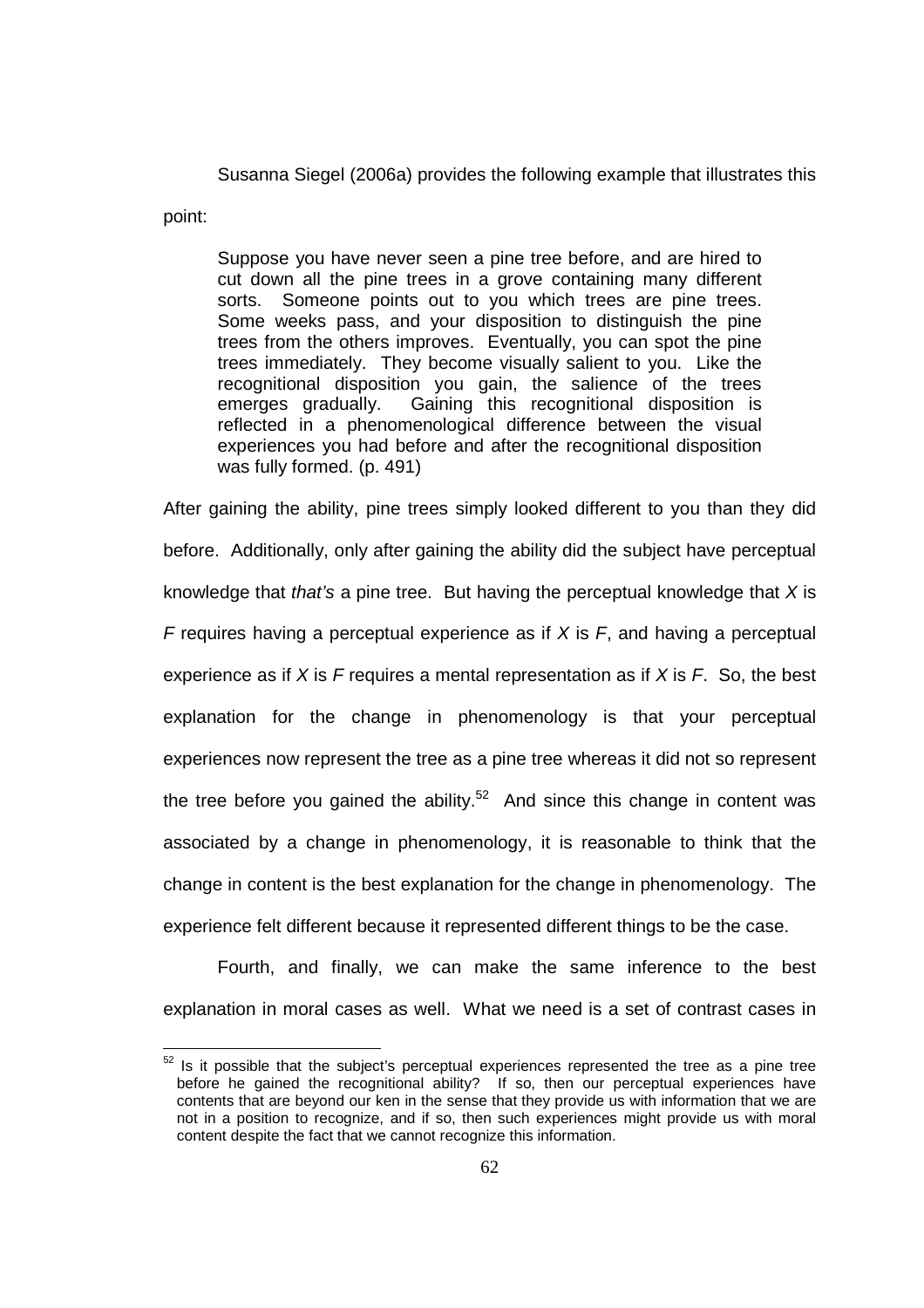Susanna Siegel (2006a) provides the following example that illustrates this

point:

 $\overline{a}$ 

Suppose you have never seen a pine tree before, and are hired to cut down all the pine trees in a grove containing many different sorts. Someone points out to you which trees are pine trees. Some weeks pass, and your disposition to distinguish the pine trees from the others improves. Eventually, you can spot the pine trees immediately. They become visually salient to you. Like the recognitional disposition you gain, the salience of the trees emerges gradually. Gaining this recognitional disposition is reflected in a phenomenological difference between the visual experiences you had before and after the recognitional disposition was fully formed. (p. 491)

After gaining the ability, pine trees simply looked different to you than they did before. Additionally, only after gaining the ability did the subject have perceptual knowledge that that's a pine tree. But having the perceptual knowledge that  $X$  is F requires having a perceptual experience as if  $X$  is  $F$ , and having a perceptual experience as if X is F requires a mental representation as if X is F. So, the best explanation for the change in phenomenology is that your perceptual experiences now represent the tree as a pine tree whereas it did not so represent the tree before you gained the ability.<sup>52</sup> And since this change in content was associated by a change in phenomenology, it is reasonable to think that the change in content is the best explanation for the change in phenomenology. The experience felt different because it represented different things to be the case.

Fourth, and finally, we can make the same inference to the best explanation in moral cases as well. What we need is a set of contrast cases in

 $52$  Is it possible that the subject's perceptual experiences represented the tree as a pine tree before he gained the recognitional ability? If so, then our perceptual experiences have contents that are beyond our ken in the sense that they provide us with information that we are not in a position to recognize, and if so, then such experiences might provide us with moral content despite the fact that we cannot recognize this information.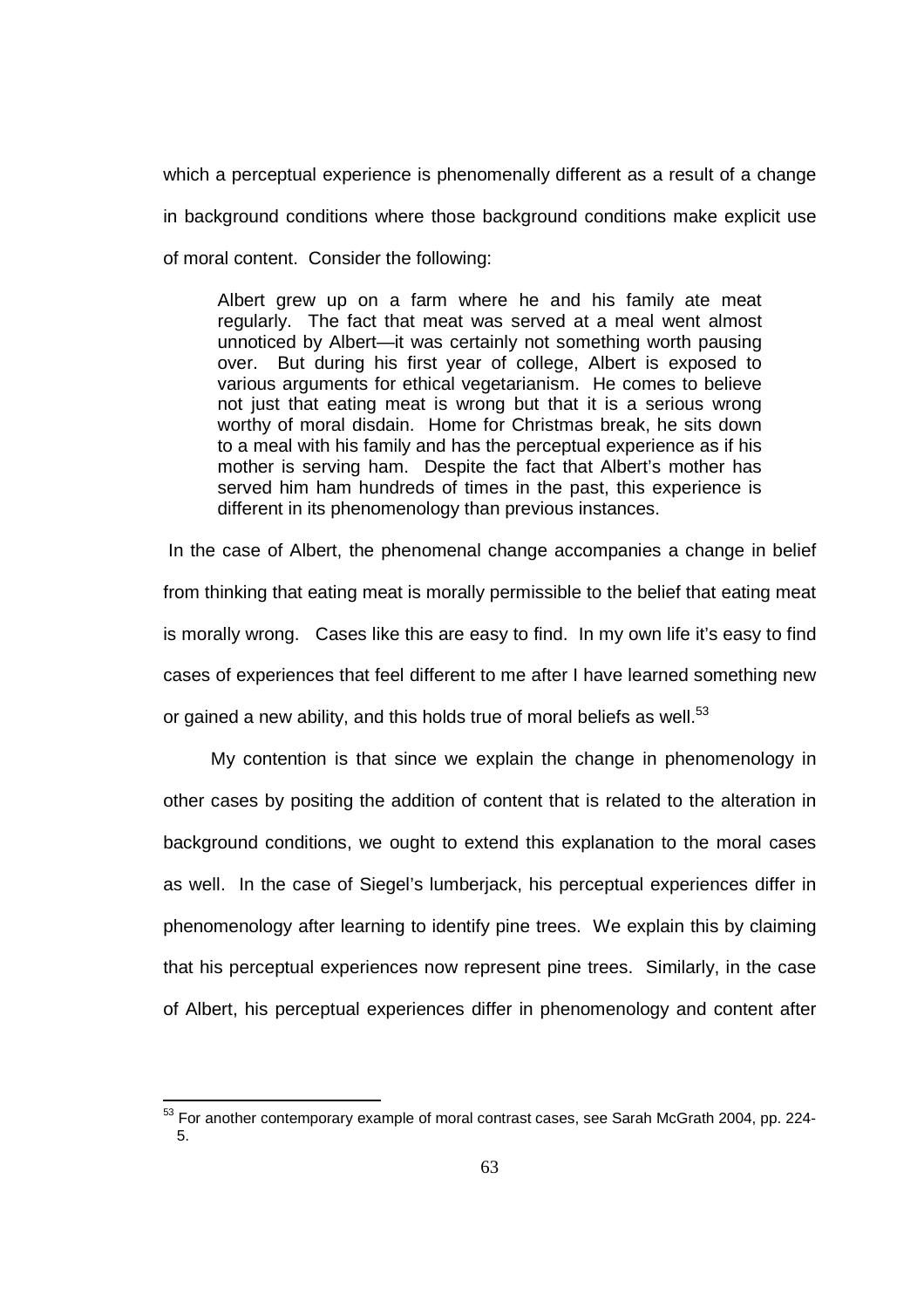which a perceptual experience is phenomenally different as a result of a change in background conditions where those background conditions make explicit use of moral content. Consider the following:

Albert grew up on a farm where he and his family ate meat regularly. The fact that meat was served at a meal went almost unnoticed by Albert—it was certainly not something worth pausing over. But during his first year of college, Albert is exposed to various arguments for ethical vegetarianism. He comes to believe not just that eating meat is wrong but that it is a serious wrong worthy of moral disdain. Home for Christmas break, he sits down to a meal with his family and has the perceptual experience as if his mother is serving ham. Despite the fact that Albert's mother has served him ham hundreds of times in the past, this experience is different in its phenomenology than previous instances.

 In the case of Albert, the phenomenal change accompanies a change in belief from thinking that eating meat is morally permissible to the belief that eating meat is morally wrong. Cases like this are easy to find. In my own life it's easy to find cases of experiences that feel different to me after I have learned something new or gained a new ability, and this holds true of moral beliefs as well.<sup>53</sup>

 My contention is that since we explain the change in phenomenology in other cases by positing the addition of content that is related to the alteration in background conditions, we ought to extend this explanation to the moral cases as well. In the case of Siegel's lumberjack, his perceptual experiences differ in phenomenology after learning to identify pine trees. We explain this by claiming that his perceptual experiences now represent pine trees. Similarly, in the case of Albert, his perceptual experiences differ in phenomenology and content after

 $\overline{a}$  $53$  For another contemporary example of moral contrast cases, see Sarah McGrath 2004, pp. 224-5.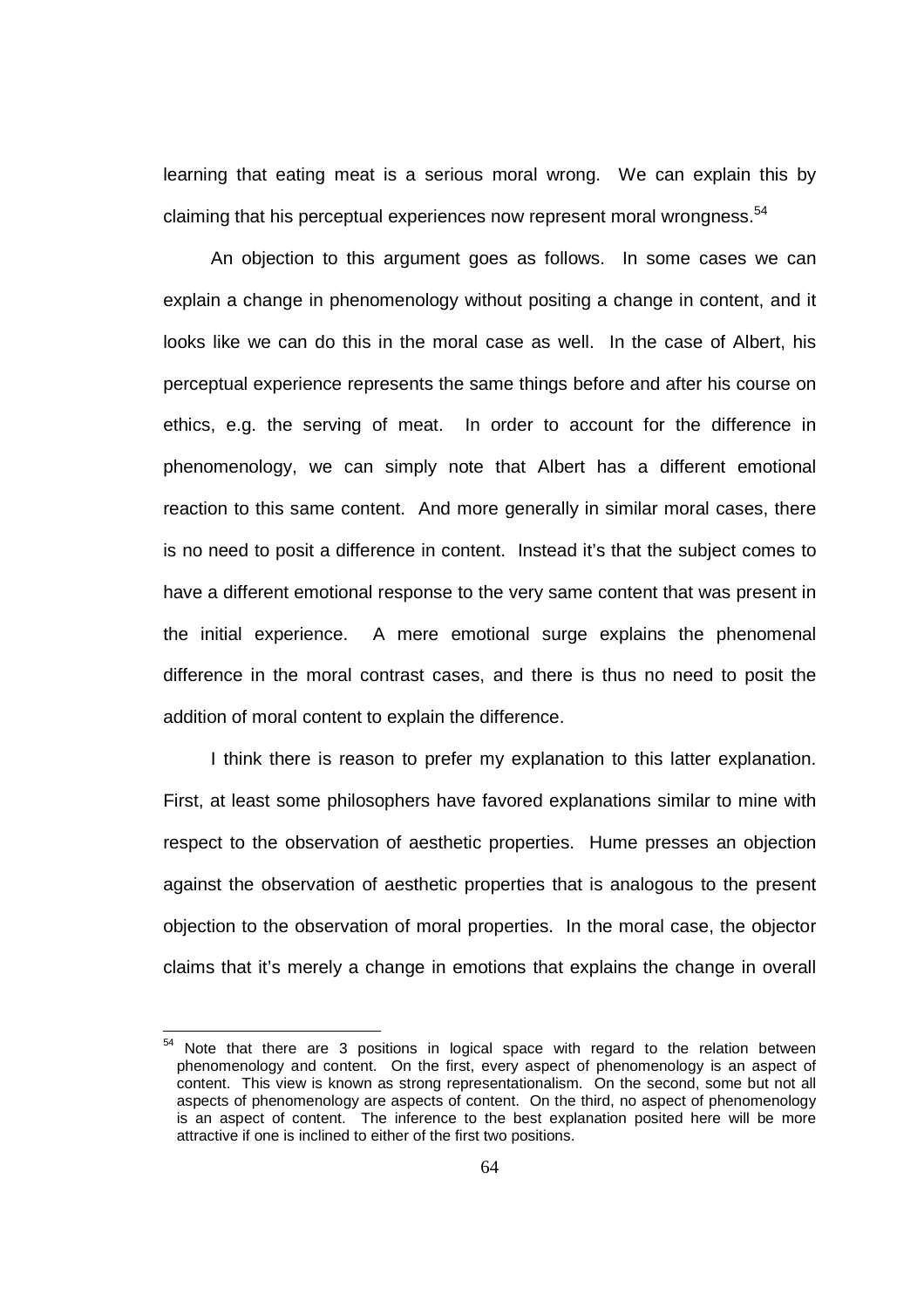learning that eating meat is a serious moral wrong. We can explain this by claiming that his perceptual experiences now represent moral wrongness.<sup>54</sup>

 An objection to this argument goes as follows. In some cases we can explain a change in phenomenology without positing a change in content, and it looks like we can do this in the moral case as well. In the case of Albert, his perceptual experience represents the same things before and after his course on ethics, e.g. the serving of meat. In order to account for the difference in phenomenology, we can simply note that Albert has a different emotional reaction to this same content. And more generally in similar moral cases, there is no need to posit a difference in content. Instead it's that the subject comes to have a different emotional response to the very same content that was present in the initial experience. A mere emotional surge explains the phenomenal difference in the moral contrast cases, and there is thus no need to posit the addition of moral content to explain the difference.

 I think there is reason to prefer my explanation to this latter explanation. First, at least some philosophers have favored explanations similar to mine with respect to the observation of aesthetic properties. Hume presses an objection against the observation of aesthetic properties that is analogous to the present objection to the observation of moral properties. In the moral case, the objector claims that it's merely a change in emotions that explains the change in overall

Note that there are 3 positions in logical space with regard to the relation between phenomenology and content. On the first, every aspect of phenomenology is an aspect of content. This view is known as strong representationalism. On the second, some but not all aspects of phenomenology are aspects of content. On the third, no aspect of phenomenology is an aspect of content. The inference to the best explanation posited here will be more attractive if one is inclined to either of the first two positions.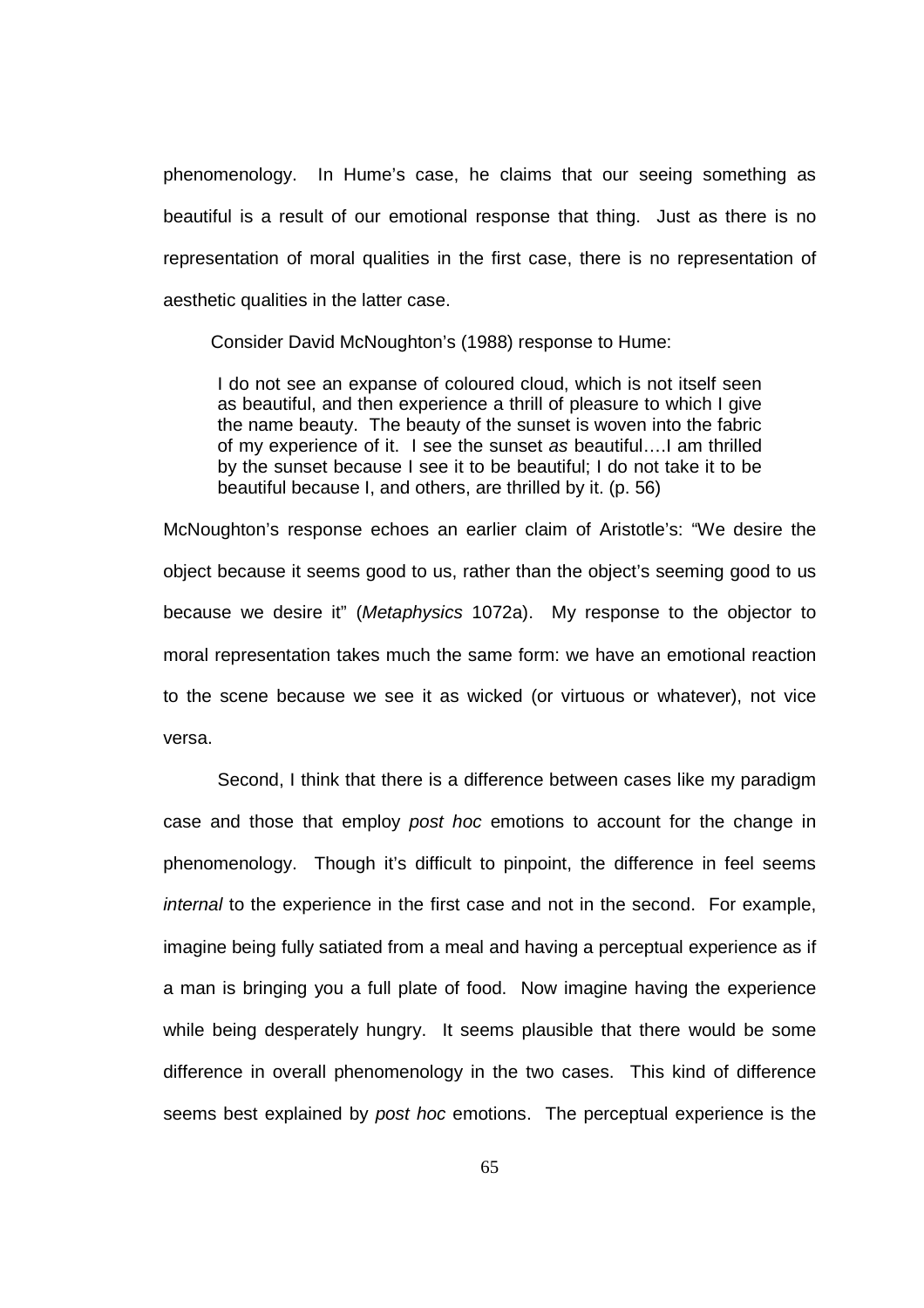phenomenology. In Hume's case, he claims that our seeing something as beautiful is a result of our emotional response that thing. Just as there is no representation of moral qualities in the first case, there is no representation of aesthetic qualities in the latter case.

Consider David McNoughton's (1988) response to Hume:

I do not see an expanse of coloured cloud, which is not itself seen as beautiful, and then experience a thrill of pleasure to which I give the name beauty. The beauty of the sunset is woven into the fabric of my experience of it. I see the sunset as beautiful….I am thrilled by the sunset because I see it to be beautiful; I do not take it to be beautiful because I, and others, are thrilled by it. (p. 56)

McNoughton's response echoes an earlier claim of Aristotle's: "We desire the object because it seems good to us, rather than the object's seeming good to us because we desire it" (Metaphysics 1072a). My response to the objector to moral representation takes much the same form: we have an emotional reaction to the scene because we see it as wicked (or virtuous or whatever), not vice versa.

 Second, I think that there is a difference between cases like my paradigm case and those that employ post hoc emotions to account for the change in phenomenology. Though it's difficult to pinpoint, the difference in feel seems internal to the experience in the first case and not in the second. For example, imagine being fully satiated from a meal and having a perceptual experience as if a man is bringing you a full plate of food. Now imagine having the experience while being desperately hungry. It seems plausible that there would be some difference in overall phenomenology in the two cases. This kind of difference seems best explained by post hoc emotions. The perceptual experience is the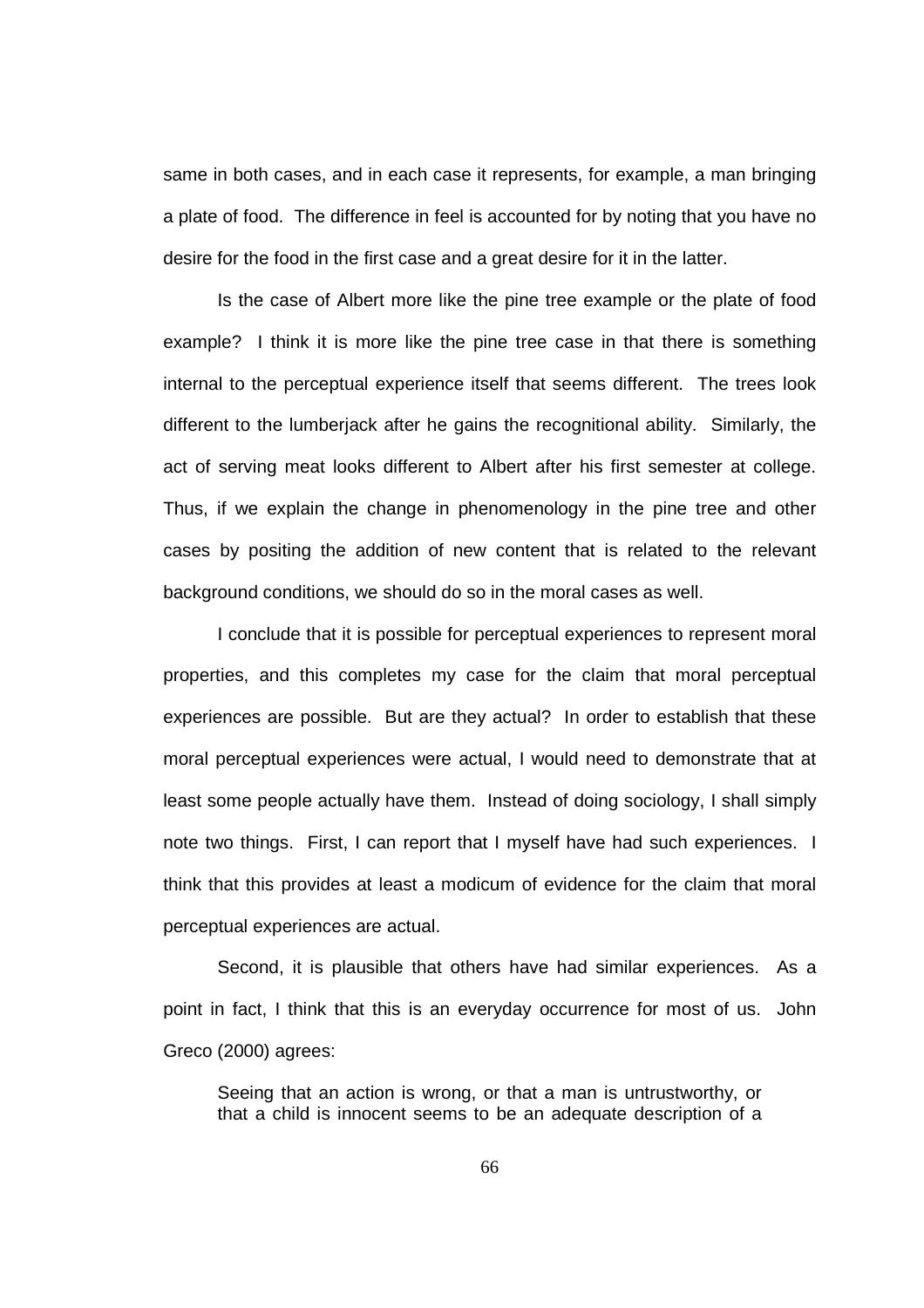same in both cases, and in each case it represents, for example, a man bringing a plate of food. The difference in feel is accounted for by noting that you have no desire for the food in the first case and a great desire for it in the latter.

 Is the case of Albert more like the pine tree example or the plate of food example? I think it is more like the pine tree case in that there is something internal to the perceptual experience itself that seems different. The trees look different to the lumberjack after he gains the recognitional ability. Similarly, the act of serving meat looks different to Albert after his first semester at college. Thus, if we explain the change in phenomenology in the pine tree and other cases by positing the addition of new content that is related to the relevant background conditions, we should do so in the moral cases as well.

 I conclude that it is possible for perceptual experiences to represent moral properties, and this completes my case for the claim that moral perceptual experiences are possible. But are they actual? In order to establish that these moral perceptual experiences were actual, I would need to demonstrate that at least some people actually have them. Instead of doing sociology, I shall simply note two things. First, I can report that I myself have had such experiences. I think that this provides at least a modicum of evidence for the claim that moral perceptual experiences are actual.

Second, it is plausible that others have had similar experiences. As a point in fact, I think that this is an everyday occurrence for most of us. John Greco (2000) agrees:

Seeing that an action is wrong, or that a man is untrustworthy, or that a child is innocent seems to be an adequate description of a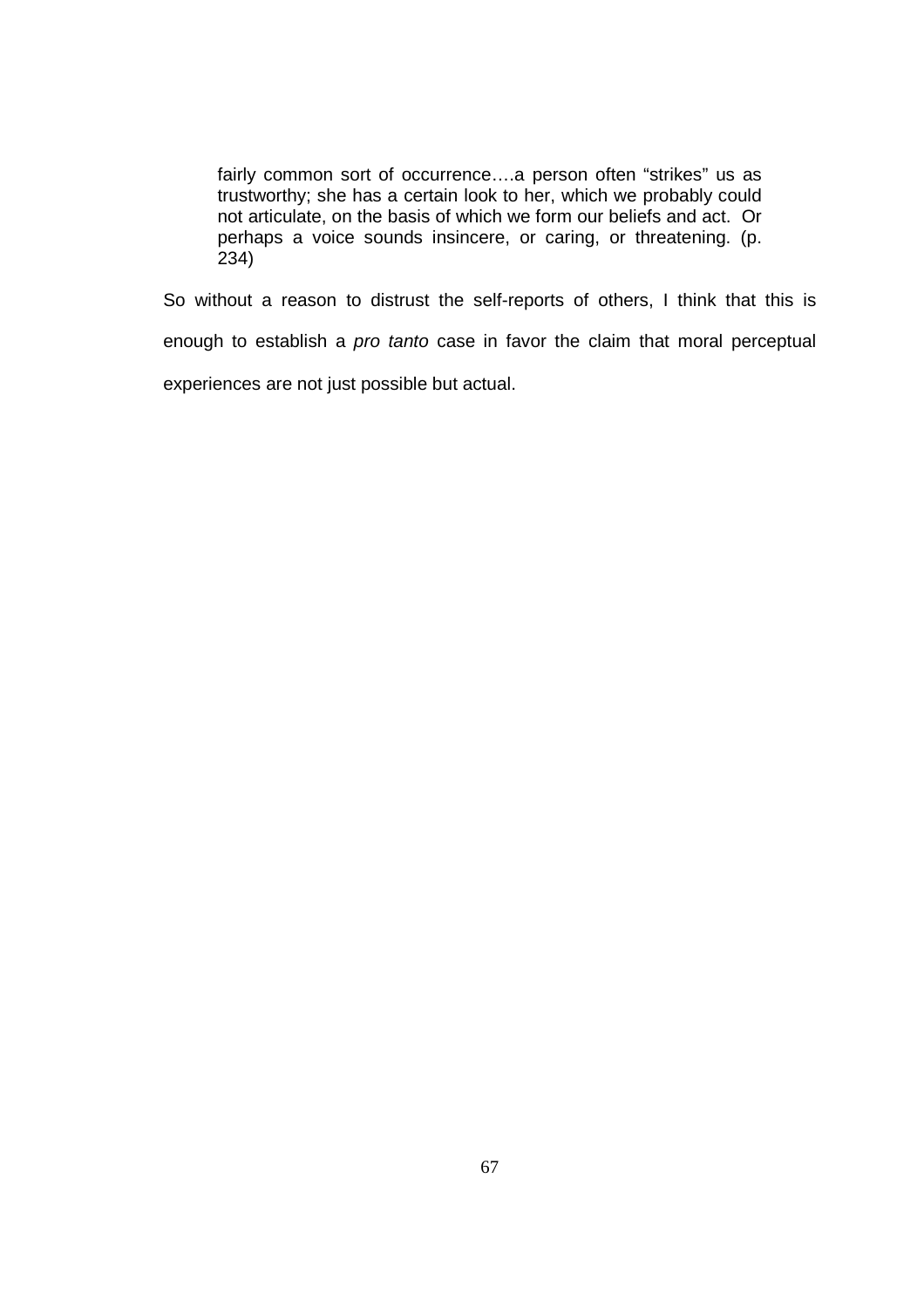fairly common sort of occurrence….a person often "strikes" us as trustworthy; she has a certain look to her, which we probably could not articulate, on the basis of which we form our beliefs and act. Or perhaps a voice sounds insincere, or caring, or threatening. (p. 234)

So without a reason to distrust the self-reports of others, I think that this is enough to establish a pro tanto case in favor the claim that moral perceptual experiences are not just possible but actual.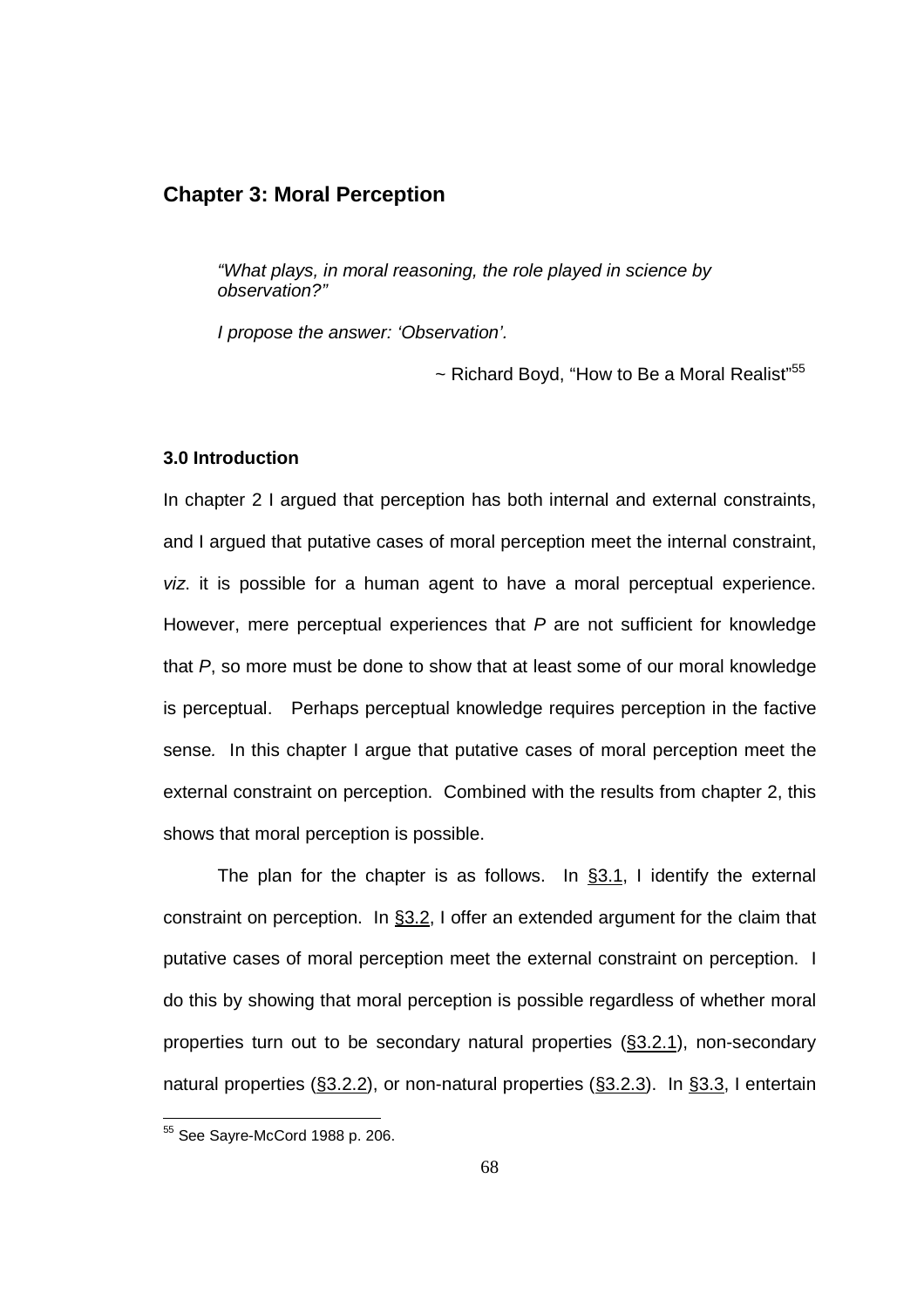# **Chapter 3: Moral Perception**

"What plays, in moral reasoning, the role played in science by observation?"

I propose the answer: 'Observation'.

 $\sim$  Richard Boyd, "How to Be a Moral Realist"<sup>55</sup>

## **3.0 Introduction**

In chapter 2 I argued that perception has both internal and external constraints, and I argued that putative cases of moral perception meet the internal constraint, viz. it is possible for a human agent to have a moral perceptual experience. However, mere perceptual experiences that  $P$  are not sufficient for knowledge that P, so more must be done to show that at least some of our moral knowledge is perceptual. Perhaps perceptual knowledge requires perception in the factive sense. In this chapter I argue that putative cases of moral perception meet the external constraint on perception. Combined with the results from chapter 2, this shows that moral perception is possible.

The plan for the chapter is as follows. In §3.1, I identify the external constraint on perception. In §3.2, I offer an extended argument for the claim that putative cases of moral perception meet the external constraint on perception. I do this by showing that moral perception is possible regardless of whether moral properties turn out to be secondary natural properties (§3.2.1), non-secondary natural properties (§3.2.2), or non-natural properties (§3.2.3). In §3.3, I entertain

<sup>&</sup>lt;sup>55</sup> See Sayre-McCord 1988 p. 206.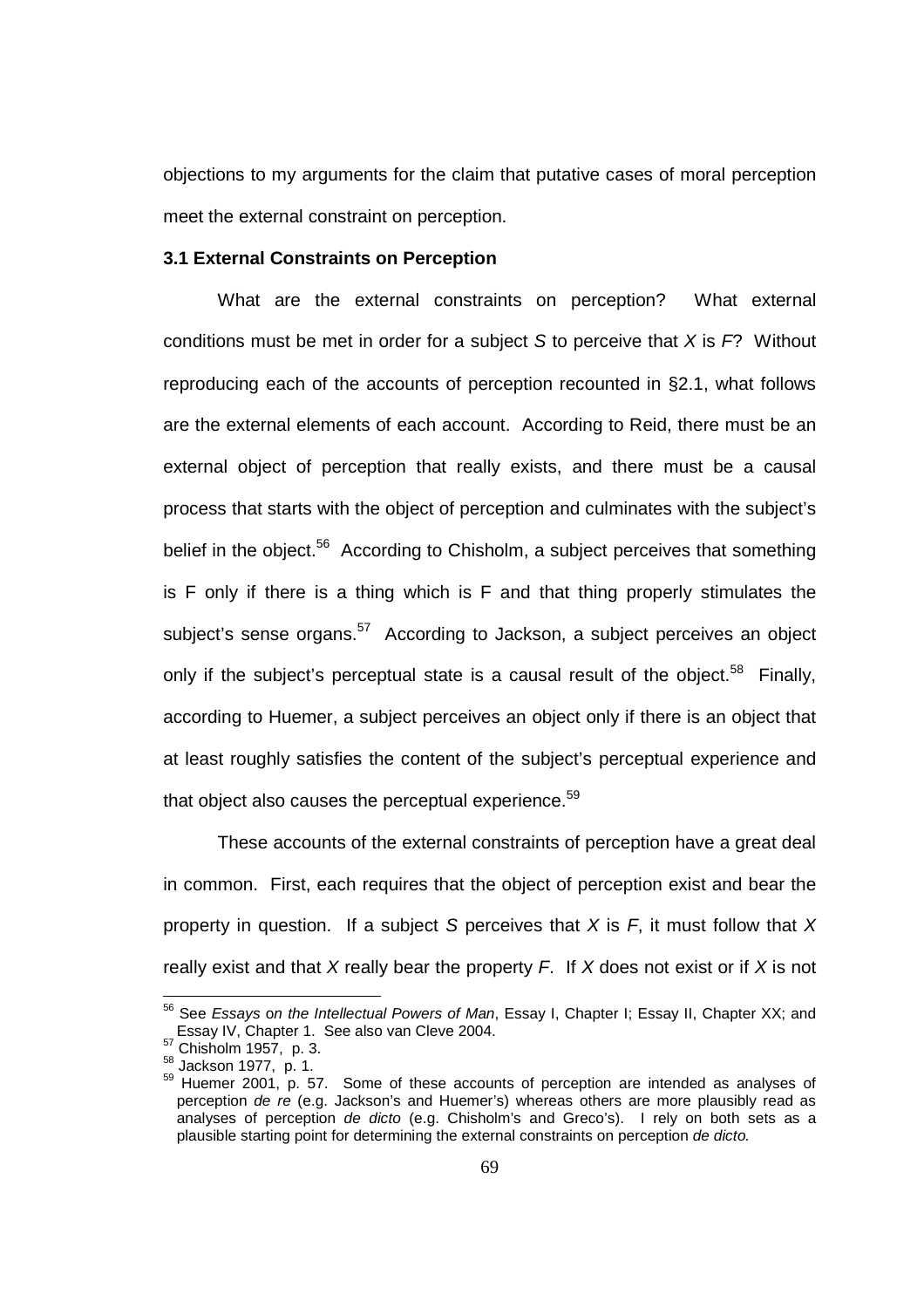objections to my arguments for the claim that putative cases of moral perception meet the external constraint on perception.

#### **3.1 External Constraints on Perception**

 What are the external constraints on perception? What external conditions must be met in order for a subject S to perceive that  $X$  is  $F$ ? Without reproducing each of the accounts of perception recounted in §2.1, what follows are the external elements of each account. According to Reid, there must be an external object of perception that really exists, and there must be a causal process that starts with the object of perception and culminates with the subject's belief in the object.<sup>56</sup> According to Chisholm, a subject perceives that something is F only if there is a thing which is F and that thing properly stimulates the subject's sense organs.<sup>57</sup> According to Jackson, a subject perceives an object only if the subject's perceptual state is a causal result of the object.<sup>58</sup> Finally, according to Huemer, a subject perceives an object only if there is an object that at least roughly satisfies the content of the subject's perceptual experience and that object also causes the perceptual experience. $^{59}$ 

These accounts of the external constraints of perception have a great deal in common. First, each requires that the object of perception exist and bear the property in question. If a subject S perceives that  $X$  is  $F$ , it must follow that  $X$ really exist and that X really bear the property  $F$ . If X does not exist or if X is not

<sup>&</sup>lt;sup>56</sup> See Essays on the Intellectual Powers of Man, Essay I, Chapter I; Essay II, Chapter XX; and Essay IV, Chapter 1. See also van Cleve 2004.

 $57$  Chisholm 1957, p. 3.

<sup>58</sup> Jackson 1977, p. 1.

 $59$  Huemer 2001, p. 57. Some of these accounts of perception are intended as analyses of perception de re (e.g. Jackson's and Huemer's) whereas others are more plausibly read as analyses of perception de dicto (e.g. Chisholm's and Greco's). I rely on both sets as a plausible starting point for determining the external constraints on perception de dicto.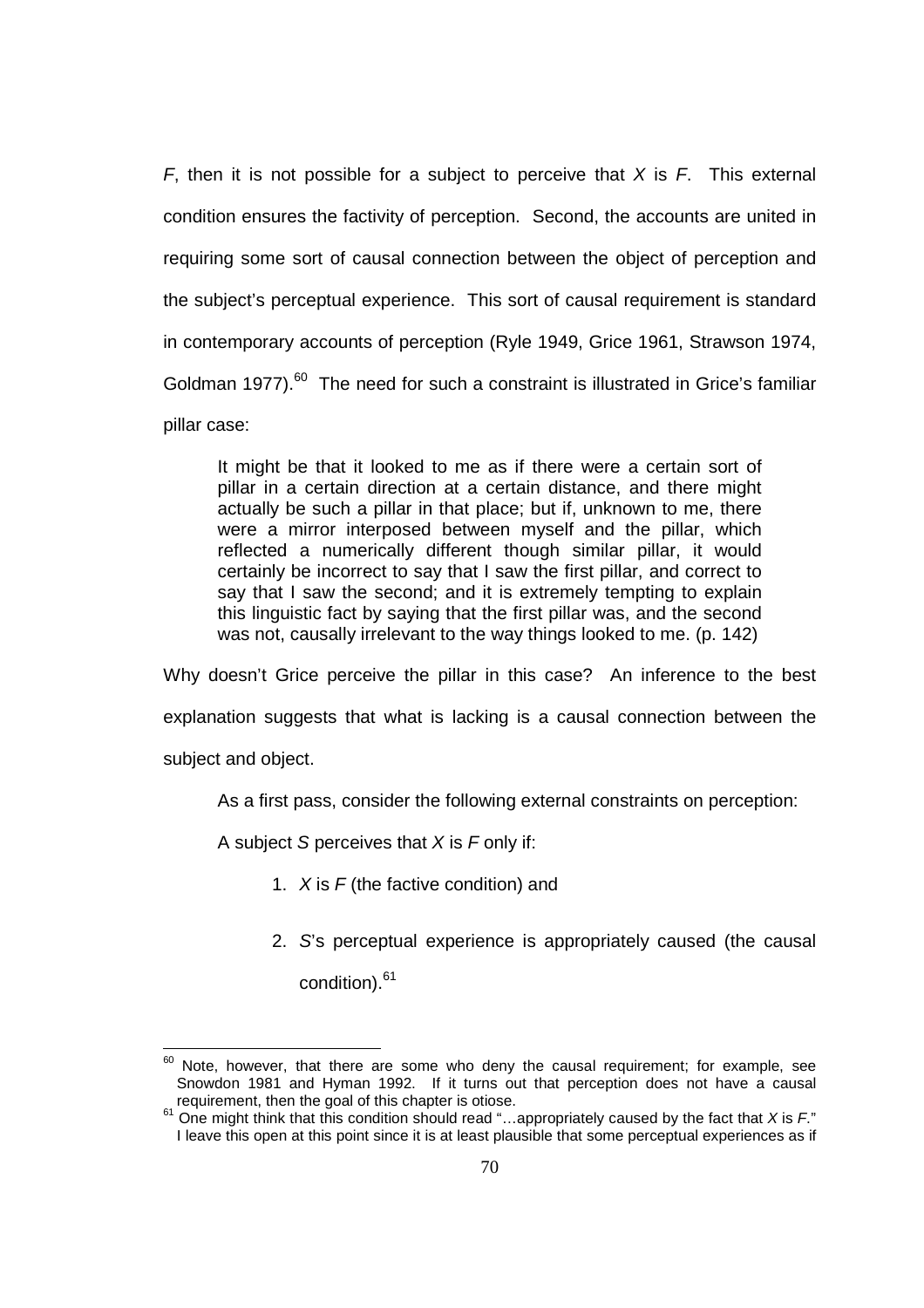F, then it is not possible for a subject to perceive that  $X$  is F. This external condition ensures the factivity of perception. Second, the accounts are united in requiring some sort of causal connection between the object of perception and the subject's perceptual experience. This sort of causal requirement is standard in contemporary accounts of perception (Ryle 1949, Grice 1961, Strawson 1974, Goldman 1977).<sup>60</sup> The need for such a constraint is illustrated in Grice's familiar pillar case:

It might be that it looked to me as if there were a certain sort of pillar in a certain direction at a certain distance, and there might actually be such a pillar in that place; but if, unknown to me, there were a mirror interposed between myself and the pillar, which reflected a numerically different though similar pillar, it would certainly be incorrect to say that I saw the first pillar, and correct to say that I saw the second; and it is extremely tempting to explain this linguistic fact by saying that the first pillar was, and the second was not, causally irrelevant to the way things looked to me. (p. 142)

Why doesn't Grice perceive the pillar in this case? An inference to the best explanation suggests that what is lacking is a causal connection between the

subject and object.

 $\overline{a}$ 

As a first pass, consider the following external constraints on perception:

A subject S perceives that  $X$  is  $F$  only if:

- 1.  $X$  is  $F$  (the factive condition) and
- 2. S's perceptual experience is appropriately caused (the causal

condition).<sup>61</sup>

 $60$  Note, however, that there are some who deny the causal requirement; for example, see Snowdon 1981 and Hyman 1992. If it turns out that perception does not have a causal requirement, then the goal of this chapter is otiose.

 $61$  One might think that this condition should read "...appropriately caused by the fact that X is  $F$ ." I leave this open at this point since it is at least plausible that some perceptual experiences as if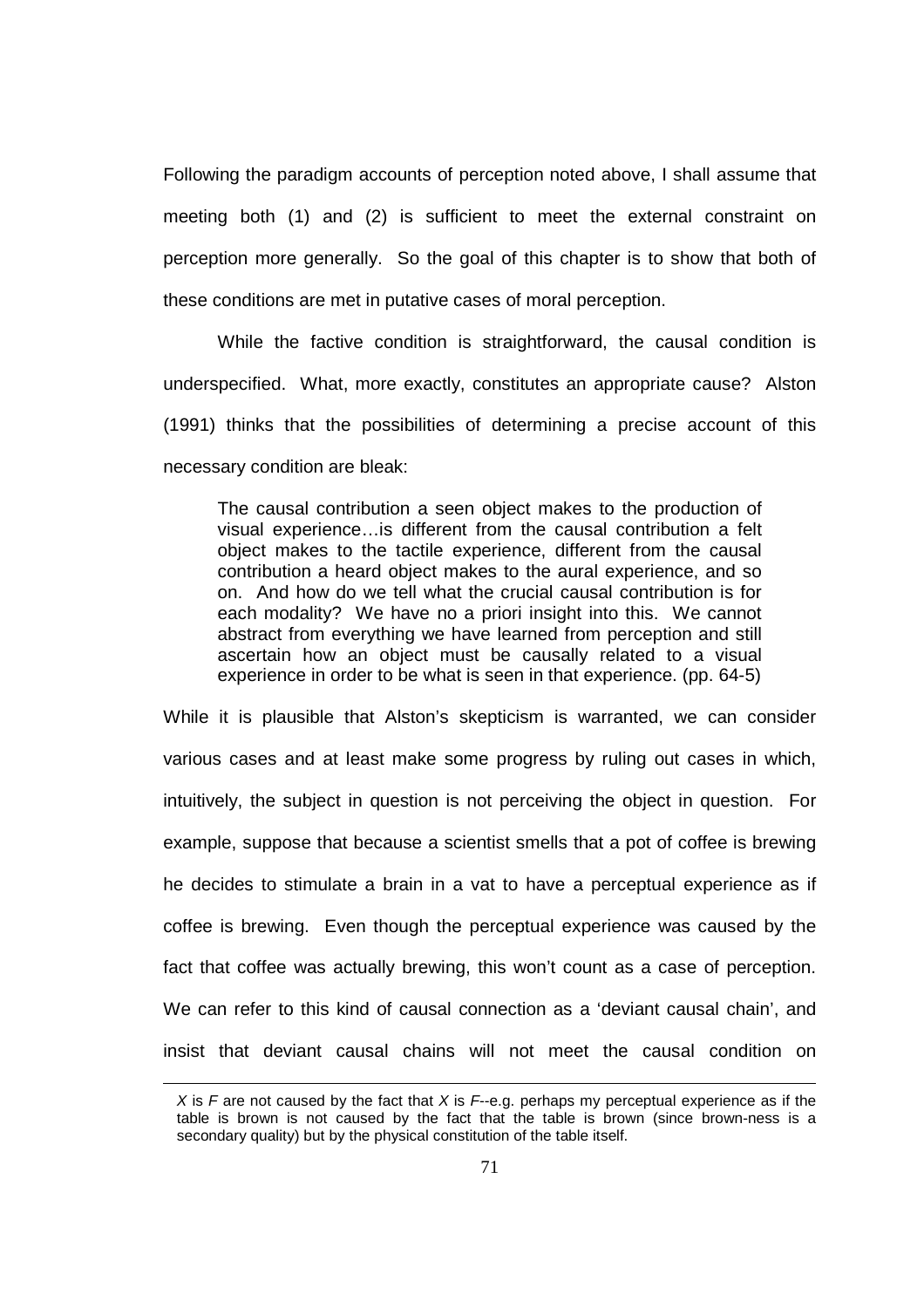Following the paradigm accounts of perception noted above, I shall assume that meeting both (1) and (2) is sufficient to meet the external constraint on perception more generally. So the goal of this chapter is to show that both of these conditions are met in putative cases of moral perception.

 While the factive condition is straightforward, the causal condition is underspecified. What, more exactly, constitutes an appropriate cause? Alston (1991) thinks that the possibilities of determining a precise account of this necessary condition are bleak:

The causal contribution a seen object makes to the production of visual experience…is different from the causal contribution a felt object makes to the tactile experience, different from the causal contribution a heard object makes to the aural experience, and so on. And how do we tell what the crucial causal contribution is for each modality? We have no a priori insight into this. We cannot abstract from everything we have learned from perception and still ascertain how an object must be causally related to a visual experience in order to be what is seen in that experience. (pp. 64-5)

While it is plausible that Alston's skepticism is warranted, we can consider various cases and at least make some progress by ruling out cases in which, intuitively, the subject in question is not perceiving the object in question. For example, suppose that because a scientist smells that a pot of coffee is brewing he decides to stimulate a brain in a vat to have a perceptual experience as if coffee is brewing. Even though the perceptual experience was caused by the fact that coffee was actually brewing, this won't count as a case of perception. We can refer to this kind of causal connection as a 'deviant causal chain', and insist that deviant causal chains will not meet the causal condition on

X is F are not caused by the fact that X is  $F-e.g.$  perhaps my perceptual experience as if the table is brown is not caused by the fact that the table is brown (since brown-ness is a secondary quality) but by the physical constitution of the table itself.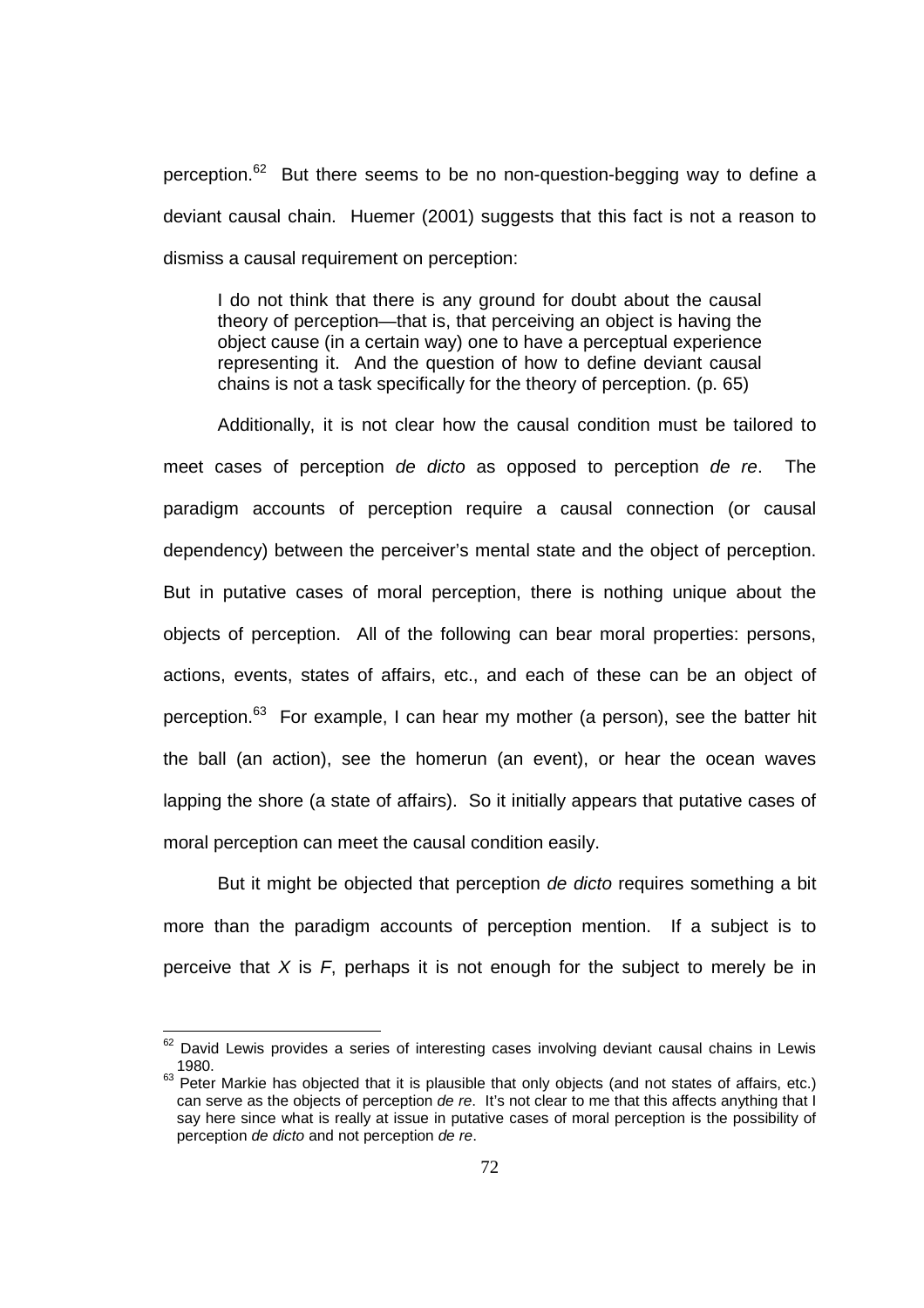perception.<sup>62</sup> But there seems to be no non-question-begging way to define a deviant causal chain. Huemer (2001) suggests that this fact is not a reason to dismiss a causal requirement on perception:

I do not think that there is any ground for doubt about the causal theory of perception—that is, that perceiving an object is having the object cause (in a certain way) one to have a perceptual experience representing it. And the question of how to define deviant causal chains is not a task specifically for the theory of perception. (p. 65)

Additionally, it is not clear how the causal condition must be tailored to meet cases of perception de dicto as opposed to perception de re. The paradigm accounts of perception require a causal connection (or causal dependency) between the perceiver's mental state and the object of perception. But in putative cases of moral perception, there is nothing unique about the objects of perception. All of the following can bear moral properties: persons, actions, events, states of affairs, etc., and each of these can be an object of perception.<sup>63</sup> For example, I can hear my mother (a person), see the batter hit the ball (an action), see the homerun (an event), or hear the ocean waves lapping the shore (a state of affairs). So it initially appears that putative cases of moral perception can meet the causal condition easily.

But it might be objected that perception de dicto requires something a bit more than the paradigm accounts of perception mention. If a subject is to perceive that  $X$  is  $F$ , perhaps it is not enough for the subject to merely be in

 $62$  David Lewis provides a series of interesting cases involving deviant causal chains in Lewis 1980.

<sup>63</sup> Peter Markie has objected that it is plausible that only objects (and not states of affairs, etc.) can serve as the objects of perception de re. It's not clear to me that this affects anything that I say here since what is really at issue in putative cases of moral perception is the possibility of perception de dicto and not perception de re.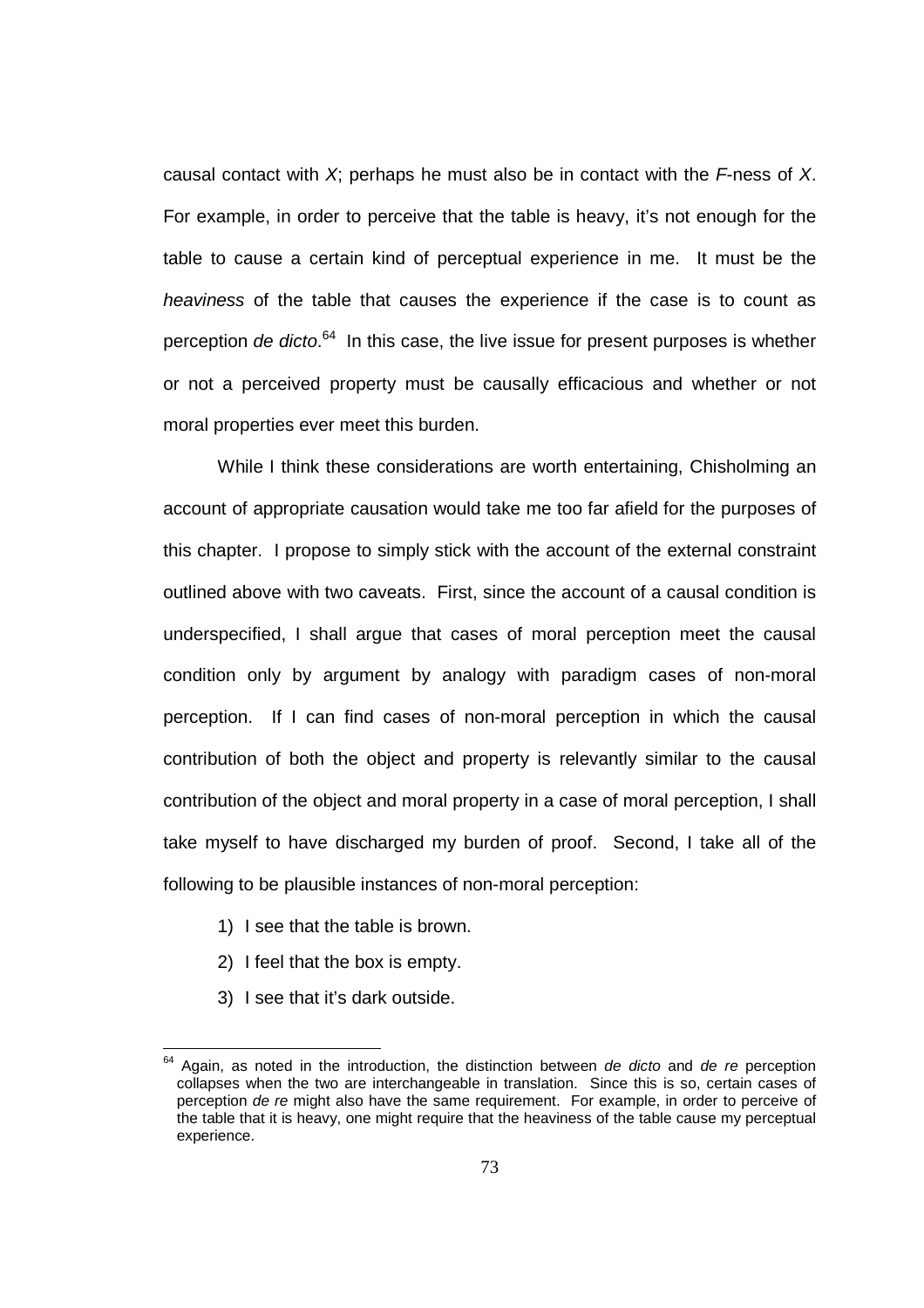causal contact with  $X$ ; perhaps he must also be in contact with the  $F$ -ness of X. For example, in order to perceive that the table is heavy, it's not enough for the table to cause a certain kind of perceptual experience in me. It must be the heaviness of the table that causes the experience if the case is to count as perception *de dicto*.<sup>64</sup> In this case, the live issue for present purposes is whether or not a perceived property must be causally efficacious and whether or not moral properties ever meet this burden.

While I think these considerations are worth entertaining, Chisholming an account of appropriate causation would take me too far afield for the purposes of this chapter. I propose to simply stick with the account of the external constraint outlined above with two caveats. First, since the account of a causal condition is underspecified, I shall argue that cases of moral perception meet the causal condition only by argument by analogy with paradigm cases of non-moral perception. If I can find cases of non-moral perception in which the causal contribution of both the object and property is relevantly similar to the causal contribution of the object and moral property in a case of moral perception, I shall take myself to have discharged my burden of proof. Second, I take all of the following to be plausible instances of non-moral perception:

- 1) I see that the table is brown.
- 2) I feel that the box is empty.
- 3) I see that it's dark outside.

 $64$  Again, as noted in the introduction, the distinction between de dicto and de re perception collapses when the two are interchangeable in translation. Since this is so, certain cases of perception de re might also have the same requirement. For example, in order to perceive of the table that it is heavy, one might require that the heaviness of the table cause my perceptual experience.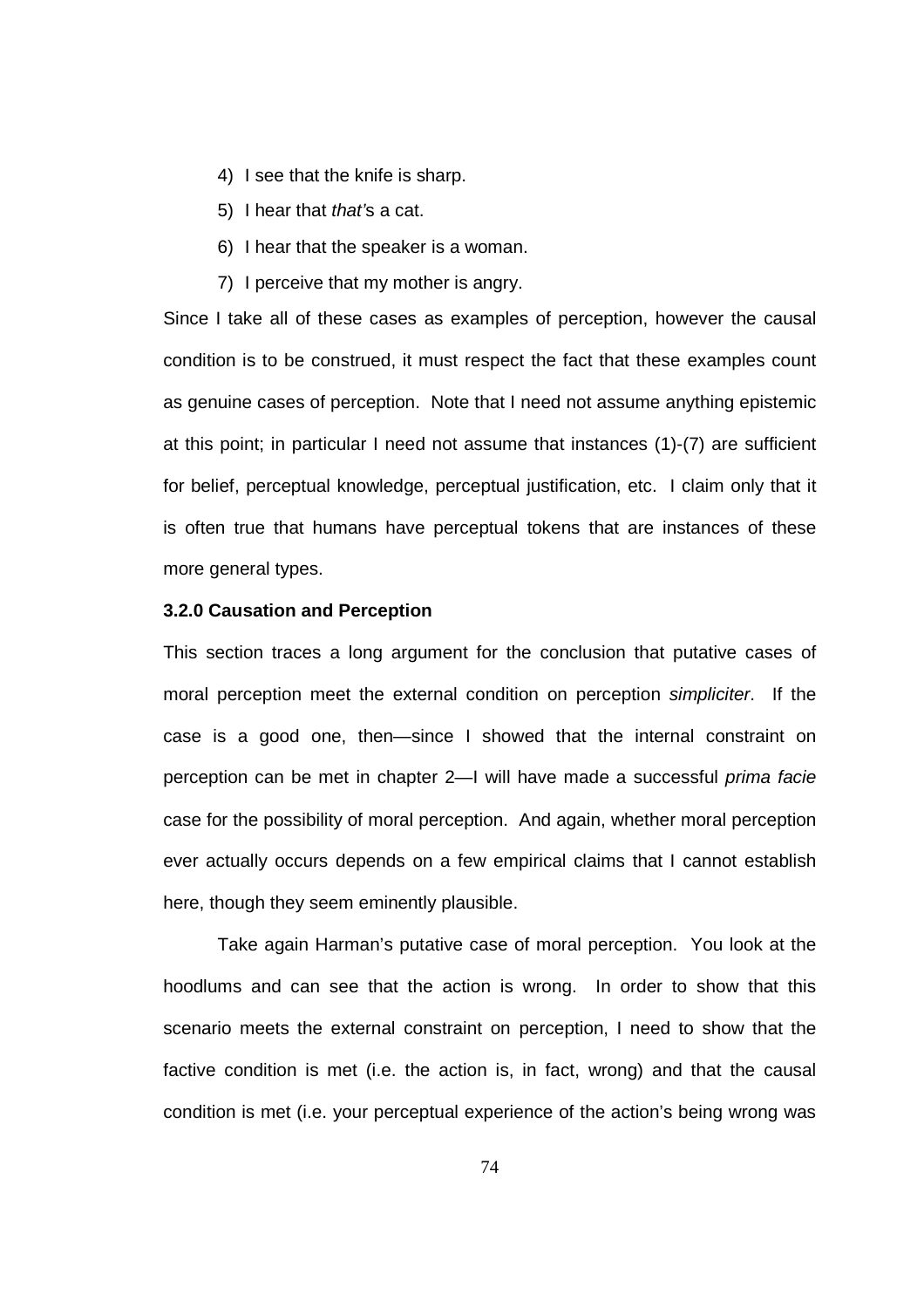- 4) I see that the knife is sharp.
- 5) I hear that that's a cat.
- 6) I hear that the speaker is a woman.
- 7) I perceive that my mother is angry.

Since I take all of these cases as examples of perception, however the causal condition is to be construed, it must respect the fact that these examples count as genuine cases of perception. Note that I need not assume anything epistemic at this point; in particular I need not assume that instances (1)-(7) are sufficient for belief, perceptual knowledge, perceptual justification, etc. I claim only that it is often true that humans have perceptual tokens that are instances of these more general types.

## **3.2.0 Causation and Perception**

This section traces a long argument for the conclusion that putative cases of moral perception meet the external condition on perception simpliciter. If the case is a good one, then—since I showed that the internal constraint on perception can be met in chapter 2—I will have made a successful prima facie case for the possibility of moral perception. And again, whether moral perception ever actually occurs depends on a few empirical claims that I cannot establish here, though they seem eminently plausible.

 Take again Harman's putative case of moral perception. You look at the hoodlums and can see that the action is wrong. In order to show that this scenario meets the external constraint on perception, I need to show that the factive condition is met (i.e. the action is, in fact, wrong) and that the causal condition is met (i.e. your perceptual experience of the action's being wrong was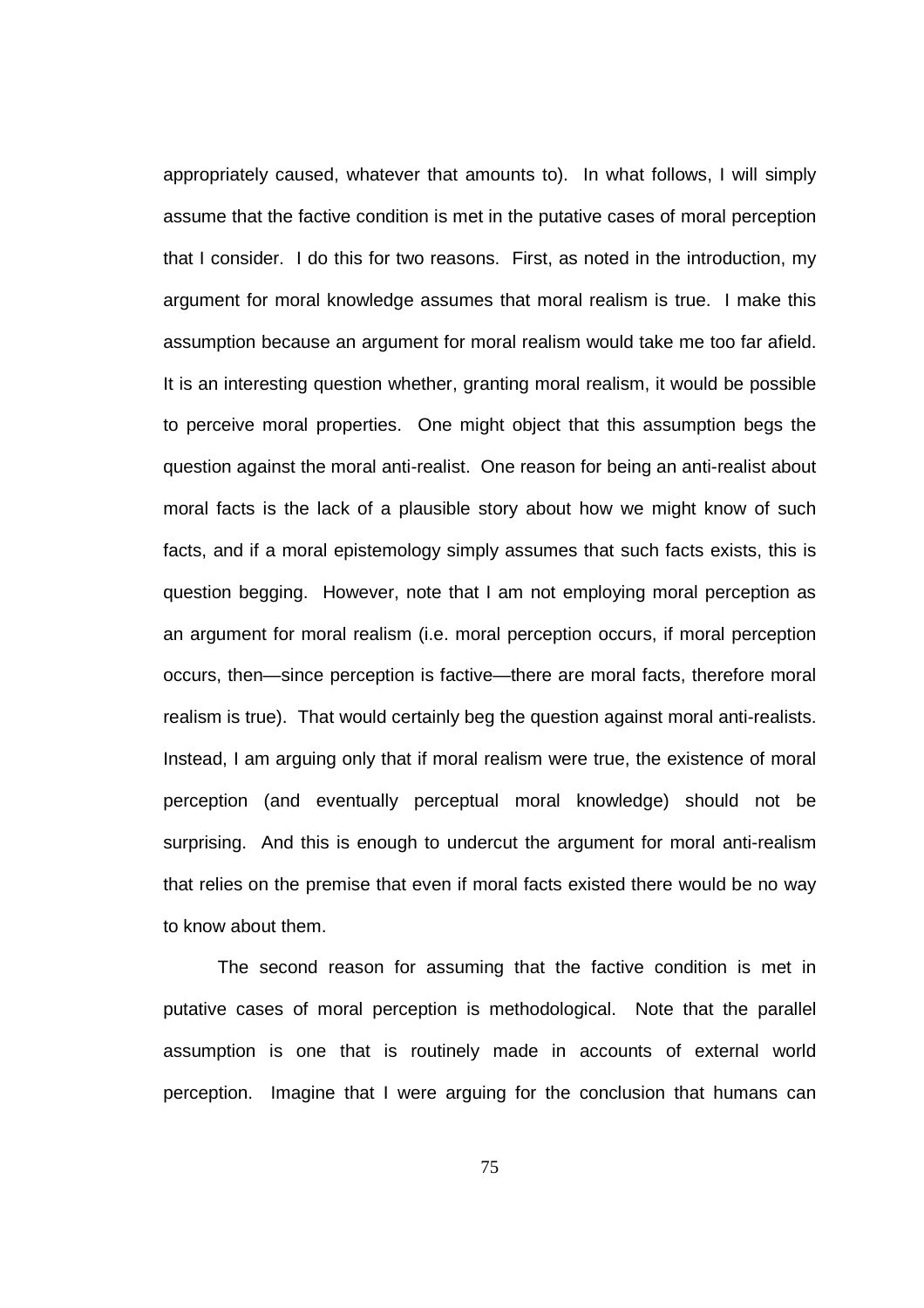appropriately caused, whatever that amounts to). In what follows, I will simply assume that the factive condition is met in the putative cases of moral perception that I consider. I do this for two reasons. First, as noted in the introduction, my argument for moral knowledge assumes that moral realism is true. I make this assumption because an argument for moral realism would take me too far afield. It is an interesting question whether, granting moral realism, it would be possible to perceive moral properties. One might object that this assumption begs the question against the moral anti-realist. One reason for being an anti-realist about moral facts is the lack of a plausible story about how we might know of such facts, and if a moral epistemology simply assumes that such facts exists, this is question begging. However, note that I am not employing moral perception as an argument for moral realism (i.e. moral perception occurs, if moral perception occurs, then—since perception is factive—there are moral facts, therefore moral realism is true). That would certainly beg the question against moral anti-realists. Instead, I am arguing only that if moral realism were true, the existence of moral perception (and eventually perceptual moral knowledge) should not be surprising. And this is enough to undercut the argument for moral anti-realism that relies on the premise that even if moral facts existed there would be no way to know about them.

The second reason for assuming that the factive condition is met in putative cases of moral perception is methodological. Note that the parallel assumption is one that is routinely made in accounts of external world perception. Imagine that I were arguing for the conclusion that humans can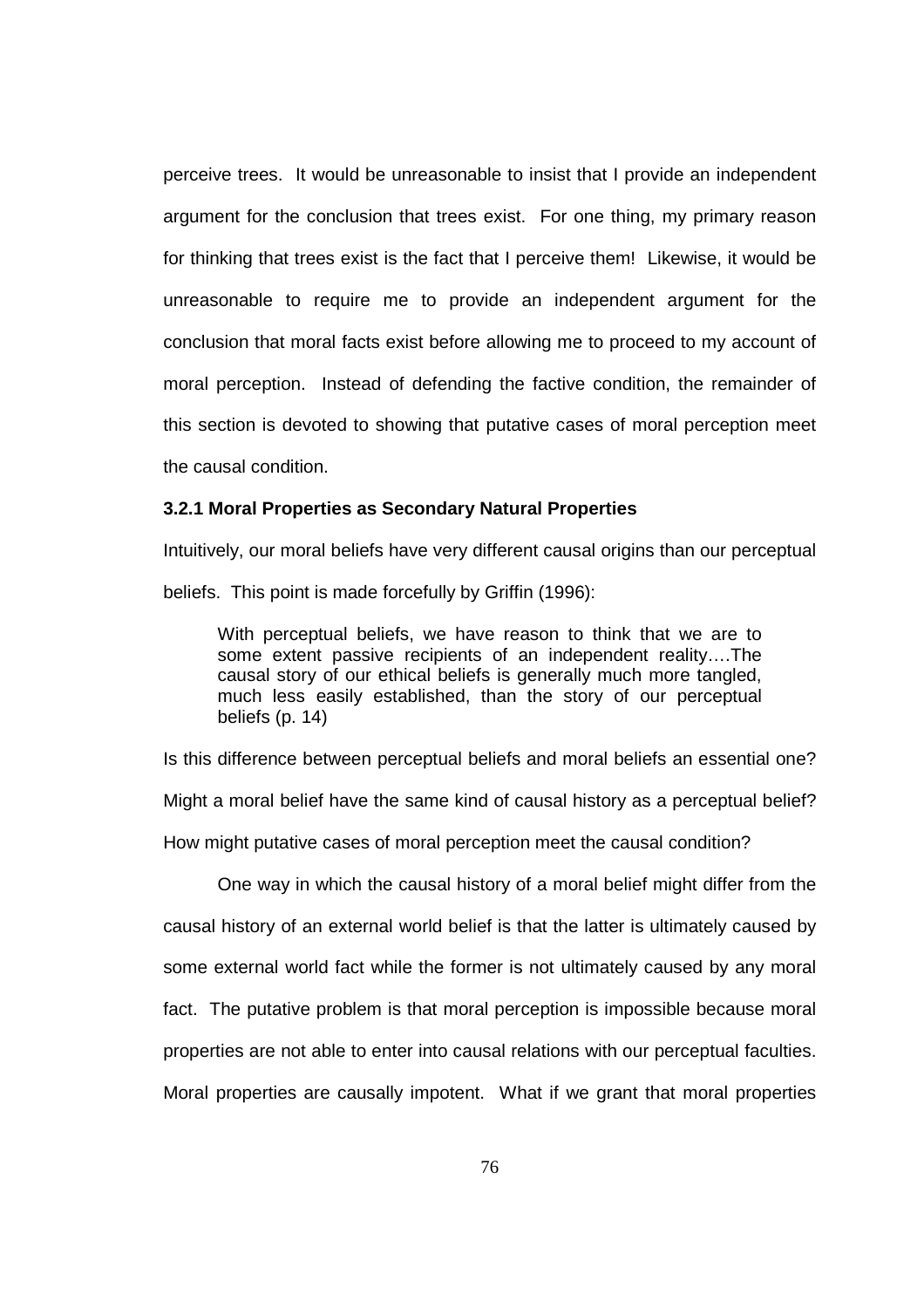perceive trees. It would be unreasonable to insist that I provide an independent argument for the conclusion that trees exist. For one thing, my primary reason for thinking that trees exist is the fact that I perceive them! Likewise, it would be unreasonable to require me to provide an independent argument for the conclusion that moral facts exist before allowing me to proceed to my account of moral perception. Instead of defending the factive condition, the remainder of this section is devoted to showing that putative cases of moral perception meet the causal condition.

## **3.2.1 Moral Properties as Secondary Natural Properties**

Intuitively, our moral beliefs have very different causal origins than our perceptual beliefs. This point is made forcefully by Griffin (1996):

With perceptual beliefs, we have reason to think that we are to some extent passive recipients of an independent reality….The causal story of our ethical beliefs is generally much more tangled, much less easily established, than the story of our perceptual beliefs (p. 14)

Is this difference between perceptual beliefs and moral beliefs an essential one? Might a moral belief have the same kind of causal history as a perceptual belief? How might putative cases of moral perception meet the causal condition?

One way in which the causal history of a moral belief might differ from the causal history of an external world belief is that the latter is ultimately caused by some external world fact while the former is not ultimately caused by any moral fact. The putative problem is that moral perception is impossible because moral properties are not able to enter into causal relations with our perceptual faculties. Moral properties are causally impotent. What if we grant that moral properties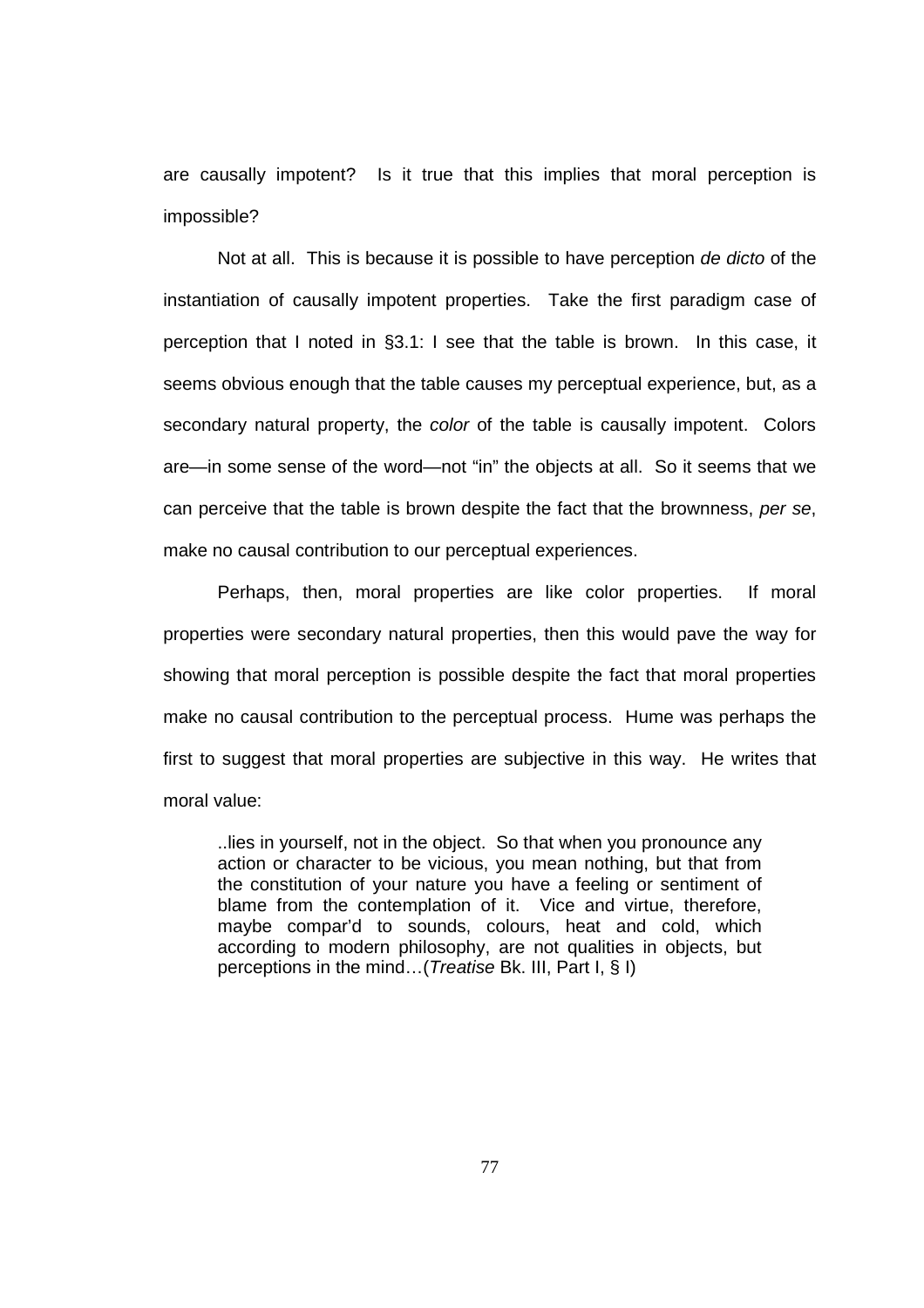are causally impotent? Is it true that this implies that moral perception is impossible?

Not at all. This is because it is possible to have perception de dicto of the instantiation of causally impotent properties. Take the first paradigm case of perception that I noted in §3.1: I see that the table is brown. In this case, it seems obvious enough that the table causes my perceptual experience, but, as a secondary natural property, the color of the table is causally impotent. Colors are—in some sense of the word—not "in" the objects at all. So it seems that we can perceive that the table is brown despite the fact that the brownness, per se, make no causal contribution to our perceptual experiences.

 Perhaps, then, moral properties are like color properties. If moral properties were secondary natural properties, then this would pave the way for showing that moral perception is possible despite the fact that moral properties make no causal contribution to the perceptual process. Hume was perhaps the first to suggest that moral properties are subjective in this way. He writes that moral value:

..lies in yourself, not in the object. So that when you pronounce any action or character to be vicious, you mean nothing, but that from the constitution of your nature you have a feeling or sentiment of blame from the contemplation of it. Vice and virtue, therefore, maybe compar'd to sounds, colours, heat and cold, which according to modern philosophy, are not qualities in objects, but perceptions in the mind…(Treatise Bk. III, Part I, § I)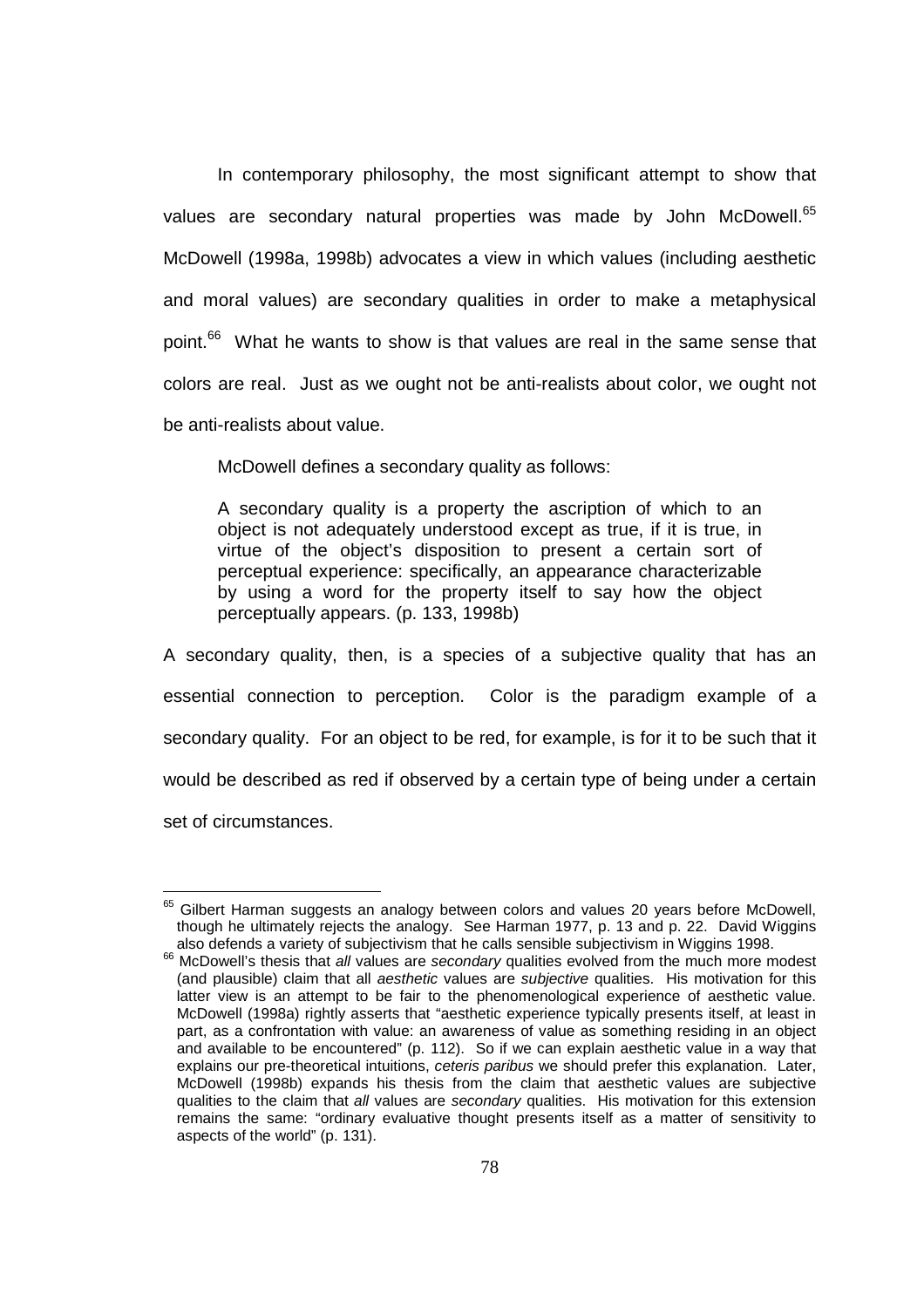In contemporary philosophy, the most significant attempt to show that values are secondary natural properties was made by John McDowell.<sup>65</sup> McDowell (1998a, 1998b) advocates a view in which values (including aesthetic and moral values) are secondary qualities in order to make a metaphysical point.<sup>66</sup> What he wants to show is that values are real in the same sense that colors are real. Just as we ought not be anti-realists about color, we ought not be anti-realists about value.

McDowell defines a secondary quality as follows:

A secondary quality is a property the ascription of which to an object is not adequately understood except as true, if it is true, in virtue of the object's disposition to present a certain sort of perceptual experience: specifically, an appearance characterizable by using a word for the property itself to say how the object perceptually appears. (p. 133, 1998b)

A secondary quality, then, is a species of a subjective quality that has an essential connection to perception. Color is the paradigm example of a secondary quality. For an object to be red, for example, is for it to be such that it would be described as red if observed by a certain type of being under a certain set of circumstances.

 $65$  Gilbert Harman suggests an analogy between colors and values 20 years before McDowell, though he ultimately rejects the analogy. See Harman 1977, p. 13 and p. 22. David Wiggins also defends a variety of subjectivism that he calls sensible subjectivism in Wiggins 1998.

<sup>&</sup>lt;sup>66</sup> McDowell's thesis that all values are secondary qualities evolved from the much more modest (and plausible) claim that all *aesthetic* values are *subjective* qualities. His motivation for this latter view is an attempt to be fair to the phenomenological experience of aesthetic value. McDowell (1998a) rightly asserts that "aesthetic experience typically presents itself, at least in part, as a confrontation with value: an awareness of value as something residing in an object and available to be encountered" (p. 112). So if we can explain aesthetic value in a way that explains our pre-theoretical intuitions, ceteris paribus we should prefer this explanation. Later, McDowell (1998b) expands his thesis from the claim that aesthetic values are subjective qualities to the claim that all values are secondary qualities. His motivation for this extension remains the same: "ordinary evaluative thought presents itself as a matter of sensitivity to aspects of the world" (p. 131).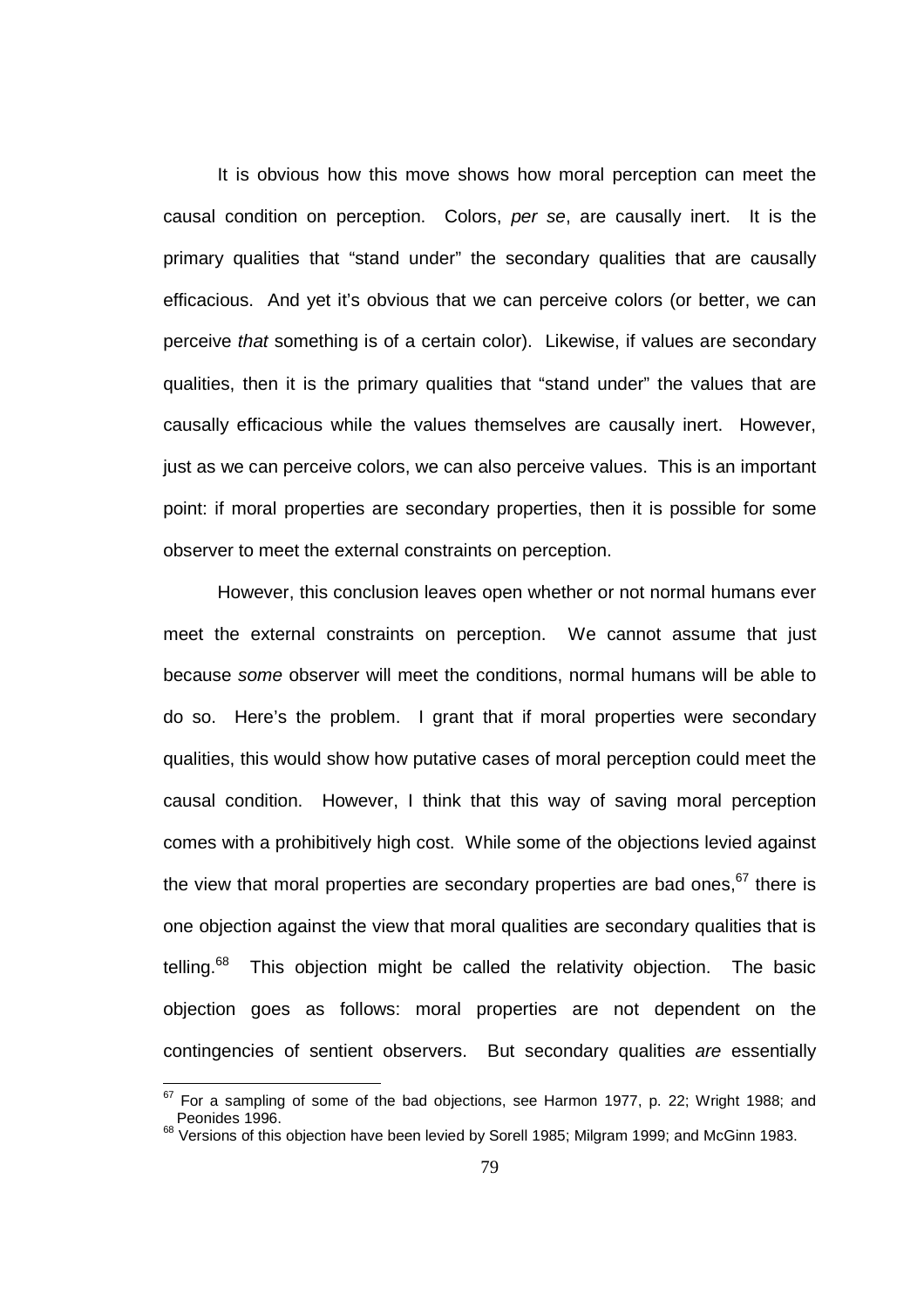It is obvious how this move shows how moral perception can meet the causal condition on perception. Colors, per se, are causally inert. It is the primary qualities that "stand under" the secondary qualities that are causally efficacious. And yet it's obvious that we can perceive colors (or better, we can perceive that something is of a certain color). Likewise, if values are secondary qualities, then it is the primary qualities that "stand under" the values that are causally efficacious while the values themselves are causally inert. However, just as we can perceive colors, we can also perceive values. This is an important point: if moral properties are secondary properties, then it is possible for some observer to meet the external constraints on perception.

However, this conclusion leaves open whether or not normal humans ever meet the external constraints on perception. We cannot assume that just because some observer will meet the conditions, normal humans will be able to do so. Here's the problem. I grant that if moral properties were secondary qualities, this would show how putative cases of moral perception could meet the causal condition. However, I think that this way of saving moral perception comes with a prohibitively high cost. While some of the objections levied against the view that moral properties are secondary properties are bad ones,  $67$  there is one objection against the view that moral qualities are secondary qualities that is telling. $68$  This objection might be called the relativity objection. The basic objection goes as follows: moral properties are not dependent on the contingencies of sentient observers. But secondary qualities are essentially

 $67$  For a sampling of some of the bad objections, see Harmon 1977, p. 22; Wright 1988; and Peonides 1996.

<sup>&</sup>lt;sup>68</sup> Versions of this objection have been levied by Sorell 1985; Milgram 1999; and McGinn 1983.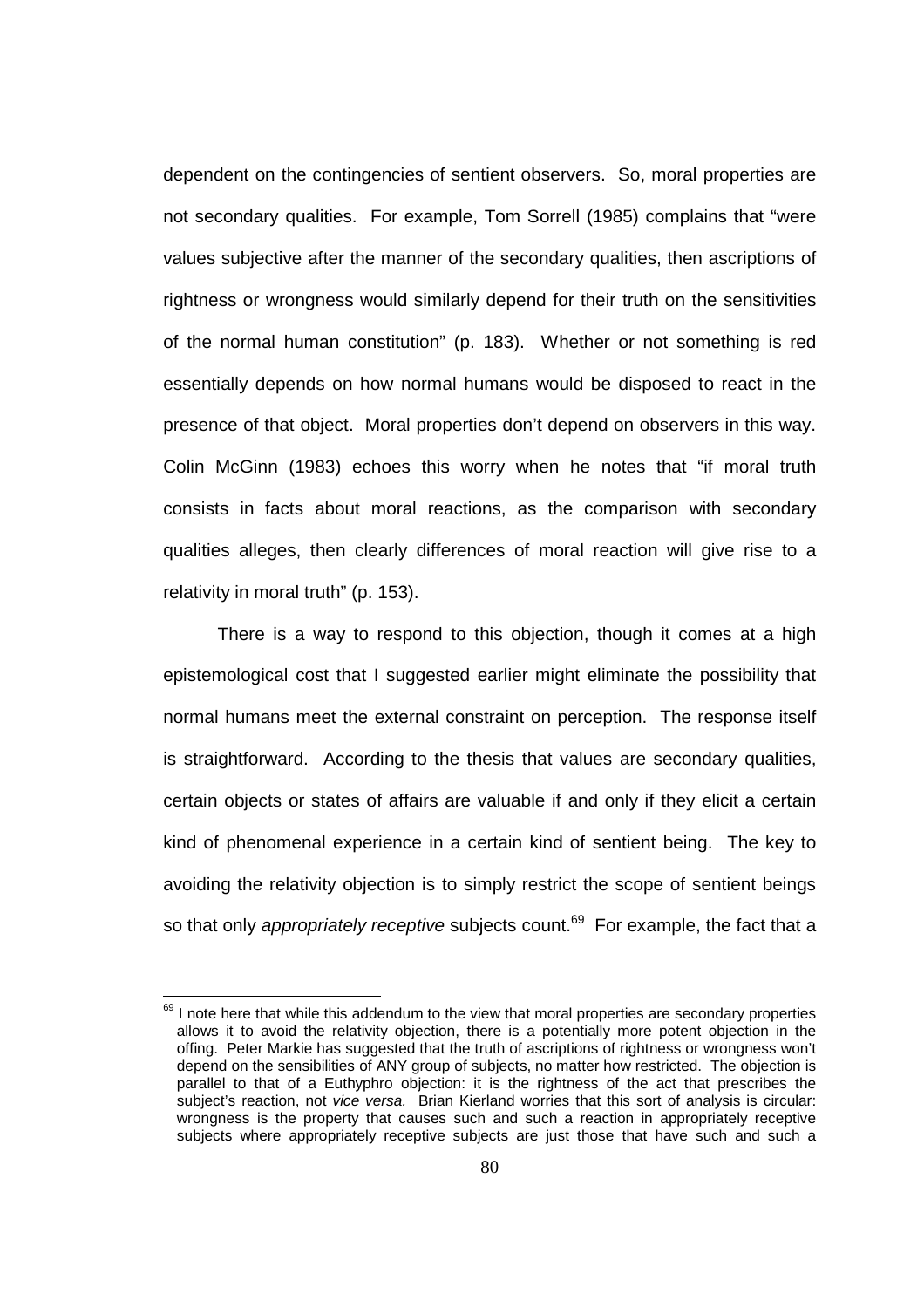dependent on the contingencies of sentient observers. So, moral properties are not secondary qualities. For example, Tom Sorrell (1985) complains that "were values subjective after the manner of the secondary qualities, then ascriptions of rightness or wrongness would similarly depend for their truth on the sensitivities of the normal human constitution" (p. 183). Whether or not something is red essentially depends on how normal humans would be disposed to react in the presence of that object. Moral properties don't depend on observers in this way. Colin McGinn (1983) echoes this worry when he notes that "if moral truth consists in facts about moral reactions, as the comparison with secondary qualities alleges, then clearly differences of moral reaction will give rise to a relativity in moral truth" (p. 153).

There is a way to respond to this objection, though it comes at a high epistemological cost that I suggested earlier might eliminate the possibility that normal humans meet the external constraint on perception. The response itself is straightforward. According to the thesis that values are secondary qualities, certain objects or states of affairs are valuable if and only if they elicit a certain kind of phenomenal experience in a certain kind of sentient being. The key to avoiding the relativity objection is to simply restrict the scope of sentient beings so that only *appropriately receptive* subjects count.<sup>69</sup> For example, the fact that a

 $69$  I note here that while this addendum to the view that moral properties are secondary properties allows it to avoid the relativity objection, there is a potentially more potent objection in the offing. Peter Markie has suggested that the truth of ascriptions of rightness or wrongness won't depend on the sensibilities of ANY group of subjects, no matter how restricted. The objection is parallel to that of a Euthyphro objection: it is the rightness of the act that prescribes the subject's reaction, not vice versa. Brian Kierland worries that this sort of analysis is circular: wrongness is the property that causes such and such a reaction in appropriately receptive subjects where appropriately receptive subjects are just those that have such and such a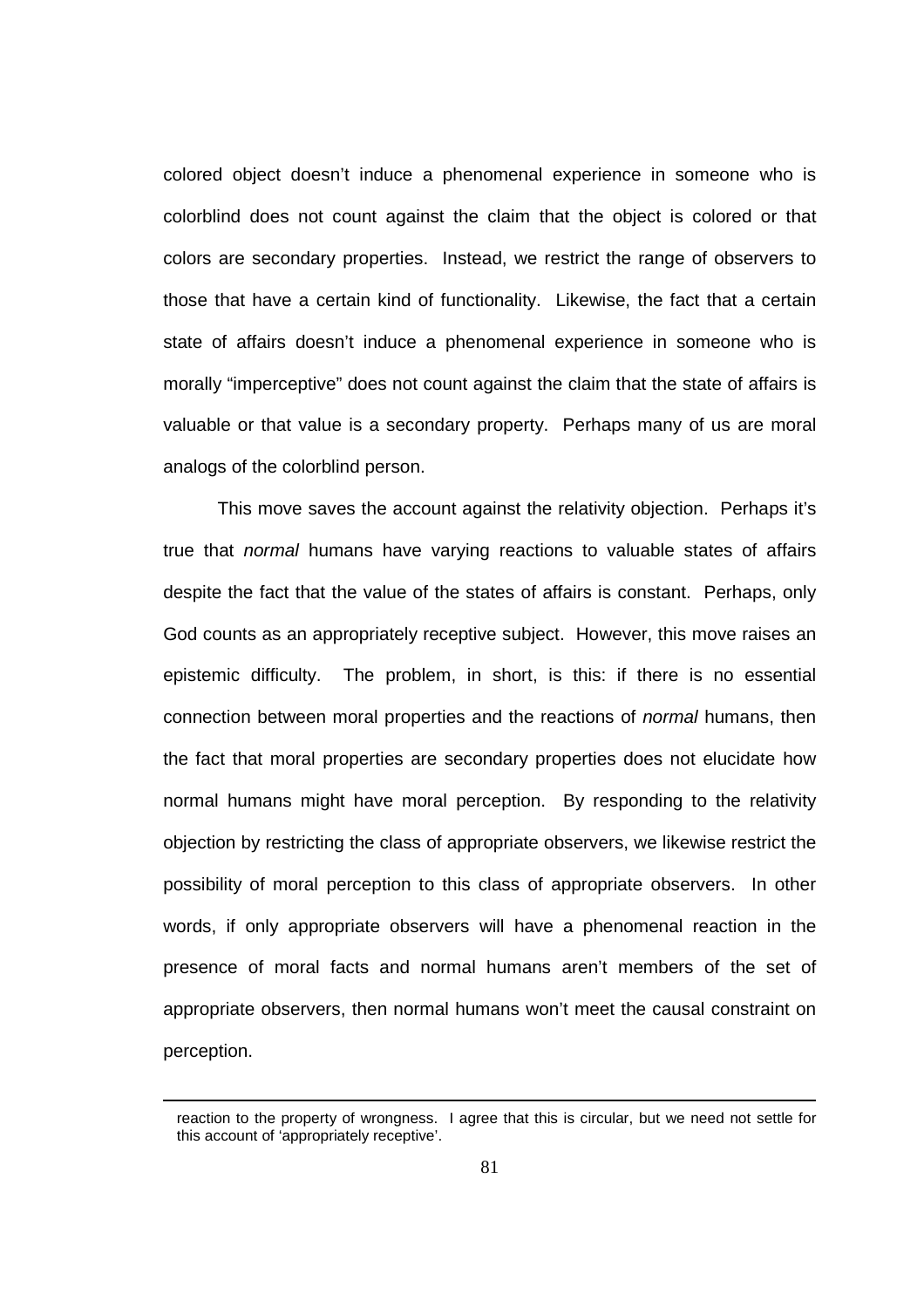colored object doesn't induce a phenomenal experience in someone who is colorblind does not count against the claim that the object is colored or that colors are secondary properties. Instead, we restrict the range of observers to those that have a certain kind of functionality. Likewise, the fact that a certain state of affairs doesn't induce a phenomenal experience in someone who is morally "imperceptive" does not count against the claim that the state of affairs is valuable or that value is a secondary property. Perhaps many of us are moral analogs of the colorblind person.

This move saves the account against the relativity objection. Perhaps it's true that normal humans have varying reactions to valuable states of affairs despite the fact that the value of the states of affairs is constant. Perhaps, only God counts as an appropriately receptive subject. However, this move raises an epistemic difficulty. The problem, in short, is this: if there is no essential connection between moral properties and the reactions of normal humans, then the fact that moral properties are secondary properties does not elucidate how normal humans might have moral perception. By responding to the relativity objection by restricting the class of appropriate observers, we likewise restrict the possibility of moral perception to this class of appropriate observers. In other words, if only appropriate observers will have a phenomenal reaction in the presence of moral facts and normal humans aren't members of the set of appropriate observers, then normal humans won't meet the causal constraint on perception.

reaction to the property of wrongness. I agree that this is circular, but we need not settle for this account of 'appropriately receptive'.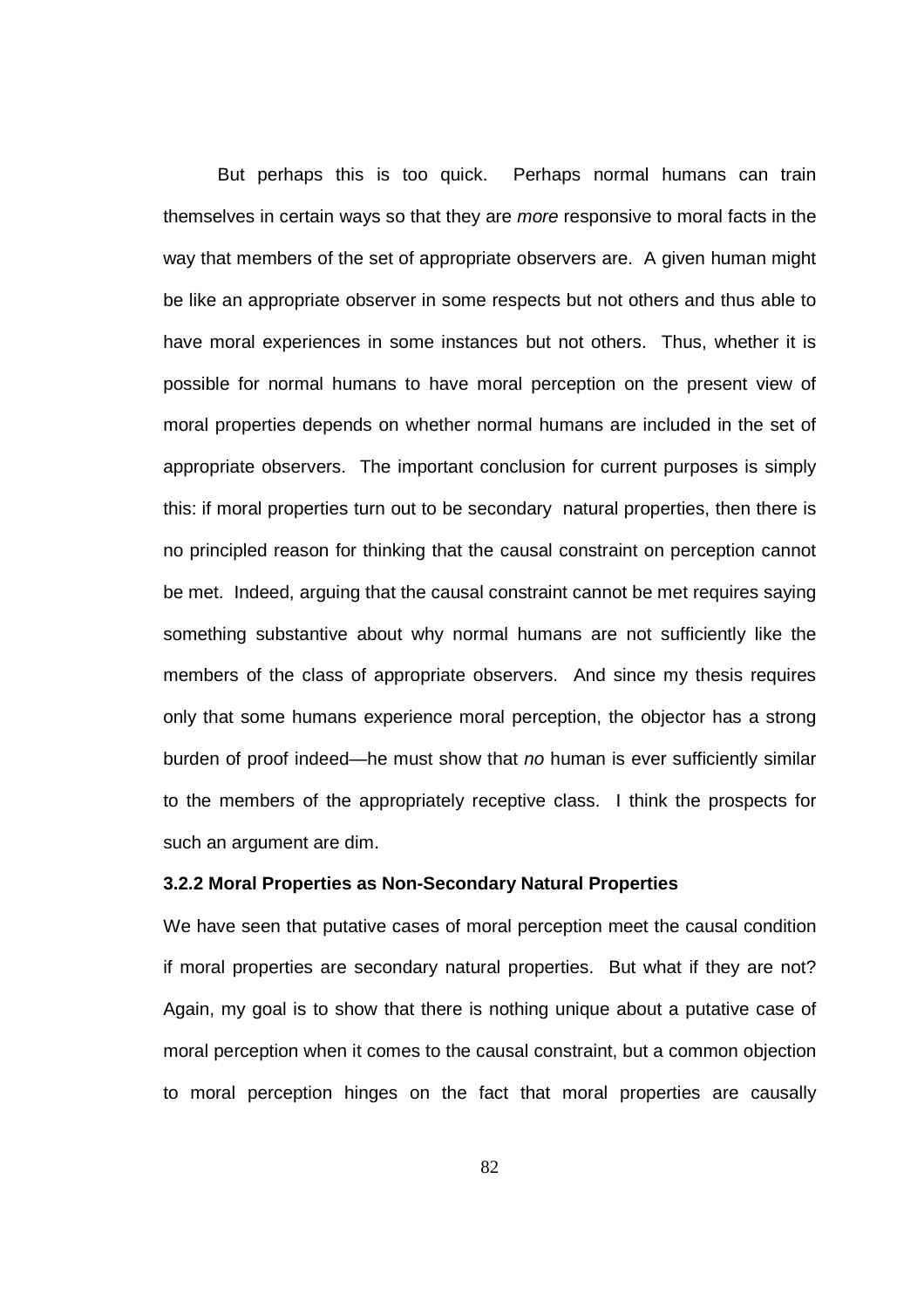But perhaps this is too quick. Perhaps normal humans can train themselves in certain ways so that they are more responsive to moral facts in the way that members of the set of appropriate observers are. A given human might be like an appropriate observer in some respects but not others and thus able to have moral experiences in some instances but not others. Thus, whether it is possible for normal humans to have moral perception on the present view of moral properties depends on whether normal humans are included in the set of appropriate observers. The important conclusion for current purposes is simply this: if moral properties turn out to be secondary natural properties, then there is no principled reason for thinking that the causal constraint on perception cannot be met. Indeed, arguing that the causal constraint cannot be met requires saying something substantive about why normal humans are not sufficiently like the members of the class of appropriate observers. And since my thesis requires only that some humans experience moral perception, the objector has a strong burden of proof indeed—he must show that no human is ever sufficiently similar to the members of the appropriately receptive class. I think the prospects for such an argument are dim.

# **3.2.2 Moral Properties as Non-Secondary Natural Properties**

We have seen that putative cases of moral perception meet the causal condition if moral properties are secondary natural properties. But what if they are not? Again, my goal is to show that there is nothing unique about a putative case of moral perception when it comes to the causal constraint, but a common objection to moral perception hinges on the fact that moral properties are causally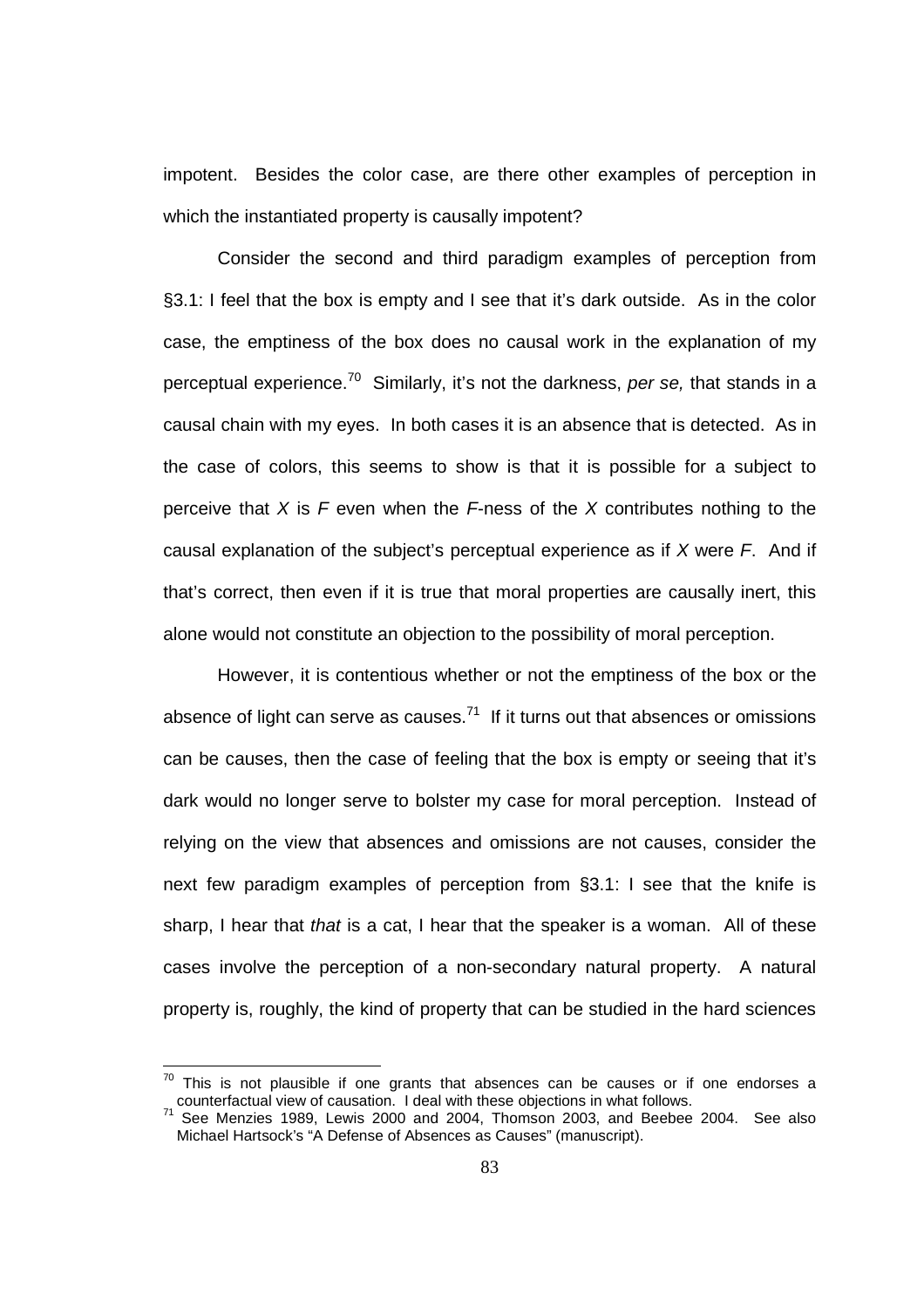impotent. Besides the color case, are there other examples of perception in which the instantiated property is causally impotent?

Consider the second and third paradigm examples of perception from §3.1: I feel that the box is empty and I see that it's dark outside. As in the color case, the emptiness of the box does no causal work in the explanation of my perceptual experience.<sup>70</sup> Similarly, it's not the darkness, per se, that stands in a causal chain with my eyes. In both cases it is an absence that is detected. As in the case of colors, this seems to show is that it is possible for a subject to perceive that X is F even when the F-ness of the X contributes nothing to the causal explanation of the subject's perceptual experience as if  $X$  were  $F$ . And if that's correct, then even if it is true that moral properties are causally inert, this alone would not constitute an objection to the possibility of moral perception.

However, it is contentious whether or not the emptiness of the box or the absence of light can serve as causes. $71$  If it turns out that absences or omissions can be causes, then the case of feeling that the box is empty or seeing that it's dark would no longer serve to bolster my case for moral perception. Instead of relying on the view that absences and omissions are not causes, consider the next few paradigm examples of perception from §3.1: I see that the knife is sharp, I hear that that is a cat, I hear that the speaker is a woman. All of these cases involve the perception of a non-secondary natural property. A natural property is, roughly, the kind of property that can be studied in the hard sciences

This is not plausible if one grants that absences can be causes or if one endorses a counterfactual view of causation. I deal with these objections in what follows.

<sup>&</sup>lt;sup>71</sup> See Menzies 1989, Lewis 2000 and 2004, Thomson 2003, and Beebee 2004. See also Michael Hartsock's "A Defense of Absences as Causes" (manuscript).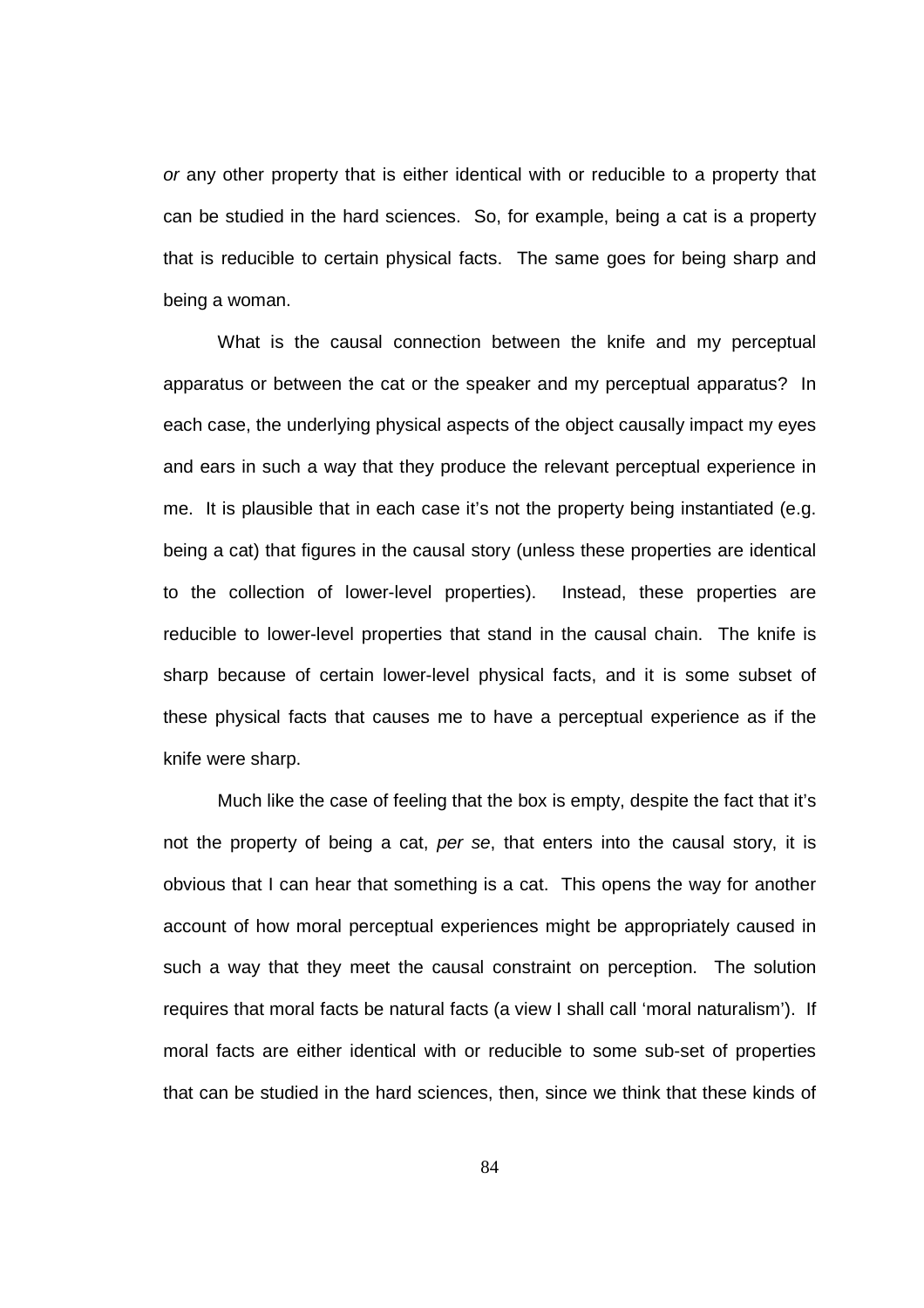or any other property that is either identical with or reducible to a property that can be studied in the hard sciences. So, for example, being a cat is a property that is reducible to certain physical facts. The same goes for being sharp and being a woman.

What is the causal connection between the knife and my perceptual apparatus or between the cat or the speaker and my perceptual apparatus? In each case, the underlying physical aspects of the object causally impact my eyes and ears in such a way that they produce the relevant perceptual experience in me. It is plausible that in each case it's not the property being instantiated (e.g. being a cat) that figures in the causal story (unless these properties are identical to the collection of lower-level properties). Instead, these properties are reducible to lower-level properties that stand in the causal chain. The knife is sharp because of certain lower-level physical facts, and it is some subset of these physical facts that causes me to have a perceptual experience as if the knife were sharp.

 Much like the case of feeling that the box is empty, despite the fact that it's not the property of being a cat, per se, that enters into the causal story, it is obvious that I can hear that something is a cat. This opens the way for another account of how moral perceptual experiences might be appropriately caused in such a way that they meet the causal constraint on perception. The solution requires that moral facts be natural facts (a view I shall call 'moral naturalism'). If moral facts are either identical with or reducible to some sub-set of properties that can be studied in the hard sciences, then, since we think that these kinds of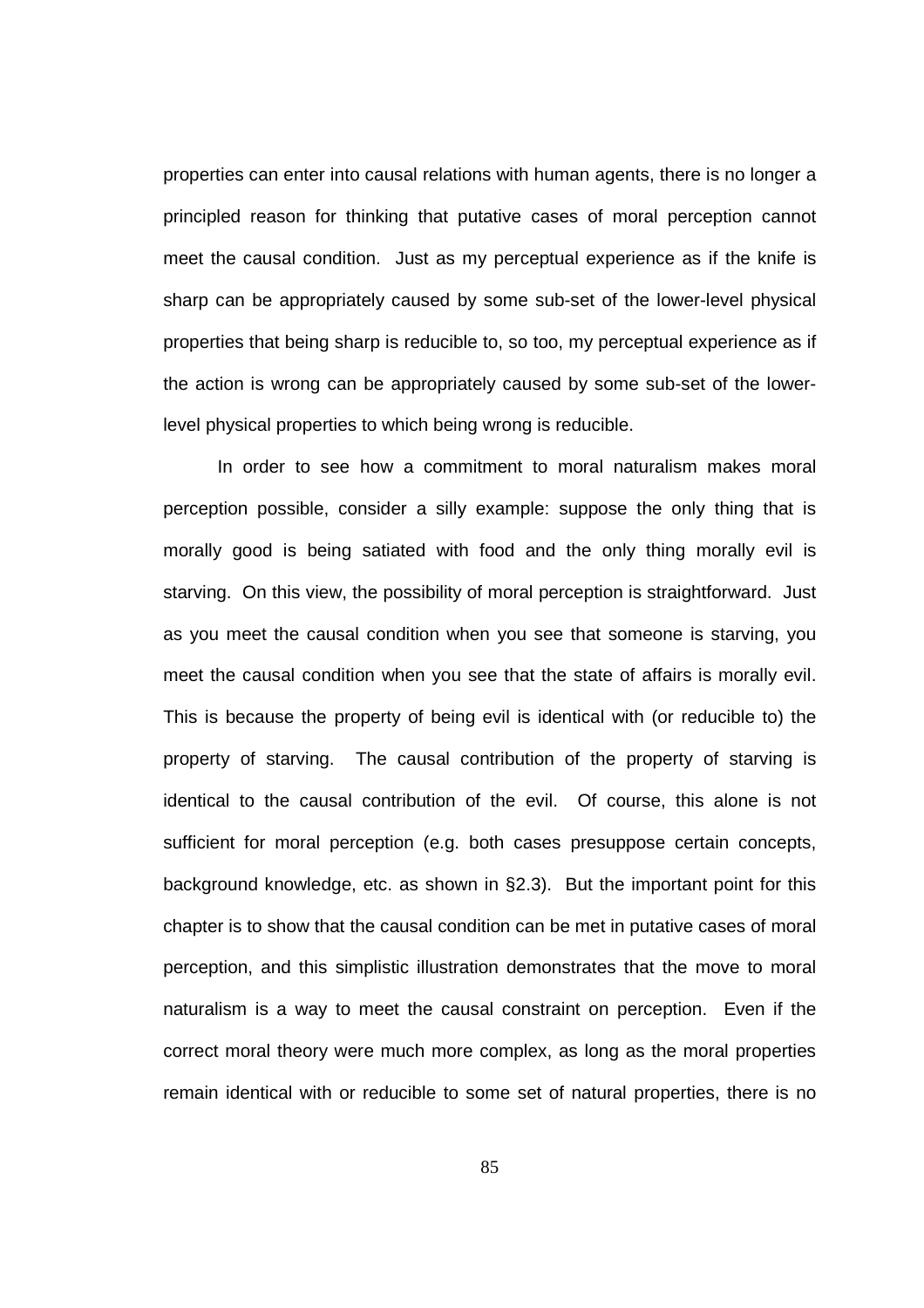properties can enter into causal relations with human agents, there is no longer a principled reason for thinking that putative cases of moral perception cannot meet the causal condition. Just as my perceptual experience as if the knife is sharp can be appropriately caused by some sub-set of the lower-level physical properties that being sharp is reducible to, so too, my perceptual experience as if the action is wrong can be appropriately caused by some sub-set of the lowerlevel physical properties to which being wrong is reducible.

 In order to see how a commitment to moral naturalism makes moral perception possible, consider a silly example: suppose the only thing that is morally good is being satiated with food and the only thing morally evil is starving. On this view, the possibility of moral perception is straightforward. Just as you meet the causal condition when you see that someone is starving, you meet the causal condition when you see that the state of affairs is morally evil. This is because the property of being evil is identical with (or reducible to) the property of starving. The causal contribution of the property of starving is identical to the causal contribution of the evil. Of course, this alone is not sufficient for moral perception (e.g. both cases presuppose certain concepts, background knowledge, etc. as shown in §2.3). But the important point for this chapter is to show that the causal condition can be met in putative cases of moral perception, and this simplistic illustration demonstrates that the move to moral naturalism is a way to meet the causal constraint on perception. Even if the correct moral theory were much more complex, as long as the moral properties remain identical with or reducible to some set of natural properties, there is no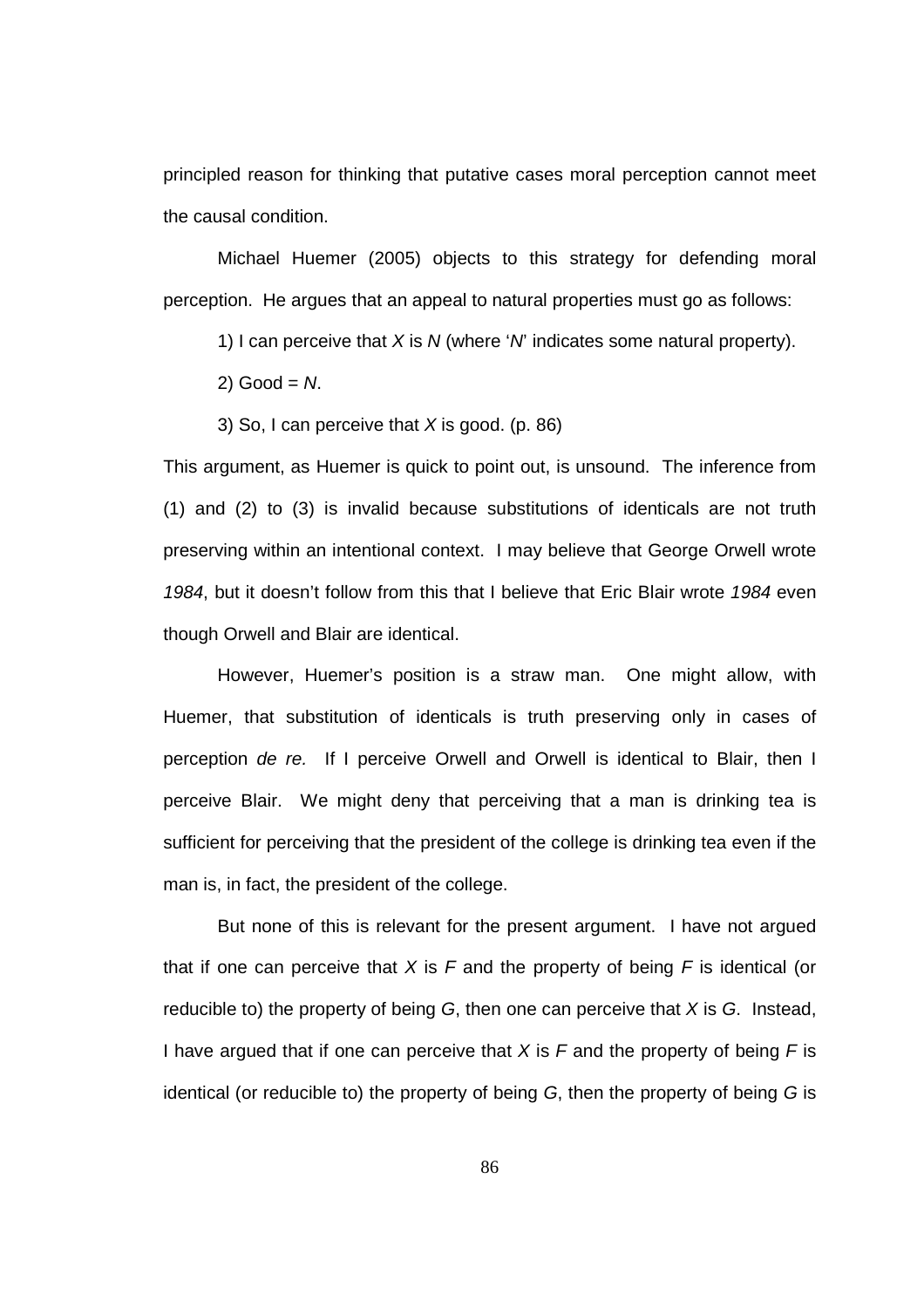principled reason for thinking that putative cases moral perception cannot meet the causal condition.

Michael Huemer (2005) objects to this strategy for defending moral perception. He argues that an appeal to natural properties must go as follows:

1) I can perceive that X is N (where 'N' indicates some natural property).

 $2)$  Good =  $N$ .

3) So, I can perceive that  $X$  is good. (p. 86)

This argument, as Huemer is quick to point out, is unsound. The inference from (1) and (2) to (3) is invalid because substitutions of identicals are not truth preserving within an intentional context. I may believe that George Orwell wrote 1984, but it doesn't follow from this that I believe that Eric Blair wrote 1984 even though Orwell and Blair are identical.

 However, Huemer's position is a straw man. One might allow, with Huemer, that substitution of identicals is truth preserving only in cases of perception de re. If I perceive Orwell and Orwell is identical to Blair, then I perceive Blair. We might deny that perceiving that a man is drinking tea is sufficient for perceiving that the president of the college is drinking tea even if the man is, in fact, the president of the college.

 But none of this is relevant for the present argument. I have not argued that if one can perceive that X is F and the property of being F is identical (or reducible to) the property of being  $G$ , then one can perceive that  $X$  is  $G$ . Instead, I have argued that if one can perceive that X is  $F$  and the property of being  $F$  is identical (or reducible to) the property of being G, then the property of being G is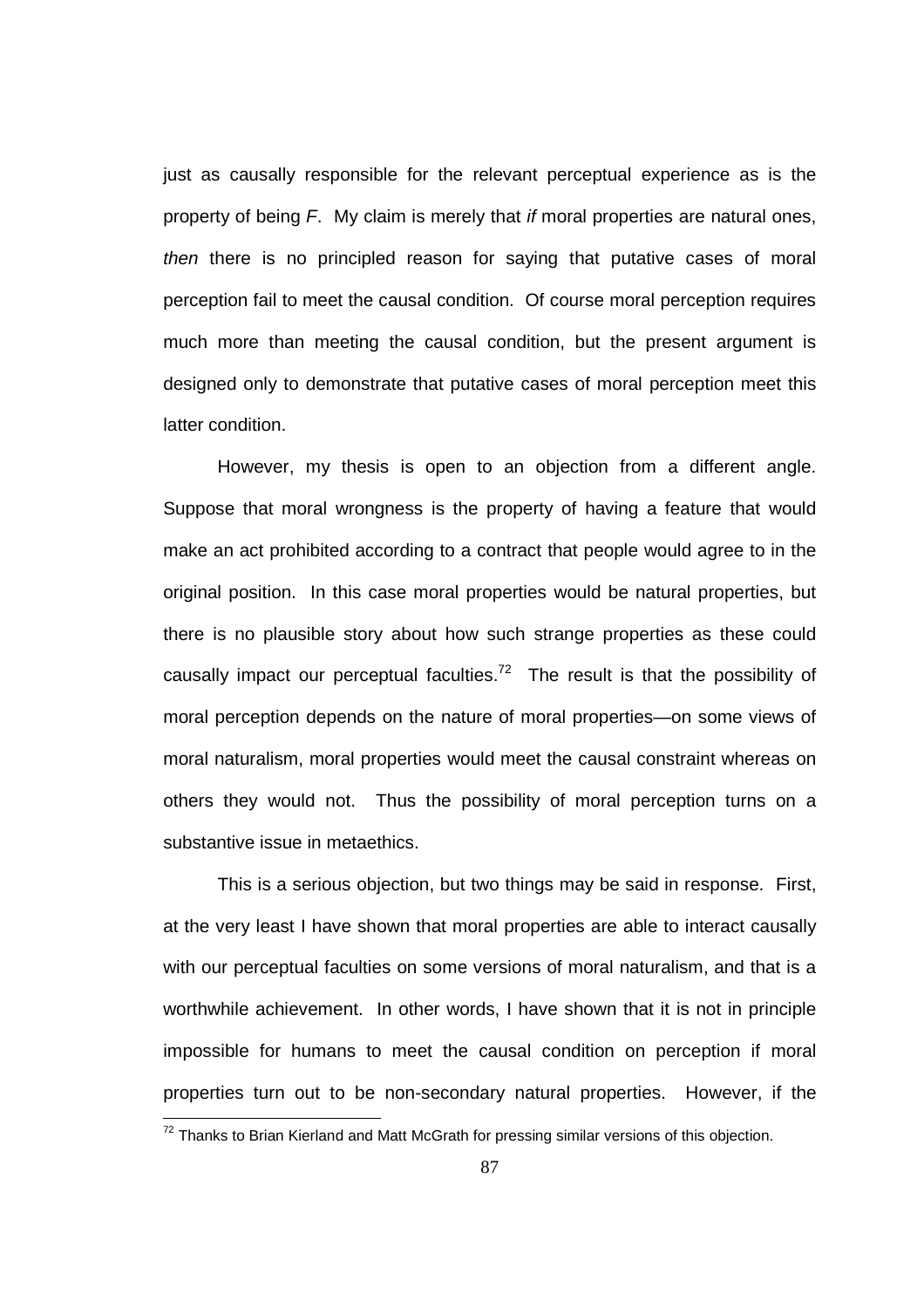just as causally responsible for the relevant perceptual experience as is the property of being F. My claim is merely that if moral properties are natural ones, then there is no principled reason for saying that putative cases of moral perception fail to meet the causal condition. Of course moral perception requires much more than meeting the causal condition, but the present argument is designed only to demonstrate that putative cases of moral perception meet this latter condition.

 However, my thesis is open to an objection from a different angle. Suppose that moral wrongness is the property of having a feature that would make an act prohibited according to a contract that people would agree to in the original position. In this case moral properties would be natural properties, but there is no plausible story about how such strange properties as these could causally impact our perceptual faculties.<sup>72</sup> The result is that the possibility of moral perception depends on the nature of moral properties—on some views of moral naturalism, moral properties would meet the causal constraint whereas on others they would not. Thus the possibility of moral perception turns on a substantive issue in metaethics.

 This is a serious objection, but two things may be said in response. First, at the very least I have shown that moral properties are able to interact causally with our perceptual faculties on some versions of moral naturalism, and that is a worthwhile achievement. In other words, I have shown that it is not in principle impossible for humans to meet the causal condition on perception if moral properties turn out to be non-secondary natural properties. However, if the

 $72$  Thanks to Brian Kierland and Matt McGrath for pressing similar versions of this objection.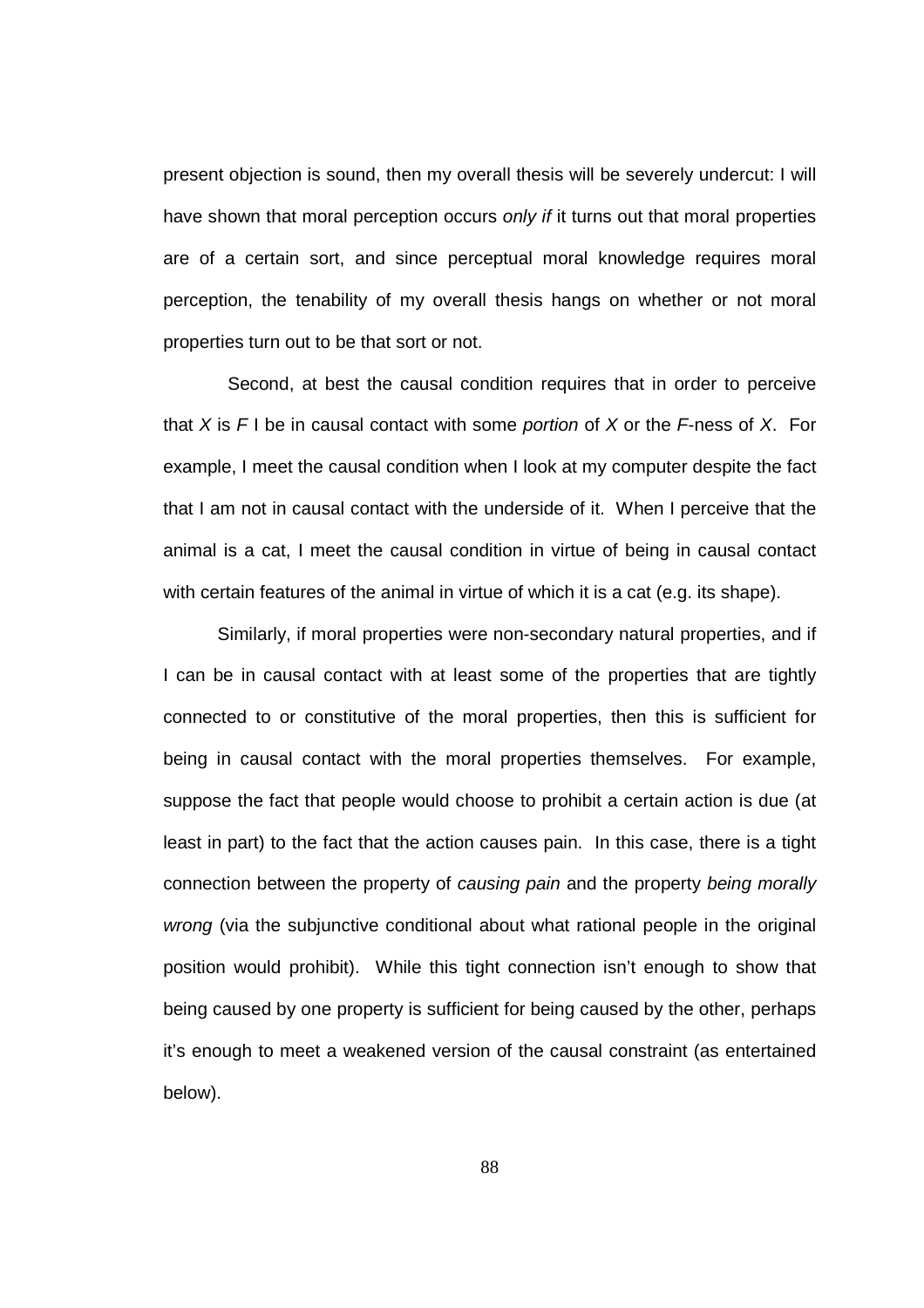present objection is sound, then my overall thesis will be severely undercut: I will have shown that moral perception occurs only if it turns out that moral properties are of a certain sort, and since perceptual moral knowledge requires moral perception, the tenability of my overall thesis hangs on whether or not moral properties turn out to be that sort or not.

 Second, at best the causal condition requires that in order to perceive that X is  $F I$  be in causal contact with some portion of X or the  $F$ -ness of X. For example, I meet the causal condition when I look at my computer despite the fact that I am not in causal contact with the underside of it. When I perceive that the animal is a cat, I meet the causal condition in virtue of being in causal contact with certain features of the animal in virtue of which it is a cat (e.g. its shape).

 Similarly, if moral properties were non-secondary natural properties, and if I can be in causal contact with at least some of the properties that are tightly connected to or constitutive of the moral properties, then this is sufficient for being in causal contact with the moral properties themselves. For example, suppose the fact that people would choose to prohibit a certain action is due (at least in part) to the fact that the action causes pain. In this case, there is a tight connection between the property of causing pain and the property being morally wrong (via the subjunctive conditional about what rational people in the original position would prohibit). While this tight connection isn't enough to show that being caused by one property is sufficient for being caused by the other, perhaps it's enough to meet a weakened version of the causal constraint (as entertained below).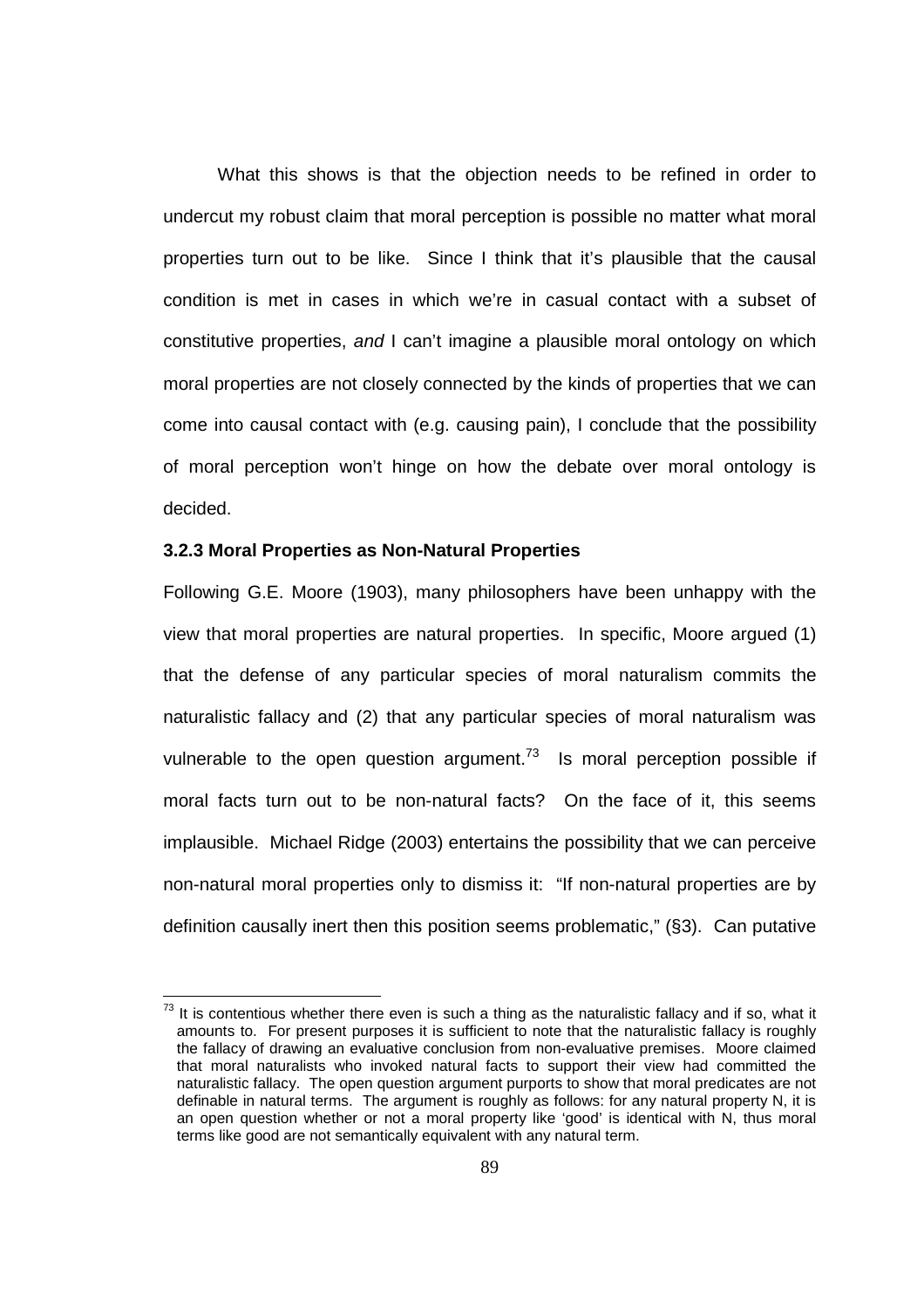What this shows is that the objection needs to be refined in order to undercut my robust claim that moral perception is possible no matter what moral properties turn out to be like. Since I think that it's plausible that the causal condition is met in cases in which we're in casual contact with a subset of constitutive properties, and I can't imagine a plausible moral ontology on which moral properties are not closely connected by the kinds of properties that we can come into causal contact with (e.g. causing pain), I conclude that the possibility of moral perception won't hinge on how the debate over moral ontology is decided.

#### **3.2.3 Moral Properties as Non-Natural Properties**

Following G.E. Moore (1903), many philosophers have been unhappy with the view that moral properties are natural properties. In specific, Moore argued (1) that the defense of any particular species of moral naturalism commits the naturalistic fallacy and (2) that any particular species of moral naturalism was vulnerable to the open question argument.<sup>73</sup> Is moral perception possible if moral facts turn out to be non-natural facts? On the face of it, this seems implausible. Michael Ridge (2003) entertains the possibility that we can perceive non-natural moral properties only to dismiss it: "If non-natural properties are by definition causally inert then this position seems problematic," (§3). Can putative

 $73$  It is contentious whether there even is such a thing as the naturalistic fallacy and if so, what it amounts to. For present purposes it is sufficient to note that the naturalistic fallacy is roughly the fallacy of drawing an evaluative conclusion from non-evaluative premises. Moore claimed that moral naturalists who invoked natural facts to support their view had committed the naturalistic fallacy. The open question argument purports to show that moral predicates are not definable in natural terms. The argument is roughly as follows: for any natural property N, it is an open question whether or not a moral property like 'good' is identical with N, thus moral terms like good are not semantically equivalent with any natural term.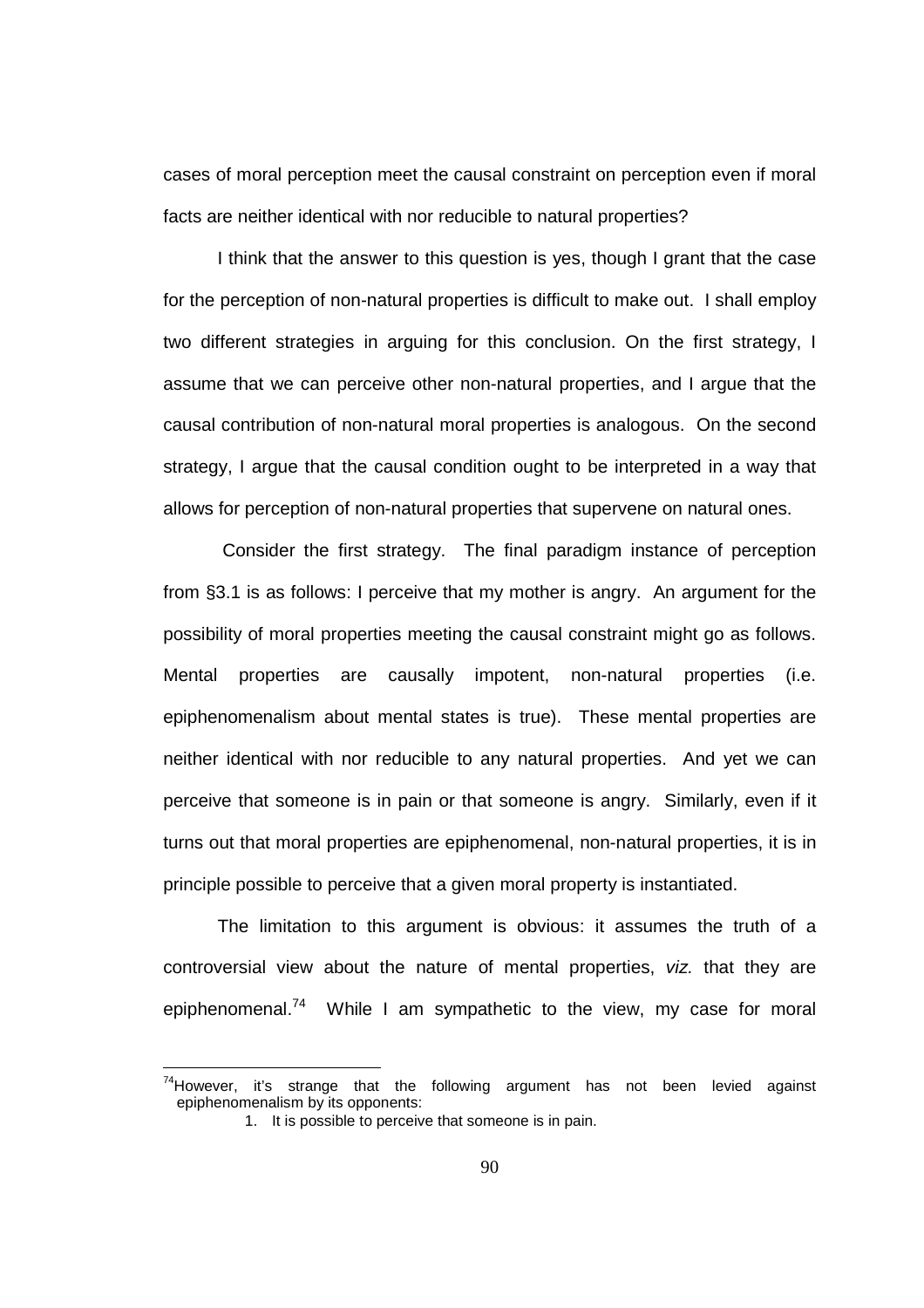cases of moral perception meet the causal constraint on perception even if moral facts are neither identical with nor reducible to natural properties?

 I think that the answer to this question is yes, though I grant that the case for the perception of non-natural properties is difficult to make out. I shall employ two different strategies in arguing for this conclusion. On the first strategy, I assume that we can perceive other non-natural properties, and I argue that the causal contribution of non-natural moral properties is analogous. On the second strategy, I argue that the causal condition ought to be interpreted in a way that allows for perception of non-natural properties that supervene on natural ones.

 Consider the first strategy. The final paradigm instance of perception from §3.1 is as follows: I perceive that my mother is angry. An argument for the possibility of moral properties meeting the causal constraint might go as follows. Mental properties are causally impotent, non-natural properties (i.e. epiphenomenalism about mental states is true). These mental properties are neither identical with nor reducible to any natural properties. And yet we can perceive that someone is in pain or that someone is angry. Similarly, even if it turns out that moral properties are epiphenomenal, non-natural properties, it is in principle possible to perceive that a given moral property is instantiated.

The limitation to this argument is obvious: it assumes the truth of a controversial view about the nature of mental properties, viz. that they are epiphenomenal.<sup>74</sup> While I am sympathetic to the view, my case for moral

 $74$ However, it's strange that the following argument has not been levied against epiphenomenalism by its opponents:

<sup>1.</sup> It is possible to perceive that someone is in pain.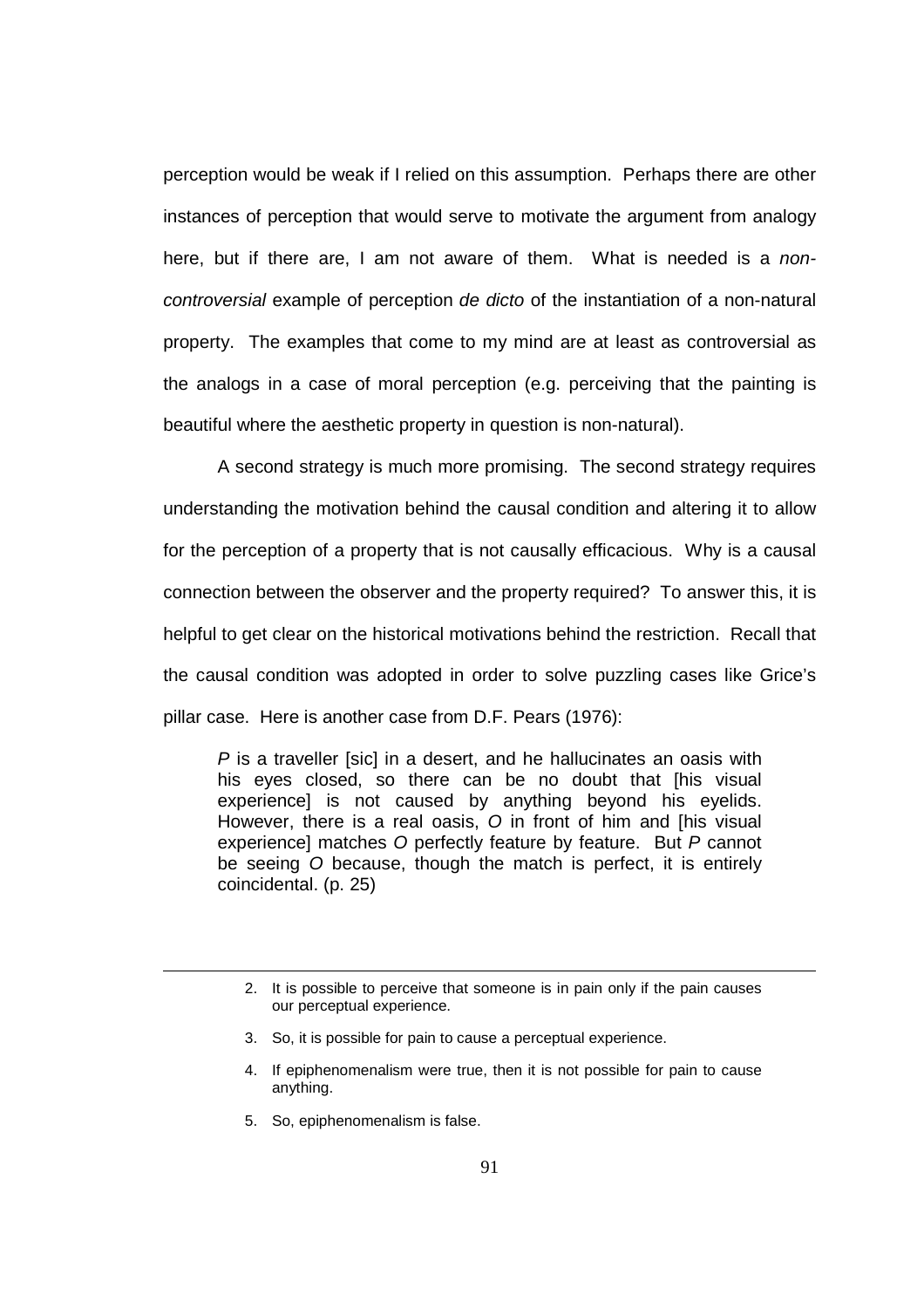perception would be weak if I relied on this assumption. Perhaps there are other instances of perception that would serve to motivate the argument from analogy here, but if there are, I am not aware of them. What is needed is a noncontroversial example of perception de dicto of the instantiation of a non-natural property. The examples that come to my mind are at least as controversial as the analogs in a case of moral perception (e.g. perceiving that the painting is beautiful where the aesthetic property in question is non-natural).

 A second strategy is much more promising. The second strategy requires understanding the motivation behind the causal condition and altering it to allow for the perception of a property that is not causally efficacious. Why is a causal connection between the observer and the property required? To answer this, it is helpful to get clear on the historical motivations behind the restriction. Recall that the causal condition was adopted in order to solve puzzling cases like Grice's pillar case. Here is another case from D.F. Pears (1976):

P is a traveller [sic] in a desert, and he hallucinates an oasis with his eyes closed, so there can be no doubt that [his visual experience] is not caused by anything beyond his eyelids. However, there is a real oasis, O in front of him and [his visual experience] matches O perfectly feature by feature. But P cannot be seeing O because, though the match is perfect, it is entirely coincidental. (p. 25)

- 3. So, it is possible for pain to cause a perceptual experience.
- 4. If epiphenomenalism were true, then it is not possible for pain to cause anything.
- 5. So, epiphenomenalism is false.

<sup>2.</sup> It is possible to perceive that someone is in pain only if the pain causes our perceptual experience.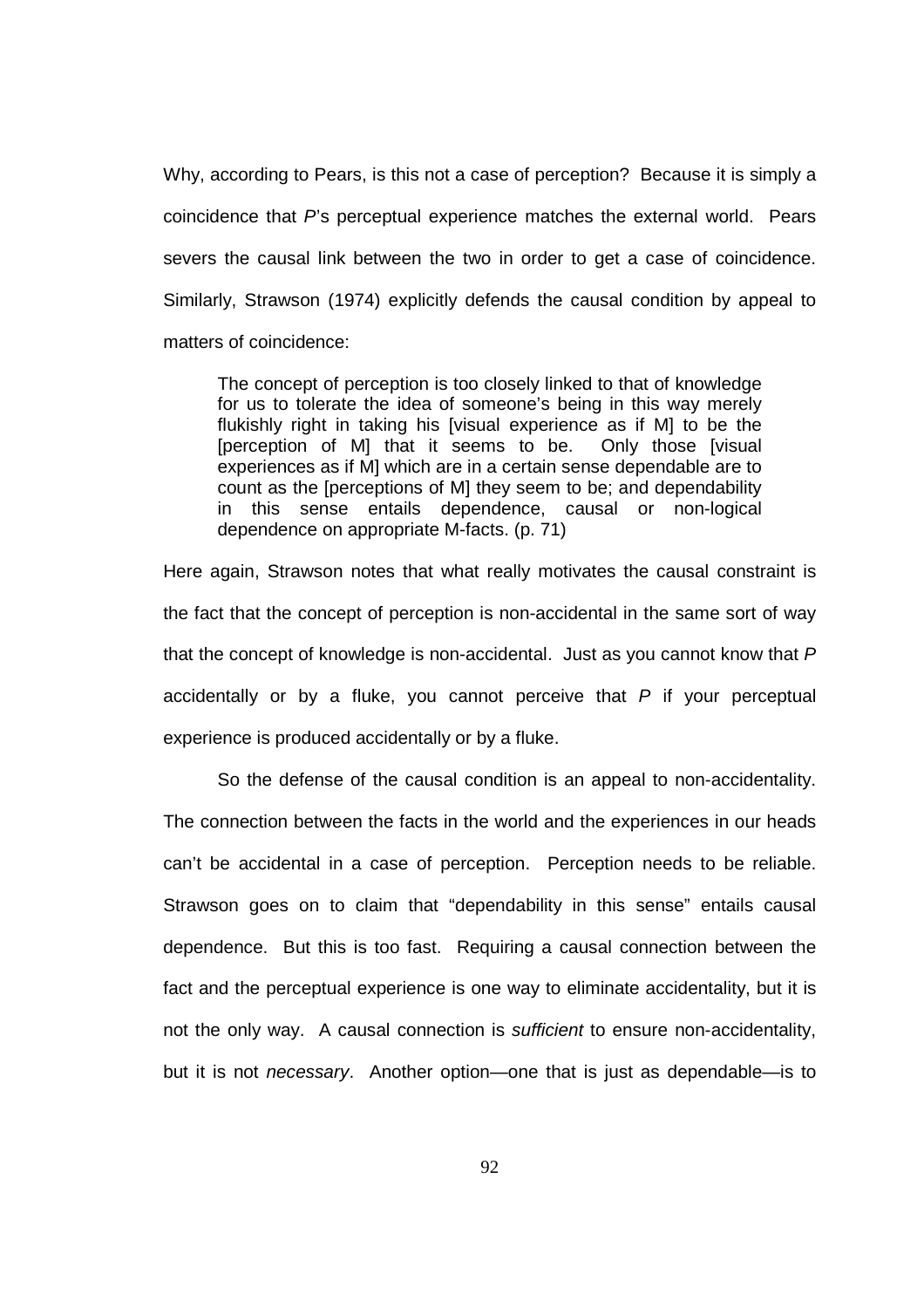Why, according to Pears, is this not a case of perception? Because it is simply a coincidence that  $P$ 's perceptual experience matches the external world. Pears severs the causal link between the two in order to get a case of coincidence. Similarly, Strawson (1974) explicitly defends the causal condition by appeal to matters of coincidence:

The concept of perception is too closely linked to that of knowledge for us to tolerate the idea of someone's being in this way merely flukishly right in taking his [visual experience as if M] to be the [perception of M] that it seems to be. Only those [visual experiences as if M] which are in a certain sense dependable are to count as the [perceptions of M] they seem to be; and dependability in this sense entails dependence, causal or non-logical dependence on appropriate M-facts. (p. 71)

Here again, Strawson notes that what really motivates the causal constraint is the fact that the concept of perception is non-accidental in the same sort of way that the concept of knowledge is non-accidental. Just as you cannot know that  $P$ accidentally or by a fluke, you cannot perceive that  $P$  if your perceptual experience is produced accidentally or by a fluke.

So the defense of the causal condition is an appeal to non-accidentality. The connection between the facts in the world and the experiences in our heads can't be accidental in a case of perception. Perception needs to be reliable. Strawson goes on to claim that "dependability in this sense" entails causal dependence. But this is too fast. Requiring a causal connection between the fact and the perceptual experience is one way to eliminate accidentality, but it is not the only way. A causal connection is *sufficient* to ensure non-accidentality, but it is not *necessary*. Another option—one that is just as dependable—is to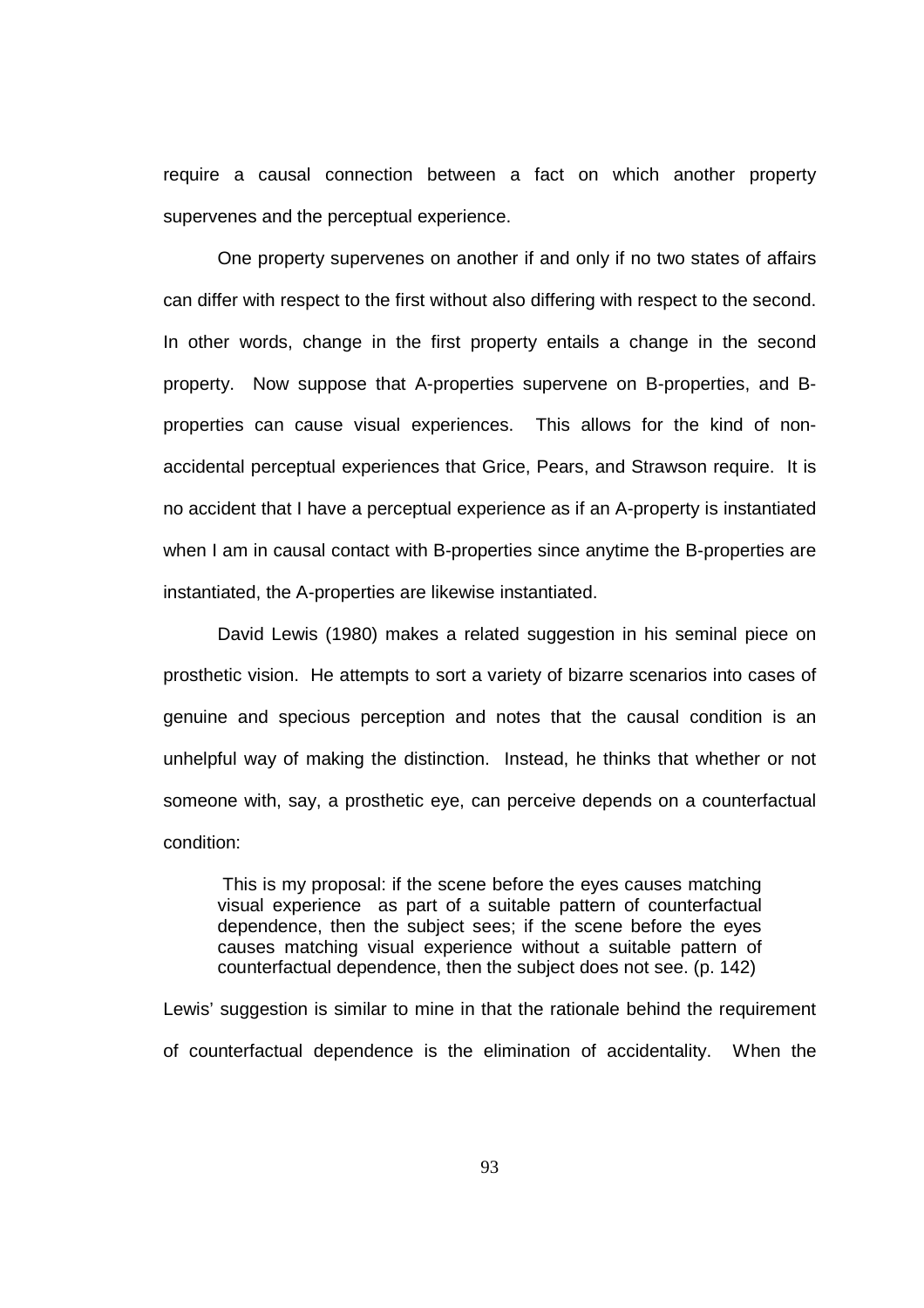require a causal connection between a fact on which another property supervenes and the perceptual experience.

One property supervenes on another if and only if no two states of affairs can differ with respect to the first without also differing with respect to the second. In other words, change in the first property entails a change in the second property. Now suppose that A-properties supervene on B-properties, and Bproperties can cause visual experiences. This allows for the kind of nonaccidental perceptual experiences that Grice, Pears, and Strawson require. It is no accident that I have a perceptual experience as if an A-property is instantiated when I am in causal contact with B-properties since anytime the B-properties are instantiated, the A-properties are likewise instantiated.

David Lewis (1980) makes a related suggestion in his seminal piece on prosthetic vision. He attempts to sort a variety of bizarre scenarios into cases of genuine and specious perception and notes that the causal condition is an unhelpful way of making the distinction. Instead, he thinks that whether or not someone with, say, a prosthetic eye, can perceive depends on a counterfactual condition:

 This is my proposal: if the scene before the eyes causes matching visual experience as part of a suitable pattern of counterfactual dependence, then the subject sees; if the scene before the eyes causes matching visual experience without a suitable pattern of counterfactual dependence, then the subject does not see. (p. 142)

Lewis' suggestion is similar to mine in that the rationale behind the requirement of counterfactual dependence is the elimination of accidentality. When the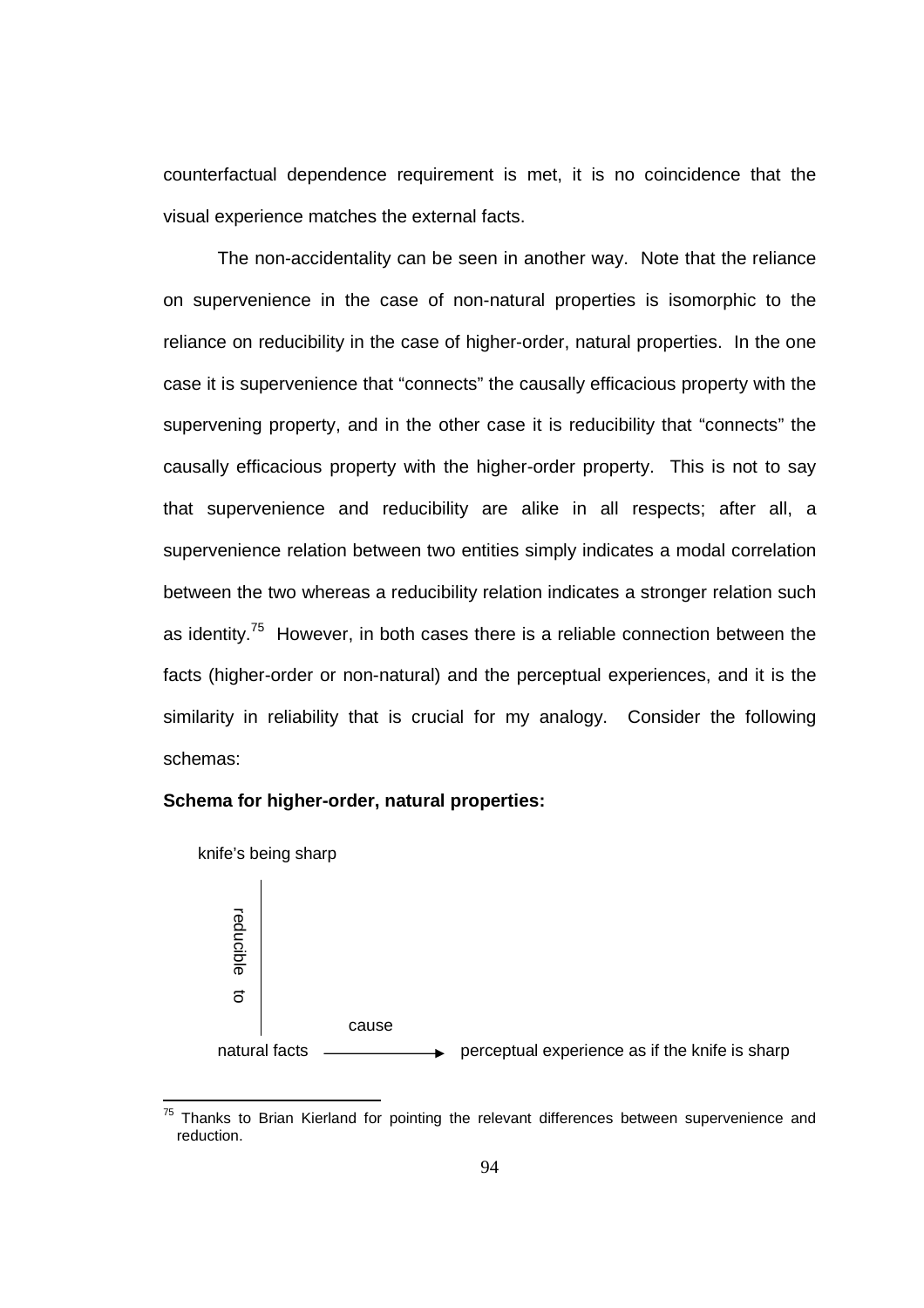counterfactual dependence requirement is met, it is no coincidence that the visual experience matches the external facts.

 The non-accidentality can be seen in another way. Note that the reliance on supervenience in the case of non-natural properties is isomorphic to the reliance on reducibility in the case of higher-order, natural properties. In the one case it is supervenience that "connects" the causally efficacious property with the supervening property, and in the other case it is reducibility that "connects" the causally efficacious property with the higher-order property. This is not to say that supervenience and reducibility are alike in all respects; after all, a supervenience relation between two entities simply indicates a modal correlation between the two whereas a reducibility relation indicates a stronger relation such as identity.<sup>75</sup> However, in both cases there is a reliable connection between the facts (higher-order or non-natural) and the perceptual experiences, and it is the similarity in reliability that is crucial for my analogy. Consider the following schemas:

## **Schema for higher-order, natural properties:**



 $75$  Thanks to Brian Kierland for pointing the relevant differences between supervenience and reduction.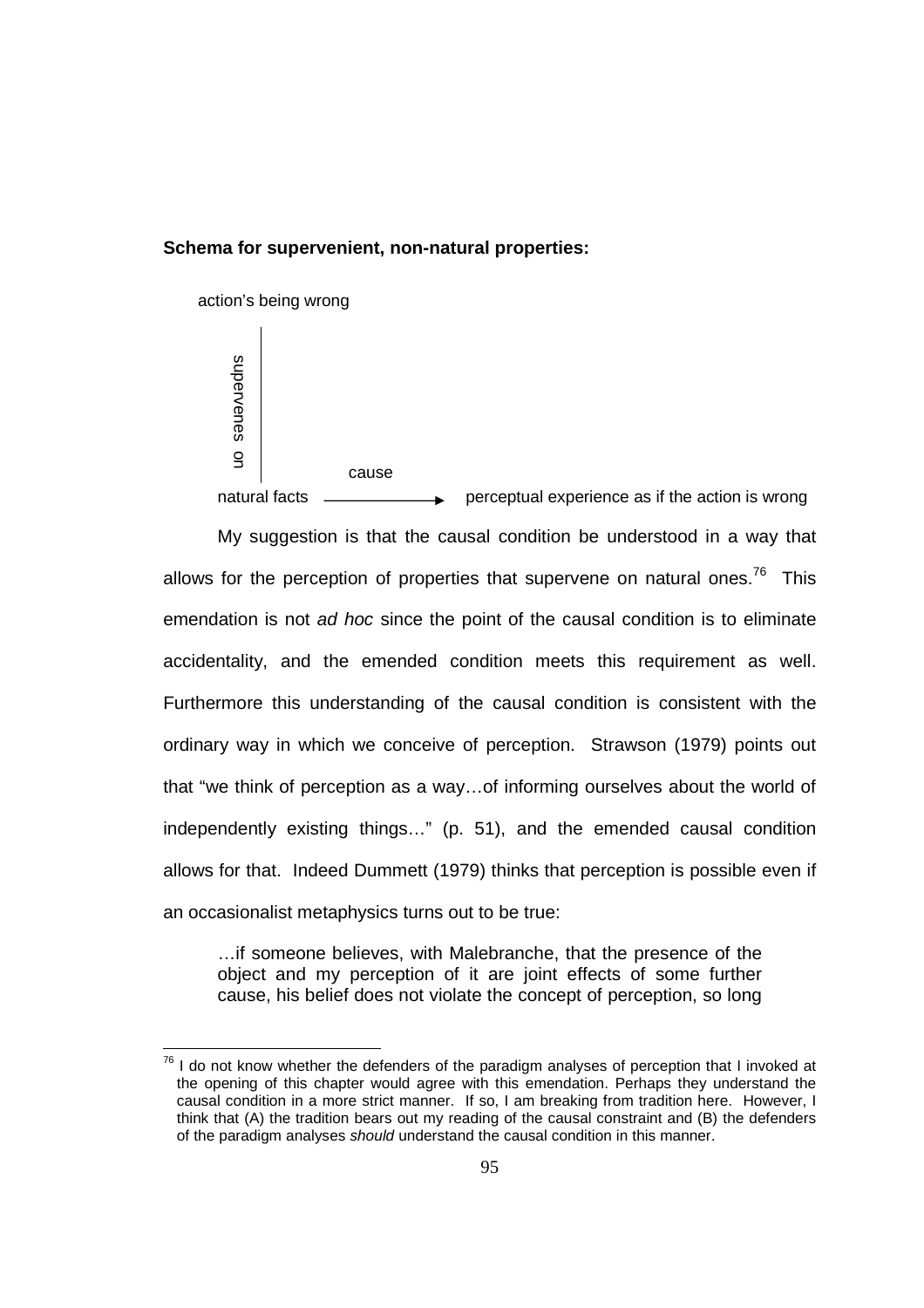# **Schema for supervenient, non-natural properties:**



 $\overline{a}$ 

natural facts  $\longrightarrow$  perceptual experience as if the action is wrong

My suggestion is that the causal condition be understood in a way that allows for the perception of properties that supervene on natural ones.<sup>76</sup> This emendation is not ad hoc since the point of the causal condition is to eliminate accidentality, and the emended condition meets this requirement as well. Furthermore this understanding of the causal condition is consistent with the ordinary way in which we conceive of perception. Strawson (1979) points out that "we think of perception as a way…of informing ourselves about the world of independently existing things…" (p. 51), and the emended causal condition allows for that. Indeed Dummett (1979) thinks that perception is possible even if an occasionalist metaphysics turns out to be true:

…if someone believes, with Malebranche, that the presence of the object and my perception of it are joint effects of some further cause, his belief does not violate the concept of perception, so long

 $76$  I do not know whether the defenders of the paradigm analyses of perception that I invoked at the opening of this chapter would agree with this emendation. Perhaps they understand the causal condition in a more strict manner. If so, I am breaking from tradition here. However, I think that (A) the tradition bears out my reading of the causal constraint and (B) the defenders of the paradigm analyses should understand the causal condition in this manner.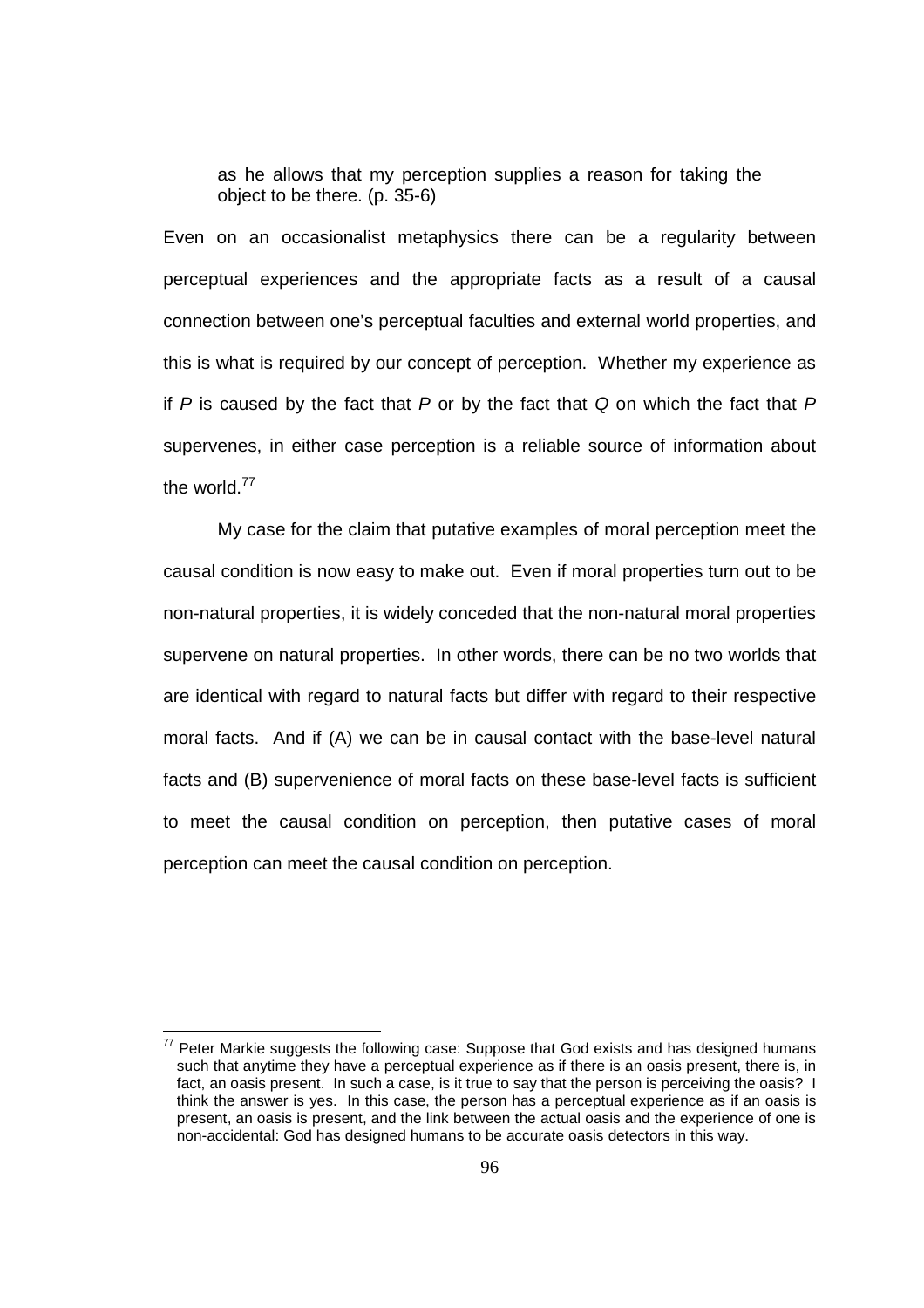as he allows that my perception supplies a reason for taking the object to be there. (p. 35-6)

Even on an occasionalist metaphysics there can be a regularity between perceptual experiences and the appropriate facts as a result of a causal connection between one's perceptual faculties and external world properties, and this is what is required by our concept of perception. Whether my experience as if P is caused by the fact that P or by the fact that Q on which the fact that P supervenes, in either case perception is a reliable source of information about the world.<sup>77</sup>

My case for the claim that putative examples of moral perception meet the causal condition is now easy to make out. Even if moral properties turn out to be non-natural properties, it is widely conceded that the non-natural moral properties supervene on natural properties. In other words, there can be no two worlds that are identical with regard to natural facts but differ with regard to their respective moral facts. And if (A) we can be in causal contact with the base-level natural facts and (B) supervenience of moral facts on these base-level facts is sufficient to meet the causal condition on perception, then putative cases of moral perception can meet the causal condition on perception.

 $77$  Peter Markie suggests the following case: Suppose that God exists and has designed humans such that anytime they have a perceptual experience as if there is an oasis present, there is, in fact, an oasis present. In such a case, is it true to say that the person is perceiving the oasis? I think the answer is yes. In this case, the person has a perceptual experience as if an oasis is present, an oasis is present, and the link between the actual oasis and the experience of one is non-accidental: God has designed humans to be accurate oasis detectors in this way.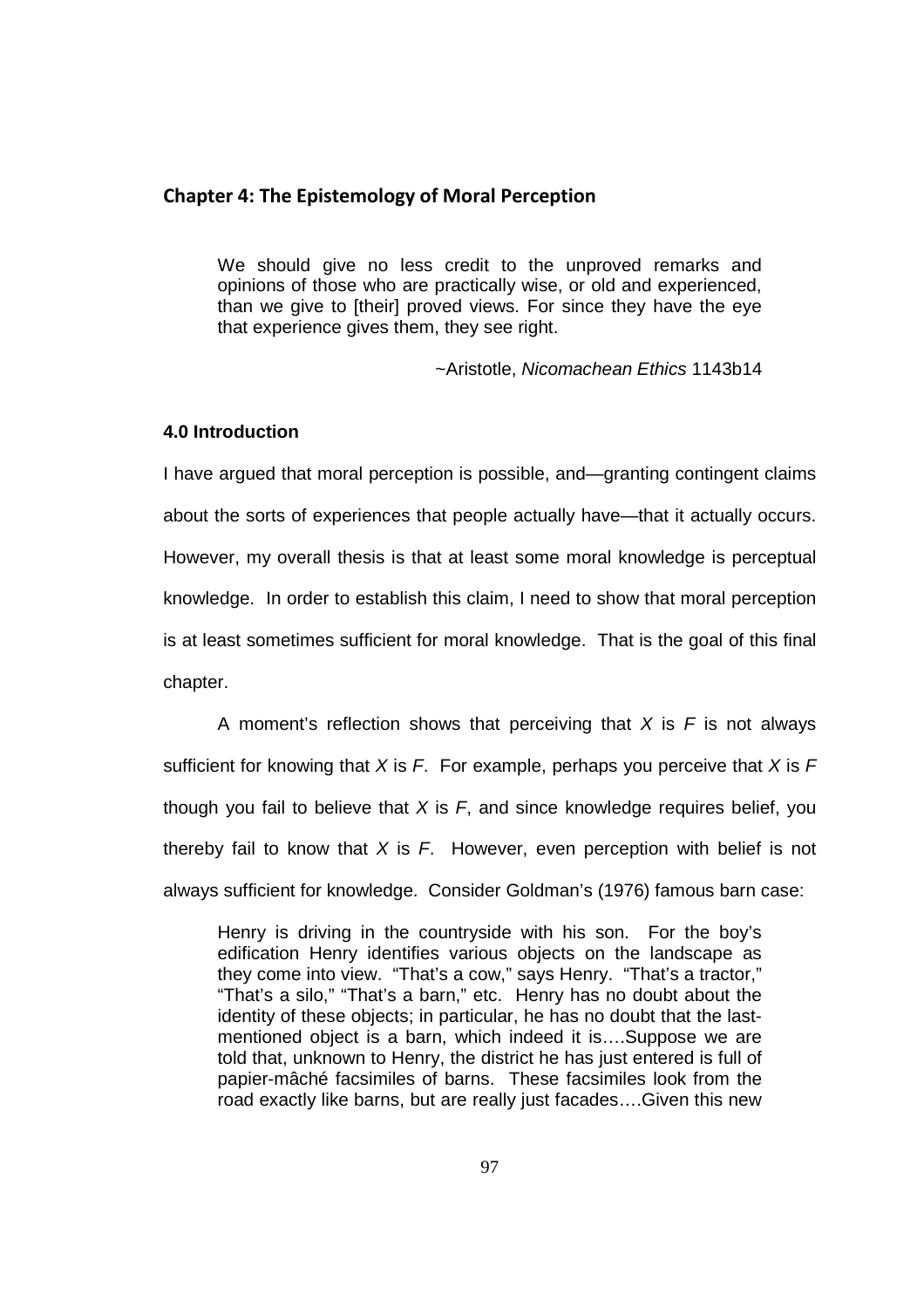# **Chapter 4: The Epistemology of Moral Perception**

We should give no less credit to the unproved remarks and opinions of those who are practically wise, or old and experienced, than we give to [their] proved views. For since they have the eye that experience gives them, they see right.

~Aristotle, Nicomachean Ethics 1143b14

## **4.0 Introduction**

I have argued that moral perception is possible, and—granting contingent claims about the sorts of experiences that people actually have—that it actually occurs. However, my overall thesis is that at least some moral knowledge is perceptual knowledge. In order to establish this claim, I need to show that moral perception is at least sometimes sufficient for moral knowledge. That is the goal of this final chapter.

A moment's reflection shows that perceiving that  $X$  is  $F$  is not always sufficient for knowing that X is F. For example, perhaps you perceive that X is  $F$ though you fail to believe that  $X$  is  $F$ , and since knowledge requires belief, you thereby fail to know that  $X$  is  $F$ . However, even perception with belief is not always sufficient for knowledge. Consider Goldman's (1976) famous barn case:

Henry is driving in the countryside with his son. For the boy's edification Henry identifies various objects on the landscape as they come into view. "That's a cow," says Henry. "That's a tractor," "That's a silo," "That's a barn," etc. Henry has no doubt about the identity of these objects; in particular, he has no doubt that the lastmentioned object is a barn, which indeed it is….Suppose we are told that, unknown to Henry, the district he has just entered is full of papier-mâché facsimiles of barns. These facsimiles look from the road exactly like barns, but are really just facades….Given this new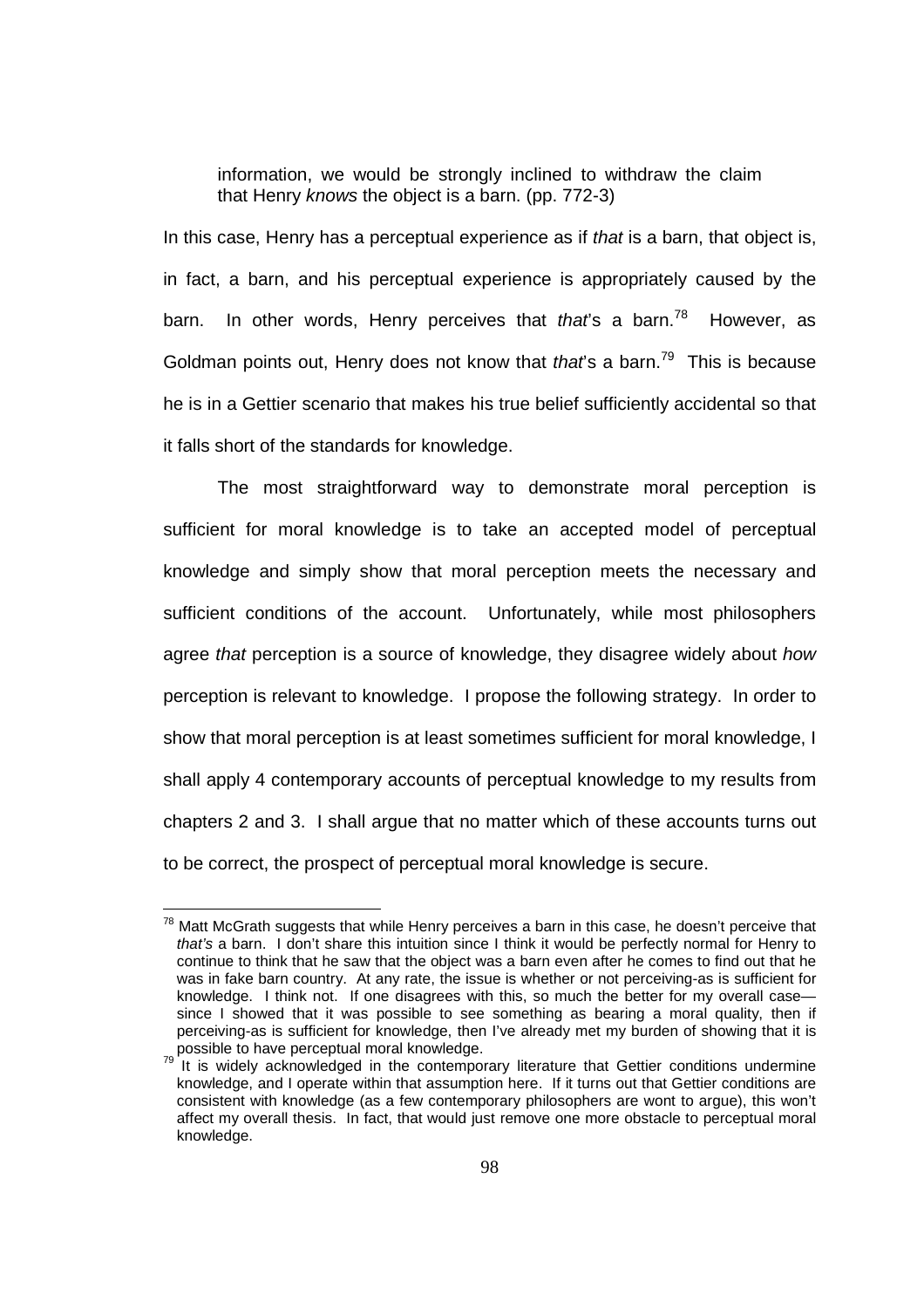information, we would be strongly inclined to withdraw the claim that Henry knows the object is a barn. (pp. 772-3)

In this case, Henry has a perceptual experience as if that is a barn, that object is, in fact, a barn, and his perceptual experience is appropriately caused by the barn. In other words, Henry perceives that that's a barn.<sup>78</sup> However, as Goldman points out, Henry does not know that that's a barn.<sup>79</sup> This is because he is in a Gettier scenario that makes his true belief sufficiently accidental so that it falls short of the standards for knowledge.

The most straightforward way to demonstrate moral perception is sufficient for moral knowledge is to take an accepted model of perceptual knowledge and simply show that moral perception meets the necessary and sufficient conditions of the account. Unfortunately, while most philosophers agree that perception is a source of knowledge, they disagree widely about how perception is relevant to knowledge. I propose the following strategy. In order to show that moral perception is at least sometimes sufficient for moral knowledge, I shall apply 4 contemporary accounts of perceptual knowledge to my results from chapters 2 and 3. I shall argue that no matter which of these accounts turns out to be correct, the prospect of perceptual moral knowledge is secure.

 $^{78}$  Matt McGrath suggests that while Henry perceives a barn in this case, he doesn't perceive that that's a barn. I don't share this intuition since I think it would be perfectly normal for Henry to continue to think that he saw that the object was a barn even after he comes to find out that he was in fake barn country. At any rate, the issue is whether or not perceiving-as is sufficient for knowledge. I think not. If one disagrees with this, so much the better for my overall case since I showed that it was possible to see something as bearing a moral quality, then if perceiving-as is sufficient for knowledge, then I've already met my burden of showing that it is possible to have perceptual moral knowledge.

It is widely acknowledged in the contemporary literature that Gettier conditions undermine knowledge, and I operate within that assumption here. If it turns out that Gettier conditions are consistent with knowledge (as a few contemporary philosophers are wont to argue), this won't affect my overall thesis. In fact, that would just remove one more obstacle to perceptual moral knowledge.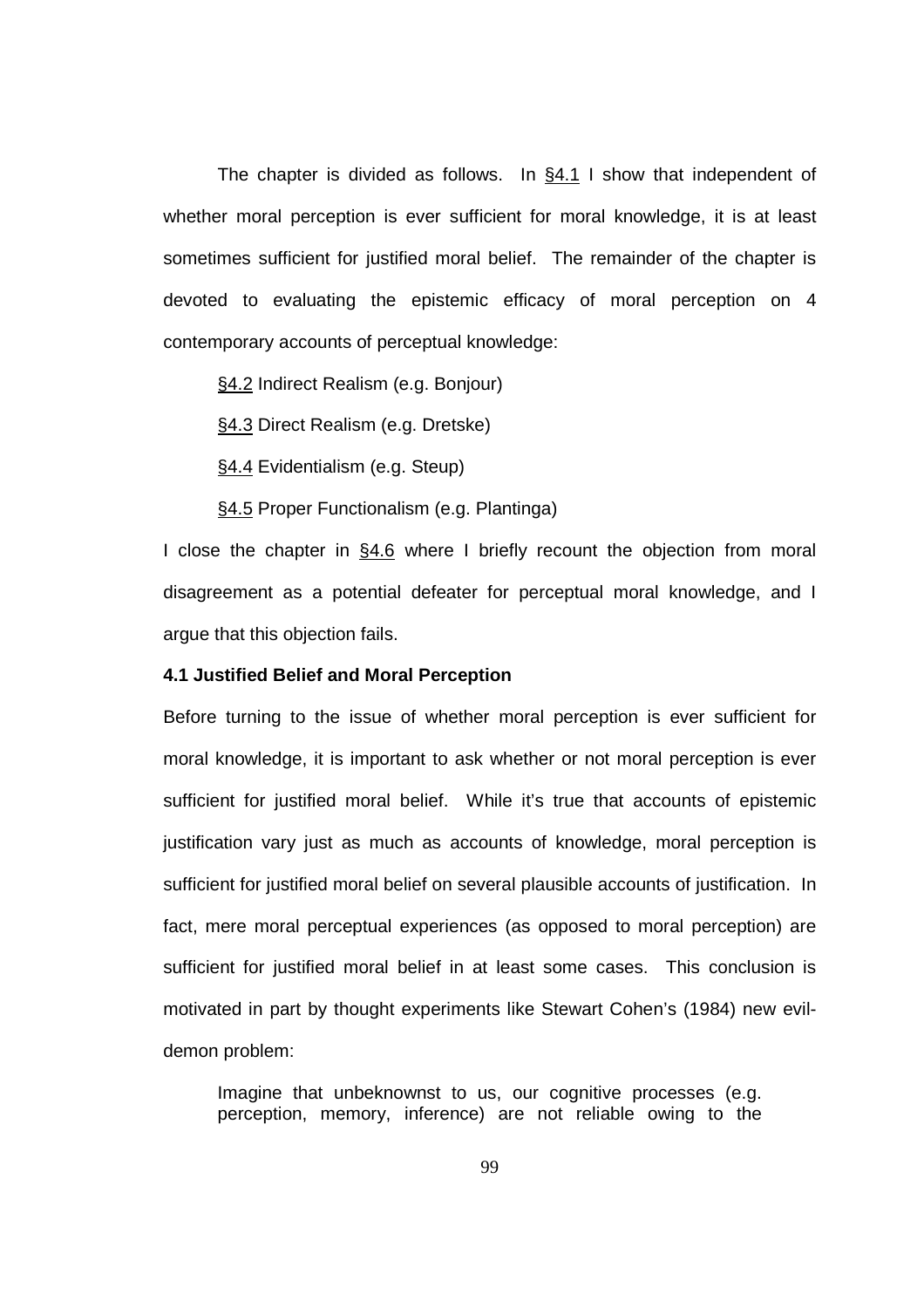The chapter is divided as follows. In  $§4.1$  I show that independent of whether moral perception is ever sufficient for moral knowledge, it is at least sometimes sufficient for justified moral belief. The remainder of the chapter is devoted to evaluating the epistemic efficacy of moral perception on 4 contemporary accounts of perceptual knowledge:

§4.2 Indirect Realism (e.g. Bonjour)

§4.3 Direct Realism (e.g. Dretske)

§4.4 Evidentialism (e.g. Steup)

§4.5 Proper Functionalism (e.g. Plantinga)

I close the chapter in §4.6 where I briefly recount the objection from moral disagreement as a potential defeater for perceptual moral knowledge, and I argue that this objection fails.

#### **4.1 Justified Belief and Moral Perception**

Before turning to the issue of whether moral perception is ever sufficient for moral knowledge, it is important to ask whether or not moral perception is ever sufficient for justified moral belief. While it's true that accounts of epistemic justification vary just as much as accounts of knowledge, moral perception is sufficient for justified moral belief on several plausible accounts of justification. In fact, mere moral perceptual experiences (as opposed to moral perception) are sufficient for justified moral belief in at least some cases. This conclusion is motivated in part by thought experiments like Stewart Cohen's (1984) new evildemon problem:

Imagine that unbeknownst to us, our cognitive processes (e.g. perception, memory, inference) are not reliable owing to the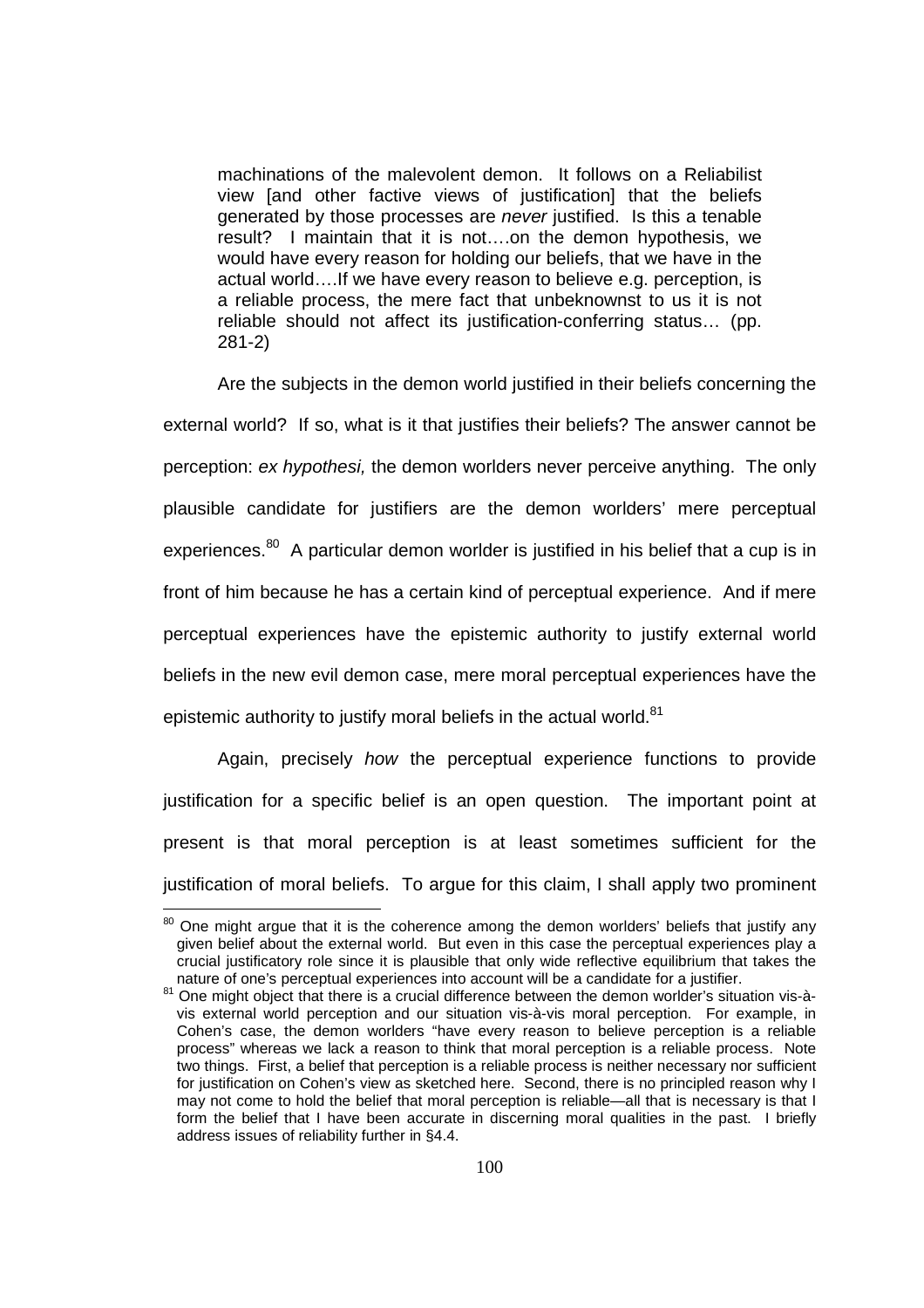machinations of the malevolent demon. It follows on a Reliabilist view [and other factive views of justification] that the beliefs generated by those processes are never justified. Is this a tenable result? I maintain that it is not….on the demon hypothesis, we would have every reason for holding our beliefs, that we have in the actual world….If we have every reason to believe e.g. perception, is a reliable process, the mere fact that unbeknownst to us it is not reliable should not affect its justification-conferring status… (pp. 281-2)

Are the subjects in the demon world justified in their beliefs concerning the external world? If so, what is it that justifies their beliefs? The answer cannot be perception: ex hypothesi, the demon worlders never perceive anything. The only plausible candidate for justifiers are the demon worlders' mere perceptual experiences.<sup>80</sup> A particular demon worlder is justified in his belief that a cup is in front of him because he has a certain kind of perceptual experience. And if mere perceptual experiences have the epistemic authority to justify external world beliefs in the new evil demon case, mere moral perceptual experiences have the epistemic authority to justify moral beliefs in the actual world.<sup>81</sup>

Again, precisely how the perceptual experience functions to provide justification for a specific belief is an open question. The important point at present is that moral perception is at least sometimes sufficient for the justification of moral beliefs. To argue for this claim, I shall apply two prominent

 $80$  One might argue that it is the coherence among the demon worlders' beliefs that justify any given belief about the external world. But even in this case the perceptual experiences play a crucial justificatory role since it is plausible that only wide reflective equilibrium that takes the nature of one's perceptual experiences into account will be a candidate for a justifier.

 $81$  One might object that there is a crucial difference between the demon worlder's situation vis-àvis external world perception and our situation vis-à-vis moral perception. For example, in Cohen's case, the demon worlders "have every reason to believe perception is a reliable process" whereas we lack a reason to think that moral perception is a reliable process. Note two things. First, a belief that perception is a reliable process is neither necessary nor sufficient for justification on Cohen's view as sketched here. Second, there is no principled reason why I may not come to hold the belief that moral perception is reliable—all that is necessary is that I form the belief that I have been accurate in discerning moral qualities in the past. I briefly address issues of reliability further in §4.4.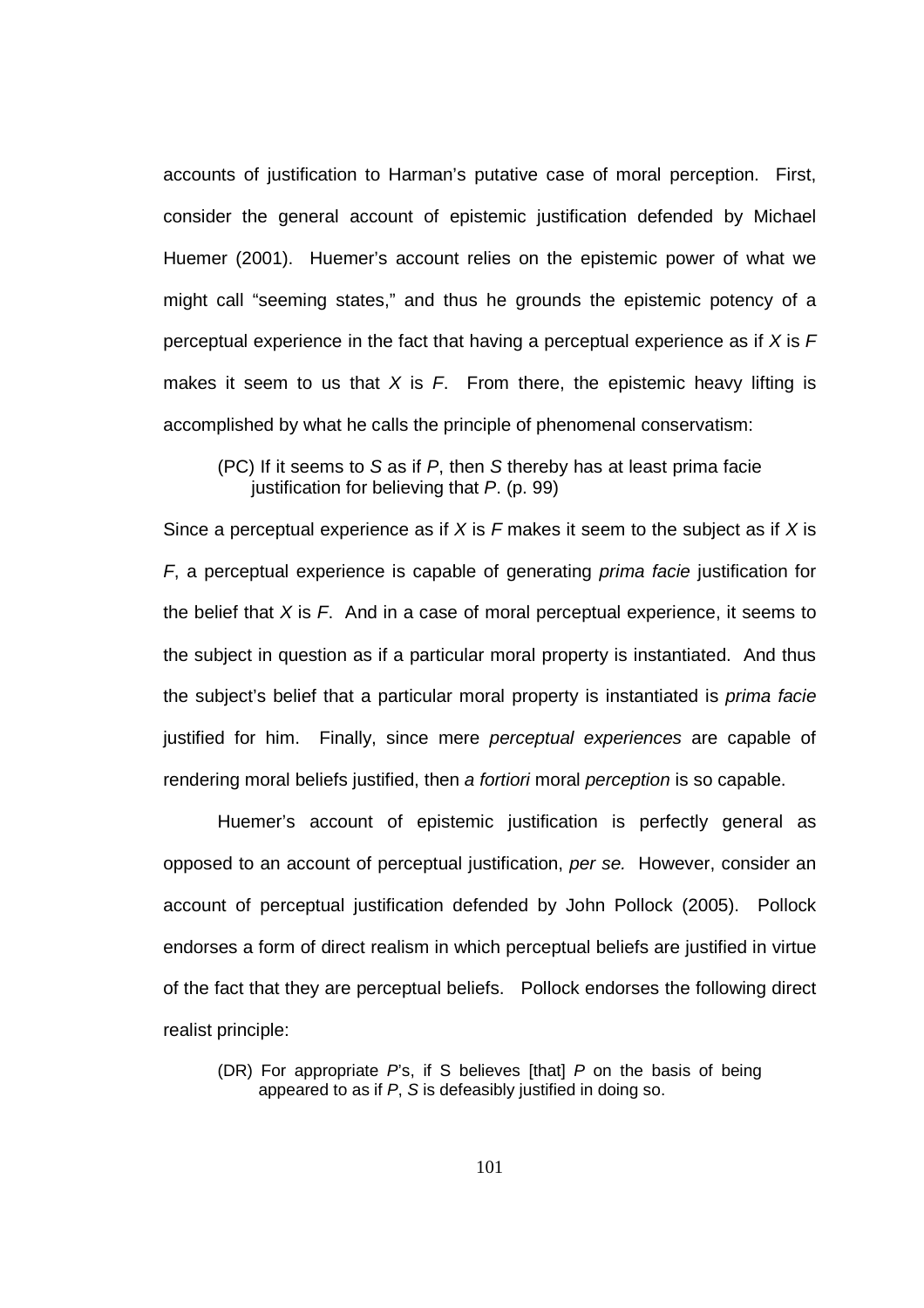accounts of justification to Harman's putative case of moral perception. First, consider the general account of epistemic justification defended by Michael Huemer (2001). Huemer's account relies on the epistemic power of what we might call "seeming states," and thus he grounds the epistemic potency of a perceptual experience in the fact that having a perceptual experience as if  $X$  is  $F$ makes it seem to us that X is  $F$ . From there, the epistemic heavy lifting is accomplished by what he calls the principle of phenomenal conservatism:

(PC) If it seems to S as if P, then S thereby has at least prima facie justification for believing that P. (p. 99)

Since a perceptual experience as if  $X$  is  $F$  makes it seem to the subject as if  $X$  is F, a perceptual experience is capable of generating prima facie justification for the belief that  $X$  is  $F$ . And in a case of moral perceptual experience, it seems to the subject in question as if a particular moral property is instantiated. And thus the subject's belief that a particular moral property is instantiated is prima facie justified for him. Finally, since mere *perceptual experiences* are capable of rendering moral beliefs justified, then a fortiori moral perception is so capable.

Huemer's account of epistemic justification is perfectly general as opposed to an account of perceptual justification, per se. However, consider an account of perceptual justification defended by John Pollock (2005). Pollock endorses a form of direct realism in which perceptual beliefs are justified in virtue of the fact that they are perceptual beliefs. Pollock endorses the following direct realist principle:

<sup>(</sup>DR) For appropriate  $Ps$ , if S believes [that]  $P$  on the basis of being appeared to as if P, S is defeasibly justified in doing so.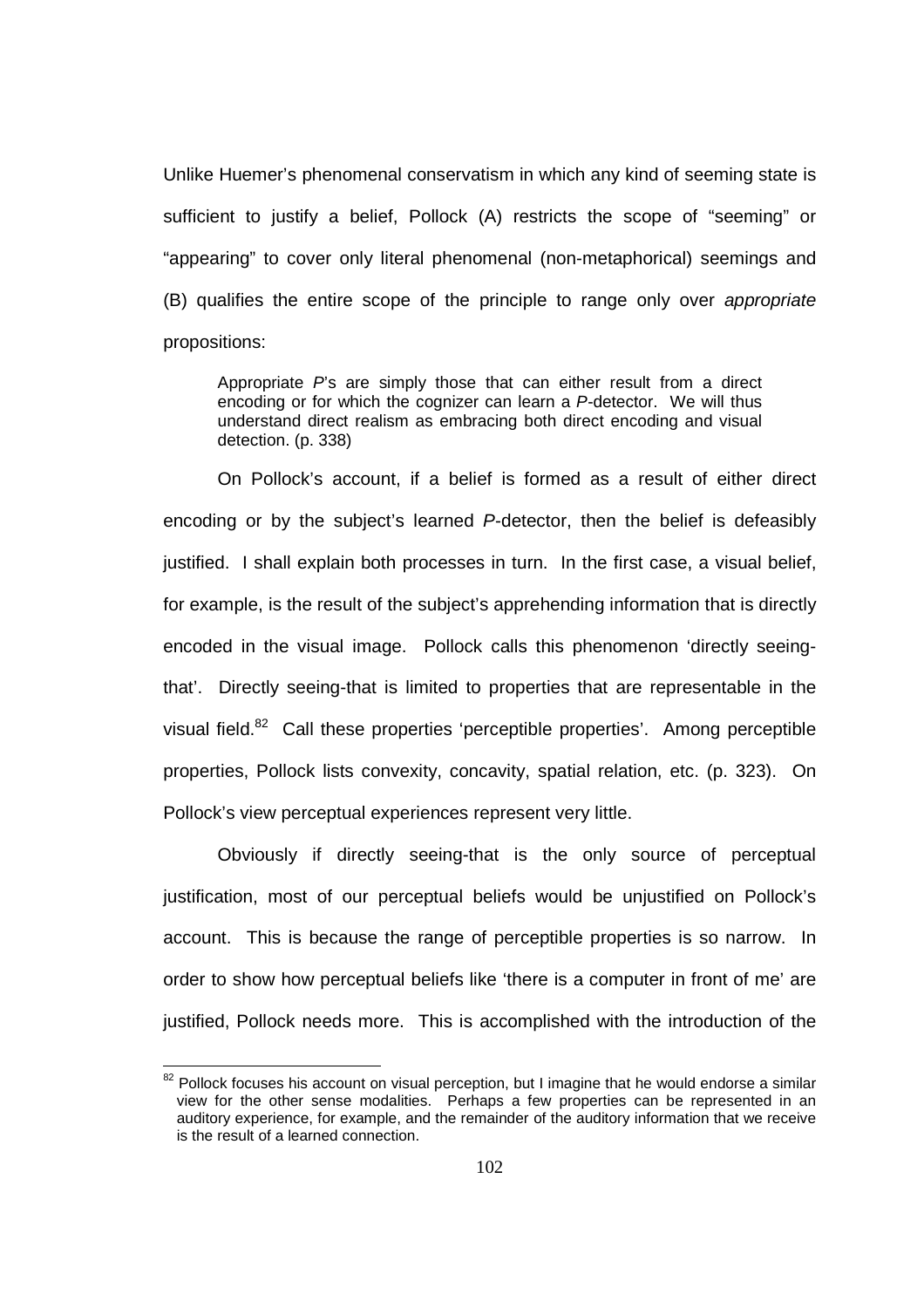Unlike Huemer's phenomenal conservatism in which any kind of seeming state is sufficient to justify a belief, Pollock (A) restricts the scope of "seeming" or "appearing" to cover only literal phenomenal (non-metaphorical) seemings and (B) qualifies the entire scope of the principle to range only over appropriate propositions:

Appropriate  $P$ s are simply those that can either result from a direct encoding or for which the cognizer can learn a P-detector. We will thus understand direct realism as embracing both direct encoding and visual detection. (p. 338)

On Pollock's account, if a belief is formed as a result of either direct encoding or by the subject's learned P-detector, then the belief is defeasibly justified. I shall explain both processes in turn. In the first case, a visual belief, for example, is the result of the subject's apprehending information that is directly encoded in the visual image. Pollock calls this phenomenon 'directly seeingthat'. Directly seeing-that is limited to properties that are representable in the visual field.<sup>82</sup> Call these properties 'perceptible properties'. Among perceptible properties, Pollock lists convexity, concavity, spatial relation, etc. (p. 323). On Pollock's view perceptual experiences represent very little.

Obviously if directly seeing-that is the only source of perceptual justification, most of our perceptual beliefs would be unjustified on Pollock's account. This is because the range of perceptible properties is so narrow. In order to show how perceptual beliefs like 'there is a computer in front of me' are justified, Pollock needs more. This is accomplished with the introduction of the

<sup>&</sup>lt;sup>82</sup> Pollock focuses his account on visual perception, but I imagine that he would endorse a similar view for the other sense modalities. Perhaps a few properties can be represented in an auditory experience, for example, and the remainder of the auditory information that we receive is the result of a learned connection.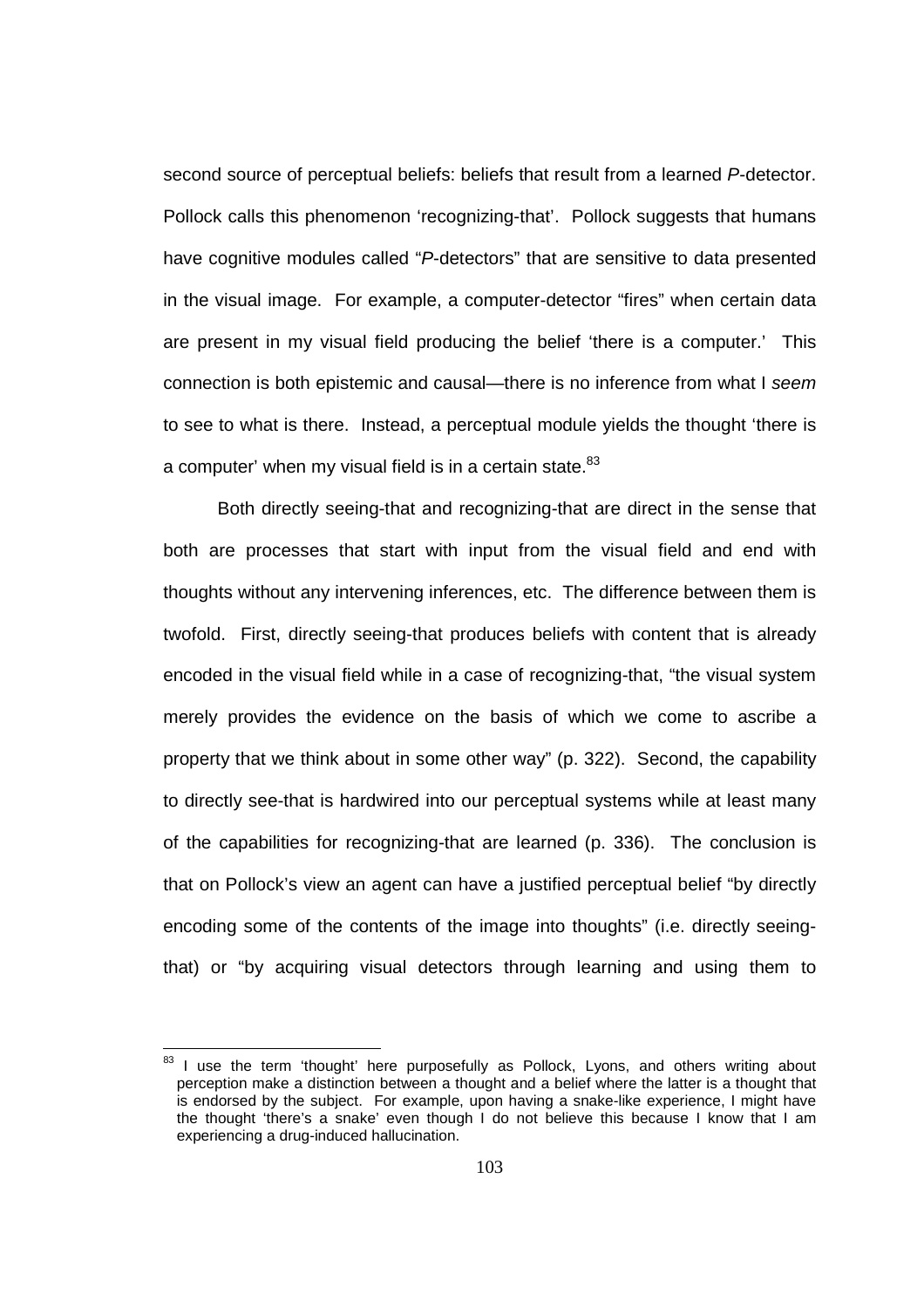second source of perceptual beliefs: beliefs that result from a learned P-detector. Pollock calls this phenomenon 'recognizing-that'. Pollock suggests that humans have cognitive modules called "P-detectors" that are sensitive to data presented in the visual image. For example, a computer-detector "fires" when certain data are present in my visual field producing the belief 'there is a computer.' This connection is both epistemic and causal—there is no inference from what I seem to see to what is there. Instead, a perceptual module yields the thought 'there is a computer' when my visual field is in a certain state. $83$ 

Both directly seeing-that and recognizing-that are direct in the sense that both are processes that start with input from the visual field and end with thoughts without any intervening inferences, etc. The difference between them is twofold. First, directly seeing-that produces beliefs with content that is already encoded in the visual field while in a case of recognizing-that, "the visual system merely provides the evidence on the basis of which we come to ascribe a property that we think about in some other way" (p. 322). Second, the capability to directly see-that is hardwired into our perceptual systems while at least many of the capabilities for recognizing-that are learned (p. 336). The conclusion is that on Pollock's view an agent can have a justified perceptual belief "by directly encoding some of the contents of the image into thoughts" (i.e. directly seeingthat) or "by acquiring visual detectors through learning and using them to

 $83$  I use the term 'thought' here purposefully as Pollock, Lyons, and others writing about perception make a distinction between a thought and a belief where the latter is a thought that is endorsed by the subject. For example, upon having a snake-like experience, I might have the thought 'there's a snake' even though I do not believe this because I know that I am experiencing a drug-induced hallucination.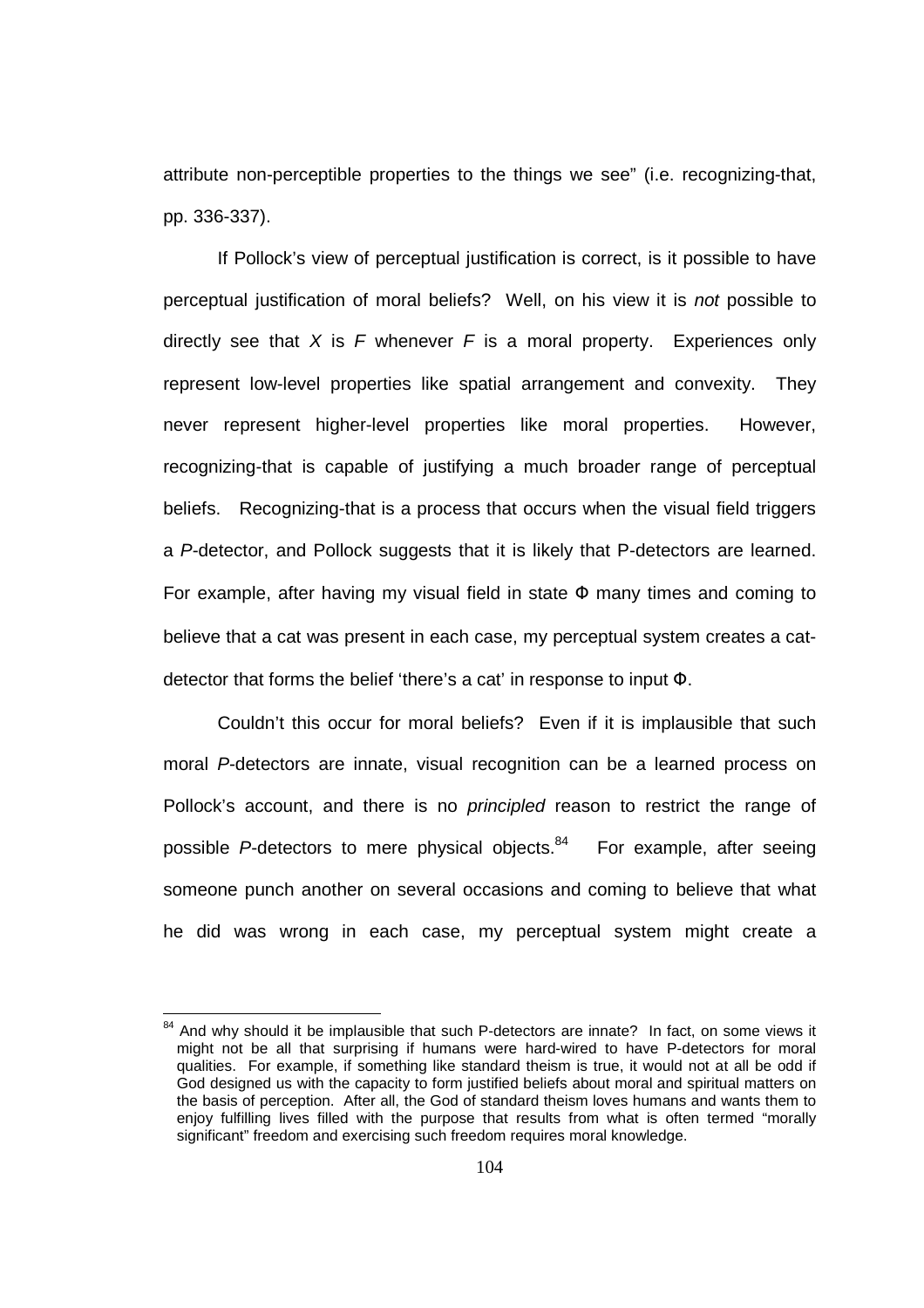attribute non-perceptible properties to the things we see" (i.e. recognizing-that, pp. 336-337).

If Pollock's view of perceptual justification is correct, is it possible to have perceptual justification of moral beliefs? Well, on his view it is not possible to directly see that X is F whenever F is a moral property. Experiences only represent low-level properties like spatial arrangement and convexity. They never represent higher-level properties like moral properties. However, recognizing-that is capable of justifying a much broader range of perceptual beliefs. Recognizing-that is a process that occurs when the visual field triggers a P-detector, and Pollock suggests that it is likely that P-detectors are learned. For example, after having my visual field in state  $\Phi$  many times and coming to believe that a cat was present in each case, my perceptual system creates a catdetector that forms the belief 'there's a cat' in response to input Φ.

 Couldn't this occur for moral beliefs? Even if it is implausible that such moral P-detectors are innate, visual recognition can be a learned process on Pollock's account, and there is no *principled* reason to restrict the range of possible  $P$ -detectors to mere physical objects. $84$  For example, after seeing someone punch another on several occasions and coming to believe that what he did was wrong in each case, my perceptual system might create a

 $84$  And why should it be implausible that such P-detectors are innate? In fact, on some views it might not be all that surprising if humans were hard-wired to have P-detectors for moral qualities. For example, if something like standard theism is true, it would not at all be odd if God designed us with the capacity to form justified beliefs about moral and spiritual matters on the basis of perception. After all, the God of standard theism loves humans and wants them to enjoy fulfilling lives filled with the purpose that results from what is often termed "morally significant" freedom and exercising such freedom requires moral knowledge.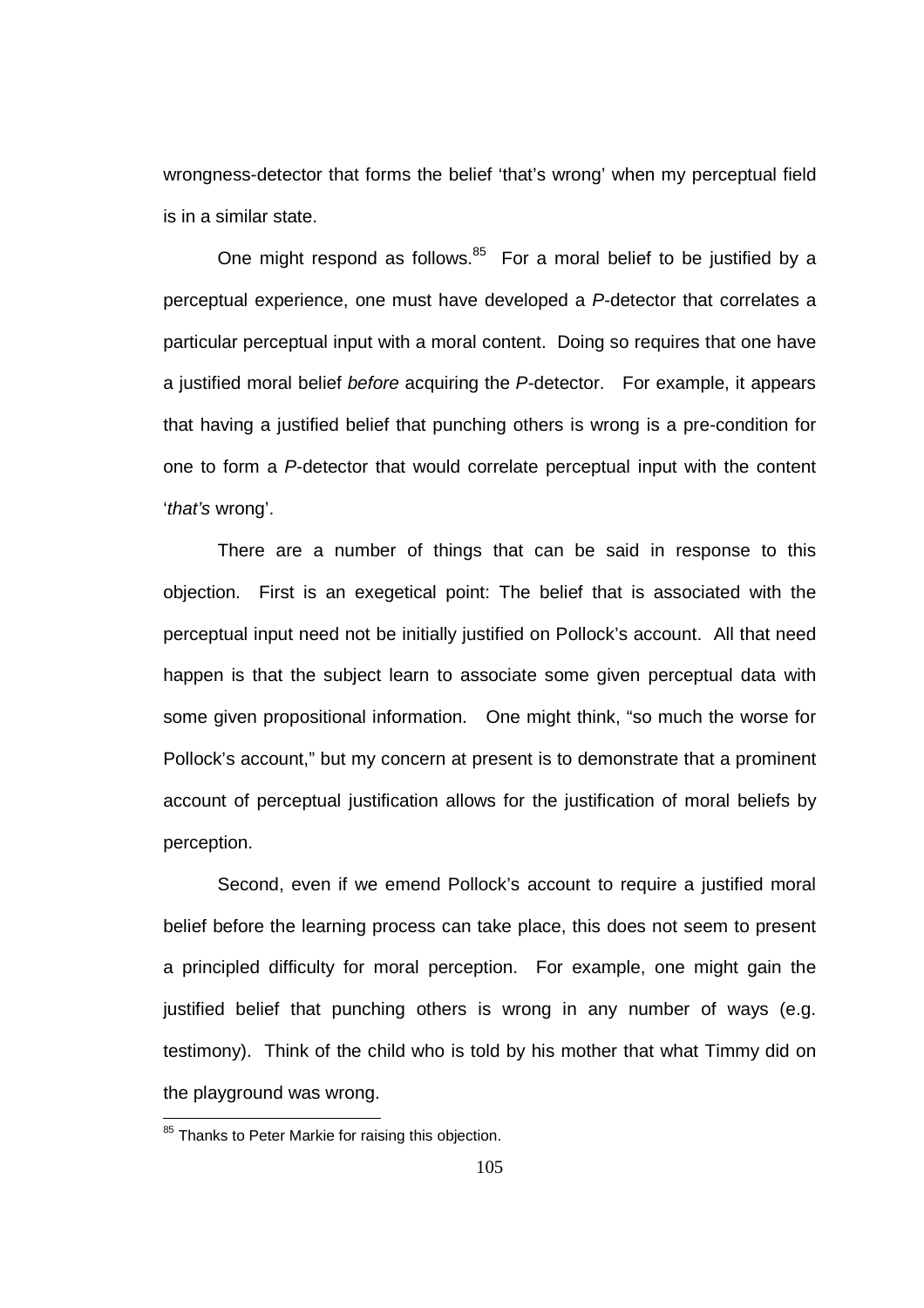wrongness-detector that forms the belief 'that's wrong' when my perceptual field is in a similar state.

One might respond as follows. $85$  For a moral belief to be justified by a perceptual experience, one must have developed a P-detector that correlates a particular perceptual input with a moral content. Doing so requires that one have a justified moral belief before acquiring the P-detector. For example, it appears that having a justified belief that punching others is wrong is a pre-condition for one to form a P-detector that would correlate perceptual input with the content 'that's wrong'.

There are a number of things that can be said in response to this objection. First is an exegetical point: The belief that is associated with the perceptual input need not be initially justified on Pollock's account. All that need happen is that the subject learn to associate some given perceptual data with some given propositional information. One might think, "so much the worse for Pollock's account," but my concern at present is to demonstrate that a prominent account of perceptual justification allows for the justification of moral beliefs by perception.

Second, even if we emend Pollock's account to require a justified moral belief before the learning process can take place, this does not seem to present a principled difficulty for moral perception. For example, one might gain the justified belief that punching others is wrong in any number of ways (e.g. testimony). Think of the child who is told by his mother that what Timmy did on the playground was wrong.

<sup>&</sup>lt;sup>85</sup> Thanks to Peter Markie for raising this objection.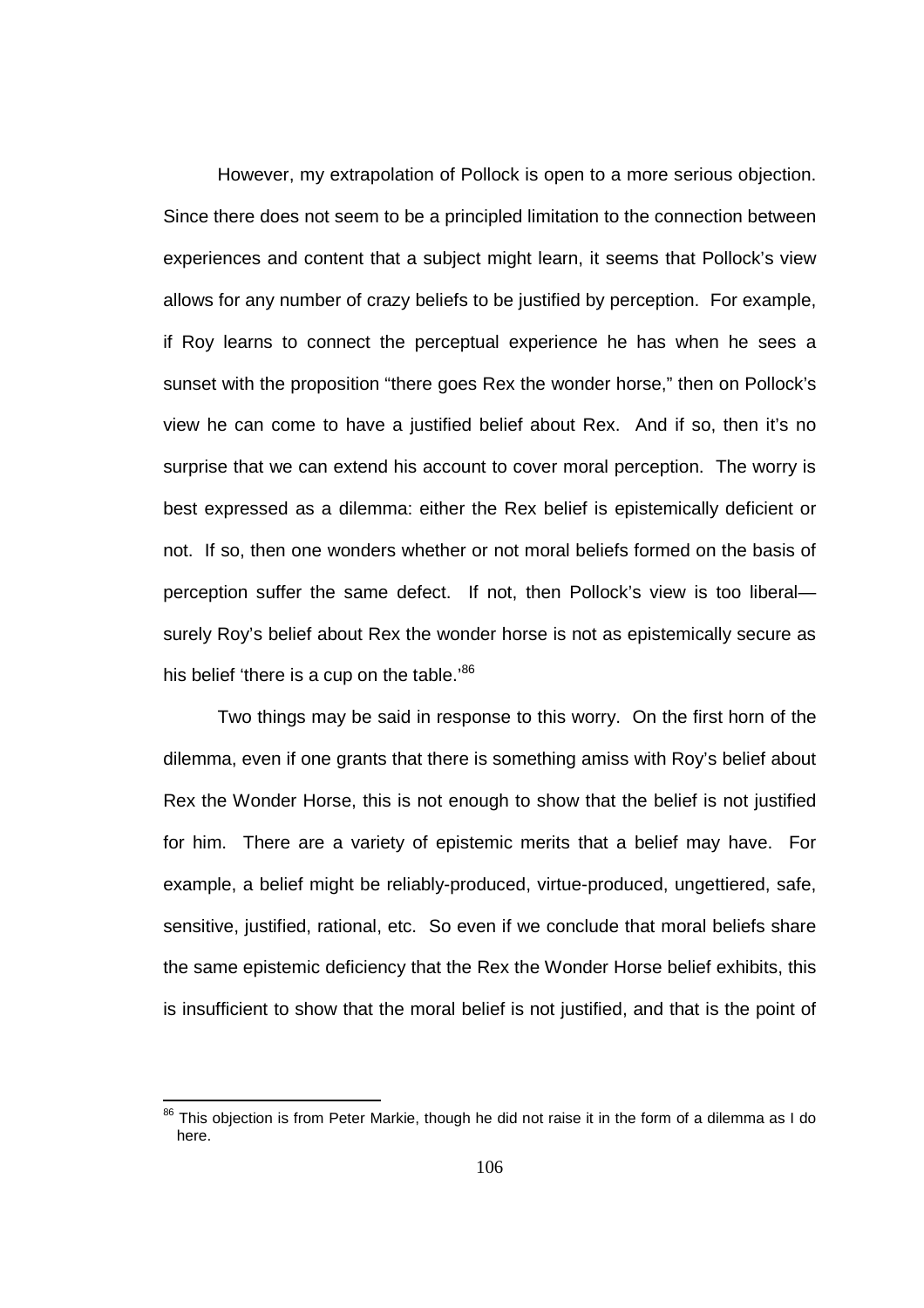However, my extrapolation of Pollock is open to a more serious objection. Since there does not seem to be a principled limitation to the connection between experiences and content that a subject might learn, it seems that Pollock's view allows for any number of crazy beliefs to be justified by perception. For example, if Roy learns to connect the perceptual experience he has when he sees a sunset with the proposition "there goes Rex the wonder horse," then on Pollock's view he can come to have a justified belief about Rex. And if so, then it's no surprise that we can extend his account to cover moral perception. The worry is best expressed as a dilemma: either the Rex belief is epistemically deficient or not. If so, then one wonders whether or not moral beliefs formed on the basis of perception suffer the same defect. If not, then Pollock's view is too liberal surely Roy's belief about Rex the wonder horse is not as epistemically secure as his belief 'there is a cup on the table.'<sup>86</sup>

Two things may be said in response to this worry. On the first horn of the dilemma, even if one grants that there is something amiss with Roy's belief about Rex the Wonder Horse, this is not enough to show that the belief is not justified for him. There are a variety of epistemic merits that a belief may have. For example, a belief might be reliably-produced, virtue-produced, ungettiered, safe, sensitive, justified, rational, etc. So even if we conclude that moral beliefs share the same epistemic deficiency that the Rex the Wonder Horse belief exhibits, this is insufficient to show that the moral belief is not justified, and that is the point of

 $\overline{a}$ 

 $86$  This objection is from Peter Markie, though he did not raise it in the form of a dilemma as I do here.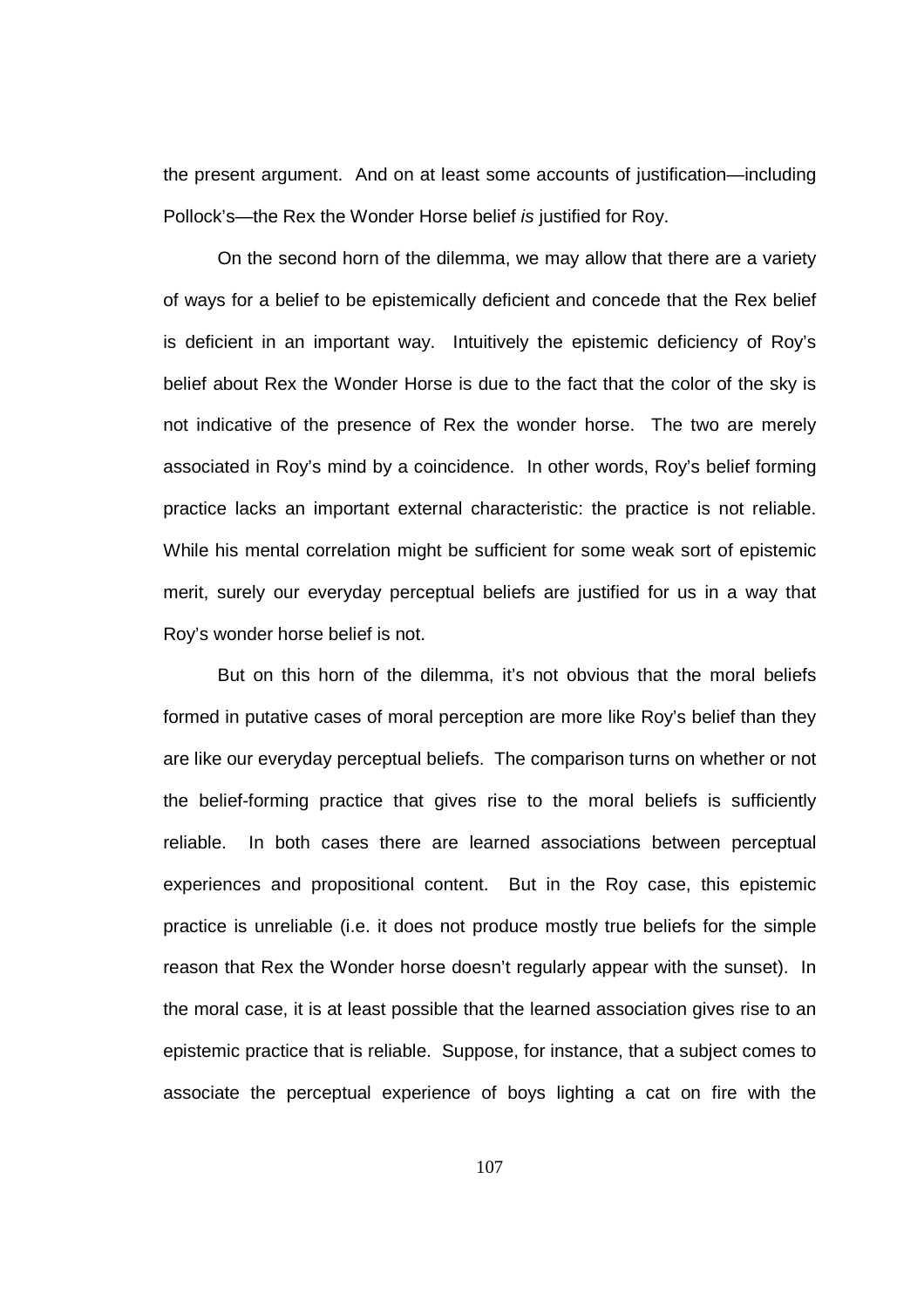the present argument. And on at least some accounts of justification—including Pollock's—the Rex the Wonder Horse belief is justified for Roy.

On the second horn of the dilemma, we may allow that there are a variety of ways for a belief to be epistemically deficient and concede that the Rex belief is deficient in an important way. Intuitively the epistemic deficiency of Roy's belief about Rex the Wonder Horse is due to the fact that the color of the sky is not indicative of the presence of Rex the wonder horse. The two are merely associated in Roy's mind by a coincidence. In other words, Roy's belief forming practice lacks an important external characteristic: the practice is not reliable. While his mental correlation might be sufficient for some weak sort of epistemic merit, surely our everyday perceptual beliefs are justified for us in a way that Roy's wonder horse belief is not.

But on this horn of the dilemma, it's not obvious that the moral beliefs formed in putative cases of moral perception are more like Roy's belief than they are like our everyday perceptual beliefs. The comparison turns on whether or not the belief-forming practice that gives rise to the moral beliefs is sufficiently reliable. In both cases there are learned associations between perceptual experiences and propositional content. But in the Roy case, this epistemic practice is unreliable (i.e. it does not produce mostly true beliefs for the simple reason that Rex the Wonder horse doesn't regularly appear with the sunset). In the moral case, it is at least possible that the learned association gives rise to an epistemic practice that is reliable. Suppose, for instance, that a subject comes to associate the perceptual experience of boys lighting a cat on fire with the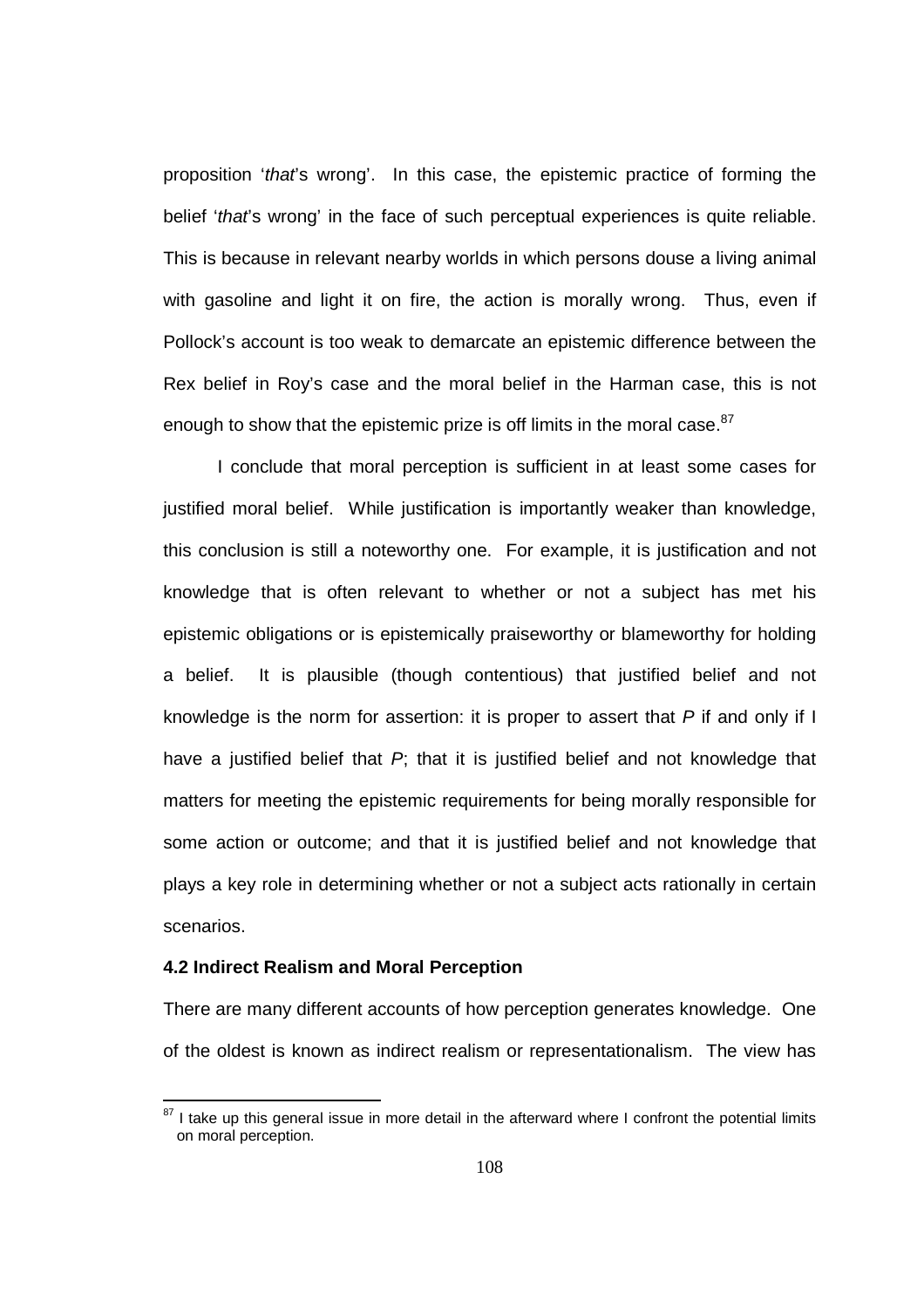proposition 'that's wrong'. In this case, the epistemic practice of forming the belief 'that's wrong' in the face of such perceptual experiences is quite reliable. This is because in relevant nearby worlds in which persons douse a living animal with gasoline and light it on fire, the action is morally wrong. Thus, even if Pollock's account is too weak to demarcate an epistemic difference between the Rex belief in Roy's case and the moral belief in the Harman case, this is not enough to show that the epistemic prize is off limits in the moral case. $87$ 

I conclude that moral perception is sufficient in at least some cases for justified moral belief. While justification is importantly weaker than knowledge, this conclusion is still a noteworthy one. For example, it is justification and not knowledge that is often relevant to whether or not a subject has met his epistemic obligations or is epistemically praiseworthy or blameworthy for holding a belief. It is plausible (though contentious) that justified belief and not knowledge is the norm for assertion: it is proper to assert that  $P$  if and only if  $\mathsf I$ have a justified belief that  $P$ ; that it is justified belief and not knowledge that matters for meeting the epistemic requirements for being morally responsible for some action or outcome; and that it is justified belief and not knowledge that plays a key role in determining whether or not a subject acts rationally in certain scenarios.

#### **4.2 Indirect Realism and Moral Perception**

 $\overline{a}$ 

There are many different accounts of how perception generates knowledge. One of the oldest is known as indirect realism or representationalism. The view has

 $87$  I take up this general issue in more detail in the afterward where I confront the potential limits on moral perception.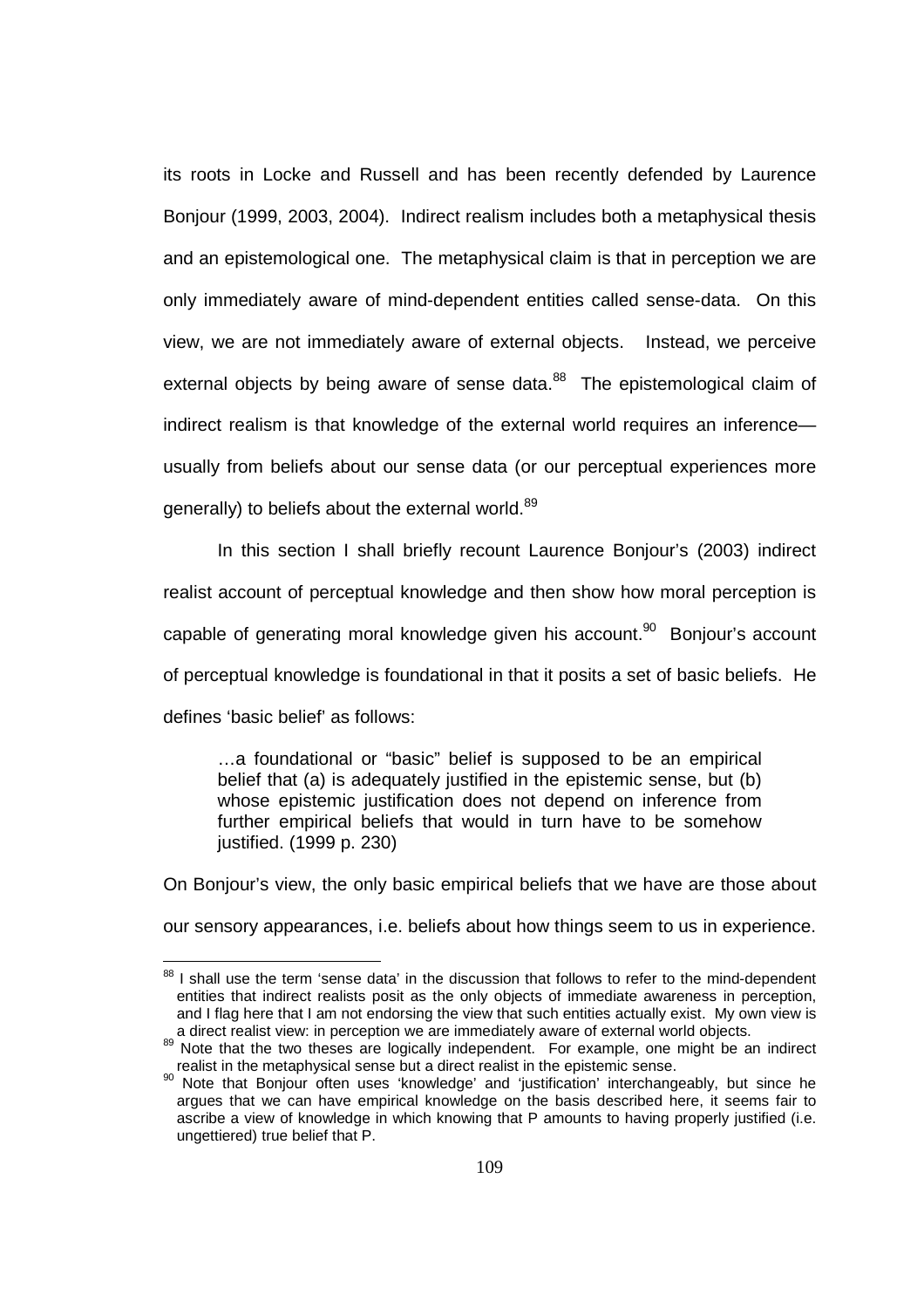its roots in Locke and Russell and has been recently defended by Laurence Bonjour (1999, 2003, 2004). Indirect realism includes both a metaphysical thesis and an epistemological one. The metaphysical claim is that in perception we are only immediately aware of mind-dependent entities called sense-data. On this view, we are not immediately aware of external objects. Instead, we perceive external objects by being aware of sense data. $88$  The epistemological claim of indirect realism is that knowledge of the external world requires an inference usually from beliefs about our sense data (or our perceptual experiences more generally) to beliefs about the external world. $89$ 

 In this section I shall briefly recount Laurence Bonjour's (2003) indirect realist account of perceptual knowledge and then show how moral perception is capable of generating moral knowledge given his account.<sup>90</sup> Bonjour's account of perceptual knowledge is foundational in that it posits a set of basic beliefs. He defines 'basic belief' as follows:

…a foundational or "basic" belief is supposed to be an empirical belief that (a) is adequately justified in the epistemic sense, but (b) whose epistemic justification does not depend on inference from further empirical beliefs that would in turn have to be somehow justified. (1999 p. 230)

On Bonjour's view, the only basic empirical beliefs that we have are those about our sensory appearances, i.e. beliefs about how things seem to us in experience.

<sup>&</sup>lt;sup>88</sup> I shall use the term 'sense data' in the discussion that follows to refer to the mind-dependent entities that indirect realists posit as the only objects of immediate awareness in perception, and I flag here that I am not endorsing the view that such entities actually exist. My own view is a direct realist view: in perception we are immediately aware of external world objects.

Note that the two theses are logically independent. For example, one might be an indirect realist in the metaphysical sense but a direct realist in the epistemic sense.

 $90$  Note that Bonjour often uses 'knowledge' and 'justification' interchangeably, but since he argues that we can have empirical knowledge on the basis described here, it seems fair to ascribe a view of knowledge in which knowing that P amounts to having properly justified (i.e. ungettiered) true belief that P.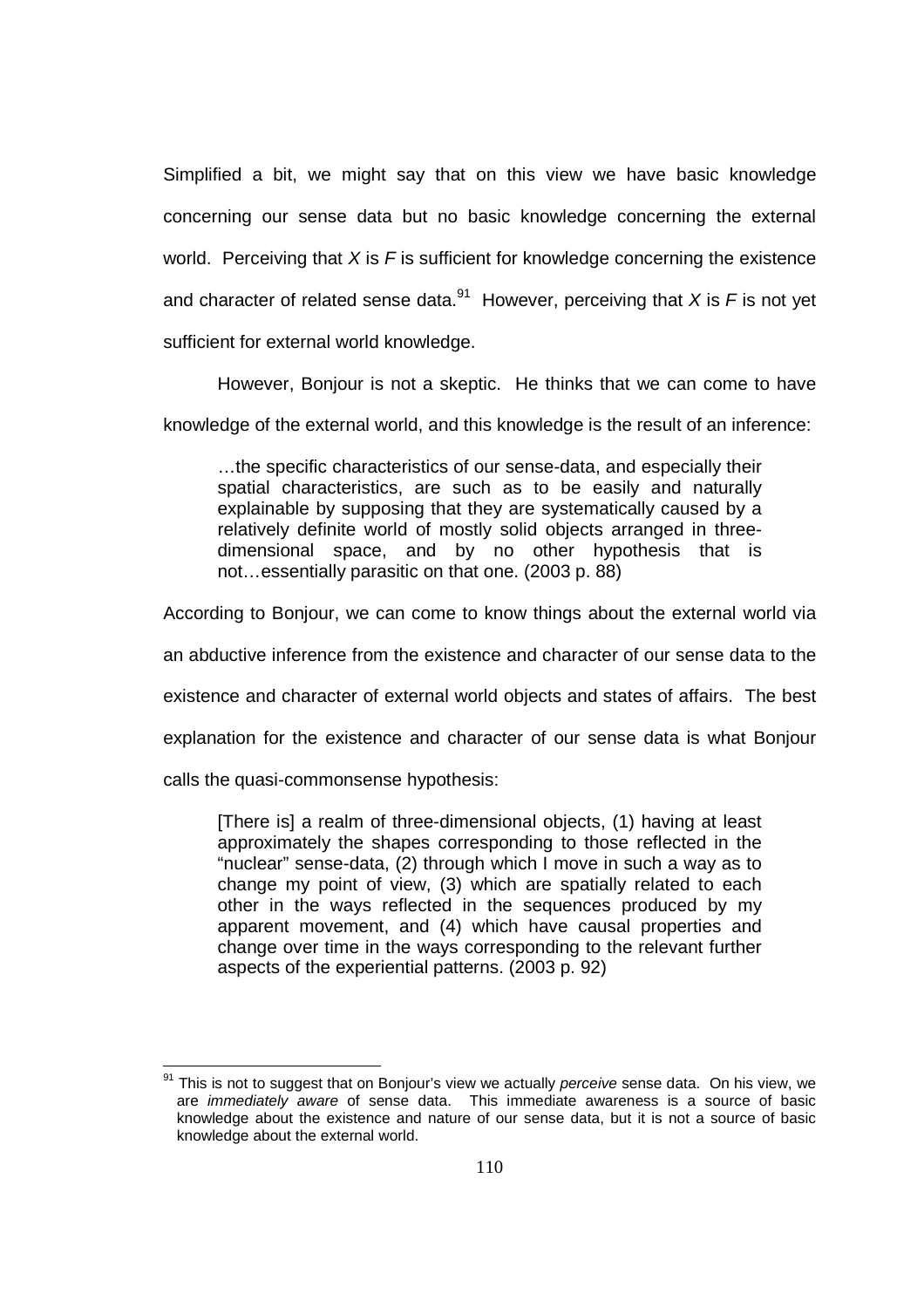Simplified a bit, we might say that on this view we have basic knowledge concerning our sense data but no basic knowledge concerning the external world. Perceiving that  $X$  is  $F$  is sufficient for knowledge concerning the existence and character of related sense data.<sup>91</sup> However, perceiving that X is F is not yet sufficient for external world knowledge.

However, Bonjour is not a skeptic. He thinks that we can come to have

knowledge of the external world, and this knowledge is the result of an inference:

…the specific characteristics of our sense-data, and especially their spatial characteristics, are such as to be easily and naturally explainable by supposing that they are systematically caused by a relatively definite world of mostly solid objects arranged in threedimensional space, and by no other hypothesis that is not…essentially parasitic on that one. (2003 p. 88)

According to Bonjour, we can come to know things about the external world via

an abductive inference from the existence and character of our sense data to the

existence and character of external world objects and states of affairs. The best

explanation for the existence and character of our sense data is what Bonjour

calls the quasi-commonsense hypothesis:

l

[There is] a realm of three-dimensional objects, (1) having at least approximately the shapes corresponding to those reflected in the "nuclear" sense-data, (2) through which I move in such a way as to change my point of view, (3) which are spatially related to each other in the ways reflected in the sequences produced by my apparent movement, and (4) which have causal properties and change over time in the ways corresponding to the relevant further aspects of the experiential patterns. (2003 p. 92)

 $91$  This is not to suggest that on Bonjour's view we actually *perceive* sense data. On his view, we are immediately aware of sense data. This immediate awareness is a source of basic knowledge about the existence and nature of our sense data, but it is not a source of basic knowledge about the external world.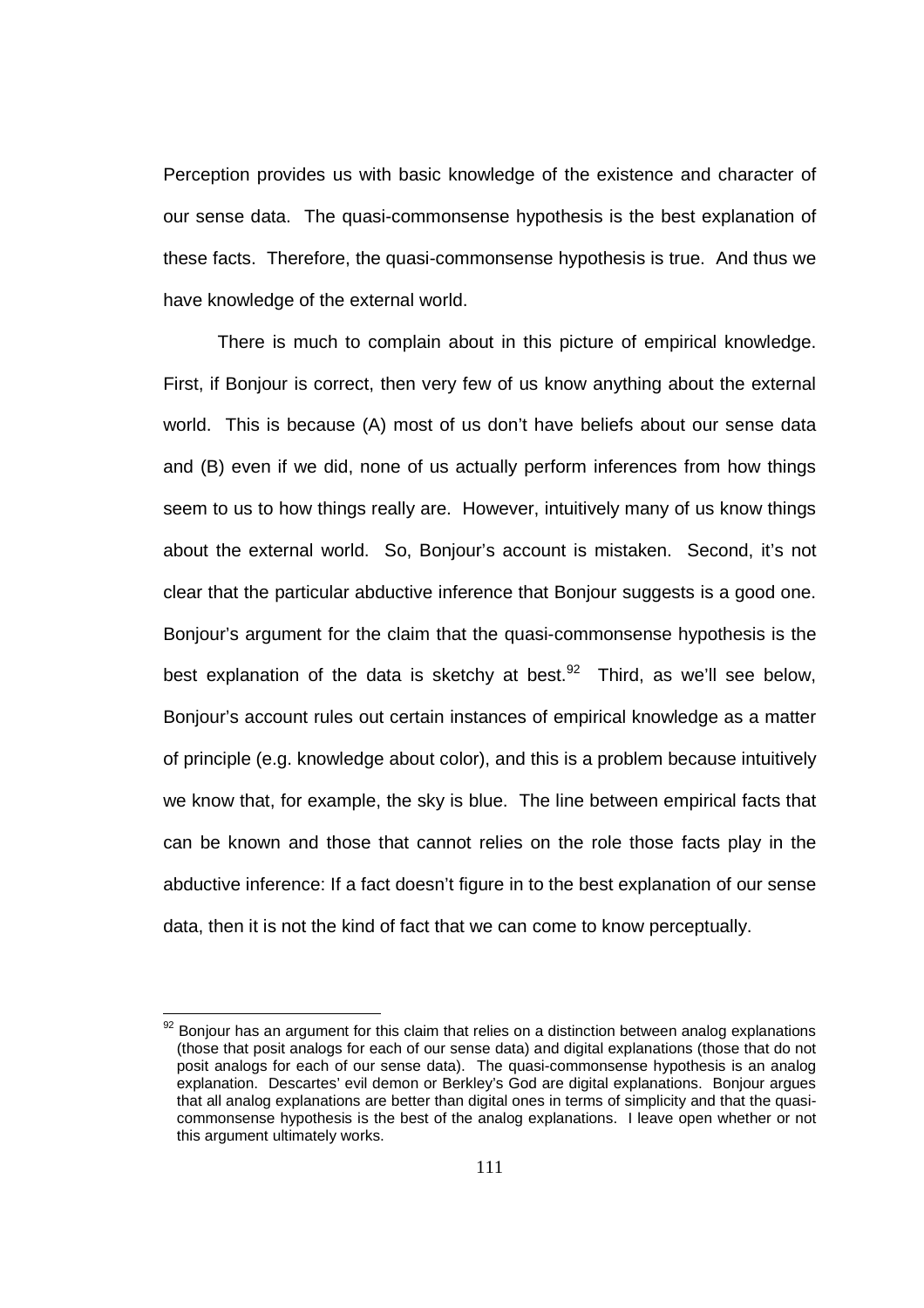Perception provides us with basic knowledge of the existence and character of our sense data. The quasi-commonsense hypothesis is the best explanation of these facts. Therefore, the quasi-commonsense hypothesis is true. And thus we have knowledge of the external world.

There is much to complain about in this picture of empirical knowledge. First, if Bonjour is correct, then very few of us know anything about the external world. This is because (A) most of us don't have beliefs about our sense data and (B) even if we did, none of us actually perform inferences from how things seem to us to how things really are. However, intuitively many of us know things about the external world. So, Bonjour's account is mistaken. Second, it's not clear that the particular abductive inference that Bonjour suggests is a good one. Bonjour's argument for the claim that the quasi-commonsense hypothesis is the best explanation of the data is sketchy at best.<sup>92</sup> Third, as we'll see below, Bonjour's account rules out certain instances of empirical knowledge as a matter of principle (e.g. knowledge about color), and this is a problem because intuitively we know that, for example, the sky is blue. The line between empirical facts that can be known and those that cannot relies on the role those facts play in the abductive inference: If a fact doesn't figure in to the best explanation of our sense data, then it is not the kind of fact that we can come to know perceptually.

 $92$  Bonjour has an argument for this claim that relies on a distinction between analog explanations (those that posit analogs for each of our sense data) and digital explanations (those that do not posit analogs for each of our sense data). The quasi-commonsense hypothesis is an analog explanation. Descartes' evil demon or Berkley's God are digital explanations. Bonjour argues that all analog explanations are better than digital ones in terms of simplicity and that the quasicommonsense hypothesis is the best of the analog explanations. I leave open whether or not this argument ultimately works.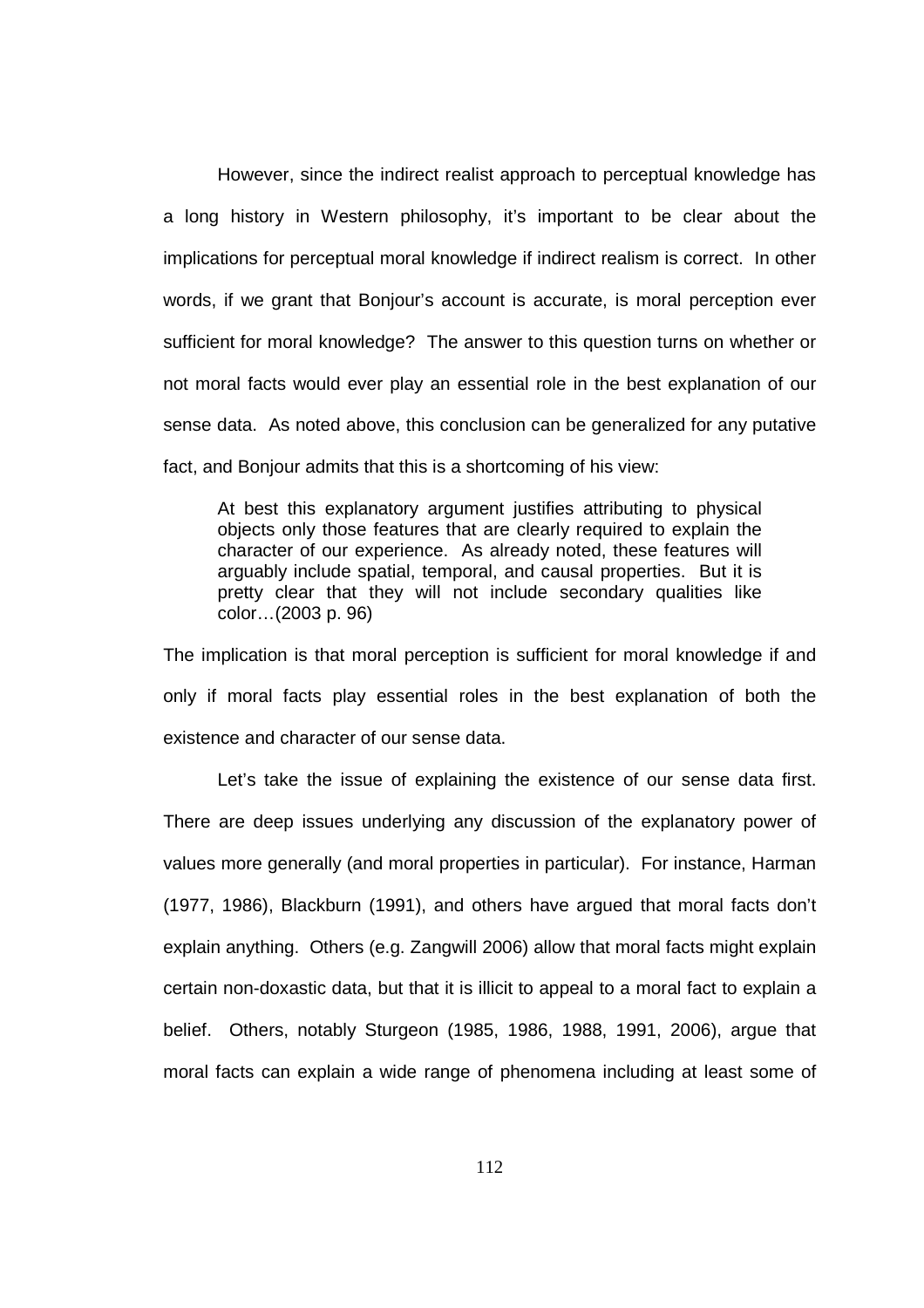However, since the indirect realist approach to perceptual knowledge has a long history in Western philosophy, it's important to be clear about the implications for perceptual moral knowledge if indirect realism is correct. In other words, if we grant that Bonjour's account is accurate, is moral perception ever sufficient for moral knowledge? The answer to this question turns on whether or not moral facts would ever play an essential role in the best explanation of our sense data. As noted above, this conclusion can be generalized for any putative fact, and Bonjour admits that this is a shortcoming of his view:

At best this explanatory argument justifies attributing to physical objects only those features that are clearly required to explain the character of our experience. As already noted, these features will arguably include spatial, temporal, and causal properties. But it is pretty clear that they will not include secondary qualities like color…(2003 p. 96)

The implication is that moral perception is sufficient for moral knowledge if and only if moral facts play essential roles in the best explanation of both the existence and character of our sense data.

 Let's take the issue of explaining the existence of our sense data first. There are deep issues underlying any discussion of the explanatory power of values more generally (and moral properties in particular). For instance, Harman (1977, 1986), Blackburn (1991), and others have argued that moral facts don't explain anything. Others (e.g. Zangwill 2006) allow that moral facts might explain certain non-doxastic data, but that it is illicit to appeal to a moral fact to explain a belief. Others, notably Sturgeon (1985, 1986, 1988, 1991, 2006), argue that moral facts can explain a wide range of phenomena including at least some of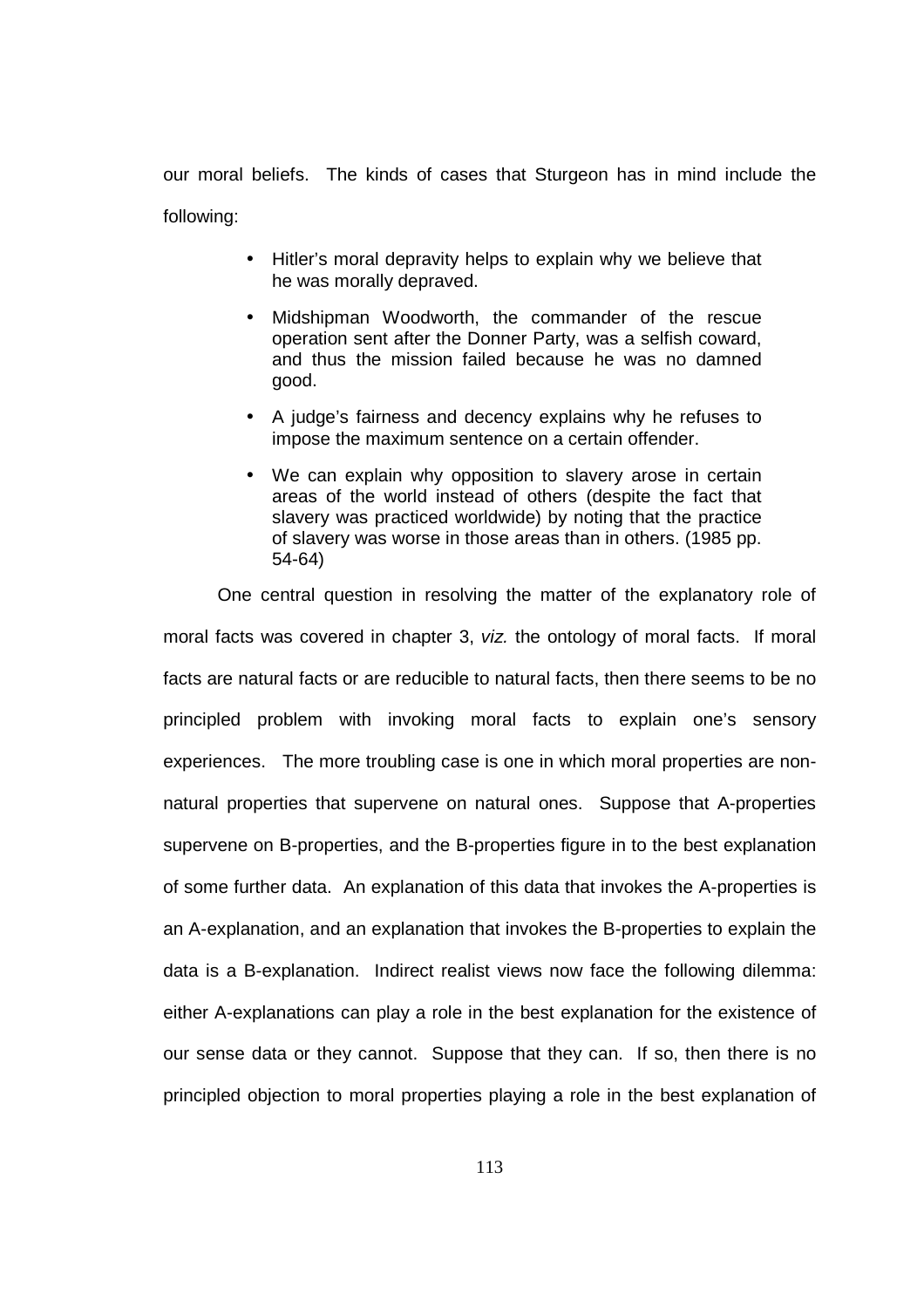our moral beliefs. The kinds of cases that Sturgeon has in mind include the following:

- Hitler's moral depravity helps to explain why we believe that he was morally depraved.
- Midshipman Woodworth, the commander of the rescue operation sent after the Donner Party, was a selfish coward, and thus the mission failed because he was no damned good.
- A judge's fairness and decency explains why he refuses to impose the maximum sentence on a certain offender.
- We can explain why opposition to slavery arose in certain areas of the world instead of others (despite the fact that slavery was practiced worldwide) by noting that the practice of slavery was worse in those areas than in others. (1985 pp. 54-64)

One central question in resolving the matter of the explanatory role of moral facts was covered in chapter 3, viz. the ontology of moral facts. If moral facts are natural facts or are reducible to natural facts, then there seems to be no principled problem with invoking moral facts to explain one's sensory experiences. The more troubling case is one in which moral properties are nonnatural properties that supervene on natural ones. Suppose that A-properties supervene on B-properties, and the B-properties figure in to the best explanation of some further data. An explanation of this data that invokes the A-properties is an A-explanation, and an explanation that invokes the B-properties to explain the data is a B-explanation. Indirect realist views now face the following dilemma: either A-explanations can play a role in the best explanation for the existence of our sense data or they cannot. Suppose that they can. If so, then there is no principled objection to moral properties playing a role in the best explanation of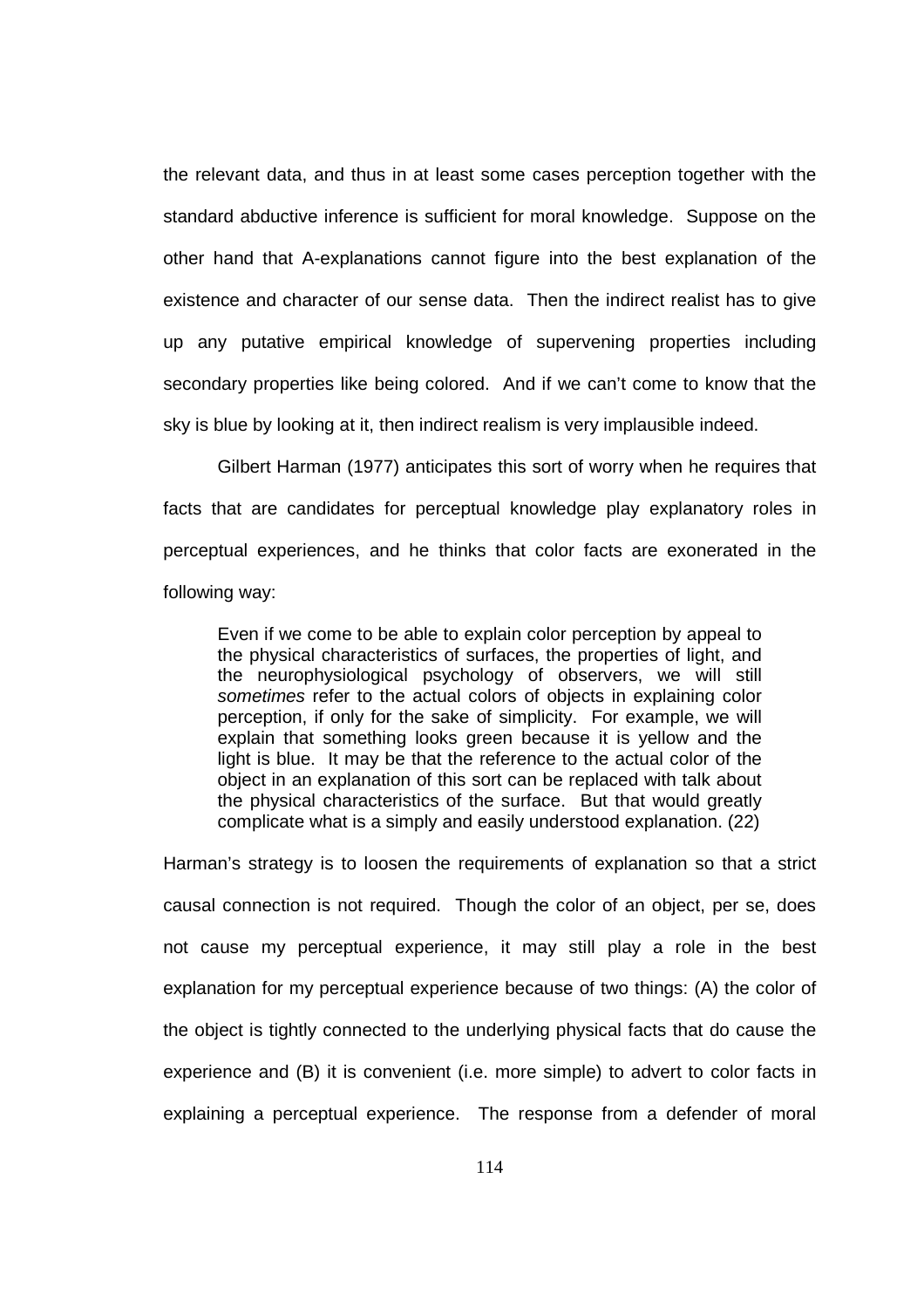the relevant data, and thus in at least some cases perception together with the standard abductive inference is sufficient for moral knowledge. Suppose on the other hand that A-explanations cannot figure into the best explanation of the existence and character of our sense data. Then the indirect realist has to give up any putative empirical knowledge of supervening properties including secondary properties like being colored. And if we can't come to know that the sky is blue by looking at it, then indirect realism is very implausible indeed.

Gilbert Harman (1977) anticipates this sort of worry when he requires that facts that are candidates for perceptual knowledge play explanatory roles in perceptual experiences, and he thinks that color facts are exonerated in the following way:

Even if we come to be able to explain color perception by appeal to the physical characteristics of surfaces, the properties of light, and the neurophysiological psychology of observers, we will still sometimes refer to the actual colors of objects in explaining color perception, if only for the sake of simplicity. For example, we will explain that something looks green because it is yellow and the light is blue. It may be that the reference to the actual color of the object in an explanation of this sort can be replaced with talk about the physical characteristics of the surface. But that would greatly complicate what is a simply and easily understood explanation. (22)

Harman's strategy is to loosen the requirements of explanation so that a strict causal connection is not required. Though the color of an object, per se, does not cause my perceptual experience, it may still play a role in the best explanation for my perceptual experience because of two things: (A) the color of the object is tightly connected to the underlying physical facts that do cause the experience and (B) it is convenient (i.e. more simple) to advert to color facts in explaining a perceptual experience. The response from a defender of moral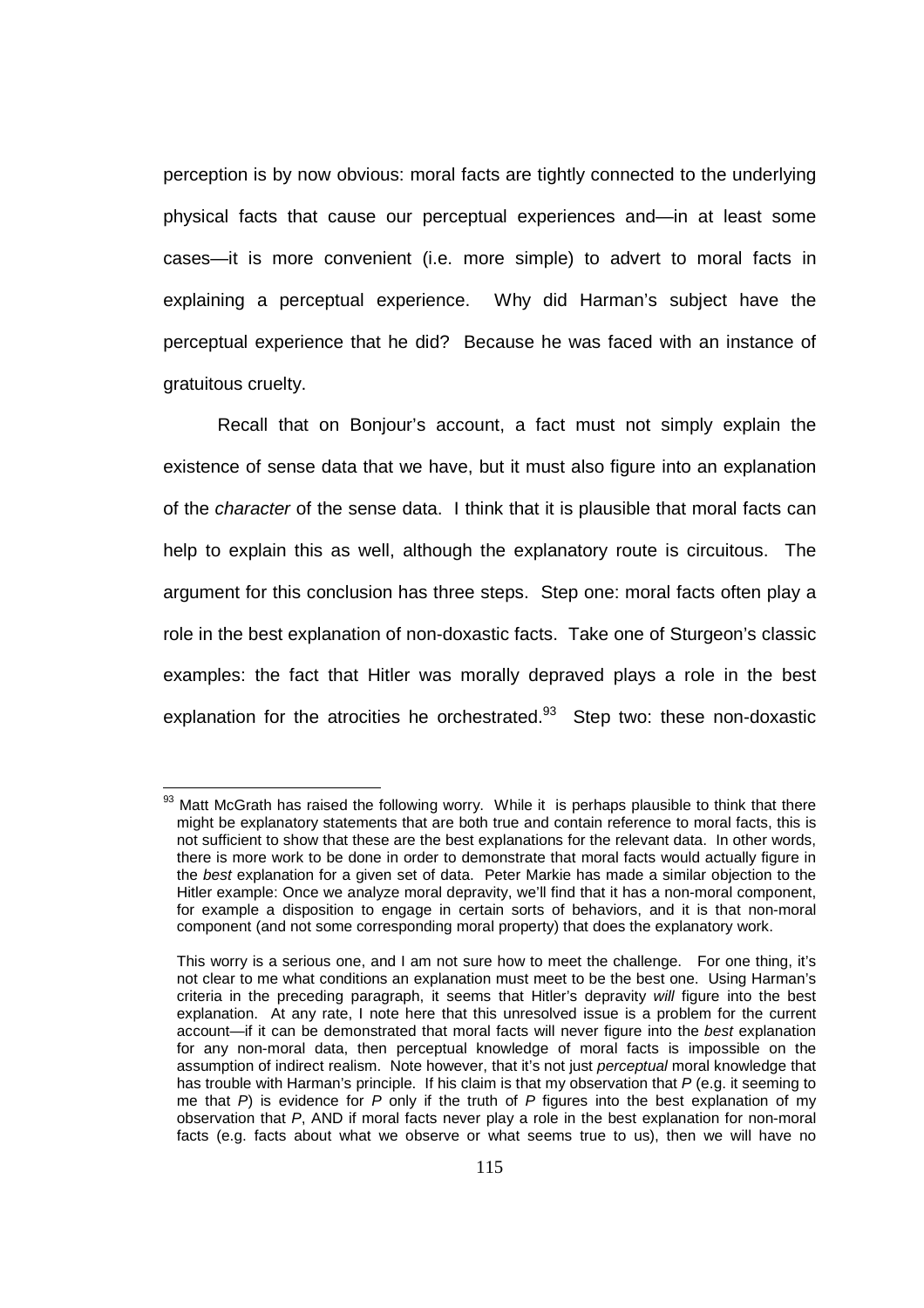perception is by now obvious: moral facts are tightly connected to the underlying physical facts that cause our perceptual experiences and—in at least some cases—it is more convenient (i.e. more simple) to advert to moral facts in explaining a perceptual experience. Why did Harman's subject have the perceptual experience that he did? Because he was faced with an instance of gratuitous cruelty.

Recall that on Bonjour's account, a fact must not simply explain the existence of sense data that we have, but it must also figure into an explanation of the character of the sense data. I think that it is plausible that moral facts can help to explain this as well, although the explanatory route is circuitous. The argument for this conclusion has three steps. Step one: moral facts often play a role in the best explanation of non-doxastic facts. Take one of Sturgeon's classic examples: the fact that Hitler was morally depraved plays a role in the best explanation for the atrocities he orchestrated. $93$  Step two: these non-doxastic

 $93$  Matt McGrath has raised the following worry. While it is perhaps plausible to think that there might be explanatory statements that are both true and contain reference to moral facts, this is not sufficient to show that these are the best explanations for the relevant data. In other words, there is more work to be done in order to demonstrate that moral facts would actually figure in the best explanation for a given set of data. Peter Markie has made a similar objection to the Hitler example: Once we analyze moral depravity, we'll find that it has a non-moral component, for example a disposition to engage in certain sorts of behaviors, and it is that non-moral component (and not some corresponding moral property) that does the explanatory work.

This worry is a serious one, and I am not sure how to meet the challenge. For one thing, it's not clear to me what conditions an explanation must meet to be the best one. Using Harman's criteria in the preceding paragraph, it seems that Hitler's depravity will figure into the best explanation. At any rate, I note here that this unresolved issue is a problem for the current account—if it can be demonstrated that moral facts will never figure into the best explanation for any non-moral data, then perceptual knowledge of moral facts is impossible on the assumption of indirect realism. Note however, that it's not just perceptual moral knowledge that has trouble with Harman's principle. If his claim is that my observation that P (e.g. it seeming to me that  $P$ ) is evidence for  $P$  only if the truth of  $P$  figures into the best explanation of my observation that P, AND if moral facts never play a role in the best explanation for non-moral facts (e.g. facts about what we observe or what seems true to us), then we will have no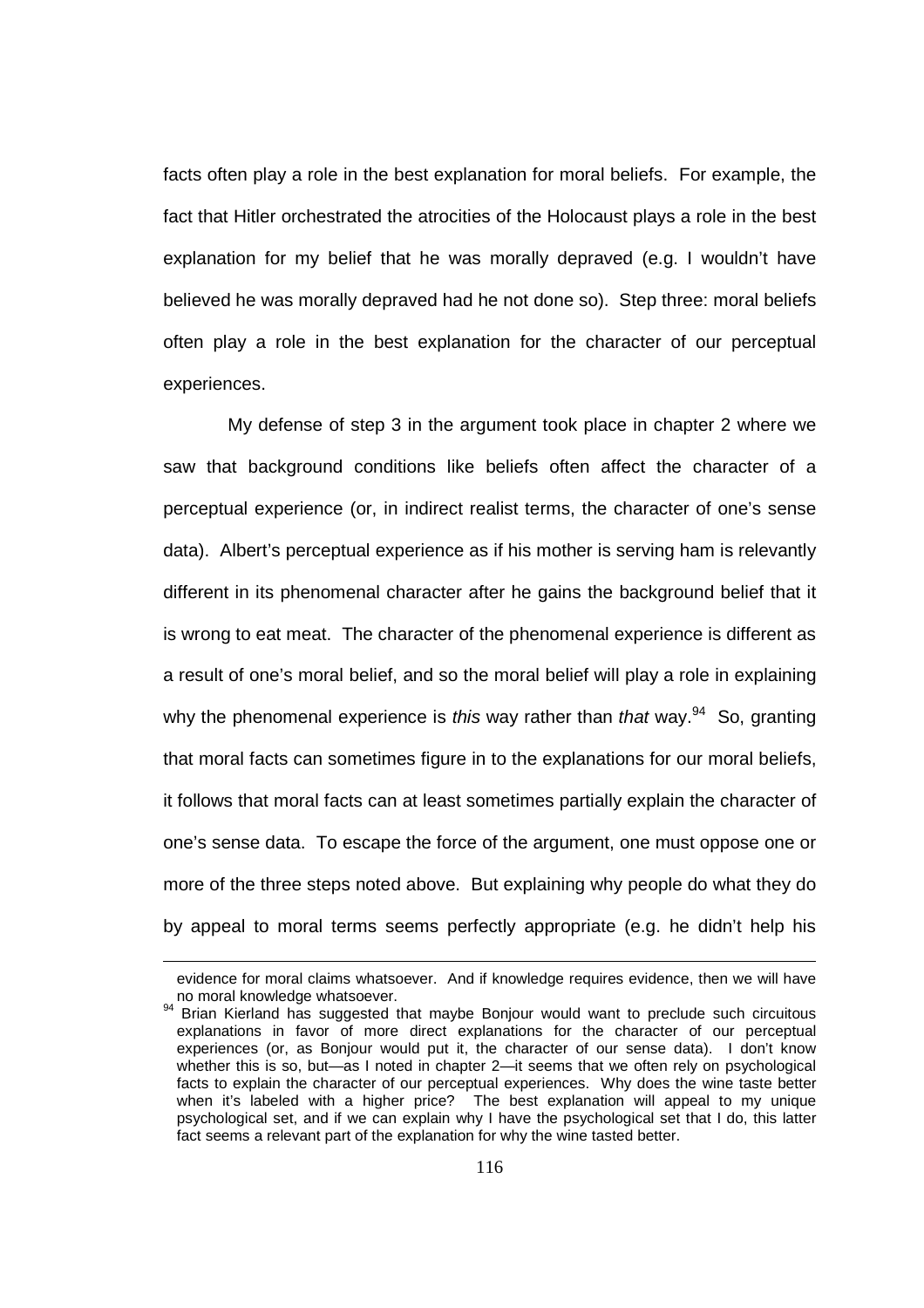facts often play a role in the best explanation for moral beliefs. For example, the fact that Hitler orchestrated the atrocities of the Holocaust plays a role in the best explanation for my belief that he was morally depraved (e.g. I wouldn't have believed he was morally depraved had he not done so). Step three: moral beliefs often play a role in the best explanation for the character of our perceptual experiences.

 My defense of step 3 in the argument took place in chapter 2 where we saw that background conditions like beliefs often affect the character of a perceptual experience (or, in indirect realist terms, the character of one's sense data). Albert's perceptual experience as if his mother is serving ham is relevantly different in its phenomenal character after he gains the background belief that it is wrong to eat meat. The character of the phenomenal experience is different as a result of one's moral belief, and so the moral belief will play a role in explaining why the phenomenal experience is this way rather than that way.<sup>94</sup> So, granting that moral facts can sometimes figure in to the explanations for our moral beliefs, it follows that moral facts can at least sometimes partially explain the character of one's sense data. To escape the force of the argument, one must oppose one or more of the three steps noted above. But explaining why people do what they do by appeal to moral terms seems perfectly appropriate (e.g. he didn't help his

evidence for moral claims whatsoever. And if knowledge requires evidence, then we will have no moral knowledge whatsoever.

<sup>&</sup>lt;sup>94</sup> Brian Kierland has suggested that maybe Bonjour would want to preclude such circuitous explanations in favor of more direct explanations for the character of our perceptual experiences (or, as Bonjour would put it, the character of our sense data). I don't know whether this is so, but—as I noted in chapter 2—it seems that we often rely on psychological facts to explain the character of our perceptual experiences. Why does the wine taste better when it's labeled with a higher price? The best explanation will appeal to my unique psychological set, and if we can explain why I have the psychological set that I do, this latter fact seems a relevant part of the explanation for why the wine tasted better.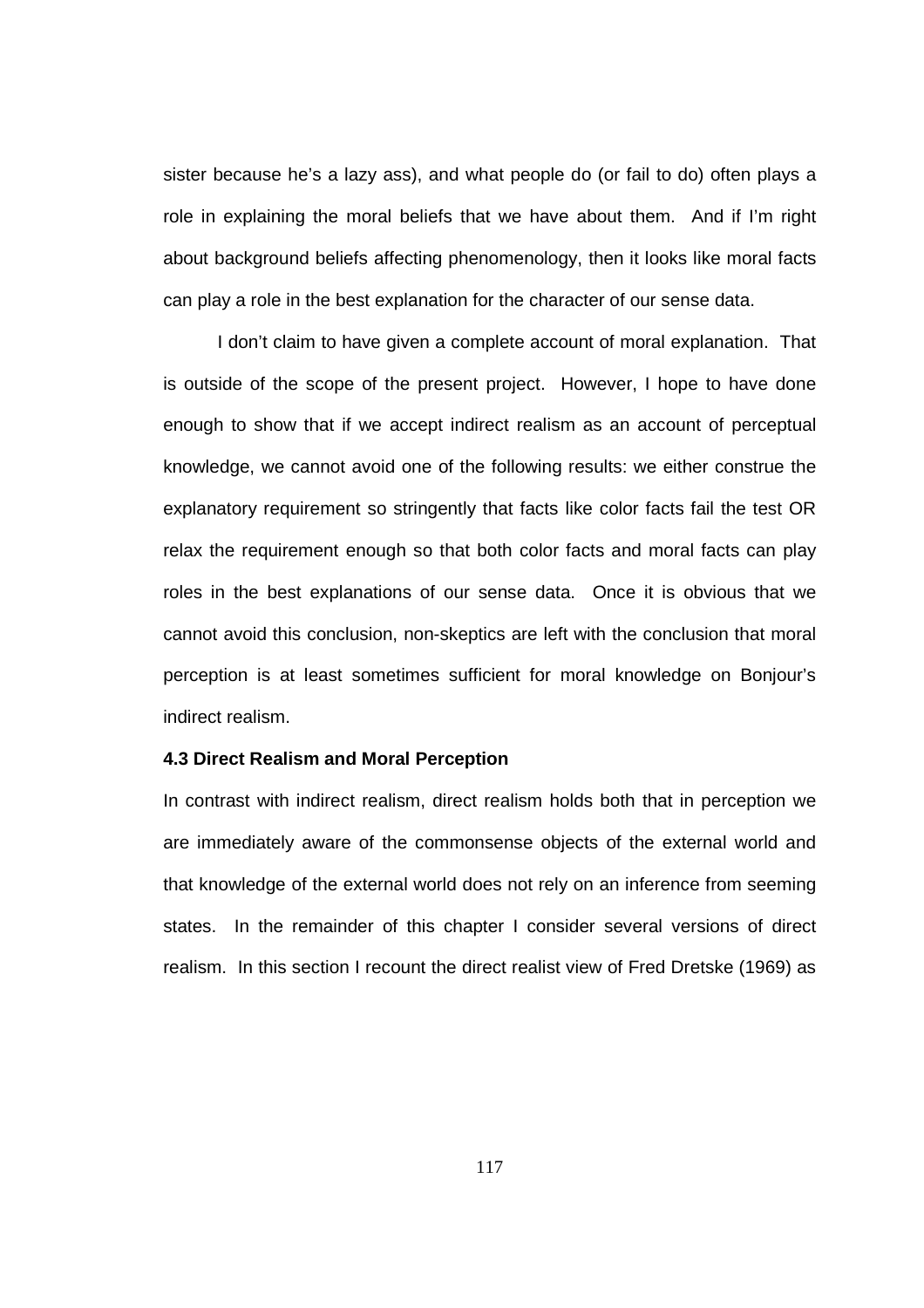sister because he's a lazy ass), and what people do (or fail to do) often plays a role in explaining the moral beliefs that we have about them. And if I'm right about background beliefs affecting phenomenology, then it looks like moral facts can play a role in the best explanation for the character of our sense data.

I don't claim to have given a complete account of moral explanation. That is outside of the scope of the present project. However, I hope to have done enough to show that if we accept indirect realism as an account of perceptual knowledge, we cannot avoid one of the following results: we either construe the explanatory requirement so stringently that facts like color facts fail the test OR relax the requirement enough so that both color facts and moral facts can play roles in the best explanations of our sense data. Once it is obvious that we cannot avoid this conclusion, non-skeptics are left with the conclusion that moral perception is at least sometimes sufficient for moral knowledge on Bonjour's indirect realism.

### **4.3 Direct Realism and Moral Perception**

In contrast with indirect realism, direct realism holds both that in perception we are immediately aware of the commonsense objects of the external world and that knowledge of the external world does not rely on an inference from seeming states. In the remainder of this chapter I consider several versions of direct realism. In this section I recount the direct realist view of Fred Dretske (1969) as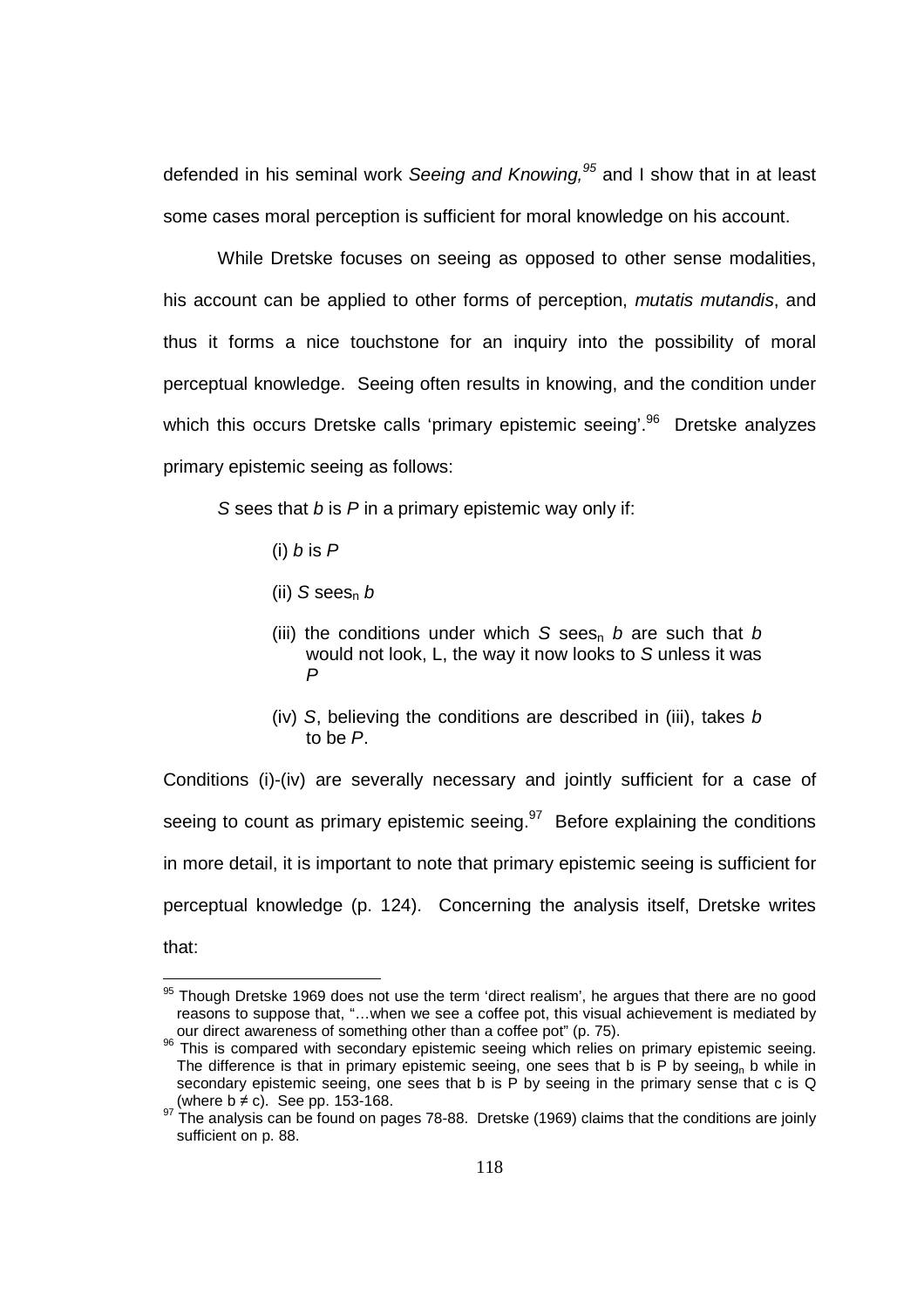defended in his seminal work Seeing and Knowing,  $95$  and I show that in at least some cases moral perception is sufficient for moral knowledge on his account.

 While Dretske focuses on seeing as opposed to other sense modalities, his account can be applied to other forms of perception, *mutatis mutandis*, and thus it forms a nice touchstone for an inquiry into the possibility of moral perceptual knowledge. Seeing often results in knowing, and the condition under which this occurs Dretske calls 'primary epistemic seeing'.<sup>96</sup> Dretske analyzes primary epistemic seeing as follows:

S sees that  $b$  is  $P$  in a primary epistemic way only if:

(i)  $b$  is  $P$ 

l

- (ii) S sees<sub>n</sub>  $b$
- (iii) the conditions under which S sees<sub>n</sub> b are such that b would not look, L, the way it now looks to S unless it was P
- (iv) S, believing the conditions are described in (iii), takes  $b$ to be P.

Conditions (i)-(iv) are severally necessary and jointly sufficient for a case of seeing to count as primary epistemic seeing. $97$  Before explaining the conditions in more detail, it is important to note that primary epistemic seeing is sufficient for perceptual knowledge (p. 124). Concerning the analysis itself, Dretske writes that:

 $95$  Though Dretske 1969 does not use the term 'direct realism', he argues that there are no good reasons to suppose that, "…when we see a coffee pot, this visual achievement is mediated by our direct awareness of something other than a coffee pot" (p. 75).

 $96$  This is compared with secondary epistemic seeing which relies on primary epistemic seeing. The difference is that in primary epistemic seeing, one sees that b is P by seeing<sub>n</sub> b while in secondary epistemic seeing, one sees that b is P by seeing in the primary sense that c is Q (where  $b \neq c$ ). See pp. 153-168.

 $97$  The analysis can be found on pages 78-88. Dretske (1969) claims that the conditions are joinly sufficient on p. 88.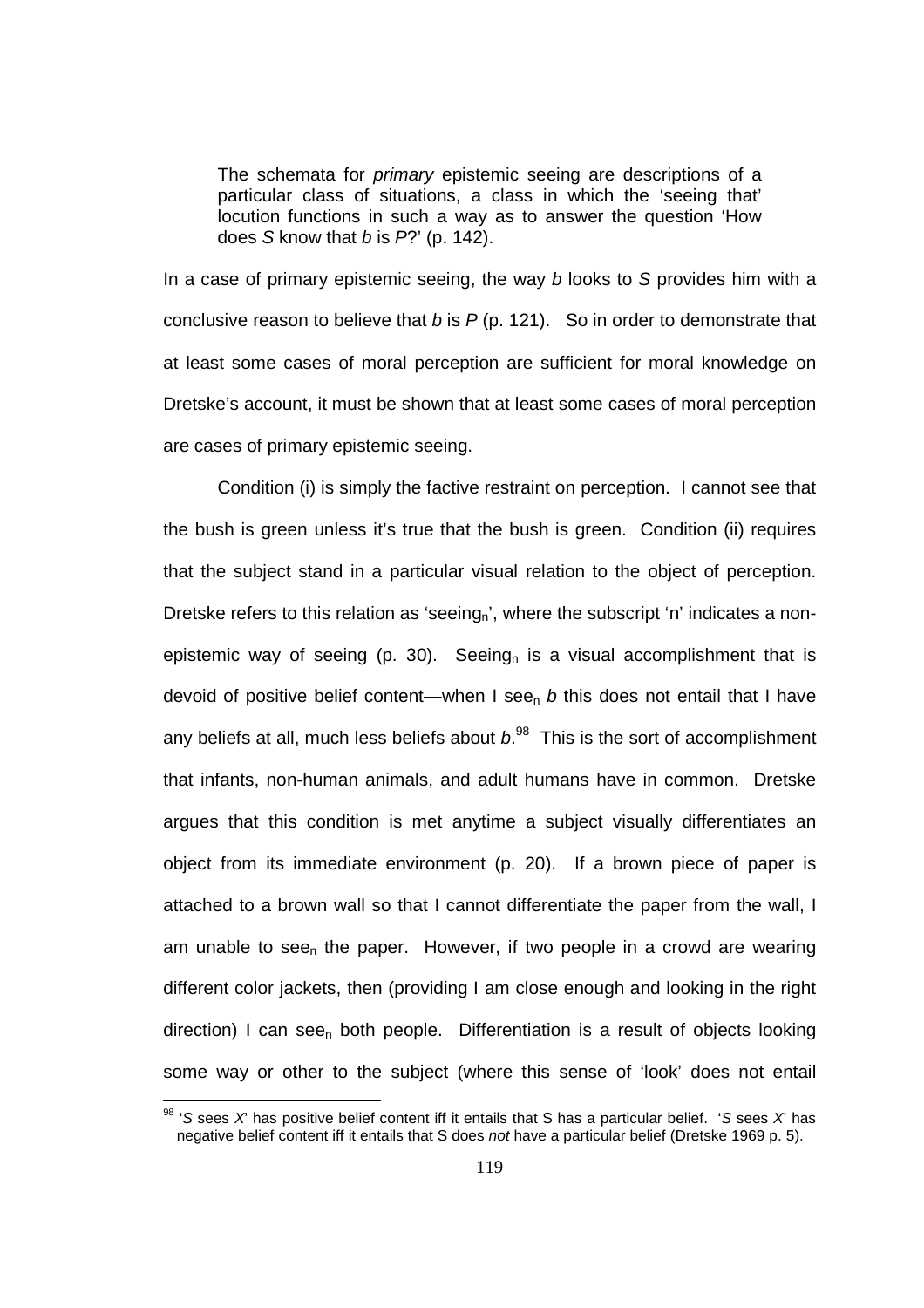The schemata for *primary* epistemic seeing are descriptions of a particular class of situations, a class in which the 'seeing that' locution functions in such a way as to answer the question 'How does S know that  $b$  is  $P$ ?' (p. 142).

In a case of primary epistemic seeing, the way  $b$  looks to  $S$  provides him with a conclusive reason to believe that b is  $P$  (p. 121). So in order to demonstrate that at least some cases of moral perception are sufficient for moral knowledge on Dretske's account, it must be shown that at least some cases of moral perception are cases of primary epistemic seeing.

 Condition (i) is simply the factive restraint on perception. I cannot see that the bush is green unless it's true that the bush is green. Condition (ii) requires that the subject stand in a particular visual relation to the object of perception. Dretske refers to this relation as 'seeing<sub>n</sub>', where the subscript 'n' indicates a nonepistemic way of seeing (p. 30). Seeing<sub>n</sub> is a visual accomplishment that is devoid of positive belief content—when I see<sub>n</sub> b this does not entail that I have any beliefs at all, much less beliefs about  $b$ .  $98$  This is the sort of accomplishment that infants, non-human animals, and adult humans have in common. Dretske argues that this condition is met anytime a subject visually differentiates an object from its immediate environment (p. 20). If a brown piece of paper is attached to a brown wall so that I cannot differentiate the paper from the wall, I am unable to see<sub>n</sub> the paper. However, if two people in a crowd are wearing different color jackets, then (providing I am close enough and looking in the right  $direction)$  I can see<sub>n</sub> both people. Differentiation is a result of objects looking some way or other to the subject (where this sense of 'look' does not entail

 $\overline{a}$ 

<sup>&</sup>lt;sup>98</sup> 'S sees X' has positive belief content iff it entails that S has a particular belief. 'S sees X' has negative belief content iff it entails that S does not have a particular belief (Dretske 1969 p. 5).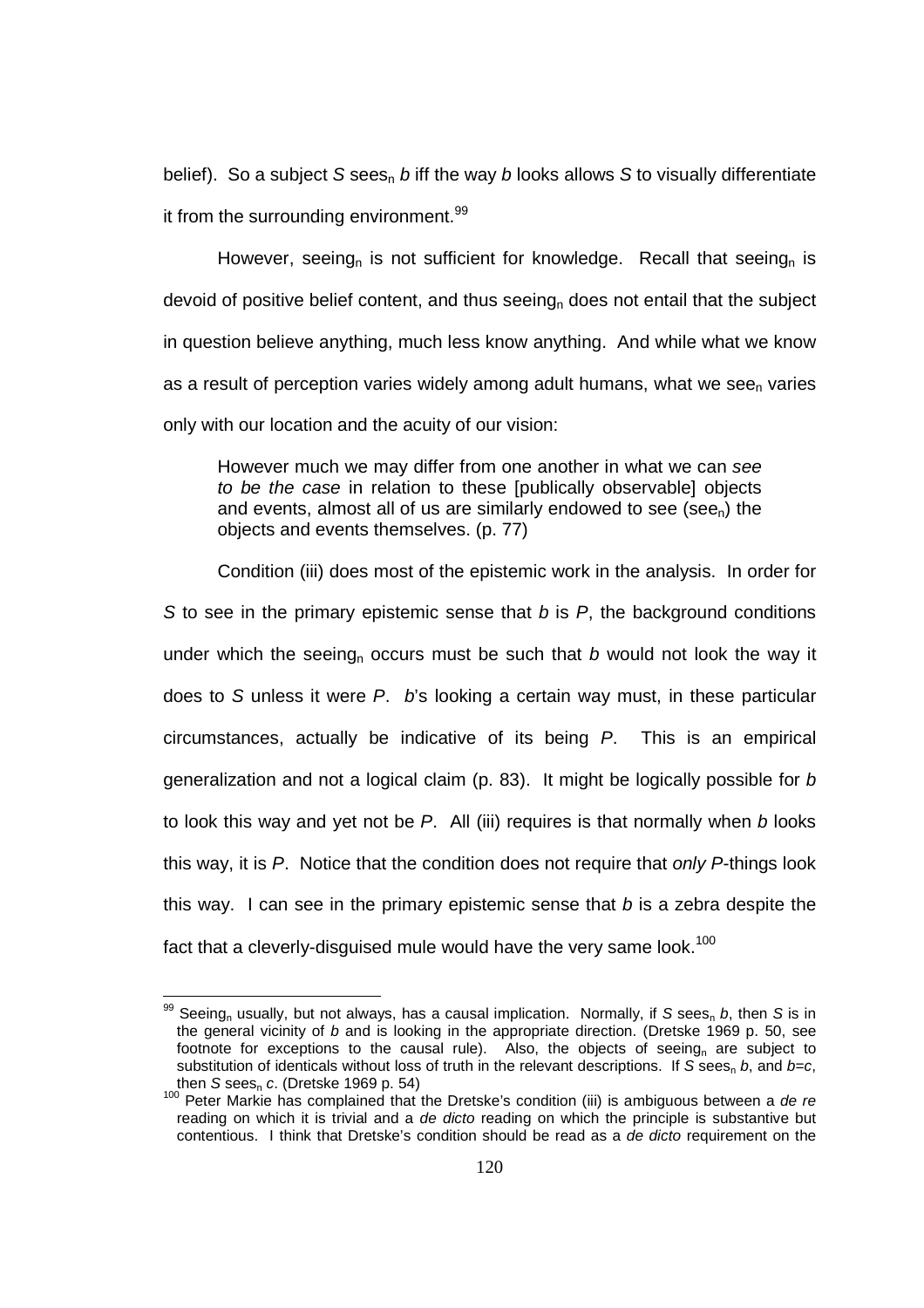belief). So a subject S sees<sub>n</sub> b iff the way b looks allows S to visually differentiate it from the surrounding environment.<sup>99</sup>

However, seeing<sub>n</sub> is not sufficient for knowledge. Recall that seeing<sub>n</sub> is devoid of positive belief content, and thus seeing<sub>n</sub> does not entail that the subject in question believe anything, much less know anything. And while what we know as a result of perception varies widely among adult humans, what we see<sub>n</sub> varies only with our location and the acuity of our vision:

However much we may differ from one another in what we can see to be the case in relation to these [publically observable] objects and events, almost all of us are similarly endowed to see (see<sub>n</sub>) the objects and events themselves. (p. 77)

 Condition (iii) does most of the epistemic work in the analysis. In order for S to see in the primary epistemic sense that  $b$  is  $P$ , the background conditions under which the seeing<sub>n</sub> occurs must be such that b would not look the way it does to S unless it were P. b's looking a certain way must, in these particular circumstances, actually be indicative of its being P. This is an empirical generalization and not a logical claim (p. 83). It might be logically possible for  $b$ to look this way and yet not be  $P$ . All (iii) requires is that normally when  $b$  looks this way, it is P. Notice that the condition does not require that only P-things look this way. I can see in the primary epistemic sense that  $b$  is a zebra despite the fact that a cleverly-disquised mule would have the very same look.<sup>100</sup>

<sup>&</sup>lt;sup>99</sup> Seeing<sub>n</sub> usually, but not always, has a causal implication. Normally, if S sees<sub>n</sub> b, then S is in the general vicinity of b and is looking in the appropriate direction. (Dretske 1969 p. 50, see footnote for exceptions to the causal rule). Also, the objects of seeing<sub>n</sub> are subject to substitution of identicals without loss of truth in the relevant descriptions. If S sees<sub>n</sub> b, and  $b=c$ , then  $S$  sees $_{\textrm{n}}$   $c$ . (Dretske 1969 p. 54)

<sup>&</sup>lt;sup>100</sup> Peter Markie has complained that the Dretske's condition (iii) is ambiguous between a de re reading on which it is trivial and a de dicto reading on which the principle is substantive but contentious. I think that Dretske's condition should be read as a de dicto requirement on the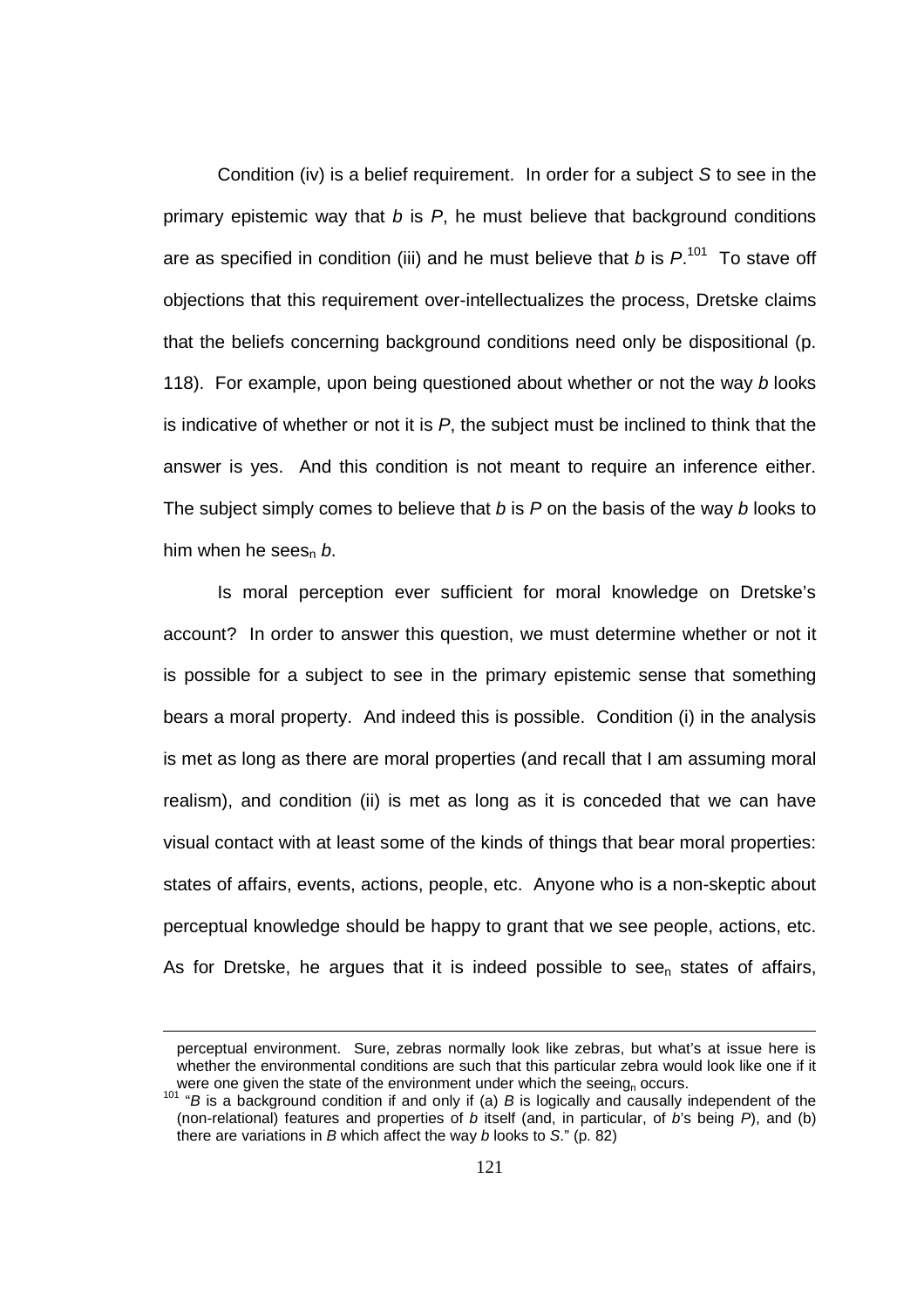Condition (iv) is a belief requirement. In order for a subject S to see in the primary epistemic way that  $b$  is  $P$ , he must believe that background conditions are as specified in condition (iii) and he must believe that  $b$  is  $P^{101}$  To stave off objections that this requirement over-intellectualizes the process, Dretske claims that the beliefs concerning background conditions need only be dispositional (p. 118). For example, upon being questioned about whether or not the way b looks is indicative of whether or not it is  $P$ , the subject must be inclined to think that the answer is yes. And this condition is not meant to require an inference either. The subject simply comes to believe that b is  $P$  on the basis of the way b looks to him when he sees<sub>n</sub> b.

Is moral perception ever sufficient for moral knowledge on Dretske's account? In order to answer this question, we must determine whether or not it is possible for a subject to see in the primary epistemic sense that something bears a moral property. And indeed this is possible. Condition (i) in the analysis is met as long as there are moral properties (and recall that I am assuming moral realism), and condition (ii) is met as long as it is conceded that we can have visual contact with at least some of the kinds of things that bear moral properties: states of affairs, events, actions, people, etc. Anyone who is a non-skeptic about perceptual knowledge should be happy to grant that we see people, actions, etc. As for Dretske, he argues that it is indeed possible to see<sub>n</sub> states of affairs,

perceptual environment. Sure, zebras normally look like zebras, but what's at issue here is whether the environmental conditions are such that this particular zebra would look like one if it were one given the state of the environment under which the seeing<sub>n</sub> occurs.

 $101$  "B is a background condition if and only if (a) B is logically and causally independent of the (non-relational) features and properties of b itself (and, in particular, of b's being  $P$ ), and (b) there are variations in  $B$  which affect the way  $b$  looks to  $S$ ." (p. 82)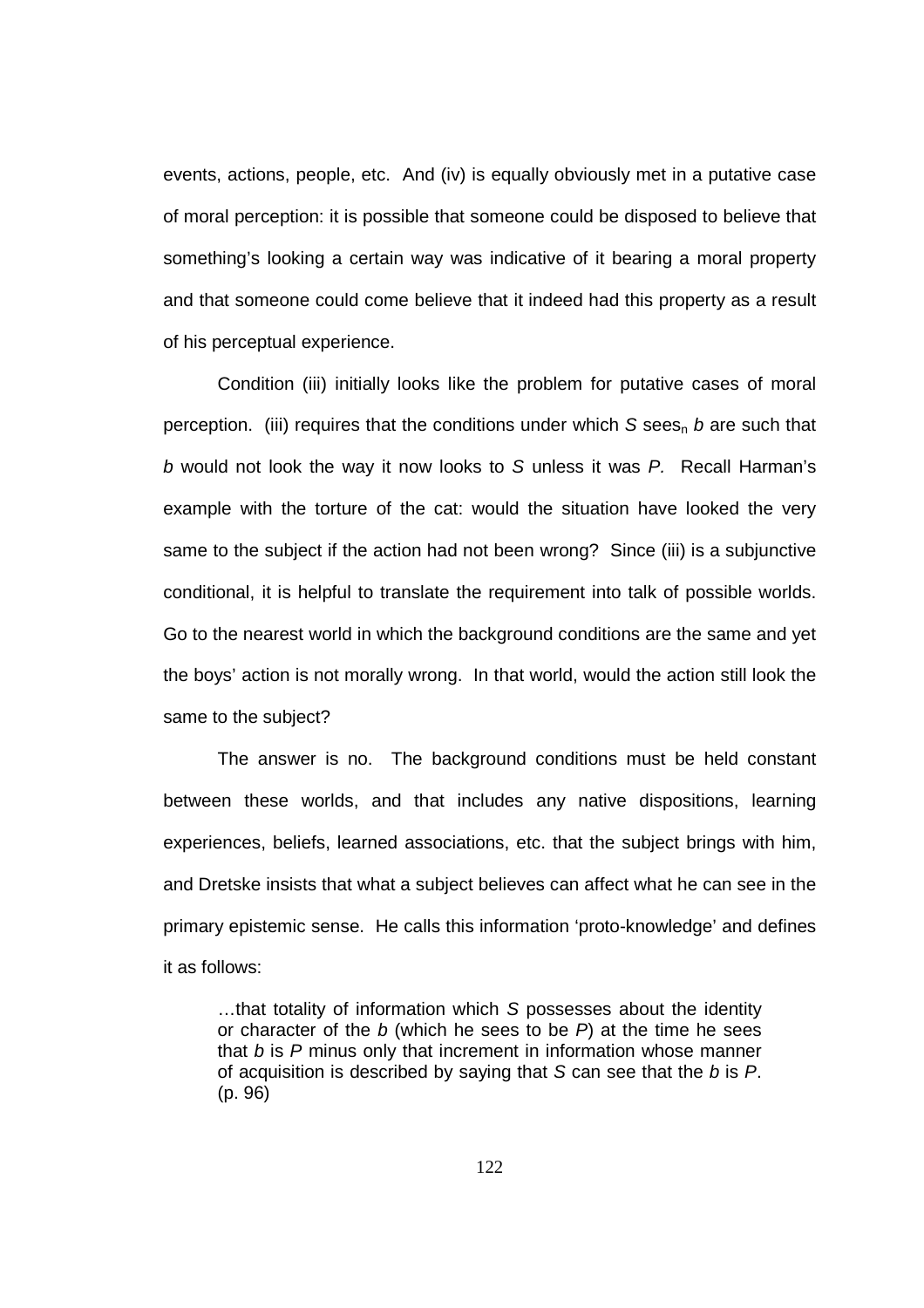events, actions, people, etc. And (iv) is equally obviously met in a putative case of moral perception: it is possible that someone could be disposed to believe that something's looking a certain way was indicative of it bearing a moral property and that someone could come believe that it indeed had this property as a result of his perceptual experience.

Condition (iii) initially looks like the problem for putative cases of moral perception. (iii) requires that the conditions under which  $S$  sees<sub>n</sub> b are such that b would not look the way it now looks to S unless it was P. Recall Harman's example with the torture of the cat: would the situation have looked the very same to the subject if the action had not been wrong? Since (iii) is a subjunctive conditional, it is helpful to translate the requirement into talk of possible worlds. Go to the nearest world in which the background conditions are the same and yet the boys' action is not morally wrong. In that world, would the action still look the same to the subject?

The answer is no. The background conditions must be held constant between these worlds, and that includes any native dispositions, learning experiences, beliefs, learned associations, etc. that the subject brings with him, and Dretske insists that what a subject believes can affect what he can see in the primary epistemic sense. He calls this information 'proto-knowledge' and defines it as follows:

…that totality of information which S possesses about the identity or character of the  $b$  (which he sees to be  $P$ ) at the time he sees that  $b$  is  $P$  minus only that increment in information whose manner of acquisition is described by saying that  $S$  can see that the  $b$  is  $P$ . (p. 96)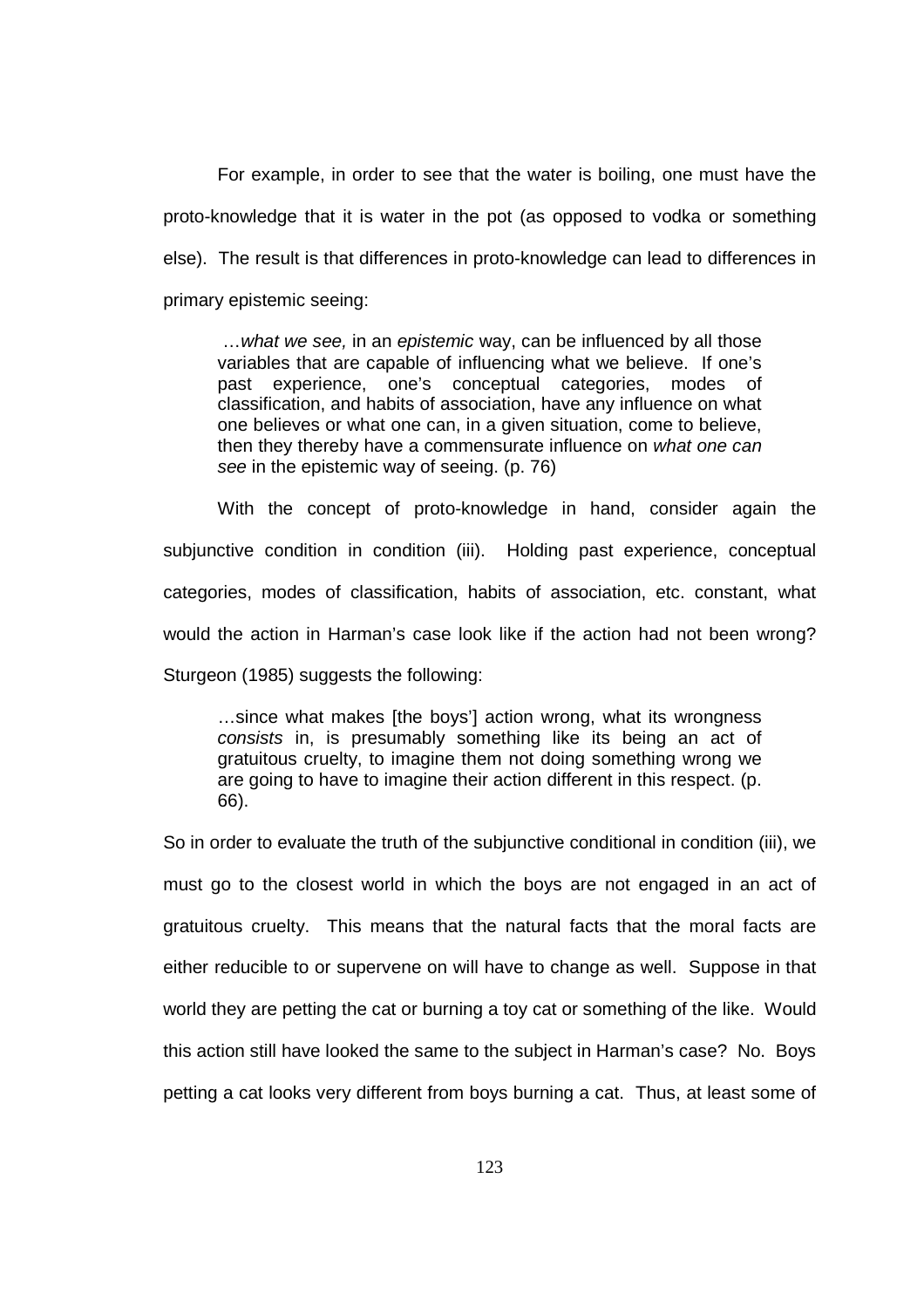For example, in order to see that the water is boiling, one must have the proto-knowledge that it is water in the pot (as opposed to vodka or something else). The result is that differences in proto-knowledge can lead to differences in primary epistemic seeing:

... what we see, in an epistemic way, can be influenced by all those variables that are capable of influencing what we believe. If one's past experience, one's conceptual categories, modes of classification, and habits of association, have any influence on what one believes or what one can, in a given situation, come to believe, then they thereby have a commensurate influence on what one can see in the epistemic way of seeing. (p. 76)

With the concept of proto-knowledge in hand, consider again the subjunctive condition in condition (iii). Holding past experience, conceptual categories, modes of classification, habits of association, etc. constant, what would the action in Harman's case look like if the action had not been wrong? Sturgeon (1985) suggests the following:

…since what makes [the boys'] action wrong, what its wrongness consists in, is presumably something like its being an act of gratuitous cruelty, to imagine them not doing something wrong we are going to have to imagine their action different in this respect. (p. 66).

So in order to evaluate the truth of the subjunctive conditional in condition (iii), we must go to the closest world in which the boys are not engaged in an act of gratuitous cruelty. This means that the natural facts that the moral facts are either reducible to or supervene on will have to change as well. Suppose in that world they are petting the cat or burning a toy cat or something of the like. Would this action still have looked the same to the subject in Harman's case? No. Boys petting a cat looks very different from boys burning a cat. Thus, at least some of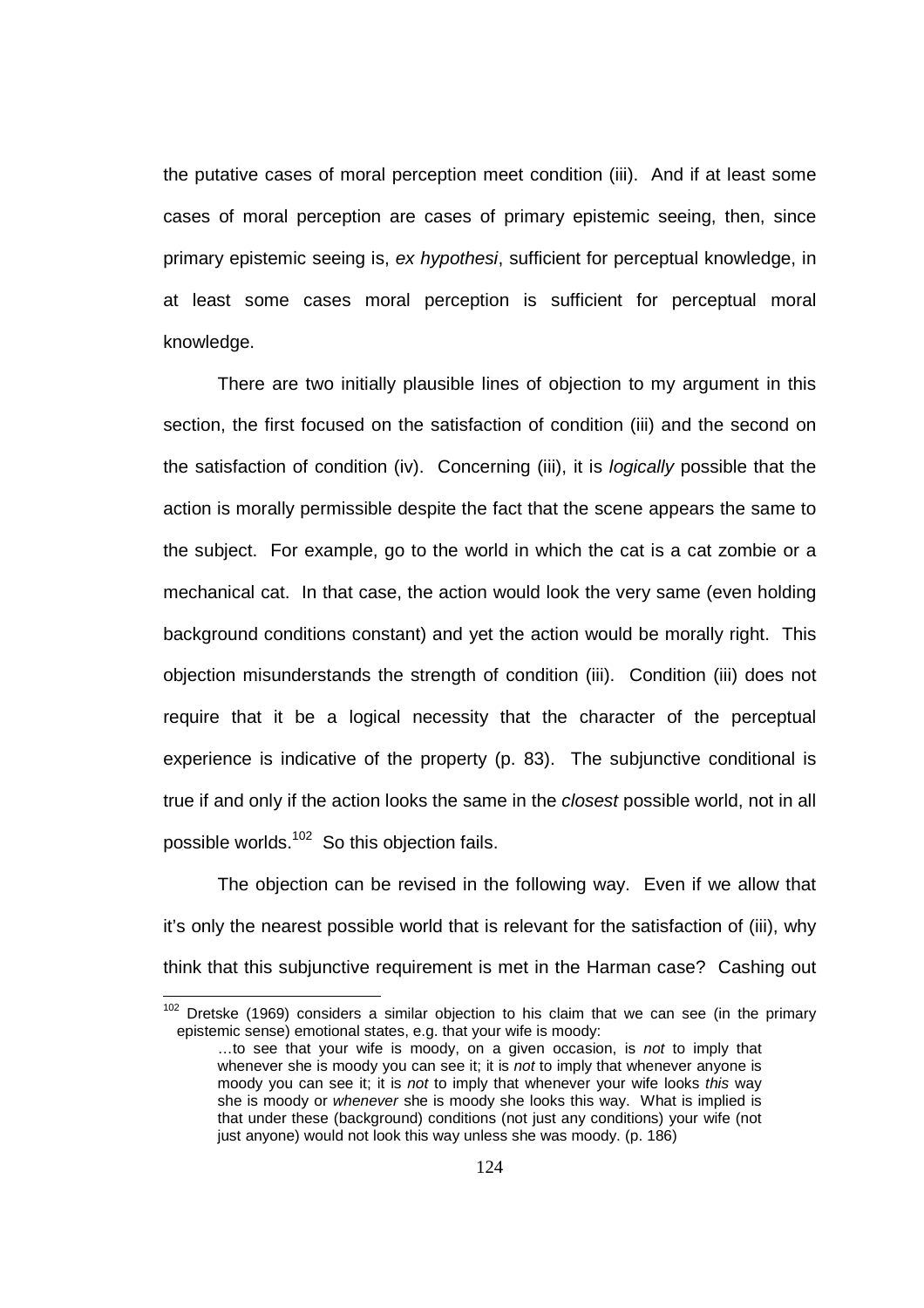the putative cases of moral perception meet condition (iii). And if at least some cases of moral perception are cases of primary epistemic seeing, then, since primary epistemic seeing is, ex hypothesi, sufficient for perceptual knowledge, in at least some cases moral perception is sufficient for perceptual moral knowledge.

There are two initially plausible lines of objection to my argument in this section, the first focused on the satisfaction of condition (iii) and the second on the satisfaction of condition (iv). Concerning (iii), it is logically possible that the action is morally permissible despite the fact that the scene appears the same to the subject. For example, go to the world in which the cat is a cat zombie or a mechanical cat. In that case, the action would look the very same (even holding background conditions constant) and yet the action would be morally right. This objection misunderstands the strength of condition (iii). Condition (iii) does not require that it be a logical necessity that the character of the perceptual experience is indicative of the property (p. 83). The subjunctive conditional is true if and only if the action looks the same in the *closest* possible world, not in all possible worlds.<sup>102</sup> So this objection fails.

The objection can be revised in the following way. Even if we allow that it's only the nearest possible world that is relevant for the satisfaction of (iii), why think that this subjunctive requirement is met in the Harman case? Cashing out

 $102$  Dretske (1969) considers a similar objection to his claim that we can see (in the primary epistemic sense) emotional states, e.g. that your wife is moody:

<sup>...</sup>to see that your wife is moody, on a given occasion, is not to imply that whenever she is moody you can see it; it is not to imply that whenever anyone is moody you can see it; it is not to imply that whenever your wife looks this way she is moody or whenever she is moody she looks this way. What is implied is that under these (background) conditions (not just any conditions) your wife (not just anyone) would not look this way unless she was moody. (p. 186)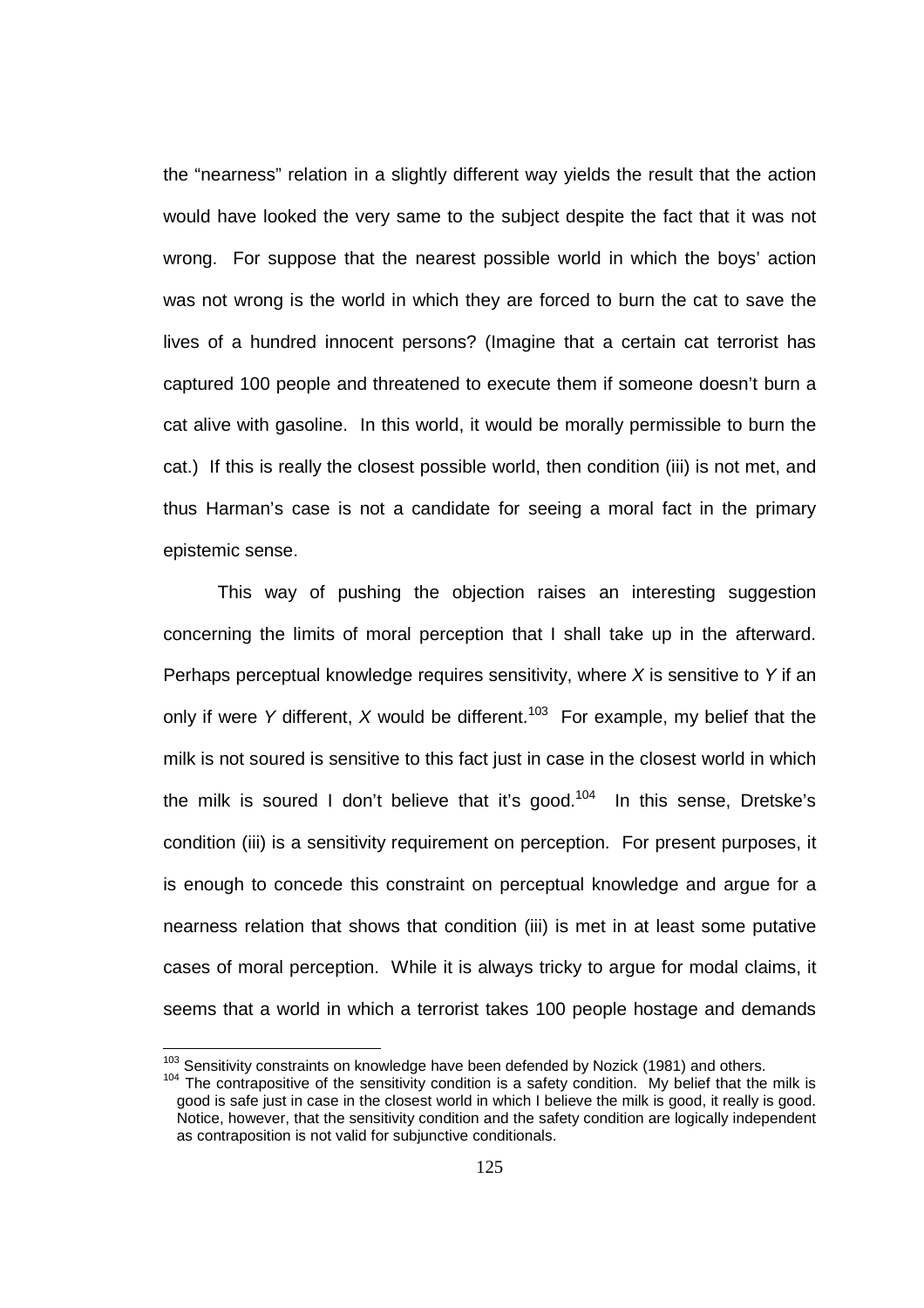the "nearness" relation in a slightly different way yields the result that the action would have looked the very same to the subject despite the fact that it was not wrong. For suppose that the nearest possible world in which the boys' action was not wrong is the world in which they are forced to burn the cat to save the lives of a hundred innocent persons? (Imagine that a certain cat terrorist has captured 100 people and threatened to execute them if someone doesn't burn a cat alive with gasoline. In this world, it would be morally permissible to burn the cat.) If this is really the closest possible world, then condition (iii) is not met, and thus Harman's case is not a candidate for seeing a moral fact in the primary epistemic sense.

This way of pushing the objection raises an interesting suggestion concerning the limits of moral perception that I shall take up in the afterward. Perhaps perceptual knowledge requires sensitivity, where  $X$  is sensitive to Y if an only if were Y different, X would be different.<sup>103</sup> For example, my belief that the milk is not soured is sensitive to this fact just in case in the closest world in which the milk is soured I don't believe that it's good.<sup>104</sup> In this sense, Dretske's condition (iii) is a sensitivity requirement on perception. For present purposes, it is enough to concede this constraint on perceptual knowledge and argue for a nearness relation that shows that condition (iii) is met in at least some putative cases of moral perception. While it is always tricky to argue for modal claims, it seems that a world in which a terrorist takes 100 people hostage and demands

 $103$  Sensitivity constraints on knowledge have been defended by Nozick (1981) and others.

<sup>&</sup>lt;sup>104</sup> The contrapositive of the sensitivity condition is a safety condition. My belief that the milk is good is safe just in case in the closest world in which I believe the milk is good, it really is good. Notice, however, that the sensitivity condition and the safety condition are logically independent as contraposition is not valid for subjunctive conditionals.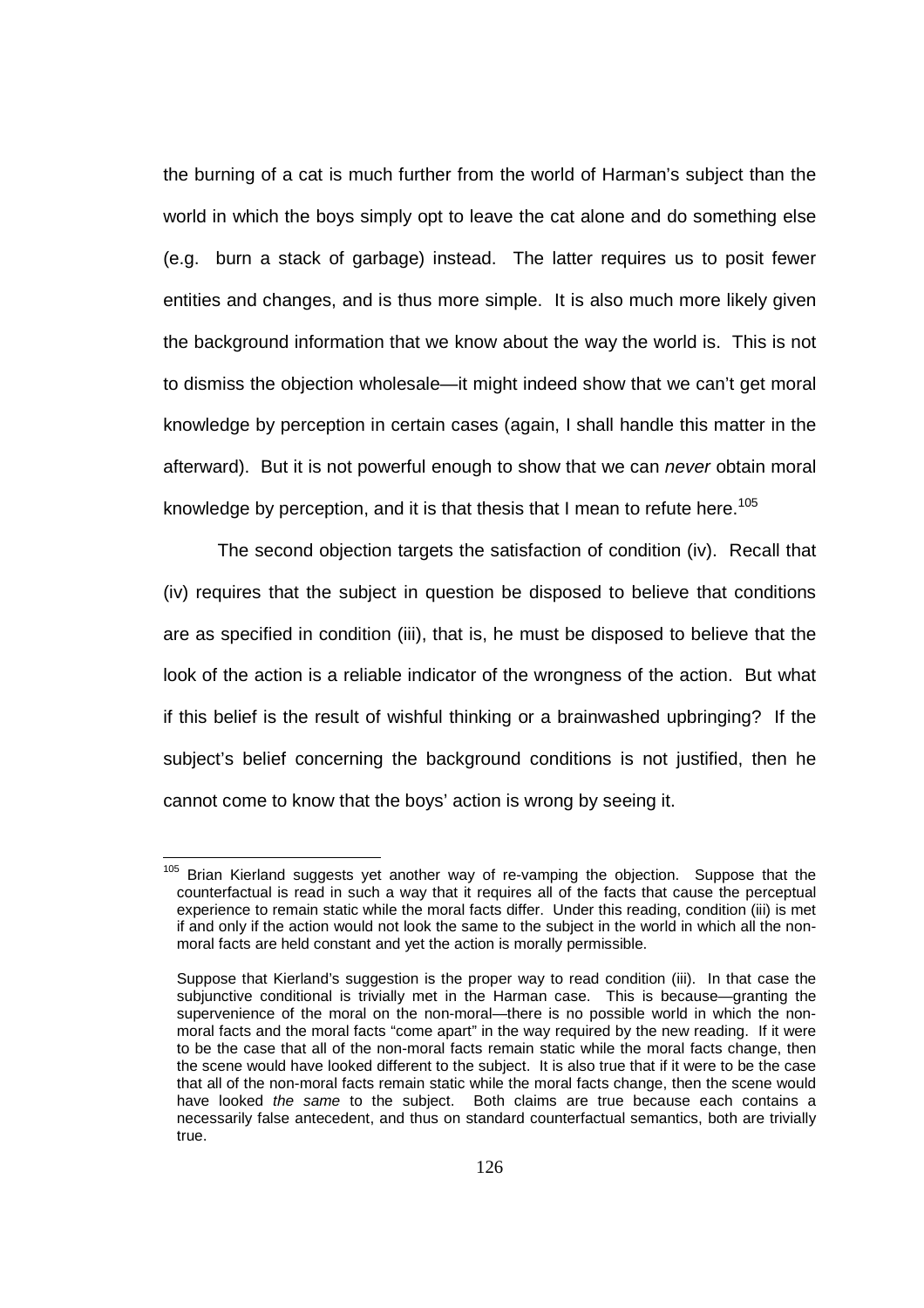the burning of a cat is much further from the world of Harman's subject than the world in which the boys simply opt to leave the cat alone and do something else (e.g. burn a stack of garbage) instead. The latter requires us to posit fewer entities and changes, and is thus more simple. It is also much more likely given the background information that we know about the way the world is. This is not to dismiss the objection wholesale—it might indeed show that we can't get moral knowledge by perception in certain cases (again, I shall handle this matter in the afterward). But it is not powerful enough to show that we can *never* obtain moral knowledge by perception, and it is that thesis that I mean to refute here.<sup>105</sup>

 The second objection targets the satisfaction of condition (iv). Recall that (iv) requires that the subject in question be disposed to believe that conditions are as specified in condition (iii), that is, he must be disposed to believe that the look of the action is a reliable indicator of the wrongness of the action. But what if this belief is the result of wishful thinking or a brainwashed upbringing? If the subject's belief concerning the background conditions is not justified, then he cannot come to know that the boys' action is wrong by seeing it.

<sup>&</sup>lt;sup>105</sup> Brian Kierland suggests yet another way of re-vamping the objection. Suppose that the counterfactual is read in such a way that it requires all of the facts that cause the perceptual experience to remain static while the moral facts differ. Under this reading, condition (iii) is met if and only if the action would not look the same to the subject in the world in which all the nonmoral facts are held constant and yet the action is morally permissible.

Suppose that Kierland's suggestion is the proper way to read condition (iii). In that case the subjunctive conditional is trivially met in the Harman case. This is because—granting the supervenience of the moral on the non-moral—there is no possible world in which the nonmoral facts and the moral facts "come apart" in the way required by the new reading. If it were to be the case that all of the non-moral facts remain static while the moral facts change, then the scene would have looked different to the subject. It is also true that if it were to be the case that all of the non-moral facts remain static while the moral facts change, then the scene would have looked the same to the subject. Both claims are true because each contains a necessarily false antecedent, and thus on standard counterfactual semantics, both are trivially true.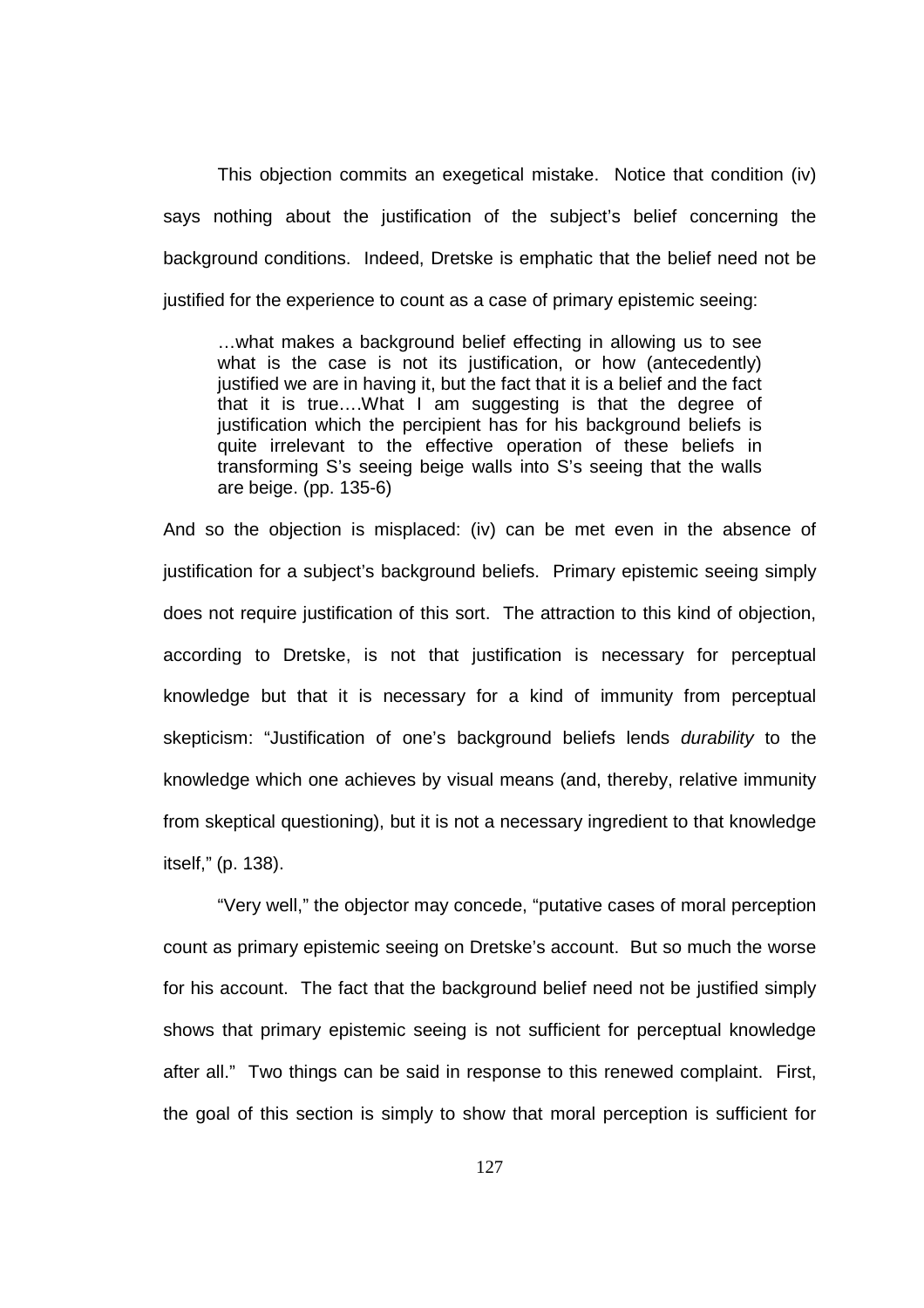This objection commits an exegetical mistake. Notice that condition (iv) says nothing about the justification of the subject's belief concerning the background conditions. Indeed, Dretske is emphatic that the belief need not be justified for the experience to count as a case of primary epistemic seeing:

…what makes a background belief effecting in allowing us to see what is the case is not its justification, or how (antecedently) justified we are in having it, but the fact that it is a belief and the fact that it is true….What I am suggesting is that the degree of justification which the percipient has for his background beliefs is quite irrelevant to the effective operation of these beliefs in transforming S's seeing beige walls into S's seeing that the walls are beige. (pp. 135-6)

And so the objection is misplaced: (iv) can be met even in the absence of justification for a subject's background beliefs. Primary epistemic seeing simply does not require justification of this sort. The attraction to this kind of objection, according to Dretske, is not that justification is necessary for perceptual knowledge but that it is necessary for a kind of immunity from perceptual skepticism: "Justification of one's background beliefs lends durability to the knowledge which one achieves by visual means (and, thereby, relative immunity from skeptical questioning), but it is not a necessary ingredient to that knowledge itself," (p. 138).

"Very well," the objector may concede, "putative cases of moral perception count as primary epistemic seeing on Dretske's account. But so much the worse for his account. The fact that the background belief need not be justified simply shows that primary epistemic seeing is not sufficient for perceptual knowledge after all." Two things can be said in response to this renewed complaint. First, the goal of this section is simply to show that moral perception is sufficient for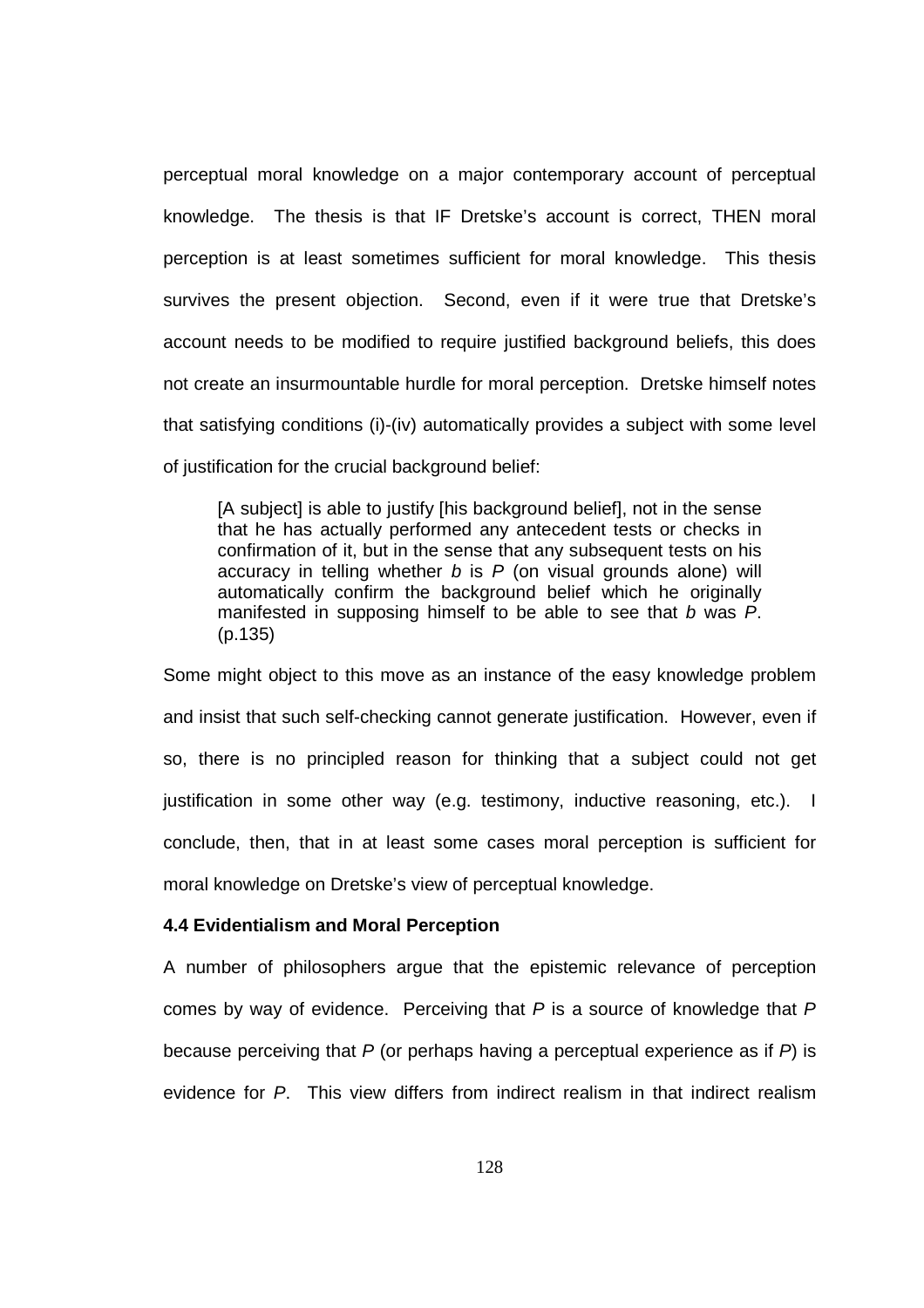perceptual moral knowledge on a major contemporary account of perceptual knowledge. The thesis is that IF Dretske's account is correct, THEN moral perception is at least sometimes sufficient for moral knowledge. This thesis survives the present objection. Second, even if it were true that Dretske's account needs to be modified to require justified background beliefs, this does not create an insurmountable hurdle for moral perception. Dretske himself notes that satisfying conditions (i)-(iv) automatically provides a subject with some level of justification for the crucial background belief:

[A subject] is able to justify [his background belief], not in the sense that he has actually performed any antecedent tests or checks in confirmation of it, but in the sense that any subsequent tests on his accuracy in telling whether  $b$  is  $P$  (on visual grounds alone) will automatically confirm the background belief which he originally manifested in supposing himself to be able to see that b was P. (p.135)

Some might object to this move as an instance of the easy knowledge problem and insist that such self-checking cannot generate justification. However, even if so, there is no principled reason for thinking that a subject could not get justification in some other way (e.g. testimony, inductive reasoning, etc.). I conclude, then, that in at least some cases moral perception is sufficient for moral knowledge on Dretske's view of perceptual knowledge.

## **4.4 Evidentialism and Moral Perception**

A number of philosophers argue that the epistemic relevance of perception comes by way of evidence. Perceiving that  $P$  is a source of knowledge that  $P$ because perceiving that  $P$  (or perhaps having a perceptual experience as if  $P$ ) is evidence for P. This view differs from indirect realism in that indirect realism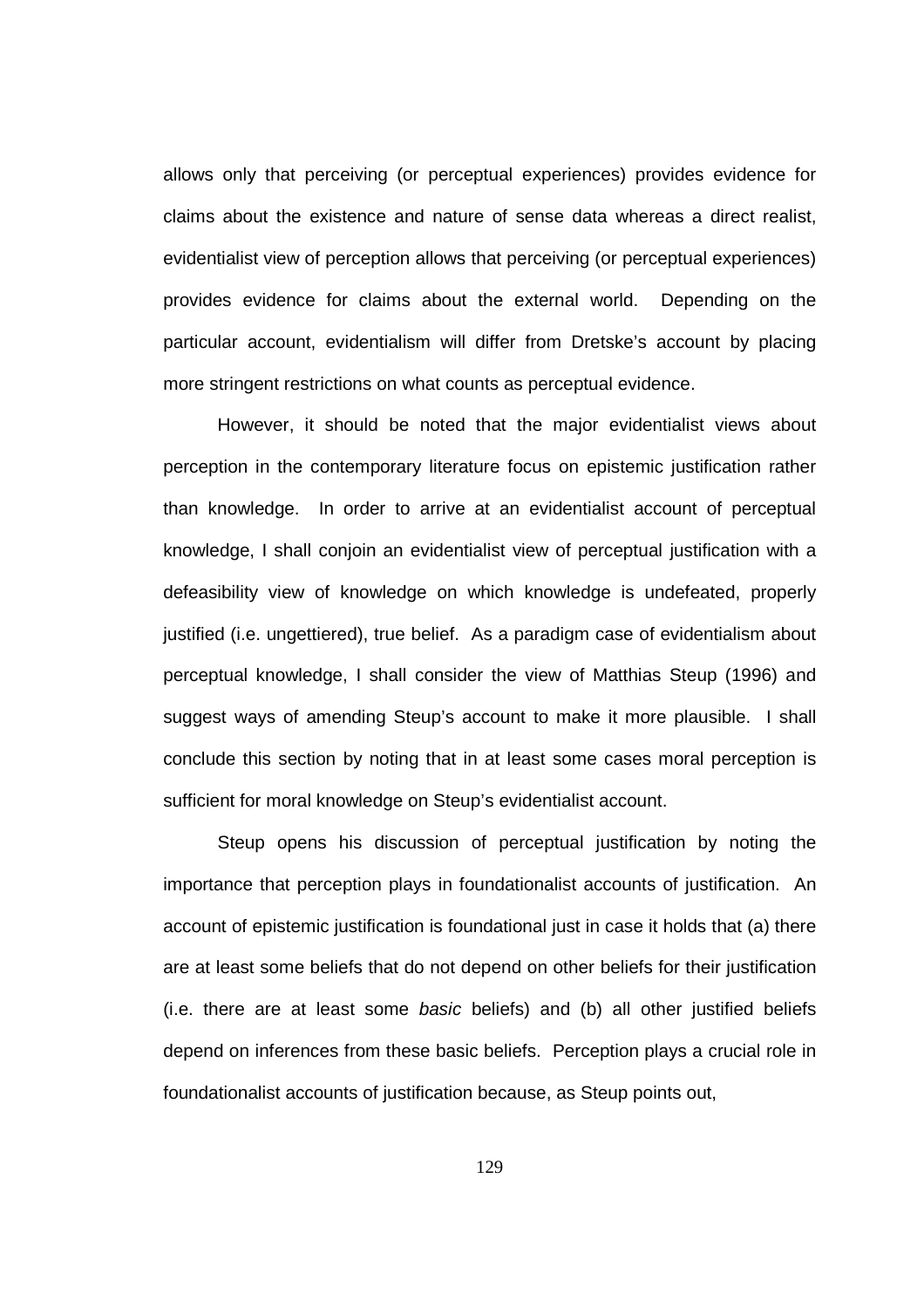allows only that perceiving (or perceptual experiences) provides evidence for claims about the existence and nature of sense data whereas a direct realist, evidentialist view of perception allows that perceiving (or perceptual experiences) provides evidence for claims about the external world. Depending on the particular account, evidentialism will differ from Dretske's account by placing more stringent restrictions on what counts as perceptual evidence.

 However, it should be noted that the major evidentialist views about perception in the contemporary literature focus on epistemic justification rather than knowledge. In order to arrive at an evidentialist account of perceptual knowledge, I shall conjoin an evidentialist view of perceptual justification with a defeasibility view of knowledge on which knowledge is undefeated, properly justified (i.e. ungettiered), true belief. As a paradigm case of evidentialism about perceptual knowledge, I shall consider the view of Matthias Steup (1996) and suggest ways of amending Steup's account to make it more plausible. I shall conclude this section by noting that in at least some cases moral perception is sufficient for moral knowledge on Steup's evidentialist account.

 Steup opens his discussion of perceptual justification by noting the importance that perception plays in foundationalist accounts of justification. An account of epistemic justification is foundational just in case it holds that (a) there are at least some beliefs that do not depend on other beliefs for their justification (i.e. there are at least some basic beliefs) and (b) all other justified beliefs depend on inferences from these basic beliefs. Perception plays a crucial role in foundationalist accounts of justification because, as Steup points out,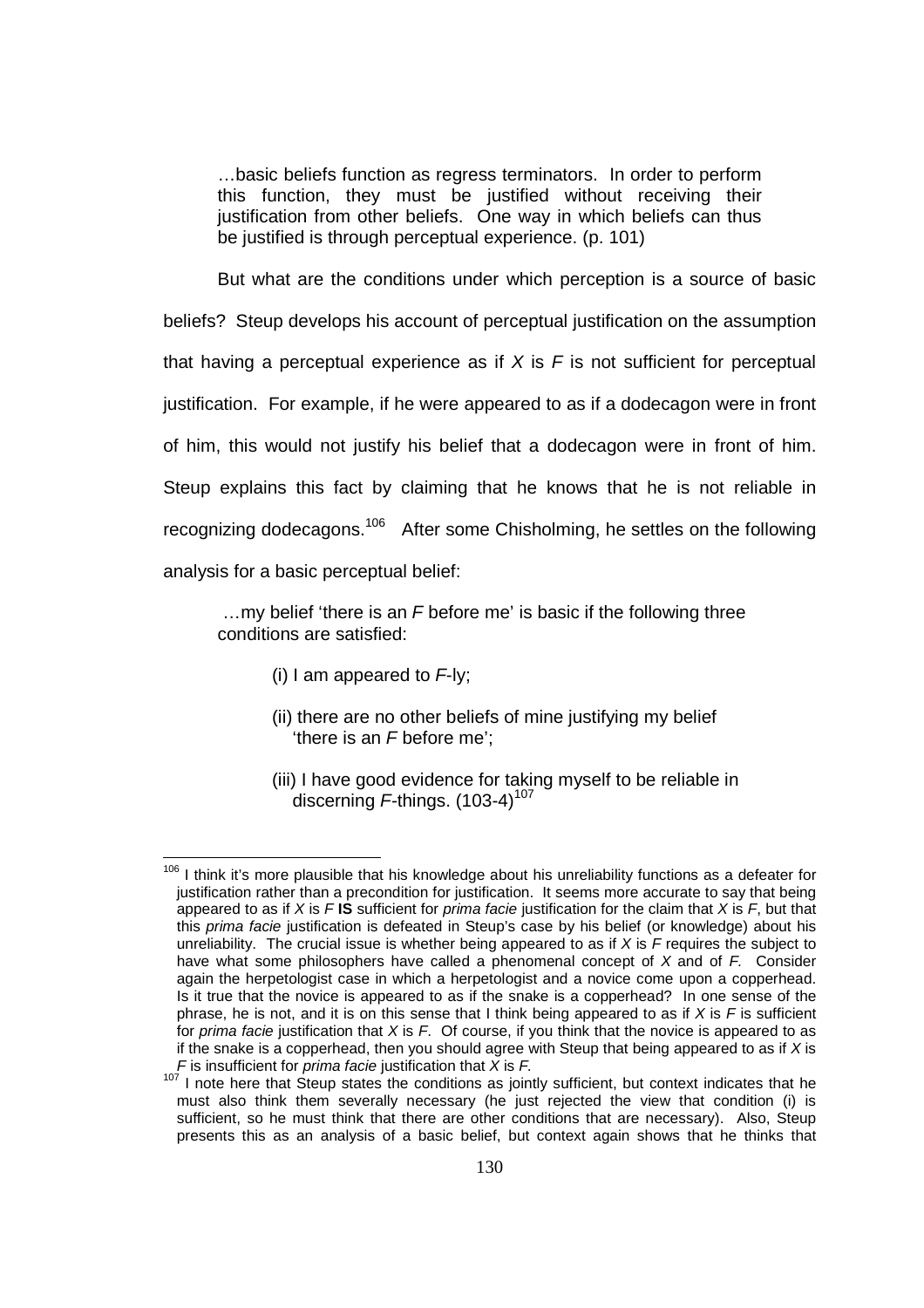…basic beliefs function as regress terminators. In order to perform this function, they must be justified without receiving their justification from other beliefs. One way in which beliefs can thus be justified is through perceptual experience. (p. 101)

 But what are the conditions under which perception is a source of basic beliefs? Steup develops his account of perceptual justification on the assumption that having a perceptual experience as if  $X$  is  $F$  is not sufficient for perceptual justification. For example, if he were appeared to as if a dodecagon were in front of him, this would not justify his belief that a dodecagon were in front of him. Steup explains this fact by claiming that he knows that he is not reliable in recognizing dodecagons.<sup>106</sup> After some Chisholming, he settles on the following analysis for a basic perceptual belief:

 …my belief 'there is an F before me' is basic if the following three conditions are satisfied:

(i) I am appeared to  $F$ -ly:

- (ii) there are no other beliefs of mine justifying my belief 'there is an F before me';
- (iii) I have good evidence for taking myself to be reliable in discerning  $F$ -things. (103-4)<sup>107</sup>

 $106$  I think it's more plausible that his knowledge about his unreliability functions as a defeater for justification rather than a precondition for justification. It seems more accurate to say that being appeared to as if X is F **IS** sufficient for prima facie justification for the claim that X is F, but that this prima facie justification is defeated in Steup's case by his belief (or knowledge) about his unreliability. The crucial issue is whether being appeared to as if  $X$  is  $\overline{F}$  requires the subject to have what some philosophers have called a phenomenal concept of  $X$  and of  $F$ . Consider again the herpetologist case in which a herpetologist and a novice come upon a copperhead. Is it true that the novice is appeared to as if the snake is a copperhead? In one sense of the phrase, he is not, and it is on this sense that I think being appeared to as if X is F is sufficient for prima facie justification that  $X$  is  $F$ . Of course, if you think that the novice is appeared to as if the snake is a copperhead, then you should agree with Steup that being appeared to as if  $X$  is  $F$  is insufficient for *prima facie* justification that  $X$  is  $F$ .

 $107$  I note here that Steup states the conditions as jointly sufficient, but context indicates that he must also think them severally necessary (he just rejected the view that condition (i) is sufficient, so he must think that there are other conditions that are necessary). Also, Steup presents this as an analysis of a basic belief, but context again shows that he thinks that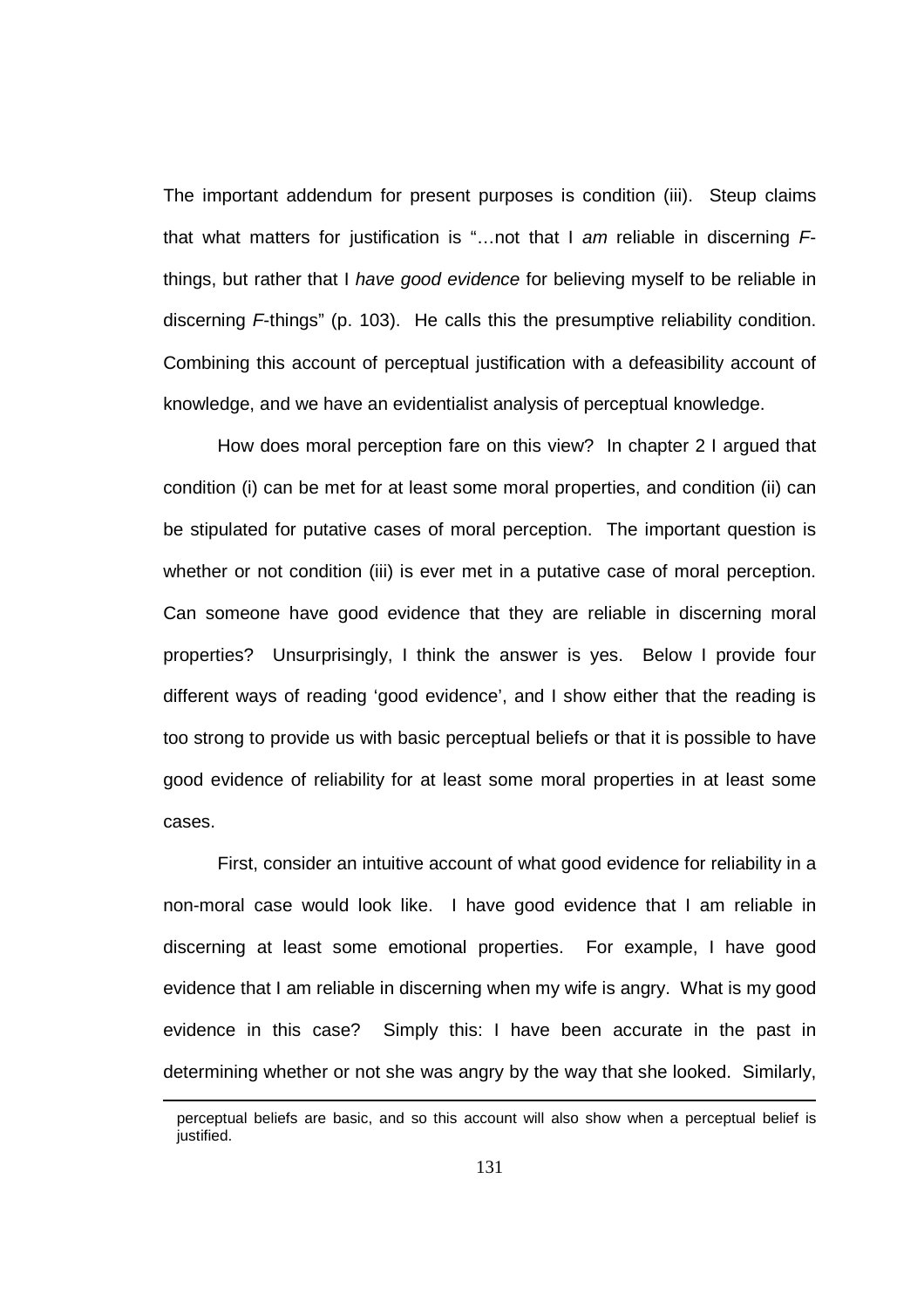The important addendum for present purposes is condition (iii). Steup claims that what matters for justification is "...not that I am reliable in discerning  $F$ things, but rather that I have good evidence for believing myself to be reliable in discerning F-things" (p. 103). He calls this the presumptive reliability condition. Combining this account of perceptual justification with a defeasibility account of knowledge, and we have an evidentialist analysis of perceptual knowledge.

 How does moral perception fare on this view? In chapter 2 I argued that condition (i) can be met for at least some moral properties, and condition (ii) can be stipulated for putative cases of moral perception. The important question is whether or not condition (iii) is ever met in a putative case of moral perception. Can someone have good evidence that they are reliable in discerning moral properties? Unsurprisingly, I think the answer is yes. Below I provide four different ways of reading 'good evidence', and I show either that the reading is too strong to provide us with basic perceptual beliefs or that it is possible to have good evidence of reliability for at least some moral properties in at least some cases.

First, consider an intuitive account of what good evidence for reliability in a non-moral case would look like. I have good evidence that I am reliable in discerning at least some emotional properties. For example, I have good evidence that I am reliable in discerning when my wife is angry. What is my good evidence in this case? Simply this: I have been accurate in the past in determining whether or not she was angry by the way that she looked. Similarly,

 $\overline{a}$ 

perceptual beliefs are basic, and so this account will also show when a perceptual belief is justified.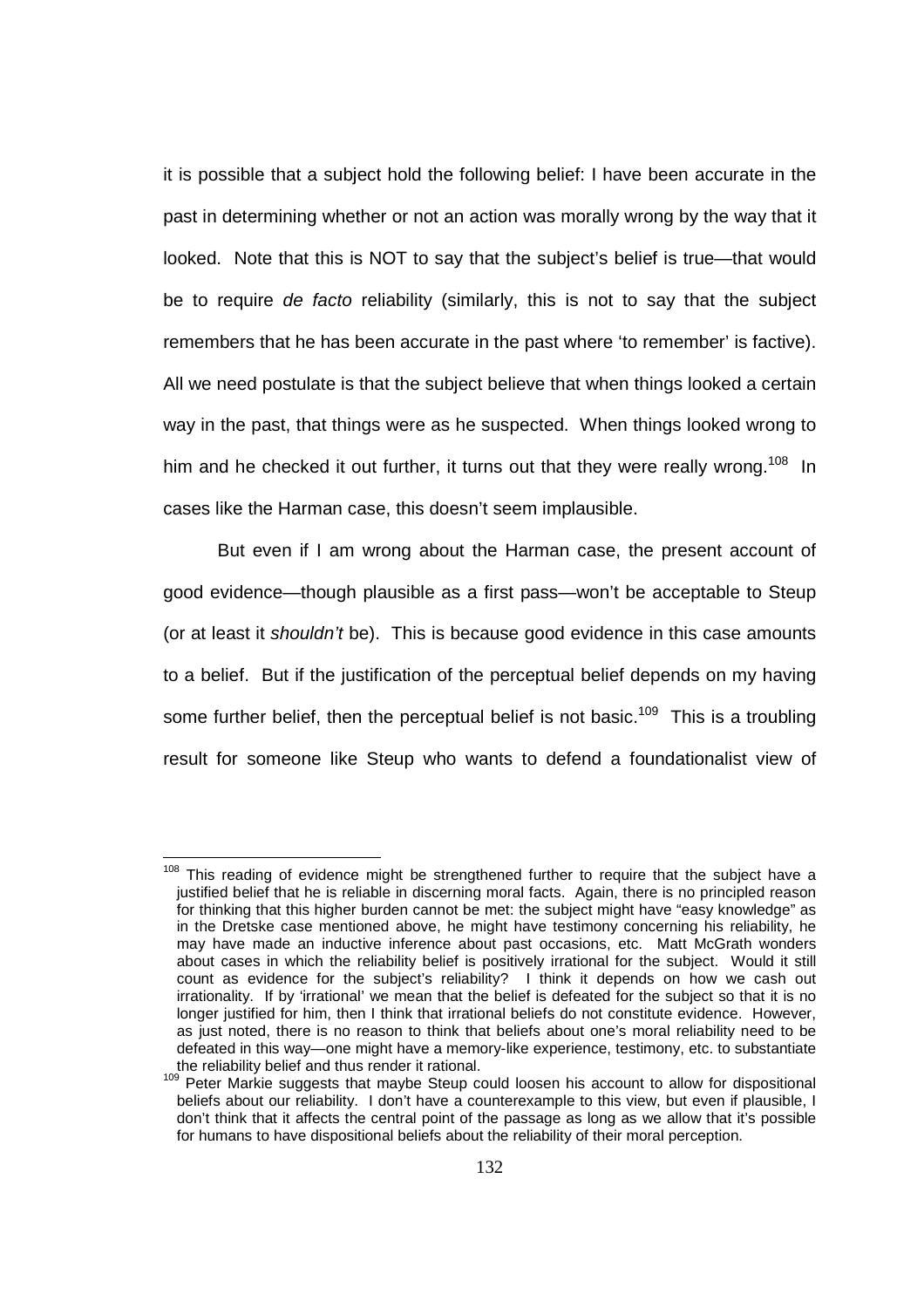it is possible that a subject hold the following belief: I have been accurate in the past in determining whether or not an action was morally wrong by the way that it looked. Note that this is NOT to say that the subject's belief is true—that would be to require de facto reliability (similarly, this is not to say that the subject remembers that he has been accurate in the past where 'to remember' is factive). All we need postulate is that the subject believe that when things looked a certain way in the past, that things were as he suspected. When things looked wrong to him and he checked it out further, it turns out that they were really wrong.<sup>108</sup> In cases like the Harman case, this doesn't seem implausible.

 But even if I am wrong about the Harman case, the present account of good evidence—though plausible as a first pass—won't be acceptable to Steup (or at least it shouldn't be). This is because good evidence in this case amounts to a belief. But if the justification of the perceptual belief depends on my having some further belief, then the perceptual belief is not basic.<sup>109</sup> This is a troubling result for someone like Steup who wants to defend a foundationalist view of

l <sup>108</sup> This reading of evidence might be strengthened further to require that the subject have a justified belief that he is reliable in discerning moral facts. Again, there is no principled reason for thinking that this higher burden cannot be met: the subject might have "easy knowledge" as in the Dretske case mentioned above, he might have testimony concerning his reliability, he may have made an inductive inference about past occasions, etc. Matt McGrath wonders about cases in which the reliability belief is positively irrational for the subject. Would it still count as evidence for the subject's reliability? I think it depends on how we cash out irrationality. If by 'irrational' we mean that the belief is defeated for the subject so that it is no longer justified for him, then I think that irrational beliefs do not constitute evidence. However, as just noted, there is no reason to think that beliefs about one's moral reliability need to be defeated in this way—one might have a memory-like experience, testimony, etc. to substantiate the reliability belief and thus render it rational.

<sup>&</sup>lt;sup>109</sup> Peter Markie suggests that maybe Steup could loosen his account to allow for dispositional beliefs about our reliability. I don't have a counterexample to this view, but even if plausible, I don't think that it affects the central point of the passage as long as we allow that it's possible for humans to have dispositional beliefs about the reliability of their moral perception.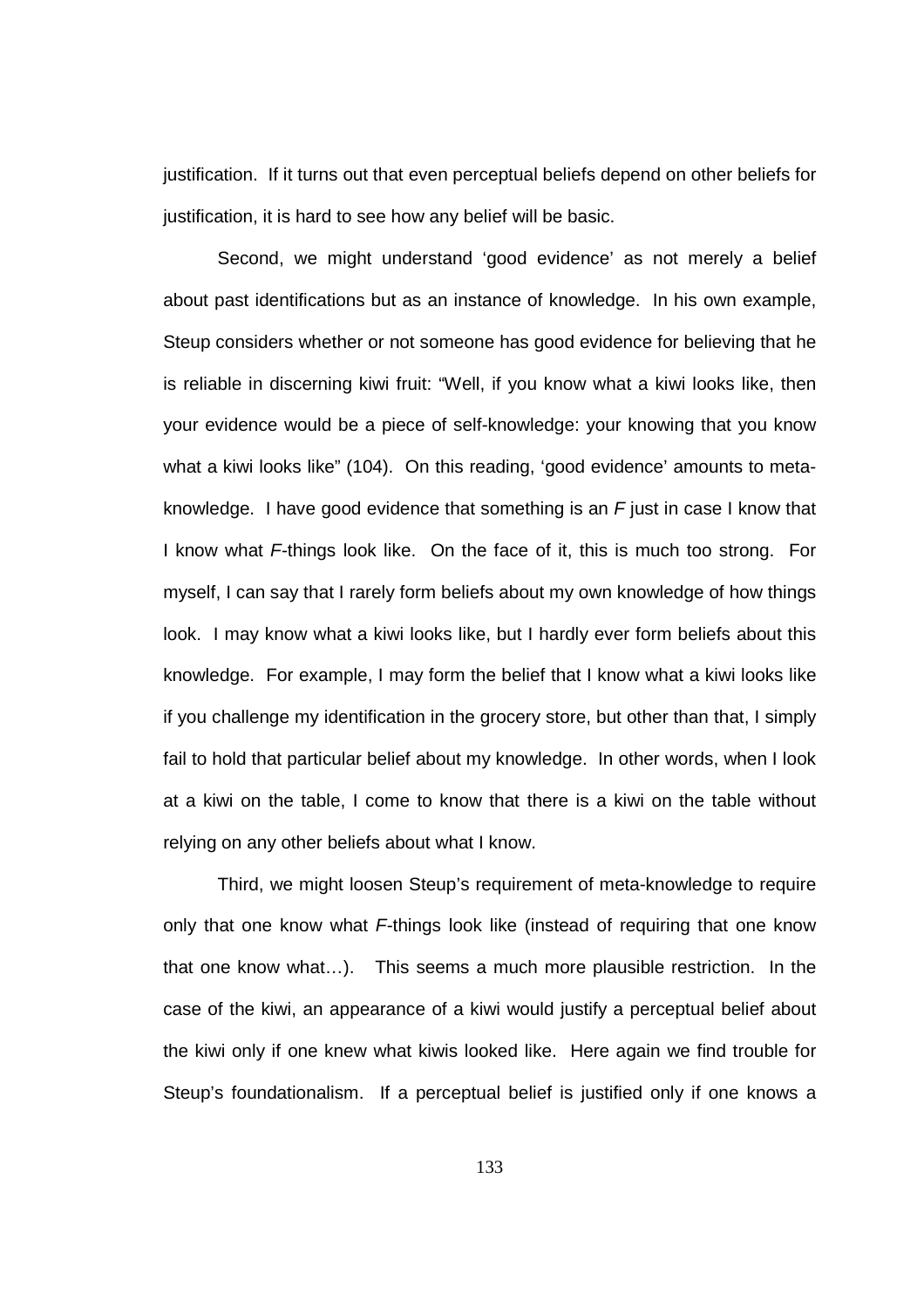justification. If it turns out that even perceptual beliefs depend on other beliefs for justification, it is hard to see how any belief will be basic.

 Second, we might understand 'good evidence' as not merely a belief about past identifications but as an instance of knowledge. In his own example, Steup considers whether or not someone has good evidence for believing that he is reliable in discerning kiwi fruit: "Well, if you know what a kiwi looks like, then your evidence would be a piece of self-knowledge: your knowing that you know what a kiwi looks like" (104). On this reading, 'good evidence' amounts to metaknowledge. I have good evidence that something is an  $F$  just in case I know that I know what F-things look like. On the face of it, this is much too strong. For myself, I can say that I rarely form beliefs about my own knowledge of how things look. I may know what a kiwi looks like, but I hardly ever form beliefs about this knowledge. For example, I may form the belief that I know what a kiwi looks like if you challenge my identification in the grocery store, but other than that, I simply fail to hold that particular belief about my knowledge. In other words, when I look at a kiwi on the table, I come to know that there is a kiwi on the table without relying on any other beliefs about what I know.

 Third, we might loosen Steup's requirement of meta-knowledge to require only that one know what  $F$ -things look like (instead of requiring that one know that one know what…). This seems a much more plausible restriction. In the case of the kiwi, an appearance of a kiwi would justify a perceptual belief about the kiwi only if one knew what kiwis looked like. Here again we find trouble for Steup's foundationalism. If a perceptual belief is justified only if one knows a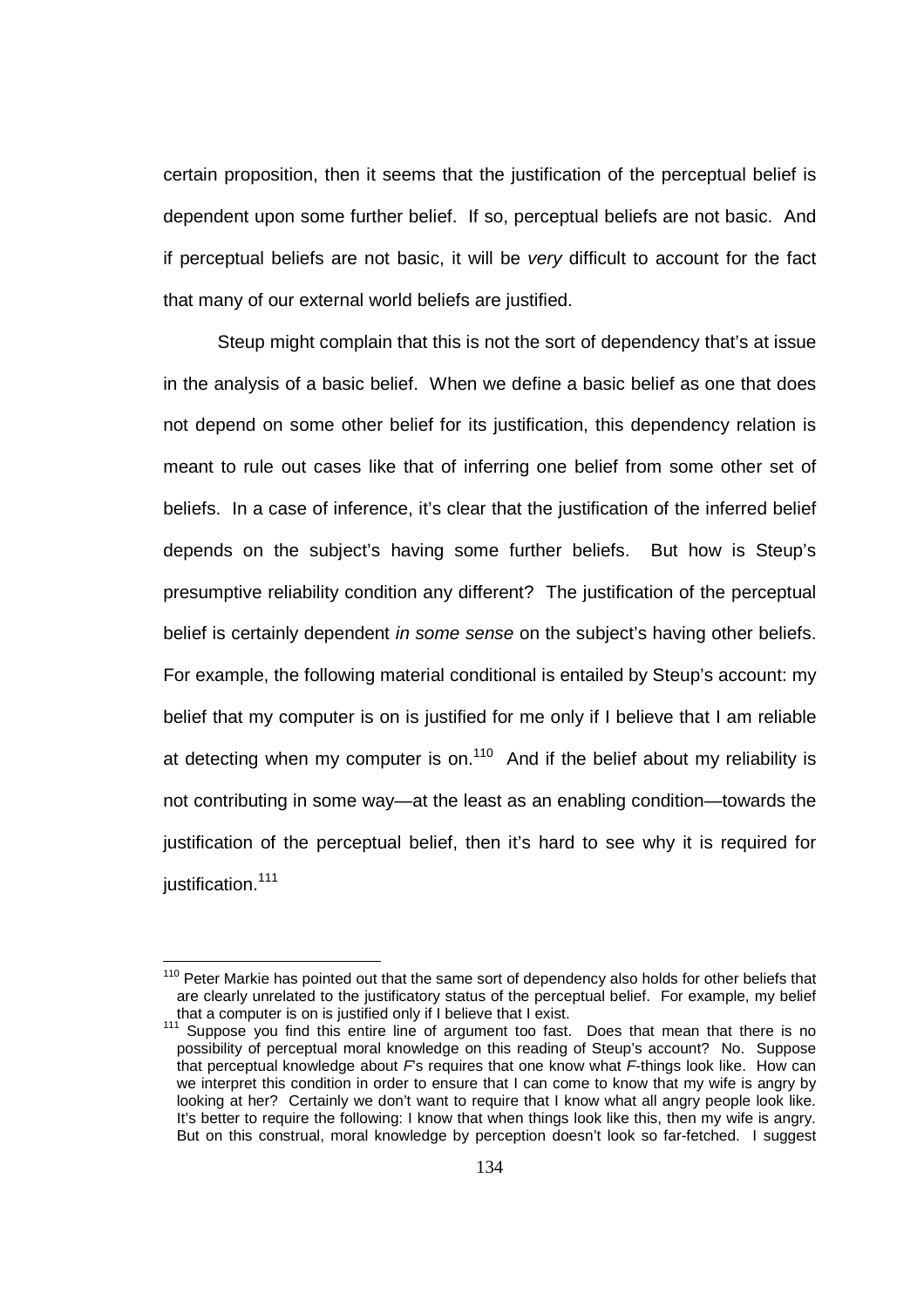certain proposition, then it seems that the justification of the perceptual belief is dependent upon some further belief. If so, perceptual beliefs are not basic. And if perceptual beliefs are not basic, it will be very difficult to account for the fact that many of our external world beliefs are justified.

 Steup might complain that this is not the sort of dependency that's at issue in the analysis of a basic belief. When we define a basic belief as one that does not depend on some other belief for its justification, this dependency relation is meant to rule out cases like that of inferring one belief from some other set of beliefs. In a case of inference, it's clear that the justification of the inferred belief depends on the subject's having some further beliefs. But how is Steup's presumptive reliability condition any different? The justification of the perceptual belief is certainly dependent in some sense on the subject's having other beliefs. For example, the following material conditional is entailed by Steup's account: my belief that my computer is on is justified for me only if I believe that I am reliable at detecting when my computer is on.<sup>110</sup> And if the belief about my reliability is not contributing in some way—at the least as an enabling condition—towards the justification of the perceptual belief, then it's hard to see why it is required for justification.<sup>111</sup>

 $110$  Peter Markie has pointed out that the same sort of dependency also holds for other beliefs that are clearly unrelated to the justificatory status of the perceptual belief. For example, my belief that a computer is on is justified only if I believe that I exist.

 $111$  Suppose you find this entire line of argument too fast. Does that mean that there is no possibility of perceptual moral knowledge on this reading of Steup's account? No. Suppose that perceptual knowledge about Fs requires that one know what F-things look like. How can we interpret this condition in order to ensure that I can come to know that my wife is angry by looking at her? Certainly we don't want to require that I know what all angry people look like. It's better to require the following: I know that when things look like this, then my wife is angry. But on this construal, moral knowledge by perception doesn't look so far-fetched. I suggest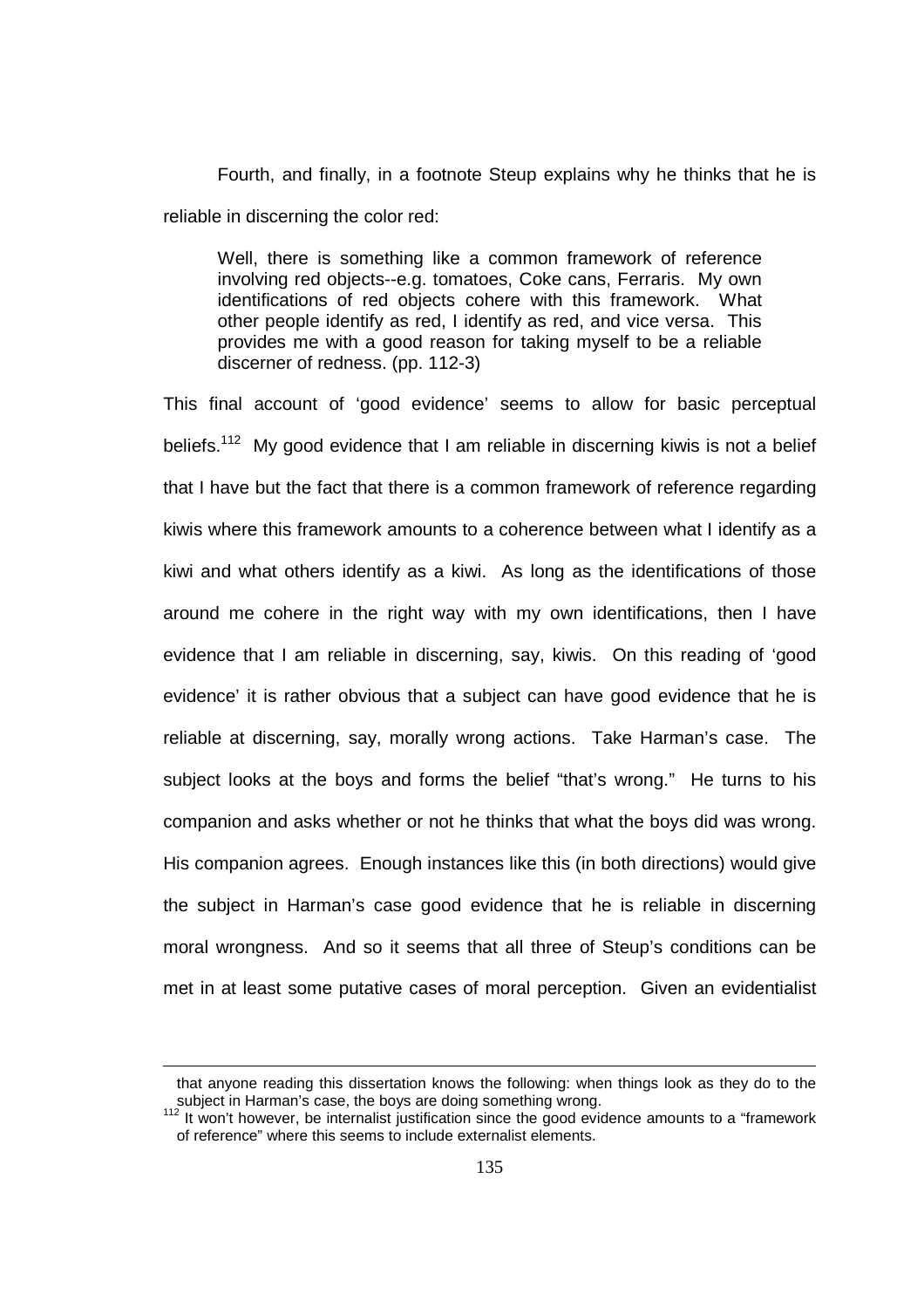Fourth, and finally, in a footnote Steup explains why he thinks that he is reliable in discerning the color red:

Well, there is something like a common framework of reference involving red objects--e.g. tomatoes, Coke cans, Ferraris. My own identifications of red objects cohere with this framework. What other people identify as red, I identify as red, and vice versa. This provides me with a good reason for taking myself to be a reliable discerner of redness. (pp. 112-3)

This final account of 'good evidence' seems to allow for basic perceptual beliefs.<sup>112</sup> My good evidence that I am reliable in discerning kiwis is not a belief that I have but the fact that there is a common framework of reference regarding kiwis where this framework amounts to a coherence between what I identify as a kiwi and what others identify as a kiwi. As long as the identifications of those around me cohere in the right way with my own identifications, then I have evidence that I am reliable in discerning, say, kiwis. On this reading of 'good evidence' it is rather obvious that a subject can have good evidence that he is reliable at discerning, say, morally wrong actions. Take Harman's case. The subject looks at the boys and forms the belief "that's wrong." He turns to his companion and asks whether or not he thinks that what the boys did was wrong. His companion agrees. Enough instances like this (in both directions) would give the subject in Harman's case good evidence that he is reliable in discerning moral wrongness. And so it seems that all three of Steup's conditions can be met in at least some putative cases of moral perception. Given an evidentialist

that anyone reading this dissertation knows the following: when things look as they do to the subject in Harman's case, the boys are doing something wrong.

 $112$  It won't however, be internalist justification since the good evidence amounts to a "framework of reference" where this seems to include externalist elements.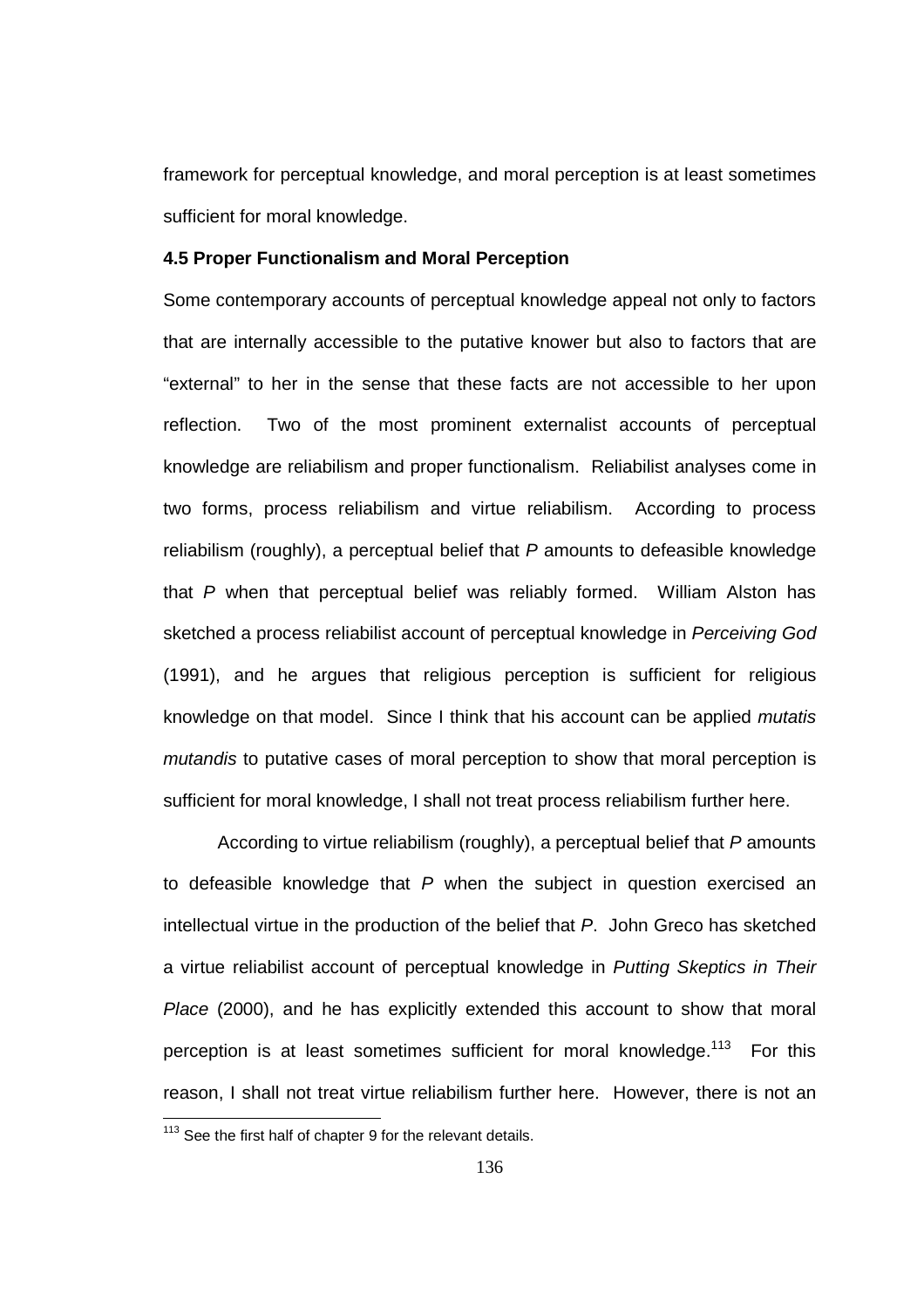framework for perceptual knowledge, and moral perception is at least sometimes sufficient for moral knowledge.

## **4.5 Proper Functionalism and Moral Perception**

Some contemporary accounts of perceptual knowledge appeal not only to factors that are internally accessible to the putative knower but also to factors that are "external" to her in the sense that these facts are not accessible to her upon reflection. Two of the most prominent externalist accounts of perceptual knowledge are reliabilism and proper functionalism. Reliabilist analyses come in two forms, process reliabilism and virtue reliabilism. According to process reliabilism (roughly), a perceptual belief that  $P$  amounts to defeasible knowledge that P when that perceptual belief was reliably formed. William Alston has sketched a process reliabilist account of perceptual knowledge in Perceiving God (1991), and he argues that religious perception is sufficient for religious knowledge on that model. Since I think that his account can be applied mutatis mutandis to putative cases of moral perception to show that moral perception is sufficient for moral knowledge, I shall not treat process reliabilism further here.

According to virtue reliabilism (roughly), a perceptual belief that P amounts to defeasible knowledge that  $P$  when the subject in question exercised an intellectual virtue in the production of the belief that P. John Greco has sketched a virtue reliabilist account of perceptual knowledge in Putting Skeptics in Their Place (2000), and he has explicitly extended this account to show that moral perception is at least sometimes sufficient for moral knowledge.<sup>113</sup> For this reason, I shall not treat virtue reliabilism further here. However, there is not an 

 $113$  See the first half of chapter 9 for the relevant details.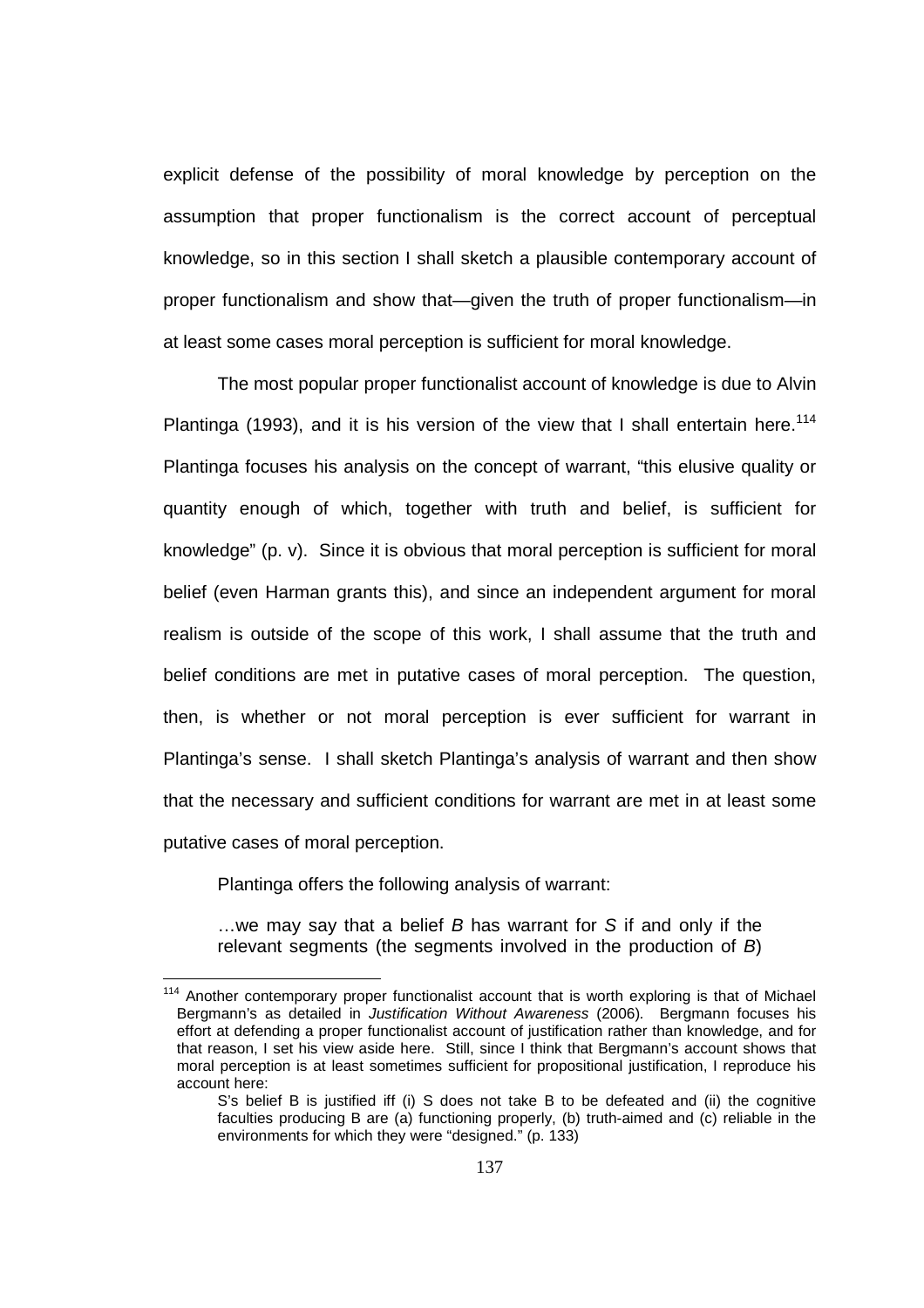explicit defense of the possibility of moral knowledge by perception on the assumption that proper functionalism is the correct account of perceptual knowledge, so in this section I shall sketch a plausible contemporary account of proper functionalism and show that—given the truth of proper functionalism—in at least some cases moral perception is sufficient for moral knowledge.

 The most popular proper functionalist account of knowledge is due to Alvin Plantinga (1993), and it is his version of the view that I shall entertain here.<sup>114</sup> Plantinga focuses his analysis on the concept of warrant, "this elusive quality or quantity enough of which, together with truth and belief, is sufficient for knowledge" (p. v). Since it is obvious that moral perception is sufficient for moral belief (even Harman grants this), and since an independent argument for moral realism is outside of the scope of this work, I shall assume that the truth and belief conditions are met in putative cases of moral perception. The question, then, is whether or not moral perception is ever sufficient for warrant in Plantinga's sense. I shall sketch Plantinga's analysis of warrant and then show that the necessary and sufficient conditions for warrant are met in at least some putative cases of moral perception.

Plantinga offers the following analysis of warrant:

l

 $\ldots$  we may say that a belief  $B$  has warrant for S if and only if the relevant segments (the segments involved in the production of B)

<sup>&</sup>lt;sup>114</sup> Another contemporary proper functionalist account that is worth exploring is that of Michael Bergmann's as detailed in Justification Without Awareness (2006). Bergmann focuses his effort at defending a proper functionalist account of justification rather than knowledge, and for that reason, I set his view aside here. Still, since I think that Bergmann's account shows that moral perception is at least sometimes sufficient for propositional justification, I reproduce his account here:

S's belief B is justified iff (i) S does not take B to be defeated and (ii) the cognitive faculties producing B are (a) functioning properly, (b) truth-aimed and (c) reliable in the environments for which they were "designed." (p. 133)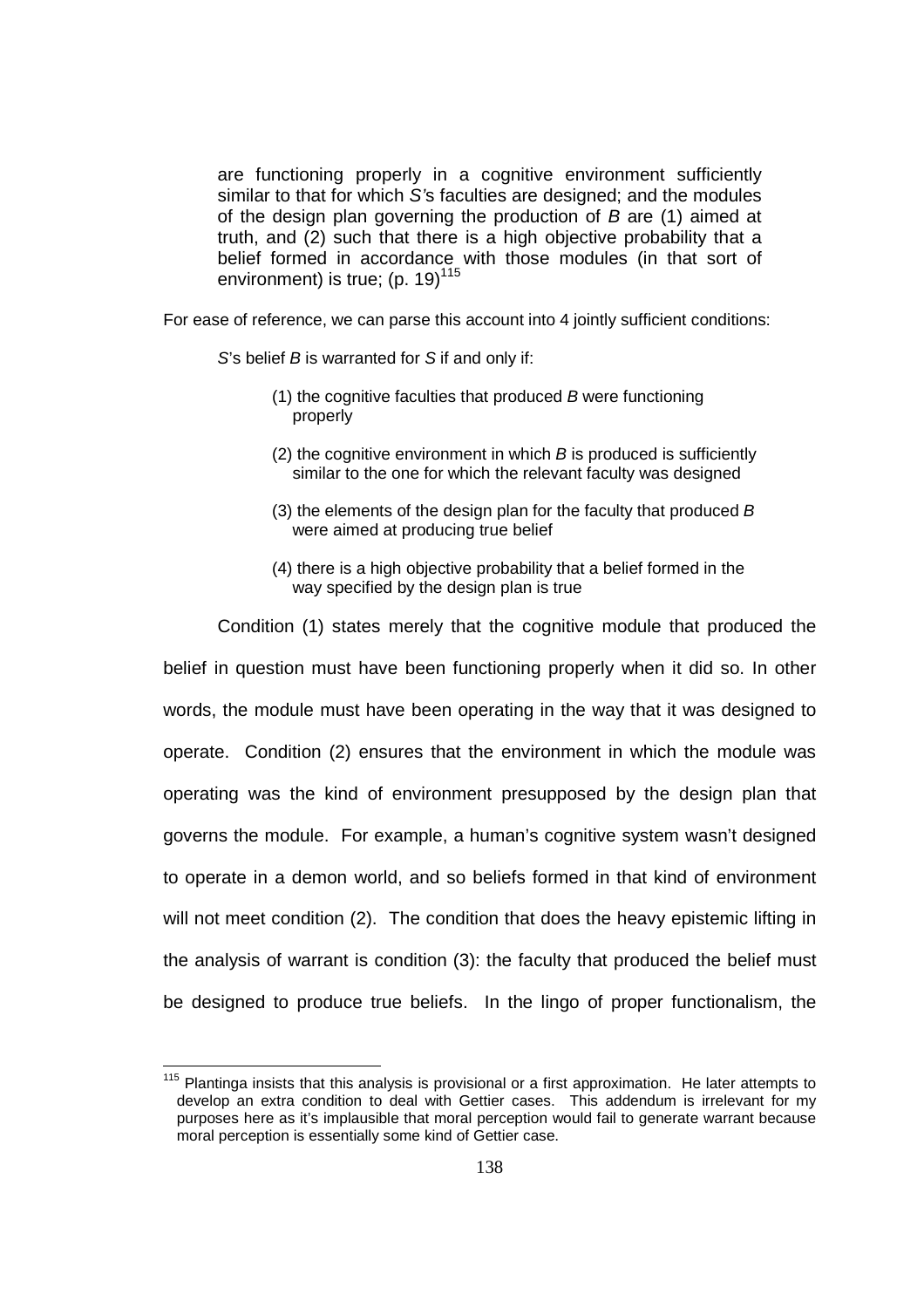are functioning properly in a cognitive environment sufficiently similar to that for which S's faculties are designed; and the modules of the design plan governing the production of B are (1) aimed at truth, and (2) such that there is a high objective probability that a belief formed in accordance with those modules (in that sort of environment) is true;  $(p. 19)^{115}$ 

For ease of reference, we can parse this account into 4 jointly sufficient conditions:

S's belief B is warranted for S if and only if:

- (1) the cognitive faculties that produced  $B$  were functioning properly
- (2) the cognitive environment in which  $B$  is produced is sufficiently similar to the one for which the relevant faculty was designed
- (3) the elements of the design plan for the faculty that produced  $B$ were aimed at producing true belief
- (4) there is a high objective probability that a belief formed in the way specified by the design plan is true

 Condition (1) states merely that the cognitive module that produced the belief in question must have been functioning properly when it did so. In other words, the module must have been operating in the way that it was designed to operate. Condition (2) ensures that the environment in which the module was operating was the kind of environment presupposed by the design plan that governs the module. For example, a human's cognitive system wasn't designed to operate in a demon world, and so beliefs formed in that kind of environment will not meet condition (2). The condition that does the heavy epistemic lifting in the analysis of warrant is condition (3): the faculty that produced the belief must be designed to produce true beliefs. In the lingo of proper functionalism, the

<sup>&</sup>lt;sup>115</sup> Plantinga insists that this analysis is provisional or a first approximation. He later attempts to develop an extra condition to deal with Gettier cases. This addendum is irrelevant for my purposes here as it's implausible that moral perception would fail to generate warrant because moral perception is essentially some kind of Gettier case.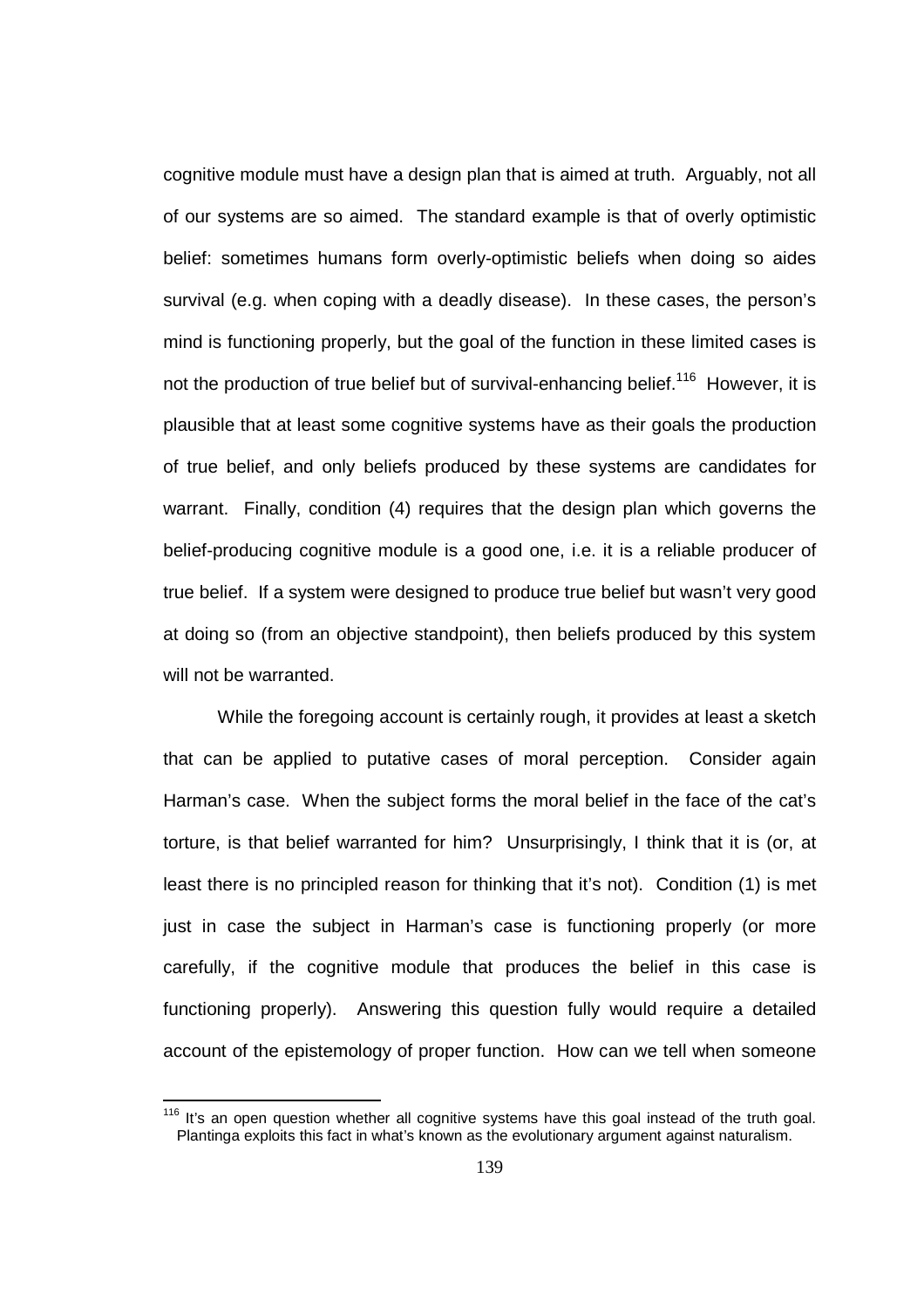cognitive module must have a design plan that is aimed at truth. Arguably, not all of our systems are so aimed. The standard example is that of overly optimistic belief: sometimes humans form overly-optimistic beliefs when doing so aides survival (e.g. when coping with a deadly disease). In these cases, the person's mind is functioning properly, but the goal of the function in these limited cases is not the production of true belief but of survival-enhancing belief.<sup>116</sup> However, it is plausible that at least some cognitive systems have as their goals the production of true belief, and only beliefs produced by these systems are candidates for warrant. Finally, condition (4) requires that the design plan which governs the belief-producing cognitive module is a good one, i.e. it is a reliable producer of true belief. If a system were designed to produce true belief but wasn't very good at doing so (from an objective standpoint), then beliefs produced by this system will not be warranted.

 While the foregoing account is certainly rough, it provides at least a sketch that can be applied to putative cases of moral perception. Consider again Harman's case. When the subject forms the moral belief in the face of the cat's torture, is that belief warranted for him? Unsurprisingly, I think that it is (or, at least there is no principled reason for thinking that it's not). Condition (1) is met just in case the subject in Harman's case is functioning properly (or more carefully, if the cognitive module that produces the belief in this case is functioning properly). Answering this question fully would require a detailed account of the epistemology of proper function. How can we tell when someone

 $\overline{a}$ 

 $116$  It's an open question whether all cognitive systems have this goal instead of the truth goal. Plantinga exploits this fact in what's known as the evolutionary argument against naturalism.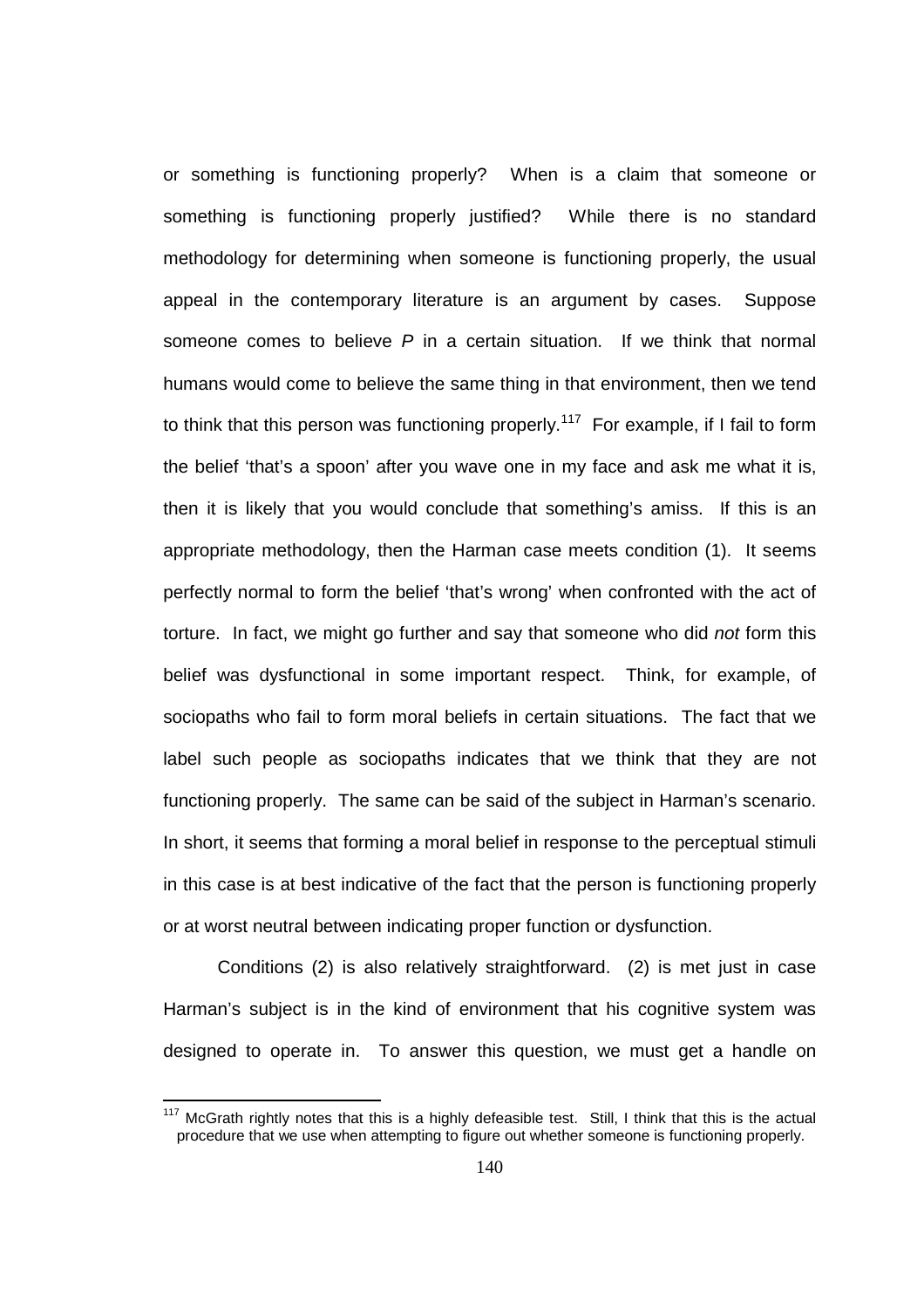or something is functioning properly? When is a claim that someone or something is functioning properly justified? While there is no standard methodology for determining when someone is functioning properly, the usual appeal in the contemporary literature is an argument by cases. Suppose someone comes to believe  $P$  in a certain situation. If we think that normal humans would come to believe the same thing in that environment, then we tend to think that this person was functioning properly.<sup>117</sup> For example, if I fail to form the belief 'that's a spoon' after you wave one in my face and ask me what it is, then it is likely that you would conclude that something's amiss. If this is an appropriate methodology, then the Harman case meets condition (1). It seems perfectly normal to form the belief 'that's wrong' when confronted with the act of torture. In fact, we might go further and say that someone who did not form this belief was dysfunctional in some important respect. Think, for example, of sociopaths who fail to form moral beliefs in certain situations. The fact that we label such people as sociopaths indicates that we think that they are not functioning properly. The same can be said of the subject in Harman's scenario. In short, it seems that forming a moral belief in response to the perceptual stimuli in this case is at best indicative of the fact that the person is functioning properly or at worst neutral between indicating proper function or dysfunction.

 Conditions (2) is also relatively straightforward. (2) is met just in case Harman's subject is in the kind of environment that his cognitive system was designed to operate in. To answer this question, we must get a handle on

 $\overline{a}$ 

 $117$  McGrath rightly notes that this is a highly defeasible test. Still, I think that this is the actual procedure that we use when attempting to figure out whether someone is functioning properly.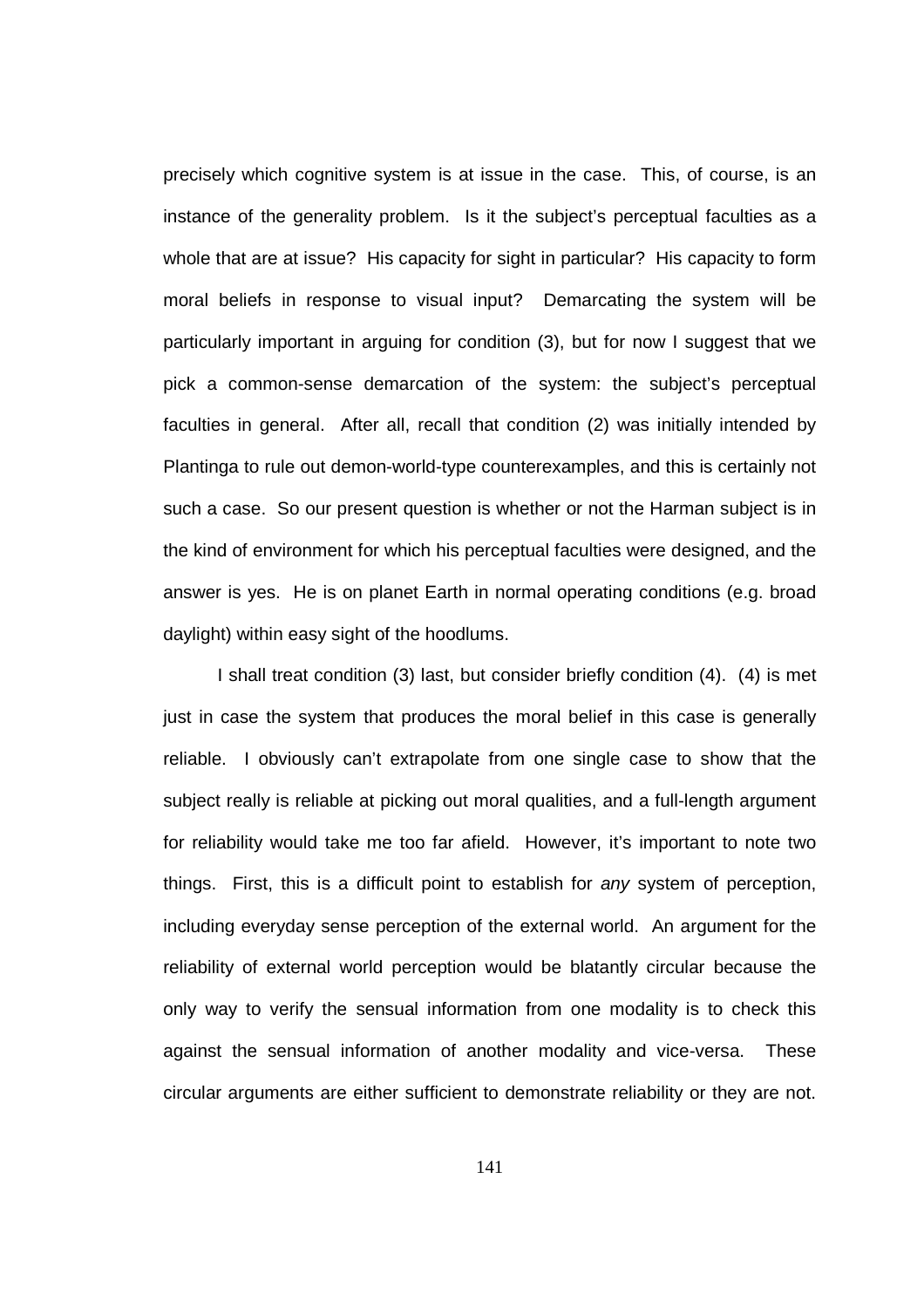precisely which cognitive system is at issue in the case. This, of course, is an instance of the generality problem. Is it the subject's perceptual faculties as a whole that are at issue? His capacity for sight in particular? His capacity to form moral beliefs in response to visual input? Demarcating the system will be particularly important in arguing for condition (3), but for now I suggest that we pick a common-sense demarcation of the system: the subject's perceptual faculties in general. After all, recall that condition (2) was initially intended by Plantinga to rule out demon-world-type counterexamples, and this is certainly not such a case. So our present question is whether or not the Harman subject is in the kind of environment for which his perceptual faculties were designed, and the answer is yes. He is on planet Earth in normal operating conditions (e.g. broad daylight) within easy sight of the hoodlums.

 I shall treat condition (3) last, but consider briefly condition (4). (4) is met just in case the system that produces the moral belief in this case is generally reliable. I obviously can't extrapolate from one single case to show that the subject really is reliable at picking out moral qualities, and a full-length argument for reliability would take me too far afield. However, it's important to note two things. First, this is a difficult point to establish for any system of perception, including everyday sense perception of the external world. An argument for the reliability of external world perception would be blatantly circular because the only way to verify the sensual information from one modality is to check this against the sensual information of another modality and vice-versa. These circular arguments are either sufficient to demonstrate reliability or they are not.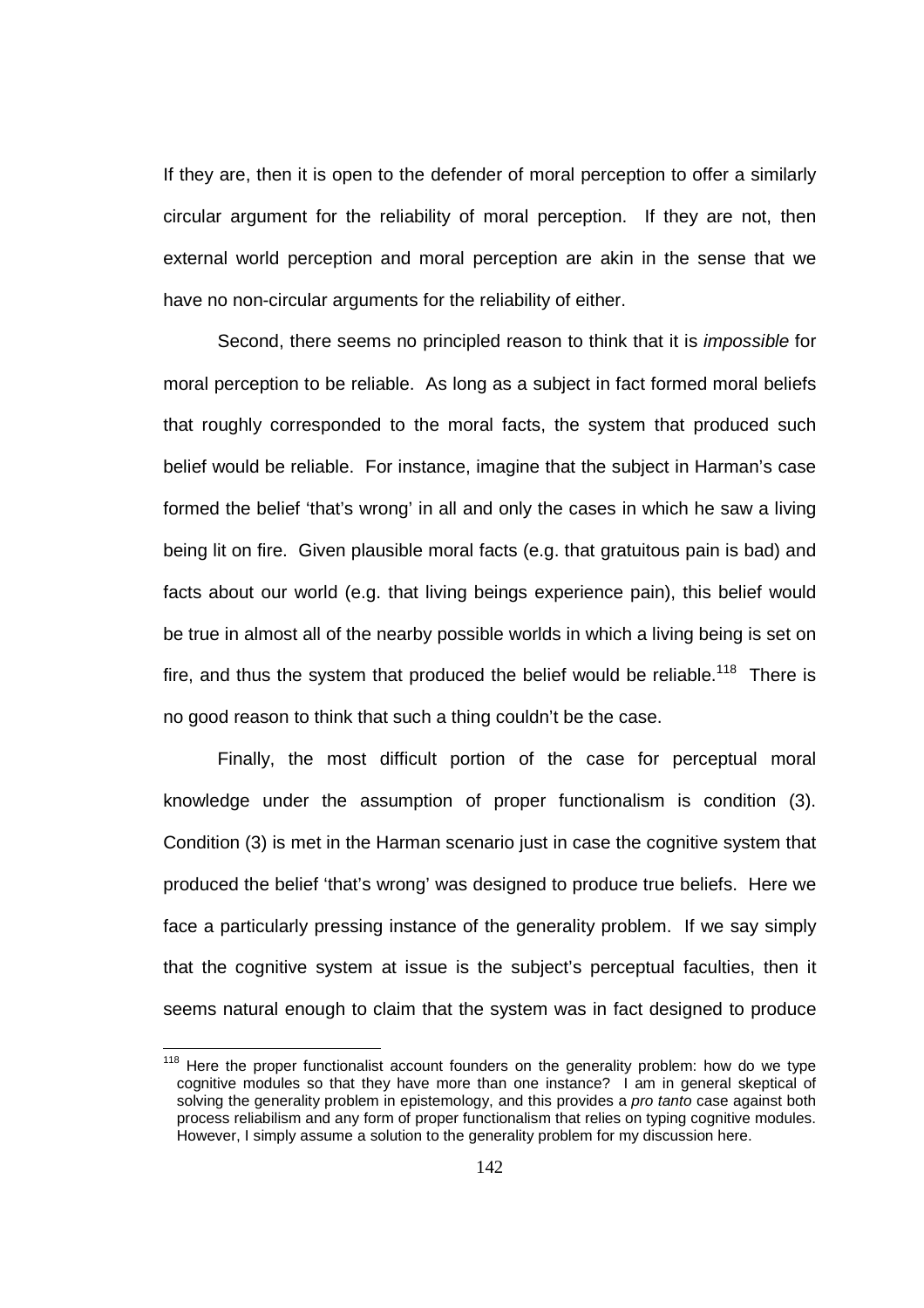If they are, then it is open to the defender of moral perception to offer a similarly circular argument for the reliability of moral perception. If they are not, then external world perception and moral perception are akin in the sense that we have no non-circular arguments for the reliability of either.

Second, there seems no principled reason to think that it is *impossible* for moral perception to be reliable. As long as a subject in fact formed moral beliefs that roughly corresponded to the moral facts, the system that produced such belief would be reliable. For instance, imagine that the subject in Harman's case formed the belief 'that's wrong' in all and only the cases in which he saw a living being lit on fire. Given plausible moral facts (e.g. that gratuitous pain is bad) and facts about our world (e.g. that living beings experience pain), this belief would be true in almost all of the nearby possible worlds in which a living being is set on fire, and thus the system that produced the belief would be reliable.<sup>118</sup> There is no good reason to think that such a thing couldn't be the case.

 Finally, the most difficult portion of the case for perceptual moral knowledge under the assumption of proper functionalism is condition (3). Condition (3) is met in the Harman scenario just in case the cognitive system that produced the belief 'that's wrong' was designed to produce true beliefs. Here we face a particularly pressing instance of the generality problem. If we say simply that the cognitive system at issue is the subject's perceptual faculties, then it seems natural enough to claim that the system was in fact designed to produce

 $118$  Here the proper functionalist account founders on the generality problem: how do we type cognitive modules so that they have more than one instance? I am in general skeptical of solving the generality problem in epistemology, and this provides a pro tanto case against both process reliabilism and any form of proper functionalism that relies on typing cognitive modules. However, I simply assume a solution to the generality problem for my discussion here.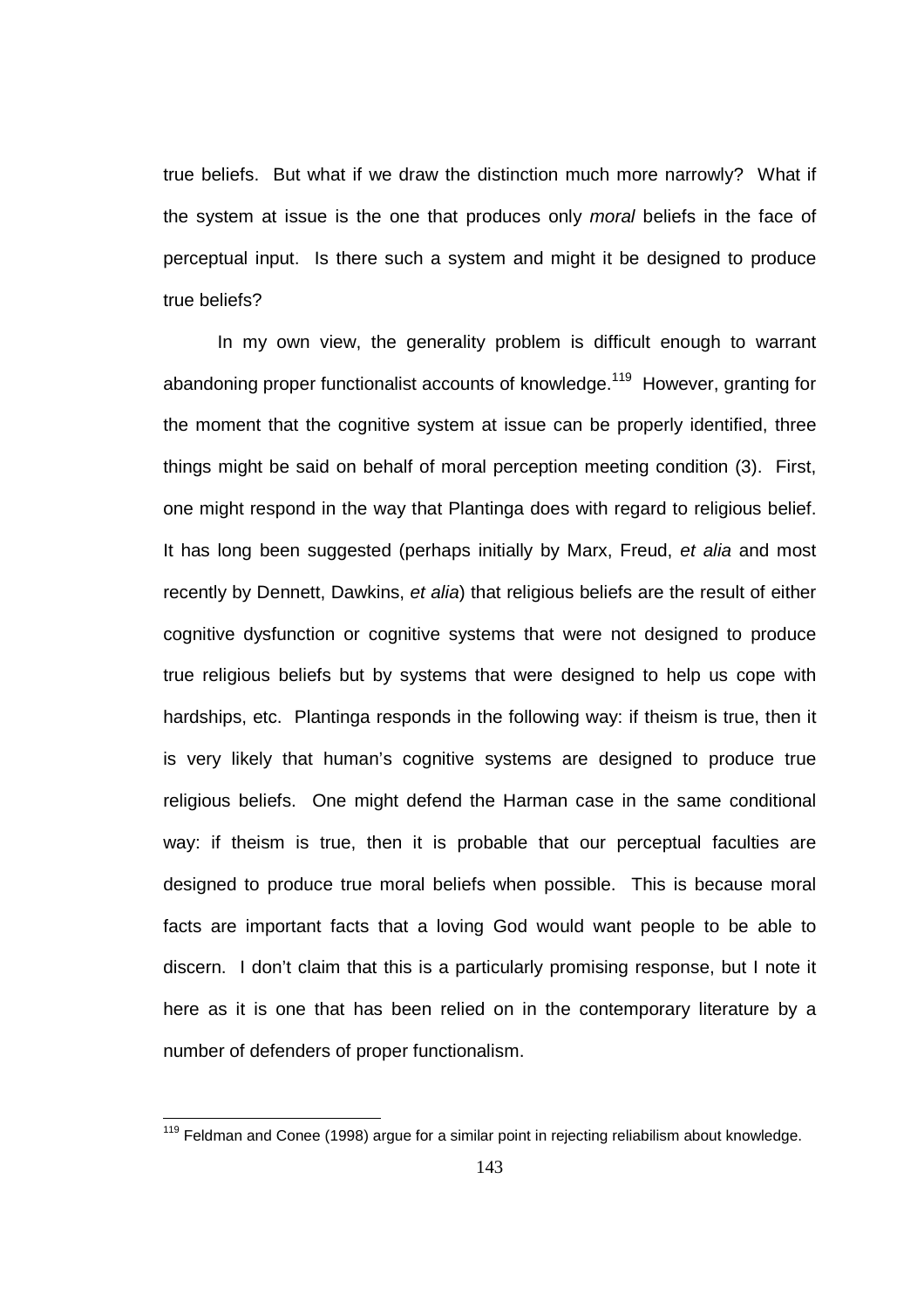true beliefs. But what if we draw the distinction much more narrowly? What if the system at issue is the one that produces only moral beliefs in the face of perceptual input. Is there such a system and might it be designed to produce true beliefs?

In my own view, the generality problem is difficult enough to warrant abandoning proper functionalist accounts of knowledge.<sup>119</sup> However, granting for the moment that the cognitive system at issue can be properly identified, three things might be said on behalf of moral perception meeting condition (3). First, one might respond in the way that Plantinga does with regard to religious belief. It has long been suggested (perhaps initially by Marx, Freud, et alia and most recently by Dennett, Dawkins, et alia) that religious beliefs are the result of either cognitive dysfunction or cognitive systems that were not designed to produce true religious beliefs but by systems that were designed to help us cope with hardships, etc. Plantinga responds in the following way: if theism is true, then it is very likely that human's cognitive systems are designed to produce true religious beliefs. One might defend the Harman case in the same conditional way: if theism is true, then it is probable that our perceptual faculties are designed to produce true moral beliefs when possible. This is because moral facts are important facts that a loving God would want people to be able to discern. I don't claim that this is a particularly promising response, but I note it here as it is one that has been relied on in the contemporary literature by a number of defenders of proper functionalism.

 $119$  Feldman and Conee (1998) argue for a similar point in rejecting reliabilism about knowledge.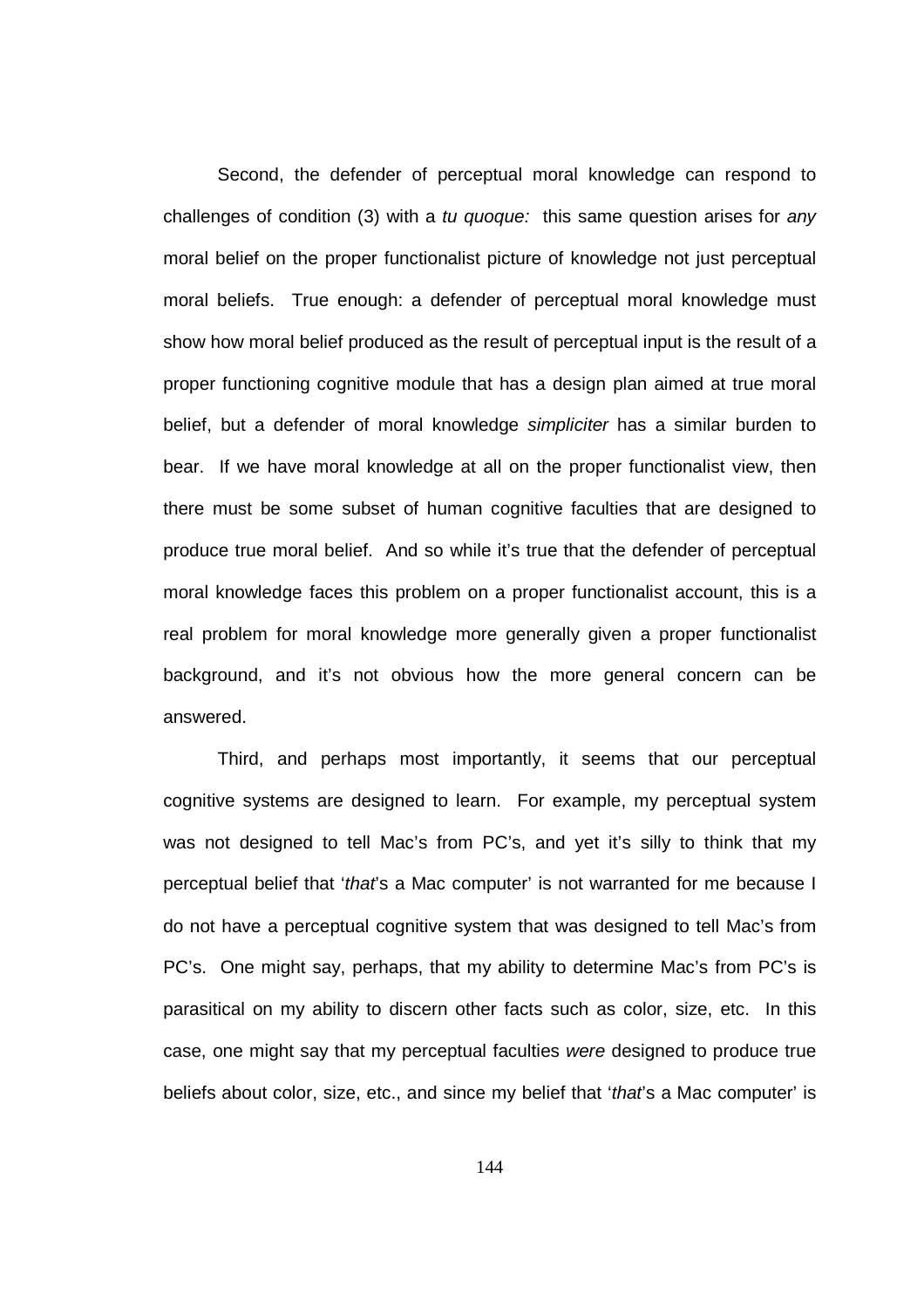Second, the defender of perceptual moral knowledge can respond to challenges of condition (3) with a tu quoque: this same question arises for any moral belief on the proper functionalist picture of knowledge not just perceptual moral beliefs. True enough: a defender of perceptual moral knowledge must show how moral belief produced as the result of perceptual input is the result of a proper functioning cognitive module that has a design plan aimed at true moral belief, but a defender of moral knowledge simpliciter has a similar burden to bear. If we have moral knowledge at all on the proper functionalist view, then there must be some subset of human cognitive faculties that are designed to produce true moral belief. And so while it's true that the defender of perceptual moral knowledge faces this problem on a proper functionalist account, this is a real problem for moral knowledge more generally given a proper functionalist background, and it's not obvious how the more general concern can be answered.

 Third, and perhaps most importantly, it seems that our perceptual cognitive systems are designed to learn. For example, my perceptual system was not designed to tell Mac's from PC's, and yet it's silly to think that my perceptual belief that 'that's a Mac computer' is not warranted for me because I do not have a perceptual cognitive system that was designed to tell Mac's from PC's. One might say, perhaps, that my ability to determine Mac's from PC's is parasitical on my ability to discern other facts such as color, size, etc. In this case, one might say that my perceptual faculties were designed to produce true beliefs about color, size, etc., and since my belief that 'that's a Mac computer' is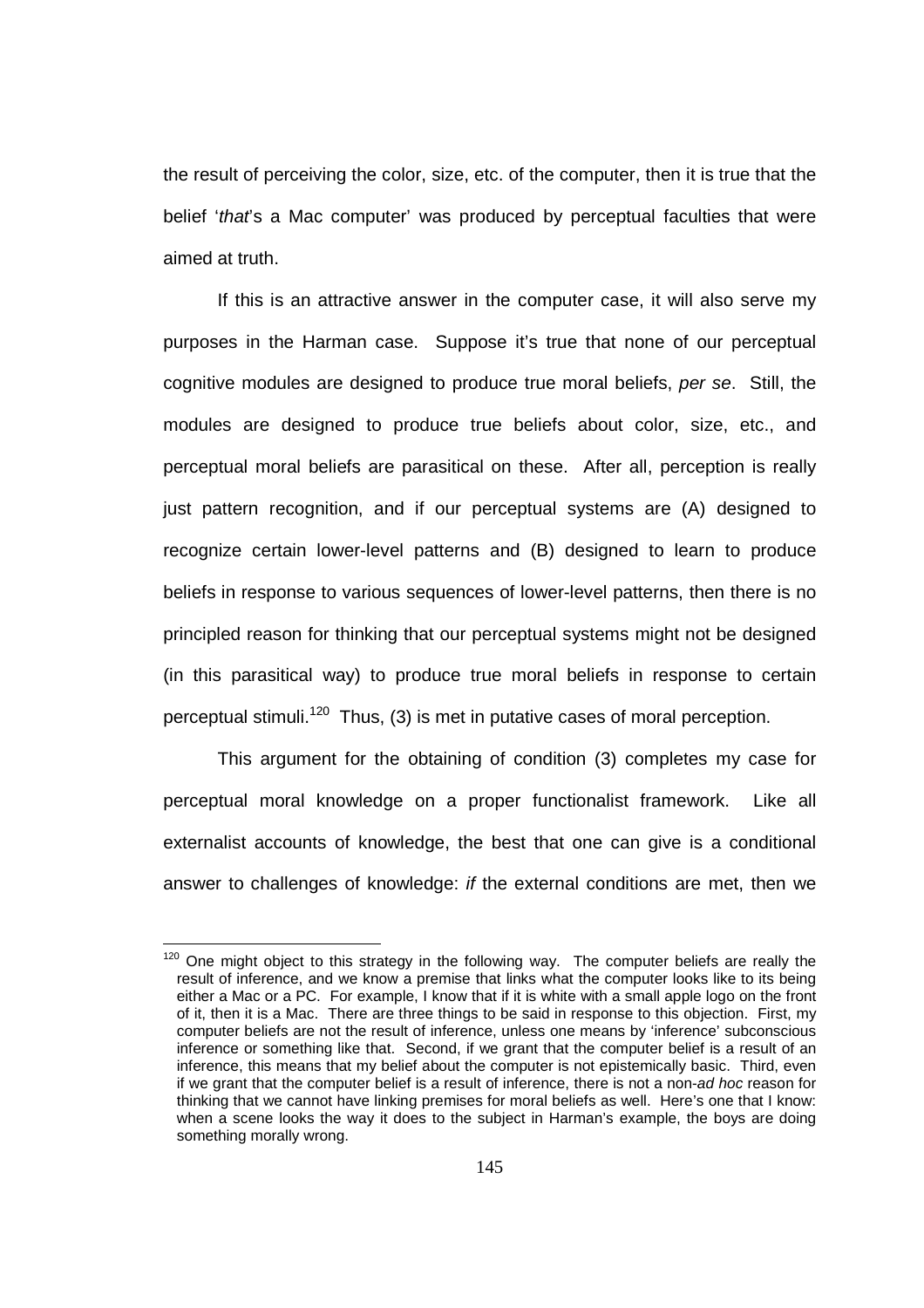the result of perceiving the color, size, etc. of the computer, then it is true that the belief 'that's a Mac computer' was produced by perceptual faculties that were aimed at truth.

If this is an attractive answer in the computer case, it will also serve my purposes in the Harman case. Suppose it's true that none of our perceptual cognitive modules are designed to produce true moral beliefs, per se. Still, the modules are designed to produce true beliefs about color, size, etc., and perceptual moral beliefs are parasitical on these. After all, perception is really just pattern recognition, and if our perceptual systems are (A) designed to recognize certain lower-level patterns and (B) designed to learn to produce beliefs in response to various sequences of lower-level patterns, then there is no principled reason for thinking that our perceptual systems might not be designed (in this parasitical way) to produce true moral beliefs in response to certain perceptual stimuli.<sup>120</sup> Thus, (3) is met in putative cases of moral perception.

This argument for the obtaining of condition (3) completes my case for perceptual moral knowledge on a proper functionalist framework. Like all externalist accounts of knowledge, the best that one can give is a conditional answer to challenges of knowledge: if the external conditions are met, then we

 $120$  One might object to this strategy in the following way. The computer beliefs are really the result of inference, and we know a premise that links what the computer looks like to its being either a Mac or a PC. For example, I know that if it is white with a small apple logo on the front of it, then it is a Mac. There are three things to be said in response to this objection. First, my computer beliefs are not the result of inference, unless one means by 'inference' subconscious inference or something like that. Second, if we grant that the computer belief is a result of an inference, this means that my belief about the computer is not epistemically basic. Third, even if we grant that the computer belief is a result of inference, there is not a non-ad hoc reason for thinking that we cannot have linking premises for moral beliefs as well. Here's one that I know: when a scene looks the way it does to the subject in Harman's example, the boys are doing something morally wrong.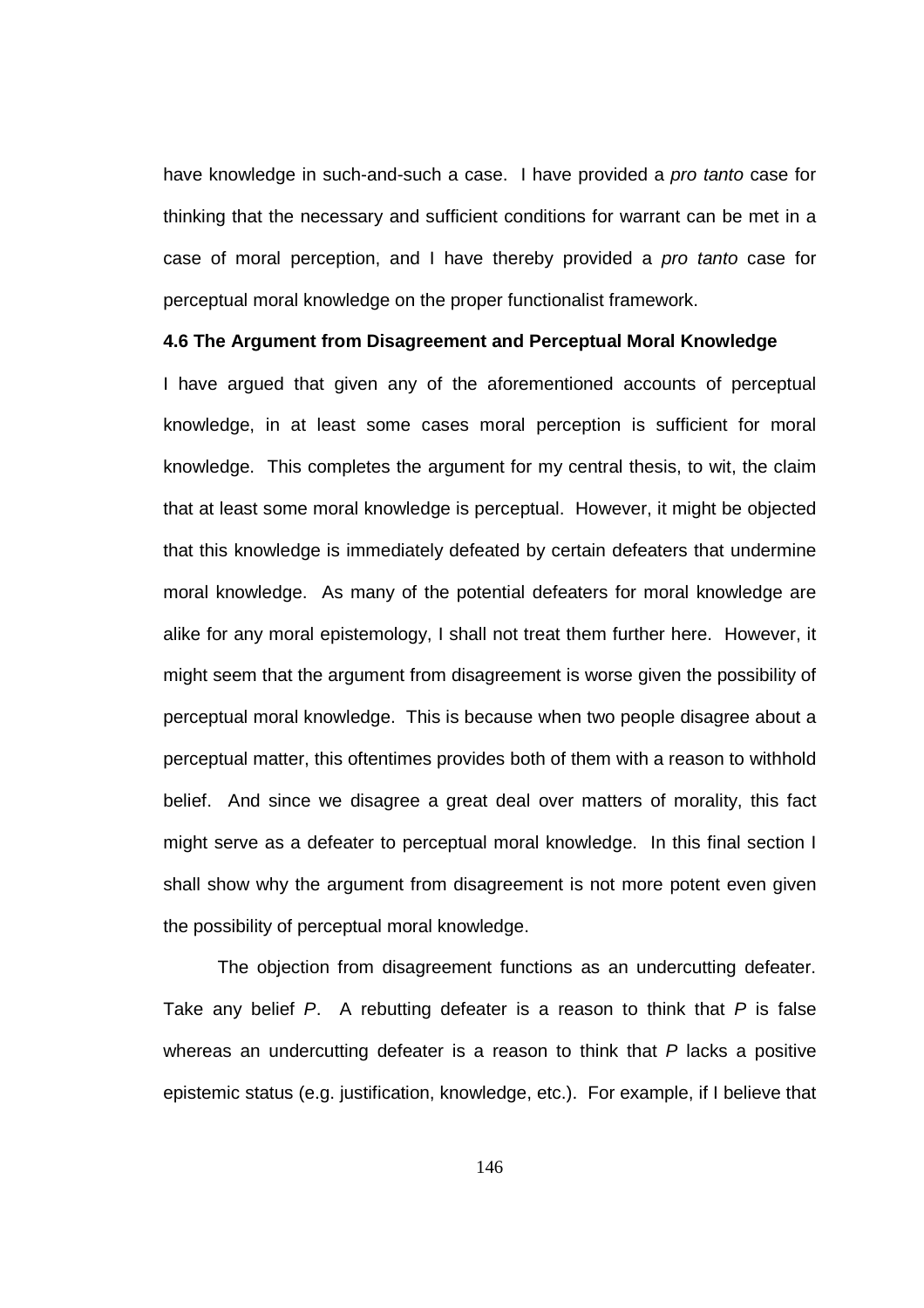have knowledge in such-and-such a case. I have provided a pro tanto case for thinking that the necessary and sufficient conditions for warrant can be met in a case of moral perception, and I have thereby provided a pro tanto case for perceptual moral knowledge on the proper functionalist framework.

## **4.6 The Argument from Disagreement and Perceptual Moral Knowledge**

I have argued that given any of the aforementioned accounts of perceptual knowledge, in at least some cases moral perception is sufficient for moral knowledge. This completes the argument for my central thesis, to wit, the claim that at least some moral knowledge is perceptual. However, it might be objected that this knowledge is immediately defeated by certain defeaters that undermine moral knowledge. As many of the potential defeaters for moral knowledge are alike for any moral epistemology, I shall not treat them further here. However, it might seem that the argument from disagreement is worse given the possibility of perceptual moral knowledge. This is because when two people disagree about a perceptual matter, this oftentimes provides both of them with a reason to withhold belief. And since we disagree a great deal over matters of morality, this fact might serve as a defeater to perceptual moral knowledge. In this final section I shall show why the argument from disagreement is not more potent even given the possibility of perceptual moral knowledge.

The objection from disagreement functions as an undercutting defeater. Take any belief  $P$ . A rebutting defeater is a reason to think that  $P$  is false whereas an undercutting defeater is a reason to think that  $P$  lacks a positive epistemic status (e.g. justification, knowledge, etc.). For example, if I believe that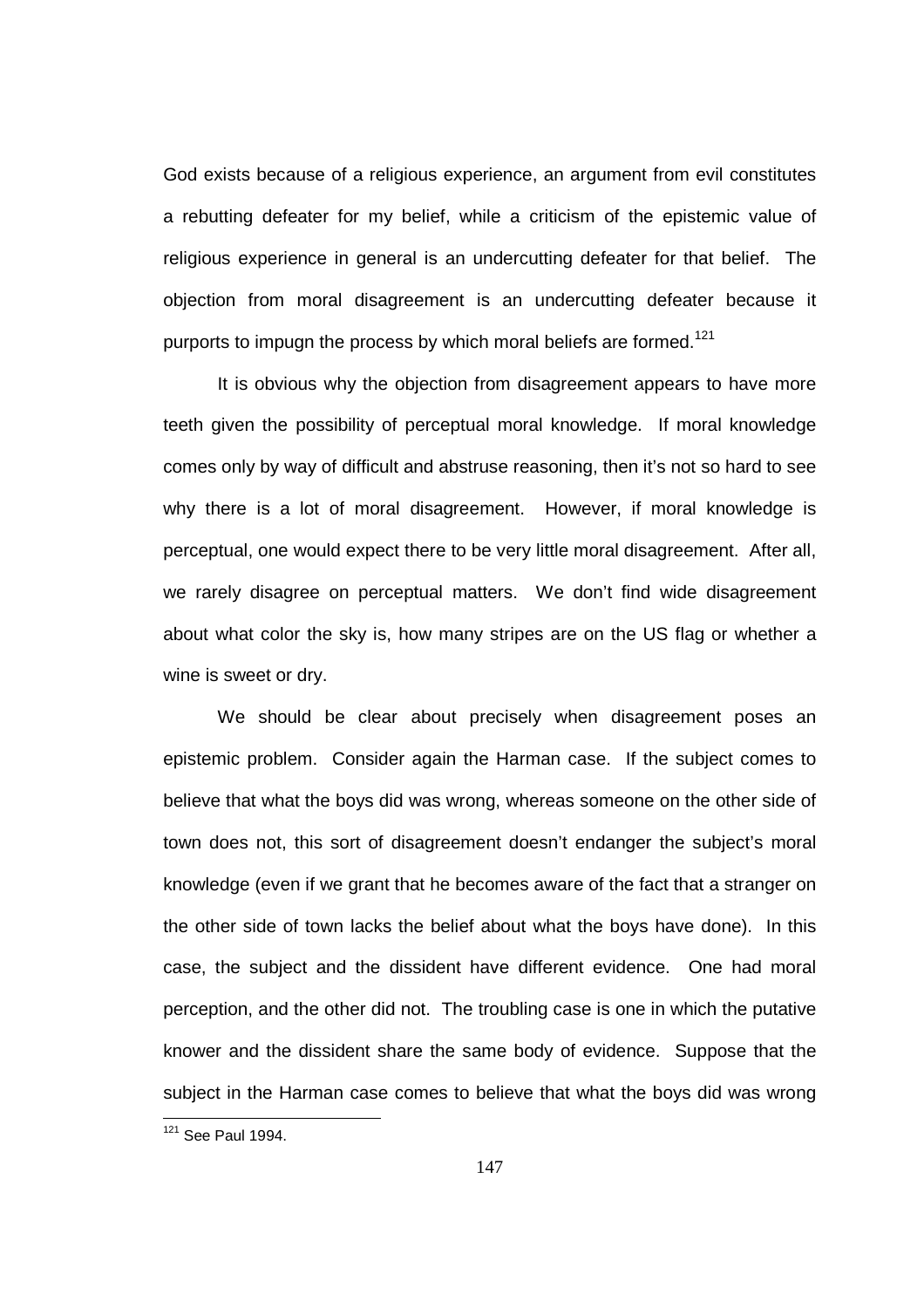God exists because of a religious experience, an argument from evil constitutes a rebutting defeater for my belief, while a criticism of the epistemic value of religious experience in general is an undercutting defeater for that belief. The objection from moral disagreement is an undercutting defeater because it purports to impugn the process by which moral beliefs are formed.<sup>121</sup>

It is obvious why the objection from disagreement appears to have more teeth given the possibility of perceptual moral knowledge. If moral knowledge comes only by way of difficult and abstruse reasoning, then it's not so hard to see why there is a lot of moral disagreement. However, if moral knowledge is perceptual, one would expect there to be very little moral disagreement. After all, we rarely disagree on perceptual matters. We don't find wide disagreement about what color the sky is, how many stripes are on the US flag or whether a wine is sweet or dry.

We should be clear about precisely when disagreement poses an epistemic problem. Consider again the Harman case. If the subject comes to believe that what the boys did was wrong, whereas someone on the other side of town does not, this sort of disagreement doesn't endanger the subject's moral knowledge (even if we grant that he becomes aware of the fact that a stranger on the other side of town lacks the belief about what the boys have done). In this case, the subject and the dissident have different evidence. One had moral perception, and the other did not. The troubling case is one in which the putative knower and the dissident share the same body of evidence. Suppose that the subject in the Harman case comes to believe that what the boys did was wrong 

 $121$  See Paul 1994.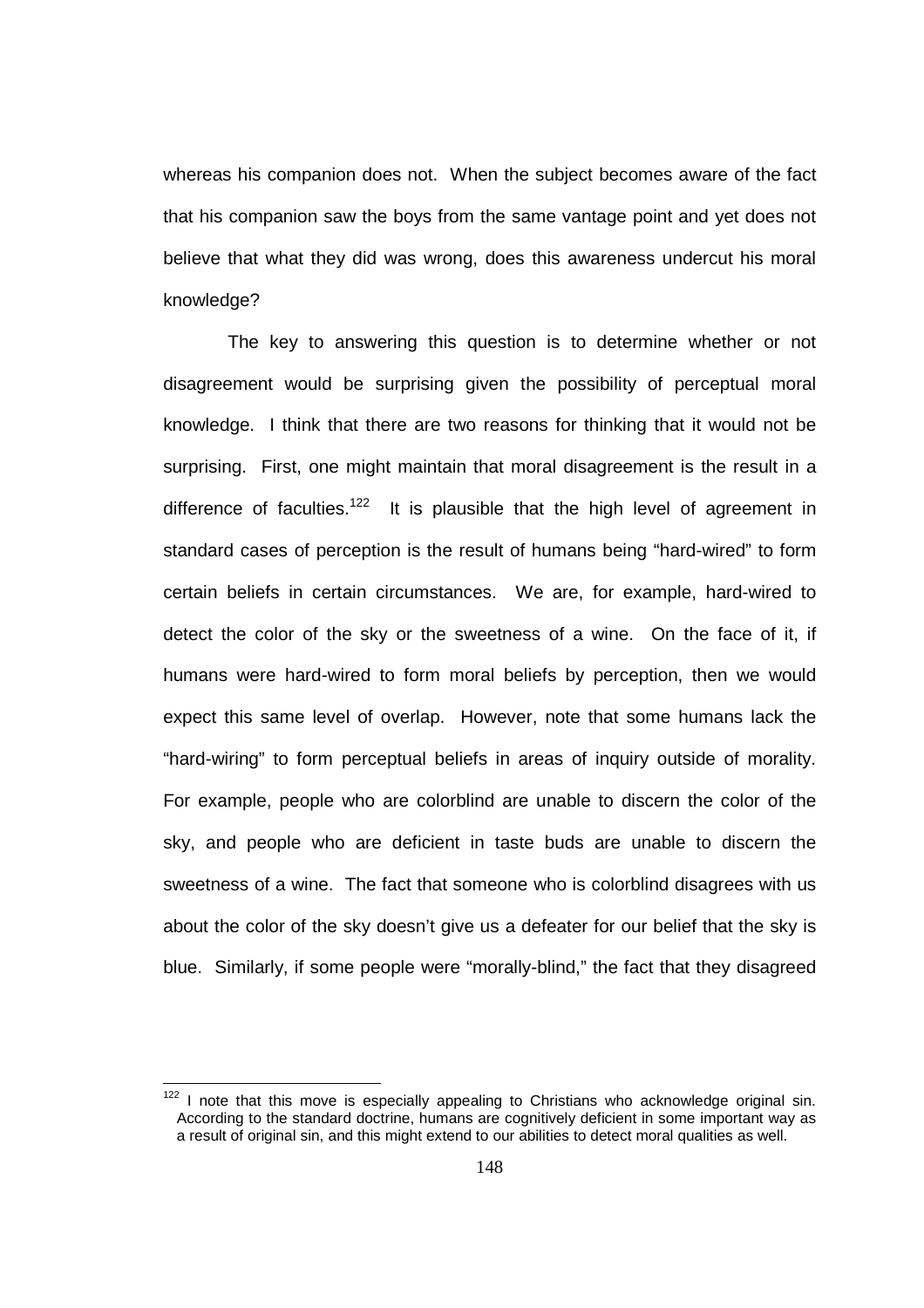whereas his companion does not. When the subject becomes aware of the fact that his companion saw the boys from the same vantage point and yet does not believe that what they did was wrong, does this awareness undercut his moral knowledge?

 The key to answering this question is to determine whether or not disagreement would be surprising given the possibility of perceptual moral knowledge. I think that there are two reasons for thinking that it would not be surprising. First, one might maintain that moral disagreement is the result in a difference of faculties.<sup>122</sup> It is plausible that the high level of agreement in standard cases of perception is the result of humans being "hard-wired" to form certain beliefs in certain circumstances. We are, for example, hard-wired to detect the color of the sky or the sweetness of a wine. On the face of it, if humans were hard-wired to form moral beliefs by perception, then we would expect this same level of overlap. However, note that some humans lack the "hard-wiring" to form perceptual beliefs in areas of inquiry outside of morality. For example, people who are colorblind are unable to discern the color of the sky, and people who are deficient in taste buds are unable to discern the sweetness of a wine. The fact that someone who is colorblind disagrees with us about the color of the sky doesn't give us a defeater for our belief that the sky is blue. Similarly, if some people were "morally-blind," the fact that they disagreed

 $122$  I note that this move is especially appealing to Christians who acknowledge original sin. According to the standard doctrine, humans are cognitively deficient in some important way as a result of original sin, and this might extend to our abilities to detect moral qualities as well.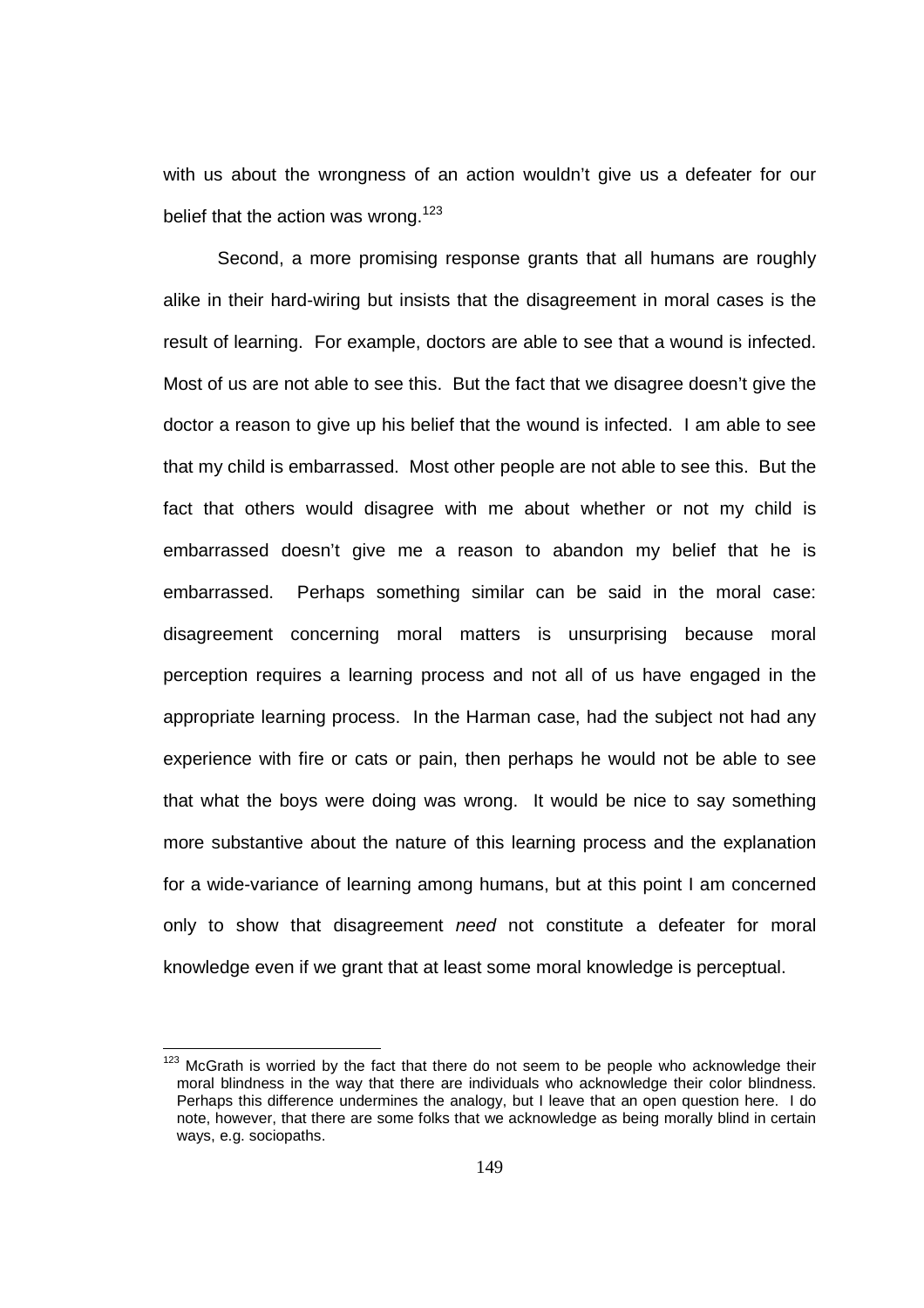with us about the wrongness of an action wouldn't give us a defeater for our belief that the action was wrong.<sup>123</sup>

Second, a more promising response grants that all humans are roughly alike in their hard-wiring but insists that the disagreement in moral cases is the result of learning. For example, doctors are able to see that a wound is infected. Most of us are not able to see this. But the fact that we disagree doesn't give the doctor a reason to give up his belief that the wound is infected. I am able to see that my child is embarrassed. Most other people are not able to see this. But the fact that others would disagree with me about whether or not my child is embarrassed doesn't give me a reason to abandon my belief that he is embarrassed. Perhaps something similar can be said in the moral case: disagreement concerning moral matters is unsurprising because moral perception requires a learning process and not all of us have engaged in the appropriate learning process. In the Harman case, had the subject not had any experience with fire or cats or pain, then perhaps he would not be able to see that what the boys were doing was wrong. It would be nice to say something more substantive about the nature of this learning process and the explanation for a wide-variance of learning among humans, but at this point I am concerned only to show that disagreement need not constitute a defeater for moral knowledge even if we grant that at least some moral knowledge is perceptual.

 $123$  McGrath is worried by the fact that there do not seem to be people who acknowledge their moral blindness in the way that there are individuals who acknowledge their color blindness. Perhaps this difference undermines the analogy, but I leave that an open question here. I do note, however, that there are some folks that we acknowledge as being morally blind in certain ways, e.g. sociopaths.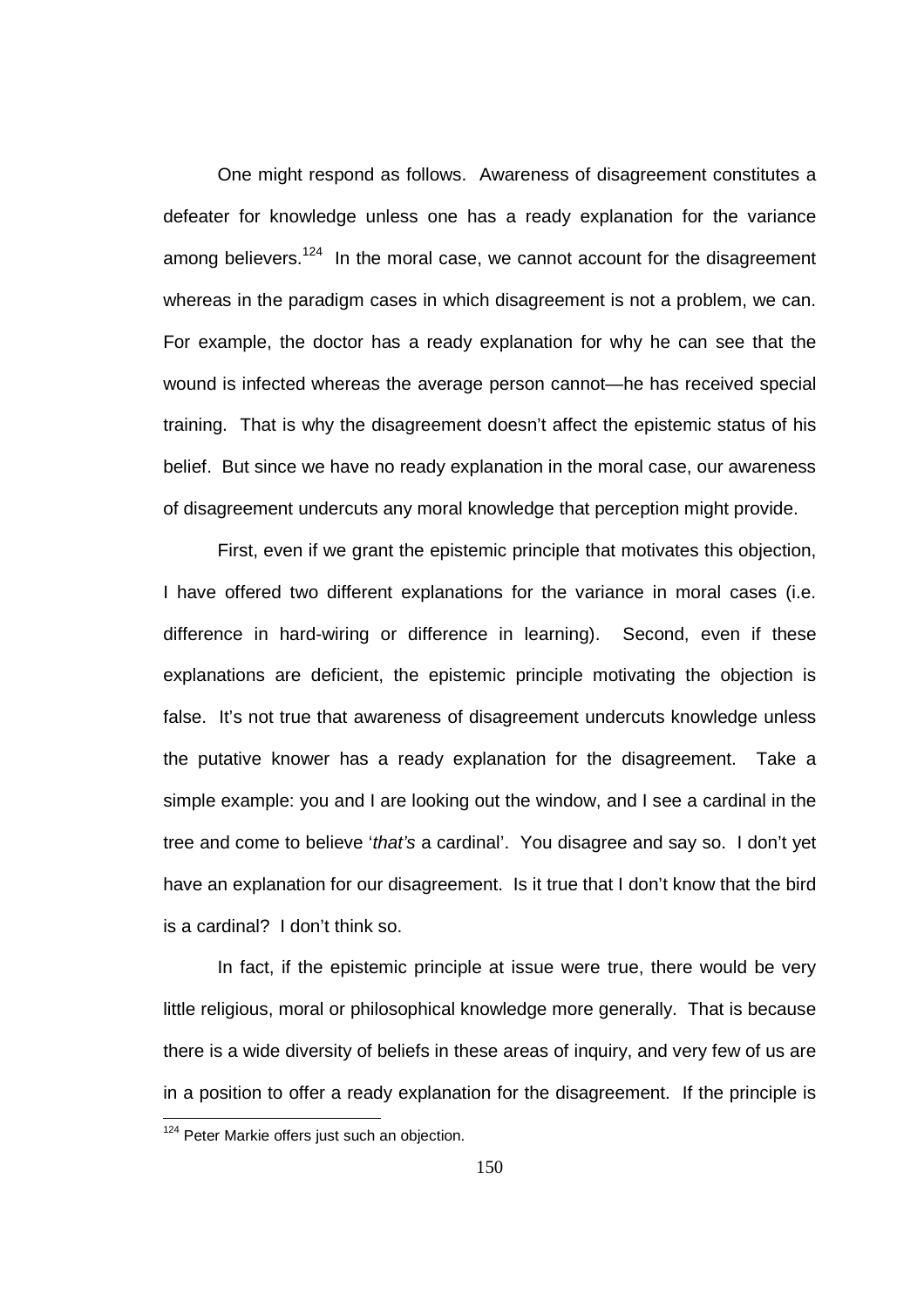One might respond as follows. Awareness of disagreement constitutes a defeater for knowledge unless one has a ready explanation for the variance among believers.<sup>124</sup> In the moral case, we cannot account for the disagreement whereas in the paradigm cases in which disagreement is not a problem, we can. For example, the doctor has a ready explanation for why he can see that the wound is infected whereas the average person cannot—he has received special training. That is why the disagreement doesn't affect the epistemic status of his belief. But since we have no ready explanation in the moral case, our awareness of disagreement undercuts any moral knowledge that perception might provide.

First, even if we grant the epistemic principle that motivates this objection, I have offered two different explanations for the variance in moral cases (i.e. difference in hard-wiring or difference in learning). Second, even if these explanations are deficient, the epistemic principle motivating the objection is false. It's not true that awareness of disagreement undercuts knowledge unless the putative knower has a ready explanation for the disagreement. Take a simple example: you and I are looking out the window, and I see a cardinal in the tree and come to believe 'that's a cardinal'. You disagree and say so. I don't yet have an explanation for our disagreement. Is it true that I don't know that the bird is a cardinal? I don't think so.

In fact, if the epistemic principle at issue were true, there would be very little religious, moral or philosophical knowledge more generally. That is because there is a wide diversity of beliefs in these areas of inquiry, and very few of us are in a position to offer a ready explanation for the disagreement. If the principle is

<sup>&</sup>lt;sup>124</sup> Peter Markie offers just such an objection.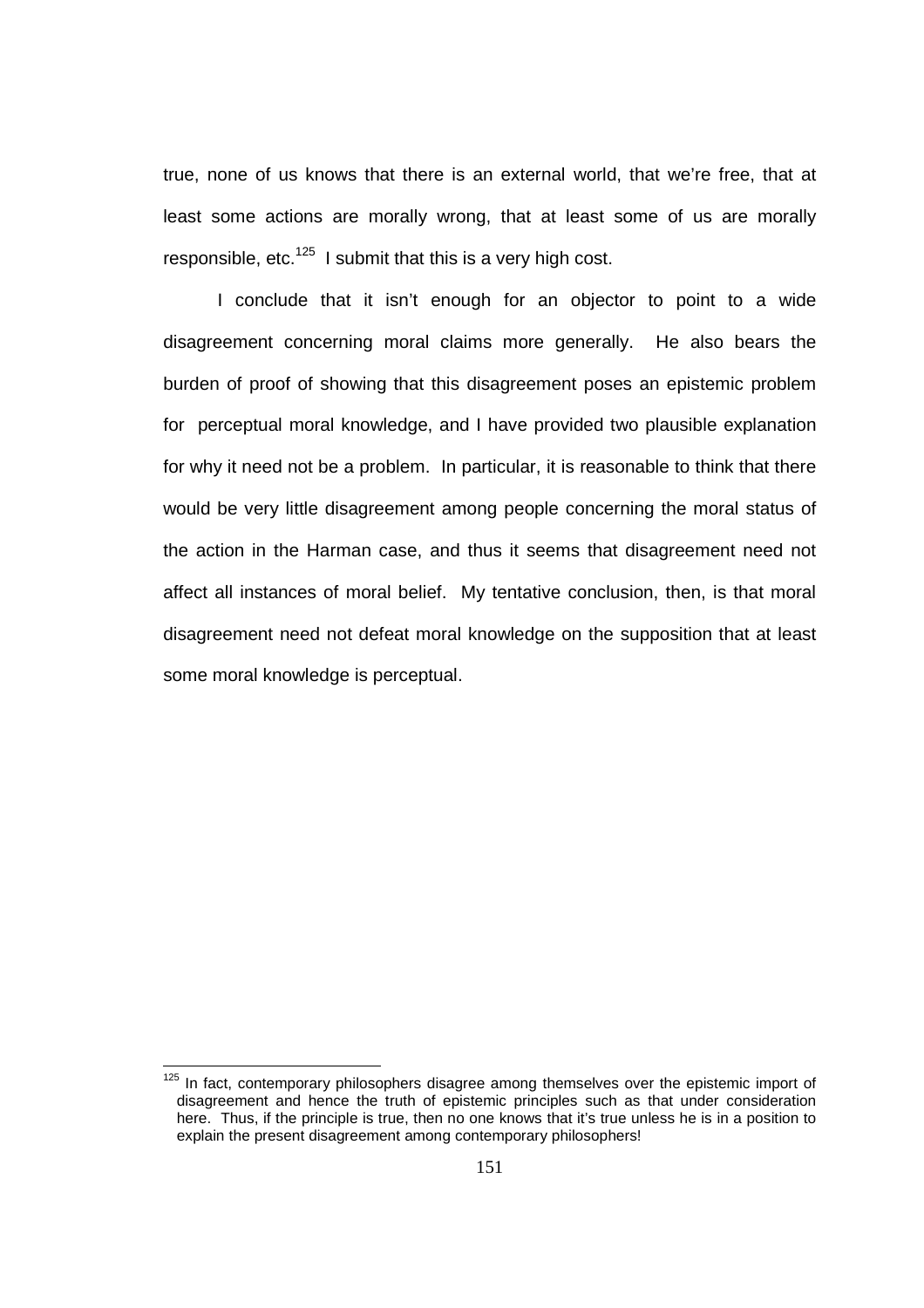true, none of us knows that there is an external world, that we're free, that at least some actions are morally wrong, that at least some of us are morally responsible, etc. $125$  I submit that this is a very high cost.

I conclude that it isn't enough for an objector to point to a wide disagreement concerning moral claims more generally. He also bears the burden of proof of showing that this disagreement poses an epistemic problem for perceptual moral knowledge, and I have provided two plausible explanation for why it need not be a problem. In particular, it is reasonable to think that there would be very little disagreement among people concerning the moral status of the action in the Harman case, and thus it seems that disagreement need not affect all instances of moral belief. My tentative conclusion, then, is that moral disagreement need not defeat moral knowledge on the supposition that at least some moral knowledge is perceptual.

 $125$  In fact, contemporary philosophers disagree among themselves over the epistemic import of disagreement and hence the truth of epistemic principles such as that under consideration here. Thus, if the principle is true, then no one knows that it's true unless he is in a position to explain the present disagreement among contemporary philosophers!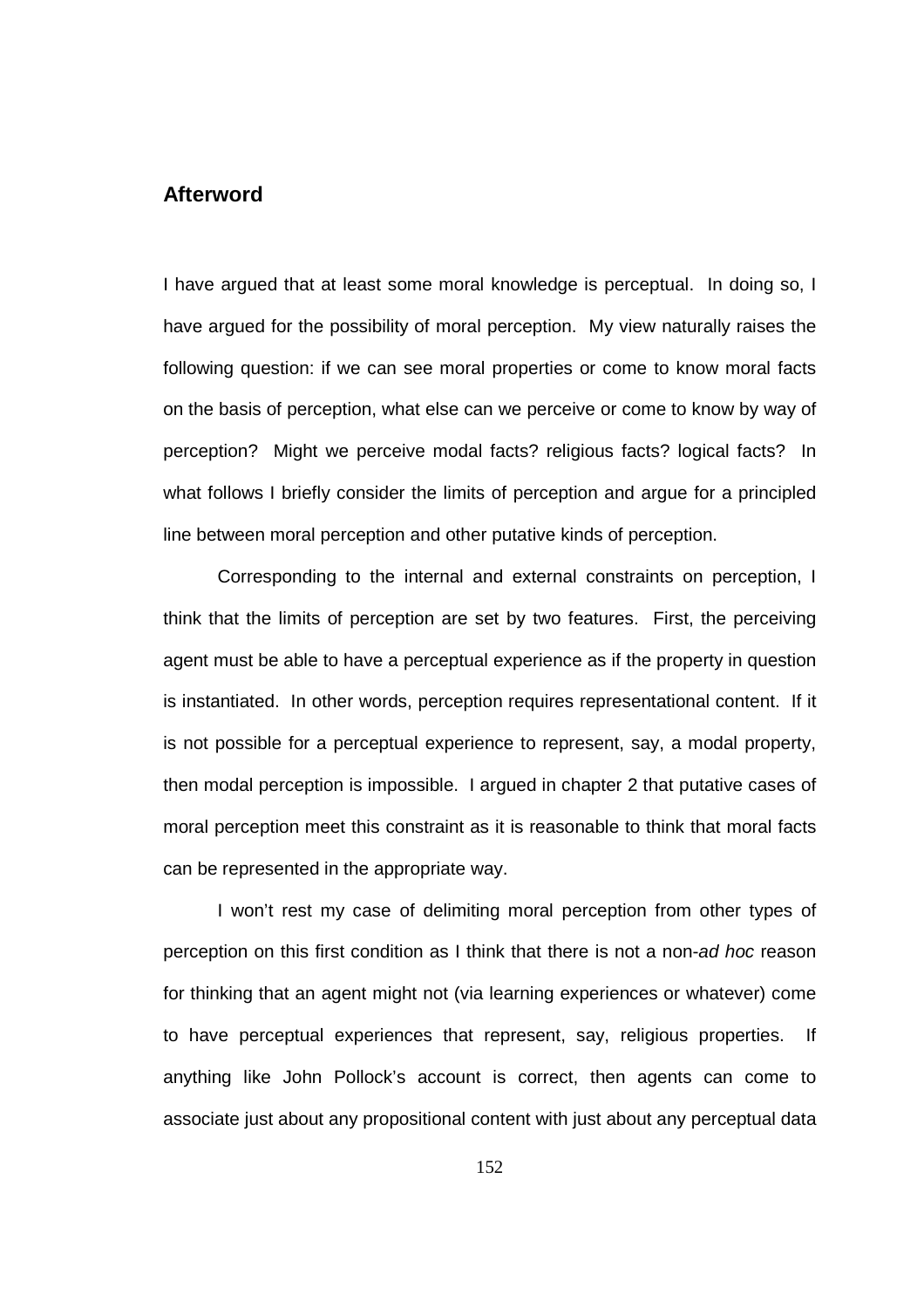## **Afterword**

I have argued that at least some moral knowledge is perceptual. In doing so, I have argued for the possibility of moral perception. My view naturally raises the following question: if we can see moral properties or come to know moral facts on the basis of perception, what else can we perceive or come to know by way of perception? Might we perceive modal facts? religious facts? logical facts? In what follows I briefly consider the limits of perception and argue for a principled line between moral perception and other putative kinds of perception.

 Corresponding to the internal and external constraints on perception, I think that the limits of perception are set by two features. First, the perceiving agent must be able to have a perceptual experience as if the property in question is instantiated. In other words, perception requires representational content. If it is not possible for a perceptual experience to represent, say, a modal property, then modal perception is impossible. I argued in chapter 2 that putative cases of moral perception meet this constraint as it is reasonable to think that moral facts can be represented in the appropriate way.

 I won't rest my case of delimiting moral perception from other types of perception on this first condition as I think that there is not a non-ad hoc reason for thinking that an agent might not (via learning experiences or whatever) come to have perceptual experiences that represent, say, religious properties. If anything like John Pollock's account is correct, then agents can come to associate just about any propositional content with just about any perceptual data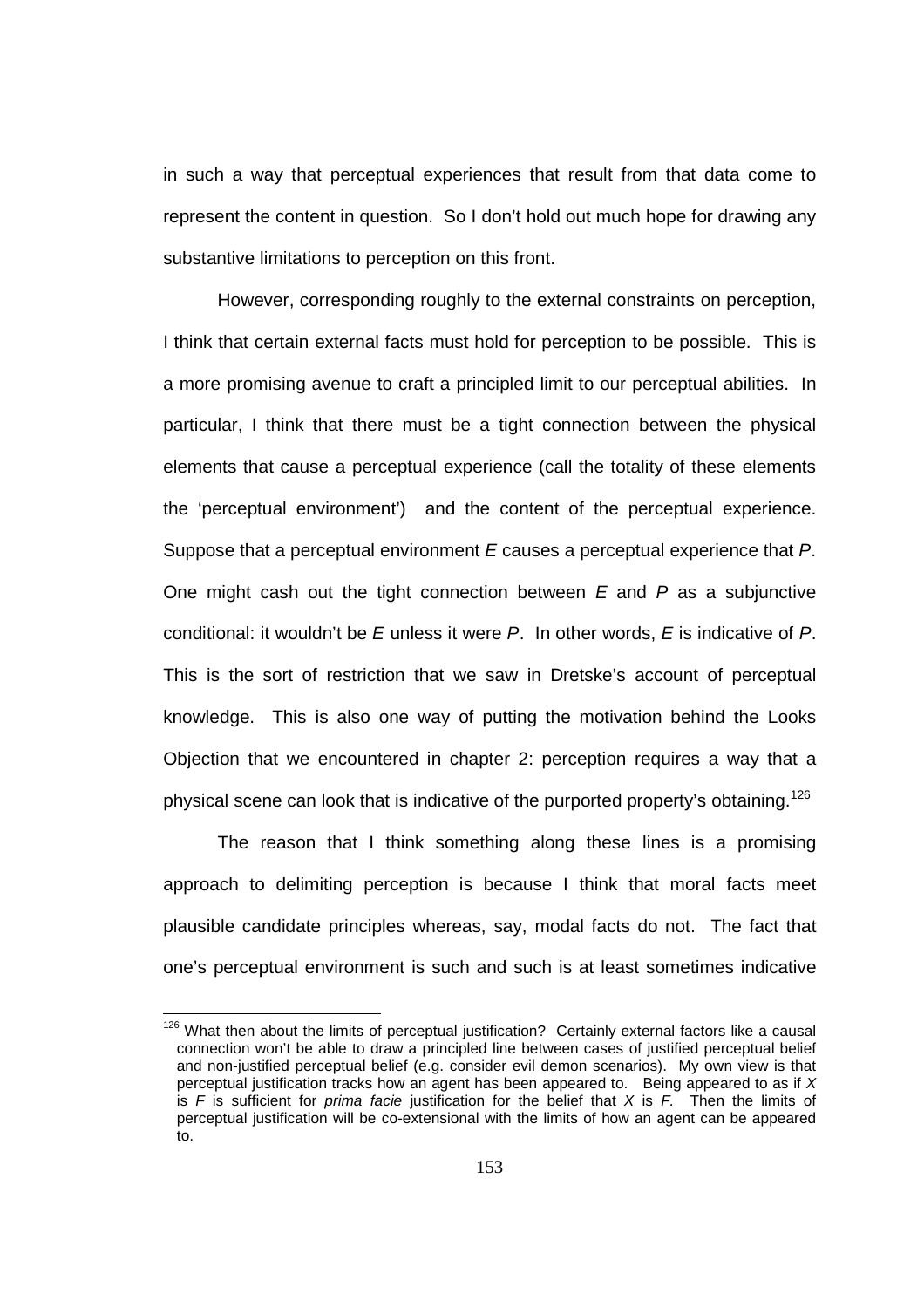in such a way that perceptual experiences that result from that data come to represent the content in question. So I don't hold out much hope for drawing any substantive limitations to perception on this front.

 However, corresponding roughly to the external constraints on perception, I think that certain external facts must hold for perception to be possible. This is a more promising avenue to craft a principled limit to our perceptual abilities. In particular, I think that there must be a tight connection between the physical elements that cause a perceptual experience (call the totality of these elements the 'perceptual environment') and the content of the perceptual experience. Suppose that a perceptual environment E causes a perceptual experience that P. One might cash out the tight connection between  $E$  and  $P$  as a subjunctive conditional: it wouldn't be  $E$  unless it were  $P$ . In other words,  $E$  is indicative of  $P$ . This is the sort of restriction that we saw in Dretske's account of perceptual knowledge. This is also one way of putting the motivation behind the Looks Objection that we encountered in chapter 2: perception requires a way that a physical scene can look that is indicative of the purported property's obtaining.<sup>126</sup>

 The reason that I think something along these lines is a promising approach to delimiting perception is because I think that moral facts meet plausible candidate principles whereas, say, modal facts do not. The fact that one's perceptual environment is such and such is at least sometimes indicative

 $126$  What then about the limits of perceptual justification? Certainly external factors like a causal connection won't be able to draw a principled line between cases of justified perceptual belief and non-justified perceptual belief (e.g. consider evil demon scenarios). My own view is that perceptual justification tracks how an agent has been appeared to. Being appeared to as if X is  $F$  is sufficient for *prima facie* justification for the belief that  $X$  is  $F$ . Then the limits of perceptual justification will be co-extensional with the limits of how an agent can be appeared to.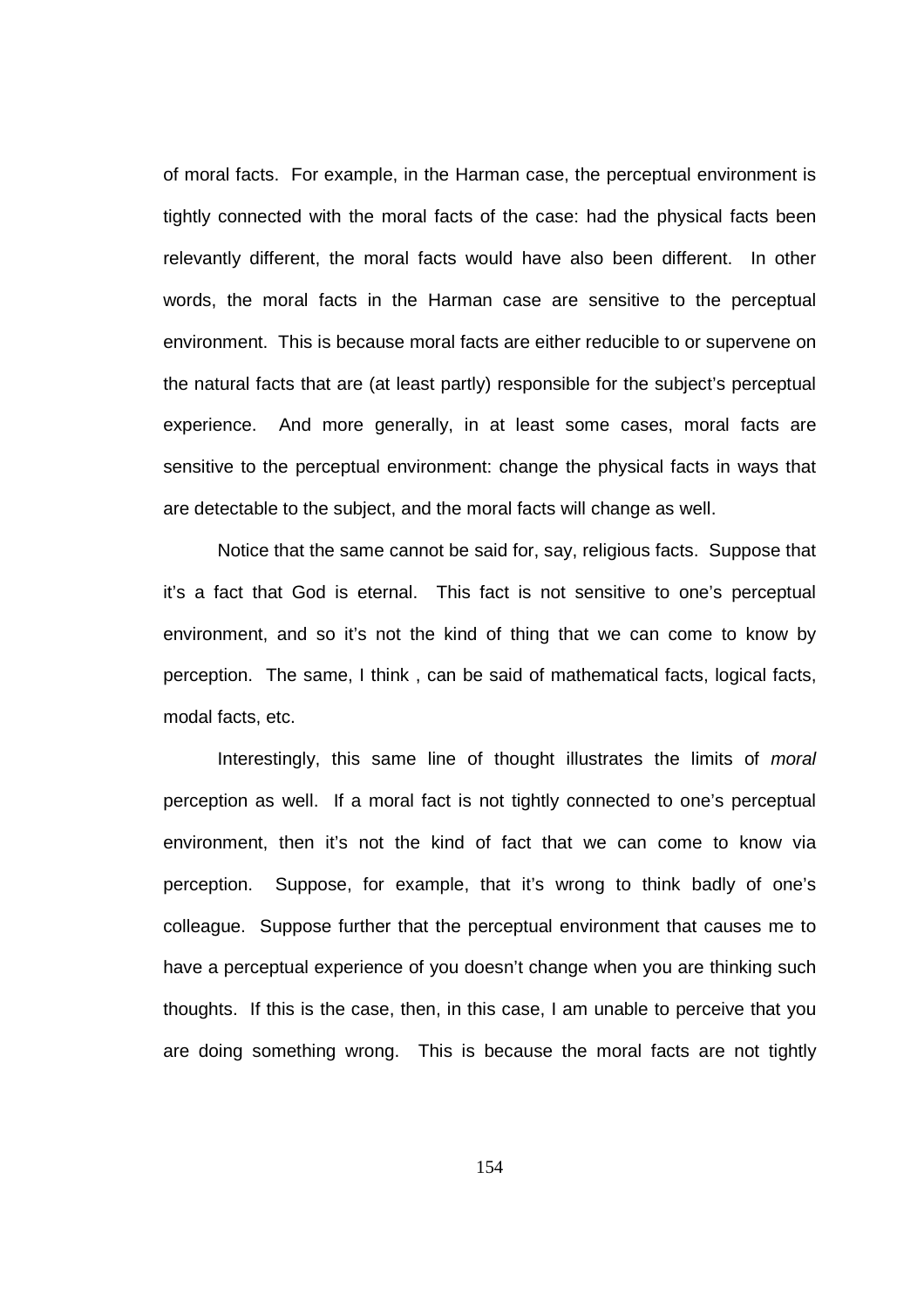of moral facts. For example, in the Harman case, the perceptual environment is tightly connected with the moral facts of the case: had the physical facts been relevantly different, the moral facts would have also been different. In other words, the moral facts in the Harman case are sensitive to the perceptual environment. This is because moral facts are either reducible to or supervene on the natural facts that are (at least partly) responsible for the subject's perceptual experience. And more generally, in at least some cases, moral facts are sensitive to the perceptual environment: change the physical facts in ways that are detectable to the subject, and the moral facts will change as well.

 Notice that the same cannot be said for, say, religious facts. Suppose that it's a fact that God is eternal. This fact is not sensitive to one's perceptual environment, and so it's not the kind of thing that we can come to know by perception. The same, I think , can be said of mathematical facts, logical facts, modal facts, etc.

 Interestingly, this same line of thought illustrates the limits of moral perception as well. If a moral fact is not tightly connected to one's perceptual environment, then it's not the kind of fact that we can come to know via perception. Suppose, for example, that it's wrong to think badly of one's colleague. Suppose further that the perceptual environment that causes me to have a perceptual experience of you doesn't change when you are thinking such thoughts. If this is the case, then, in this case, I am unable to perceive that you are doing something wrong. This is because the moral facts are not tightly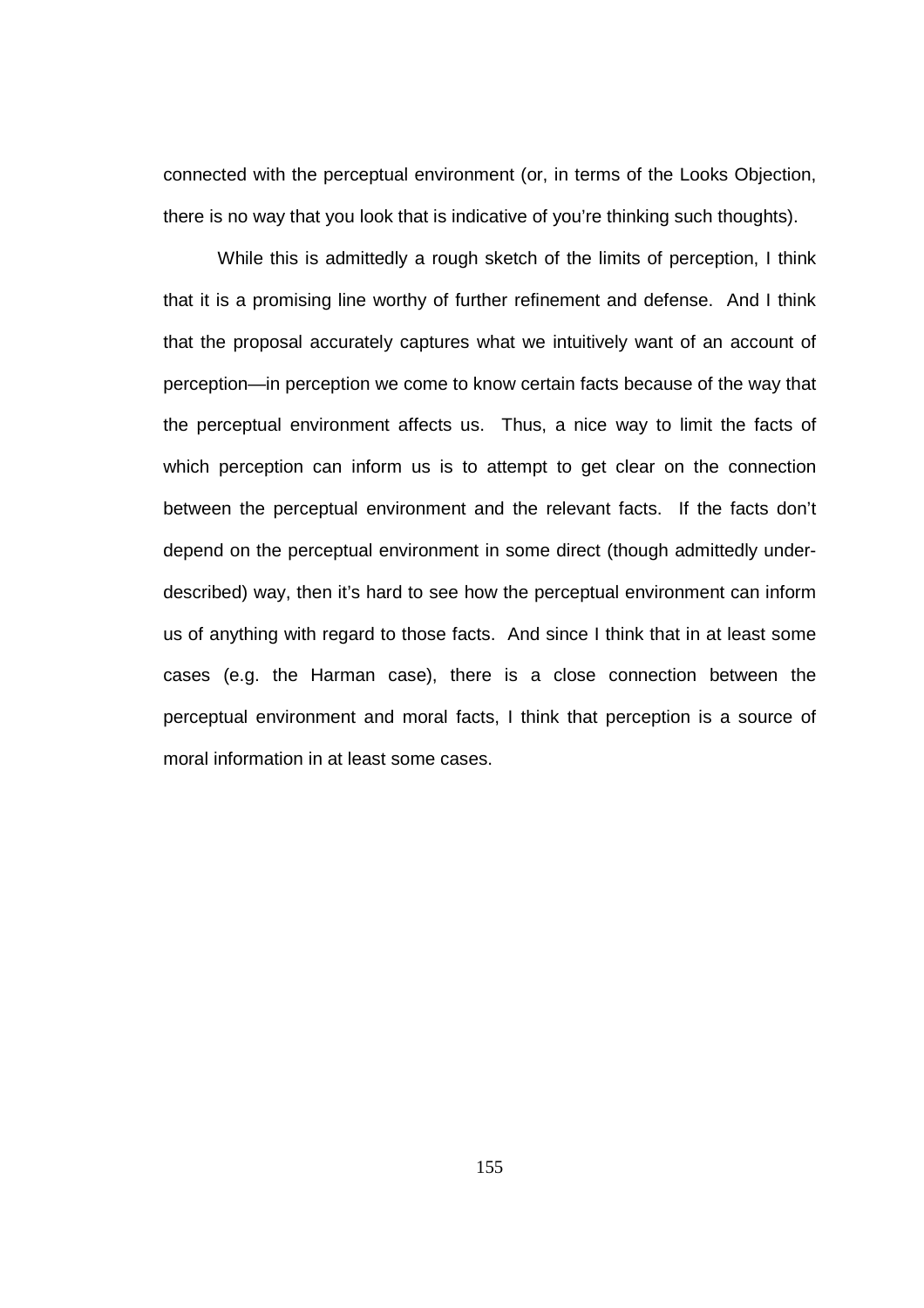connected with the perceptual environment (or, in terms of the Looks Objection, there is no way that you look that is indicative of you're thinking such thoughts).

 While this is admittedly a rough sketch of the limits of perception, I think that it is a promising line worthy of further refinement and defense. And I think that the proposal accurately captures what we intuitively want of an account of perception—in perception we come to know certain facts because of the way that the perceptual environment affects us. Thus, a nice way to limit the facts of which perception can inform us is to attempt to get clear on the connection between the perceptual environment and the relevant facts. If the facts don't depend on the perceptual environment in some direct (though admittedly underdescribed) way, then it's hard to see how the perceptual environment can inform us of anything with regard to those facts. And since I think that in at least some cases (e.g. the Harman case), there is a close connection between the perceptual environment and moral facts, I think that perception is a source of moral information in at least some cases.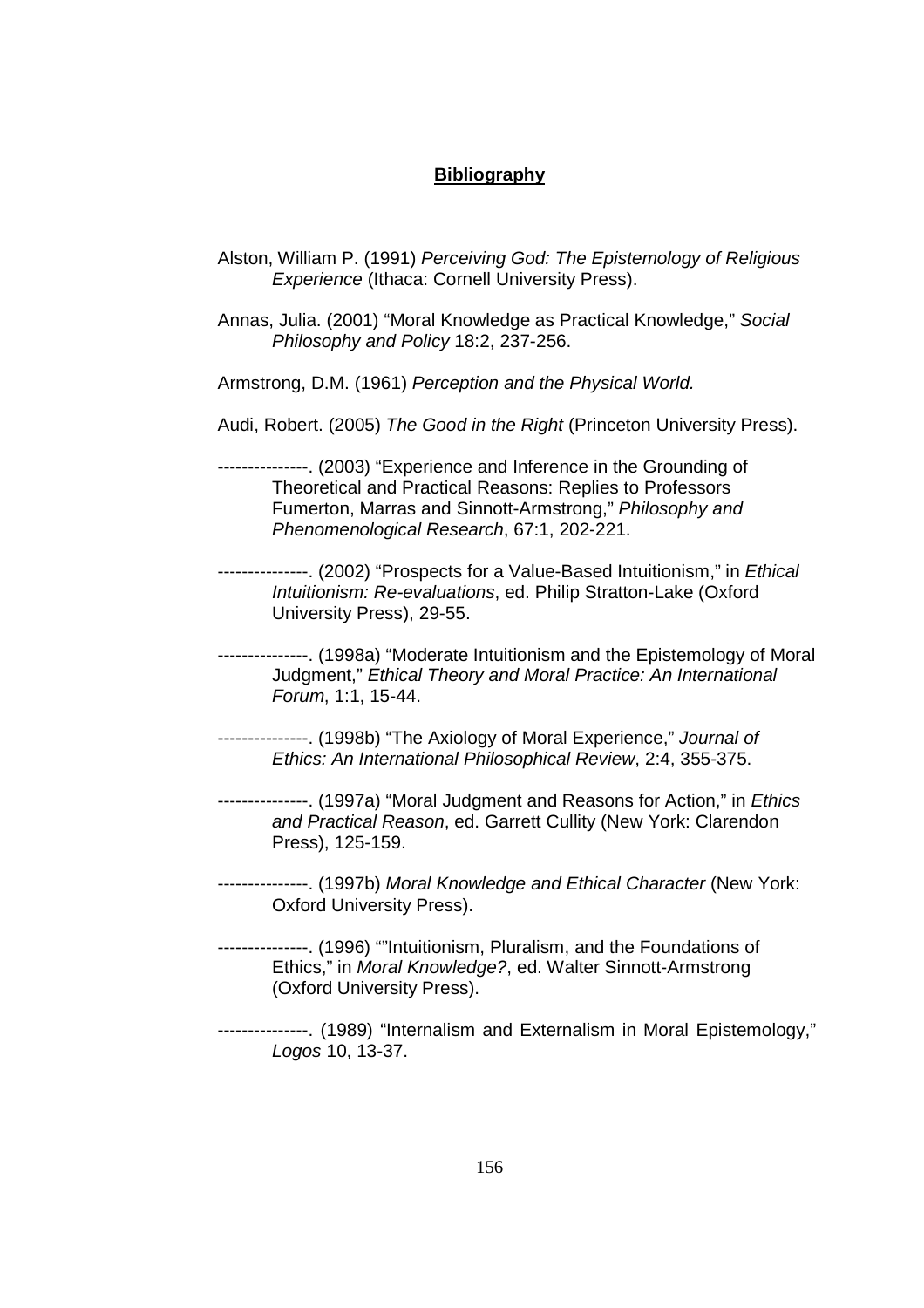## **Bibliography**

- Alston, William P. (1991) Perceiving God: The Epistemology of Religious Experience (Ithaca: Cornell University Press).
- Annas, Julia. (2001) "Moral Knowledge as Practical Knowledge," Social Philosophy and Policy 18:2, 237-256.
- Armstrong, D.M. (1961) Perception and the Physical World.
- Audi, Robert. (2005) The Good in the Right (Princeton University Press).

---------------. (2003) "Experience and Inference in the Grounding of Theoretical and Practical Reasons: Replies to Professors Fumerton, Marras and Sinnott-Armstrong," Philosophy and Phenomenological Research, 67:1, 202-221.

- ---------------. (2002) "Prospects for a Value-Based Intuitionism," in *Ethical* Intuitionism: Re-evaluations, ed. Philip Stratton-Lake (Oxford University Press), 29-55.
- ---------------. (1998a) "Moderate Intuitionism and the Epistemology of Moral Judgment," Ethical Theory and Moral Practice: An International Forum, 1:1, 15-44.
- ---------------. (1998b) "The Axiology of Moral Experience," Journal of Ethics: An International Philosophical Review, 2:4, 355-375.
- ---------------. (1997a) "Moral Judgment and Reasons for Action," in *Ethics* and Practical Reason, ed. Garrett Cullity (New York: Clarendon Press), 125-159.
- ---------------. (1997b) Moral Knowledge and Ethical Character (New York: Oxford University Press).
- ---------------. (1996) ""Intuitionism, Pluralism, and the Foundations of Ethics," in Moral Knowledge?, ed. Walter Sinnott-Armstrong (Oxford University Press).
- ---------------. (1989) "Internalism and Externalism in Moral Epistemology," Logos 10, 13-37.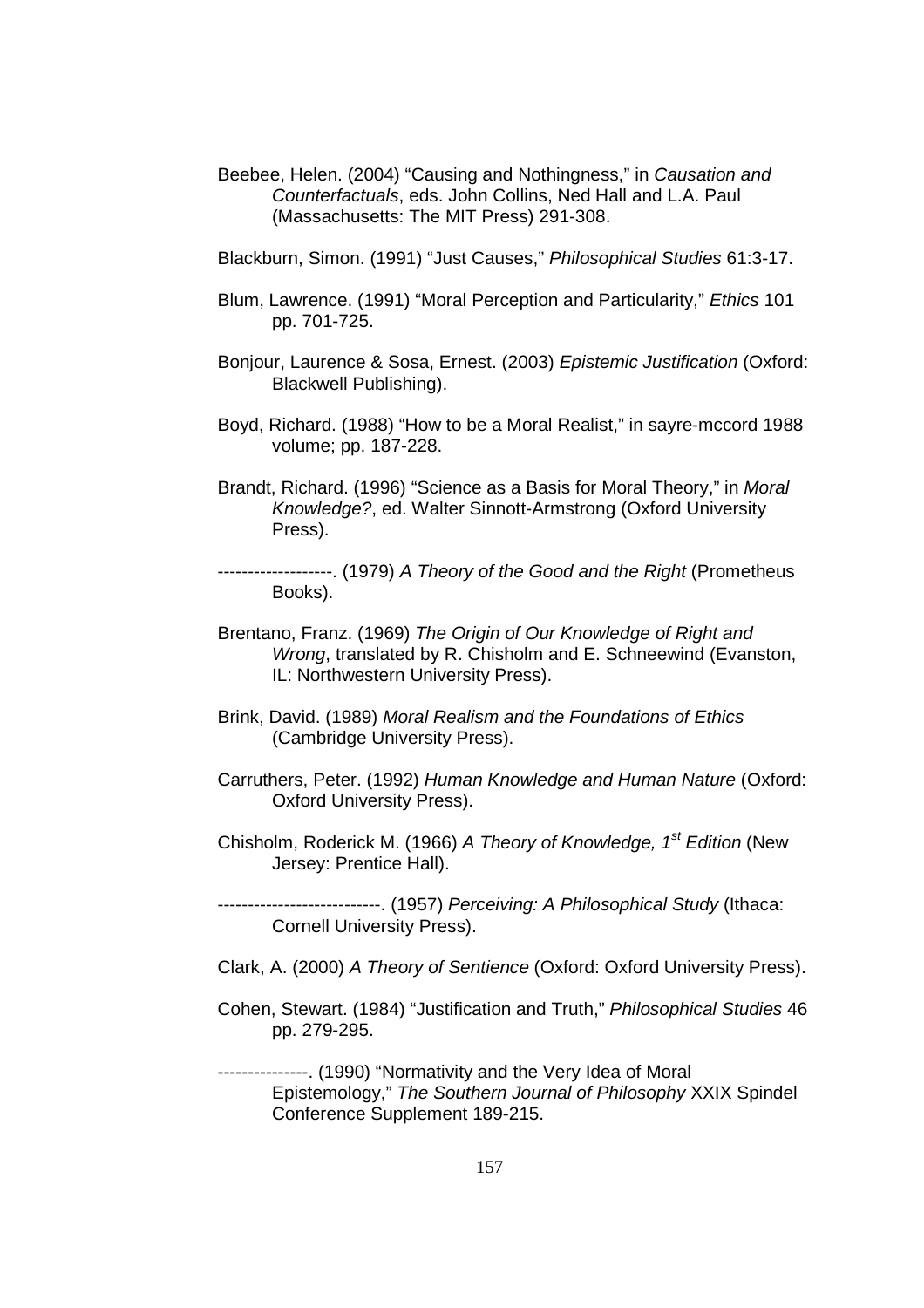Beebee, Helen. (2004) "Causing and Nothingness," in Causation and Counterfactuals, eds. John Collins, Ned Hall and L.A. Paul (Massachusetts: The MIT Press) 291-308.

Blackburn, Simon. (1991) "Just Causes," Philosophical Studies 61:3-17.

- Blum, Lawrence. (1991) "Moral Perception and Particularity," Ethics 101 pp. 701-725.
- Bonjour, Laurence & Sosa, Ernest. (2003) Epistemic Justification (Oxford: Blackwell Publishing).
- Boyd, Richard. (1988) "How to be a Moral Realist," in sayre-mccord 1988 volume; pp. 187-228.
- Brandt, Richard. (1996) "Science as a Basis for Moral Theory," in Moral Knowledge?, ed. Walter Sinnott-Armstrong (Oxford University Press).
- -------------------. (1979) A Theory of the Good and the Right (Prometheus Books).
- Brentano, Franz. (1969) The Origin of Our Knowledge of Right and Wrong, translated by R. Chisholm and E. Schneewind (Evanston, IL: Northwestern University Press).
- Brink, David. (1989) Moral Realism and the Foundations of Ethics (Cambridge University Press).
- Carruthers, Peter. (1992) Human Knowledge and Human Nature (Oxford: Oxford University Press).
- Chisholm, Roderick M. (1966) A Theory of Knowledge, 1<sup>st</sup> Edition (New Jersey: Prentice Hall).

--------------------------. (1957) Perceiving: A Philosophical Study (Ithaca: Cornell University Press).

- Clark, A. (2000) A Theory of Sentience (Oxford: Oxford University Press).
- Cohen, Stewart. (1984) "Justification and Truth," Philosophical Studies 46 pp. 279-295.

---------------. (1990) "Normativity and the Very Idea of Moral Epistemology," The Southern Journal of Philosophy XXIX Spindel Conference Supplement 189-215.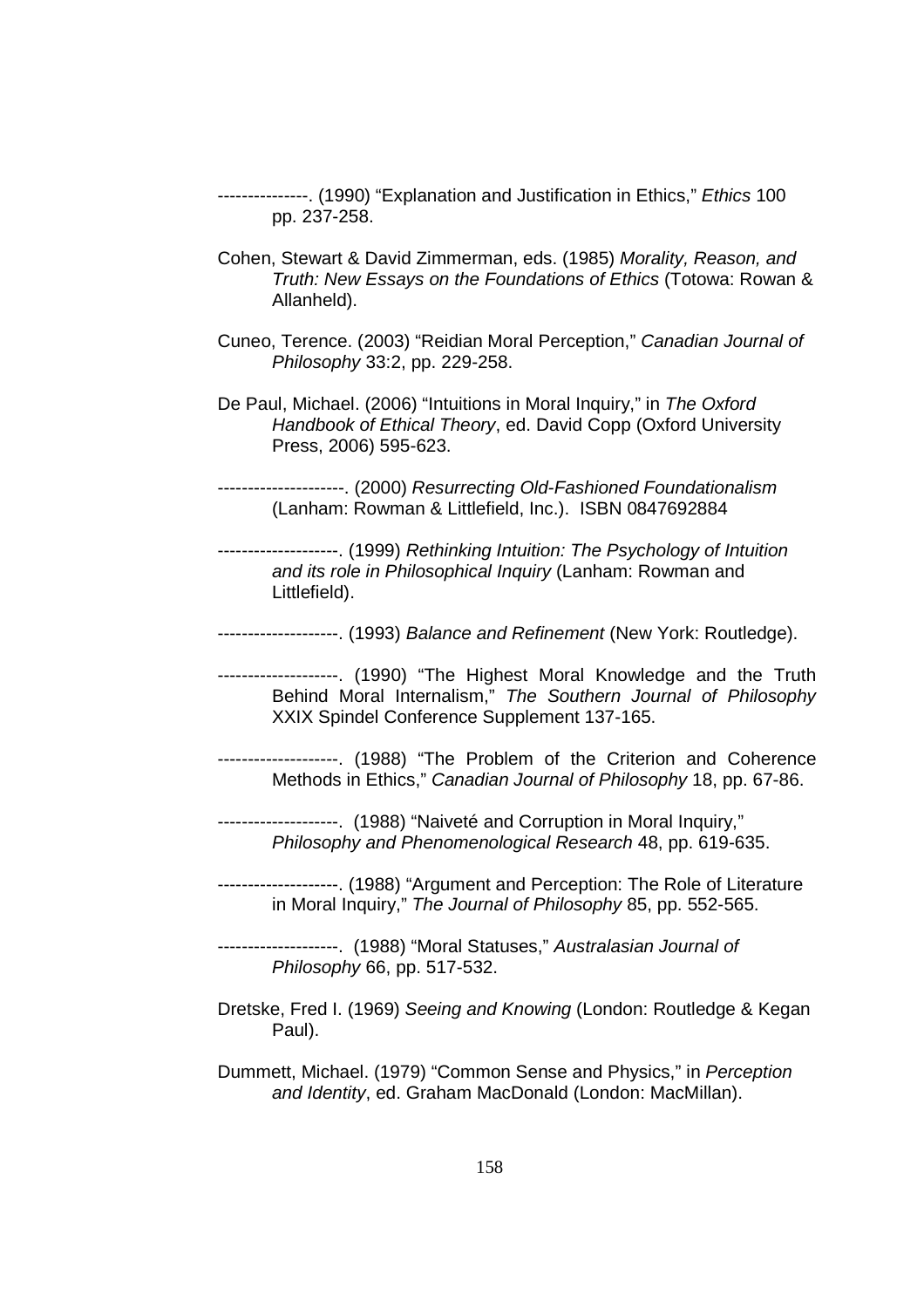---------------. (1990) "Explanation and Justification in Ethics," Ethics 100 pp. 237-258.

- Cohen, Stewart & David Zimmerman, eds. (1985) Morality, Reason, and Truth: New Essays on the Foundations of Ethics (Totowa: Rowan & Allanheld).
- Cuneo, Terence. (2003) "Reidian Moral Perception," Canadian Journal of Philosophy 33:2, pp. 229-258.
- De Paul, Michael. (2006) "Intuitions in Moral Inquiry," in The Oxford Handbook of Ethical Theory, ed. David Copp (Oxford University Press, 2006) 595-623.

---------------------. (2000) Resurrecting Old-Fashioned Foundationalism (Lanham: Rowman & Littlefield, Inc.). ISBN 0847692884

--------------------. (1999) Rethinking Intuition: The Psychology of Intuition and its role in Philosophical Inquiry (Lanham: Rowman and Littlefield).

--------------------. (1993) Balance and Refinement (New York: Routledge).

--------------------. (1990) "The Highest Moral Knowledge and the Truth Behind Moral Internalism," The Southern Journal of Philosophy XXIX Spindel Conference Supplement 137-165.

--------------------. (1988) "The Problem of the Criterion and Coherence Methods in Ethics," Canadian Journal of Philosophy 18, pp. 67-86.

--------------------. (1988) "Naiveté and Corruption in Moral Inquiry," Philosophy and Phenomenological Research 48, pp. 619-635.

--------------------. (1988) "Argument and Perception: The Role of Literature in Moral Inquiry," The Journal of Philosophy 85, pp. 552-565.

--------------------. (1988) "Moral Statuses," Australasian Journal of Philosophy 66, pp. 517-532.

Dretske, Fred I. (1969) Seeing and Knowing (London: Routledge & Kegan Paul).

Dummett, Michael. (1979) "Common Sense and Physics," in Perception and Identity, ed. Graham MacDonald (London: MacMillan).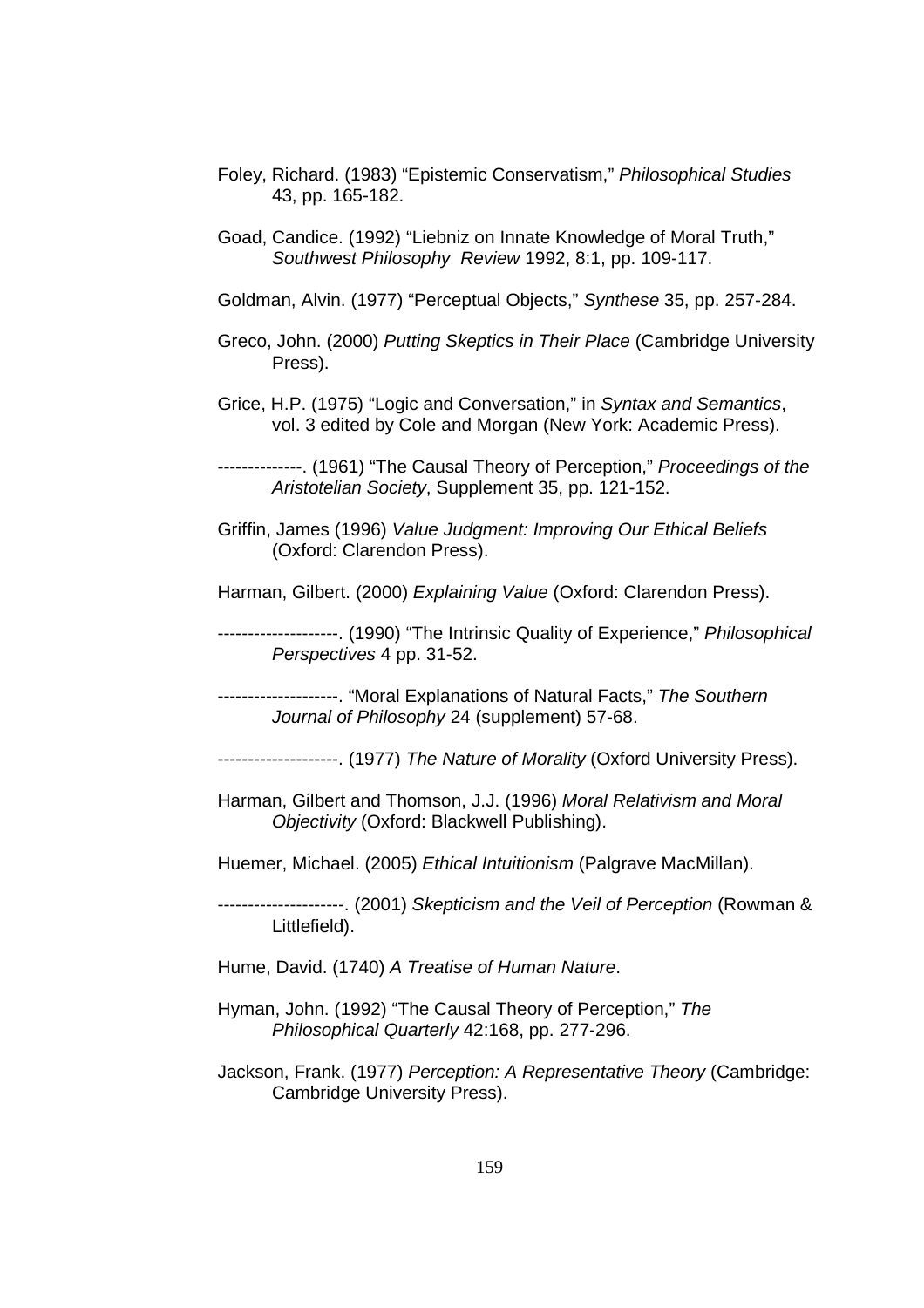- Foley, Richard. (1983) "Epistemic Conservatism," Philosophical Studies 43, pp. 165-182.
- Goad, Candice. (1992) "Liebniz on Innate Knowledge of Moral Truth," Southwest Philosophy Review 1992, 8:1, pp. 109-117.
- Goldman, Alvin. (1977) "Perceptual Objects," Synthese 35, pp. 257-284.
- Greco, John. (2000) Putting Skeptics in Their Place (Cambridge University Press).
- Grice, H.P. (1975) "Logic and Conversation," in Syntax and Semantics, vol. 3 edited by Cole and Morgan (New York: Academic Press).

--------------. (1961) "The Causal Theory of Perception," Proceedings of the Aristotelian Society, Supplement 35, pp. 121-152.

- Griffin, James (1996) Value Judgment: Improving Our Ethical Beliefs (Oxford: Clarendon Press).
- Harman, Gilbert. (2000) Explaining Value (Oxford: Clarendon Press).
- -------------------. (1990) "The Intrinsic Quality of Experience," Philosophical Perspectives 4 pp. 31-52.
- -------------------. "Moral Explanations of Natural Facts," The Southern Journal of Philosophy 24 (supplement) 57-68.
- --------------------. (1977) The Nature of Morality (Oxford University Press).
- Harman, Gilbert and Thomson, J.J. (1996) Moral Relativism and Moral Objectivity (Oxford: Blackwell Publishing).
- Huemer, Michael. (2005) Ethical Intuitionism (Palgrave MacMillan).

---------------------. (2001) Skepticism and the Veil of Perception (Rowman & Littlefield).

- Hume, David. (1740) A Treatise of Human Nature.
- Hyman, John. (1992) "The Causal Theory of Perception," The Philosophical Quarterly 42:168, pp. 277-296.
- Jackson, Frank. (1977) Perception: A Representative Theory (Cambridge: Cambridge University Press).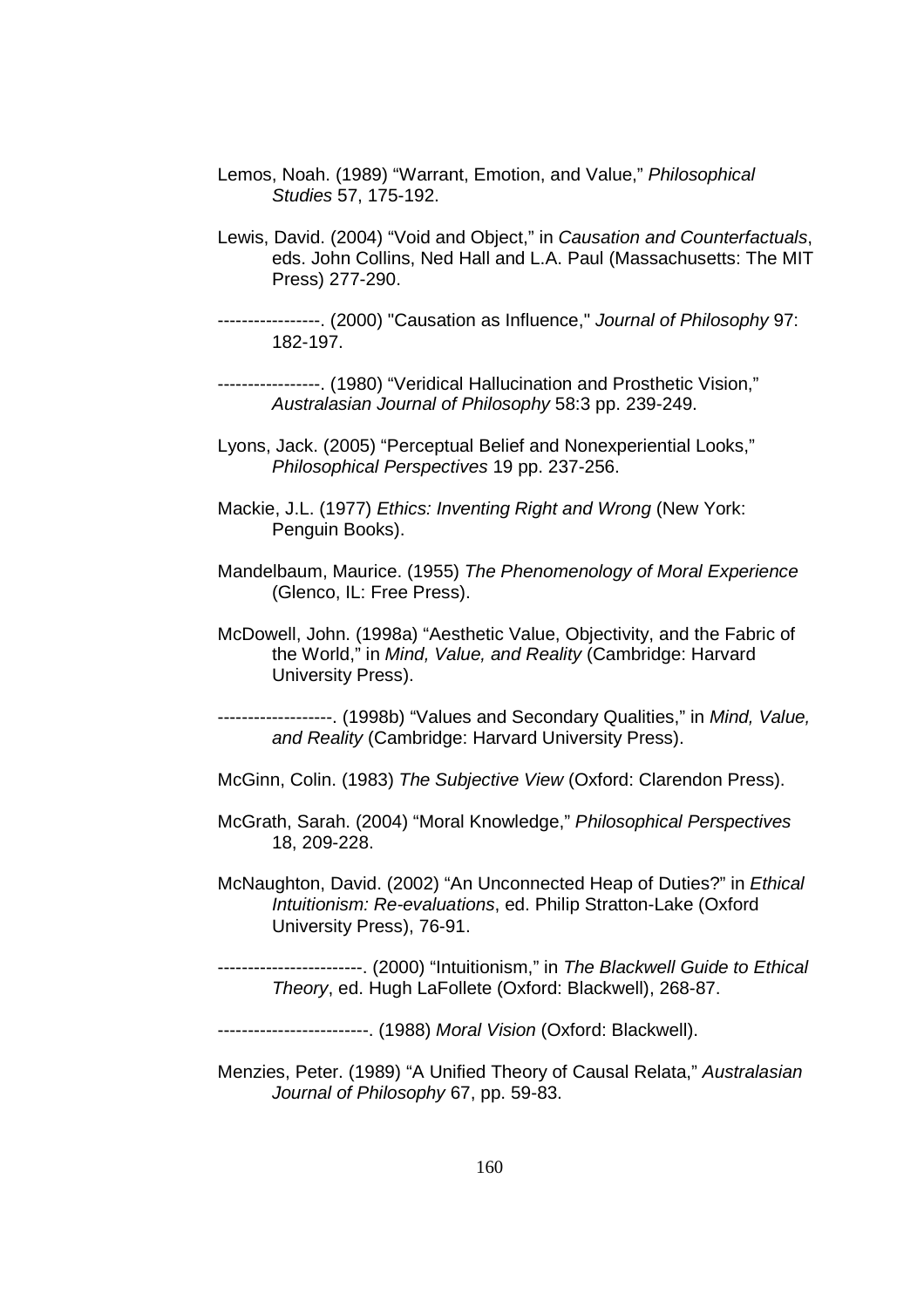- Lemos, Noah. (1989) "Warrant, Emotion, and Value," Philosophical Studies 57, 175-192.
- Lewis, David. (2004) "Void and Object," in Causation and Counterfactuals, eds. John Collins, Ned Hall and L.A. Paul (Massachusetts: The MIT Press) 277-290.
- -----------------. (2000) "Causation as Influence," Journal of Philosophy 97: 182-197.

-----------------. (1980) "Veridical Hallucination and Prosthetic Vision," Australasian Journal of Philosophy 58:3 pp. 239-249.

- Lyons, Jack. (2005) "Perceptual Belief and Nonexperiential Looks," Philosophical Perspectives 19 pp. 237-256.
- Mackie, J.L. (1977) Ethics: Inventing Right and Wrong (New York: Penguin Books).
- Mandelbaum, Maurice. (1955) The Phenomenology of Moral Experience (Glenco, IL: Free Press).
- McDowell, John. (1998a) "Aesthetic Value, Objectivity, and the Fabric of the World," in Mind, Value, and Reality (Cambridge: Harvard University Press).

-------------------. (1998b) "Values and Secondary Qualities," in Mind, Value, and Reality (Cambridge: Harvard University Press).

- McGinn, Colin. (1983) The Subjective View (Oxford: Clarendon Press).
- McGrath, Sarah. (2004) "Moral Knowledge," Philosophical Perspectives 18, 209-228.
- McNaughton, David. (2002) "An Unconnected Heap of Duties?" in Ethical Intuitionism: Re-evaluations, ed. Philip Stratton-Lake (Oxford University Press), 76-91.
- ------------. (2000) "Intuitionism," in The Blackwell Guide to Ethical Theory, ed. Hugh LaFollete (Oxford: Blackwell), 268-87.

-------------------------. (1988) Moral Vision (Oxford: Blackwell).

Menzies, Peter. (1989) "A Unified Theory of Causal Relata," Australasian Journal of Philosophy 67, pp. 59-83.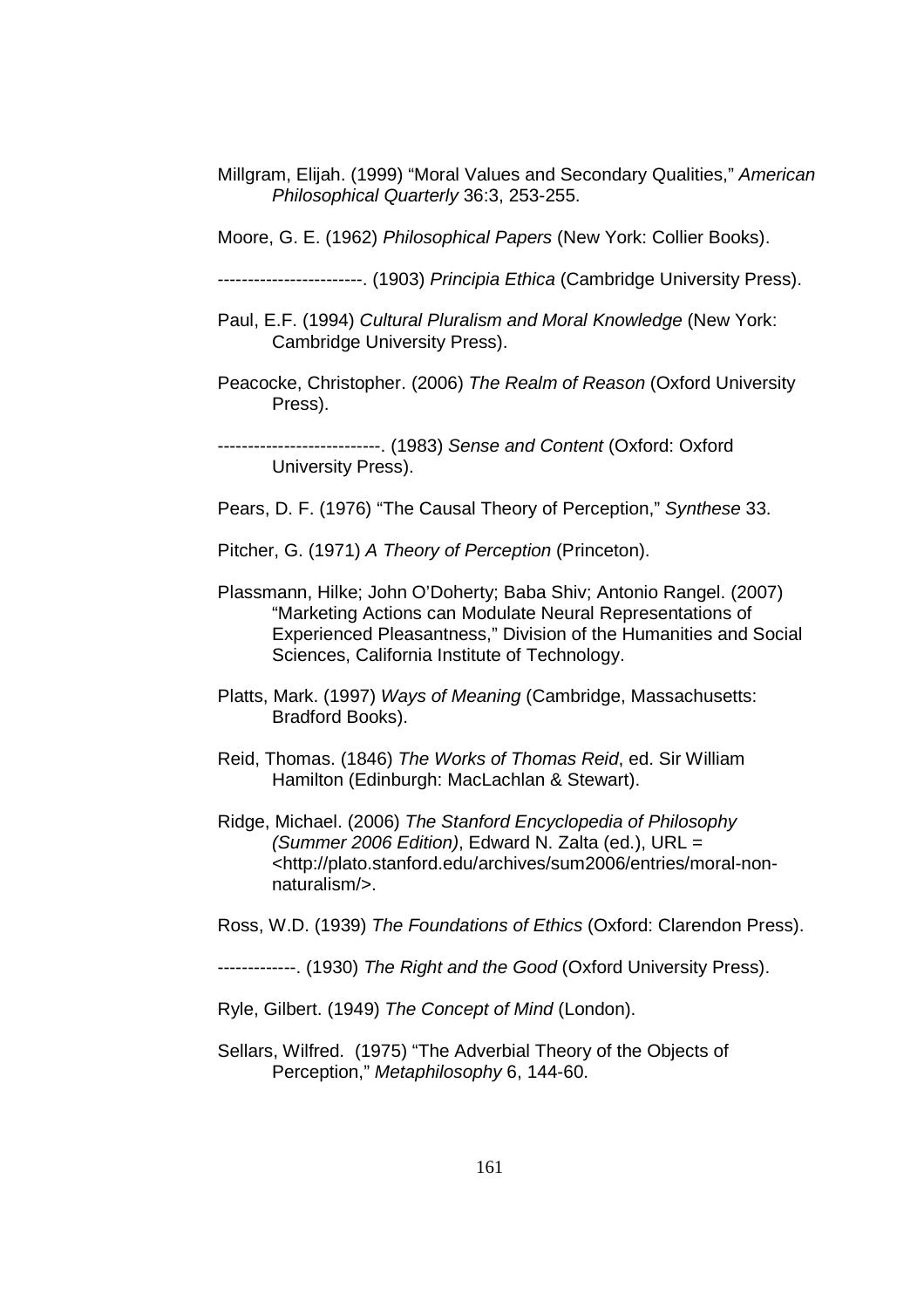Millgram, Elijah. (1999) "Moral Values and Secondary Qualities," American Philosophical Quarterly 36:3, 253-255.

Moore, G. E. (1962) Philosophical Papers (New York: Collier Books).

------------------------. (1903) Principia Ethica (Cambridge University Press).

- Paul, E.F. (1994) Cultural Pluralism and Moral Knowledge (New York: Cambridge University Press).
- Peacocke, Christopher. (2006) The Realm of Reason (Oxford University Press).

---------------. (1983) Sense and Content (Oxford: Oxford University Press).

Pears, D. F. (1976) "The Causal Theory of Perception," Synthese 33.

Pitcher, G. (1971) A Theory of Perception (Princeton).

- Plassmann, Hilke; John O'Doherty; Baba Shiv; Antonio Rangel. (2007) "Marketing Actions can Modulate Neural Representations of Experienced Pleasantness," Division of the Humanities and Social Sciences, California Institute of Technology.
- Platts, Mark. (1997) Ways of Meaning (Cambridge, Massachusetts: Bradford Books).
- Reid, Thomas. (1846) The Works of Thomas Reid, ed. Sir William Hamilton (Edinburgh: MacLachlan & Stewart).
- Ridge, Michael. (2006) The Stanford Encyclopedia of Philosophy (Summer 2006 Edition), Edward N. Zalta (ed.), URL = <http://plato.stanford.edu/archives/sum2006/entries/moral-nonnaturalism/>.

Ross, W.D. (1939) The Foundations of Ethics (Oxford: Clarendon Press).

-------------. (1930) The Right and the Good (Oxford University Press).

Ryle, Gilbert. (1949) The Concept of Mind (London).

Sellars, Wilfred. (1975) "The Adverbial Theory of the Objects of Perception," Metaphilosophy 6, 144-60.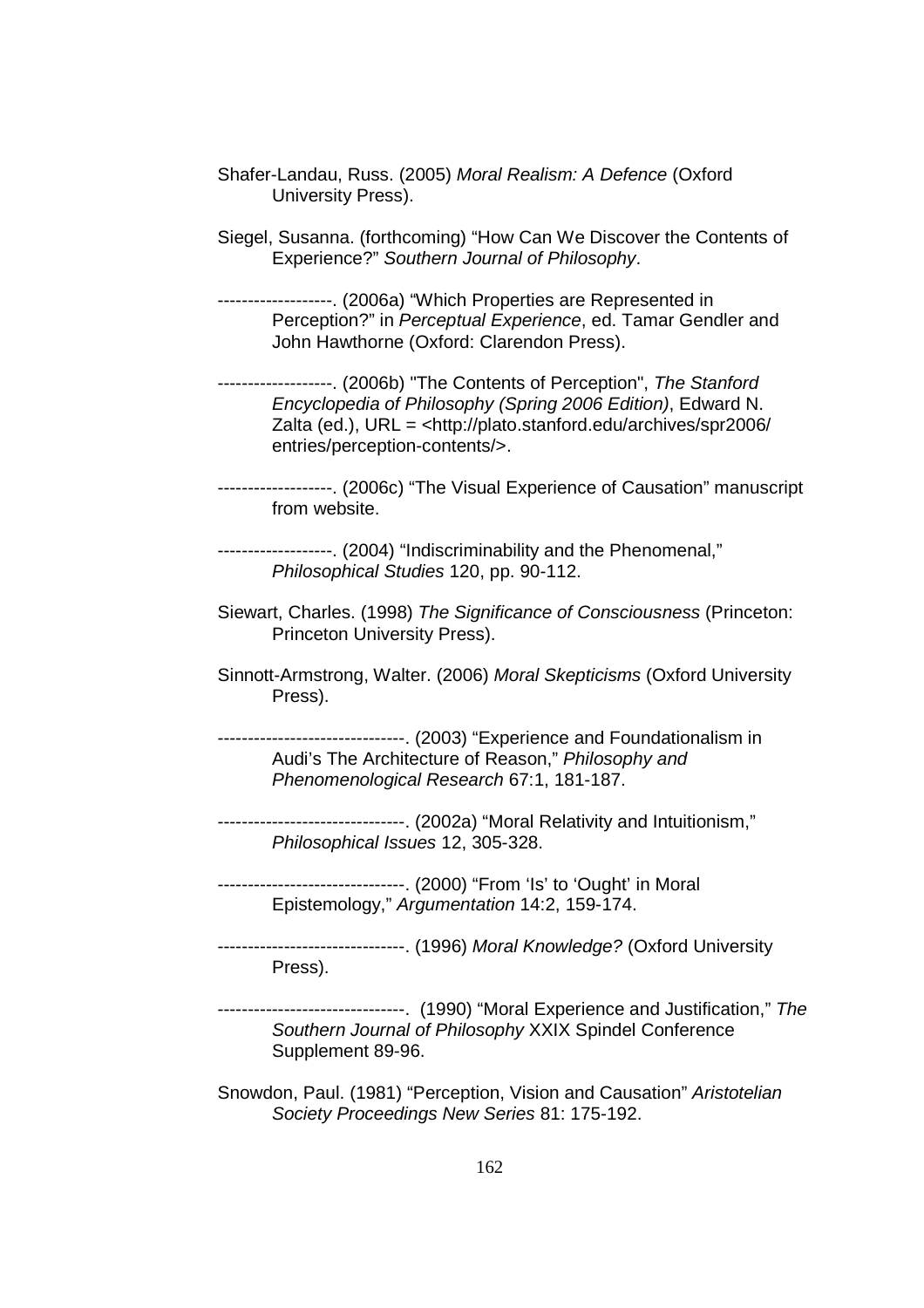- Shafer-Landau, Russ. (2005) Moral Realism: A Defence (Oxford University Press).
- Siegel, Susanna. (forthcoming) "How Can We Discover the Contents of Experience?" Southern Journal of Philosophy.
- -------------------. (2006a) "Which Properties are Represented in Perception?" in Perceptual Experience, ed. Tamar Gendler and John Hawthorne (Oxford: Clarendon Press).
- -------------------. (2006b) "The Contents of Perception", The Stanford Encyclopedia of Philosophy (Spring 2006 Edition), Edward N. Zalta (ed.), URL = <http://plato.stanford.edu/archives/spr2006/ entries/perception-contents/>.
- -------------------. (2006c) "The Visual Experience of Causation" manuscript from website.
- -------------------. (2004) "Indiscriminability and the Phenomenal," Philosophical Studies 120, pp. 90-112.
- Siewart, Charles. (1998) The Significance of Consciousness (Princeton: Princeton University Press).
- Sinnott-Armstrong, Walter. (2006) Moral Skepticisms (Oxford University Press).
- -------------------------------. (2003) "Experience and Foundationalism in Audi's The Architecture of Reason," Philosophy and Phenomenological Research 67:1, 181-187.
- -------------------------------. (2002a) "Moral Relativity and Intuitionism," Philosophical Issues 12, 305-328.
- -------------------------------. (2000) "From 'Is' to 'Ought' in Moral Epistemology," Argumentation 14:2, 159-174.
- -------------------------------. (1996) Moral Knowledge? (Oxford University Press).
- -------------------------------. (1990) "Moral Experience and Justification," The Southern Journal of Philosophy XXIX Spindel Conference Supplement 89-96.
- Snowdon, Paul. (1981) "Perception, Vision and Causation" Aristotelian Society Proceedings New Series 81: 175-192.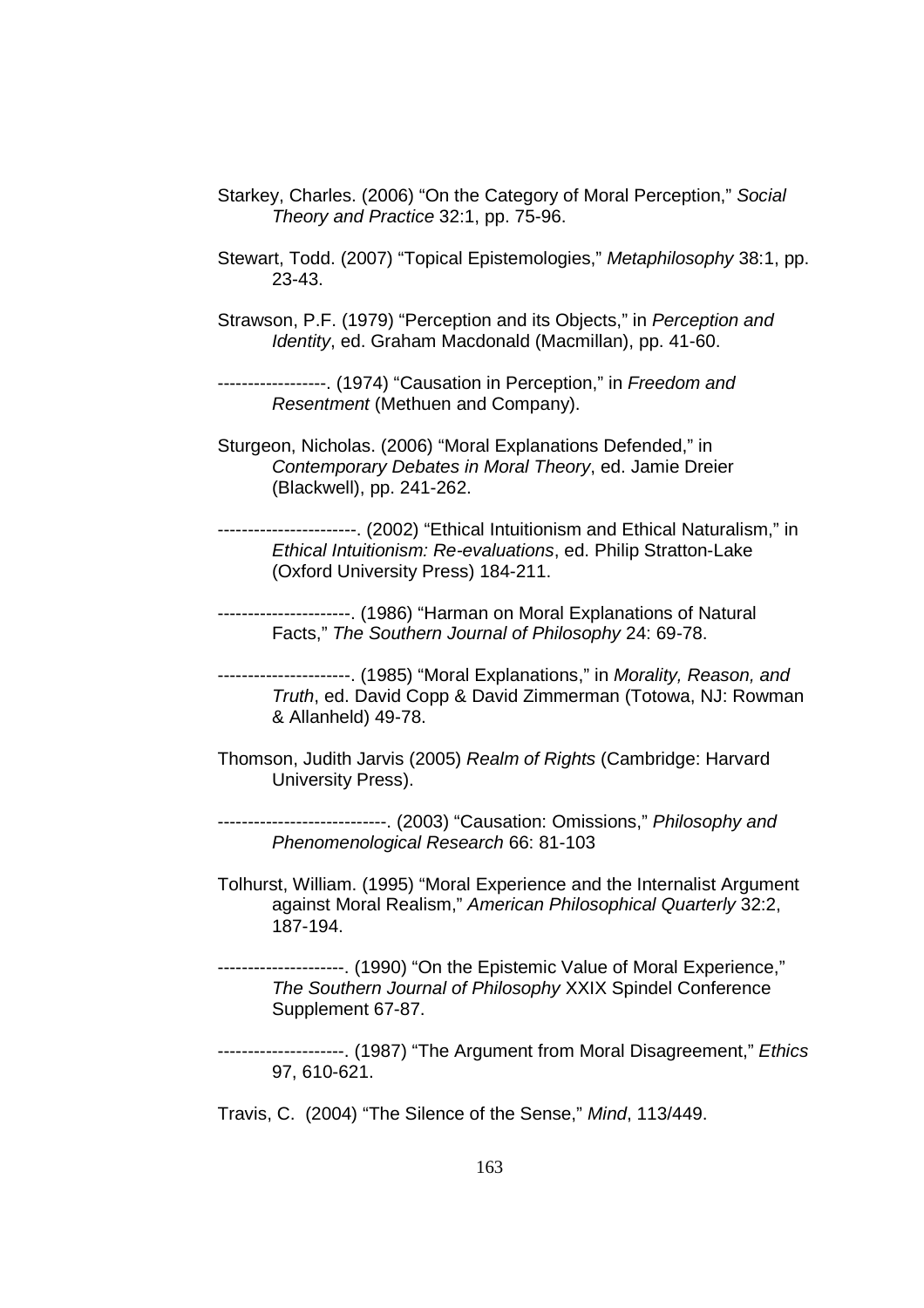- Starkey, Charles. (2006) "On the Category of Moral Perception," Social Theory and Practice 32:1, pp. 75-96.
- Stewart, Todd. (2007) "Topical Epistemologies," Metaphilosophy 38:1, pp. 23-43.
- Strawson, P.F. (1979) "Perception and its Objects," in Perception and Identity, ed. Graham Macdonald (Macmillan), pp. 41-60.
- -----------------. (1974) "Causation in Perception," in Freedom and Resentment (Methuen and Company).
- Sturgeon, Nicholas. (2006) "Moral Explanations Defended," in Contemporary Debates in Moral Theory, ed. Jamie Dreier (Blackwell), pp. 241-262.
- -----------------------. (2002) "Ethical Intuitionism and Ethical Naturalism," in Ethical Intuitionism: Re-evaluations, ed. Philip Stratton-Lake (Oxford University Press) 184-211.
- ----------------------. (1986) "Harman on Moral Explanations of Natural Facts," The Southern Journal of Philosophy 24: 69-78.
- ----------------------. (1985) "Moral Explanations," in Morality, Reason, and Truth, ed. David Copp & David Zimmerman (Totowa, NJ: Rowman & Allanheld) 49-78.
- Thomson, Judith Jarvis (2005) Realm of Rights (Cambridge: Harvard University Press).
- ----------------------------. (2003) "Causation: Omissions," Philosophy and Phenomenological Research 66: 81-103
- Tolhurst, William. (1995) "Moral Experience and the Internalist Argument against Moral Realism," American Philosophical Quarterly 32:2, 187-194.
- ---------------------. (1990) "On the Epistemic Value of Moral Experience," The Southern Journal of Philosophy XXIX Spindel Conference Supplement 67-87.
- --------------. (1987) "The Argument from Moral Disagreement," Ethics 97, 610-621.
- Travis, C. (2004) "The Silence of the Sense," Mind, 113/449.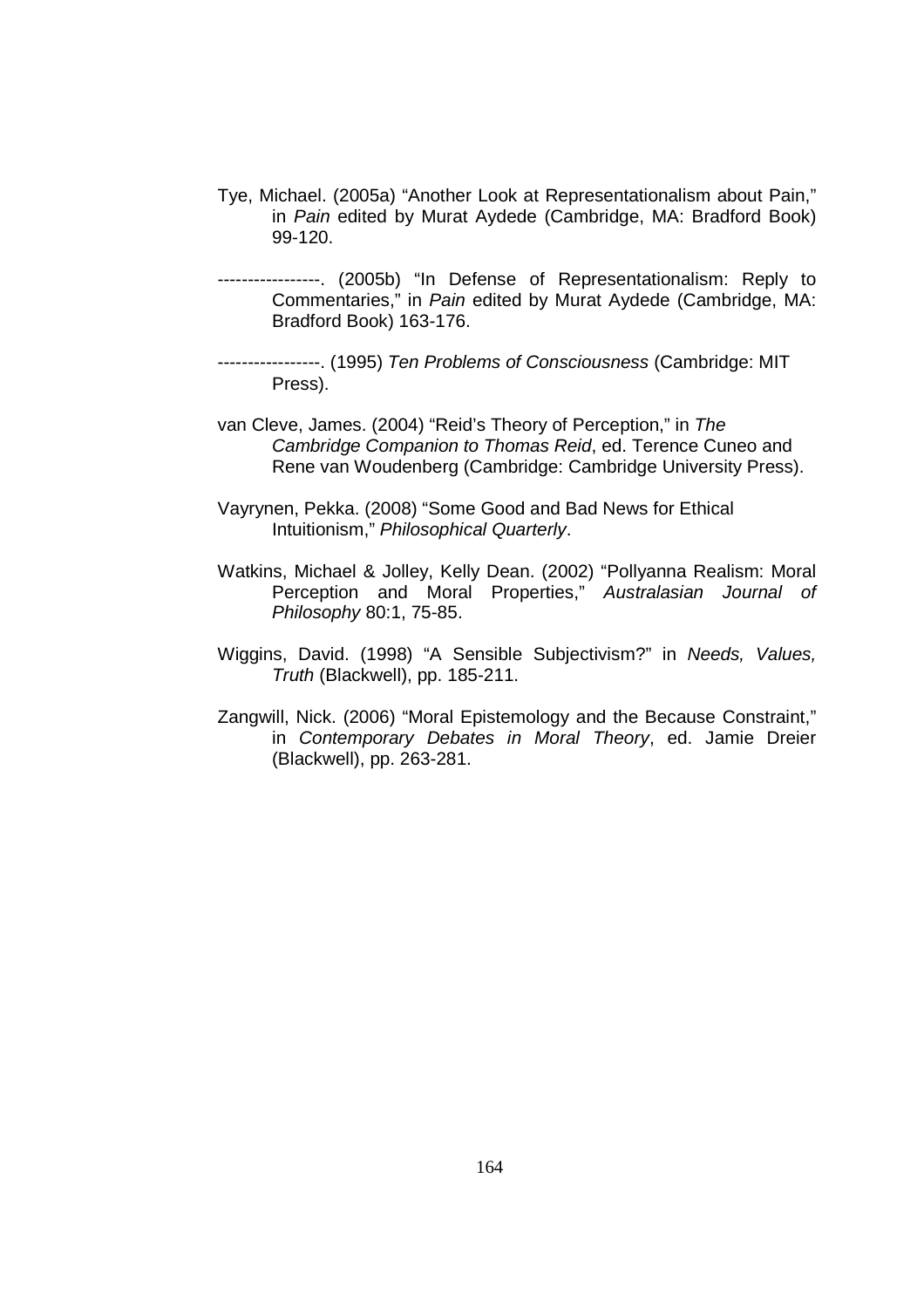- Tye, Michael. (2005a) "Another Look at Representationalism about Pain," in Pain edited by Murat Aydede (Cambridge, MA: Bradford Book) 99-120.
- -----------------. (2005b) "In Defense of Representationalism: Reply to Commentaries," in Pain edited by Murat Aydede (Cambridge, MA: Bradford Book) 163-176.
- -----------------. (1995) Ten Problems of Consciousness (Cambridge: MIT Press).
- van Cleve, James. (2004) "Reid's Theory of Perception," in The Cambridge Companion to Thomas Reid, ed. Terence Cuneo and Rene van Woudenberg (Cambridge: Cambridge University Press).
- Vayrynen, Pekka. (2008) "Some Good and Bad News for Ethical Intuitionism," Philosophical Quarterly.
- Watkins, Michael & Jolley, Kelly Dean. (2002) "Pollyanna Realism: Moral Perception and Moral Properties," Australasian Journal of Philosophy 80:1, 75-85.
- Wiggins, David. (1998) "A Sensible Subjectivism?" in Needs, Values, Truth (Blackwell), pp. 185-211.
- Zangwill, Nick. (2006) "Moral Epistemology and the Because Constraint," in Contemporary Debates in Moral Theory, ed. Jamie Dreier (Blackwell), pp. 263-281.